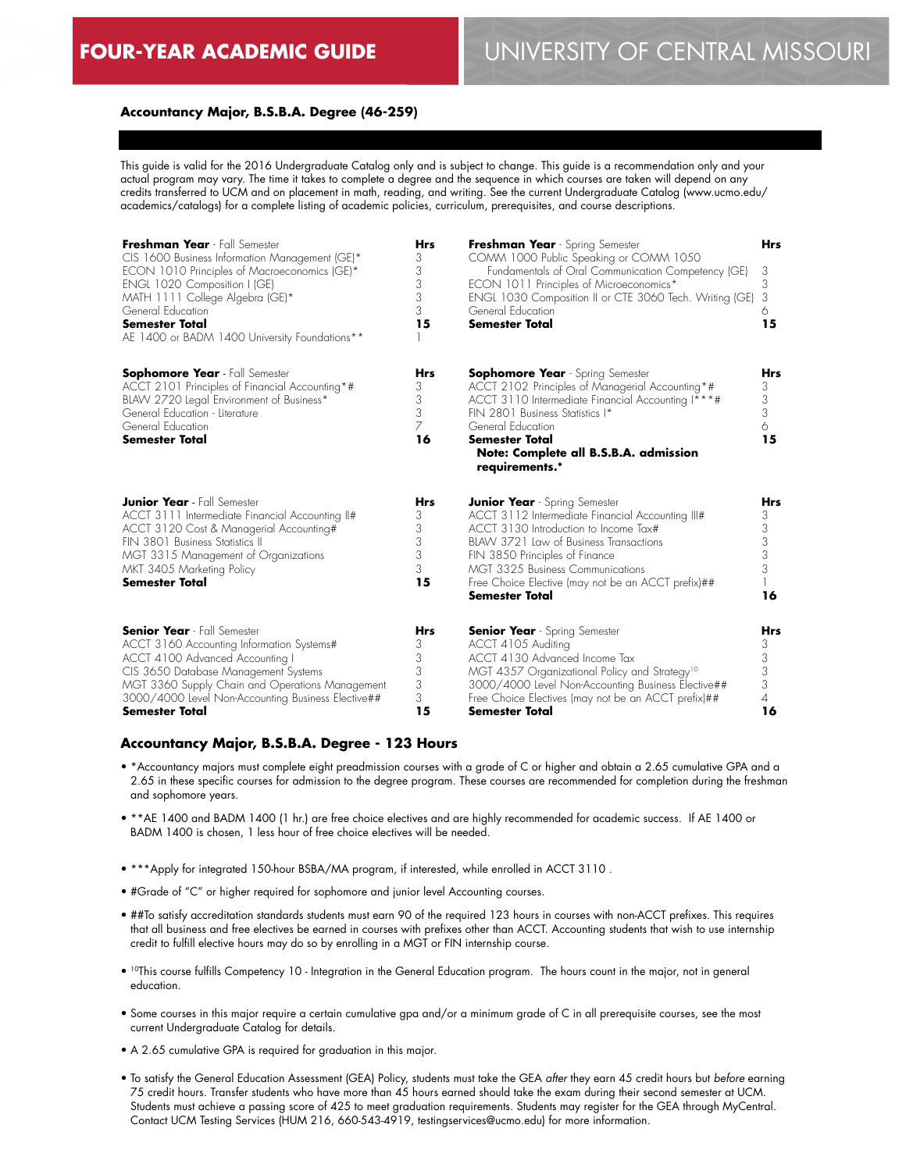### **Accountancy Major, B.S.B.A. Degree (46-259)**

This guide is valid for the 2016 Undergraduate Catalog only and is subject to change. This guide is a recommendation only and your actual program may vary. The time it takes to complete a degree and the sequence in which courses are taken will depend on any credits transferred to UCM and on placement in math, reading, and writing. See the current Undergraduate Catalog (www.ucmo.edu/ academics/catalogs) for a complete listing of academic policies, curriculum, prerequisites, and course descriptions.

| Freshman Year - Fall Semester<br>CIS 1600 Business Information Management (GE)*<br>ECON 1010 Principles of Macroeconomics (GE)*<br>ENGL 1020 Composition I (GE)<br>MATH 1111 College Algebra (GE)*<br>General Education<br><b>Semester Total</b><br>AE 1400 or BADM 1400 University Foundations** | <b>Hrs</b><br>3<br>3<br>3<br>3<br>3<br>15 | Freshman Year - Spring Semester<br>COMM 1000 Public Speaking or COMM 1050<br>Fundamentals of Oral Communication Competency (GE)<br>ECON 1011 Principles of Microeconomics*<br>ENGL 1030 Composition II or CTE 3060 Tech. Writing (GE)<br>General Education<br><b>Semester Total</b>                                                     | <b>Hrs</b><br>3<br>3<br>3<br>6<br>15                   |
|---------------------------------------------------------------------------------------------------------------------------------------------------------------------------------------------------------------------------------------------------------------------------------------------------|-------------------------------------------|-----------------------------------------------------------------------------------------------------------------------------------------------------------------------------------------------------------------------------------------------------------------------------------------------------------------------------------------|--------------------------------------------------------|
| <b>Sophomore Year</b> - Fall Semester<br>ACCT 2101 Principles of Financial Accounting*#<br>BLAW 2720 Legal Environment of Business*<br>General Education - Literature<br>General Education<br><b>Semester Total</b>                                                                               | Hrs<br>3<br>3<br>3<br>7<br>16             | <b>Sophomore Year</b> - Spring Semester<br>ACCT 2102 Principles of Managerial Accounting*#<br>ACCT 3110 Intermediate Financial Accounting I***#<br>FIN 2801 Business Statistics I*<br>General Education<br>Semester Total<br>Note: Complete all B.S.B.A. admission<br>requirements.*                                                    | Hrs<br>3<br>3<br>3<br>6<br>15                          |
| <b>Junior Year</b> - Fall Semester<br>ACCT 3111 Intermediate Financial Accounting II#<br>ACCT 3120 Cost & Managerial Accounting#<br>FIN 3801 Business Statistics II<br>MGT 3315 Management of Organizations<br>MKT 3405 Marketing Policy<br><b>Semester Total</b>                                 | <b>Hrs</b><br>3<br>3<br>3<br>3<br>3<br>15 | <b>Junior Year</b> - Spring Semester<br>ACCT 3112 Intermediate Financial Accounting III#<br>ACCT 3130 Introduction to Income Tax#<br>BLAW 3721 Law of Business Transactions<br>FIN 3850 Principles of Finance<br><b>MGT 3325 Business Communications</b><br>Free Choice Elective (may not be an ACCT prefix)##<br><b>Semester Total</b> | Hrs<br>3<br>3<br>3<br>3<br>3<br>16                     |
| <b>Senior Year</b> - Fall Semester<br>ACCT 3160 Accounting Information Systems#<br>ACCT 4100 Advanced Accounting I<br>CIS 3650 Database Management Systems<br>MGT 3360 Supply Chain and Operations Management<br>3000/4000 Level Non-Accounting Business Elective##<br><b>Semester Total</b>      | <b>Hrs</b><br>3<br>3<br>3<br>3<br>3<br>15 | <b>Senior Year</b> - Spring Semester<br>ACCT 4105 Auditing<br>ACCT 4130 Advanced Income Tax<br>MGT 4357 Organizational Policy and Strategy <sup>10</sup><br>3000/4000 Level Non-Accounting Business Elective##<br>Free Choice Electives (may not be an ACCT prefix)##<br>Semester Total                                                 | <b>Hrs</b><br>3<br>3<br>3<br>3<br>$\overline{4}$<br>16 |

#### **Accountancy Major, B.S.B.A. Degree - 123 Hours**

- \*Accountancy majors must complete eight preadmission courses with a grade of C or higher and obtain a 2.65 cumulative GPA and a 2.65 in these specific courses for admission to the degree program. These courses are recommended for completion during the freshman and sophomore years.
- \*\*AE 1400 and BADM 1400 (1 hr.) are free choice electives and are highly recommended for academic success. If AE 1400 or BADM 1400 is chosen, 1 less hour of free choice electives will be needed.
- \*\*\*Apply for integrated 150-hour BSBA/MA program, if interested, while enrolled in ACCT 3110 .
- #Grade of "C" or higher required for sophomore and junior level Accounting courses.
- ##To satisfy accreditation standards students must earn 90 of the required 123 hours in courses with non-ACCT prefixes. This requires that all business and free electives be earned in courses with prefixes other than ACCT. Accounting students that wish to use internship credit to fulfill elective hours may do so by enrolling in a MGT or FIN internship course.
- 10This course fulfills Competency 10 Integration in the General Education program. The hours count in the major, not in general education.
- Some courses in this major require a certain cumulative gpa and/or a minimum grade of C in all prerequisite courses, see the most current Undergraduate Catalog for details.
- A 2.65 cumulative GPA is required for graduation in this major.
- To satisfy the General Education Assessment (GEA) Policy, students must take the GEA *after* they earn 45 credit hours but *before* earning 75 credit hours. Transfer students who have more than 45 hours earned should take the exam during their second semester at UCM. Students must achieve a passing score of 425 to meet graduation requirements. Students may register for the GEA through MyCentral. Contact UCM Testing Services (HUM 216, 660-543-4919, testingservices@ucmo.edu) for more information.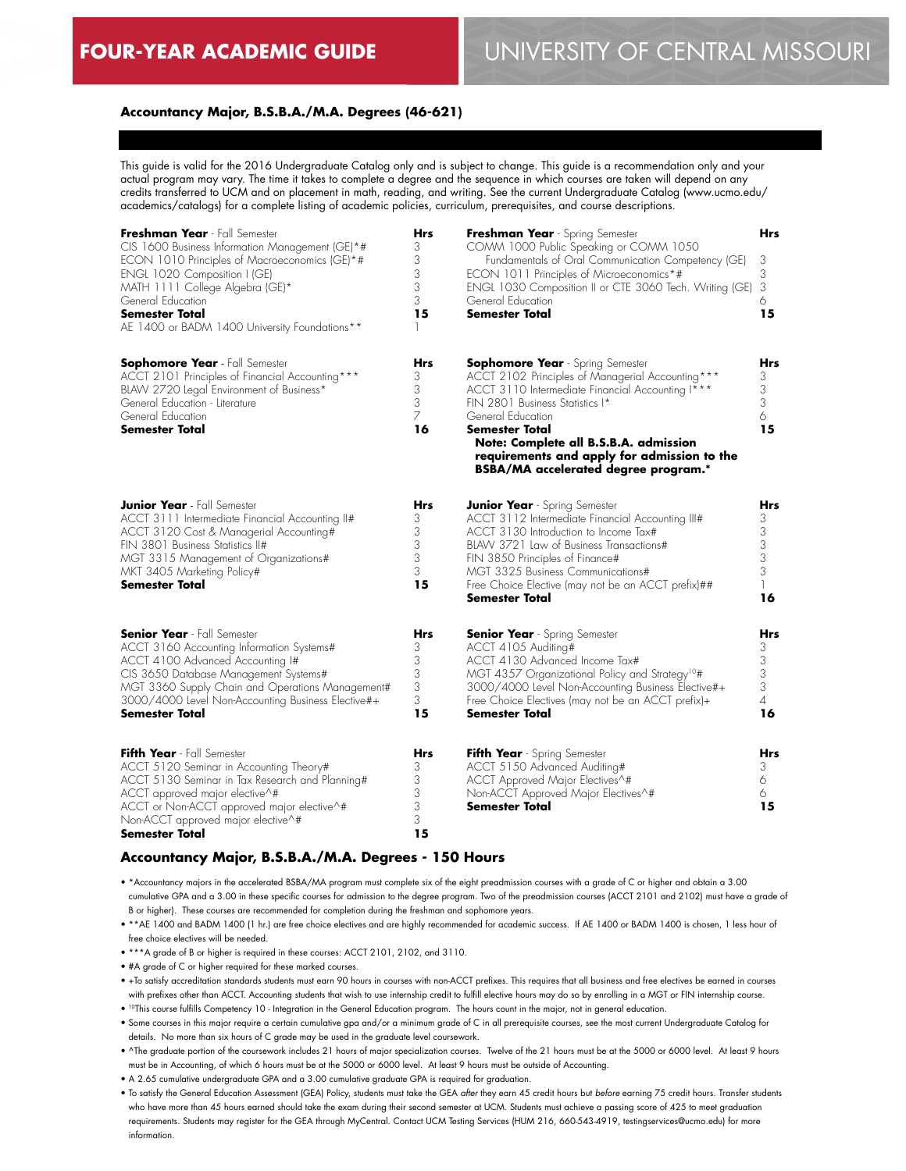### **Accountancy Major, B.S.B.A./M.A. Degrees (46-621)**

This guide is valid for the 2016 Undergraduate Catalog only and is subject to change. This guide is a recommendation only and your actual program may vary. The time it takes to complete a degree and the sequence in which courses are taken will depend on any credits transferred to UCM and on placement in math, reading, and writing. See the current Undergraduate Catalog (www.ucmo.edu/ academics/catalogs) for a complete listing of academic policies, curriculum, prerequisites, and course descriptions.

| Freshman Year - Fall Semester<br>CIS 1600 Business Information Management (GE)*#<br>ECON 1010 Principles of Macroeconomics (GE)*#<br>ENGL 1020 Composition I (GE)<br>MATH 1111 College Algebra (GE)*<br>General Education<br><b>Semester Total</b><br>AE 1400 or BADM 1400 University Foundations** | <b>Hrs</b><br>3<br>3<br>3<br>3<br>3<br>15 | Freshman Year - Spring Semester<br>COMM 1000 Public Speaking or COMM 1050<br>Fundamentals of Oral Communication Competency (GE)<br>ECON 1011 Principles of Microeconomics*#<br>ENGL 1030 Composition II or CTE 3060 Tech. Writing (GE)<br>General Education<br><b>Semester Total</b>                                                                             | <b>Hrs</b><br>3<br>3<br>3<br>6<br>15                                    |
|-----------------------------------------------------------------------------------------------------------------------------------------------------------------------------------------------------------------------------------------------------------------------------------------------------|-------------------------------------------|------------------------------------------------------------------------------------------------------------------------------------------------------------------------------------------------------------------------------------------------------------------------------------------------------------------------------------------------------------------|-------------------------------------------------------------------------|
| Sophomore Year - Fall Semester<br>ACCT 2101 Principles of Financial Accounting***<br>BLAW 2720 legal Environment of Business*<br>General Education - Literature<br>General Education<br>Semester Total                                                                                              | <b>Hrs</b><br>3<br>3<br>3<br>7<br>16      | <b>Sophomore Year</b> - Spring Semester<br>ACCT 2102 Principles of Managerial Accounting***<br>ACCT 3110 Intermediate Financial Accounting I***<br>FIN 2801 Business Statistics I*<br>General Education<br>Semester Total<br>Note: Complete all B.S.B.A. admission<br>requirements and apply for admission to the<br><b>BSBA/MA</b> accelerated degree program.* | <b>Hrs</b><br>3<br>3<br>3<br>6<br>15                                    |
| <b>Junior Year</b> - Fall Semester<br>ACCT 3111 Intermediate Financial Accounting II#<br>ACCT 3120 Cost & Managerial Accounting#<br>FIN 3801 Business Statistics II#<br>MGT 3315 Management of Organizations#<br>MKT 3405 Marketing Policy#<br><b>Semester Total</b>                                | <b>Hrs</b><br>3<br>3<br>3<br>3<br>3<br>15 | <b>Junior Year</b> - Spring Semester<br>ACCT 3112 Intermediate Financial Accounting III#<br>ACCT 3130 Introduction to Income Tax#<br>BLAW 3721 Law of Business Transactions#<br>FIN 3850 Principles of Finance#<br>MGT 3325 Business Communications#<br>Free Choice Elective (may not be an ACCT prefix)##<br>Semester Total                                     | <b>Hrs</b><br>3<br>$\frac{3}{3}$<br>$\frac{3}{3}$<br>$\mathbf{1}$<br>16 |
| <b>Senior Year</b> Fall Semester<br>ACCT 3160 Accounting Information Systems#<br>ACCT 4100 Advanced Accounting I#<br>CIS 3650 Database Management Systems#<br>MGT 3360 Supply Chain and Operations Management#<br>3000/4000 Level Non-Accounting Business Elective#+<br><b>Semester Total</b>       | Hrs<br>3<br>3<br>3<br>3<br>3<br>15        | <b>Senior Year</b> - Spring Semester<br>ACCT 4105 Auditing#<br>ACCT 4130 Advanced Income Tax#<br>MGT 4357 Organizational Policy and Strategy <sup>10</sup> #<br>3000/4000 Level Non-Accounting Business Elective#+<br>Free Choice Electives (may not be an ACCT prefix)+<br>Semester Total                                                                       | Hrs<br>3<br>3<br>3<br>3<br>$\overline{4}$<br>16                         |
| Fifth Year - Fall Semester<br>ACCT 5120 Seminar in Accounting Theory#<br>ACCT 5130 Seminar in Tax Research and Planning#<br>ACCT approved major elective^#<br>ACCT or Non-ACCT approved major elective^#<br>Non-ACCT approved major elective^#<br>Semester Total                                    | Hrs<br>3<br>3<br>3<br>3<br>3<br>15        | Fifth Year - Spring Semester<br>ACCT 5150 Advanced Auditing#<br>ACCT Approved Major Electives^#<br>Non-ACCT Approved Major Electives^#<br>Semester Total                                                                                                                                                                                                         | Hrs<br>3<br>6<br>6.<br>15                                               |

#### **Accountancy Major, B.S.B.A./M.A. Degrees - 150 Hours**

• \*Accountancy majors in the accelerated BSBA/MA program must complete six of the eight preadmission courses with a grade of C or higher and obtain a 3.00 cumulative GPA and a 3.00 in these specific courses for admission to the degree program. Two of the preadmission courses (ACCT 2101 and 2102) must have a grade of B or higher). These courses are recommended for completion during the freshman and sophomore years.

• \*\*AE 1400 and BADM 1400 (1 hr.) are free choice electives and are highly recommended for academic success. If AE 1400 or BADM 1400 is chosen, 1 less hour of free choice electives will be needed.

• \*\*\*A grade of B or higher is required in these courses: ACCT 2101, 2102, and 3110.

• #A grade of C or higher required for these marked courses.

• +To satisfy accreditation standards students must earn 90 hours in courses with non-ACCT prefixes. This requires that all business and free electives be earned in courses with prefixes other than ACCT. Accounting students that wish to use internship credit to fulfill elective hours may do so by enrolling in a MGT or FIN internship course.

• 10This course fulfills Competency 10 - Integration in the General Education program. The hours count in the major, not in general education.

• Some courses in this major require a certain cumulative gpa and/or a minimum grade of C in all prerequisite courses, see the most current Undergraduate Catalog for details. No more than six hours of C grade may be used in the graduate level coursework.

• ^The graduate portion of the coursework includes 21 hours of major specialization courses. Twelve of the 21 hours must be at the 5000 or 6000 level. At least 9 hours must be in Accounting, of which 6 hours must be at the 5000 or 6000 level. At least 9 hours must be outside of Accounting.

• A 2.65 cumulative undergraduate GPA and a 3.00 cumulative graduate GPA is required for graduation.

• To satisfy the General Education Assessment (GEA) Policy, students must take the GEA *after* they earn 45 credit hours but *before* earning 75 credit hours. Transfer students who have more than 45 hours earned should take the exam during their second semester at UCM. Students must achieve a passing score of 425 to meet graduation requirements. Students may register for the GEA through MyCentral. Contact UCM Testing Services (HUM 216, 660-543-4919, testingservices@ucmo.edu) for more information.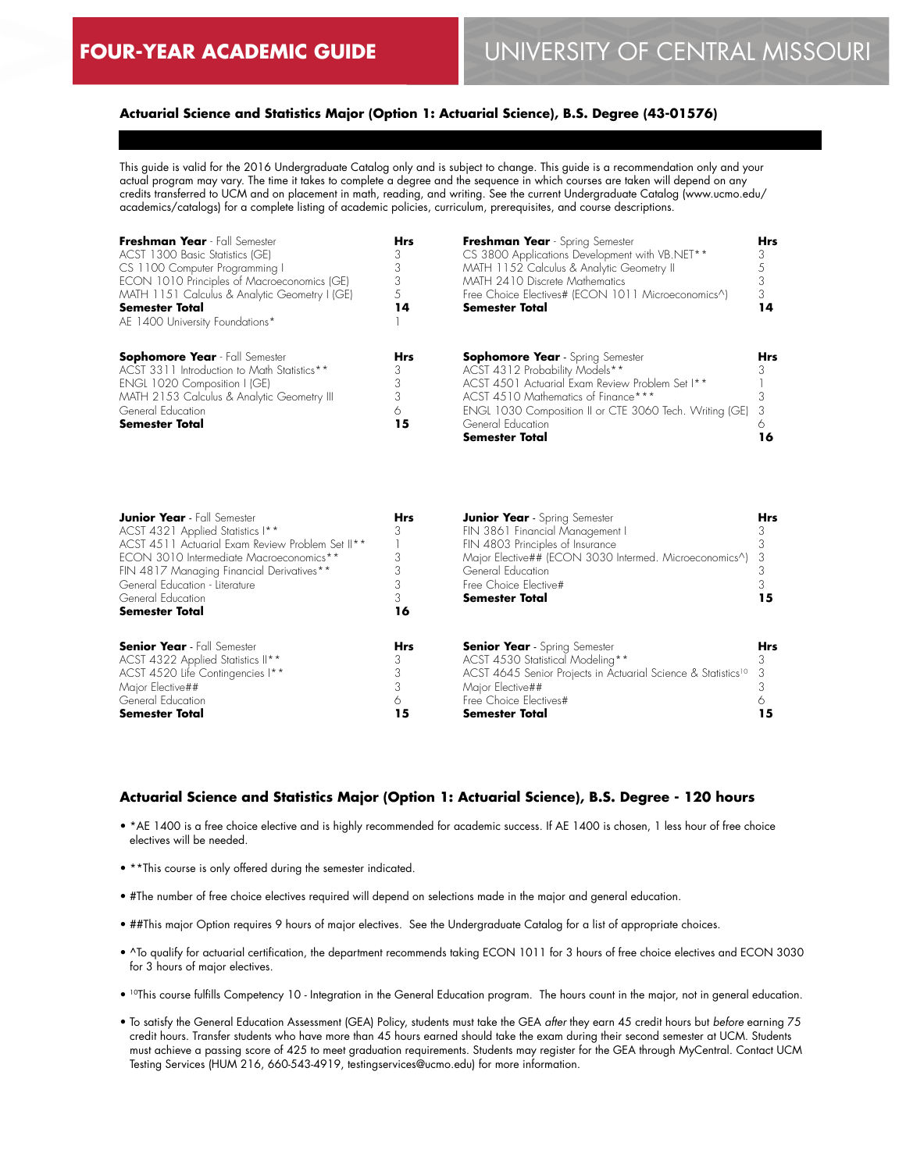### **Actuarial Science and Statistics Major (Option 1: Actuarial Science), B.S. Degree (43-01576)**

This guide is valid for the 2016 Undergraduate Catalog only and is subject to change. This guide is a recommendation only and your actual program may vary. The time it takes to complete a degree and the sequence in which courses are taken will depend on any credits transferred to UCM and on placement in math, reading, and writing. See the current Undergraduate Catalog (www.ucmo.edu/ academics/catalogs) for a complete listing of academic policies, curriculum, prerequisites, and course descriptions.

| Freshman Year - Fall Semester                 | <b>Hrs</b> | Freshman Year - Spring Semester                           | <b>Hrs</b> |
|-----------------------------------------------|------------|-----------------------------------------------------------|------------|
| ACST 1300 Basic Statistics (GE)               |            | CS 3800 Applications Development with VB.NET**            |            |
| CS 1100 Computer Programming I                |            | MATH 1152 Calculus & Analytic Geometry II                 |            |
| ECON 1010 Principles of Macroeconomics (GE)   |            | MATH 2410 Discrete Mathematics                            |            |
| MATH 1151 Calculus & Analytic Geometry I (GE) | .5         | Free Choice Electives# (ECON 1011 Microeconomics^)        |            |
| <b>Semester Total</b>                         | 14         | <b>Semester Total</b>                                     | 14         |
| AE 1400 University Foundations*               |            |                                                           |            |
|                                               |            |                                                           |            |
| <b>Sophomore Year</b> - Fall Semester         | <b>Hrs</b> | <b>Sophomore Year</b> - Spring Semester                   | <b>Hrs</b> |
| ACST 3311 Introduction to Math Statistics**   |            | ACST 4312 Probability Models**                            |            |
| ENGL 1020 Composition I (GE)                  |            | ACST 4501 Actuarial Exam Review Problem Set I**           |            |
| MATH 2153 Calculus & Analytic Geometry III    |            | ACST 4510 Mathematics of Finance***                       |            |
| General Education                             |            | ENGL 1030 Composition II or CTE 3060 Tech. Writing (GE) 3 |            |
| <b>Semester Total</b>                         | 15         | General Education                                         |            |
|                                               |            | <b>Semester Total</b>                                     | 16         |

| <b>Junior Year</b> - Fall Semester<br>ACST 4321 Applied Statistics I**<br>ACST 4511 Actuarial Exam Review Problem Set II**<br>ECON 3010 Intermediate Macroeconomics**<br>FIN 4817 Managing Financial Derivatives**<br>General Education - Literature<br>General Education<br><b>Semester Total</b> | <b>Hrs</b><br>3<br>16 | <b>Junior Year</b> - Spring Semester<br>FIN 3861 Financial Management I<br>FIN 4803 Principles of Insurance<br>Major Elective## (ECON 3030 Intermed. Microeconomics^) 3<br>General Education<br>Free Choice Elective#<br><b>Semester Total</b> | <b>Hrs</b> |
|----------------------------------------------------------------------------------------------------------------------------------------------------------------------------------------------------------------------------------------------------------------------------------------------------|-----------------------|------------------------------------------------------------------------------------------------------------------------------------------------------------------------------------------------------------------------------------------------|------------|
| <b>Senior Year</b> - Fall Semester<br>ACST 4322 Applied Statistics II**<br>ACST 4520 Life Contingencies I**<br>Major Elective##<br>General Education<br><b>Semester Total</b>                                                                                                                      | <b>Hrs</b><br>15      | <b>Senior Year</b> - Spring Semester<br>ACST 4530 Statistical Modeling**<br>ACST 4645 Senior Projects in Actuarial Science & Statistics <sup>10</sup><br>Major Elective##<br>Free Choice Flectives#<br><b>Semester Total</b>                   | <b>Hrs</b> |

### **Actuarial Science and Statistics Major (Option 1: Actuarial Science), B.S. Degree - 120 hours**

- \*AE 1400 is a free choice elective and is highly recommended for academic success. If AE 1400 is chosen, 1 less hour of free choice electives will be needed.
- \*\*This course is only offered during the semester indicated.
- #The number of free choice electives required will depend on selections made in the major and general education.
- ##This major Option requires 9 hours of major electives. See the Undergraduate Catalog for a list of appropriate choices.
- ^To qualify for actuarial certification, the department recommends taking ECON 1011 for 3 hours of free choice electives and ECON 3030 for 3 hours of major electives.
- <sup>10</sup>This course fulfills Competency 10 Integration in the General Education program. The hours count in the major, not in general education.
- To satisfy the General Education Assessment (GEA) Policy, students must take the GEA *after* they earn 45 credit hours but *before* earning 75 credit hours. Transfer students who have more than 45 hours earned should take the exam during their second semester at UCM. Students must achieve a passing score of 425 to meet graduation requirements. Students may register for the GEA through MyCentral. Contact UCM Testing Services (HUM 216, 660-543-4919, testingservices@ucmo.edu) for more information.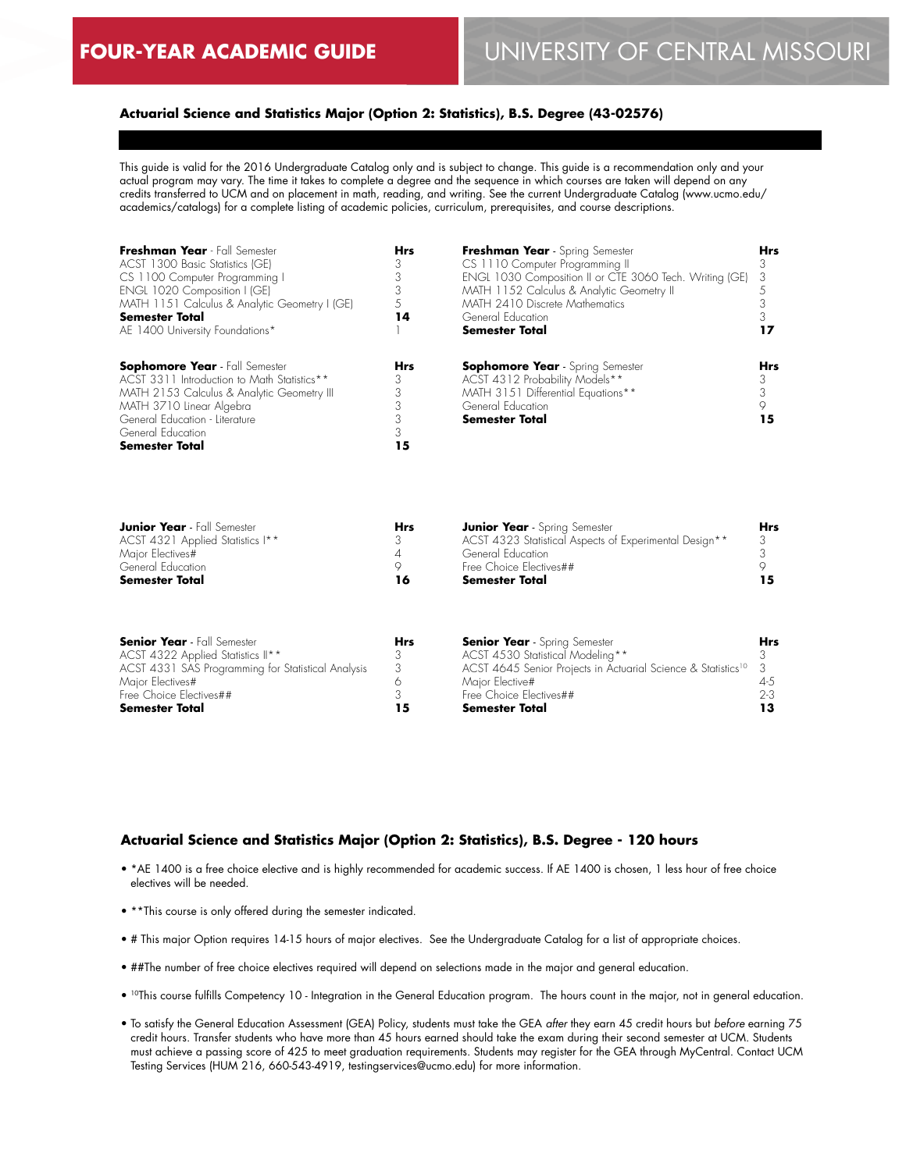### **Actuarial Science and Statistics Major (Option 2: Statistics), B.S. Degree (43-02576)**

This guide is valid for the 2016 Undergraduate Catalog only and is subject to change. This guide is a recommendation only and your actual program may vary. The time it takes to complete a degree and the sequence in which courses are taken will depend on any credits transferred to UCM and on placement in math, reading, and writing. See the current Undergraduate Catalog (www.ucmo.edu/ academics/catalogs) for a complete listing of academic policies, curriculum, prerequisites, and course descriptions.

| Freshman Year - Fall Semester<br>ACST 1300 Basic Statistics (GE)<br>CS 1100 Computer Programming I<br>ENGL 1020 Composition I (GE)<br>MATH 1151 Calculus & Analytic Geometry I (GE)<br><b>Semester Total</b><br>AE 1400 University Foundations* | <b>Hrs</b><br>3<br>3<br>3<br>14 | Freshman Year - Spring Semester<br>CS 1110 Computer Programming II<br>ENGL 1030 Composition II or CTE 3060 Tech. Writing (GE)<br>MATH 1152 Calculus & Analytic Geometry II<br>MATH 2410 Discrete Mathematics<br>General Education<br><b>Semester Total</b> | <b>Hrs</b><br>3<br>3            |
|-------------------------------------------------------------------------------------------------------------------------------------------------------------------------------------------------------------------------------------------------|---------------------------------|------------------------------------------------------------------------------------------------------------------------------------------------------------------------------------------------------------------------------------------------------------|---------------------------------|
| <b>Sophomore Year</b> - Fall Semester<br>ACST 3311 Introduction to Math Statistics**<br>MATH 2153 Calculus & Analytic Geometry III<br>MATH 3710 Linear Algebra<br>General Education - Literature<br>General Education<br><b>Semester Total</b>  | <b>Hrs</b><br>3<br>3<br>3<br>15 | <b>Sophomore Year</b> - Spring Semester<br>ACST 4312 Probability Models**<br>MATH 3151 Differential Equations**<br>General Education<br><b>Semester Total</b>                                                                                              | <b>Hrs</b><br>З<br>3<br>9<br>15 |

| <b>Junior Year</b> - Fall Semester | Hrs | <b>Junior Year</b> - Spring Semester                   | <b>Hrs</b> |
|------------------------------------|-----|--------------------------------------------------------|------------|
| ACST 4321 Applied Statistics I**   |     | ACST 4323 Statistical Aspects of Experimental Design** |            |
| Major Electives#                   |     | General Education                                      |            |
| General Education                  |     | Free Choice Flectives##                                |            |
| <b>Semester Total</b>              | 16  | <b>Semester Total</b>                                  |            |

| <b>Senior Year</b> - Fall Semester                 | Hrs | <b>Senior Year</b> - Spring Semester                                        | <b>Hrs</b> |
|----------------------------------------------------|-----|-----------------------------------------------------------------------------|------------|
| ACST 4322 Applied Statistics II**                  |     | ACST 4530 Statistical Modeling**                                            |            |
| ACST 4331 SAS Programming for Statistical Analysis |     | ACST 4645 Senior Projects in Actuarial Science & Statistics <sup>10</sup> 3 |            |
| Major Electives#                                   |     | Maior Elective#                                                             | 4-5        |
| Free Choice Electives##                            |     | Free Choice Electives##                                                     | $2-3$      |
| <b>Semester Total</b>                              |     | <b>Semester Total</b>                                                       |            |

#### **Actuarial Science and Statistics Major (Option 2: Statistics), B.S. Degree - 120 hours**

- \*AE 1400 is a free choice elective and is highly recommended for academic success. If AE 1400 is chosen, 1 less hour of free choice electives will be needed.
- \*\*This course is only offered during the semester indicated.
- # This major Option requires 14-15 hours of major electives. See the Undergraduate Catalog for a list of appropriate choices.
- ##The number of free choice electives required will depend on selections made in the major and general education.
- 10This course fulfills Competency 10 Integration in the General Education program. The hours count in the major, not in general education.
- To satisfy the General Education Assessment (GEA) Policy, students must take the GEA *after* they earn 45 credit hours but *before* earning 75 credit hours. Transfer students who have more than 45 hours earned should take the exam during their second semester at UCM. Students must achieve a passing score of 425 to meet graduation requirements. Students may register for the GEA through MyCentral. Contact UCM Testing Services (HUM 216, 660-543-4919, testingservices@ucmo.edu) for more information.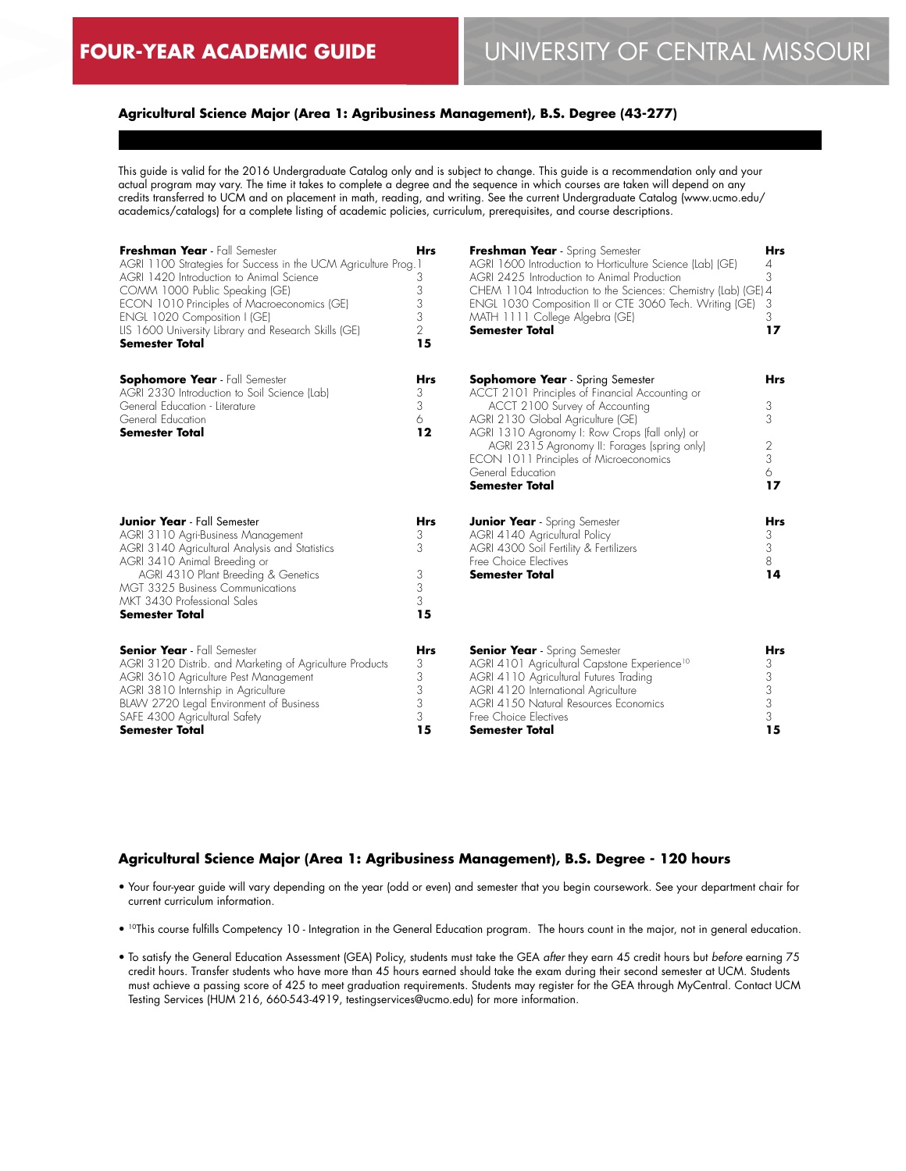## **Agricultural Science Major (Area 1: Agribusiness Management), B.S. Degree (43-277)**

This guide is valid for the 2016 Undergraduate Catalog only and is subject to change. This guide is a recommendation only and your actual program may vary. The time it takes to complete a degree and the sequence in which courses are taken will depend on any credits transferred to UCM and on placement in math, reading, and writing. See the current Undergraduate Catalog (www.ucmo.edu/ academics/catalogs) for a complete listing of academic policies, curriculum, prerequisites, and course descriptions.

| Freshman Year - Fall Semester<br>AGRI 1100 Strategies for Success in the UCM Agriculture Prog. 1<br>AGRI 1420 Introduction to Animal Science<br>COMM 1000 Public Speaking (GE)<br>ECON 1010 Principles of Macroeconomics (GE)<br>ENGL 1020 Composition I (GE)<br>LIS 1600 University Library and Research Skills (GE)<br><b>Semester Total</b> | <b>Hrs</b><br>3<br>3<br>3<br>3<br>$\overline{2}$<br>15 | Freshman Year - Spring Semester<br>AGRI 1600 Introduction to Horticulture Science (Lab) (GE)<br>AGRI 2425 Introduction to Animal Production<br>CHEM 1104 Introduction to the Sciences: Chemistry (Lab) (GE) 4<br>ENGL 1030 Composition II or CTE 3060 Tech. Writing (GE)<br>MATH 1111 College Algebra (GE)<br><b>Semester Total</b>                         | <b>Hrs</b><br>4<br>3<br>3<br>3<br>17      |
|------------------------------------------------------------------------------------------------------------------------------------------------------------------------------------------------------------------------------------------------------------------------------------------------------------------------------------------------|--------------------------------------------------------|-------------------------------------------------------------------------------------------------------------------------------------------------------------------------------------------------------------------------------------------------------------------------------------------------------------------------------------------------------------|-------------------------------------------|
| <b>Sophomore Year</b> - Fall Semester<br>AGRI 2330 Introduction to Soil Science (Lab)<br>General Education - Literature<br>General Education<br><b>Semester Total</b>                                                                                                                                                                          | <b>Hrs</b><br>3<br>3<br>6<br>12                        | <b>Sophomore Year</b> - Spring Semester<br>ACCT 2101 Principles of Financial Accounting or<br>ACCT 2100 Survey of Accounting<br>AGRI 2130 Global Agriculture (GE)<br>AGRI 1310 Agronomy I: Row Crops (fall only) or<br>AGRI 2315 Agronomy II: Forages (spring only)<br>ECON 1011 Principles of Microeconomics<br>General Education<br><b>Semester Total</b> | <b>Hrs</b><br>3<br>3<br>2<br>3<br>6<br>17 |
| <b>Junior Year</b> - Fall Semester<br>AGRI 3110 Agri-Business Management<br>AGRI 3140 Agricultural Analysis and Statistics<br>AGRI 3410 Animal Breeding or<br>AGRI 4310 Plant Breeding & Genetics<br><b>MGT 3325 Business Communications</b><br>MKT 3430 Professional Sales<br>Semester Total                                                  | <b>Hrs</b><br>3<br>3<br>3<br>3<br>3<br>15              | <b>Junior Year</b> - Spring Semester<br>AGRI 4140 Agricultural Policy<br>AGRI 4300 Soil Fertility & Fertilizers<br>Free Choice Electives<br><b>Semester Total</b>                                                                                                                                                                                           | <b>Hrs</b><br>3<br>3<br>8<br>14           |
| <b>Senior Year</b> - Fall Semester<br>AGRI 3120 Distrib. and Marketing of Agriculture Products<br>AGRI 3610 Agriculture Pest Management<br>AGRI 3810 Internship in Agriculture<br>BLAW 2720 Legal Environment of Business<br>SAFE 4300 Agricultural Safety<br><b>Semester Total</b>                                                            | <b>Hrs</b><br>3<br>3<br>3<br>3<br>3<br>15              | <b>Senior Year</b> - Spring Semester<br>AGRI 4101 Agricultural Capstone Experience <sup>10</sup><br>AGRI 4110 Agricultural Futures Trading<br>AGRI 4120 International Agriculture<br>AGRI 4150 Natural Resources Economics<br>Free Choice Electives<br>Semester Total                                                                                       | <b>Hrs</b><br>3<br>3<br>3<br>3<br>3<br>15 |

### **Agricultural Science Major (Area 1: Agribusiness Management), B.S. Degree - 120 hours**

- Your four-year guide will vary depending on the year (odd or even) and semester that you begin coursework. See your department chair for current curriculum information.
- 10This course fulfills Competency 10 Integration in the General Education program. The hours count in the major, not in general education.
- To satisfy the General Education Assessment (GEA) Policy, students must take the GEA *after* they earn 45 credit hours but *before* earning 75 credit hours. Transfer students who have more than 45 hours earned should take the exam during their second semester at UCM. Students must achieve a passing score of 425 to meet graduation requirements. Students may register for the GEA through MyCentral. Contact UCM Testing Services (HUM 216, 660-543-4919, testingservices@ucmo.edu) for more information.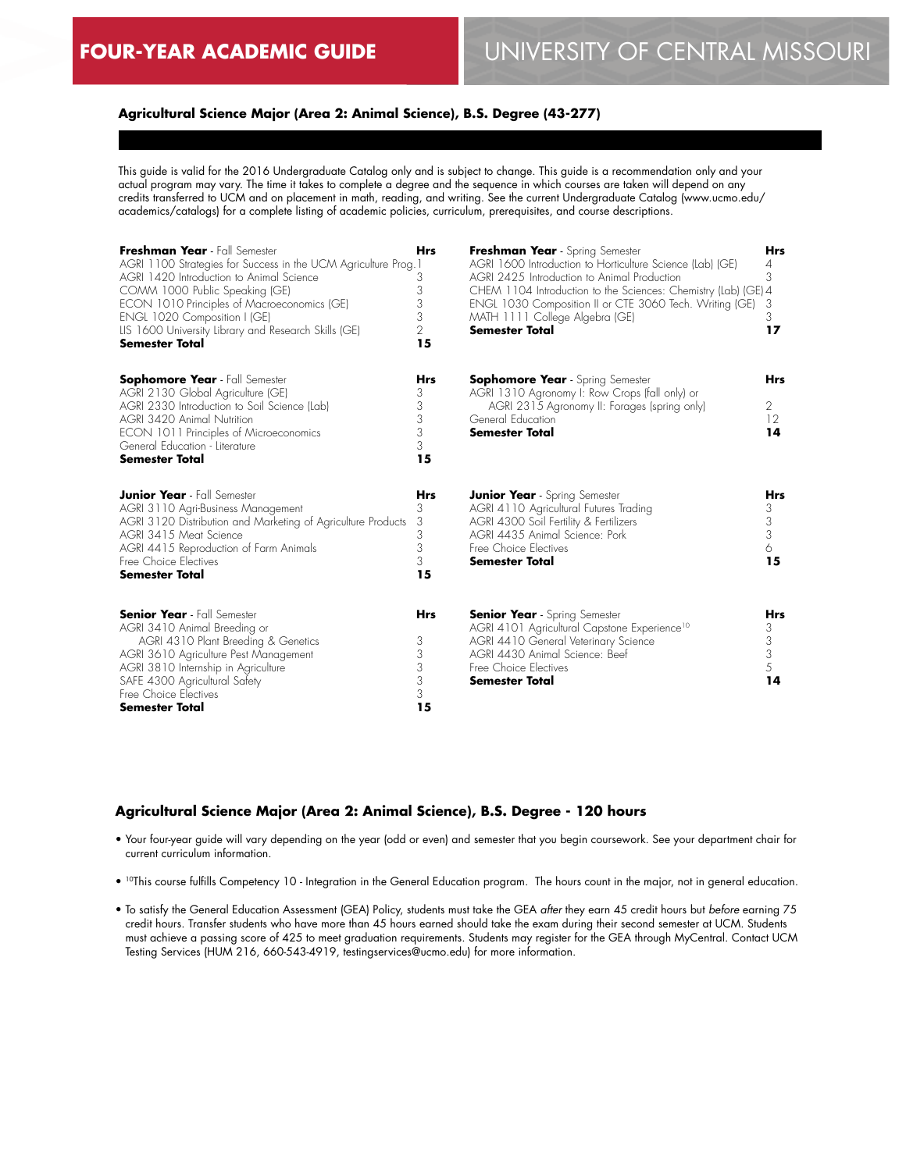## **Agricultural Science Major (Area 2: Animal Science), B.S. Degree (43-277)**

This guide is valid for the 2016 Undergraduate Catalog only and is subject to change. This guide is a recommendation only and your actual program may vary. The time it takes to complete a degree and the sequence in which courses are taken will depend on any credits transferred to UCM and on placement in math, reading, and writing. See the current Undergraduate Catalog (www.ucmo.edu/ academics/catalogs) for a complete listing of academic policies, curriculum, prerequisites, and course descriptions.

| Freshman Year - Fall Semester<br>AGRI 1100 Strategies for Success in the UCM Agriculture Prog. 1<br>AGRI 1420 Introduction to Animal Science<br>COMM 1000 Public Speaking (GE)<br>ECON 1010 Principles of Macroeconomics (GE)<br>ENGL 1020 Composition I (GE)<br>LIS 1600 University Library and Research Skills (GE)<br>Semester Total | <b>Hrs</b><br>3<br>3<br>3<br>3<br>$\overline{2}$<br>15 | Freshman Year - Spring Semester<br>AGRI 1600 Introduction to Horticulture Science (Lab) (GE)<br>AGRI 2425 Introduction to Animal Production<br>CHEM 1104 Introduction to the Sciences: Chemistry (Lab) (GE) 4<br>ENGL 1030 Composition II or CTE 3060 Tech. Writing (GE)<br>MATH 1111 College Algebra (GE)<br><b>Semester Total</b> | <b>Hrs</b><br>$\overline{4}$<br>3<br>3<br>3<br>17     |
|-----------------------------------------------------------------------------------------------------------------------------------------------------------------------------------------------------------------------------------------------------------------------------------------------------------------------------------------|--------------------------------------------------------|-------------------------------------------------------------------------------------------------------------------------------------------------------------------------------------------------------------------------------------------------------------------------------------------------------------------------------------|-------------------------------------------------------|
| <b>Sophomore Year</b> - Fall Semester<br>AGRI 2130 Global Agriculture (GE)<br>AGRI 2330 Introduction to Soil Science (Lab)<br><b>AGRI 3420 Animal Nutrition</b><br>ECON 1011 Principles of Microeconomics<br>General Education - Literature<br><b>Semester Total</b>                                                                    | <b>Hrs</b><br>3<br>3<br>3<br>3<br>3<br>15              | <b>Sophomore Year</b> - Spring Semester<br>AGRI 1310 Agronomy I: Row Crops (fall only) or<br>AGRI 2315 Agronomy II: Forages (spring only)<br>General Education<br><b>Semester Total</b>                                                                                                                                             | <b>Hrs</b><br>2<br>12<br>14                           |
| <b>Junior Year</b> - Fall Semester<br>AGRI 3110 Agri-Business Management<br>AGRI 3120 Distribution and Marketing of Agriculture Products<br>AGRI 3415 Meat Science<br>AGRI 4415 Reproduction of Farm Animals<br>Free Choice Electives<br><b>Semester Total</b>                                                                          | <b>Hrs</b><br>3<br>3<br>3<br>3<br>3<br>15              | <b>Junior Year</b> - Spring Semester<br>AGRI 4110 Agricultural Futures Trading<br>AGRI 4300 Soil Fertility & Fertilizers<br>AGRI 4435 Animal Science: Pork<br>Free Choice Electives<br><b>Semester Total</b>                                                                                                                        | <b>Hrs</b><br>3<br>$\mathfrak{Z}$<br>3<br>6<br>15     |
| <b>Senior Year</b> - Fall Semester<br>AGRI 3410 Animal Breeding or<br>AGRI 4310 Plant Breeding & Genetics<br>AGRI 3610 Agriculture Pest Management<br>AGRI 3810 Internship in Agriculture<br>SAFE 4300 Agricultural Safety<br>Free Choice Electives<br><b>Semester Total</b>                                                            | <b>Hrs</b><br>3<br>3<br>$\,$ $\,$<br>3<br>3<br>15      | <b>Senior Year</b> - Spring Semester<br>AGRI 4101 Agricultural Capstone Experience <sup>10</sup><br>AGRI 4410 General Veterinary Science<br>AGRI 4430 Animal Science: Beef<br>Free Choice Electives<br><b>Semester Total</b>                                                                                                        | Hrs<br>3<br>3<br>$\ensuremath{\mathsf{3}}$<br>5<br>14 |

#### **Agricultural Science Major (Area 2: Animal Science), B.S. Degree - 120 hours**

- Your four-year guide will vary depending on the year (odd or even) and semester that you begin coursework. See your department chair for current curriculum information.
- <sup>10</sup>This course fulfills Competency 10 Integration in the General Education program. The hours count in the major, not in general education.
- To satisfy the General Education Assessment (GEA) Policy, students must take the GEA *after* they earn 45 credit hours but *before* earning 75 credit hours. Transfer students who have more than 45 hours earned should take the exam during their second semester at UCM. Students must achieve a passing score of 425 to meet graduation requirements. Students may register for the GEA through MyCentral. Contact UCM Testing Services (HUM 216, 660-543-4919, testingservices@ucmo.edu) for more information.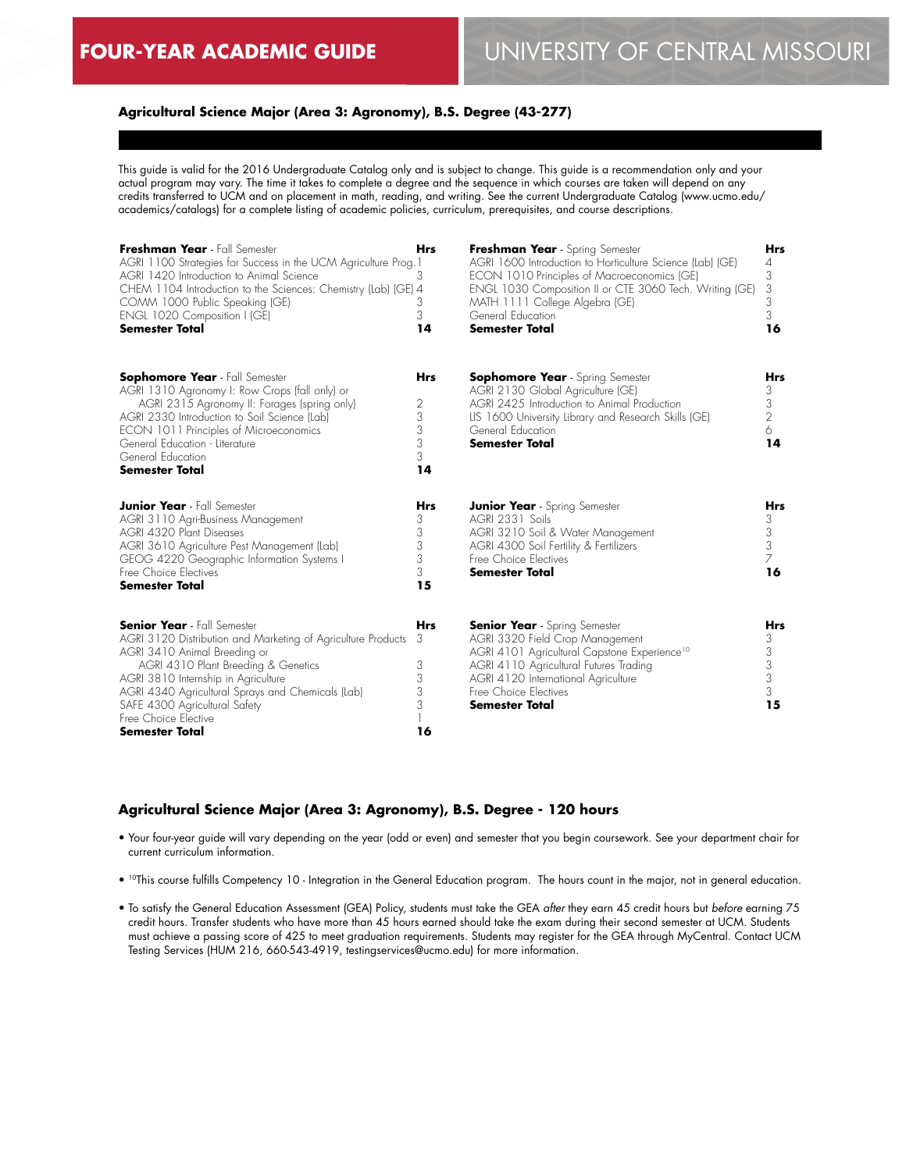### **Agricultural Science Major (Area 3: Agronomy), B.S. Degree (43-277)**

This guide is valid for the 2016 Undergraduate Catalog only and is subject to change. This guide is a recommendation only and your actual program may vary. The time it takes to complete a degree and the sequence in which courses are taken will depend on any credits transferred to UCM and on placement in math, reading, and writing. See the current Undergraduate Catalog (www.ucmo.edu/ academics/catalogs) for a complete listing of academic policies, curriculum, prerequisites, and course descriptions.

| Freshman Year - Fall Semester<br>AGRI 1100 Strategies for Success in the UCM Agriculture Prog.1<br>AGRI 1420 Introduction to Animal Science<br>CHEM 1104 Introduction to the Sciences: Chemistry (Lab) (GE) 4<br>COMM 1000 Public Speaking (GE)<br>ENGL 1020 Composition I (GE)<br><b>Semester Total</b>                                                | <b>Hrs</b><br>3<br>3<br>3<br>14           | Freshman Year - Spring Semester<br>AGRI 1600 Introduction to Horticulture Science (Lab) (GE)<br>ECON 1010 Principles of Macroeconomics (GE)<br>ENGL 1030 Composition II or CTE 3060 Tech. Writing (GE)<br>MATH 1111 College Algebra (GE)<br>General Education<br><b>Semester Total</b> | Hrs<br>4<br>3<br>3<br>3<br>3<br>16         |
|---------------------------------------------------------------------------------------------------------------------------------------------------------------------------------------------------------------------------------------------------------------------------------------------------------------------------------------------------------|-------------------------------------------|----------------------------------------------------------------------------------------------------------------------------------------------------------------------------------------------------------------------------------------------------------------------------------------|--------------------------------------------|
| <b>Sophomore Year</b> - Fall Semester<br>AGRI 1310 Agronomy I: Row Crops (fall only) or<br>AGRI 2315 Agronomy II: Forages (spring only)<br>AGRI 2330 Introduction to Soil Science (Lab)<br>ECON 1011 Principles of Microeconomics<br>General Education - Literature<br>General Education<br><b>Semester Total</b>                                       | <b>Hrs</b><br>2<br>3<br>3<br>3<br>3<br>14 | <b>Sophomore Year</b> - Spring Semester<br>AGRI 2130 Global Agriculture (GE)<br>AGRI 2425 Introduction to Animal Production<br>LIS 1600 University Library and Research Skills (GE)<br>General Education<br><b>Semester Total</b>                                                      | Hrs<br>3<br>3<br>$\overline{2}$<br>6<br>14 |
| <b>Junior Year</b> - Fall Semester<br>AGRI 3110 Agri-Business Management<br>AGRI 4320 Plant Diseases<br>AGRI 3610 Agriculture Pest Management (Lab)<br>GEOG 4220 Geographic Information Systems I<br>Free Choice Electives<br><b>Semester Total</b>                                                                                                     | <b>Hrs</b><br>3<br>3<br>3<br>3<br>3<br>15 | <b>Junior Year</b> - Spring Semester<br>AGRI 2331 Soils<br>AGRI 3210 Soil & Water Management<br>AGRI 4300 Soil Fertility & Fertilizers<br>Free Choice Flectives<br><b>Semester Total</b>                                                                                               | Hrs<br>3<br>3<br>3<br>7<br>16              |
| <b>Senior Year</b> - Fall Semester<br>AGRI 3120 Distribution and Marketing of Agriculture Products<br>AGRI 3410 Animal Breeding or<br>AGRI 4310 Plant Breeding & Genetics<br>AGRI 3810 Internship in Agriculture<br>AGRI 4340 Agricultural Sprays and Chemicals (Lab)<br>SAFE 4300 Agricultural Safety<br>Free Choice Elective<br><b>Semester Total</b> | <b>Hrs</b><br>3<br>3<br>3<br>3<br>3<br>16 | <b>Senior Year</b> - Spring Semester<br>AGRI 3320 Field Crop Management<br>AGRI 4101 Agricultural Capstone Experience <sup>10</sup><br>AGRI 4110 Agricultural Futures Trading<br>AGRI 4120 International Agriculture<br>Free Choice Electives<br><b>Semester Total</b>                 | Hrs<br>3<br>3<br>3<br>3<br>3<br>15         |

### **Agricultural Science Major (Area 3: Agronomy), B.S. Degree - 120 hours**

- Your four-year guide will vary depending on the year (odd or even) and semester that you begin coursework. See your department chair for current curriculum information.
- <sup>10</sup>This course fulfills Competency 10 Integration in the General Education program. The hours count in the major, not in general education.
- To satisfy the General Education Assessment (GEA) Policy, students must take the GEA *after* they earn 45 credit hours but *before* earning 75 credit hours. Transfer students who have more than 45 hours earned should take the exam during their second semester at UCM. Students must achieve a passing score of 425 to meet graduation requirements. Students may register for the GEA through MyCentral. Contact UCM Testing Services (HUM 216, 660-543-4919, testingservices@ucmo.edu) for more information.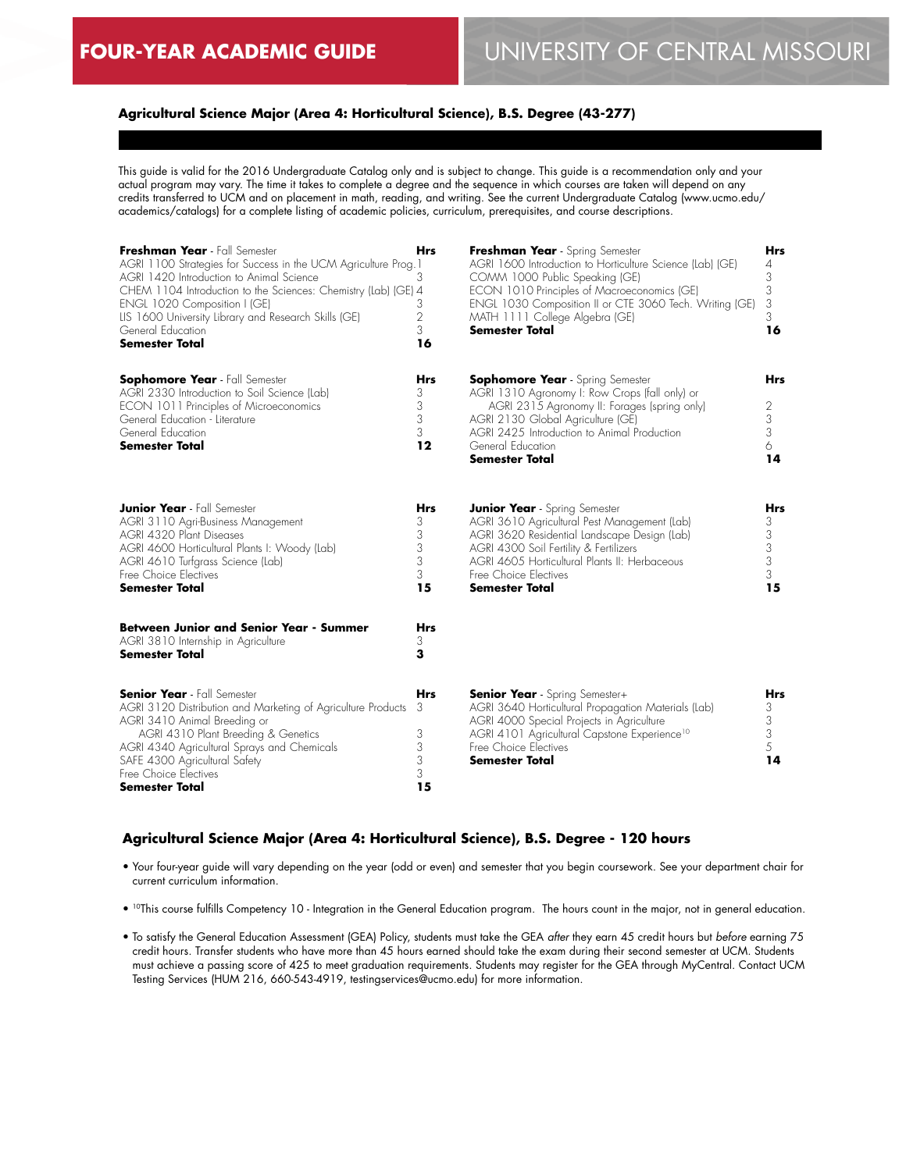## **Agricultural Science Major (Area 4: Horticultural Science), B.S. Degree (43-277)**

This guide is valid for the 2016 Undergraduate Catalog only and is subject to change. This guide is a recommendation only and your actual program may vary. The time it takes to complete a degree and the sequence in which courses are taken will depend on any credits transferred to UCM and on placement in math, reading, and writing. See the current Undergraduate Catalog (www.ucmo.edu/ academics/catalogs) for a complete listing of academic policies, curriculum, prerequisites, and course descriptions.

| Freshman Year - Fall Semester<br>AGRI 1100 Strategies for Success in the UCM Agriculture Prog. 1<br>AGRI 1420 Introduction to Animal Science<br>CHEM 1104 Introduction to the Sciences: Chemistry (Lab) (GE) 4<br>ENGL 1020 Composition I (GE)<br>LIS 1600 University Library and Research Skills (GE)<br>General Education<br><b>Semester Total</b> | Hrs<br>3<br>3<br>$\overline{2}$<br>3<br>16       | Freshman Year - Spring Semester<br>AGRI 1600 Introduction to Horticulture Science (Lab) (GE)<br>COMM 1000 Public Speaking (GE)<br>ECON 1010 Principles of Macroeconomics (GE)<br>ENGL 1030 Composition II or CTE 3060 Tech. Writing (GE)<br>MATH 1111 College Algebra (GE)<br>Semester Total | Hrs<br>4<br>3<br>3<br>3<br>3<br>16                           |
|------------------------------------------------------------------------------------------------------------------------------------------------------------------------------------------------------------------------------------------------------------------------------------------------------------------------------------------------------|--------------------------------------------------|----------------------------------------------------------------------------------------------------------------------------------------------------------------------------------------------------------------------------------------------------------------------------------------------|--------------------------------------------------------------|
| <b>Sophomore Year</b> - Fall Semester<br>AGRI 2330 Introduction to Soil Science (Lab)<br>ECON 1011 Principles of Microeconomics<br>General Education - Literature<br>General Education<br><b>Semester Total</b>                                                                                                                                      | Hrs<br>3<br>3<br>3<br>3<br>12                    | <b>Sophomore Year</b> - Spring Semester<br>AGRI 1310 Agronomy I: Row Crops (fall only) or<br>AGRI 2315 Agronomy II: Forages (spring only)<br>AGRI 2130 Global Agriculture (GE)<br>AGRI 2425 Introduction to Animal Production<br>General Education<br><b>Semester Total</b>                  | Hrs<br>2<br>3<br>3<br>6<br>14                                |
| <b>Junior Year</b> - Fall Semester<br>AGRI 3110 Agri-Business Management<br>AGRI 4320 Plant Diseases<br>AGRI 4600 Horticultural Plants I: Woody (Lab)<br>AGRI 4610 Turfgrass Science (Lab)<br>Free Choice Electives<br><b>Semester Total</b>                                                                                                         | Hrs<br>3<br>3<br>3<br>3<br>3<br>15               | <b>Junior Year</b> - Spring Semester<br>AGRI 3610 Agricultural Pest Management (Lab)<br>AGRI 3620 Residential Landscape Design (Lab)<br>AGRI 4300 Soil Fertility & Fertilizers<br>AGRI 4605 Horticultural Plants II: Herbaceous<br>Free Choice Electives<br><b>Semester Total</b>            | Hrs<br>3<br>$\begin{array}{c} 3 \\ 3 \\ 3 \end{array}$<br>15 |
| <b>Between Junior and Senior Year - Summer</b><br>AGRI 3810 Internship in Agriculture<br><b>Semester Total</b>                                                                                                                                                                                                                                       | <b>Hrs</b><br>3<br>3                             |                                                                                                                                                                                                                                                                                              |                                                              |
| <b>Senior Year</b> - Fall Semester<br>AGRI 3120 Distribution and Marketing of Agriculture Products<br>AGRI 3410 Animal Breeding or<br>AGRI 4310 Plant Breeding & Genetics<br>AGRI 4340 Agricultural Sprays and Chemicals<br>SAFE 4300 Agricultural Safety<br>Free Choice Electives<br>Semester Total                                                 | <b>Hrs</b><br>3<br>3<br>3<br>$\frac{3}{3}$<br>15 | <b>Senior Year</b> - Spring Semester+<br>AGRI 3640 Horticultural Propagation Materials (Lab)<br>AGRI 4000 Special Projects in Agriculture<br>AGRI 4101 Agricultural Capstone Experience <sup>10</sup><br>Free Choice Electives<br><b>Semester Total</b>                                      | <b>Hrs</b><br>3<br>3<br>3<br>5<br>14                         |

### **Agricultural Science Major (Area 4: Horticultural Science), B.S. Degree - 120 hours**

- Your four-year guide will vary depending on the year (odd or even) and semester that you begin coursework. See your department chair for current curriculum information.
- 10This course fulfills Competency 10 Integration in the General Education program. The hours count in the major, not in general education.
- To satisfy the General Education Assessment (GEA) Policy, students must take the GEA *after* they earn 45 credit hours but *before* earning 75 credit hours. Transfer students who have more than 45 hours earned should take the exam during their second semester at UCM. Students must achieve a passing score of 425 to meet graduation requirements. Students may register for the GEA through MyCentral. Contact UCM Testing Services (HUM 216, 660-543-4919, testingservices@ucmo.edu) for more information.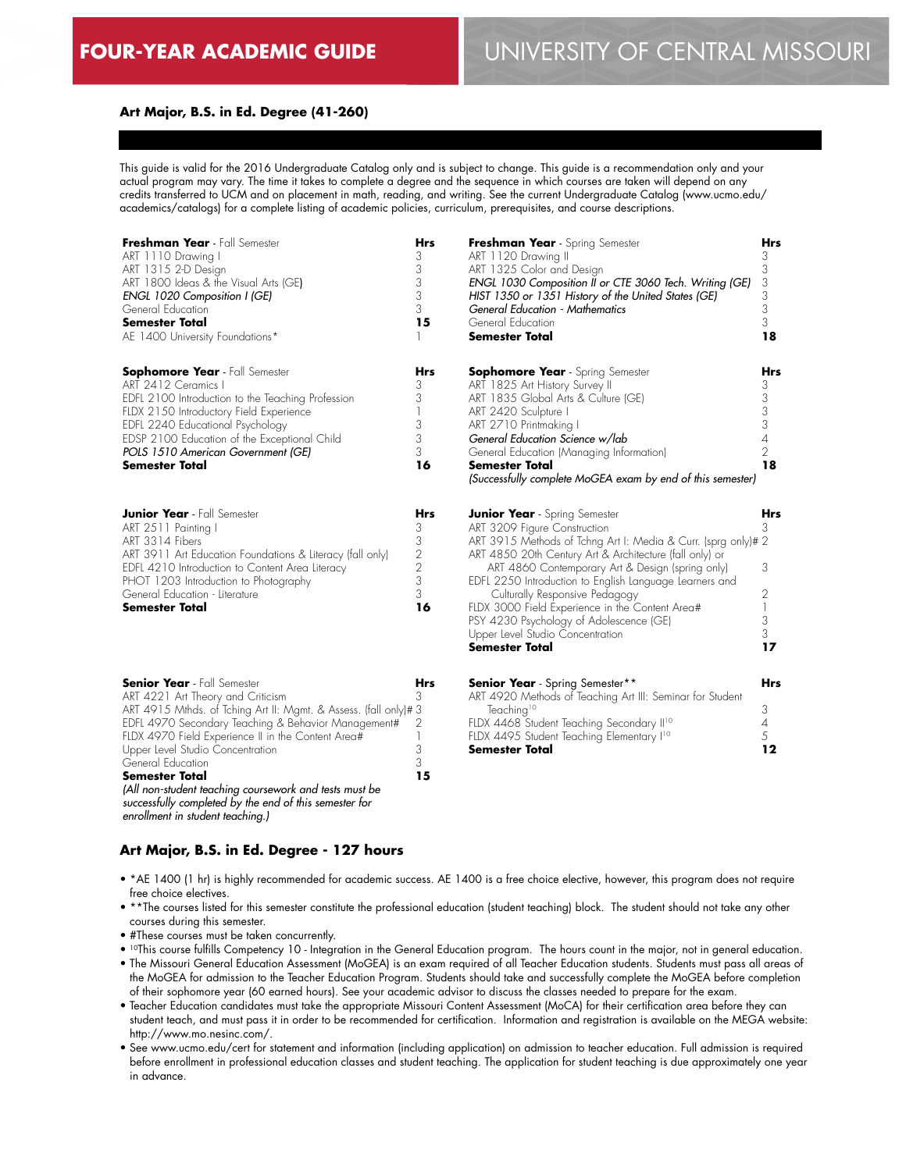### **Art Major, B.S. in Ed. Degree (41-260)**

This guide is valid for the 2016 Undergraduate Catalog only and is subject to change. This guide is a recommendation only and your actual program may vary. The time it takes to complete a degree and the sequence in which courses are taken will depend on any credits transferred to UCM and on placement in math, reading, and writing. See the current Undergraduate Catalog (www.ucmo.edu/ academics/catalogs) for a complete listing of academic policies, curriculum, prerequisites, and course descriptions.

| Freshman Year - Fall Semester<br>ART 1110 Drawing I<br>ART 1315 2-D Design<br>ART 1800 Ideas & the Visual Arts (GE)<br>ENGL 1020 Composition I (GE)<br>General Education<br>Semester Total<br>AE 1400 University Foundations*                                                                                                                                                                       | <b>Hrs</b><br>3<br>3<br>3<br>3<br>3<br>15                                | Freshman Year - Spring Semester<br>ART 1120 Drawing II<br>ART 1325 Color and Design<br>ENGL 1030 Composition II or CTE 3060 Tech. Writing (GE)<br>HIST 1350 or 1351 History of the United States (GE)<br>General Education - Mathematics<br>General Education<br><b>Semester Total</b>                                                                                                                                                                                                                       | Hrs<br>3<br>3<br>3<br>3<br>3<br>3<br>18                                     |
|-----------------------------------------------------------------------------------------------------------------------------------------------------------------------------------------------------------------------------------------------------------------------------------------------------------------------------------------------------------------------------------------------------|--------------------------------------------------------------------------|--------------------------------------------------------------------------------------------------------------------------------------------------------------------------------------------------------------------------------------------------------------------------------------------------------------------------------------------------------------------------------------------------------------------------------------------------------------------------------------------------------------|-----------------------------------------------------------------------------|
| <b>Sophomore Year</b> - Fall Semester<br>ART 2412 Ceramics I<br>EDFL 2100 Introduction to the Teaching Profession<br>FLDX 2150 Introductory Field Experience<br>EDFL 2240 Educational Psychology<br>EDSP 2100 Education of the Exceptional Child<br>POLS 1510 American Government (GE)<br><b>Semester Total</b>                                                                                     | <b>Hrs</b><br>3<br>3<br>1<br>3<br>3<br>3<br>16                           | <b>Sophomore Year</b> - Spring Semester<br>ART 1825 Art History Survey II<br>ART 1835 Global Arts & Culture (GE)<br>ART 2420 Sculpture I<br>ART 2710 Printmaking I<br>General Education Science w/lab<br>General Education (Managing Information)<br><b>Semester Total</b><br>(Successfully complete MoGEA exam by end of this semester)                                                                                                                                                                     | Hrs<br>3<br>3<br>3<br>3<br>4<br>$\overline{2}$<br>18                        |
| <b>Junior Year</b> - Fall Semester<br>ART 2511 Painting I<br>ART 3314 Fibers<br>ART 3911 Art Education Foundations & Literacy (fall only)<br>EDFL 4210 Introduction to Content Area Literacy<br>PHOT 1203 Introduction to Photography<br>General Education - Literature<br><b>Semester Total</b>                                                                                                    | <b>Hrs</b><br>3<br>3<br>$\overline{c}$<br>$\overline{2}$<br>3<br>3<br>16 | <b>Junior Year</b> - Spring Semester<br>ART 3209 Figure Construction<br>ART 3915 Methods of Tchng Art I: Media & Curr. (sprg only)# 2<br>ART 4850 20th Century Art & Architecture (fall only) or<br>ART 4860 Contemporary Art & Design (spring only)<br>EDFL 2250 Introduction to English Language Learners and<br>Culturally Responsive Pedagogy<br>FLDX 3000 Field Experience in the Content Area#<br>PSY 4230 Psychology of Adolescence (GE)<br>Upper Level Studio Concentration<br><b>Semester Total</b> | Hrs<br>3<br>3<br>2<br>$\begin{array}{c} \hline \end{array}$<br>3<br>3<br>17 |
| <b>Senior Year</b> - Fall Semester<br>ART 4221 Art Theory and Criticism<br>ART 4915 Mthds. of Tching Art II: Mgmt. & Assess. (fall only)#3<br>EDFL 4970 Secondary Teaching & Behavior Management#<br>FLDX 4970 Field Experience II in the Content Area#<br>Upper Level Studio Concentration<br>General Education<br><b>Semester Total</b><br>(All non-student teaching coursework and tests must be | Hrs<br>3<br>2<br>1<br>3<br>3<br>15                                       | <b>Senior Year</b> - Spring Semester**<br>ART 4920 Methods of Teaching Art III: Seminar for Student<br>Teaching <sup>10</sup><br>FLDX 4468 Student Teaching Secondary II <sup>10</sup><br>FLDX 4495 Student Teaching Elementary I <sup>10</sup><br><b>Semester Total</b>                                                                                                                                                                                                                                     | <b>Hrs</b><br>3<br>4<br>5<br>12                                             |

*successfully completed by the end of this semester for enrollment in student teaching.)*

### **Art Major, B.S. in Ed. Degree - 127 hours**

- \*AE 1400 (1 hr) is highly recommended for academic success. AE 1400 is a free choice elective, however, this program does not require free choice electives.
- \*\*The courses listed for this semester constitute the professional education (student teaching) block. The student should not take any other courses during this semester.
- #These courses must be taken concurrently.
- 10This course fulfills Competency 10 Integration in the General Education program. The hours count in the major, not in general education.
- The Missouri General Education Assessment (MoGEA) is an exam required of all Teacher Education students. Students must pass all areas of the MoGEA for admission to the Teacher Education Program. Students should take and successfully complete the MoGEA before completion of their sophomore year (60 earned hours). See your academic advisor to discuss the classes needed to prepare for the exam.
- Teacher Education candidates must take the appropriate Missouri Content Assessment (MoCA) for their certification area before they can student teach, and must pass it in order to be recommended for certification. Information and registration is available on the MEGA website: http://www.mo.nesinc.com/.
- See www.ucmo.edu/cert for statement and information (including application) on admission to teacher education. Full admission is required before enrollment in professional education classes and student teaching. The application for student teaching is due approximately one year in advance.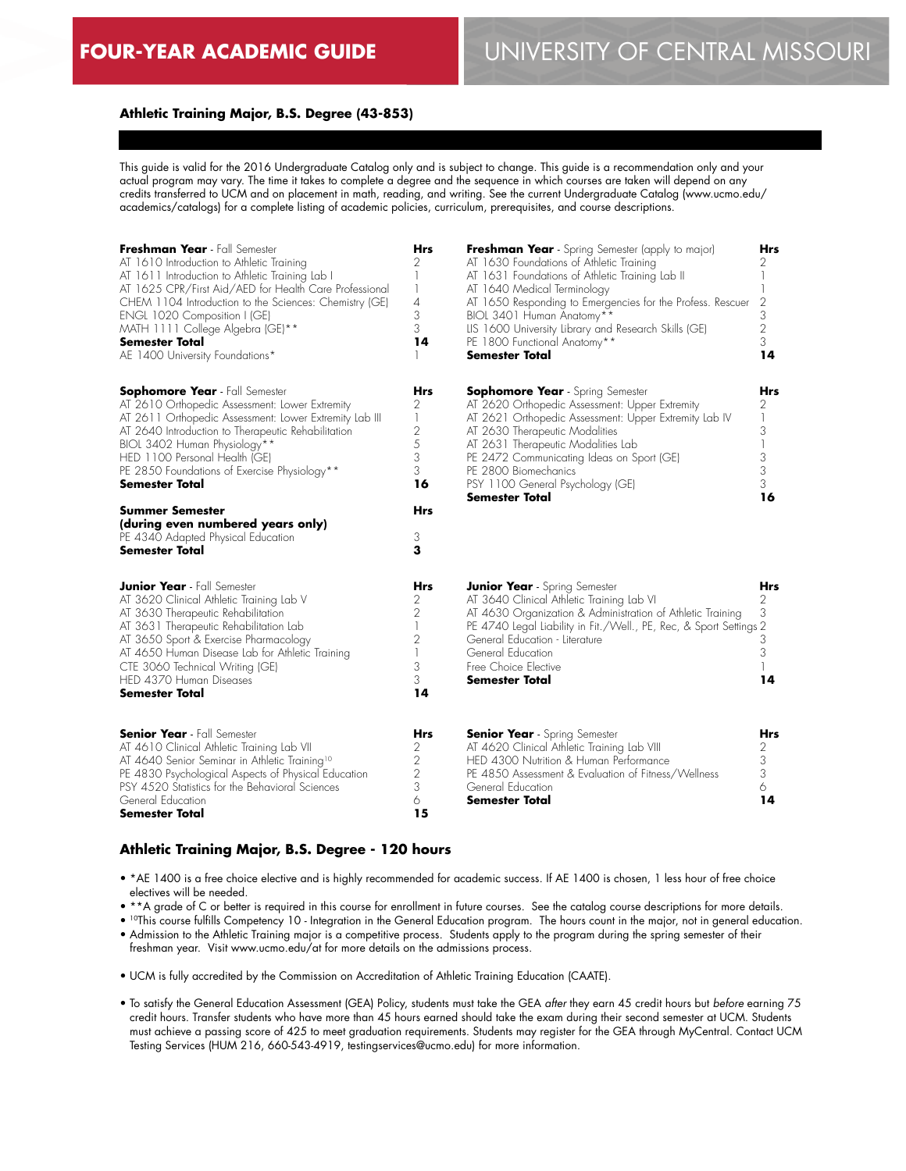### **Athletic Training Major, B.S. Degree (43-853)**

This guide is valid for the 2016 Undergraduate Catalog only and is subject to change. This guide is a recommendation only and your actual program may vary. The time it takes to complete a degree and the sequence in which courses are taken will depend on any credits transferred to UCM and on placement in math, reading, and writing. See the current Undergraduate Catalog (www.ucmo.edu/ academics/catalogs) for a complete listing of academic policies, curriculum, prerequisites, and course descriptions.

| Freshman Year - Fall Semester<br>AT 1610 Introduction to Athletic Training<br>AT 1611 Introduction to Athletic Training Lab I<br>AT 1625 CPR/First Aid/AED for Health Care Professional<br>CHEM 1104 Introduction to the Sciences: Chemistry (GE)<br>ENGL 1020 Composition I (GE)<br>MATH 1111 College Algebra (GE)**<br><b>Semester Total</b><br>AE 1400 University Foundations*                                                                                        | <b>Hrs</b><br>2<br>1<br>1<br>4<br>3<br>3<br>14                                              | <b>Freshman Year</b> - Spring Semester (apply to major)<br>AT 1630 Foundations of Athletic Training<br>AT 1631 Foundations of Athletic Training Lab II<br>AT 1640 Medical Terminology<br>AT 1650 Responding to Emergencies for the Profess. Rescuer<br>BIOL 3401 Human Anatomy**<br>LIS 1600 University Library and Research Skills (GE)<br>PE 1800 Functional Anatomy**<br><b>Semester Total</b> | Hrs<br>2<br>2<br>3<br>2<br>3<br>14           |
|--------------------------------------------------------------------------------------------------------------------------------------------------------------------------------------------------------------------------------------------------------------------------------------------------------------------------------------------------------------------------------------------------------------------------------------------------------------------------|---------------------------------------------------------------------------------------------|---------------------------------------------------------------------------------------------------------------------------------------------------------------------------------------------------------------------------------------------------------------------------------------------------------------------------------------------------------------------------------------------------|----------------------------------------------|
| <b>Sophomore Year</b> - Fall Semester<br>AT 2610 Orthopedic Assessment: Lower Extremity<br>AT 2611 Orthopedic Assessment: Lower Extremity Lab III<br>AT 2640 Introduction to Therapeutic Rehabilitation<br>BIOL 3402 Human Physiology**<br>HED 1100 Personal Health (GE)<br>PE 2850 Foundations of Exercise Physiology**<br><b>Semester Total</b><br><b>Summer Semester</b><br>(during even numbered years only)<br>PE 4340 Adapted Physical Education<br>Semester Total | Hrs<br>2<br>$\mathbf{I}$<br>$\sqrt{2}$<br>5<br>3<br>3<br>16<br>Hrs<br>3<br>3                | <b>Sophomore Year</b> - Spring Semester<br>AT 2620 Orthopedic Assessment: Upper Extremity<br>AT 2621 Orthopedic Assessment: Upper Extremity Lab IV<br>AT 2630 Therapeutic Modalities<br>AT 2631 Therapeutic Modalities Lab<br>PE 2472 Communicating Ideas on Sport (GE)<br>PE 2800 Biomechanics<br>PSY 1100 General Psychology (GE)<br><b>Semester Total</b>                                      | Hrs<br>2<br>1<br>3<br>1<br>3<br>3<br>3<br>16 |
| <b>Junior Year</b> - Fall Semester<br>AT 3620 Clinical Athletic Training Lab V<br>AT 3630 Therapeutic Rehabilitation<br>AT 3631 Therapeutic Rehabilitation Lab<br>AT 3650 Sport & Exercise Pharmacology<br>AT 4650 Human Disease Lab for Athletic Training<br>CTE 3060 Technical Writing (GE)<br>HED 4370 Human Diseases<br><b>Semester Total</b>                                                                                                                        | Hrs<br>2<br>2<br>$\mathbf{1}$<br>$\overline{2}$<br>$\overline{\phantom{a}}$<br>3<br>3<br>14 | <b>Junior Year</b> - Spring Semester<br>AT 3640 Clinical Athletic Training Lab VI<br>AT 4630 Organization & Administration of Athletic Training<br>PE 4740 Legal Liability in Fit./Well., PE, Rec, & Sport Settings 2<br>General Education - Literature<br>General Education<br>Free Choice Elective<br><b>Semester Total</b>                                                                     | Hrs<br>2<br>3<br>3<br>3<br>14                |
| <b>Senior Year</b> - Fall Semester<br>AT 4610 Clinical Athletic Training Lab VII<br>AT 4640 Senior Seminar in Athletic Training <sup>10</sup><br>PE 4830 Psychological Aspects of Physical Education<br>PSY 4520 Statistics for the Behavioral Sciences<br>General Education<br>Semester Total                                                                                                                                                                           | Hrs<br>2<br>2<br>$\overline{2}$<br>3<br>6<br>15                                             | <b>Senior Year</b> - Spring Semester<br>AT 4620 Clinical Athletic Training Lab VIII<br>HED 4300 Nutrition & Human Performance<br>PE 4850 Assessment & Evaluation of Fitness/Wellness<br>General Education<br>Semester Total                                                                                                                                                                       | Hrs<br>2<br>3<br>3<br>6<br>14                |

### **Athletic Training Major, B.S. Degree - 120 hours**

- \*AE 1400 is a free choice elective and is highly recommended for academic success. If AE 1400 is chosen, 1 less hour of free choice electives will be needed.
- \*\*A grade of C or better is required in this course for enrollment in future courses. See the catalog course descriptions for more details.

• <sup>10</sup>This course fulfills Competency 10 - Integration in the General Education program. The hours count in the major, not in general education.

- Admission to the Athletic Training major is a competitive process. Students apply to the program during the spring semester of their freshman year. Visit www.ucmo.edu/at for more details on the admissions process.
- UCM is fully accredited by the Commission on Accreditation of Athletic Training Education (CAATE).
- To satisfy the General Education Assessment (GEA) Policy, students must take the GEA *after* they earn 45 credit hours but *before* earning 75 credit hours. Transfer students who have more than 45 hours earned should take the exam during their second semester at UCM. Students must achieve a passing score of 425 to meet graduation requirements. Students may register for the GEA through MyCentral. Contact UCM Testing Services (HUM 216, 660-543-4919, testingservices@ucmo.edu) for more information.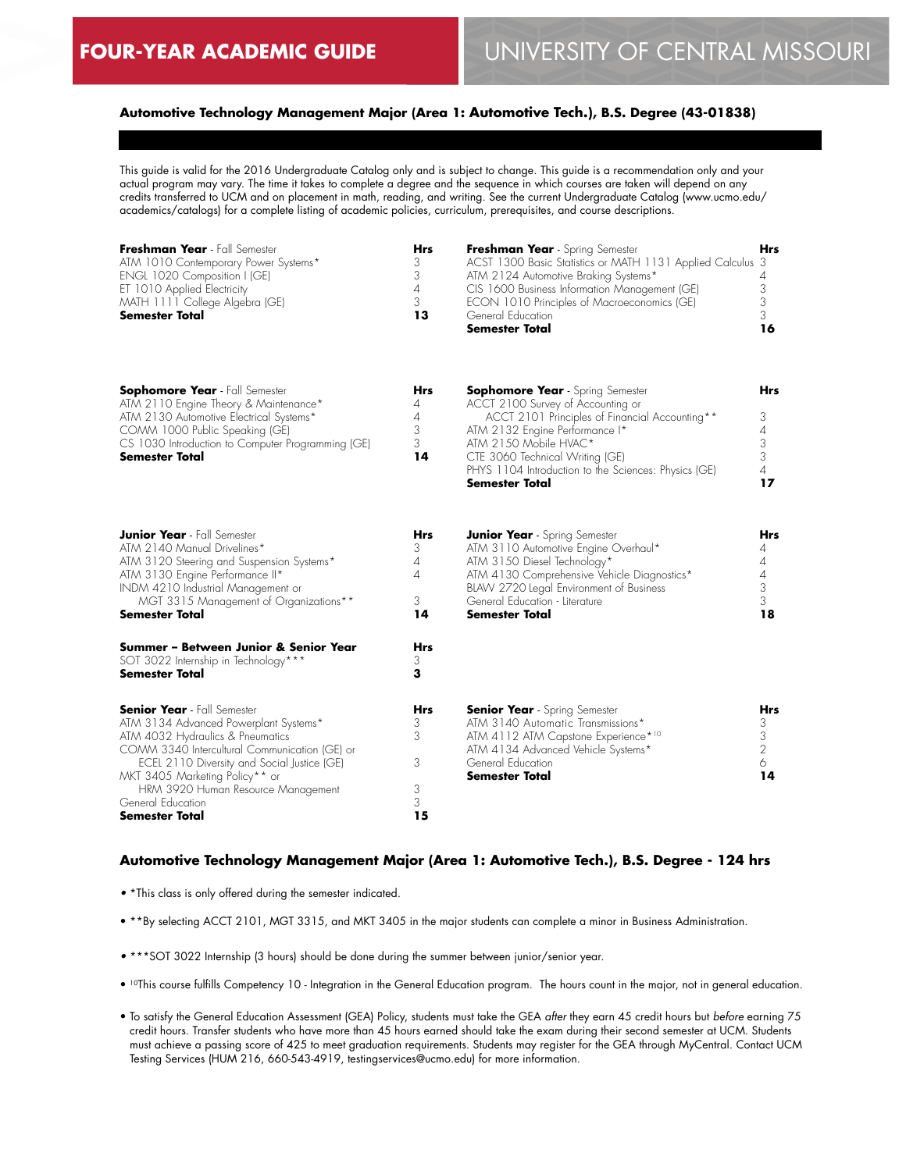### **Automotive Technology Management Major (Area 1: Automotive Tech.), B.S. Degree (43-01838)**

This guide is valid for the 2016 Undergraduate Catalog only and is subject to change. This guide is a recommendation only and your actual program may vary. The time it takes to complete a degree and the sequence in which courses are taken will depend on any credits transferred to UCM and on placement in math, reading, and writing. See the current Undergraduate Catalog (www.ucmo.edu/ academics/catalogs) for a complete listing of academic policies, curriculum, prerequisites, and course descriptions.

| Freshman Year - Fall Semester        | <b>Hrs</b> | Freshman Year - Spring Semester                            | <b>Hrs</b> |
|--------------------------------------|------------|------------------------------------------------------------|------------|
| ATM 1010 Contemporary Power Systems* | 3          | ACST 1300 Basic Statistics or MATH 1131 Applied Calculus 3 |            |
| ENGL 1020 Composition I (GE)         |            | ATM 2124 Automotive Braking Systems*                       |            |
| ET 1010 Applied Electricity          | 4          | CIS 1600 Business Information Management (GE)              |            |
| MATH 1111 College Algebra (GE)       | 3          | ECON 1010 Principles of Macroeconomics (GE)                |            |
| Semester Total                       | 13         | General Education                                          |            |
|                                      |            | <b>Semester Total</b>                                      | 16         |
|                                      |            |                                                            |            |
|                                      |            |                                                            |            |
|                                      |            |                                                            |            |

| <b>Sophomore Year</b> - Fall Semester             | <b>Hrs</b> | <b>Sophomore Year</b> - Spring Semester              | Hrs |
|---------------------------------------------------|------------|------------------------------------------------------|-----|
| ATM 2110 Engine Theory & Maintenance*             | 4          | ACCT 2100 Survey of Accounting or                    |     |
| ATM 2130 Automotive Electrical Systems*           |            | ACCT 2101 Principles of Financial Accounting**       |     |
| COMM 1000 Public Speaking (GE)                    |            | ATM 2132 Engine Performance I*                       |     |
| CS 1030 Introduction to Computer Programming (GE) |            | ATM 2150 Mobile HVAC*                                |     |
| <b>Semester Total</b>                             | 14         | CTE 3060 Technical Writing (GE)                      |     |
|                                                   |            | PHYS 1104 Introduction to the Sciences: Physics (GE) |     |
|                                                   |            | <b>Semester Total</b>                                |     |
|                                                   |            |                                                      |     |
|                                                   |            |                                                      |     |

| <b>Junior Year</b> - Fall Semester<br>ATM 2140 Manual Drivelines*<br>ATM 3120 Steering and Suspension Systems*<br>ATM 3130 Engine Performance II*<br>INDM 4210 Industrial Management or<br>MGT 3315 Management of Organizations**<br><b>Semester Total</b>                                                                            | Hrs<br>3<br>4<br>4<br>3<br>14             | <b>Junior Year</b> - Spring Semester<br>ATM 3110 Automotive Engine Overhaul*<br>ATM 3150 Diesel Technology*<br>ATM 4130 Comprehensive Vehicle Diagnostics*<br>BLAW 2720 Legal Environment of Business<br>General Education - Literature<br><b>Semester Total</b> | Hrs<br>18 |
|---------------------------------------------------------------------------------------------------------------------------------------------------------------------------------------------------------------------------------------------------------------------------------------------------------------------------------------|-------------------------------------------|------------------------------------------------------------------------------------------------------------------------------------------------------------------------------------------------------------------------------------------------------------------|-----------|
| Summer – Between Junior & Senior Year<br>SOT 3022 Internship in Technology***<br><b>Semester Total</b>                                                                                                                                                                                                                                | Hrs<br>3                                  |                                                                                                                                                                                                                                                                  |           |
| <b>Senior Year</b> - Fall Semester<br>ATM 3134 Advanced Powerplant Systems*<br>ATM 4032 Hydraulics & Pneumatics<br>COMM 3340 Intercultural Communication (GE) or<br>ECEL 2110 Diversity and Social Justice (GE)<br>MKT 3405 Marketing Policy** or<br>HRM 3920 Human Resource Management<br>General Education<br><b>Semester Total</b> | <b>Hrs</b><br>3<br>3<br>3<br>3<br>3<br>15 | <b>Senior Year</b> - Spring Semester<br>ATM 3140 Automatic Transmissions*<br>ATM 4112 ATM Capstone Experience* <sup>10</sup><br>ATM 4134 Advanced Vehicle Systems*<br>General Education<br><b>Semester Total</b>                                                 | Hrs<br>14 |

#### **Automotive Technology Management Major (Area 1: Automotive Tech.), B.S. Degree - 124 hrs**

- \*This class is only offered during the semester indicated.
- \*\*By selecting ACCT 2101, MGT 3315, and MKT 3405 in the major students can complete a minor in Business Administration.
- \*\*\*SOT 3022 Internship (3 hours) should be done during the summer between junior/senior year.
- 10This course fulfills Competency 10 Integration in the General Education program. The hours count in the major, not in general education.
- To satisfy the General Education Assessment (GEA) Policy, students must take the GEA *after* they earn 45 credit hours but *before* earning 75 credit hours. Transfer students who have more than 45 hours earned should take the exam during their second semester at UCM. Students must achieve a passing score of 425 to meet graduation requirements. Students may register for the GEA through MyCentral. Contact UCM Testing Services (HUM 216, 660-543-4919, testingservices@ucmo.edu) for more information.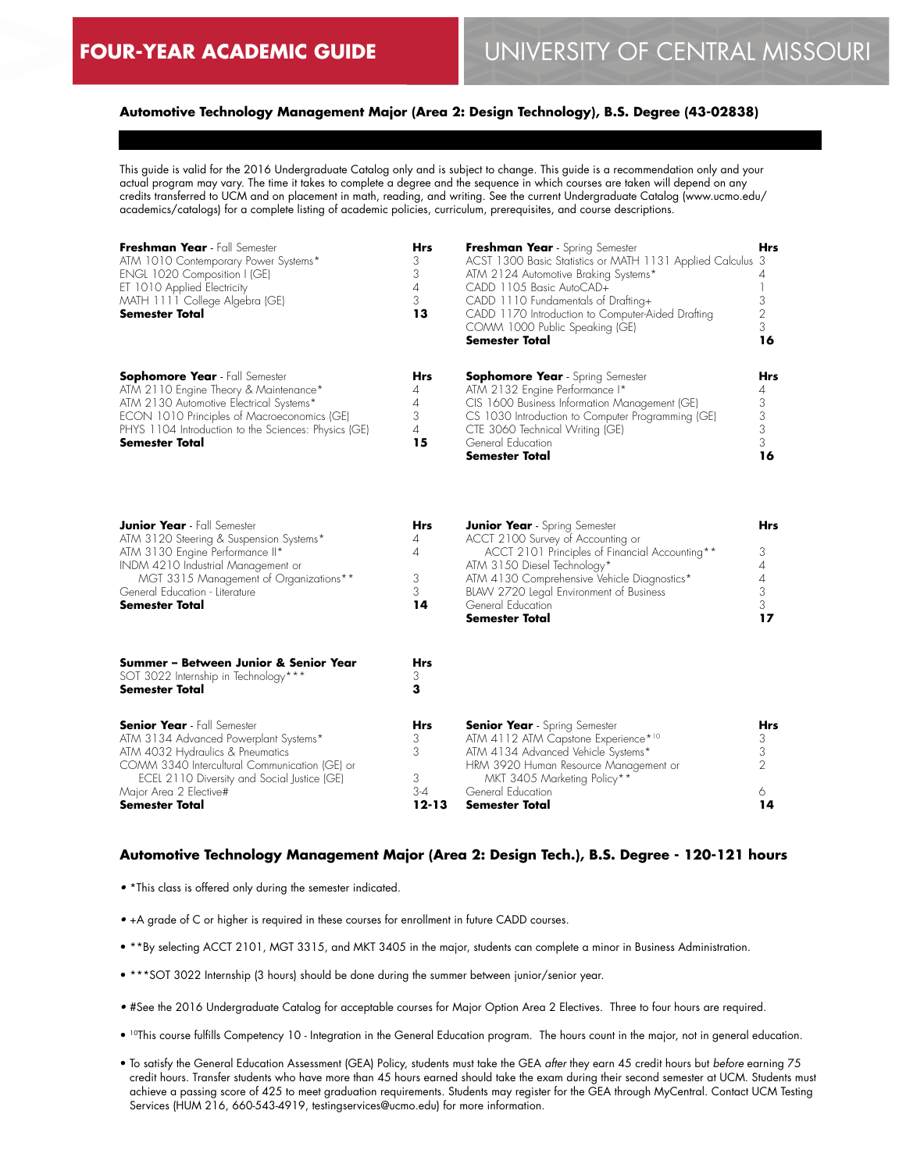### **Automotive Technology Management Major (Area 2: Design Technology), B.S. Degree (43-02838)**

This guide is valid for the 2016 Undergraduate Catalog only and is subject to change. This guide is a recommendation only and your actual program may vary. The time it takes to complete a degree and the sequence in which courses are taken will depend on any credits transferred to UCM and on placement in math, reading, and writing. See the current Undergraduate Catalog (www.ucmo.edu/ academics/catalogs) for a complete listing of academic policies, curriculum, prerequisites, and course descriptions.

| Freshman Year - Fall Semester<br>ATM 1010 Contemporary Power Systems*<br>ENGL 1020 Composition I (GE)<br>ET 1010 Applied Electricity<br>MATH 1111 College Algebra (GE)<br><b>Semester Total</b>                                                                    | <b>Hrs</b><br>3<br>3<br>4<br>3<br>13       | Freshman Year - Spring Semester<br>ACST 1300 Basic Statistics or MATH 1131 Applied Calculus 3<br>ATM 2124 Automotive Braking Systems*<br>CADD 1105 Basic AutoCAD+<br>CADD 1110 Fundamentals of Drafting+<br>CADD 1170 Introduction to Computer-Aided Drafting<br>COMM 1000 Public Speaking (GE)<br>Semester Total | Hrs<br>4<br>3<br>2<br>3<br>16                                |
|--------------------------------------------------------------------------------------------------------------------------------------------------------------------------------------------------------------------------------------------------------------------|--------------------------------------------|-------------------------------------------------------------------------------------------------------------------------------------------------------------------------------------------------------------------------------------------------------------------------------------------------------------------|--------------------------------------------------------------|
| <b>Sophomore Year</b> - Fall Semester<br>ATM 2110 Engine Theory & Maintenance*<br>ATM 2130 Automotive Electrical Systems*<br>ECON 1010 Principles of Macroeconomics (GE)<br>PHYS 1104 Introduction to the Sciences: Physics (GE)<br><b>Semester Total</b>          | Hrs<br>4<br>4<br>3<br>$\overline{A}$<br>15 | <b>Sophomore Year</b> - Spring Semester<br>ATM 2132 Engine Performance I*<br>CIS 1600 Business Information Management (GE)<br>CS 1030 Introduction to Computer Programming (GE)<br>CTE 3060 Technical Writing (GE)<br>General Education<br>Semester Total                                                         | Hrs<br>4<br>3<br>3<br>$\mathfrak 3$<br>3<br>16               |
| <b>Junior Year</b> - Fall Semester<br>ATM 3120 Steering & Suspension Systems*<br>ATM 3130 Engine Performance II*<br>INDM 4210 Industrial Management or<br>MGT 3315 Management of Organizations**<br>General Education - Literature<br><b>Semester Total</b>        | Hrs<br>4<br>4<br>3<br>3<br>14              | <b>Junior Year</b> - Spring Semester<br>ACCT 2100 Survey of Accounting or<br>ACCT 2101 Principles of Financial Accounting**<br>ATM 3150 Diesel Technology*<br>ATM 4130 Comprehensive Vehicle Diagnostics*<br>BLAW 2720 Legal Environment of Business<br>General Education<br>Semester Total                       | Hrs<br>3<br>$\overline{4}$<br>$\overline{A}$<br>3<br>3<br>17 |
| Summer - Between Junior & Senior Year<br>SOT 3022 Internship in Technology***<br>Semester Total                                                                                                                                                                    | Hrs<br>3<br>3                              |                                                                                                                                                                                                                                                                                                                   |                                                              |
| <b>Senior Year</b> - Fall Semester<br>ATM 3134 Advanced Powerplant Systems*<br>ATM 4032 Hydraulics & Pneumatics<br>COMM 3340 Intercultural Communication (GE) or<br>ECEL 2110 Diversity and Social Justice (GE)<br>Major Area 2 Elective#<br><b>Semester Total</b> | Hrs<br>3<br>3<br>3<br>$3 - 4$<br>12-13     | <b>Senior Year</b> - Spring Semester<br>ATM 4112 ATM Capstone Experience*10<br>ATM 4134 Advanced Vehicle Systems*<br>HRM 3920 Human Resource Management or<br>MKT 3405 Marketing Policy**<br>General Education<br>Semester Total                                                                                  | Hrs<br>3<br>3<br>$\overline{2}$<br>6<br>14                   |

### **Automotive Technology Management Major (Area 2: Design Tech.), B.S. Degree - 120-121 hours**

- \*This class is offered only during the semester indicated.
- +A grade of C or higher is required in these courses for enrollment in future CADD courses.
- \*\*By selecting ACCT 2101, MGT 3315, and MKT 3405 in the major, students can complete a minor in Business Administration.
- \*\*\*SOT 3022 Internship (3 hours) should be done during the summer between junior/senior year.
- #See the 2016 Undergraduate Catalog for acceptable courses for Major Option Area 2 Electives. Three to four hours are required.
- 10This course fulfills Competency 10 Integration in the General Education program. The hours count in the major, not in general education.
- To satisfy the General Education Assessment (GEA) Policy, students must take the GEA *after* they earn 45 credit hours but *before* earning 75 credit hours. Transfer students who have more than 45 hours earned should take the exam during their second semester at UCM. Students must achieve a passing score of 425 to meet graduation requirements. Students may register for the GEA through MyCentral. Contact UCM Testing Services (HUM 216, 660-543-4919, testingservices@ucmo.edu) for more information.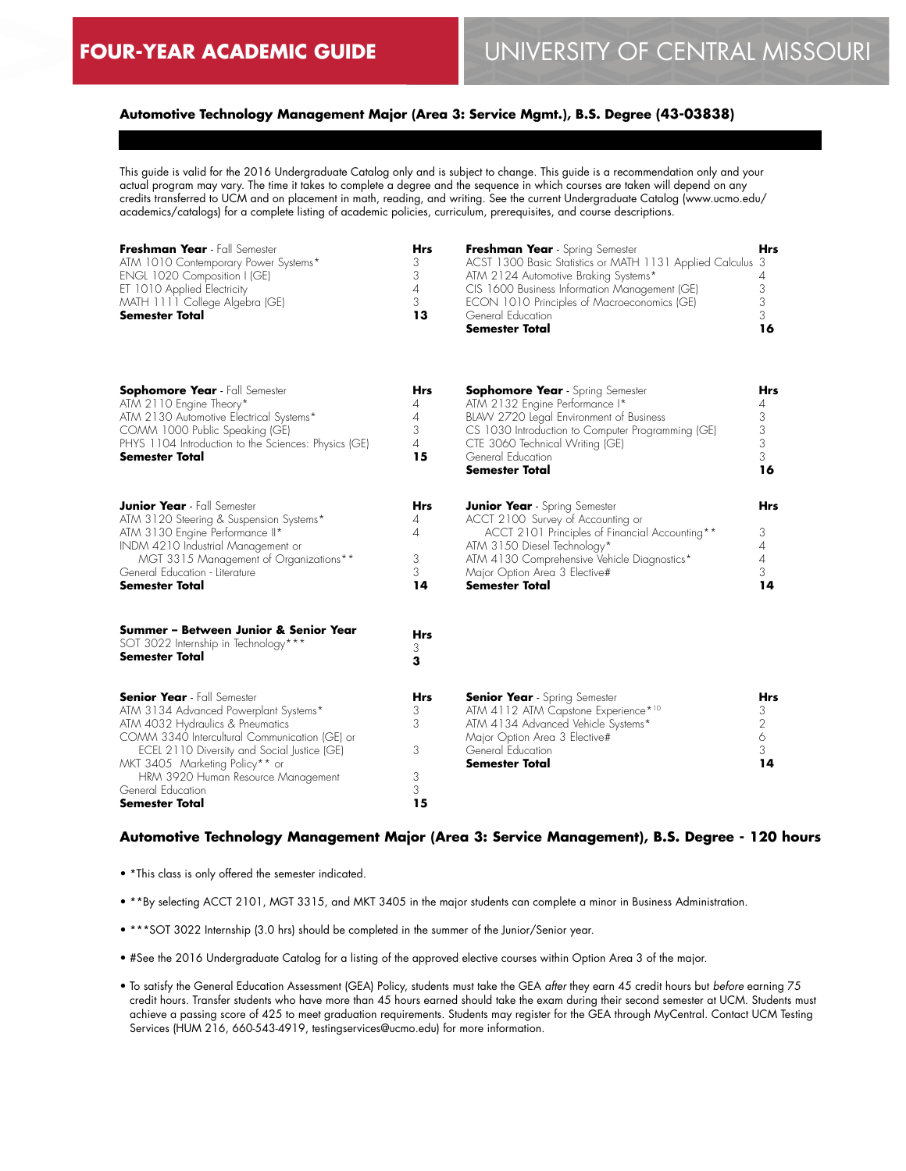## **Automotive Technology Management Major (Area 3: Service Mgmt.), B.S. Degree (43-03838)**

This guide is valid for the 2016 Undergraduate Catalog only and is subject to change. This guide is a recommendation only and your actual program may vary. The time it takes to complete a degree and the sequence in which courses are taken will depend on any credits transferred to UCM and on placement in math, reading, and writing. See the current Undergraduate Catalog (www.ucmo.edu/ academics/catalogs) for a complete listing of academic policies, curriculum, prerequisites, and course descriptions.

| Freshman Year - Fall Semester        | Hrs | Freshman Year - Spring Semester                            | Hrs |
|--------------------------------------|-----|------------------------------------------------------------|-----|
| ATM 1010 Contemporary Power Systems* | 3   | ACST 1300 Basic Statistics or MATH 1131 Applied Calculus 3 |     |
| ENGL 1020 Composition I (GE)         |     | ATM 2124 Automotive Braking Systems*                       |     |
| ET 1010 Applied Electricity          | 4   | CIS 1600 Business Information Management (GE)              |     |
| MATH 1111 College Algebra (GE)       |     | ECON 1010 Principles of Macroeconomics (GE)                |     |
| <b>Semester Total</b>                | 13  | General Education                                          |     |
|                                      |     | <b>Semester Total</b>                                      | 16  |

| Sophomore Year - Fall Semester<br>ATM 2110 Engine Theory*<br>ATM 2130 Automotive Electrical Systems*<br>COMM 1000 Public Speaking (GE)<br>PHYS 1104 Introduction to the Sciences: Physics (GE)<br><b>Semester Total</b>                                                                                                        | <b>Hrs</b><br>4<br>4<br>3<br>$\overline{4}$<br>15 | <b>Sophomore Year</b> - Spring Semester<br>ATM 2132 Engine Performance I*<br>BLAW 2720 Legal Environment of Business<br>CS 1030 Introduction to Computer Programming (GE)<br>CTE 3060 Technical Writing (GE)<br>General Education<br><b>Semester Total</b>          | Hrs<br>4<br>3<br>3<br>3<br>3<br>16   |
|--------------------------------------------------------------------------------------------------------------------------------------------------------------------------------------------------------------------------------------------------------------------------------------------------------------------------------|---------------------------------------------------|---------------------------------------------------------------------------------------------------------------------------------------------------------------------------------------------------------------------------------------------------------------------|--------------------------------------|
| <b>Junior Year</b> - Fall Semester<br>ATM 3120 Steering & Suspension Systems*<br>ATM 3130 Engine Performance II*<br>INDM 4210 Industrial Management or<br>MGT 3315 Management of Organizations**<br>General Education - Literature<br><b>Semester Total</b>                                                                    | <b>Hrs</b><br>4<br>4<br>3<br>3<br>14              | <b>Junior Year</b> - Spring Semester<br>ACCT 2100 Survey of Accounting or<br>ACCT 2101 Principles of Financial Accounting**<br>ATM 3150 Diesel Technology*<br>ATM 4130 Comprehensive Vehicle Diagnostics*<br>Major Option Area 3 Elective#<br><b>Semester Total</b> | Hrs<br>3<br>4<br>4<br>3<br>14        |
| Summer – Between Junior & Senior Year<br>SOT 3022 Internship in Technology***<br>Semester Total                                                                                                                                                                                                                                | <b>Hrs</b><br>3<br>3                              |                                                                                                                                                                                                                                                                     |                                      |
| <b>Senior Year</b> - Fall Semester<br>ATM 3134 Advanced Powerplant Systems*<br>ATM 4032 Hydraulics & Pneumatics<br>COMM 3340 Intercultural Communication (GE) or<br>ECEL 2110 Diversity and Social Justice (GE)<br>MKT 3405 Marketing Policy** or<br>HRM 3920 Human Resource Management<br>General Education<br>Semester Total | <b>Hrs</b><br>3<br>3<br>3<br>3<br>3<br>15         | <b>Senior Year</b> - Spring Semester<br>ATM 4112 ATM Capstone Experience* <sup>10</sup><br>ATM 4134 Advanced Vehicle Systems*<br>Major Option Area 3 Elective#<br>General Education<br><b>Semester Total</b>                                                        | <b>Hrs</b><br>3<br>2<br>6<br>3<br>14 |

### **Automotive Technology Management Major (Area 3: Service Management), B.S. Degree - 120 hours**

- \*This class is only offered the semester indicated.
- \*\*By selecting ACCT 2101, MGT 3315, and MKT 3405 in the major students can complete a minor in Business Administration.
- \*\*\*SOT 3022 Internship (3.0 hrs) should be completed in the summer of the Junior/Senior year.
- #See the 2016 Undergraduate Catalog for a listing of the approved elective courses within Option Area 3 of the major.
- To satisfy the General Education Assessment (GEA) Policy, students must take the GEA *after* they earn 45 credit hours but *before* earning 75 credit hours. Transfer students who have more than 45 hours earned should take the exam during their second semester at UCM. Students must achieve a passing score of 425 to meet graduation requirements. Students may register for the GEA through MyCentral. Contact UCM Testing Services (HUM 216, 660-543-4919, testingservices@ucmo.edu) for more information.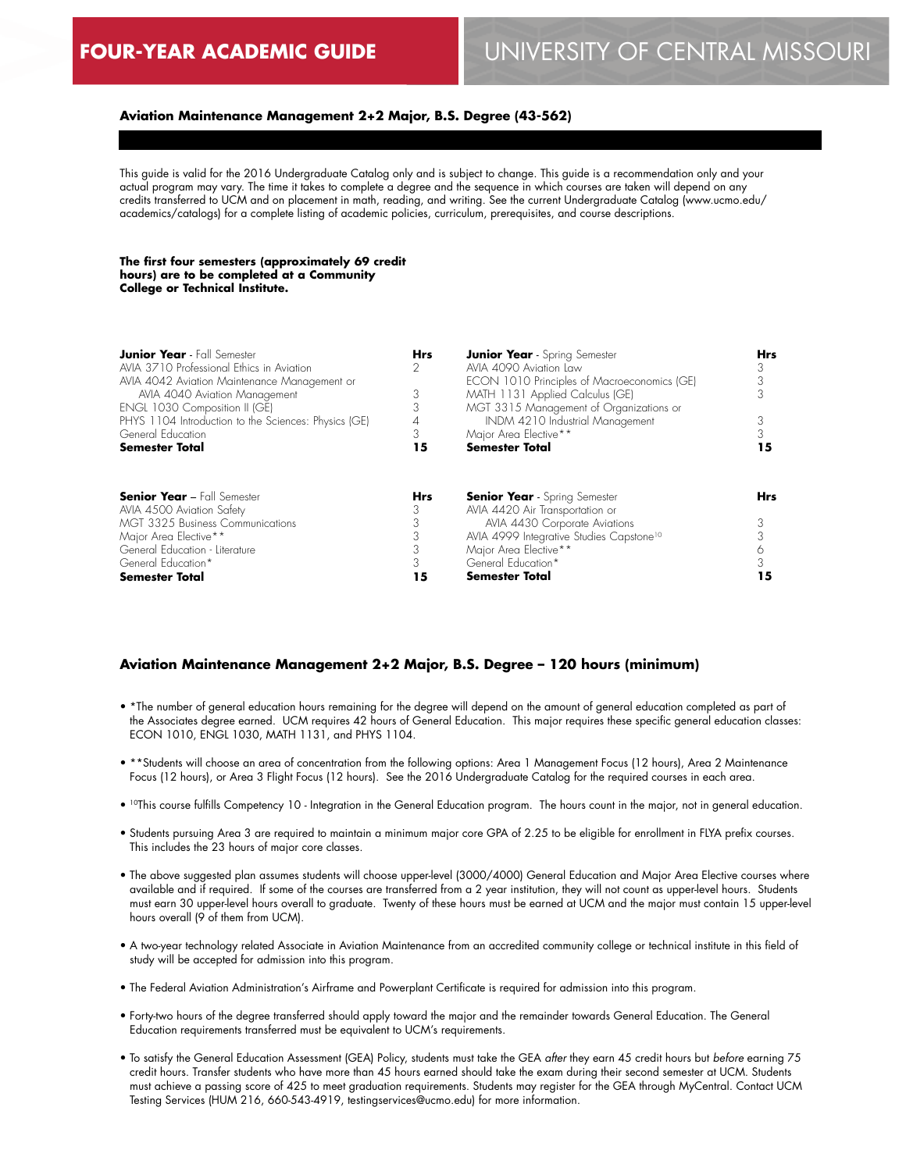#### **Aviation Maintenance Management 2+2 Major, B.S. Degree (43-562)**

This guide is valid for the 2016 Undergraduate Catalog only and is subject to change. This guide is a recommendation only and your actual program may vary. The time it takes to complete a degree and the sequence in which courses are taken will depend on any credits transferred to UCM and on placement in math, reading, and writing. See the current Undergraduate Catalog (www.ucmo.edu/ academics/catalogs) for a complete listing of academic policies, curriculum, prerequisites, and course descriptions.

#### **The first four semesters (approximately 69 credit hours) are to be completed at a Community College or Technical Institute.**

| <b>Junior Year</b> - Fall Semester                   | <b>Hrs</b> | <b>Junior Year</b> - Spring Semester                 | <b>Hrs</b> |
|------------------------------------------------------|------------|------------------------------------------------------|------------|
| AVIA 3710 Professional Ethics in Aviation            | 2          | AVIA 4090 Aviation Law                               | 3          |
| AVIA 4042 Aviation Maintenance Management or         |            | ECON 1010 Principles of Macroeconomics (GE)          |            |
| AVIA 4040 Aviation Management                        |            | MATH 1131 Applied Calculus (GE)                      |            |
| ENGL 1030 Composition II (GE)                        |            | MGT 3315 Management of Organizations or              |            |
| PHYS 1104 Introduction to the Sciences: Physics (GE) | 4          | INDM 4210 Industrial Management                      |            |
| General Education                                    | 3          | Major Area Elective**                                |            |
| <b>Semester Total</b>                                | 15         | <b>Semester Total</b>                                | 15         |
| <b>Senior Year - Fall Semester</b>                   | <b>Hrs</b> | <b>Senior Year</b> - Spring Semester                 | <b>Hrs</b> |
| AVIA 4500 Aviation Safety                            |            | AVIA 4420 Air Transportation or                      |            |
| <b>MGT 3325 Business Communications</b>              |            | AVIA 4430 Corporate Aviations                        |            |
| Major Area Elective**                                | 3          | AVIA 4999 Integrative Studies Capstone <sup>10</sup> |            |
| General Education - Literature                       |            | Major Area Elective**                                |            |
| General Education*                                   | 3          | General Education*                                   |            |
| <b>Semester Total</b>                                | 15         | <b>Semester Total</b>                                | 5          |

#### **Aviation Maintenance Management 2+2 Major, B.S. Degree – 120 hours (minimum)**

- \*The number of general education hours remaining for the degree will depend on the amount of general education completed as part of the Associates degree earned. UCM requires 42 hours of General Education. This major requires these specific general education classes: ECON 1010, ENGL 1030, MATH 1131, and PHYS 1104.
- \*\*Students will choose an area of concentration from the following options: Area 1 Management Focus (12 hours), Area 2 Maintenance Focus (12 hours), or Area 3 Flight Focus (12 hours). See the 2016 Undergraduate Catalog for the required courses in each area.
- 10This course fulfills Competency 10 Integration in the General Education program. The hours count in the major, not in general education.
- Students pursuing Area 3 are required to maintain a minimum major core GPA of 2.25 to be eligible for enrollment in FLYA prefix courses. This includes the 23 hours of major core classes.
- The above suggested plan assumes students will choose upper-level (3000/4000) General Education and Major Area Elective courses where available and if required. If some of the courses are transferred from a 2 year institution, they will not count as upper-level hours. Students must earn 30 upper-level hours overall to graduate. Twenty of these hours must be earned at UCM and the major must contain 15 upper-level hours overall (9 of them from UCM).
- A two-year technology related Associate in Aviation Maintenance from an accredited community college or technical institute in this field of study will be accepted for admission into this program.
- The Federal Aviation Administration's Airframe and Powerplant Certificate is required for admission into this program.
- Forty-two hours of the degree transferred should apply toward the major and the remainder towards General Education. The General Education requirements transferred must be equivalent to UCM's requirements.
- To satisfy the General Education Assessment (GEA) Policy, students must take the GEA *after* they earn 45 credit hours but *before* earning 75 credit hours. Transfer students who have more than 45 hours earned should take the exam during their second semester at UCM. Students must achieve a passing score of 425 to meet graduation requirements. Students may register for the GEA through MyCentral. Contact UCM Testing Services (HUM 216, 660-543-4919, testingservices@ucmo.edu) for more information.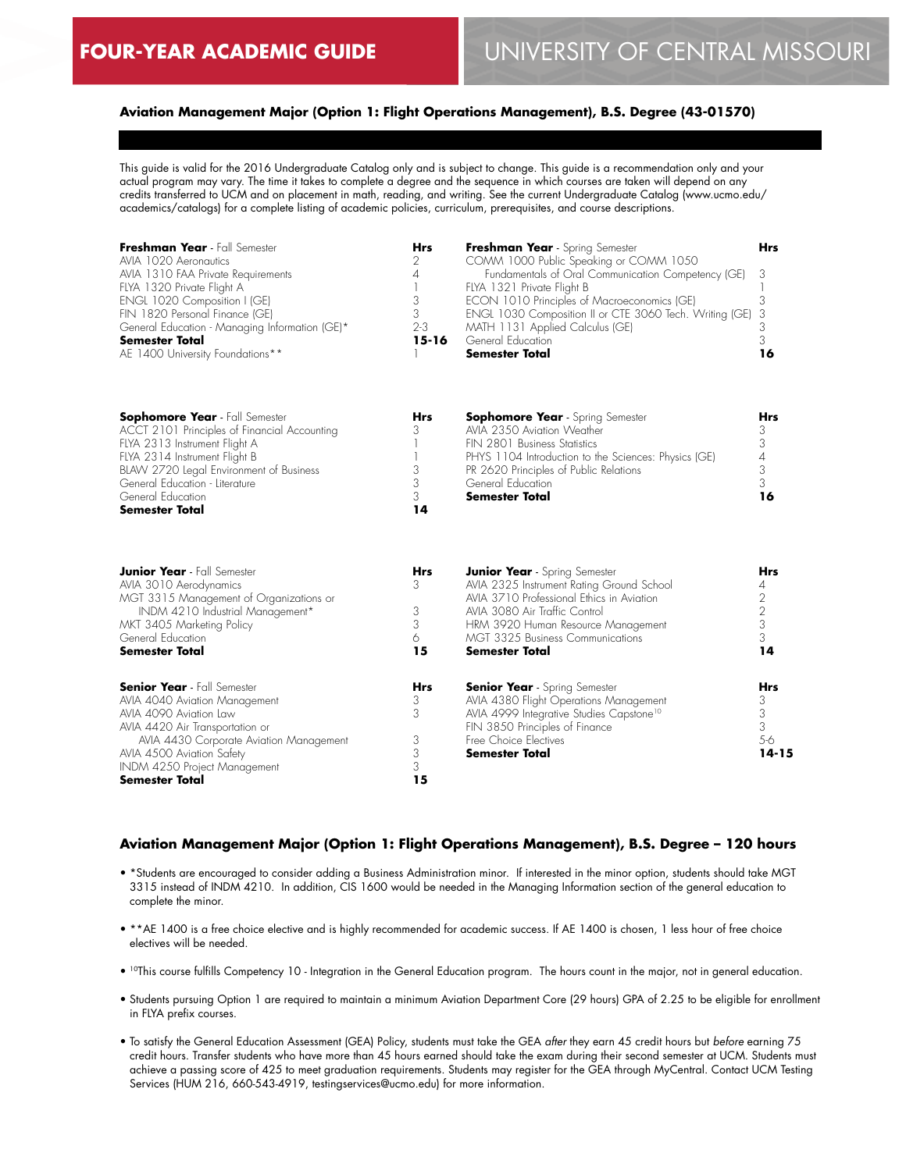### **Aviation Management Major (Option 1: Flight Operations Management), B.S. Degree (43-01570)**

This guide is valid for the 2016 Undergraduate Catalog only and is subject to change. This guide is a recommendation only and your actual program may vary. The time it takes to complete a degree and the sequence in which courses are taken will depend on any credits transferred to UCM and on placement in math, reading, and writing. See the current Undergraduate Catalog (www.ucmo.edu/ academics/catalogs) for a complete listing of academic policies, curriculum, prerequisites, and course descriptions.

| Freshman Year - Fall Semester<br>AVIA 1020 Aeronautics<br>AVIA 1310 FAA Private Requirements<br>FLYA 1320 Private Flight A<br>ENGL 1020 Composition I (GE)<br>FIN 1820 Personal Finance (GE)<br>General Education - Managing Information (GE)*<br>Semester Total<br>AE 1400 University Foundations** | <b>Hrs</b><br>2<br>4<br>1<br>3<br>3<br>$2 - 3$<br>$15 - 16$ | Freshman Year - Spring Semester<br>COMM 1000 Public Speaking or COMM 1050<br>Fundamentals of Oral Communication Competency (GE)<br>FLYA 1321 Private Flight B<br>ECON 1010 Principles of Macroeconomics (GE)<br>ENGL 1030 Composition II or CTE 3060 Tech. Writing (GE)<br>MATH 1131 Applied Calculus (GE)<br>General Education<br><b>Semester Total</b> | Hrs<br>3<br>3<br>3<br>3<br>3<br>16                |
|------------------------------------------------------------------------------------------------------------------------------------------------------------------------------------------------------------------------------------------------------------------------------------------------------|-------------------------------------------------------------|----------------------------------------------------------------------------------------------------------------------------------------------------------------------------------------------------------------------------------------------------------------------------------------------------------------------------------------------------------|---------------------------------------------------|
| Sophomore Year - Fall Semester<br>ACCT 2101 Principles of Financial Accounting<br>FLYA 2313 Instrument Flight A<br>FLYA 2314 Instrument Flight B<br>BLAW 2720 Legal Environment of Business<br>General Education - Literature<br>General Education<br>Semester Total                                 | <b>Hrs</b><br>3<br>3<br>3<br>3<br>14                        | <b>Sophomore Year</b> - Spring Semester<br>AVIA 2350 Aviation Weather<br>FIN 2801 Business Statistics<br>PHYS 1104 Introduction to the Sciences: Physics (GE)<br>PR 2620 Principles of Public Relations<br>General Education<br><b>Semester Total</b>                                                                                                    | Hrs<br>3<br>3<br>$\it 4$<br>$\sqrt{3}$<br>3<br>16 |
| <b>Junior Year</b> - Fall Semester<br>AVIA 3010 Aerodynamics<br>MGT 3315 Management of Organizations or<br>INDM 4210 Industrial Management*<br>MKT 3405 Marketing Policy<br>General Education<br><b>Semester Total</b>                                                                               | Hrs<br>3<br>3<br>3<br>6<br>15                               | <b>Junior Year</b> - Spring Semester<br>AVIA 2325 Instrument Rating Ground School<br>AVIA 3710 Professional Ethics in Aviation<br>AVIA 3080 Air Traffic Control<br>HRM 3920 Human Resource Management<br><b>MGT 3325 Business Communications</b><br><b>Semester Total</b>                                                                                | Hrs<br>4<br>2<br>$\mathbf{2}$<br>3<br>3<br>14     |
| <b>Senior Year</b> - Fall Semester<br>AVIA 4040 Aviation Management<br>AVIA 4090 Aviation Law<br>AVIA 4420 Air Transportation or<br>AVIA 4430 Corporate Aviation Management<br>AVIA 4500 Aviation Safety<br>INDM 4250 Project Management<br><b>Semester Total</b>                                    | Hrs<br>3<br>3<br>3<br>3<br>3<br>15                          | <b>Senior Year</b> - Spring Semester<br>AVIA 4380 Flight Operations Management<br>AVIA 4999 Integrative Studies Capstone <sup>10</sup><br>FIN 3850 Principles of Finance<br>Free Choice Electives<br><b>Semester Total</b>                                                                                                                               | Hrs<br>3<br>3<br>3<br>$5-6$<br>$14 - 15$          |

### **Aviation Management Major (Option 1: Flight Operations Management), B.S. Degree – 120 hours**

- \*Students are encouraged to consider adding a Business Administration minor. If interested in the minor option, students should take MGT 3315 instead of INDM 4210. In addition, CIS 1600 would be needed in the Managing Information section of the general education to complete the minor.
- \*\*AE 1400 is a free choice elective and is highly recommended for academic success. If AE 1400 is chosen, 1 less hour of free choice electives will be needed.
- 10This course fulfills Competency 10 Integration in the General Education program. The hours count in the major, not in general education.
- Students pursuing Option 1 are required to maintain a minimum Aviation Department Core (29 hours) GPA of 2.25 to be eligible for enrollment in FLYA prefix courses.
- To satisfy the General Education Assessment (GEA) Policy, students must take the GEA *after* they earn 45 credit hours but *before* earning 75 credit hours. Transfer students who have more than 45 hours earned should take the exam during their second semester at UCM. Students must achieve a passing score of 425 to meet graduation requirements. Students may register for the GEA through MyCentral. Contact UCM Testing Services (HUM 216, 660-543-4919, testingservices@ucmo.edu) for more information.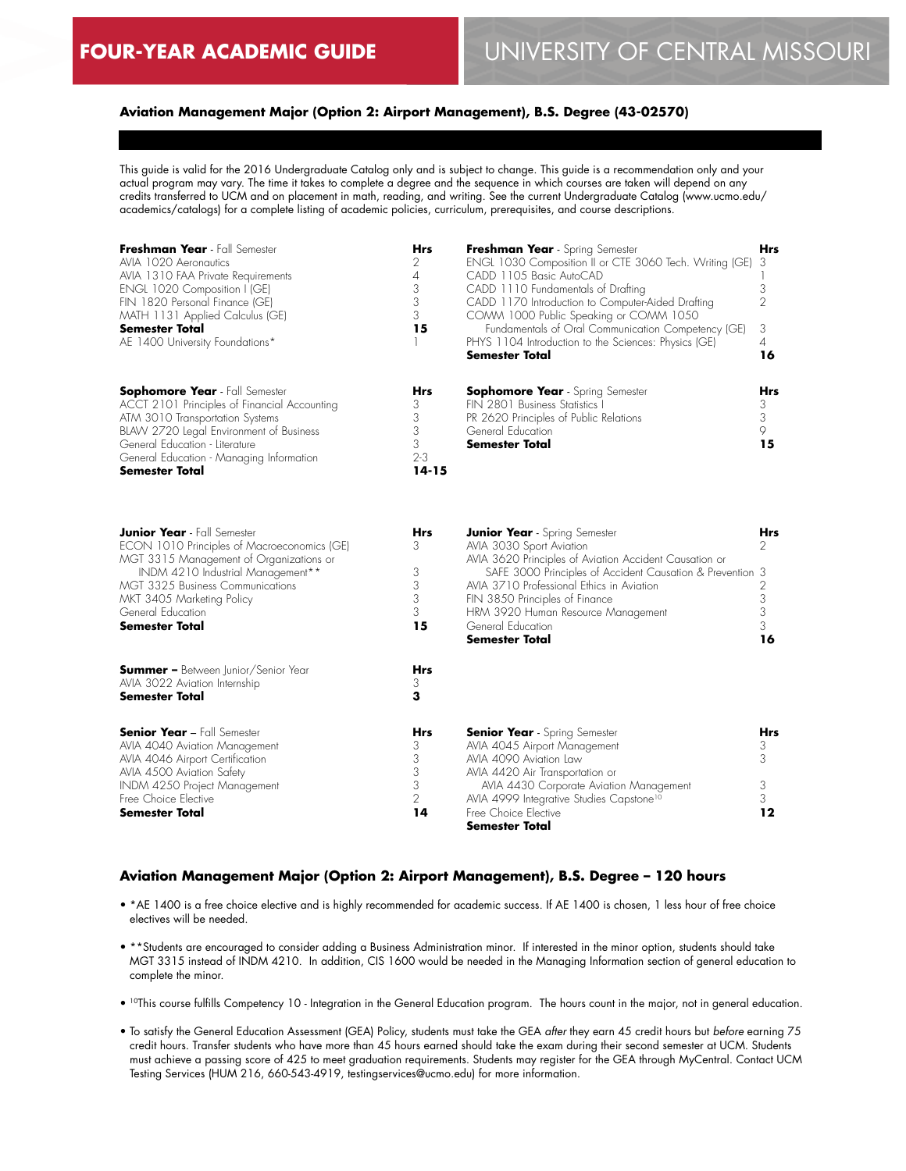### **Aviation Management Major (Option 2: Airport Management), B.S. Degree (43-02570)**

This guide is valid for the 2016 Undergraduate Catalog only and is subject to change. This guide is a recommendation only and your actual program may vary. The time it takes to complete a degree and the sequence in which courses are taken will depend on any credits transferred to UCM and on placement in math, reading, and writing. See the current Undergraduate Catalog (www.ucmo.edu/ academics/catalogs) for a complete listing of academic policies, curriculum, prerequisites, and course descriptions.

| Freshman Year - Fall Semester<br>AVIA 1020 Aeronautics<br>AVIA 1310 FAA Private Requirements<br>ENGL 1020 Composition I (GE)<br>FIN 1820 Personal Finance (GE)<br>MATH 1131 Applied Calculus (GE)<br><b>Semester Total</b><br>AE 1400 University Foundations*                    | <b>Hrs</b><br>2<br>4<br>3<br>3<br>3<br>15              | Freshman Year - Spring Semester<br>ENGL 1030 Composition II or CTE 3060 Tech. Writing (GE)<br>CADD 1105 Basic AutoCAD<br>CADD 1110 Fundamentals of Drafting<br>CADD 1170 Introduction to Computer-Aided Drafting<br>COMM 1000 Public Speaking or COMM 1050<br>Fundamentals of Oral Communication Competency (GE)<br>PHYS 1104 Introduction to the Sciences: Physics (GE)<br>Semester Total | Hrs<br>3<br>3<br>$\overline{2}$<br>3<br>$\overline{4}$<br>16 |
|----------------------------------------------------------------------------------------------------------------------------------------------------------------------------------------------------------------------------------------------------------------------------------|--------------------------------------------------------|--------------------------------------------------------------------------------------------------------------------------------------------------------------------------------------------------------------------------------------------------------------------------------------------------------------------------------------------------------------------------------------------|--------------------------------------------------------------|
| <b>Sophomore Year</b> - Fall Semester<br>ACCT 2101 Principles of Financial Accounting<br>ATM 3010 Transportation Systems<br>BLAW 2720 Legal Environment of Business<br>General Education - Literature<br>General Education - Managing Information<br><b>Semester Total</b>       | <b>Hrs</b><br>3<br>3<br>3<br>3<br>$2 - 3$<br>$14 - 15$ | <b>Sophomore Year</b> - Spring Semester<br>FIN 2801 Business Statistics I<br>PR 2620 Principles of Public Relations<br>General Education<br>Semester Total                                                                                                                                                                                                                                 | Hrs<br>3<br>3<br>9<br>15                                     |
| <b>Junior Year</b> - Fall Semester<br>ECON 1010 Principles of Macroeconomics (GE)<br>MGT 3315 Management of Organizations or<br>INDM 4210 Industrial Management**<br><b>MGT 3325 Business Communications</b><br>MKT 3405 Marketing Policy<br>General Education<br>Semester Total | Hrs<br>3<br>3<br>3<br>3<br>3<br>15                     | <b>Junior Year</b> - Spring Semester<br>AVIA 3030 Sport Aviation<br>AVIA 3620 Principles of Aviation Accident Causation or<br>SAFE 3000 Principles of Accident Causation & Prevention 3<br>AVIA 3710 Professional Ethics in Aviation<br>FIN 3850 Principles of Finance<br>HRM 3920 Human Resource Management<br>General Education<br>Semester Total                                        | Hrs<br>2<br>2<br>3<br>3<br>3<br>16                           |
| <b>Summer -</b> Between Junior/Senior Year<br>AVIA 3022 Aviation Internship<br>Semester Total                                                                                                                                                                                    | <b>Hrs</b><br>3<br>3                                   |                                                                                                                                                                                                                                                                                                                                                                                            |                                                              |
| <b>Senior Year - Fall Semester</b><br>AVIA 4040 Aviation Management<br>AVIA 4046 Airport Certification<br>AVIA 4500 Aviation Safety<br>INDM 4250 Project Management<br>Free Choice Elective<br><b>Semester Total</b>                                                             | Hrs<br>3<br>3<br>3<br>3<br>2<br>14                     | <b>Senior Year</b> - Spring Semester<br>AVIA 4045 Airport Management<br>AVIA 4090 Aviation Law<br>AVIA 4420 Air Transportation or<br>AVIA 4430 Corporate Aviation Management<br>AVIA 4999 Integrative Studies Capstone <sup>10</sup><br>Free Choice Elective<br><b>Semester Total</b>                                                                                                      | Hrs<br>3<br>3<br>3<br>3<br>12                                |

### **Aviation Management Major (Option 2: Airport Management), B.S. Degree – 120 hours**

- \*AE 1400 is a free choice elective and is highly recommended for academic success. If AE 1400 is chosen, 1 less hour of free choice electives will be needed.
- \*\*Students are encouraged to consider adding a Business Administration minor. If interested in the minor option, students should take MGT 3315 instead of INDM 4210. In addition, CIS 1600 would be needed in the Managing Information section of general education to complete the minor.
- 10This course fulfills Competency 10 Integration in the General Education program. The hours count in the major, not in general education.
- To satisfy the General Education Assessment (GEA) Policy, students must take the GEA *after* they earn 45 credit hours but *before* earning 75 credit hours. Transfer students who have more than 45 hours earned should take the exam during their second semester at UCM. Students must achieve a passing score of 425 to meet graduation requirements. Students may register for the GEA through MyCentral. Contact UCM Testing Services (HUM 216, 660-543-4919, testingservices@ucmo.edu) for more information.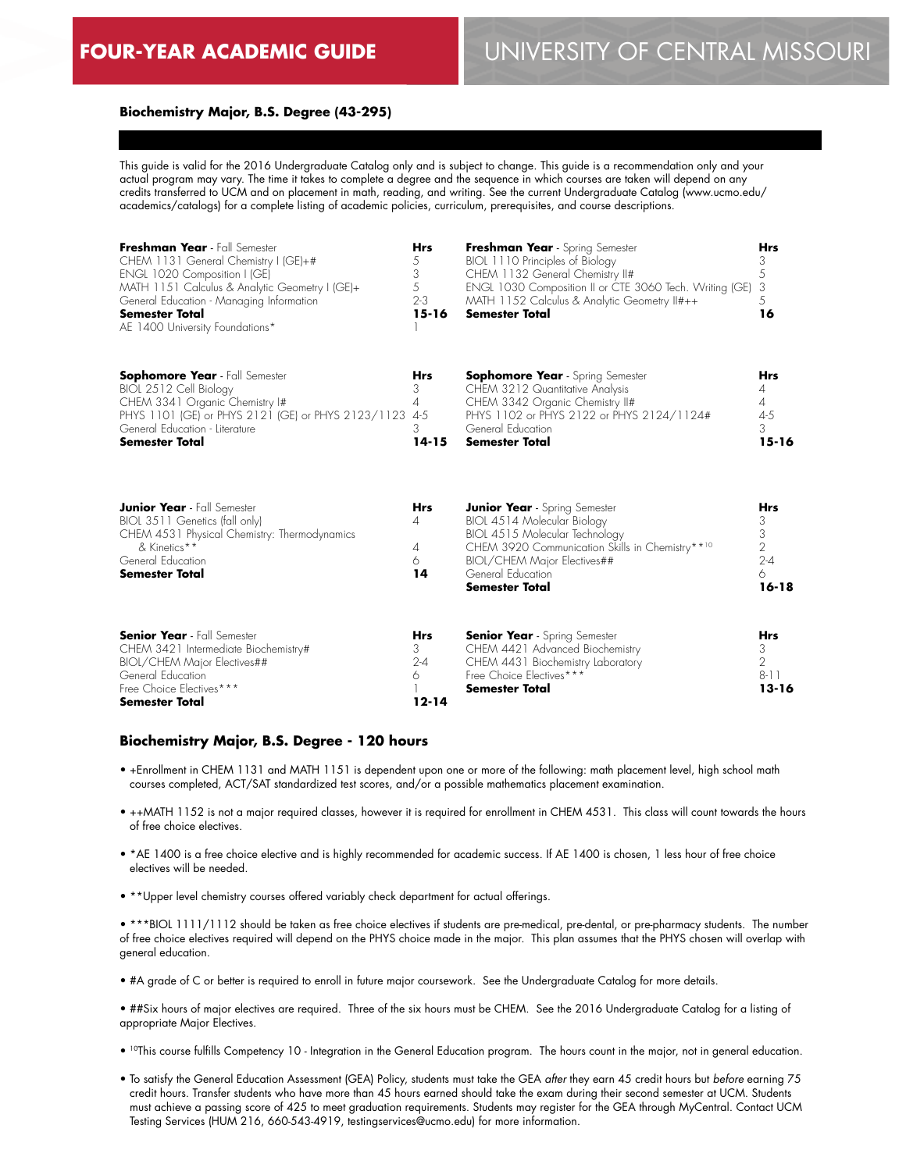# **FOUR-YEAR ACADEMIC GUIDE** UNIVERSITY OF CENTRAL MISSOURI

#### **Biochemistry Major, B.S. Degree (43-295)**

This guide is valid for the 2016 Undergraduate Catalog only and is subject to change. This guide is a recommendation only and your actual program may vary. The time it takes to complete a degree and the sequence in which courses are taken will depend on any credits transferred to UCM and on placement in math, reading, and writing. See the current Undergraduate Catalog (www.ucmo.edu/ academics/catalogs) for a complete listing of academic policies, curriculum, prerequisites, and course descriptions.

| Freshman Year - Fall Semester<br>CHEM 1131 General Chemistry I (GE)+#<br>ENGL 1020 Composition I (GE)<br>MATH 1151 Calculus & Analytic Geometry I (GE)+<br>General Education - Managing Information<br><b>Semester Total</b><br>AE 1400 University Foundations* | <b>Hrs</b><br>5<br>3<br>5<br>$2 - 3$<br>$15 - 16$ | Freshman Year - Spring Semester<br>BIOL 1110 Principles of Biology<br>CHEM 1132 General Chemistry II#<br>ENGL 1030 Composition II or CTE 3060 Tech. Writing (GE)<br>MATH 1152 Calculus & Analytic Geometry II#++<br><b>Semester Total</b> | <b>Hrs</b><br>3<br>5<br>3<br>5<br>16                                |
|-----------------------------------------------------------------------------------------------------------------------------------------------------------------------------------------------------------------------------------------------------------------|---------------------------------------------------|-------------------------------------------------------------------------------------------------------------------------------------------------------------------------------------------------------------------------------------------|---------------------------------------------------------------------|
| <b>Sophomore Year</b> - Fall Semester<br>BIOL 2512 Cell Biology<br>CHEM 3341 Organic Chemistry I#<br>PHYS 1101 (GE) or PHYS 2121 (GE) or PHYS 2123/1123<br>General Education - Literature<br><b>Semester Total</b>                                              | <b>Hrs</b><br>3<br>4<br>$4 - 5$<br>3<br>$14 - 15$ | <b>Sophomore Year</b> - Spring Semester<br>CHEM 3212 Quantitative Analysis<br>CHEM 3342 Organic Chemistry II#<br>PHYS 1102 or PHYS 2122 or PHYS 2124/1124#<br>General Education<br><b>Semester Total</b>                                  | <b>Hrs</b><br>4<br>$\overline{4}$<br>$4 - 5$<br>3<br>$15 - 16$      |
| <b>Junior Year</b> - Fall Semester<br>BIOL 3511 Genetics (fall only)<br>CHEM 4531 Physical Chemistry: Thermodynamics<br>& Kinetics**<br>General Education<br><b>Semester Total</b>                                                                              | <b>Hrs</b><br>4<br>4<br>6<br>14                   | <b>Junior Year</b> - Spring Semester<br>BIOL 4514 Molecular Biology<br>BIOL 4515 Molecular Technology<br>CHEM 3920 Communication Skills in Chemistry**10<br>BIOL/CHEM Major Electives##<br>General Education<br><b>Semester Total</b>     | <b>Hrs</b><br>3<br>3<br>$\overline{2}$<br>$2 - 4$<br>6<br>$16 - 18$ |
| <b>Senior Year</b> - Fall Semester<br>CHEM 3421 Intermediate Biochemistry#<br>BIOL/CHEM Major Electives##<br>General Education<br>Free Choice Electives***<br>Semester Total                                                                                    | <b>Hrs</b><br>3<br>$2 - 4$<br>6<br>$12 - 14$      | <b>Senior Year</b> - Spring Semester<br>CHEM 4421 Advanced Biochemistry<br>CHEM 4431 Biochemistry Laboratory<br>Free Choice Electives***<br><b>Semester Total</b>                                                                         | <b>Hrs</b><br>3<br>$\overline{2}$<br>$8 - 11$<br>$13 - 16$          |

#### **Biochemistry Major, B.S. Degree - 120 hours**

- +Enrollment in CHEM 1131 and MATH 1151 is dependent upon one or more of the following: math placement level, high school math courses completed, ACT/SAT standardized test scores, and/or a possible mathematics placement examination.
- ++MATH 1152 is not a major required classes, however it is required for enrollment in CHEM 4531. This class will count towards the hours of free choice electives.
- \*AE 1400 is a free choice elective and is highly recommended for academic success. If AE 1400 is chosen, 1 less hour of free choice electives will be needed.
- \*\*Upper level chemistry courses offered variably check department for actual offerings.

• \*\*\*BIOL 1111/1112 should be taken as free choice electives if students are pre-medical, pre-dental, or pre-pharmacy students. The number of free choice electives required will depend on the PHYS choice made in the major. This plan assumes that the PHYS chosen will overlap with general education.

- #A grade of C or better is required to enroll in future major coursework. See the Undergraduate Catalog for more details.
- ##Six hours of major electives are required. Three of the six hours must be CHEM. See the 2016 Undergraduate Catalog for a listing of appropriate Major Electives.
- 10This course fulfills Competency 10 Integration in the General Education program. The hours count in the major, not in general education.
- To satisfy the General Education Assessment (GEA) Policy, students must take the GEA *after* they earn 45 credit hours but *before* earning 75 credit hours. Transfer students who have more than 45 hours earned should take the exam during their second semester at UCM. Students must achieve a passing score of 425 to meet graduation requirements. Students may register for the GEA through MyCentral. Contact UCM Testing Services (HUM 216, 660-543-4919, testingservices@ucmo.edu) for more information.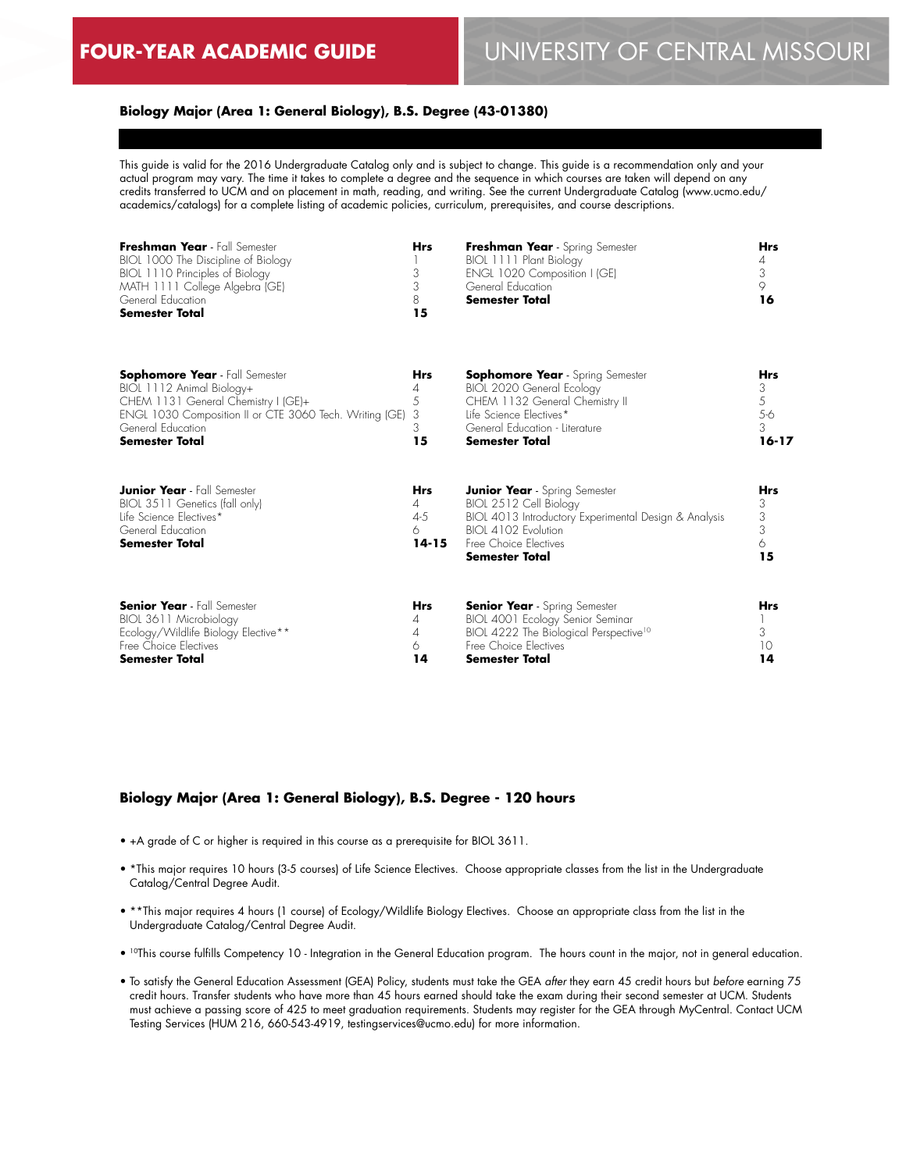### **Biology Major (Area 1: General Biology), B.S. Degree (43-01380)**

This guide is valid for the 2016 Undergraduate Catalog only and is subject to change. This guide is a recommendation only and your actual program may vary. The time it takes to complete a degree and the sequence in which courses are taken will depend on any credits transferred to UCM and on placement in math, reading, and writing. See the current Undergraduate Catalog (www.ucmo.edu/ academics/catalogs) for a complete listing of academic policies, curriculum, prerequisites, and course descriptions.

| Freshman Year - Fall Semester<br>BIOL 1000 The Discipline of Biology<br>BIOL 1110 Principles of Biology<br>MATH 1111 College Algebra (GE)<br>General Education<br><b>Semester Total</b>                            | <b>Hrs</b><br>3<br>3<br>8<br>15                       | Freshman Year - Spring Semester<br>BIOL 1111 Plant Biology<br>ENGL 1020 Composition I (GE)<br>General Education<br><b>Semester Total</b>                                                         | <b>Hrs</b><br>4<br>3<br>9<br>16               |
|--------------------------------------------------------------------------------------------------------------------------------------------------------------------------------------------------------------------|-------------------------------------------------------|--------------------------------------------------------------------------------------------------------------------------------------------------------------------------------------------------|-----------------------------------------------|
| <b>Sophomore Year</b> - Fall Semester<br>BIOL 1112 Animal Biology+<br>CHEM 1131 General Chemistry I (GE)+<br>ENGL 1030 Composition II or CTE 3060 Tech. Writing (GE)<br>General Education<br><b>Semester Total</b> | <b>Hrs</b><br>4<br>5<br>3<br>3<br>15                  | <b>Sophomore Year</b> - Spring Semester<br>BIOL 2020 General Ecology<br>CHEM 1132 General Chemistry II<br>Life Science Electives*<br>General Education - Literature<br><b>Semester Total</b>     | <b>Hrs</b><br>3<br>5<br>5-6<br>3<br>$16 - 17$ |
| <b>Junior Year</b> - Fall Semester<br>BIOL 3511 Genetics (fall only)<br>life Science Flectives*<br>General Education<br><b>Semester Total</b>                                                                      | <b>Hrs</b><br>$\overline{4}$<br>4-5<br>6<br>$14 - 15$ | <b>Junior Year</b> - Spring Semester<br>BIOL 2512 Cell Biology<br>BIOL 4013 Introductory Experimental Design & Analysis<br>BIOL 4102 Evolution<br>Free Choice Electives<br><b>Semester Total</b> | <b>Hrs</b><br>3<br>3<br>3<br>6<br>15          |
| <b>Senior Year</b> - Fall Semester<br>BIOL 3611 Microbiology<br>Ecology/Wildlife Biology Elective**<br>Free Choice Electives<br>Semester Total                                                                     | <b>Hrs</b><br>4<br>4<br>6<br>14                       | <b>Senior Year</b> - Spring Semester<br>BIOL 4001 Ecology Senior Seminar<br>BIOL 4222 The Biological Perspective <sup>10</sup><br>Free Choice Electives<br>Semester Total                        | <b>Hrs</b><br>3<br>10<br>14                   |

### **Biology Major (Area 1: General Biology), B.S. Degree - 120 hours**

- +A grade of C or higher is required in this course as a prerequisite for BIOL 3611.
- \*This major requires 10 hours (3-5 courses) of Life Science Electives. Choose appropriate classes from the list in the Undergraduate Catalog/Central Degree Audit.
- \*\*This major requires 4 hours (1 course) of Ecology/Wildlife Biology Electives. Choose an appropriate class from the list in the Undergraduate Catalog/Central Degree Audit.
- 10This course fulfills Competency 10 Integration in the General Education program. The hours count in the major, not in general education.
- To satisfy the General Education Assessment (GEA) Policy, students must take the GEA *after* they earn 45 credit hours but *before* earning 75 credit hours. Transfer students who have more than 45 hours earned should take the exam during their second semester at UCM. Students must achieve a passing score of 425 to meet graduation requirements. Students may register for the GEA through MyCentral. Contact UCM Testing Services (HUM 216, 660-543-4919, testingservices@ucmo.edu) for more information.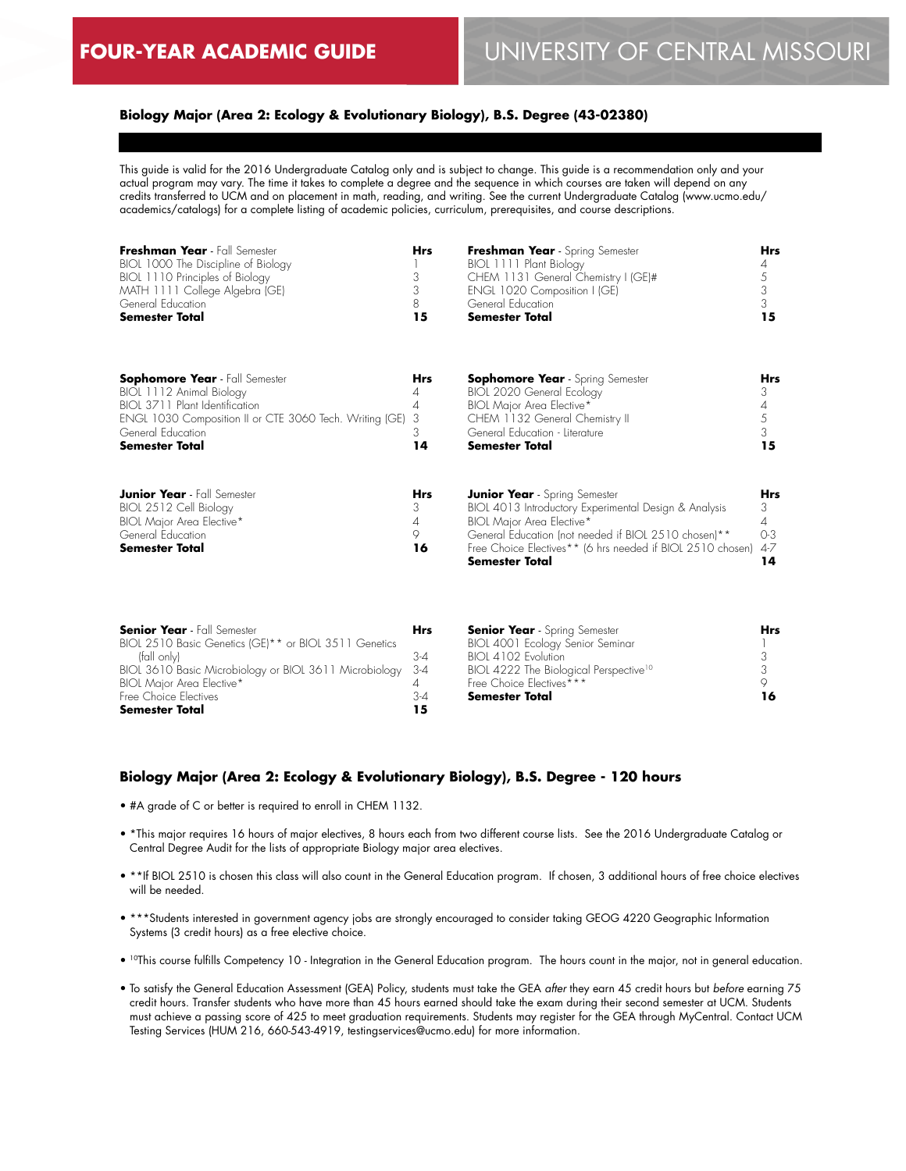### **Biology Major (Area 2: Ecology & Evolutionary Biology), B.S. Degree (43-02380)**

This guide is valid for the 2016 Undergraduate Catalog only and is subject to change. This guide is a recommendation only and your actual program may vary. The time it takes to complete a degree and the sequence in which courses are taken will depend on any credits transferred to UCM and on placement in math, reading, and writing. See the current Undergraduate Catalog (www.ucmo.edu/ academics/catalogs) for a complete listing of academic policies, curriculum, prerequisites, and course descriptions.

| Freshman Year - Fall Semester<br>BIOL 1000 The Discipline of Biology<br>BIOL 1110 Principles of Biology<br>MATH 1111 College Algebra (GE)<br>General Education<br><b>Semester Total</b>                      | <b>Hrs</b><br>3<br>3<br>8<br>15 | Freshman Year - Spring Semester<br>BIOL 1111 Plant Biology<br>CHEM 1131 General Chemistry I (GE)#<br>ENGL 1020 Composition I (GE)<br>General Education<br><b>Semester Total</b>                                                                                    | <b>Hrs</b><br>4<br>5<br>3<br>3<br>15           |
|--------------------------------------------------------------------------------------------------------------------------------------------------------------------------------------------------------------|---------------------------------|--------------------------------------------------------------------------------------------------------------------------------------------------------------------------------------------------------------------------------------------------------------------|------------------------------------------------|
| <b>Sophomore Year</b> - Fall Semester<br>BIOL 1112 Animal Biology<br>BIOL 3711 Plant Identification<br>ENGL 1030 Composition II or CTE 3060 Tech. Writing (GE)<br>General Education<br><b>Semester Total</b> | Hrs<br>4<br>4<br>3<br>3<br>14   | <b>Sophomore Year</b> - Spring Semester<br>BIOL 2020 General Ecology<br><b>BIOL Major Area Elective*</b><br>CHEM 1132 General Chemistry II<br>General Education - Literature<br><b>Semester Total</b>                                                              | Hrs<br>3<br>4<br>5<br>3<br>15                  |
| <b>Junior Year</b> - Fall Semester<br>BIOL 2512 Cell Biology<br><b>BIOL Major Area Elective*</b><br>General Education<br>Semester Total                                                                      | Hrs<br>3<br>4<br>9<br>16        | <b>Junior Year</b> - Spring Semester<br>BIOL 4013 Introductory Experimental Design & Analysis<br>BIOL Major Area Elective*<br>General Education (not needed if BIOL 2510 chosen)**<br>Free Choice Electives** (6 hrs needed if BIOL 2510 chosen)<br>Semester Total | <b>Hrs</b><br>3<br>4<br>$O-3$<br>$4 - 7$<br>14 |

| <b>Hrs</b> |                                                                 | Hrs                                  |
|------------|-----------------------------------------------------------------|--------------------------------------|
|            | BIOL 4001 Ecology Senior Seminar                                |                                      |
| 3-4        | BIOL 4102 Evolution                                             |                                      |
|            | BIOL 4222 The Biological Perspective <sup>10</sup>              |                                      |
|            | Free Choice Electives***                                        |                                      |
| 3-4        | Semester Total                                                  | 16                                   |
| 15         |                                                                 |                                      |
|            | BIOL 3610 Basic Microbiology or BIOL 3611 Microbiology<br>- 3-4 | <b>Senior Year</b> - Spring Semester |

### **Biology Major (Area 2: Ecology & Evolutionary Biology), B.S. Degree - 120 hours**

- #A grade of C or better is required to enroll in CHEM 1132.
- \*This major requires 16 hours of major electives, 8 hours each from two different course lists. See the 2016 Undergraduate Catalog or Central Degree Audit for the lists of appropriate Biology major area electives.
- \*\*If BIOL 2510 is chosen this class will also count in the General Education program. If chosen, 3 additional hours of free choice electives will be needed.
- \*\*\*Students interested in government agency jobs are strongly encouraged to consider taking GEOG 4220 Geographic Information Systems (3 credit hours) as a free elective choice.
- 10This course fulfills Competency 10 Integration in the General Education program. The hours count in the major, not in general education.
- To satisfy the General Education Assessment (GEA) Policy, students must take the GEA *after* they earn 45 credit hours but *before* earning 75 credit hours. Transfer students who have more than 45 hours earned should take the exam during their second semester at UCM. Students must achieve a passing score of 425 to meet graduation requirements. Students may register for the GEA through MyCentral. Contact UCM Testing Services (HUM 216, 660-543-4919, testingservices@ucmo.edu) for more information.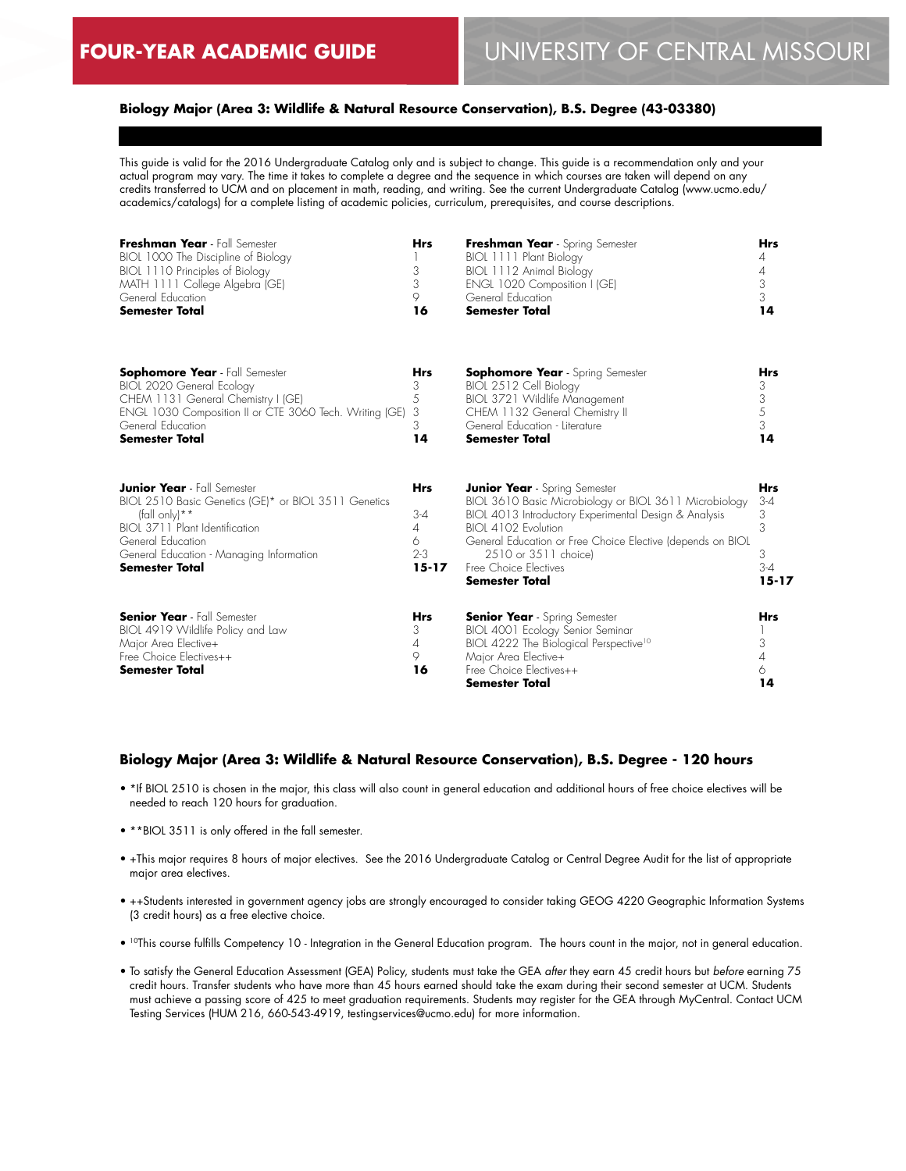### **Biology Major (Area 3: Wildlife & Natural Resource Conservation), B.S. Degree (43-03380)**

This guide is valid for the 2016 Undergraduate Catalog only and is subject to change. This guide is a recommendation only and your actual program may vary. The time it takes to complete a degree and the sequence in which courses are taken will depend on any credits transferred to UCM and on placement in math, reading, and writing. See the current Undergraduate Catalog (www.ucmo.edu/ academics/catalogs) for a complete listing of academic policies, curriculum, prerequisites, and course descriptions.

| Freshman Year - Fall Semester<br>BIOL 1000 The Discipline of Biology<br>BIOL 1110 Principles of Biology<br>MATH 1111 College Algebra (GE)<br>General Education<br><b>Semester Total</b>                                                     | <b>Hrs</b><br>3<br>3<br>9<br>16                                    | Freshman Year - Spring Semester<br>BIOL 1111 Plant Biology<br>BIOL 1112 Animal Biology<br>ENGL 1020 Composition I (GE)<br>General Education<br><b>Semester Total</b>                                                                                                                                                   | <b>Hrs</b><br>4<br>4<br>3<br>3<br>14                       |
|---------------------------------------------------------------------------------------------------------------------------------------------------------------------------------------------------------------------------------------------|--------------------------------------------------------------------|------------------------------------------------------------------------------------------------------------------------------------------------------------------------------------------------------------------------------------------------------------------------------------------------------------------------|------------------------------------------------------------|
| <b>Sophomore Year</b> - Fall Semester<br>BIOL 2020 General Ecology<br>CHEM 1131 General Chemistry I (GE)<br>ENGL 1030 Composition II or CTE 3060 Tech. Writing (GE)<br>General Education<br><b>Semester Total</b>                           | <b>Hrs</b><br>3<br>5<br>3<br>3<br>14                               | <b>Sophomore Year</b> - Spring Semester<br>BIOL 2512 Cell Biology<br>BIOL 3721 Wildlife Management<br>CHEM 1132 General Chemistry II<br>General Education - Literature<br><b>Semester Total</b>                                                                                                                        | <b>Hrs</b><br>3<br>3<br>5<br>$\mathfrak{Z}$<br>14          |
| <b>Junior Year</b> - Fall Semester<br>BIOL 2510 Basic Genetics (GE)* or BIOL 3511 Genetics<br>(fall only) $* *$<br>BIOI 3711 Plant Identification<br>General Education<br>General Education - Managing Information<br><b>Semester Total</b> | <b>Hrs</b><br>$3-4$<br>$\overline{4}$<br>6<br>$2 - 3$<br>$15 - 17$ | <b>Junior Year</b> - Spring Semester<br>BIOL 3610 Basic Microbiology or BIOL 3611 Microbiology<br>BIOL 4013 Introductory Experimental Design & Analysis<br>BIOI 4102 Evolution<br>General Education or Free Choice Elective (depends on BIOL<br>2510 or 3511 choice)<br>Free Choice Electives<br><b>Semester Total</b> | <b>Hrs</b><br>$3 - 4$<br>3<br>3<br>3<br>$3-4$<br>$15 - 17$ |
| <b>Senior Year</b> - Fall Semester<br>BIOL 4919 Wildlife Policy and Law<br>Major Area Elective+<br>Free Choice Electives++<br>Semester Total                                                                                                | <b>Hrs</b><br>3<br>$\overline{4}$<br>9<br>16                       | <b>Senior Year</b> - Spring Semester<br>BIOL 4001 Ecology Senior Seminar<br>BIOL 4222 The Biological Perspective <sup>10</sup><br>Major Area Elective+<br>Free Choice Electives++<br><b>Semester Total</b>                                                                                                             | <b>Hrs</b><br>3<br>$\overline{A}$<br>6<br>14               |

#### **Biology Major (Area 3: Wildlife & Natural Resource Conservation), B.S. Degree - 120 hours**

- \*If BIOL 2510 is chosen in the major, this class will also count in general education and additional hours of free choice electives will be needed to reach 120 hours for graduation.
- \*\*BIOL 3511 is only offered in the fall semester.
- +This major requires 8 hours of major electives. See the 2016 Undergraduate Catalog or Central Degree Audit for the list of appropriate major area electives.
- ++Students interested in government agency jobs are strongly encouraged to consider taking GEOG 4220 Geographic Information Systems (3 credit hours) as a free elective choice.
- 10This course fulfills Competency 10 Integration in the General Education program. The hours count in the major, not in general education.
- To satisfy the General Education Assessment (GEA) Policy, students must take the GEA *after* they earn 45 credit hours but *before* earning 75 credit hours. Transfer students who have more than 45 hours earned should take the exam during their second semester at UCM. Students must achieve a passing score of 425 to meet graduation requirements. Students may register for the GEA through MyCentral. Contact UCM Testing Services (HUM 216, 660-543-4919, testingservices@ucmo.edu) for more information.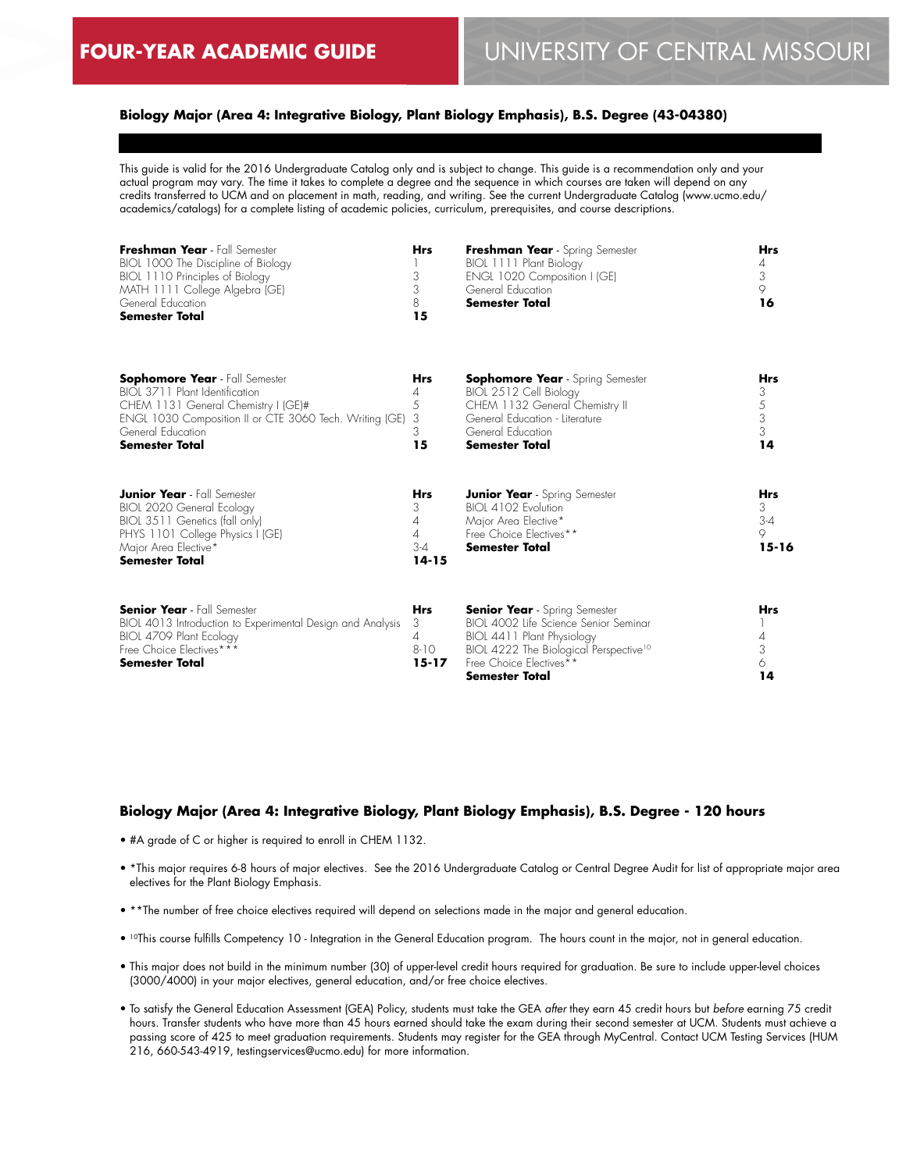6 **14**

### **Biology Major (Area 4: Integrative Biology, Plant Biology Emphasis), B.S. Degree (43-04380)**

This guide is valid for the 2016 Undergraduate Catalog only and is subject to change. This guide is a recommendation only and your actual program may vary. The time it takes to complete a degree and the sequence in which courses are taken will depend on any credits transferred to UCM and on placement in math, reading, and writing. See the current Undergraduate Catalog (www.ucmo.edu/ academics/catalogs) for a complete listing of academic policies, curriculum, prerequisites, and course descriptions.

| Freshman Year - Fall Semester<br>BIOL 1000 The Discipline of Biology<br>BIOL 1110 Principles of Biology<br>MATH 1111 College Algebra (GE)<br>General Education<br><b>Semester Total</b>                                 | <b>Hrs</b><br>3<br>3<br>8<br>15                 | Freshman Year - Spring Semester<br>BIOL 1111 Plant Biology<br>ENGL 1020 Composition I (GE)<br>General Education<br><b>Semester Total</b>                                            | <b>Hrs</b><br>4<br>3<br>$\circ$<br>16        |
|-------------------------------------------------------------------------------------------------------------------------------------------------------------------------------------------------------------------------|-------------------------------------------------|-------------------------------------------------------------------------------------------------------------------------------------------------------------------------------------|----------------------------------------------|
| <b>Sophomore Year</b> - Fall Semester<br>BIOL 3711 Plant Identification<br>CHEM 1131 General Chemistry I (GE)#<br>ENGL 1030 Composition II or CTE 3060 Tech. Writing (GE)<br>General Education<br><b>Semester Total</b> | Hrs<br>4<br>5<br>3<br>3<br>15                   | <b>Sophomore Year</b> - Spring Semester<br>BIOL 2512 Cell Biology<br>CHEM 1132 General Chemistry II<br>General Education - Literature<br>General Education<br><b>Semester Total</b> | <b>Hrs</b><br>3<br>5<br>$\frac{3}{3}$<br>14  |
| <b>Junior Year</b> - Fall Semester<br>BIOL 2020 General Ecology<br>BIOL 3511 Genetics (fall only)<br>PHYS 1101 College Physics I (GE)<br>Major Area Elective*<br><b>Semester Total</b>                                  | <b>Hrs</b><br>3<br>4<br>4<br>$3-4$<br>$14 - 15$ | <b>Junior Year</b> - Spring Semester<br>BIOL 4102 Evolution<br>Major Area Elective*<br>Free Choice Electives**<br><b>Semester Total</b>                                             | <b>Hrs</b><br>3<br>$3 - 4$<br>9<br>$15 - 16$ |
| <b>Senior Year</b> - Fall Semester<br>BIOL 4013 Introduction to Experimental Design and Analysis<br>BIOL 4709 Plant Ecology<br>Free Choice Electives***                                                                 | <b>Hrs</b><br>3<br>4<br>$8 - 10$                | <b>Senior Year</b> - Spring Semester<br>BIOL 4002 Life Science Senior Seminar<br>BIOL 4411 Plant Physiology<br>BIOL 4222 The Biological Perspective <sup>10</sup>                   | <b>Hrs</b><br>4<br>3                         |

**Biology Major (Area 4: Integrative Biology, Plant Biology Emphasis), B.S. Degree - 120 hours**

**15-17**

• #A grade of C or higher is required to enroll in CHEM 1132.

**Semester Total**

• \*This major requires 6-8 hours of major electives. See the 2016 Undergraduate Catalog or Central Degree Audit for list of appropriate major area electives for the Plant Biology Emphasis.

Free Choice Electives\*\* **Semester Total**

- \*\*The number of free choice electives required will depend on selections made in the major and general education.
- <sup>10</sup>This course fulfills Competency 10 Integration in the General Education program. The hours count in the major, not in general education.
- This major does not build in the minimum number (30) of upper-level credit hours required for graduation. Be sure to include upper-level choices (3000/4000) in your major electives, general education, and/or free choice electives.
- To satisfy the General Education Assessment (GEA) Policy, students must take the GEA *after* they earn 45 credit hours but *before* earning 75 credit hours. Transfer students who have more than 45 hours earned should take the exam during their second semester at UCM. Students must achieve a passing score of 425 to meet graduation requirements. Students may register for the GEA through MyCentral. Contact UCM Testing Services (HUM 216, 660-543-4919, testingservices@ucmo.edu) for more information.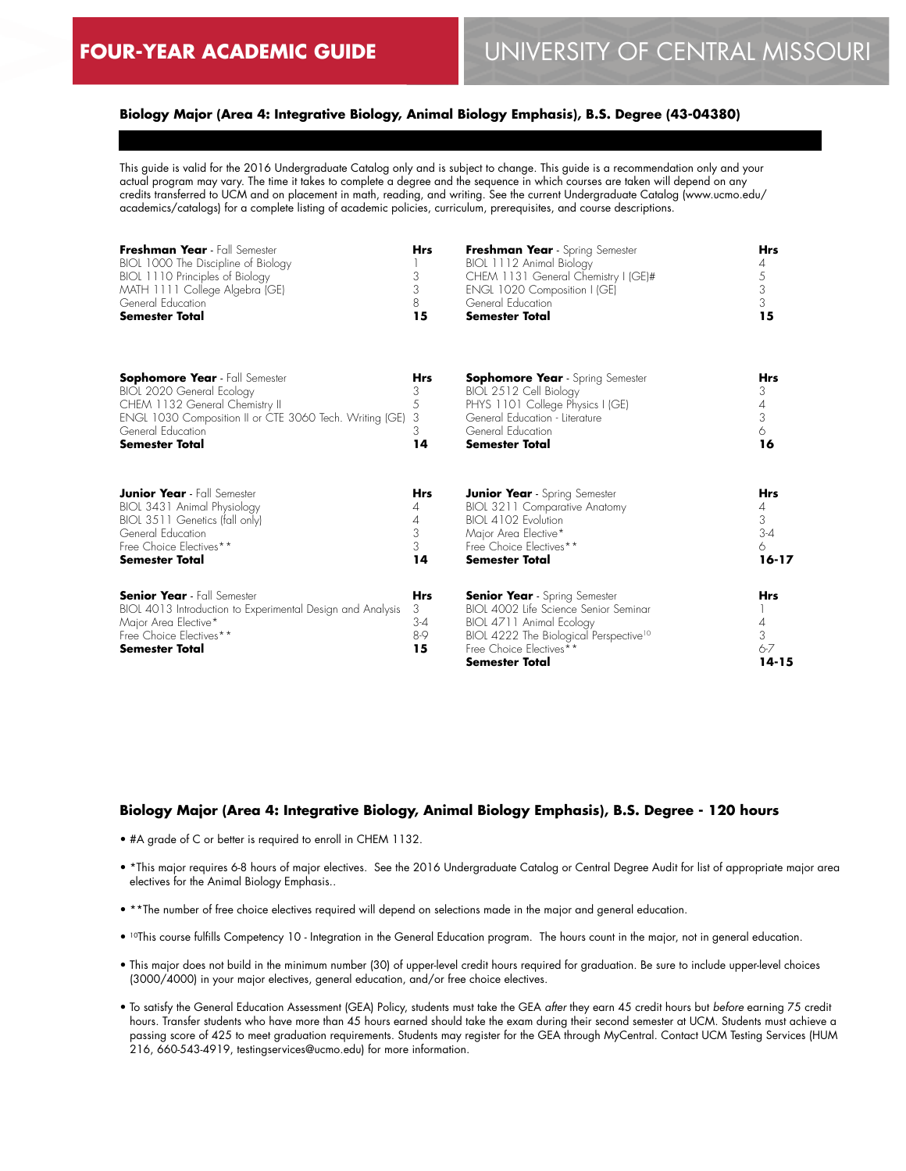### **Biology Major (Area 4: Integrative Biology, Animal Biology Emphasis), B.S. Degree (43-04380)**

This guide is valid for the 2016 Undergraduate Catalog only and is subject to change. This guide is a recommendation only and your actual program may vary. The time it takes to complete a degree and the sequence in which courses are taken will depend on any credits transferred to UCM and on placement in math, reading, and writing. See the current Undergraduate Catalog (www.ucmo.edu/ academics/catalogs) for a complete listing of academic policies, curriculum, prerequisites, and course descriptions.

| Freshman Year - Fall Semester<br>BIOL 1000 The Discipline of Biology<br>BIOL 1110 Principles of Biology<br>MATH 1111 College Algebra (GE)<br>General Education<br><b>Semester Total</b> | Hrs<br>3<br>3<br>8<br>15                | Freshman Year - Spring Semester<br>BIOL 1112 Animal Biology<br>CHEM 1131 General Chemistry I (GE)#<br>ENGL 1020 Composition I (GE)<br>General Education<br><b>Semester Total</b>                                    | <b>Hrs</b><br>4<br>5<br>3<br>3<br>15         |
|-----------------------------------------------------------------------------------------------------------------------------------------------------------------------------------------|-----------------------------------------|---------------------------------------------------------------------------------------------------------------------------------------------------------------------------------------------------------------------|----------------------------------------------|
| <b>Sophomore Year</b> - Fall Semester                                                                                                                                                   | Hrs                                     | <b>Sophomore Year</b> - Spring Semester                                                                                                                                                                             | <b>Hrs</b>                                   |
| BIOL 2020 General Ecology                                                                                                                                                               | 3                                       | BIOL 2512 Cell Biology                                                                                                                                                                                              | 3                                            |
| CHEM 1132 General Chemistry II                                                                                                                                                          | 5                                       | PHYS 1101 College Physics I (GE)                                                                                                                                                                                    | 4                                            |
| ENGL 1030 Composition II or CTE 3060 Tech. Writing (GE)                                                                                                                                 | 3                                       | General Education - Literature                                                                                                                                                                                      | 3                                            |
| General Education                                                                                                                                                                       | 3                                       | General Education                                                                                                                                                                                                   | 6                                            |
| <b>Semester Total</b>                                                                                                                                                                   | 14                                      | <b>Semester Total</b>                                                                                                                                                                                               | 16                                           |
| <b>Junior Year</b> - Fall Semester                                                                                                                                                      | <b>Hrs</b>                              | <b>Junior Year</b> - Spring Semester                                                                                                                                                                                | <b>Hrs</b>                                   |
| BIOL 3431 Animal Physiology                                                                                                                                                             | 4                                       | BIOL 3211 Comparative Anatomy                                                                                                                                                                                       | 4                                            |
| BIOL 3511 Genetics (fall only)                                                                                                                                                          | 4                                       | BIOL 4102 Evolution                                                                                                                                                                                                 | 3                                            |
| General Education                                                                                                                                                                       | 3                                       | Major Area Elective*                                                                                                                                                                                                | $3-4$                                        |
| Free Choice Electives**                                                                                                                                                                 | 3                                       | Free Choice Electives**                                                                                                                                                                                             | 6                                            |
| <b>Semester Total</b>                                                                                                                                                                   | 14                                      | Semester Total                                                                                                                                                                                                      | $16 - 17$                                    |
| <b>Senior Year</b> - Fall Semester<br>BIOL 4013 Introduction to Experimental Design and Analysis<br>Major Area Elective*<br>Free Choice Electives**<br>Semester Total                   | <b>Hrs</b><br>3<br>$3-4$<br>$8-9$<br>15 | <b>Senior Year</b> - Spring Semester<br>BIOL 4002 Life Science Senior Seminar<br>BIOL 4711 Animal Ecology<br>BIOL 4222 The Biological Perspective <sup>10</sup><br>Free Choice Electives**<br><b>Semester Total</b> | <b>Hrs</b><br>4<br>3<br>$6 - 7$<br>$14 - 15$ |

#### **Biology Major (Area 4: Integrative Biology, Animal Biology Emphasis), B.S. Degree - 120 hours**

- #A grade of C or better is required to enroll in CHEM 1132.
- \*This major requires 6-8 hours of major electives. See the 2016 Undergraduate Catalog or Central Degree Audit for list of appropriate major area electives for the Animal Biology Emphasis..
- \*\*The number of free choice electives required will depend on selections made in the major and general education.
- <sup>10</sup>This course fulfills Competency 10 Integration in the General Education program. The hours count in the major, not in general education.
- This major does not build in the minimum number (30) of upper-level credit hours required for graduation. Be sure to include upper-level choices (3000/4000) in your major electives, general education, and/or free choice electives.
- To satisfy the General Education Assessment (GEA) Policy, students must take the GEA *after* they earn 45 credit hours but *before* earning 75 credit hours. Transfer students who have more than 45 hours earned should take the exam during their second semester at UCM. Students must achieve a passing score of 425 to meet graduation requirements. Students may register for the GEA through MyCentral. Contact UCM Testing Services (HUM 216, 660-543-4919, testingservices@ucmo.edu) for more information.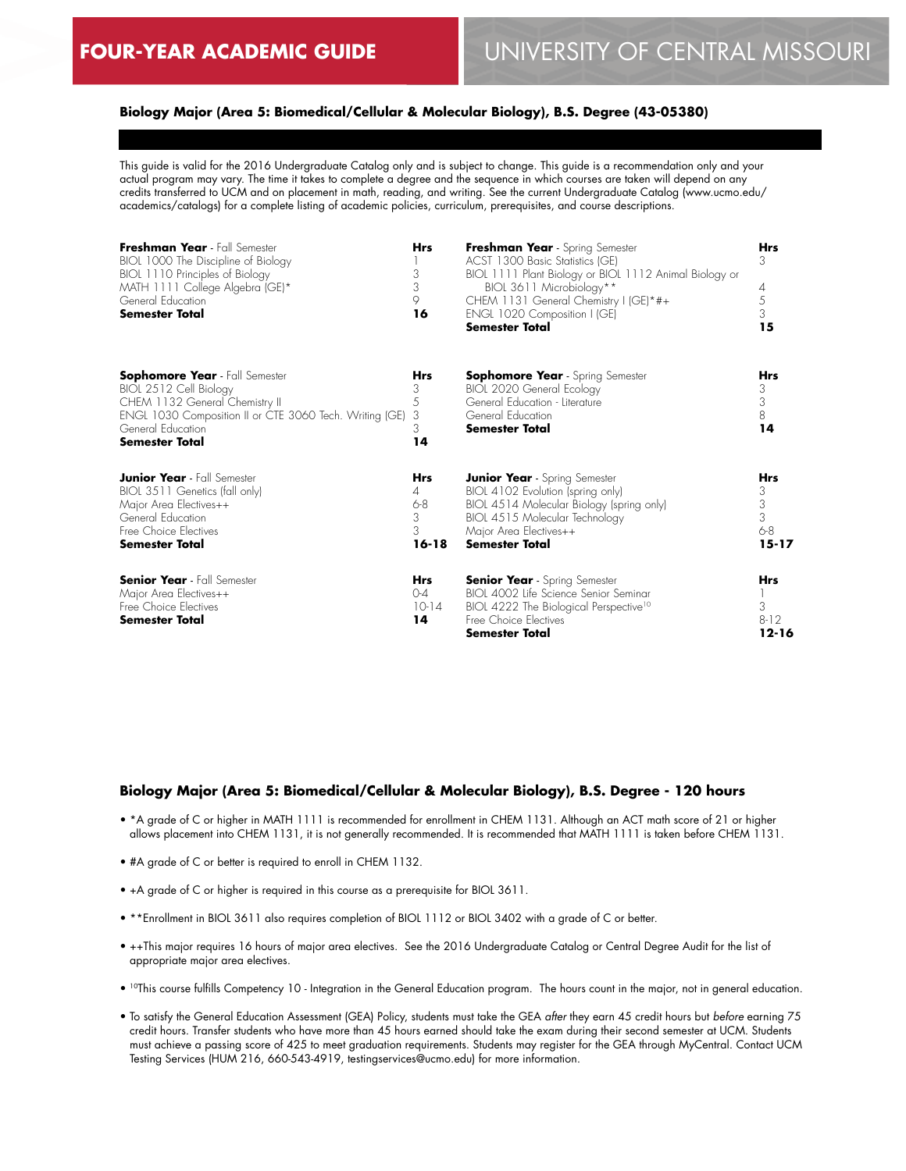### **Biology Major (Area 5: Biomedical/Cellular & Molecular Biology), B.S. Degree (43-05380)**

This guide is valid for the 2016 Undergraduate Catalog only and is subject to change. This guide is a recommendation only and your actual program may vary. The time it takes to complete a degree and the sequence in which courses are taken will depend on any credits transferred to UCM and on placement in math, reading, and writing. See the current Undergraduate Catalog (www.ucmo.edu/ academics/catalogs) for a complete listing of academic policies, curriculum, prerequisites, and course descriptions.

| Freshman Year - Fall Semester<br>BIOL 1000 The Discipline of Biology<br>BIOL 1110 Principles of Biology<br>MATH 1111 College Algebra (GE)*<br>General Education<br><b>Semester Total</b>                   | <b>Hrs</b><br>3<br>3<br>9<br>16                   | Freshman Year - Spring Semester<br>ACST 1300 Basic Statistics (GE)<br>BIOL 1111 Plant Biology or BIOL 1112 Animal Biology or<br>BIOL 3611 Microbiology**<br>CHEM 1131 General Chemistry I (GE)*#+<br>ENGL 1020 Composition I (GE)<br><b>Semester Total</b> | <b>Hrs</b><br>3<br>4<br>5<br>3<br>15              |
|------------------------------------------------------------------------------------------------------------------------------------------------------------------------------------------------------------|---------------------------------------------------|------------------------------------------------------------------------------------------------------------------------------------------------------------------------------------------------------------------------------------------------------------|---------------------------------------------------|
| <b>Sophomore Year</b> - Fall Semester<br>BIOL 2512 Cell Biology<br>CHEM 1132 General Chemistry II<br>ENGL 1030 Composition II or CTE 3060 Tech. Writing (GE)<br>General Education<br><b>Semester Total</b> | Hrs<br>3<br>5<br>3<br>3<br>14                     | <b>Sophomore Year</b> - Spring Semester<br>BIOL 2020 General Ecology<br>General Education - Literature<br>General Education<br>Semester Total                                                                                                              | Hrs<br>3<br>$\sqrt{3}$<br>$8\,$<br>14             |
| <b>Junior Year</b> - Fall Semester<br>BIOL 3511 Genetics (fall only)<br>Major Area Electives++<br>General Education<br>Free Choice Electives<br><b>Semester Total</b>                                      | <b>Hrs</b><br>4<br>$6 - 8$<br>3<br>3<br>$16 - 18$ | <b>Junior Year</b> - Spring Semester<br>BIOL 4102 Evolution (spring only)<br>BIOL 4514 Molecular Biology (spring only)<br>BIOL 4515 Molecular Technology<br>Major Area Electives++<br><b>Semester Total</b>                                                | <b>Hrs</b><br>3<br>3<br>3<br>$6 - 8$<br>$15 - 17$ |
| <b>Senior Year</b> - Fall Semester<br>Major Area Electives++<br>Free Choice Electives<br><b>Semester Total</b>                                                                                             | <b>Hrs</b><br>$O-4$<br>$10-14$<br>14              | <b>Senior Year</b> - Spring Semester<br>BIOL 4002 Life Science Senior Seminar<br>BIOL 4222 The Biological Perspective <sup>10</sup><br>Free Choice Electives<br><b>Semester Total</b>                                                                      | <b>Hrs</b><br>3<br>$8 - 12$<br>$12 - 16$          |

#### **Biology Major (Area 5: Biomedical/Cellular & Molecular Biology), B.S. Degree - 120 hours**

- \*A grade of C or higher in MATH 1111 is recommended for enrollment in CHEM 1131. Although an ACT math score of 21 or higher allows placement into CHEM 1131, it is not generally recommended. It is recommended that MATH 1111 is taken before CHEM 1131.
- #A grade of C or better is required to enroll in CHEM 1132.
- +A grade of C or higher is required in this course as a prerequisite for BIOL 3611.
- \*\*Enrollment in BIOL 3611 also requires completion of BIOL 1112 or BIOL 3402 with a grade of C or better.
- ++This major requires 16 hours of major area electives. See the 2016 Undergraduate Catalog or Central Degree Audit for the list of appropriate major area electives.
- 10This course fulfills Competency 10 Integration in the General Education program. The hours count in the major, not in general education.
- To satisfy the General Education Assessment (GEA) Policy, students must take the GEA *after* they earn 45 credit hours but *before* earning 75 credit hours. Transfer students who have more than 45 hours earned should take the exam during their second semester at UCM. Students must achieve a passing score of 425 to meet graduation requirements. Students may register for the GEA through MyCentral. Contact UCM Testing Services (HUM 216, 660-543-4919, testingservices@ucmo.edu) for more information.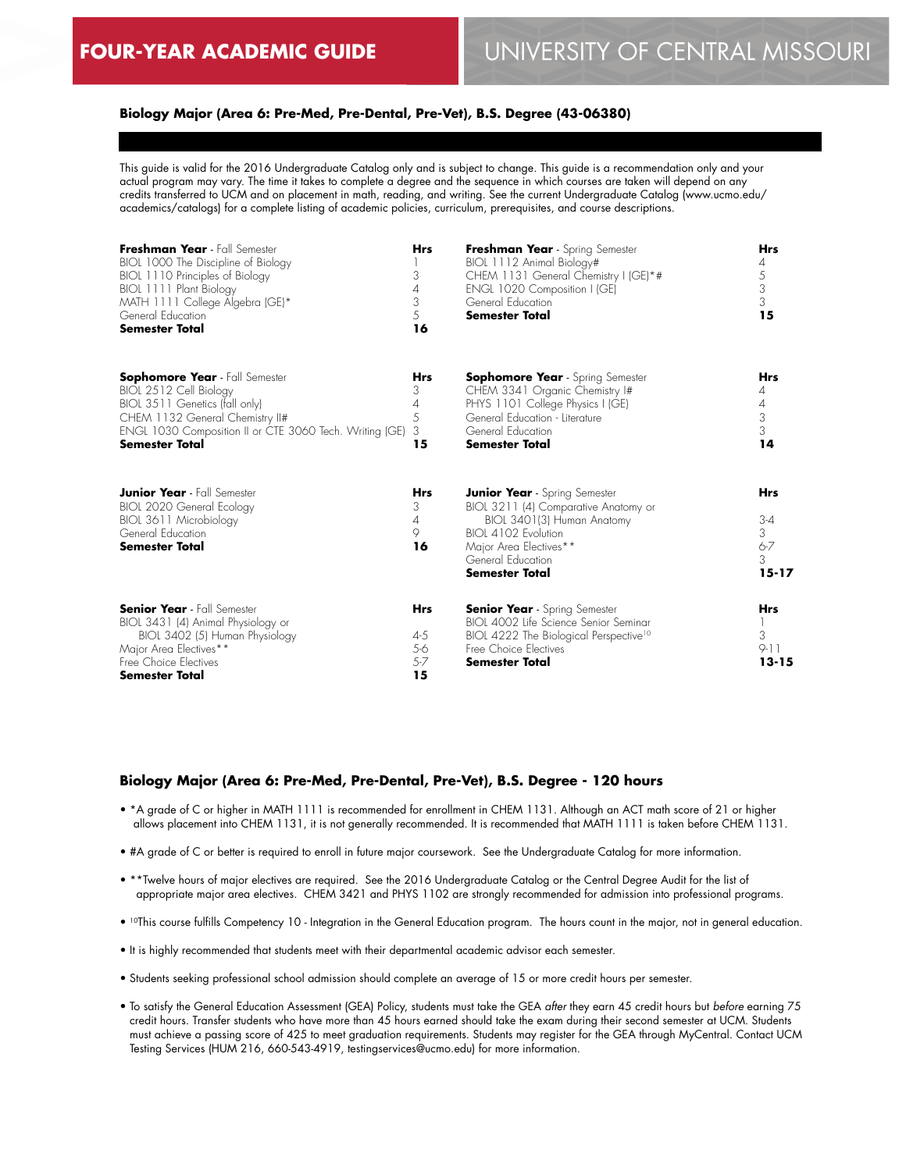### **Biology Major (Area 6: Pre-Med, Pre-Dental, Pre-Vet), B.S. Degree (43-06380)**

This guide is valid for the 2016 Undergraduate Catalog only and is subject to change. This guide is a recommendation only and your actual program may vary. The time it takes to complete a degree and the sequence in which courses are taken will depend on any credits transferred to UCM and on placement in math, reading, and writing. See the current Undergraduate Catalog (www.ucmo.edu/ academics/catalogs) for a complete listing of academic policies, curriculum, prerequisites, and course descriptions.

| Freshman Year - Fall Semester<br>BIOL 1000 The Discipline of Biology<br>BIOL 1110 Principles of Biology<br>BIOL 1111 Plant Biology<br>MATH 1111 College Algebra (GE)*<br>General Education<br><b>Semester Total</b>      | <b>Hrs</b><br>3<br>4<br>3<br>5<br>16      | Freshman Year - Spring Semester<br>BIOL 1112 Animal Biology#<br>CHEM 1131 General Chemistry I (GE)*#<br>ENGL 1020 Composition I (GE)<br>General Education<br><b>Semester Total</b>                        | <b>Hrs</b><br>4<br>5<br>3<br>$\mathfrak{Z}$<br>15       |
|--------------------------------------------------------------------------------------------------------------------------------------------------------------------------------------------------------------------------|-------------------------------------------|-----------------------------------------------------------------------------------------------------------------------------------------------------------------------------------------------------------|---------------------------------------------------------|
| <b>Sophomore Year</b> - Fall Semester<br>BIOL 2512 Cell Biology<br>BIOL 3511 Genetics (fall only)<br>CHEM 1132 General Chemistry II#<br>ENGL 1030 Composition II or CTE 3060 Tech. Writing (GE)<br><b>Semester Total</b> | <b>Hrs</b><br>3<br>4<br>5<br>3<br>15      | <b>Sophomore Year</b> - Spring Semester<br>CHEM 3341 Organic Chemistry I#<br>PHYS 1101 College Physics I (GE)<br>General Education - Literature<br>General Education<br><b>Semester Total</b>             | <b>Hrs</b><br>4<br>4<br>3<br>3<br>14                    |
| <b>Junior Year</b> - Fall Semester<br><b>BIOL 2020 General Ecology</b><br>BIOL 3611 Microbiology<br>General Education<br><b>Semester Total</b>                                                                           | <b>Hrs</b><br>3<br>4<br>9<br>16           | <b>Junior Year</b> - Spring Semester<br>BIOL 3211 (4) Comparative Anatomy or<br>BIOL 3401(3) Human Anatomy<br>BIOI 4102 Evolution<br>Major Area Electives**<br>General Education<br><b>Semester Total</b> | <b>Hrs</b><br>$3 - 4$<br>3<br>$6 - 7$<br>3<br>$15 - 17$ |
| <b>Senior Year</b> - Fall Semester<br>BIOL 3431 (4) Animal Physiology or<br>BIOL 3402 (5) Human Physiology<br>Major Area Electives**<br>Free Choice Electives<br><b>Semester Total</b>                                   | <b>Hrs</b><br>4-5<br>5-6<br>$5 - 7$<br>15 | <b>Senior Year</b> - Spring Semester<br>BIOL 4002 Life Science Senior Seminar<br>BIOL 4222 The Biological Perspective <sup>10</sup><br>Free Choice Electives<br><b>Semester Total</b>                     | <b>Hrs</b><br>3<br>$9 - 11$<br>$13 - 15$                |

### **Biology Major (Area 6: Pre-Med, Pre-Dental, Pre-Vet), B.S. Degree - 120 hours**

- \*A grade of C or higher in MATH 1111 is recommended for enrollment in CHEM 1131. Although an ACT math score of 21 or higher allows placement into CHEM 1131, it is not generally recommended. It is recommended that MATH 1111 is taken before CHEM 1131.
- #A grade of C or better is required to enroll in future major coursework. See the Undergraduate Catalog for more information.
- \*\*Twelve hours of major electives are required. See the 2016 Undergraduate Catalog or the Central Degree Audit for the list of appropriate major area electives. CHEM 3421 and PHYS 1102 are strongly recommended for admission into professional programs.
- 10This course fulfills Competency 10 Integration in the General Education program. The hours count in the major, not in general education.
- It is highly recommended that students meet with their departmental academic advisor each semester.
- Students seeking professional school admission should complete an average of 15 or more credit hours per semester.
- To satisfy the General Education Assessment (GEA) Policy, students must take the GEA *after* they earn 45 credit hours but *before* earning 75 credit hours. Transfer students who have more than 45 hours earned should take the exam during their second semester at UCM. Students must achieve a passing score of 425 to meet graduation requirements. Students may register for the GEA through MyCentral. Contact UCM Testing Services (HUM 216, 660-543-4919, testingservices@ucmo.edu) for more information.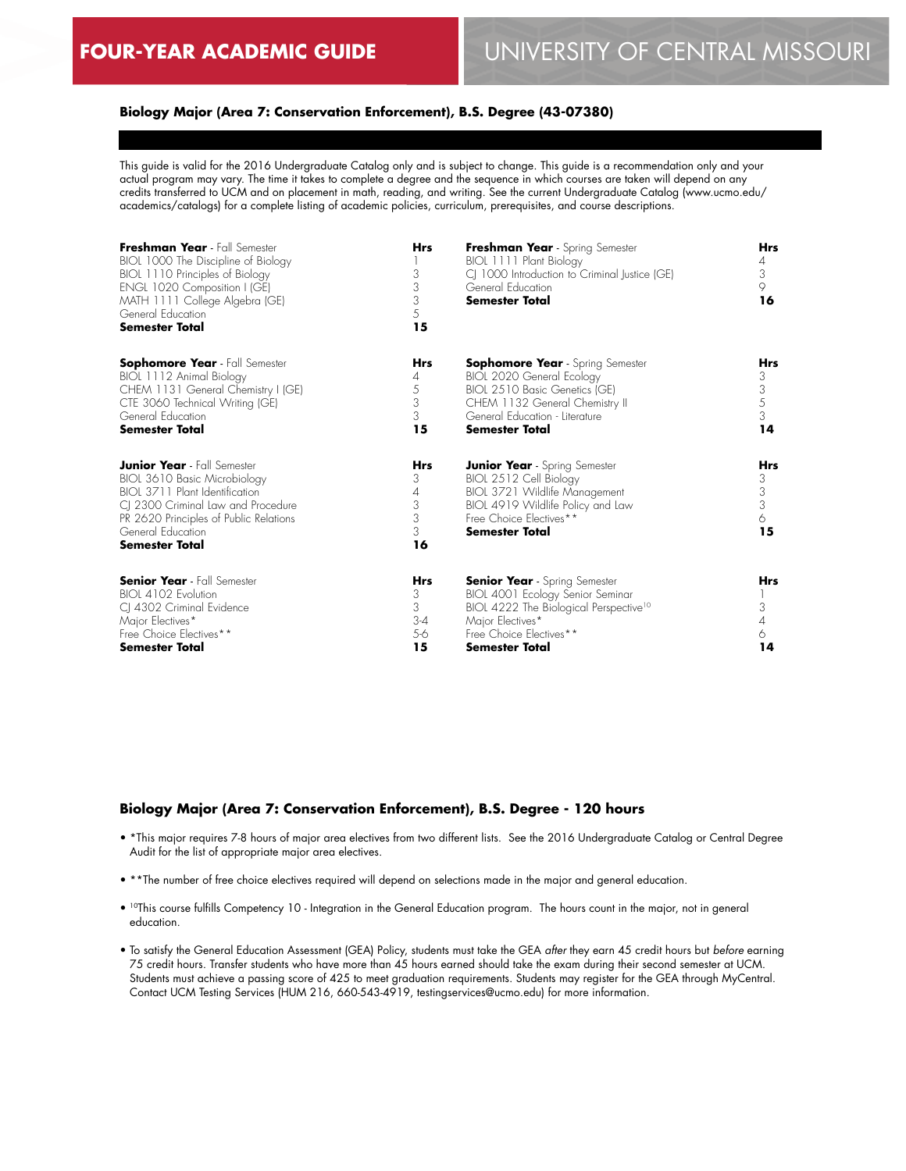### **Biology Major (Area 7: Conservation Enforcement), B.S. Degree (43-07380)**

This guide is valid for the 2016 Undergraduate Catalog only and is subject to change. This guide is a recommendation only and your actual program may vary. The time it takes to complete a degree and the sequence in which courses are taken will depend on any credits transferred to UCM and on placement in math, reading, and writing. See the current Undergraduate Catalog (www.ucmo.edu/ academics/catalogs) for a complete listing of academic policies, curriculum, prerequisites, and course descriptions.

| Freshman Year - Fall Semester<br>BIOL 1000 The Discipline of Biology<br>BIOL 1110 Principles of Biology<br>ENGL 1020 Composition I (GE)<br>MATH 1111 College Algebra (GE)<br>General Education<br><b>Semester Total</b>            | <b>Hrs</b><br>3<br>3<br>3<br>5<br>15         | Freshman Year - Spring Semester<br>BIOL 1111 Plant Biology<br>CJ 1000 Introduction to Criminal Justice (GE)<br>General Education<br><b>Semester Total</b>                                              | <b>Hrs</b><br>4<br>3<br>9<br>16      |
|------------------------------------------------------------------------------------------------------------------------------------------------------------------------------------------------------------------------------------|----------------------------------------------|--------------------------------------------------------------------------------------------------------------------------------------------------------------------------------------------------------|--------------------------------------|
| <b>Sophomore Year</b> - Fall Semester<br>BIOL 1112 Animal Biology<br>CHEM 1131 General Chemistry I (GE)<br>CTE 3060 Technical Writing (GE)<br>General Education<br><b>Semester Total</b>                                           | <b>Hrs</b><br>4<br>5<br>3<br>3<br>15         | <b>Sophomore Year</b> - Spring Semester<br>BIOL 2020 General Ecology<br>BIOL 2510 Basic Genetics (GE)<br>CHEM 1132 General Chemistry II<br>General Education - Literature<br><b>Semester Total</b>     | Hrs<br>3<br>3<br>5<br>3<br>14        |
| <b>Junior Year</b> - Fall Semester<br>BIOL 3610 Basic Microbiology<br>BIOI 3711 Plant Identification<br>CJ 2300 Criminal Law and Procedure<br>PR 2620 Principles of Public Relations<br>General Education<br><b>Semester Total</b> | <b>Hrs</b><br>3<br>4<br>3<br>3<br>3<br>16    | <b>Junior Year</b> - Spring Semester<br>BIOL 2512 Cell Biology<br>BIOL 3721 Wildlife Management<br>BIOL 4919 Wildlife Policy and Law<br>Free Choice Electives**<br><b>Semester Total</b>               | <b>Hrs</b><br>3<br>3<br>3<br>6<br>15 |
| <b>Senior Year</b> - Fall Semester<br>BIOL 4102 Evolution<br>CI 4302 Criminal Evidence<br>Major Electives*<br>Free Choice Electives**<br><b>Semester Total</b>                                                                     | <b>Hrs</b><br>3<br>3<br>$3 - 4$<br>5-6<br>15 | <b>Senior Year</b> - Spring Semester<br>BIOL 4001 Ecology Senior Seminar<br>BIOL 4222 The Biological Perspective <sup>10</sup><br>Major Electives*<br>Free Choice Electives**<br><b>Semester Total</b> | <b>Hrs</b><br>3<br>4<br>6<br>14      |

#### **Biology Major (Area 7: Conservation Enforcement), B.S. Degree - 120 hours**

- \*This major requires 7-8 hours of major area electives from two different lists. See the 2016 Undergraduate Catalog or Central Degree Audit for the list of appropriate major area electives.
- \*\*The number of free choice electives required will depend on selections made in the major and general education.
- 10This course fulfills Competency 10 Integration in the General Education program. The hours count in the major, not in general education.
- To satisfy the General Education Assessment (GEA) Policy, students must take the GEA *after* they earn 45 credit hours but *before* earning 75 credit hours. Transfer students who have more than 45 hours earned should take the exam during their second semester at UCM. Students must achieve a passing score of 425 to meet graduation requirements. Students may register for the GEA through MyCentral. Contact UCM Testing Services (HUM 216, 660-543-4919, testingservices@ucmo.edu) for more information.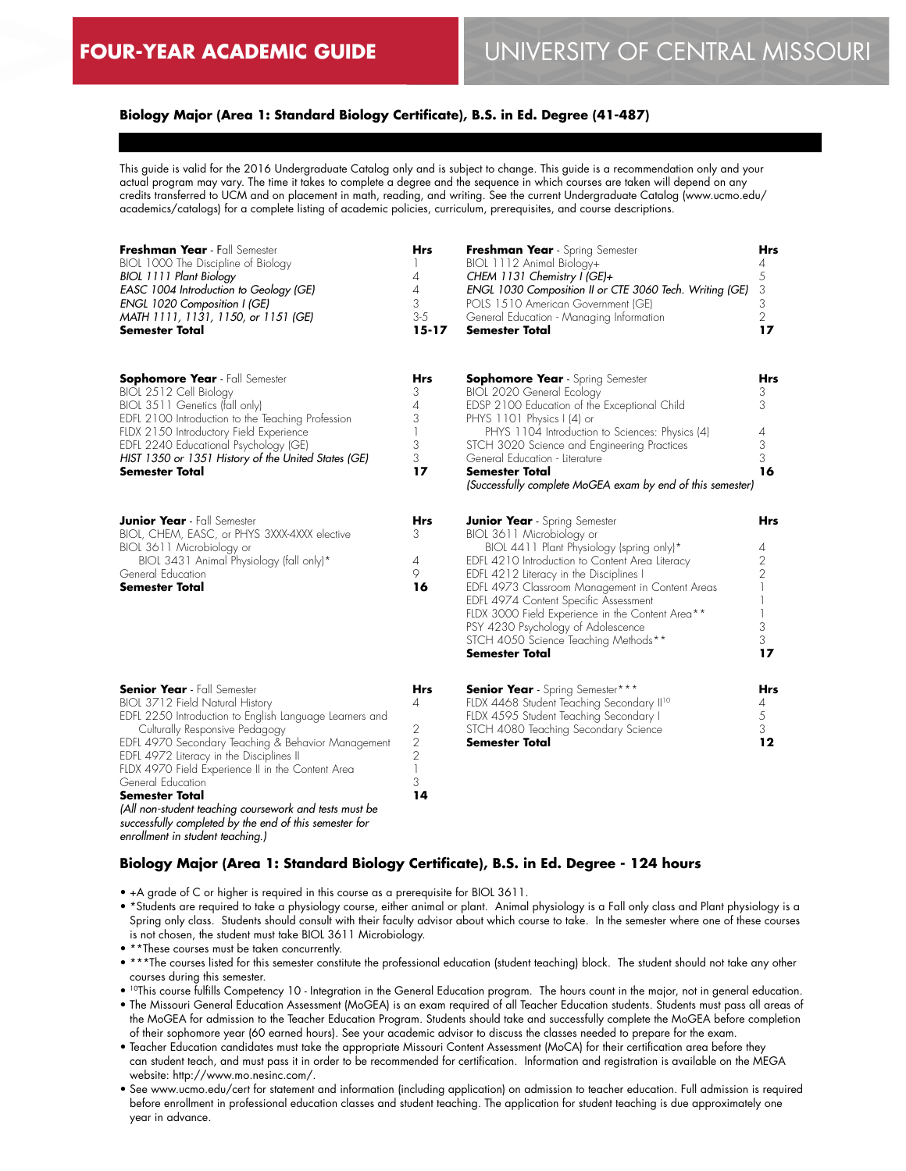### **Biology Major (Area 1: Standard Biology Certificate), B.S. in Ed. Degree (41-487)**

This guide is valid for the 2016 Undergraduate Catalog only and is subject to change. This guide is a recommendation only and your actual program may vary. The time it takes to complete a degree and the sequence in which courses are taken will depend on any credits transferred to UCM and on placement in math, reading, and writing. See the current Undergraduate Catalog (www.ucmo.edu/ academics/catalogs) for a complete listing of academic policies, curriculum, prerequisites, and course descriptions.

| Freshman Year - Fall Semester<br>BIOL 1000 The Discipline of Biology<br>BIOL 1111 Plant Biology<br>EASC 1004 Introduction to Geology (GE)<br>ENGL 1020 Composition I (GE)<br>MATH 1111, 1131, 1150, or 1151 (GE)<br><b>Semester Total</b>                                                                                                                                                                                                                                                   | Hrs<br>$\mathbf{I}$<br>4<br>4<br>3<br>$3 - 5$<br>$15 - 17$                          | Freshman Year - Spring Semester<br>BIOL 1112 Animal Biology+<br>CHEM 1131 Chemistry I (GE)+<br>ENGL 1030 Composition II or CTE 3060 Tech. Writing (GE)<br>POLS 1510 American Government (GE)<br>General Education - Managing Information<br><b>Semester Total</b>                                                                                                                                                                                                   | Hrs<br>$\overline{4}$<br>5<br>3<br>3<br>2<br>17         |
|---------------------------------------------------------------------------------------------------------------------------------------------------------------------------------------------------------------------------------------------------------------------------------------------------------------------------------------------------------------------------------------------------------------------------------------------------------------------------------------------|-------------------------------------------------------------------------------------|---------------------------------------------------------------------------------------------------------------------------------------------------------------------------------------------------------------------------------------------------------------------------------------------------------------------------------------------------------------------------------------------------------------------------------------------------------------------|---------------------------------------------------------|
| <b>Sophomore Year</b> - Fall Semester<br>BIOL 2512 Cell Biology<br>BIOL 3511 Genetics (fall only)<br>EDFL 2100 Introduction to the Teaching Profession<br>FLDX 2150 Introductory Field Experience<br>EDFL 2240 Educational Psychology (GE)<br>HIST 1350 or 1351 History of the United States (GE)<br><b>Semester Total</b>                                                                                                                                                                  | <b>Hrs</b><br>3<br>4<br>3<br>1<br>3<br>3<br>17                                      | <b>Sophomore Year</b> - Spring Semester<br>BIOL 2020 General Ecology<br>EDSP 2100 Education of the Exceptional Child<br>PHYS 1101 Physics I (4) or<br>PHYS 1104 Introduction to Sciences: Physics (4)<br>STCH 3020 Science and Engineering Practices<br>General Education - Literature<br><b>Semester Total</b><br>(Successfully complete MoGEA exam by end of this semester)                                                                                       | <b>Hrs</b><br>3.<br>3<br>4<br>$\mathfrak{Z}$<br>3<br>16 |
| <b>Junior Year</b> - Fall Semester<br>BIOL, CHEM, EASC, or PHYS 3XXX-4XXX elective<br>BIOL 3611 Microbiology or<br>BIOL 3431 Animal Physiology (fall only)*<br>General Education<br><b>Semester Total</b>                                                                                                                                                                                                                                                                                   | Hrs<br>3<br>$\overline{4}$<br>9<br>16                                               | <b>Junior Year</b> - Spring Semester<br>BIOL 3611 Microbiology or<br>BIOL 4411 Plant Physiology (spring only)*<br>EDFL 4210 Introduction to Content Area Literacy<br>EDFL 4212 Literacy in the Disciplines I<br>EDFL 4973 Classroom Management in Content Areas<br>EDFL 4974 Content Specific Assessment<br>FLDX 3000 Field Experience in the Content Area**<br>PSY 4230 Psychology of Adolescence<br>STCH 4050 Science Teaching Methods**<br><b>Semester Total</b> | Hrs<br>4<br>2<br>$\overline{2}$<br>3<br>3<br>17         |
| <b>Senior Year</b> - Fall Semester<br>BIOL 3712 Field Natural History<br>EDFL 2250 Introduction to English Language Learners and<br>Culturally Responsive Pedagogy<br>EDFL 4970 Secondary Teaching & Behavior Management<br>EDFL 4972 Literacy in the Disciplines II<br>FLDX 4970 Field Experience II in the Content Area<br>General Education<br><b>Semester Total</b><br>(All non-student teaching coursework and tests must be<br>successfully completed by the end of this semester for | <b>Hrs</b><br>4<br>2<br>$\overline{2}$<br>$\overline{2}$<br>$\mathbb{I}$<br>3<br>14 | <b>Senior Year</b> - Spring Semester***<br>FLDX 4468 Student Teaching Secondary II <sup>10</sup><br>FLDX 4595 Student Teaching Secondary I<br>STCH 4080 Teaching Secondary Science<br><b>Semester Total</b>                                                                                                                                                                                                                                                         | Hrs<br>4<br>5<br>3<br>12                                |

### **Biology Major (Area 1: Standard Biology Certificate), B.S. in Ed. Degree - 124 hours**

• +A grade of C or higher is required in this course as a prerequisite for BIOL 3611.

- \*Students are required to take a physiology course, either animal or plant. Animal physiology is a Fall only class and Plant physiology is a Spring only class. Students should consult with their faculty advisor about which course to take. In the semester where one of these courses is not chosen, the student must take BIOL 3611 Microbiology.
- \*\*These courses must be taken concurrently.

*enrollment in student teaching.)*

- \*\*\*The courses listed for this semester constitute the professional education (student teaching) block. The student should not take any other courses during this semester.
- 10This course fulfills Competency 10 Integration in the General Education program. The hours count in the major, not in general education.
- The Missouri General Education Assessment (MoGEA) is an exam required of all Teacher Education students. Students must pass all areas of the MoGEA for admission to the Teacher Education Program. Students should take and successfully complete the MoGEA before completion of their sophomore year (60 earned hours). See your academic advisor to discuss the classes needed to prepare for the exam.
- Teacher Education candidates must take the appropriate Missouri Content Assessment (MoCA) for their certification area before they can student teach, and must pass it in order to be recommended for certification. Information and registration is available on the MEGA website: http://www.mo.nesinc.com/.
- See www.ucmo.edu/cert for statement and information (including application) on admission to teacher education. Full admission is required before enrollment in professional education classes and student teaching. The application for student teaching is due approximately one year in advance.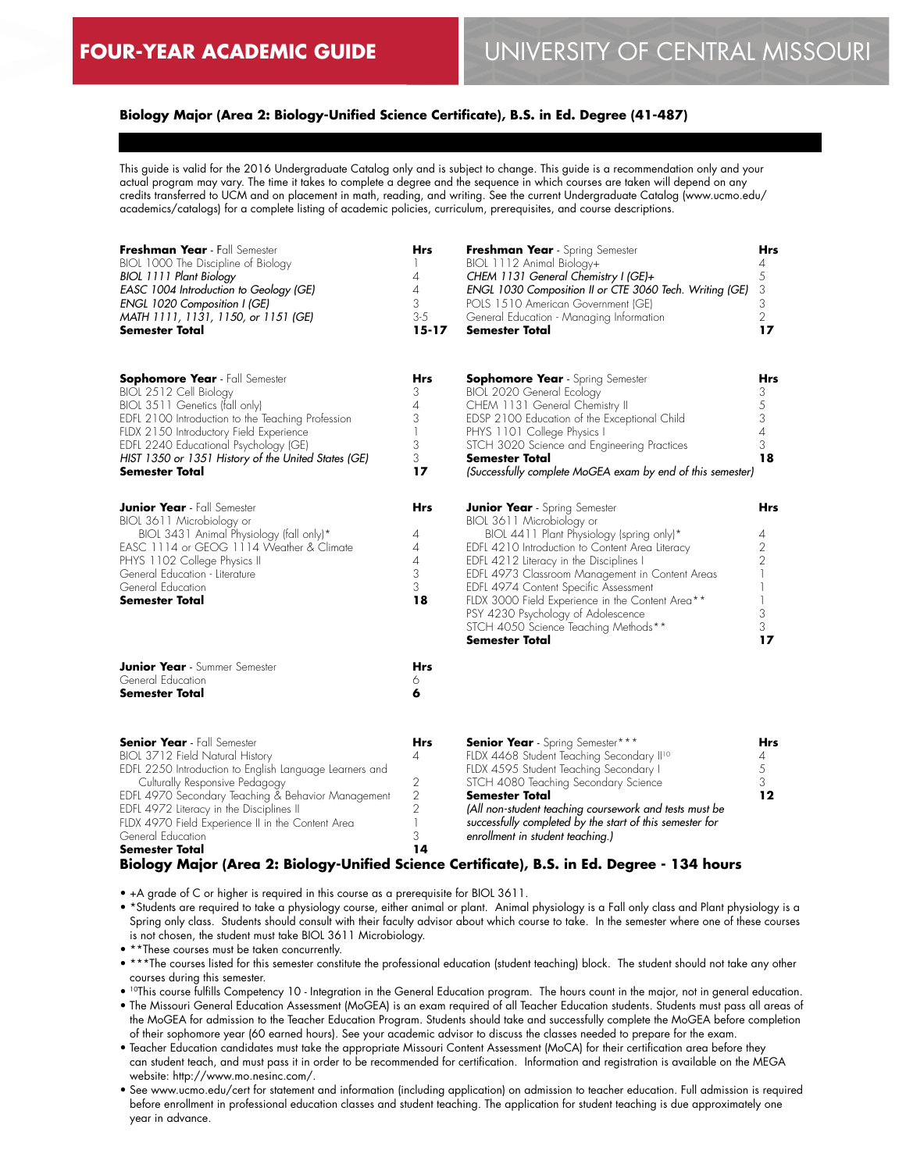### **Biology Major (Area 2: Biology-Unified Science Certificate), B.S. in Ed. Degree (41-487)**

This guide is valid for the 2016 Undergraduate Catalog only and is subject to change. This guide is a recommendation only and your actual program may vary. The time it takes to complete a degree and the sequence in which courses are taken will depend on any credits transferred to UCM and on placement in math, reading, and writing. See the current Undergraduate Catalog (www.ucmo.edu/ academics/catalogs) for a complete listing of academic policies, curriculum, prerequisites, and course descriptions.

| Freshman Year - Fall Semester<br>BIOL 1000 The Discipline of Biology<br><b>BIOL 1111 Plant Biology</b><br>EASC 1004 Introduction to Geology (GE)<br>ENGL 1020 Composition I (GE)<br>MATH 1111, 1131, 1150, or 1151 (GE)<br><b>Semester Total</b>                                                                                                                 | Hrs<br>1<br>4<br>$\overline{A}$<br>3<br>$3 - 5$<br>$15 - 17$                      | Freshman Year - Spring Semester<br>BIOL 1112 Animal Biology+<br>CHEM 1131 General Chemistry I (GE)+<br>ENGL 1030 Composition II or CTE 3060 Tech. Writing (GE)<br>POLS 1510 American Government (GE)<br>General Education - Managing Information<br><b>Semester Total</b>                                                                                                                                                                                           | Hrs<br>4<br>5<br>3<br>3<br>$\overline{2}$<br>17              |
|------------------------------------------------------------------------------------------------------------------------------------------------------------------------------------------------------------------------------------------------------------------------------------------------------------------------------------------------------------------|-----------------------------------------------------------------------------------|---------------------------------------------------------------------------------------------------------------------------------------------------------------------------------------------------------------------------------------------------------------------------------------------------------------------------------------------------------------------------------------------------------------------------------------------------------------------|--------------------------------------------------------------|
| <b>Sophomore Year</b> - Fall Semester<br>BIOL 2512 Cell Biology<br>BIOL 3511 Genetics (fall only)<br>EDFL 2100 Introduction to the Teaching Profession<br>FLDX 2150 Introductory Field Experience<br>EDFL 2240 Educational Psychology (GE)<br>HIST 1350 or 1351 History of the United States (GE)<br>Semester Total                                              | Hrs<br>3<br>$\overline{4}$<br>3<br>$\mathbb{I}$<br>3<br>3<br>17                   | <b>Sophomore Year</b> - Spring Semester<br><b>BIOL 2020 General Ecology</b><br>CHEM 1131 General Chemistry II<br>EDSP 2100 Education of the Exceptional Child<br>PHYS 1101 College Physics I<br>STCH 3020 Science and Engineering Practices<br>Semester Total<br>(Successfully complete MoGEA exam by end of this semester)                                                                                                                                         | Hrs<br>3<br>5<br>3<br>$\sqrt{4}$<br>3<br>18                  |
| <b>Junior Year</b> - Fall Semester<br>BIOL 3611 Microbiology or<br>BIOL 3431 Animal Physiology (fall only)*<br>EASC 1114 or GEOG 1114 Weather & Climate<br>PHYS 1102 College Physics II<br>General Education - Literature<br>General Education<br><b>Semester Total</b>                                                                                          | Hrs<br>4<br>$\overline{\mathcal{A}}$<br>$\overline{4}$<br>3<br>3<br>18            | <b>Junior Year</b> - Spring Semester<br>BIOL 3611 Microbiology or<br>BIOL 4411 Plant Physiology (spring only)*<br>EDFL 4210 Introduction to Content Area Literacy<br>EDFL 4212 Literacy in the Disciplines I<br>EDFL 4973 Classroom Management in Content Areas<br>EDFL 4974 Content Specific Assessment<br>FLDX 3000 Field Experience in the Content Area**<br>PSY 4230 Psychology of Adolescence<br>STCH 4050 Science Teaching Methods**<br><b>Semester Total</b> | Hrs<br>4<br>$\overline{2}$<br>$\overline{2}$<br>3<br>3<br>17 |
| <b>Junior Year</b> - Summer Semester<br>General Education<br><b>Semester Total</b>                                                                                                                                                                                                                                                                               | Hrs<br>6<br>6                                                                     |                                                                                                                                                                                                                                                                                                                                                                                                                                                                     |                                                              |
| <b>Senior Year</b> - Fall Semester<br>BIOL 3712 Field Natural History<br>EDFL 2250 Introduction to English Language Learners and<br>Culturally Responsive Pedagogy<br>EDFL 4970 Secondary Teaching & Behavior Management<br>EDFL 4972 Literacy in the Disciplines II<br>FLDX 4970 Field Experience II in the Content Area<br>General Education<br>Semester Total | Hrs<br>4<br>$\sqrt{2}$<br>$\sqrt{2}$<br>$\overline{2}$<br>$\mathbb{I}$<br>3<br>14 | <b>Senior Year</b> - Spring Semester***<br>FLDX 4468 Student Teaching Secondary II <sup>10</sup><br>FLDX 4595 Student Teaching Secondary I<br>STCH 4080 Teaching Secondary Science<br><b>Semester Total</b><br>(All non-student teaching coursework and tests must be<br>successfully completed by the start of this semester for<br>enrollment in student teaching.)                                                                                               | Hrs<br>4<br>5<br>3<br>12                                     |

### **Biology Major (Area 2: Biology-Unified Science Certificate), B.S. in Ed. Degree - 134 hours**

• +A grade of C or higher is required in this course as a prerequisite for BIOL 3611.

• \*Students are required to take a physiology course, either animal or plant. Animal physiology is a Fall only class and Plant physiology is a Spring only class. Students should consult with their faculty advisor about which course to take. In the semester where one of these courses is not chosen, the student must take BIOL 3611 Microbiology.

• \*\*These courses must be taken concurrently.

- \*\*\*The courses listed for this semester constitute the professional education (student teaching) block. The student should not take any other courses during this semester.
- 10This course fulfills Competency 10 Integration in the General Education program. The hours count in the major, not in general education.
- The Missouri General Education Assessment (MoGEA) is an exam required of all Teacher Education students. Students must pass all areas of the MoGEA for admission to the Teacher Education Program. Students should take and successfully complete the MoGEA before completion of their sophomore year (60 earned hours). See your academic advisor to discuss the classes needed to prepare for the exam.
- Teacher Education candidates must take the appropriate Missouri Content Assessment (MoCA) for their certification area before they can student teach, and must pass it in order to be recommended for certification. Information and registration is available on the MEGA website: http://www.mo.nesinc.com/.
- See www.ucmo.edu/cert for statement and information (including application) on admission to teacher education. Full admission is required before enrollment in professional education classes and student teaching. The application for student teaching is due approximately one year in advance.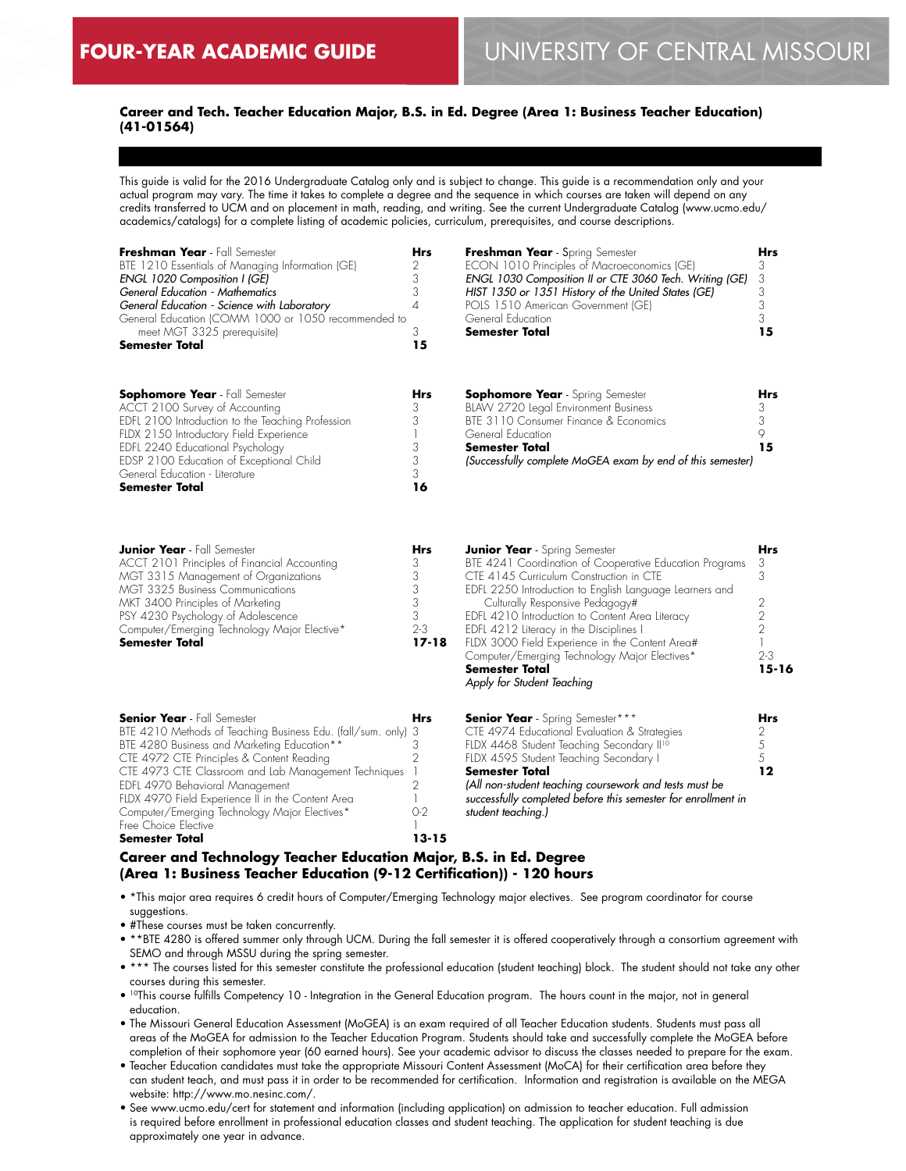$\overline{a}$ 

### **Career and Tech. Teacher Education Major, B.S. in Ed. Degree (Area 1: Business Teacher Education) (41-01564)**

This guide is valid for the 2016 Undergraduate Catalog only and is subject to change. This guide is a recommendation only and your actual program may vary. The time it takes to complete a degree and the sequence in which courses are taken will depend on any credits transferred to UCM and on placement in math, reading, and writing. See the current Undergraduate Catalog (www.ucmo.edu/ academics/catalogs) for a complete listing of academic policies, curriculum, prerequisites, and course descriptions.

| Freshman Year - Fall Semester<br>BTE 1210 Essentials of Managing Information (GE)<br>ENGL 1020 Composition I (GE)<br>General Education - Mathematics<br>General Education - Science with Laboratory<br>General Education (COMM 1000 or 1050 recommended to<br>meet MGT 3325 prerequisite)<br><b>Semester Total</b>                                                                                                                       | Hrs<br>2<br>3<br>3<br>$\overline{A}$<br>3<br>15                                                           | Freshman Year - Spring Semester<br>ECON 1010 Principles of Macroeconomics (GE)<br>ENGL 1030 Composition II or CTE 3060 Tech. Writing (GE)<br>HIST 1350 or 1351 History of the United States (GE)<br>POLS 1510 American Government (GE)<br>General Education<br><b>Semester Total</b>                                                                                                                                                                                                              | Hrs<br>3<br>3<br>3<br>3<br>3<br>15                                                  |
|------------------------------------------------------------------------------------------------------------------------------------------------------------------------------------------------------------------------------------------------------------------------------------------------------------------------------------------------------------------------------------------------------------------------------------------|-----------------------------------------------------------------------------------------------------------|---------------------------------------------------------------------------------------------------------------------------------------------------------------------------------------------------------------------------------------------------------------------------------------------------------------------------------------------------------------------------------------------------------------------------------------------------------------------------------------------------|-------------------------------------------------------------------------------------|
| <b>Sophomore Year</b> - Fall Semester<br>ACCT 2100 Survey of Accounting<br>EDFL 2100 Introduction to the Teaching Profession<br>FLDX 2150 Introductory Field Experience<br>EDFL 2240 Educational Psychology<br>EDSP 2100 Education of Exceptional Child<br>General Education - Literature<br>Semester Total                                                                                                                              | Hrs<br>3<br>3<br>3<br>3<br>3<br>16                                                                        | <b>Sophomore Year</b> - Spring Semester<br>BLAW 2720 Legal Environment Business<br>BTE 3110 Consumer Finance & Economics<br>General Education<br><b>Semester Total</b><br>(Successfully complete MoGEA exam by end of this semester)                                                                                                                                                                                                                                                              | Hrs<br>3<br>3<br>9<br>15                                                            |
| <b>Junior Year</b> - Fall Semester<br>ACCT 2101 Principles of Financial Accounting<br>MGT 3315 Management of Organizations<br>MGT 3325 Business Communications<br>MKT 3400 Principles of Marketing<br>PSY 4230 Psychology of Adolescence<br>Computer/Emerging Technology Major Elective*<br>Semester Total                                                                                                                               | Hrs<br>3<br>3<br>3<br>3<br>3<br>$2 - 3$<br>17-18                                                          | <b>Junior Year</b> - Spring Semester<br>BTE 4241 Coordination of Cooperative Education Programs<br>CTE 4145 Curriculum Construction in CTE<br>EDFL 2250 Introduction to English Language Learners and<br>Culturally Responsive Pedagogy#<br>EDFL 4210 Introduction to Content Area Literacy<br>EDFL 4212 Literacy in the Disciplines I<br>FLDX 3000 Field Experience in the Content Area#<br>Computer/Emerging Technology Major Electives*<br><b>Semester Total</b><br>Apply for Student Teaching | Hrs<br>3<br>3<br>2<br>$\overline{2}$<br>$\overline{2}$<br>1<br>$2 - 3$<br>$15 - 16$ |
| <b>Senior Year</b> - Fall Semester<br>BTE 4210 Methods of Teaching Business Edu. (fall/sum. only)<br>BTE 4280 Business and Marketing Education**<br>CTE 4972 CTE Principles & Content Reading<br>CTE 4973 CTE Classroom and Lab Management Techniques<br>EDFL 4970 Behavioral Management<br>FLDX 4970 Field Experience II in the Content Area<br>Computer/Emerging Technology Major Electives*<br>Free Choice Elective<br>Semester Total | Hrs<br>3<br>3<br>$\overline{2}$<br>$\overline{1}$<br>$\overline{2}$<br>$\mathbb{I}$<br>$O-2$<br>$13 - 15$ | Senior Year - Spring Semester***<br>CTE 4974 Educational Evaluation & Strategies<br>FLDX 4468 Student Teaching Secondary II <sup>10</sup><br>FLDX 4595 Student Teaching Secondary I<br>Semester Total<br>(All non-student teaching coursework and tests must be<br>successfully completed before this semester for enrollment in<br>student teaching.)                                                                                                                                            | Hrs<br>2<br>5<br>5<br>12                                                            |

### **Career and Technology Teacher Education Major, B.S. in Ed. Degree (Area 1: Business Teacher Education (9-12 Certification)) - 120 hours**

• \*This major area requires 6 credit hours of Computer/Emerging Technology major electives. See program coordinator for course suggestions.

• #These courses must be taken concurrently.

• \*\*BTE 4280 is offered summer only through UCM. During the fall semester it is offered cooperatively through a consortium agreement with SEMO and through MSSU during the spring semester.

• \*\*\* The courses listed for this semester constitute the professional education (student teaching) block. The student should not take any other courses during this semester.

- 10This course fulfills Competency 10 Integration in the General Education program. The hours count in the major, not in general education.
- The Missouri General Education Assessment (MoGEA) is an exam required of all Teacher Education students. Students must pass all areas of the MoGEA for admission to the Teacher Education Program. Students should take and successfully complete the MoGEA before completion of their sophomore year (60 earned hours). See your academic advisor to discuss the classes needed to prepare for the exam.

• Teacher Education candidates must take the appropriate Missouri Content Assessment (MoCA) for their certification area before they can student teach, and must pass it in order to be recommended for certification. Information and registration is available on the MEGA website: http://www.mo.nesinc.com/.

• See www.ucmo.edu/cert for statement and information (including application) on admission to teacher education. Full admission is required before enrollment in professional education classes and student teaching. The application for student teaching is due approximately one year in advance.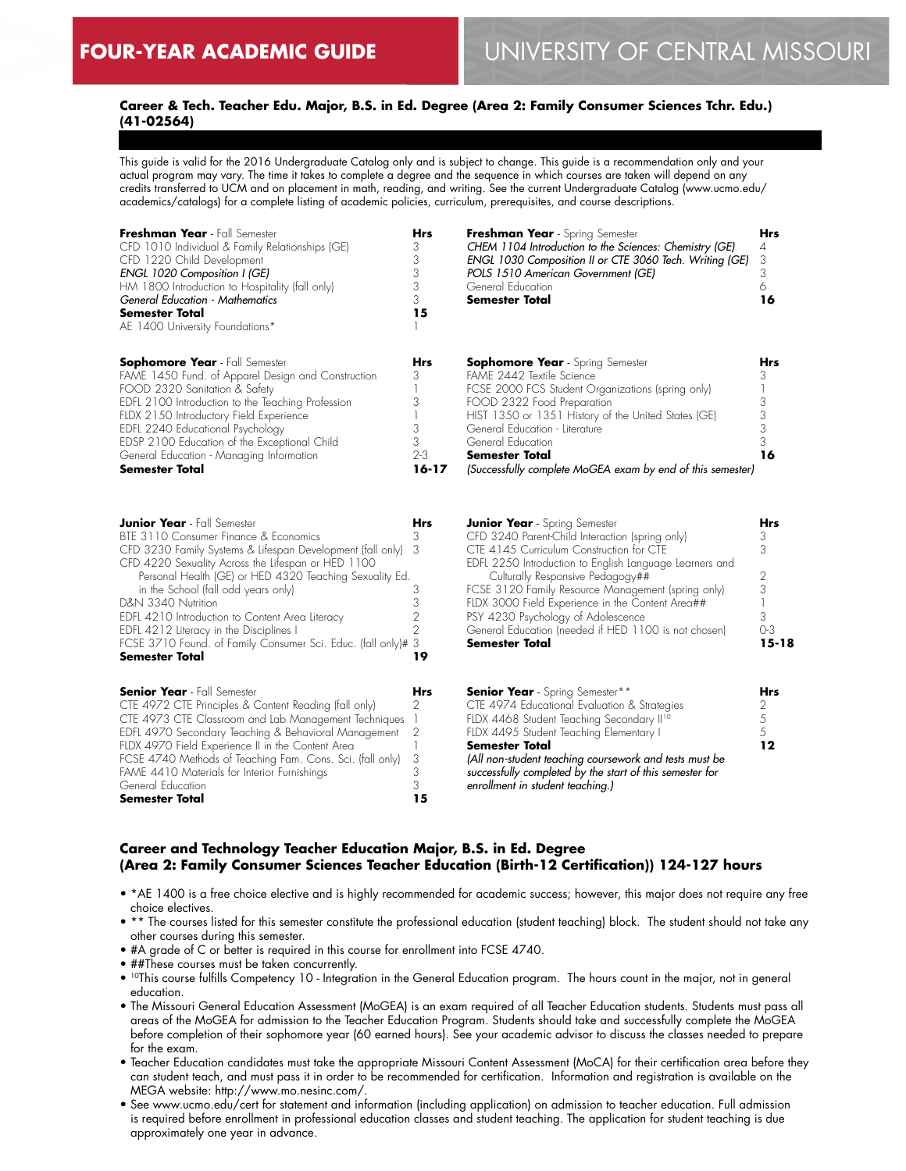### **Career & Tech. Teacher Edu. Major, B.S. in Ed. Degree (Area 2: Family Consumer Sciences Tchr. Edu.) (41-02564)**

This guide is valid for the 2016 Undergraduate Catalog only and is subject to change. This guide is a recommendation only and your actual program may vary. The time it takes to complete a degree and the sequence in which courses are taken will depend on any credits transferred to UCM and on placement in math, reading, and writing. See the current Undergraduate Catalog (www.ucmo.edu/ academics/catalogs) for a complete listing of academic policies, curriculum, prerequisites, and course descriptions.

| Freshman Year - Fall Semester                      | <b>Hrs</b> | Freshman Year - Spring Semester                            | <b>Hrs</b> |
|----------------------------------------------------|------------|------------------------------------------------------------|------------|
| CFD 1010 Individual & Family Relationships (GE)    | 3          | CHEM 1104 Introduction to the Sciences: Chemistry (GE)     | 4          |
| CFD 1220 Child Development                         | 3          | ENGL 1030 Composition II or CTE 3060 Tech. Writing (GE)    | 3          |
| ENGL 1020 Composition I (GE)                       |            | POLS 1510 American Government (GE)                         | 3          |
| HM 1800 Introduction to Hospitality (fall only)    |            | General Education                                          |            |
| General Education - Mathematics                    | 3          | Semester Total                                             | 16         |
| <b>Semester Total</b>                              | 15         |                                                            |            |
| AE 1400 University Foundations*                    |            |                                                            |            |
| <b>Sophomore Year</b> - Fall Semester              | Hrs        | <b>Sophomore Year</b> - Spring Semester                    | <b>Hrs</b> |
| FAME 1450 Fund. of Apparel Design and Construction | 3          | FAME 2442 Textile Science                                  |            |
| FOOD 2320 Sanitation & Safety                      |            | FCSE 2000 FCS Student Organizations (spring only)          |            |
| EDFL 2100 Introduction to the Teaching Profession  | 3          | FOOD 2322 Food Preparation                                 | 3          |
| FLDX 2150 Introductory Field Experience            |            | HIST 1350 or 1351 History of the United States (GE)        | 3          |
| EDFL 2240 Educational Psychology                   |            | General Education - Literature                             | 3          |
| EDSP 2100 Education of the Exceptional Child       |            | General Education                                          |            |
| General Education - Managing Information           | $2 - 3$    | <b>Semester Total</b>                                      | 16         |
| <b>Semester Total</b>                              | $16 - 17$  | (Successfully complete MoGEA exam by end of this semester) |            |
|                                                    |            |                                                            |            |
| <b>Junior Year</b> - Fall Semester                 | <b>Hrs</b> | <b>Junior Year</b> - Spring Semester                       | <b>Hrs</b> |

| <b>Junior Year</b> - Fall Semester                            | Hrs        | <b>Junior Year</b> - Spring Semester                     | <b>Hrs</b> |
|---------------------------------------------------------------|------------|----------------------------------------------------------|------------|
| BTE 3110 Consumer Finance & Economics                         |            | CFD 3240 Parent-Child Interaction (spring only)          |            |
| CFD 3230 Family Systems & Lifespan Development (fall only) 3  |            | CTE 4145 Curriculum Construction for CTE                 |            |
| CFD 4220 Sexuality Across the Lifespan or HED 1100            |            | EDFL 2250 Introduction to English Language Learners and  |            |
| Personal Health (GE) or HED 4320 Teaching Sexuality Ed.       |            | Culturally Responsive Pedagogy##                         |            |
| in the School (fall odd years only)                           |            | FCSE 3120 Family Resource Management (spring only)       |            |
| D&N 3340 Nutrition                                            |            | FLDX 3000 Field Experience in the Content Area##         |            |
| EDFL 4210 Introduction to Content Area Literacy               |            | PSY 4230 Psychology of Adolescence                       |            |
| EDFL 4212 Literacy in the Disciplines I                       |            | General Education (needed if HED 1100 is not chosen)     | $O-3$      |
| FCSE 3710 Found. of Family Consumer Sci. Educ. (fall only)# 3 |            | <b>Semester Total</b>                                    | $15 - 18$  |
| <b>Semester Total</b>                                         | 19         |                                                          |            |
|                                                               |            |                                                          |            |
| <b>Senior Year</b> - Fall Semester                            | <b>Hrs</b> | <b>Senior Year</b> - Spring Semester**                   | Hrs        |
| CTE 4972 CTE Principles & Content Reading (fall only)         |            | CTE 4974 Educational Evaluation & Strategies             |            |
| CTE 4973 CTE Classroom and Lab Management Techniques          |            | FLDX 4468 Student Teaching Secondary II <sup>10</sup>    |            |
| EDFL 4970 Secondary Teaching & Behavioral Management          | 2          | FLDX 4495 Student Teaching Elementary I                  |            |
| FLDX 4970 Field Experience II in the Content Area             |            | <b>Semester Total</b>                                    | 12         |
| FCSE 4740 Methods of Teaching Fam. Cons. Sci. (fall only)     | 3          | (All non-student teaching coursework and tests must be   |            |
| FAME 4410 Materials for Interior Furnishings                  |            | successfully completed by the start of this semester for |            |
| General Education                                             |            | enrollment in student teaching.)                         |            |
| <b>Semester Total</b>                                         | 15         |                                                          |            |
|                                                               |            |                                                          |            |

### **Career and Technology Teacher Education Major, B.S. in Ed. Degree (Area 2: Family Consumer Sciences Teacher Education (Birth-12 Certification)) 124-127 hours**

- \*AE 1400 is a free choice elective and is highly recommended for academic success; however, this major does not require any free choice electives.
- \*\* The courses listed for this semester constitute the professional education (student teaching) block. The student should not take any other courses during this semester.
- #A grade of C or better is required in this course for enrollment into FCSE 4740.
- ##These courses must be taken concurrently.
- 10This course fulfills Competency 10 Integration in the General Education program. The hours count in the major, not in general education.
- The Missouri General Education Assessment (MoGEA) is an exam required of all Teacher Education students. Students must pass all areas of the MoGEA for admission to the Teacher Education Program. Students should take and successfully complete the MoGEA before completion of their sophomore year (60 earned hours). See your academic advisor to discuss the classes needed to prepare for the exam.
- Teacher Education candidates must take the appropriate Missouri Content Assessment (MoCA) for their certification area before they can student teach, and must pass it in order to be recommended for certification. Information and registration is available on the MEGA website: http://www.mo.nesinc.com/.
- See www.ucmo.edu/cert for statement and information (including application) on admission to teacher education. Full admission is required before enrollment in professional education classes and student teaching. The application for student teaching is due approximately one year in advance.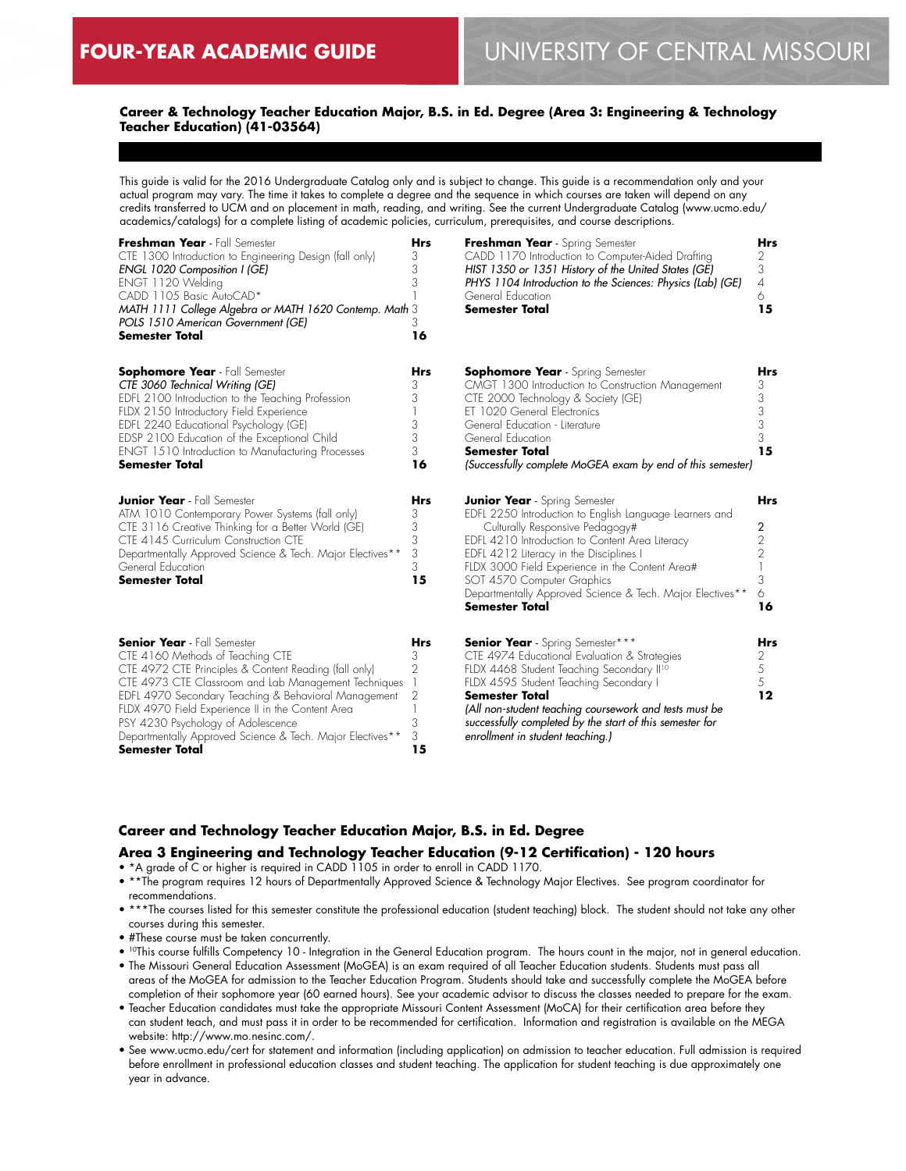### **Career & Technology Teacher Education Major, B.S. in Ed. Degree (Area 3: Engineering & Technology Teacher Education) (41-03564)**

This guide is valid for the 2016 Undergraduate Catalog only and is subject to change. This guide is a recommendation only and your actual program may vary. The time it takes to complete a degree and the sequence in which courses are taken will depend on any credits transferred to UCM and on placement in math, reading, and writing. See the current Undergraduate Catalog (www.ucmo.edu/ academics/catalogs) for a complete listing of academic policies, curriculum, prerequisites, and course descriptions.

| Freshman Year - Fall Semester<br>CTE 1300 Introduction to Engineering Design (fall only)<br>ENGL 1020 Composition I (GE)<br>ENGT 1120 Welding<br>CADD 1105 Basic AutoCAD*<br>MATH 1111 College Algebra or MATH 1620 Contemp. Math 3<br>POLS 1510 American Government (GE)<br><b>Semester Total</b>                                                                                                                        | <b>Hrs</b><br>3<br>3<br>3<br>3<br>16      | Freshman Year - Spring Semester<br>CADD 1170 Introduction to Computer-Aided Drafting<br>HIST 1350 or 1351 History of the United States (GE)<br>PHYS 1104 Introduction to the Sciences: Physics (Lab) (GE)<br>General Education<br><b>Semester Total</b>                                                                                                                                                 | <b>Hrs</b><br>2<br>3<br>$\overline{4}$<br>6<br>15       |
|---------------------------------------------------------------------------------------------------------------------------------------------------------------------------------------------------------------------------------------------------------------------------------------------------------------------------------------------------------------------------------------------------------------------------|-------------------------------------------|---------------------------------------------------------------------------------------------------------------------------------------------------------------------------------------------------------------------------------------------------------------------------------------------------------------------------------------------------------------------------------------------------------|---------------------------------------------------------|
| <b>Sophomore Year</b> - Fall Semester<br>CTE 3060 Technical Writing (GE)<br>EDFL 2100 Introduction to the Teaching Profession<br>FLDX 2150 Introductory Field Experience<br>EDFL 2240 Educational Psychology (GE)<br>EDSP 2100 Education of the Exceptional Child<br><b>ENGT 1510 Introduction to Manufacturing Processes</b><br><b>Semester Total</b>                                                                    | <b>Hrs</b><br>3<br>3<br>3<br>3<br>3<br>16 | <b>Sophomore Year</b> - Spring Semester<br>CMGT 1300 Introduction to Construction Management<br>CTE 2000 Technology & Society (GE)<br>ET 1020 General Electronics<br>General Education - Literature<br>General Education<br><b>Semester Total</b><br>(Successfully complete MoGEA exam by end of this semester)                                                                                         | <b>Hrs</b><br>3<br>3<br>3<br>3<br>3<br>15               |
| <b>Junior Year</b> - Fall Semester<br>ATM 1010 Contemporary Power Systems (fall only)<br>CTE 3116 Creative Thinking for a Better World (GE)<br>CTE 4145 Curriculum Construction CTE<br>Departmentally Approved Science & Tech. Major Electives**<br>General Education<br><b>Semester Total</b>                                                                                                                            | <b>Hrs</b><br>3<br>3<br>3<br>3<br>3<br>15 | <b>Junior Year</b> - Spring Semester<br>EDFL 2250 Introduction to English Language Learners and<br>Culturally Responsive Pedagogy#<br>EDFL 4210 Introduction to Content Area Literacy<br>EDFL 4212 Literacy in the Disciplines I<br>FLDX 3000 Field Experience in the Content Area#<br>SOT 4570 Computer Graphics<br>Departmentally Approved Science & Tech. Major Electives**<br><b>Semester Total</b> | <b>Hrs</b><br>2<br>$\overline{2}$<br>2<br>3<br>6.<br>16 |
| <b>Senior Year</b> - Fall Semester<br>CTE 4160 Methods of Teaching CTE<br>CTE 4972 CTE Principles & Content Reading (fall only)<br>CTE 4973 CTE Classroom and Lab Management Techniques<br>EDFL 4970 Secondary Teaching & Behavioral Management<br>FLDX 4970 Field Experience II in the Content Area<br>PSY 4230 Psychology of Adolescence<br>Departmentally Approved Science & Tech. Major Electives**<br>Semester Total | <b>Hrs</b><br>3<br>2<br>2<br>3<br>3<br>15 | <b>Senior Year</b> - Spring Semester***<br>CTE 4974 Educational Evaluation & Strategies<br>FLDX 4468 Student Teaching Secondary II <sup>10</sup><br>FLDX 4595 Student Teaching Secondary I<br><b>Semester Total</b><br>(All non-student teaching coursework and tests must be<br>successfully completed by the start of this semester for<br>enrollment in student teaching.)                           | <b>Hrs</b><br>2<br>5<br>5<br>12                         |

### **Career and Technology Teacher Education Major, B.S. in Ed. Degree**

### **Area 3 Engineering and Technology Teacher Education (9-12 Certification) - 120 hours**

### • \*A grade of C or higher is required in CADD 1105 in order to enroll in CADD 1170.

- \*\*The program requires 12 hours of Departmentally Approved Science & Technology Major Electives. See program coordinator for recommendations.
- \*\*\*The courses listed for this semester constitute the professional education (student teaching) block. The student should not take any other courses during this semester.
- #These course must be taken concurrently.
- <sup>10</sup>This course fulfills Competency 10 Integration in the General Education program. The hours count in the major, not in general education.
- The Missouri General Education Assessment (MoGEA) is an exam required of all Teacher Education students. Students must pass all areas of the MoGEA for admission to the Teacher Education Program. Students should take and successfully complete the MoGEA before completion of their sophomore year (60 earned hours). See your academic advisor to discuss the classes needed to prepare for the exam.
- Teacher Education candidates must take the appropriate Missouri Content Assessment (MoCA) for their certification area before they can student teach, and must pass it in order to be recommended for certification. Information and registration is available on the MEGA website: http://www.mo.nesinc.com/.
- See www.ucmo.edu/cert for statement and information (including application) on admission to teacher education. Full admission is required before enrollment in professional education classes and student teaching. The application for student teaching is due approximately one year in advance.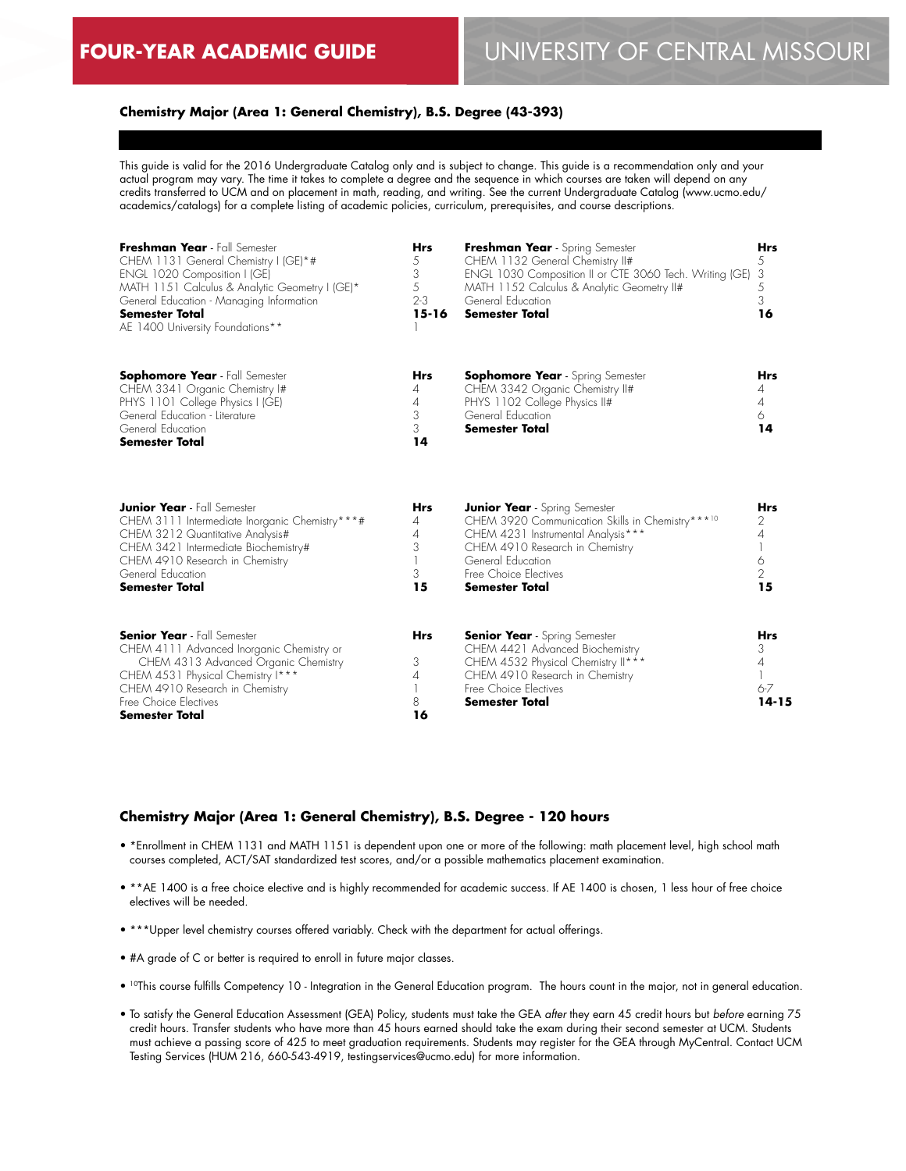### **Chemistry Major (Area 1: General Chemistry), B.S. Degree (43-393)**

This guide is valid for the 2016 Undergraduate Catalog only and is subject to change. This guide is a recommendation only and your actual program may vary. The time it takes to complete a degree and the sequence in which courses are taken will depend on any credits transferred to UCM and on placement in math, reading, and writing. See the current Undergraduate Catalog (www.ucmo.edu/ academics/catalogs) for a complete listing of academic policies, curriculum, prerequisites, and course descriptions.

| Freshman Year - Fall Semester<br>CHEM 1131 General Chemistry I (GE)*#<br>ENGL 1020 Composition I (GE)<br>MATH 1151 Calculus & Analytic Geometry I (GE)*<br>General Education - Managing Information<br><b>Semester Total</b><br>AE 1400 University Foundations** | <b>Hrs</b><br>5<br>3<br>5<br>$2 - 3$<br>$15 - 16$ | Freshman Year - Spring Semester<br>CHEM 1132 General Chemistry II#<br>ENGL 1030 Composition II or CTE 3060 Tech. Writing (GE)<br>MATH 1152 Calculus & Analytic Geometry II#<br>General Education<br><b>Semester Total</b>                | <b>Hrs</b><br>5<br>3<br>5<br>3<br>16       |
|------------------------------------------------------------------------------------------------------------------------------------------------------------------------------------------------------------------------------------------------------------------|---------------------------------------------------|------------------------------------------------------------------------------------------------------------------------------------------------------------------------------------------------------------------------------------------|--------------------------------------------|
| <b>Sophomore Year</b> - Fall Semester<br>CHEM 3341 Organic Chemistry I#<br>PHYS 1101 College Physics I (GE)<br>General Education - Literature<br>General Education<br><b>Semester Total</b>                                                                      | <b>Hrs</b><br>4<br>4<br>3<br>3<br>14              | <b>Sophomore Year</b> - Spring Semester<br>CHEM 3342 Organic Chemistry II#<br>PHYS 1102 College Physics II#<br>General Education<br><b>Semester Total</b>                                                                                | <b>Hrs</b><br>4<br>4<br>6<br>14            |
| <b>Junior Year</b> - Fall Semester<br>CHEM 3111 Intermediate Inorganic Chemistry***#<br>CHEM 3212 Quantitative Analysis#<br>CHEM 3421 Intermediate Biochemistry#<br>CHEM 4910 Research in Chemistry<br>General Education<br><b>Semester Total</b>                | <b>Hrs</b><br>4<br>4<br>3<br>3<br>15              | <b>Junior Year</b> - Spring Semester<br>CHEM 3920 Communication Skills in Chemistry***10<br>CHEM 4231 Instrumental Analysis***<br>CHEM 4910 Research in Chemistry<br>General Education<br>Free Choice Flectives<br><b>Semester Total</b> | Hrs<br>2<br>4<br>6<br>$\overline{2}$<br>15 |
| <b>Senior Year</b> - Fall Semester<br>CHEM 4111 Advanced Inorganic Chemistry or<br>CHEM 4313 Advanced Organic Chemistry<br>CHEM 4531 Physical Chemistry I***<br>CHEM 4910 Research in Chemistry<br>Free Choice Flectives<br>Semester Total                       | <b>Hrs</b><br>3<br>4<br>8<br>16                   | <b>Senior Year</b> - Spring Semester<br>CHEM 4421 Advanced Biochemistry<br>CHEM 4532 Physical Chemistry II***<br>CHEM 4910 Research in Chemistry<br>Free Choice Flectives<br><b>Semester Total</b>                                       | <b>Hrs</b><br>3<br>4<br>$6 - 7$<br>14-15   |

#### **Chemistry Major (Area 1: General Chemistry), B.S. Degree - 120 hours**

- \*Enrollment in CHEM 1131 and MATH 1151 is dependent upon one or more of the following: math placement level, high school math courses completed, ACT/SAT standardized test scores, and/or a possible mathematics placement examination.
- \*\*AE 1400 is a free choice elective and is highly recommended for academic success. If AE 1400 is chosen, 1 less hour of free choice electives will be needed.
- \*\*\*Upper level chemistry courses offered variably. Check with the department for actual offerings.
- #A grade of C or better is required to enroll in future major classes.
- 10This course fulfills Competency 10 Integration in the General Education program. The hours count in the major, not in general education.
- To satisfy the General Education Assessment (GEA) Policy, students must take the GEA *after* they earn 45 credit hours but *before* earning 75 credit hours. Transfer students who have more than 45 hours earned should take the exam during their second semester at UCM. Students must achieve a passing score of 425 to meet graduation requirements. Students may register for the GEA through MyCentral. Contact UCM Testing Services (HUM 216, 660-543-4919, testingservices@ucmo.edu) for more information.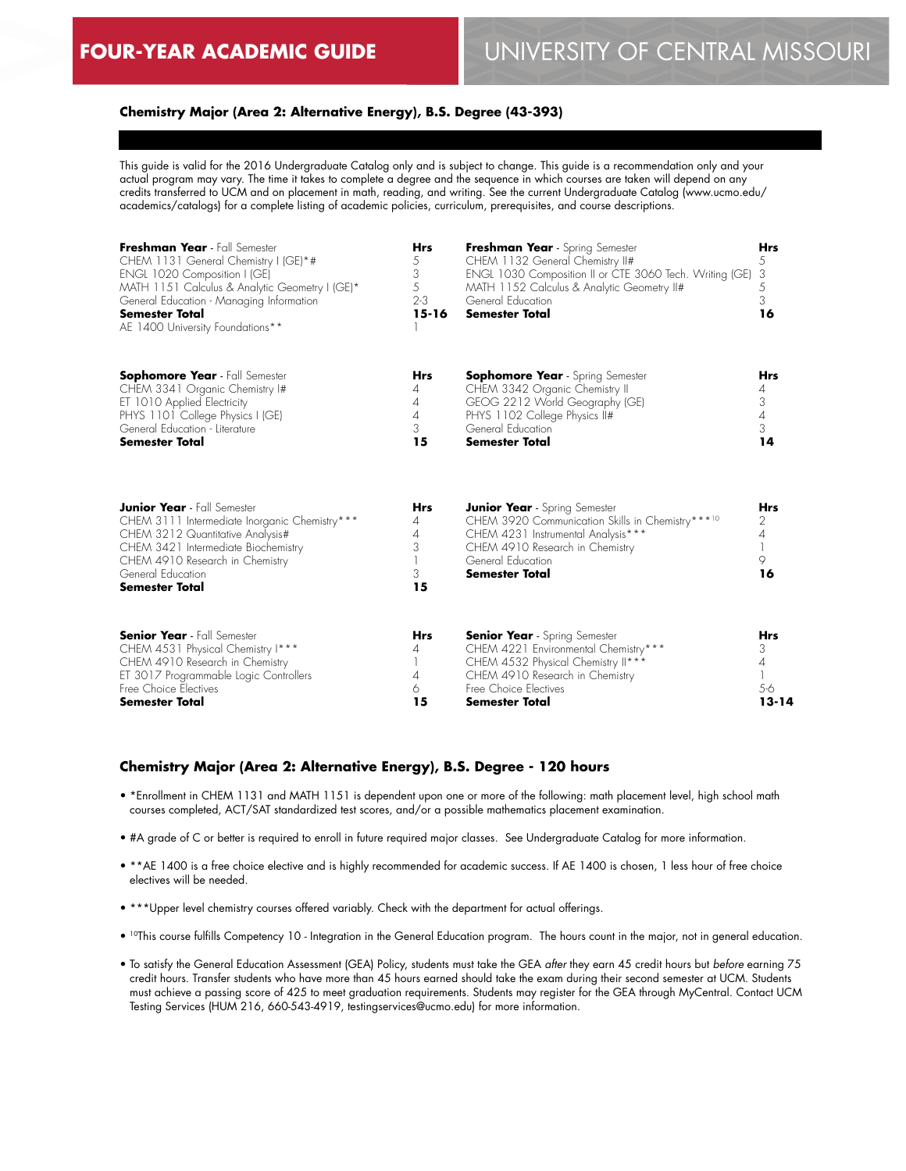### **Chemistry Major (Area 2: Alternative Energy), B.S. Degree (43-393)**

This guide is valid for the 2016 Undergraduate Catalog only and is subject to change. This guide is a recommendation only and your actual program may vary. The time it takes to complete a degree and the sequence in which courses are taken will depend on any credits transferred to UCM and on placement in math, reading, and writing. See the current Undergraduate Catalog (www.ucmo.edu/ academics/catalogs) for a complete listing of academic policies, curriculum, prerequisites, and course descriptions.

| Freshman Year - Fall Semester<br>CHEM 1131 General Chemistry I (GE)*#<br>ENGL 1020 Composition I (GE)<br>MATH 1151 Calculus & Analytic Geometry I (GE)*<br>General Education - Managing Information<br><b>Semester Total</b><br>AE 1400 University Foundations** | <b>Hrs</b><br>5<br>3<br>5<br>$2 - 3$<br>$15 - 16$ | Freshman Year - Spring Semester<br>CHEM 1132 General Chemistry II#<br>ENGL 1030 Composition II or CTE 3060 Tech. Writing (GE)<br>MATH 1152 Calculus & Analytic Geometry II#<br>General Education<br><b>Semester Total</b> | Hrs<br>5<br>3<br>5<br>3<br>16                                     |
|------------------------------------------------------------------------------------------------------------------------------------------------------------------------------------------------------------------------------------------------------------------|---------------------------------------------------|---------------------------------------------------------------------------------------------------------------------------------------------------------------------------------------------------------------------------|-------------------------------------------------------------------|
| <b>Sophomore Year</b> - Fall Semester<br>CHEM 3341 Organic Chemistry I#<br>ET 1010 Applied Electricity<br>PHYS 1101 College Physics I (GE)<br>General Education - Literature<br><b>Semester Total</b>                                                            | <b>Hrs</b><br>4<br>4<br>$\overline{4}$<br>3<br>15 | <b>Sophomore Year</b> - Spring Semester<br>CHEM 3342 Organic Chemistry II<br>GEOG 2212 World Geography (GE)<br>PHYS 1102 College Physics II#<br>General Education<br><b>Semester Total</b>                                | <b>Hrs</b><br>4<br>3<br>$\overline{4}$<br>3<br>14                 |
| <b>Junior Year</b> - Fall Semester<br>CHEM 3111 Intermediate Inorganic Chemistry***<br>CHEM 3212 Quantitative Analysis#<br>CHEM 3421 Intermediate Biochemistry<br>CHEM 4910 Research in Chemistry<br>General Education<br><b>Semester Total</b>                  | <b>Hrs</b><br>4<br>4<br>3<br>3<br>15              | <b>Junior Year</b> - Spring Semester<br>CHEM 3920 Communication Skills in Chemistry***10<br>CHEM 4231 Instrumental Analysis***<br>CHEM 4910 Research in Chemistry<br>General Education<br><b>Semester Total</b>           | <b>Hrs</b><br>2<br>4<br>9<br>16                                   |
| <b>Senior Year</b> - Fall Semester<br>CHEM 4531 Physical Chemistry I***<br>CHEM 4910 Research in Chemistry<br>ET 3017 Programmable Logic Controllers<br>Free Choice Electives<br><b>Semester Total</b>                                                           | <b>Hrs</b><br>4<br>4<br>6<br>15                   | <b>Senior Year</b> - Spring Semester<br>CHEM 4221 Environmental Chemistry***<br>CHEM 4532 Physical Chemistry II***<br>CHEM 4910 Research in Chemistry<br>Free Choice Electives<br><b>Semester Total</b>                   | <b>Hrs</b><br>3<br>$\overline{\mathcal{A}}$<br>$5-6$<br>$13 - 14$ |

#### **Chemistry Major (Area 2: Alternative Energy), B.S. Degree - 120 hours**

- \*Enrollment in CHEM 1131 and MATH 1151 is dependent upon one or more of the following: math placement level, high school math courses completed, ACT/SAT standardized test scores, and/or a possible mathematics placement examination.
- #A grade of C or better is required to enroll in future required major classes. See Undergraduate Catalog for more information.
- \*\*AE 1400 is a free choice elective and is highly recommended for academic success. If AE 1400 is chosen, 1 less hour of free choice electives will be needed.
- \*\*\*Upper level chemistry courses offered variably. Check with the department for actual offerings.
- 10This course fulfills Competency 10 Integration in the General Education program. The hours count in the major, not in general education.
- To satisfy the General Education Assessment (GEA) Policy, students must take the GEA *after* they earn 45 credit hours but *before* earning 75 credit hours. Transfer students who have more than 45 hours earned should take the exam during their second semester at UCM. Students must achieve a passing score of 425 to meet graduation requirements. Students may register for the GEA through MyCentral. Contact UCM Testing Services (HUM 216, 660-543-4919, testingservices@ucmo.edu) for more information.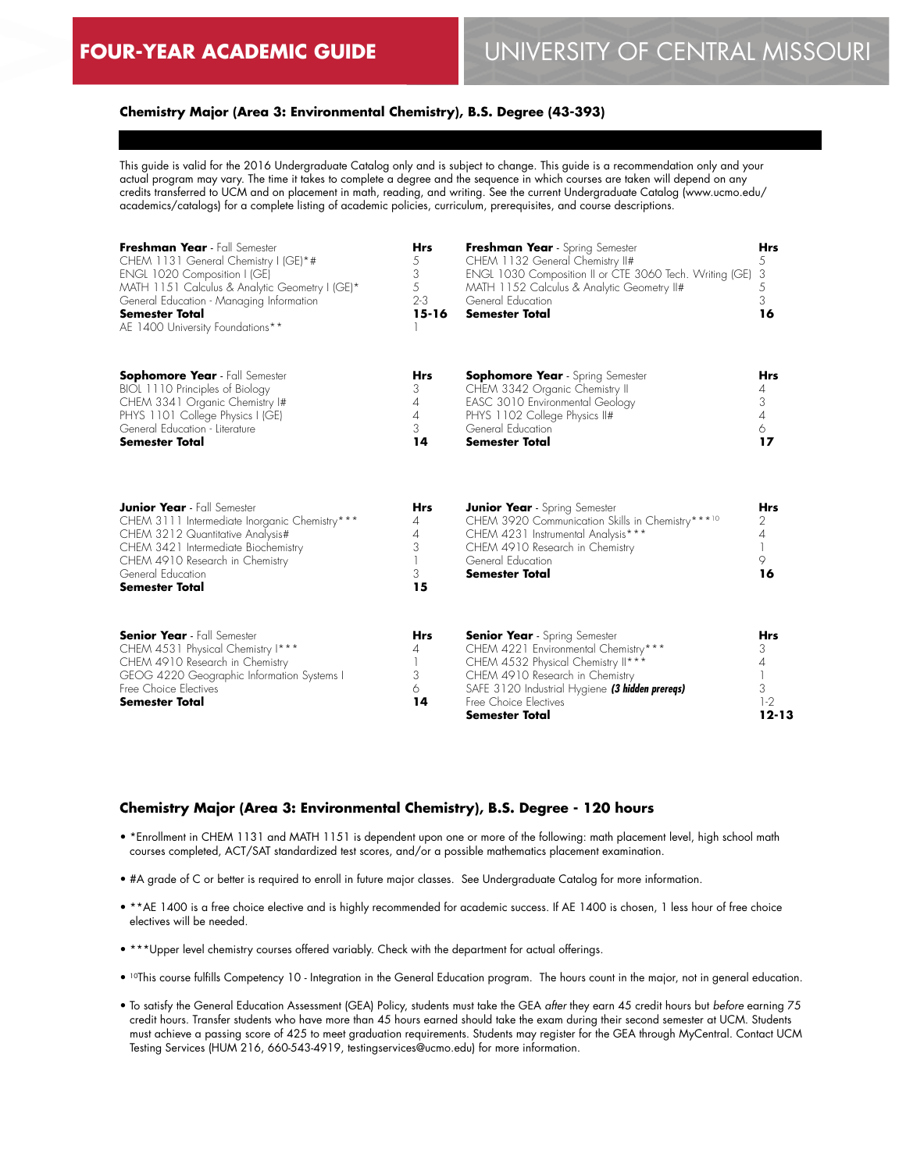### **Chemistry Major (Area 3: Environmental Chemistry), B.S. Degree (43-393)**

This guide is valid for the 2016 Undergraduate Catalog only and is subject to change. This guide is a recommendation only and your actual program may vary. The time it takes to complete a degree and the sequence in which courses are taken will depend on any credits transferred to UCM and on placement in math, reading, and writing. See the current Undergraduate Catalog (www.ucmo.edu/ academics/catalogs) for a complete listing of academic policies, curriculum, prerequisites, and course descriptions.

| Freshman Year - Fall Semester<br>CHEM 1131 General Chemistry I (GE)*#<br>ENGL 1020 Composition I (GE)<br>MATH 1151 Calculus & Analytic Geometry I (GE)*<br>General Education - Managing Information<br><b>Semester Total</b><br>AE 1400 University Foundations** | <b>Hrs</b><br>5<br>3<br>5<br>$2 - 3$<br>$15 - 16$      | Freshman Year - Spring Semester<br>CHEM 1132 General Chemistry II#<br>ENGL 1030 Composition II or CTE 3060 Tech. Writing (GE)<br>MATH 1152 Calculus & Analytic Geometry II#<br>General Education<br><b>Semester Total</b>                                  | <b>Hrs</b><br>5<br>3<br>5<br>3<br>16            |
|------------------------------------------------------------------------------------------------------------------------------------------------------------------------------------------------------------------------------------------------------------------|--------------------------------------------------------|------------------------------------------------------------------------------------------------------------------------------------------------------------------------------------------------------------------------------------------------------------|-------------------------------------------------|
| <b>Sophomore Year</b> - Fall Semester<br>BIOL 1110 Principles of Biology<br>CHEM 3341 Organic Chemistry I#<br>PHYS 1101 College Physics I (GE)<br>General Education - Literature<br><b>Semester Total</b>                                                        | Hrs<br>3<br>4<br>4<br>3<br>14                          | <b>Sophomore Year</b> - Spring Semester<br>CHEM 3342 Organic Chemistry II<br>EASC 3010 Environmental Geology<br>PHYS 1102 College Physics II#<br>General Education<br><b>Semester Total</b>                                                                | Hrs<br>4<br>3<br>4<br>6<br>17                   |
| <b>Junior Year</b> - Fall Semester<br>CHEM 3111 Intermediate Inorganic Chemistry***<br>CHEM 3212 Quantitative Analysis#<br>CHEM 3421 Intermediate Biochemistry<br>CHEM 4910 Research in Chemistry<br>General Education<br><b>Semester Total</b>                  | <b>Hrs</b><br>4<br>$\overline{A}$<br>3<br>1<br>3<br>15 | <b>Junior Year</b> - Spring Semester<br>CHEM 3920 Communication Skills in Chemistry ***10<br>CHEM 4231 Instrumental Analysis***<br>CHEM 4910 Research in Chemistry<br>General Education<br><b>Semester Total</b>                                           | <b>Hrs</b><br>2<br>$\overline{4}$<br>9<br>16    |
| <b>Senior Year</b> - Fall Semester<br>CHEM 4531 Physical Chemistry I***<br>CHEM 4910 Research in Chemistry<br>GEOG 4220 Geographic Information Systems I<br>Free Choice Electives<br><b>Semester Total</b>                                                       | <b>Hrs</b><br>4<br>1<br>3<br>6<br>14                   | <b>Senior Year</b> - Spring Semester<br>CHEM 4221 Environmental Chemistry***<br>CHEM 4532 Physical Chemistry II***<br>CHEM 4910 Research in Chemistry<br>SAFE 3120 Industrial Hygiene (3 hidden prereqs)<br>Free Choice Electives<br><b>Semester Total</b> | <b>Hrs</b><br>3<br>4<br>3<br>$1-2$<br>$12 - 13$ |

#### **Chemistry Major (Area 3: Environmental Chemistry), B.S. Degree - 120 hours**

- \*Enrollment in CHEM 1131 and MATH 1151 is dependent upon one or more of the following: math placement level, high school math courses completed, ACT/SAT standardized test scores, and/or a possible mathematics placement examination.
- #A grade of C or better is required to enroll in future major classes. See Undergraduate Catalog for more information.
- \*\*AE 1400 is a free choice elective and is highly recommended for academic success. If AE 1400 is chosen, 1 less hour of free choice electives will be needed.
- \*\*\*Upper level chemistry courses offered variably. Check with the department for actual offerings.
- 10This course fulfills Competency 10 Integration in the General Education program. The hours count in the major, not in general education.
- To satisfy the General Education Assessment (GEA) Policy, students must take the GEA *after* they earn 45 credit hours but *before* earning 75 credit hours. Transfer students who have more than 45 hours earned should take the exam during their second semester at UCM. Students must achieve a passing score of 425 to meet graduation requirements. Students may register for the GEA through MyCentral. Contact UCM Testing Services (HUM 216, 660-543-4919, testingservices@ucmo.edu) for more information.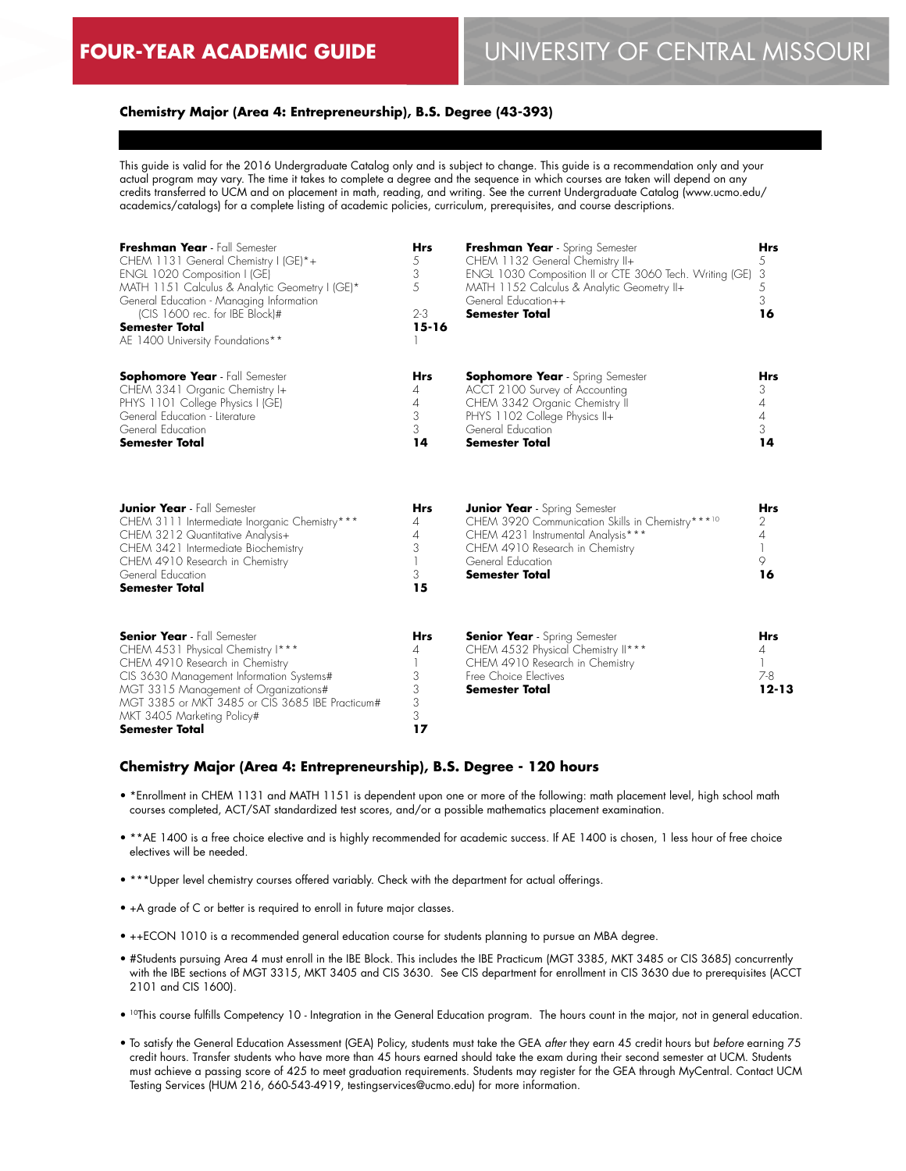### **Chemistry Major (Area 4: Entrepreneurship), B.S. Degree (43-393)**

This guide is valid for the 2016 Undergraduate Catalog only and is subject to change. This guide is a recommendation only and your actual program may vary. The time it takes to complete a degree and the sequence in which courses are taken will depend on any credits transferred to UCM and on placement in math, reading, and writing. See the current Undergraduate Catalog (www.ucmo.edu/ academics/catalogs) for a complete listing of academic policies, curriculum, prerequisites, and course descriptions.

| Freshman Year - Fall Semester<br>CHEM 1131 General Chemistry I (GE)*+<br>ENGL 1020 Composition I (GE)<br>MATH 1151 Calculus & Analytic Geometry I (GE)*<br>General Education - Managing Information<br>(CIS 1600 rec. for IBE Block)#<br>Semester Total<br>AE 1400 University Foundations**               | <b>Hrs</b><br>5<br>3<br>5<br>$2 - 3$<br>$15 - 16$              | Freshman Year - Spring Semester<br>CHEM 1132 General Chemistry II+<br>ENGL 1030 Composition II or CTE 3060 Tech. Writing (GE)<br>MATH 1152 Calculus & Analytic Geometry II+<br>General Education++<br><b>Semester Total</b> | <b>Hrs</b><br>5<br>3<br>5<br>3<br>16                           |
|-----------------------------------------------------------------------------------------------------------------------------------------------------------------------------------------------------------------------------------------------------------------------------------------------------------|----------------------------------------------------------------|-----------------------------------------------------------------------------------------------------------------------------------------------------------------------------------------------------------------------------|----------------------------------------------------------------|
| <b>Sophomore Year</b> - Fall Semester<br>CHEM 3341 Organic Chemistry I+<br>PHYS 1101 College Physics I (GE)<br>General Education - Literature<br>General Education<br><b>Semester Total</b>                                                                                                               | <b>Hrs</b><br>$\overline{4}$<br>$\overline{4}$<br>3<br>3<br>14 | <b>Sophomore Year</b> - Spring Semester<br>ACCT 2100 Survey of Accounting<br>CHEM 3342 Organic Chemistry II<br>PHYS 1102 College Physics II+<br>General Education<br><b>Semester Total</b>                                  | <b>Hrs</b><br>3<br>$\overline{4}$<br>$\overline{4}$<br>3<br>14 |
| <b>Junior Year</b> - Fall Semester<br>CHEM 3111 Intermediate Inorganic Chemistry***<br>CHEM 3212 Quantitative Analysis+<br>CHEM 3421 Intermediate Biochemistry<br>CHEM 4910 Research in Chemistry<br>General Education<br><b>Semester Total</b>                                                           | <b>Hrs</b><br>4<br>4<br>3<br>3<br>15                           | <b>Junior Year</b> - Spring Semester<br>CHEM 3920 Communication Skills in Chemistry***10<br>CHEM 4231 Instrumental Analysis***<br>CHEM 4910 Research in Chemistry<br>General Education<br><b>Semester Total</b>             | <b>Hrs</b><br>2<br>$\overline{A}$<br>9<br>16                   |
| <b>Senior Year</b> - Fall Semester<br>CHEM 4531 Physical Chemistry I***<br>CHEM 4910 Research in Chemistry<br>CIS 3630 Management Information Systems#<br>MGT 3315 Management of Organizations#<br>MGT 3385 or MKT 3485 or CIS 3685 IBE Practicum#<br>MKT 3405 Marketing Policy#<br><b>Semester Total</b> | <b>Hrs</b><br>4<br>3<br>3<br>3<br>3<br>17                      | <b>Senior Year</b> - Spring Semester<br>CHEM 4532 Physical Chemistry II***<br>CHEM 4910 Research in Chemistry<br>Free Choice Electives<br><b>Semester Total</b>                                                             | <b>Hrs</b><br>4<br>$\mathbf{1}$<br>$7 - 8$<br>$12 - 13$        |

#### **Chemistry Major (Area 4: Entrepreneurship), B.S. Degree - 120 hours**

- \*Enrollment in CHEM 1131 and MATH 1151 is dependent upon one or more of the following: math placement level, high school math courses completed, ACT/SAT standardized test scores, and/or a possible mathematics placement examination.
- \*\*AE 1400 is a free choice elective and is highly recommended for academic success. If AE 1400 is chosen, 1 less hour of free choice electives will be needed.
- \*\*\*Upper level chemistry courses offered variably. Check with the department for actual offerings.
- +A grade of C or better is required to enroll in future major classes.
- ++ECON 1010 is a recommended general education course for students planning to pursue an MBA degree.
- #Students pursuing Area 4 must enroll in the IBE Block. This includes the IBE Practicum (MGT 3385, MKT 3485 or CIS 3685) concurrently with the IBE sections of MGT 3315, MKT 3405 and CIS 3630. See CIS department for enrollment in CIS 3630 due to prerequisites (ACCT 2101 and CIS 1600).
- <sup>10</sup>This course fulfills Competency 10 Integration in the General Education program. The hours count in the major, not in general education.
- To satisfy the General Education Assessment (GEA) Policy, students must take the GEA *after* they earn 45 credit hours but *before* earning 75 credit hours. Transfer students who have more than 45 hours earned should take the exam during their second semester at UCM. Students must achieve a passing score of 425 to meet graduation requirements. Students may register for the GEA through MyCentral. Contact UCM Testing Services (HUM 216, 660-543-4919, testingservices@ucmo.edu) for more information.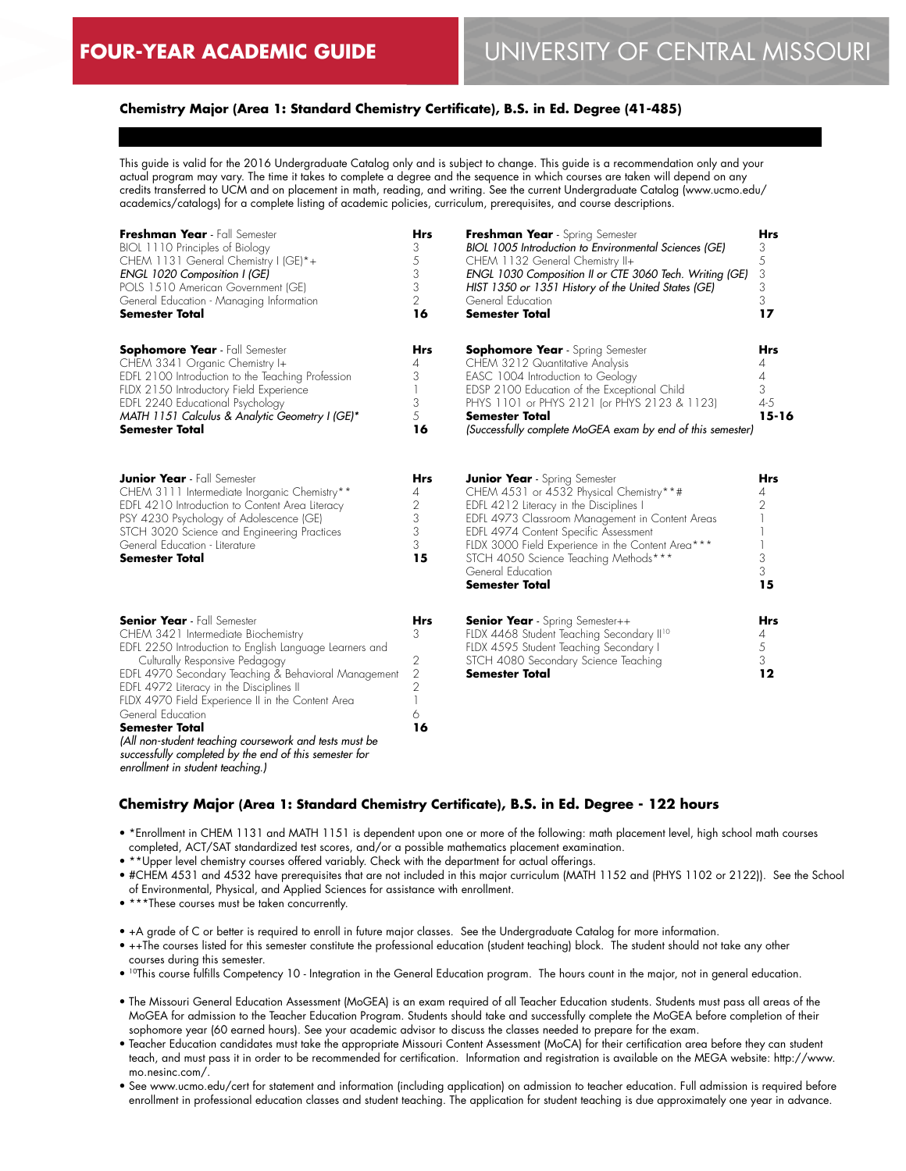### **Chemistry Major (Area 1: Standard Chemistry Certificate), B.S. in Ed. Degree (41-485)**

This guide is valid for the 2016 Undergraduate Catalog only and is subject to change. This guide is a recommendation only and your actual program may vary. The time it takes to complete a degree and the sequence in which courses are taken will depend on any credits transferred to UCM and on placement in math, reading, and writing. See the current Undergraduate Catalog (www.ucmo.edu/ academics/catalogs) for a complete listing of academic policies, curriculum, prerequisites, and course descriptions.

| Freshman Year - Fall Semester<br>BIOL 1110 Principles of Biology<br>CHEM 1131 General Chemistry I (GE)*+<br>ENGL 1020 Composition I (GE)<br>POLS 1510 American Government (GE)<br>General Education - Managing Information<br><b>Semester Total</b>                                                                                                                                                                                                                                                                                   | Hrs<br>3<br>$\mathcal S$<br>3<br>3<br>$\overline{2}$<br>16 | Freshman Year - Spring Semester<br>BIOL 1005 Introduction to Environmental Sciences (GE)<br>CHEM 1132 General Chemistry II+<br>ENGL 1030 Composition II or CTE 3060 Tech. Writing (GE)<br>HIST 1350 or 1351 History of the United States (GE)<br>General Education<br><b>Semester Total</b>                                                                      | <b>Hrs</b><br>3<br>5<br>3<br>3<br>3<br>17  |
|---------------------------------------------------------------------------------------------------------------------------------------------------------------------------------------------------------------------------------------------------------------------------------------------------------------------------------------------------------------------------------------------------------------------------------------------------------------------------------------------------------------------------------------|------------------------------------------------------------|------------------------------------------------------------------------------------------------------------------------------------------------------------------------------------------------------------------------------------------------------------------------------------------------------------------------------------------------------------------|--------------------------------------------|
| <b>Sophomore Year</b> - Fall Semester<br>CHEM 3341 Organic Chemistry I+<br>EDFL 2100 Introduction to the Teaching Profession<br>FLDX 2150 Introductory Field Experience<br>EDFL 2240 Educational Psychology<br>MATH 1151 Calculus & Analytic Geometry I (GE)*<br><b>Semester Total</b>                                                                                                                                                                                                                                                | <b>Hrs</b><br>4<br>3<br>3<br>5<br>16                       | <b>Sophomore Year</b> - Spring Semester<br>CHEM 3212 Quantitative Analysis<br>EASC 1004 Introduction to Geology<br>EDSP 2100 Education of the Exceptional Child<br>PHYS 1101 or PHYS 2121 (or PHYS 2123 & 1123)<br><b>Semester Total</b><br>(Successfully complete MoGEA exam by end of this semester)                                                           | Hrs<br>4<br>4<br>3<br>$4 - 5$<br>$15 - 16$ |
| <b>Junior Year</b> - Fall Semester<br>CHEM 3111 Intermediate Inorganic Chemistry**<br>EDFL 4210 Introduction to Content Area Literacy<br>PSY 4230 Psychology of Adolescence (GE)<br>STCH 3020 Science and Engineering Practices<br>General Education - Literature<br><b>Semester Total</b>                                                                                                                                                                                                                                            | <b>Hrs</b><br>4<br>$\overline{2}$<br>3<br>3<br>3<br>15     | <b>Junior Year</b> - Spring Semester<br>CHEM 4531 or 4532 Physical Chemistry**#<br>EDFL 4212 Literacy in the Disciplines<br>EDFL 4973 Classroom Management in Content Areas<br>EDFL 4974 Content Specific Assessment<br>FLDX 3000 Field Experience in the Content Area***<br>STCH 4050 Science Teaching Methods***<br>General Education<br><b>Semester Total</b> | Hrs<br>4<br>2<br>3<br>3<br>15              |
| <b>Senior Year</b> - Fall Semester<br>CHEM 3421 Intermediate Biochemistry<br>EDFL 2250 Introduction to English Language Learners and<br>Culturally Responsive Pedagogy<br>EDFL 4970 Secondary Teaching & Behavioral Management<br>EDFL 4972 Literacy in the Disciplines II<br>FLDX 4970 Field Experience II in the Content Area<br>General Education<br><b>Semester Total</b><br>(All non-student teaching coursework and tests must be<br>successfully completed by the end of this semester for<br>enrollment in student teaching.) | Hrs<br>3<br>2<br>2<br>$\overline{2}$<br>1<br>6<br>16       | <b>Senior Year</b> - Spring Semester++<br>FLDX 4468 Student Teaching Secondary II <sup>10</sup><br>FLDX 4595 Student Teaching Secondary I<br>STCH 4080 Secondary Science Teaching<br><b>Semester Total</b>                                                                                                                                                       | Hrs<br>4<br>$\frac{5}{3}$<br>12            |

#### **Chemistry Major (Area 1: Standard Chemistry Certificate), B.S. in Ed. Degree - 122 hours**

• \*Enrollment in CHEM 1131 and MATH 1151 is dependent upon one or more of the following: math placement level, high school math courses completed, ACT/SAT standardized test scores, and/or a possible mathematics placement examination.

• \*\*Upper level chemistry courses offered variably. Check with the department for actual offerings.

• #CHEM 4531 and 4532 have prerequisites that are not included in this major curriculum (MATH 1152 and (PHYS 1102 or 2122)). See the School of Environmental, Physical, and Applied Sciences for assistance with enrollment.

• \*\*\*These courses must be taken concurrently.

• +A grade of C or better is required to enroll in future major classes. See the Undergraduate Catalog for more information.

- ++The courses listed for this semester constitute the professional education (student teaching) block. The student should not take any other courses during this semester.
- 10This course fulfills Competency 10 Integration in the General Education program. The hours count in the major, not in general education.
- The Missouri General Education Assessment (MoGEA) is an exam required of all Teacher Education students. Students must pass all areas of the MoGEA for admission to the Teacher Education Program. Students should take and successfully complete the MoGEA before completion of their sophomore year (60 earned hours). See your academic advisor to discuss the classes needed to prepare for the exam.
- Teacher Education candidates must take the appropriate Missouri Content Assessment (MoCA) for their certification area before they can student teach, and must pass it in order to be recommended for certification. Information and registration is available on the MEGA website: http://www. mo.nesinc.com/.
- See www.ucmo.edu/cert for statement and information (including application) on admission to teacher education. Full admission is required before enrollment in professional education classes and student teaching. The application for student teaching is due approximately one year in advance.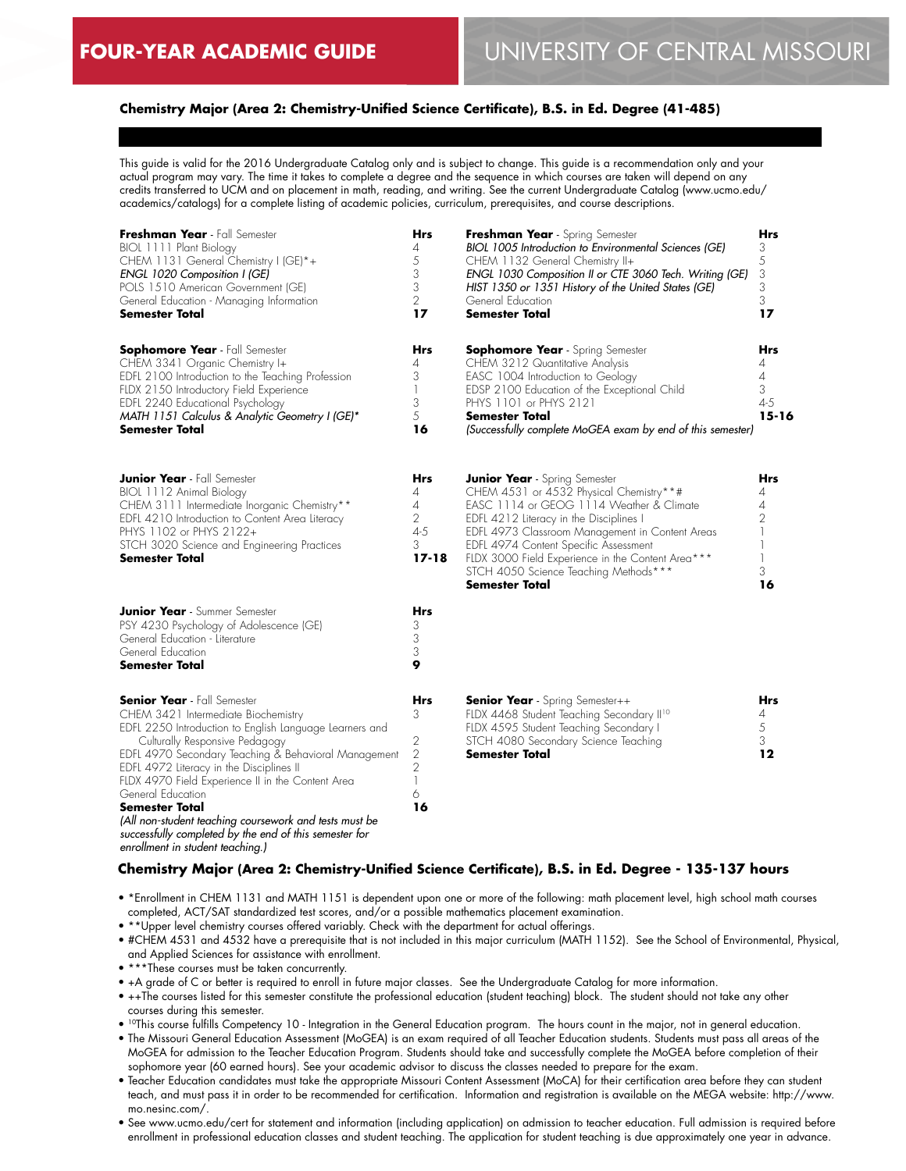### **Chemistry Major (Area 2: Chemistry-Unified Science Certificate), B.S. in Ed. Degree (41-485)**

This guide is valid for the 2016 Undergraduate Catalog only and is subject to change. This guide is a recommendation only and your actual program may vary. The time it takes to complete a degree and the sequence in which courses are taken will depend on any credits transferred to UCM and on placement in math, reading, and writing. See the current Undergraduate Catalog (www.ucmo.edu/ academics/catalogs) for a complete listing of academic policies, curriculum, prerequisites, and course descriptions.

| Freshman Year - Fall Semester<br>BIOL 1111 Plant Biology<br>CHEM 1131 General Chemistry I (GE)*+<br>ENGL 1020 Composition I (GE)<br>POLS 1510 American Government (GE)<br>General Education - Managing Information<br>Semester Total                                                                                                                                                                                                                                                              | Hrs<br>4<br>5<br>3<br>3<br>$\overline{2}$<br>17                   | Freshman Year - Spring Semester<br>BIOL 1005 Introduction to Environmental Sciences (GE)<br>CHEM 1132 General Chemistry II+<br>ENGL 1030 Composition II or CTE 3060 Tech. Writing (GE)<br>HIST 1350 or 1351 History of the United States (GE)<br>General Education<br><b>Semester Total</b>                                                                                                | Hrs<br>3<br>5<br>3<br>3<br>3<br>17                      |
|---------------------------------------------------------------------------------------------------------------------------------------------------------------------------------------------------------------------------------------------------------------------------------------------------------------------------------------------------------------------------------------------------------------------------------------------------------------------------------------------------|-------------------------------------------------------------------|--------------------------------------------------------------------------------------------------------------------------------------------------------------------------------------------------------------------------------------------------------------------------------------------------------------------------------------------------------------------------------------------|---------------------------------------------------------|
| <b>Sophomore Year</b> - Fall Semester<br>CHEM 3341 Organic Chemistry I+<br>EDFL 2100 Introduction to the Teaching Profession<br>FLDX 2150 Introductory Field Experience<br>EDFL 2240 Educational Psychology<br>MATH 1151 Calculus & Analytic Geometry I (GE)*<br><b>Semester Total</b>                                                                                                                                                                                                            | Hrs<br>4<br>3<br>$\mathbb{I}$<br>3<br>5<br>16                     | <b>Sophomore Year</b> - Spring Semester<br>CHEM 3212 Quantitative Analysis<br>EASC 1004 Introduction to Geology<br>EDSP 2100 Education of the Exceptional Child<br>PHYS 1101 or PHYS 2121<br><b>Semester Total</b><br>(Successfully complete MoGEA exam by end of this semester)                                                                                                           | Hrs<br>4<br>$\overline{4}$<br>3<br>$4 - 5$<br>$15 - 16$ |
| <b>Junior Year</b> - Fall Semester<br>BIOL 1112 Animal Biology<br>CHEM 3111 Intermediate Inorganic Chemistry**<br>EDFL 4210 Introduction to Content Area Literacy<br>PHYS 1102 or PHYS 2122+<br>STCH 3020 Science and Engineering Practices<br>Semester Total                                                                                                                                                                                                                                     | Hrs<br>4<br>4<br>$\overline{2}$<br>$4 - 5$<br>3<br>$17 - 18$      | <b>Junior Year</b> - Spring Semester<br>CHEM 4531 or 4532 Physical Chemistry**#<br>EASC 1114 or GEOG 1114 Weather & Climate<br>EDFL 4212 Literacy in the Disciplines I<br>EDFL 4973 Classroom Management in Content Areas<br>EDFL 4974 Content Specific Assessment<br>FLDX 3000 Field Experience in the Content Area***<br>STCH 4050 Science Teaching Methods ***<br><b>Semester Total</b> | <b>Hrs</b><br>4<br>4<br>2<br>3<br>16                    |
| <b>Junior Year</b> - Summer Semester<br>PSY 4230 Psychology of Adolescence (GE)<br>General Education - Literature<br>General Education<br>Semester Total                                                                                                                                                                                                                                                                                                                                          | Hrs<br>3<br>3<br>3<br>9                                           |                                                                                                                                                                                                                                                                                                                                                                                            |                                                         |
| <b>Senior Year</b> - Fall Semester<br>CHEM 3421 Intermediate Biochemistry<br>EDFL 2250 Introduction to English Language Learners and<br>Culturally Responsive Pedagogy<br>EDFL 4970 Secondary Teaching & Behavioral Management<br>EDFL 4972 Literacy in the Disciplines II<br>FLDX 4970 Field Experience II in the Content Area<br>General Education<br><b>Semester Total</b><br>(All non-student teaching coursework and tests must be<br>successfully completed by the end of this semester for | Hrs<br>3<br>2<br>$\overline{2}$<br>$\overline{2}$<br>1<br>6<br>16 | <b>Senior Year</b> - Spring Semester++<br>FLDX 4468 Student Teaching Secondary II <sup>10</sup><br>FLDX 4595 Student Teaching Secondary I<br>STCH 4080 Secondary Science Teaching<br><b>Semester Total</b>                                                                                                                                                                                 | Hrs<br>4<br>5<br>3<br>12                                |

*enrollment in student teaching.)*

#### **Chemistry Major (Area 2: Chemistry-Unified Science Certificate), B.S. in Ed. Degree - 135-137 hours**

- \*Enrollment in CHEM 1131 and MATH 1151 is dependent upon one or more of the following: math placement level, high school math courses completed, ACT/SAT standardized test scores, and/or a possible mathematics placement examination.
- \*\*Upper level chemistry courses offered variably. Check with the department for actual offerings.
- #CHEM 4531 and 4532 have a prerequisite that is not included in this major curriculum (MATH 1152). See the School of Environmental, Physical, and Applied Sciences for assistance with enrollment.
- \*\*\*These courses must be taken concurrently.
- +A grade of C or better is required to enroll in future major classes. See the Undergraduate Catalog for more information.
- ++The courses listed for this semester constitute the professional education (student teaching) block. The student should not take any other courses during this semester.
- 10This course fulfills Competency 10 Integration in the General Education program. The hours count in the major, not in general education.
- The Missouri General Education Assessment (MoGEA) is an exam required of all Teacher Education students. Students must pass all areas of the MoGEA for admission to the Teacher Education Program. Students should take and successfully complete the MoGEA before completion of their sophomore year (60 earned hours). See your academic advisor to discuss the classes needed to prepare for the exam.
- Teacher Education candidates must take the appropriate Missouri Content Assessment (MoCA) for their certification area before they can student teach, and must pass it in order to be recommended for certification. Information and registration is available on the MEGA website: http://www. mo.nesinc.com/.
- See www.ucmo.edu/cert for statement and information (including application) on admission to teacher education. Full admission is required before enrollment in professional education classes and student teaching. The application for student teaching is due approximately one year in advance.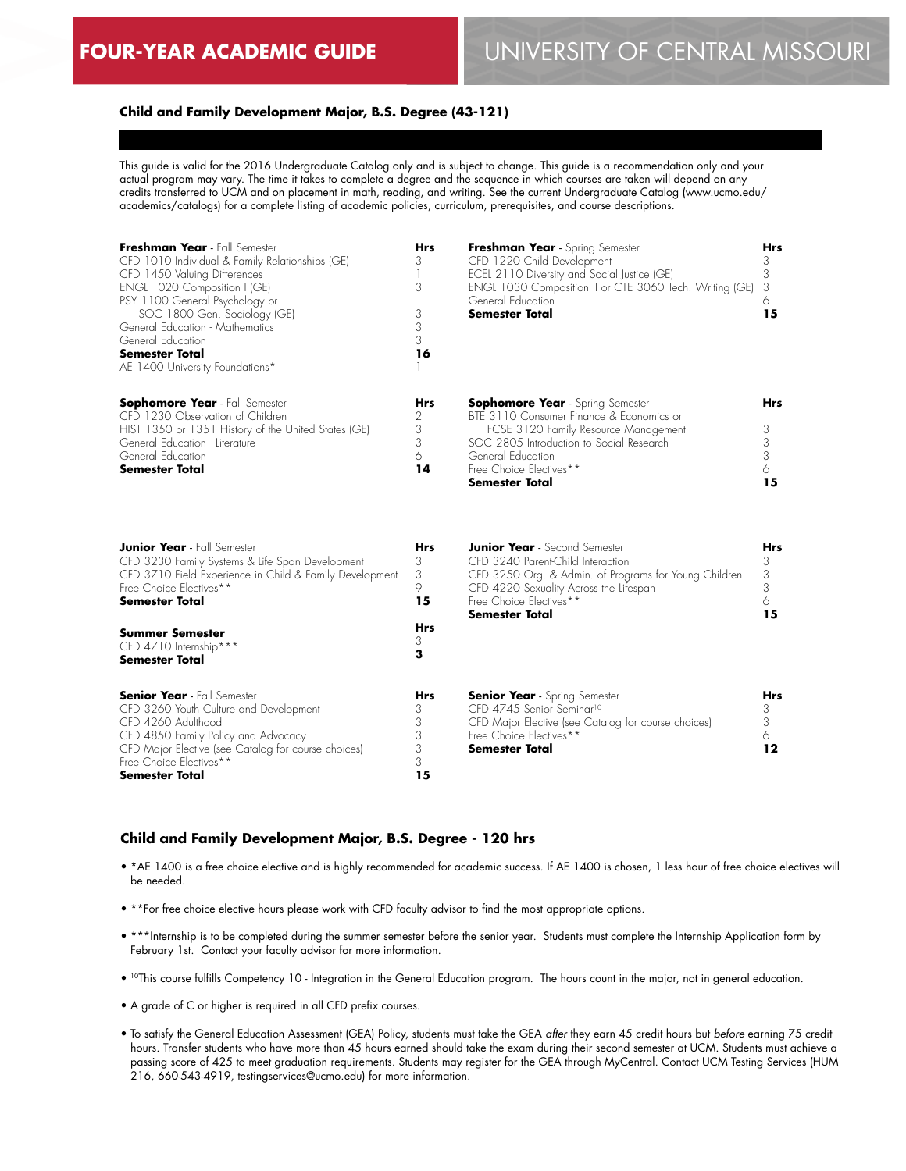# **FOUR-YEAR ACADEMIC GUIDE** UNIVERSITY OF CENTRAL MISSOURI

#### **Child and Family Development Major, B.S. Degree (43-121)**

This guide is valid for the 2016 Undergraduate Catalog only and is subject to change. This guide is a recommendation only and your actual program may vary. The time it takes to complete a degree and the sequence in which courses are taken will depend on any credits transferred to UCM and on placement in math, reading, and writing. See the current Undergraduate Catalog (www.ucmo.edu/ academics/catalogs) for a complete listing of academic policies, curriculum, prerequisites, and course descriptions.

| Freshman Year - Fall Semester<br>CFD 1010 Individual & Family Relationships (GE)<br>CFD 1450 Valuing Differences<br>ENGL 1020 Composition I (GE)<br>PSY 1100 General Psychology or<br>SOC 1800 Gen. Sociology (GE)<br>General Education - Mathematics<br>General Education<br><b>Semester Total</b><br>AE 1400 University Foundations* | <b>Hrs</b><br>3<br>1<br>3<br>3<br>3<br>3<br>16   | Freshman Year - Spring Semester<br>CFD 1220 Child Development<br>ECEL 2110 Diversity and Social Justice (GE)<br>ENGL 1030 Composition II or CTE 3060 Tech. Writing (GE)<br>General Education<br><b>Semester Total</b>                            | <b>Hrs</b><br>3<br>3<br>3<br>6<br>15       |
|----------------------------------------------------------------------------------------------------------------------------------------------------------------------------------------------------------------------------------------------------------------------------------------------------------------------------------------|--------------------------------------------------|--------------------------------------------------------------------------------------------------------------------------------------------------------------------------------------------------------------------------------------------------|--------------------------------------------|
| <b>Sophomore Year</b> - Fall Semester<br>CFD 1230 Observation of Children<br>HIST 1350 or 1351 History of the United States (GE)<br>General Education - Literature<br>General Education<br><b>Semester Total</b>                                                                                                                       | <b>Hrs</b><br>2<br>3<br>3<br>6<br>14             | <b>Sophomore Year</b> - Spring Semester<br>BTE 3110 Consumer Finance & Economics or<br>FCSE 3120 Family Resource Management<br>SOC 2805 Introduction to Social Research<br>General Education<br>Free Choice Electives**<br><b>Semester Total</b> | Hrs<br>3<br>3<br>$\overline{3}$<br>6<br>15 |
| <b>Junior Year</b> - Fall Semester<br>CFD 3230 Family Systems & Life Span Development<br>CFD 3710 Field Experience in Child & Family Development<br>Free Choice Electives**<br><b>Semester Total</b><br><b>Summer Semester</b><br>CFD 4710 Internship***<br><b>Semester Total</b>                                                      | <b>Hrs</b><br>3<br>3<br>9<br>15<br>Hrs<br>3<br>3 | <b>Junior Year</b> - Second Semester<br>CFD 3240 Parent-Child Interaction<br>CFD 3250 Org. & Admin. of Programs for Young Children<br>CFD 4220 Sexuality Across the Lifespan<br>Free Choice Electives**<br><b>Semester Total</b>                 | Hrs<br>3<br>3<br>3<br>6<br>15              |
| <b>Senior Year</b> - Fall Semester<br>CFD 3260 Youth Culture and Development<br>CFD 4260 Adulthood<br>CFD 4850 Family Policy and Advocacy<br>CFD Major Elective (see Catalog for course choices)<br>Free Choice Electives**<br>Semester Total                                                                                          | <b>Hrs</b><br>3<br>3<br>3<br>3<br>3<br>15        | <b>Senior Year</b> - Spring Semester<br>CFD 4745 Senior Seminar <sup>10</sup><br>CFD Major Elective (see Catalog for course choices)<br>Free Choice Electives**<br><b>Semester Total</b>                                                         | <b>Hrs</b><br>3<br>3<br>6<br>12            |

#### **Child and Family Development Major, B.S. Degree - 120 hrs**

- \*AE 1400 is a free choice elective and is highly recommended for academic success. If AE 1400 is chosen, 1 less hour of free choice electives will be needed.
- \*\*For free choice elective hours please work with CFD faculty advisor to find the most appropriate options.
- \*\*\*Internship is to be completed during the summer semester before the senior year. Students must complete the Internship Application form by February 1st. Contact your faculty advisor for more information.
- <sup>10</sup>This course fulfills Competency 10 Integration in the General Education program. The hours count in the major, not in general education.
- A grade of C or higher is required in all CFD prefix courses.
- To satisfy the General Education Assessment (GEA) Policy, students must take the GEA *after* they earn 45 credit hours but *before* earning 75 credit hours. Transfer students who have more than 45 hours earned should take the exam during their second semester at UCM. Students must achieve a passing score of 425 to meet graduation requirements. Students may register for the GEA through MyCentral. Contact UCM Testing Services (HUM 216, 660-543-4919, testingservices@ucmo.edu) for more information.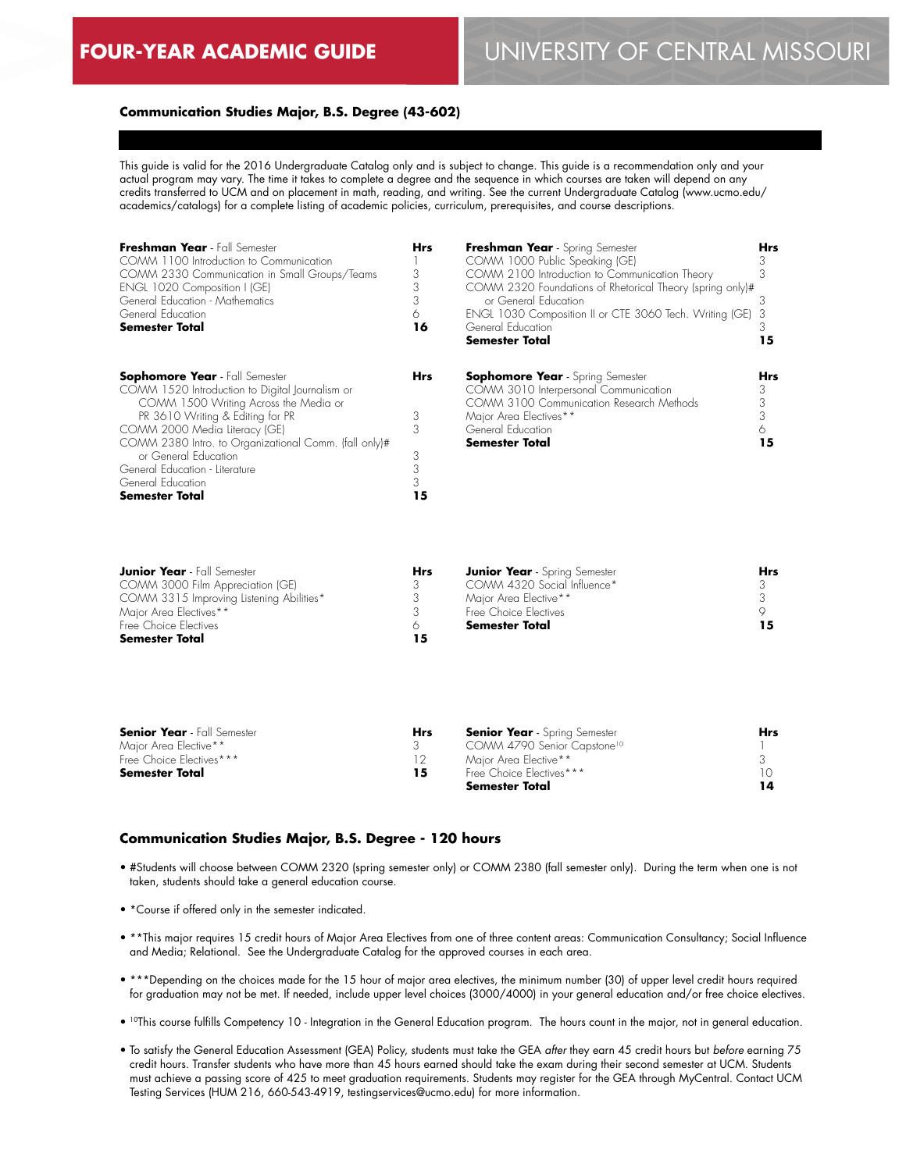# **FOUR-YEAR ACADEMIC GUIDE** UNIVERSITY OF CENTRAL MISSOURI

## **Communication Studies Major, B.S. Degree (43-602)**

This guide is valid for the 2016 Undergraduate Catalog only and is subject to change. This guide is a recommendation only and your actual program may vary. The time it takes to complete a degree and the sequence in which courses are taken will depend on any credits transferred to UCM and on placement in math, reading, and writing. See the current Undergraduate Catalog (www.ucmo.edu/ academics/catalogs) for a complete listing of academic policies, curriculum, prerequisites, and course descriptions.

| Freshman Year - Fall Semester<br>COMM 1100 Introduction to Communication<br>COMM 2330 Communication in Small Groups/Teams<br>ENGL 1020 Composition I (GE)<br>General Education - Mathematics<br>General Education<br><b>Semester Total</b>                                                                                                                              | <b>Hrs</b><br>3<br>3<br>3<br>6<br>16 | Freshman Year - Spring Semester<br>COMM 1000 Public Speaking (GE)<br>COMM 2100 Introduction to Communication Theory<br>COMM 2320 Foundations of Rhetorical Theory (spring only)#<br>or General Education<br>ENGL 1030 Composition II or CTE 3060 Tech. Writing (GE)<br>General Education<br><b>Semester Total</b> | <b>Hrs</b><br>З<br>3<br>3<br>3<br>3<br>15 |
|-------------------------------------------------------------------------------------------------------------------------------------------------------------------------------------------------------------------------------------------------------------------------------------------------------------------------------------------------------------------------|--------------------------------------|-------------------------------------------------------------------------------------------------------------------------------------------------------------------------------------------------------------------------------------------------------------------------------------------------------------------|-------------------------------------------|
| <b>Sophomore Year</b> - Fall Semester<br>COMM 1520 Introduction to Digital Journalism or<br>COMM 1500 Writing Across the Media or<br>PR 3610 Writing & Editing for PR<br>COMM 2000 Media Literacy (GE)<br>COMM 2380 Intro. to Organizational Comm. (fall only)#<br>or General Education<br>General Education - Literature<br>General Education<br><b>Semester Total</b> | Hrs<br>3<br>3<br>3<br>3<br>3<br>15   | <b>Sophomore Year</b> - Spring Semester<br>COMM 3010 Interpersonal Communication<br>COMM 3100 Communication Research Methods<br>Major Area Electives**<br>General Education<br><b>Semester Total</b>                                                                                                              | Hrs<br>3<br>3<br>3<br>6<br>15             |
|                                                                                                                                                                                                                                                                                                                                                                         |                                      |                                                                                                                                                                                                                                                                                                                   |                                           |

| <b>Junior Year</b> - Fall Semester       | Hrs | <b>Junior Year</b> - Spring Semester | <b>Hrs</b> |
|------------------------------------------|-----|--------------------------------------|------------|
| COMM 3000 Film Appreciation (GE)         |     | COMM 4320 Social Influence*          |            |
| COMM 3315 Improving Listening Abilities* |     | Major Area Elective**                |            |
| Major Area Electives**                   |     | Free Choice Flectives                |            |
| Free Choice Electives                    |     | Semester Total                       |            |
| Semester Total                           |     |                                      |            |

| <b>Senior Year</b> - Fall Semester | <b>Hrs</b> | <b>Senior Year</b> - Spring Semester    | <b>Hrs</b> |
|------------------------------------|------------|-----------------------------------------|------------|
| Maior Area Elective**              |            | COMM 4790 Senior Capstone <sup>10</sup> |            |
| Free Choice Electives***           |            | Maior Area Elective**                   |            |
| Semester Total                     | 15         | Free Choice Electives***                |            |
|                                    |            | Semester Total                          |            |

#### **Communication Studies Major, B.S. Degree - 120 hours**

- #Students will choose between COMM 2320 (spring semester only) or COMM 2380 (fall semester only). During the term when one is not taken, students should take a general education course.
- \*Course if offered only in the semester indicated.
- \*\*This major requires 15 credit hours of Major Area Electives from one of three content areas: Communication Consultancy; Social Influence and Media; Relational. See the Undergraduate Catalog for the approved courses in each area.
- \*\*\*Depending on the choices made for the 15 hour of major area electives, the minimum number (30) of upper level credit hours required for graduation may not be met. If needed, include upper level choices (3000/4000) in your general education and/or free choice electives.
- 10This course fulfills Competency 10 Integration in the General Education program. The hours count in the major, not in general education.
- To satisfy the General Education Assessment (GEA) Policy, students must take the GEA *after* they earn 45 credit hours but *before* earning 75 credit hours. Transfer students who have more than 45 hours earned should take the exam during their second semester at UCM. Students must achieve a passing score of 425 to meet graduation requirements. Students may register for the GEA through MyCentral. Contact UCM Testing Services (HUM 216, 660-543-4919, testingservices@ucmo.edu) for more information.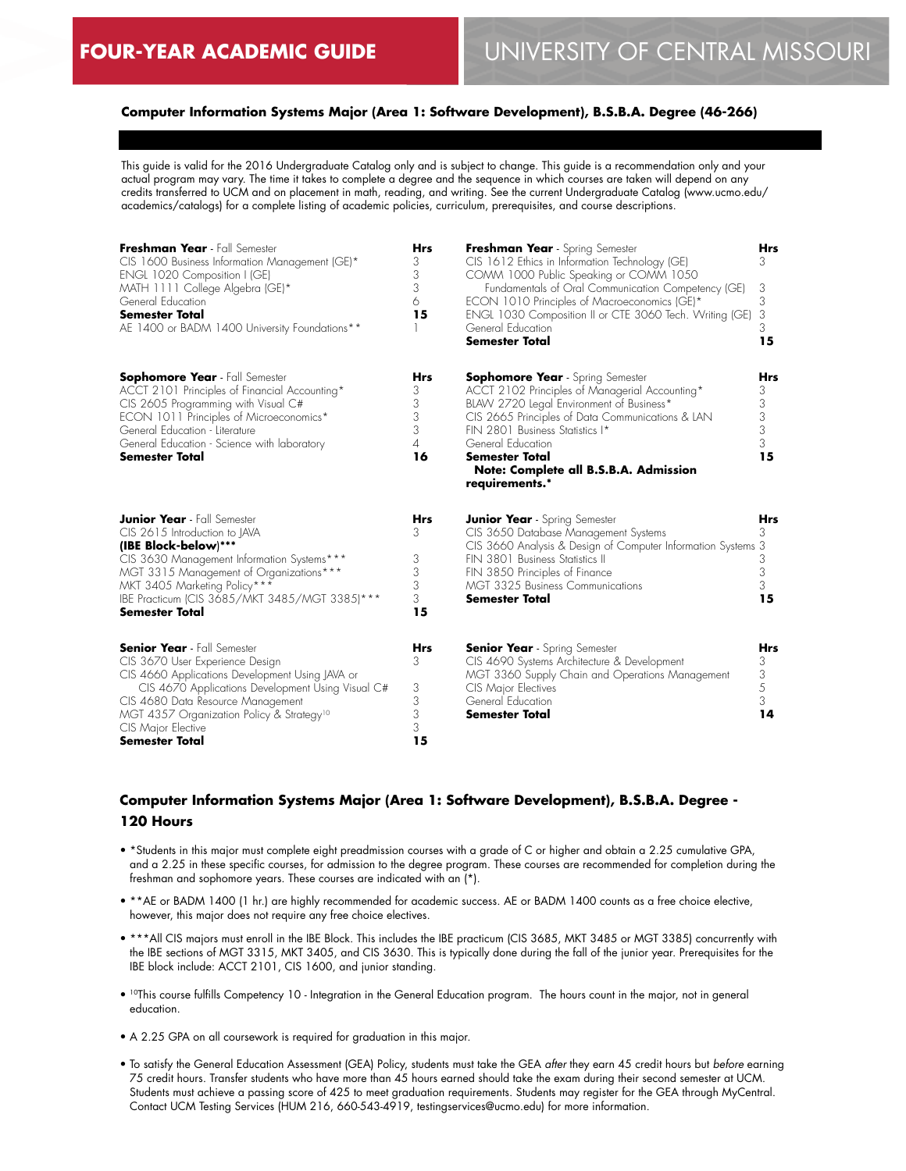## **Computer Information Systems Major (Area 1: Software Development), B.S.B.A. Degree (46-266)**

This guide is valid for the 2016 Undergraduate Catalog only and is subject to change. This guide is a recommendation only and your actual program may vary. The time it takes to complete a degree and the sequence in which courses are taken will depend on any credits transferred to UCM and on placement in math, reading, and writing. See the current Undergraduate Catalog (www.ucmo.edu/ academics/catalogs) for a complete listing of academic policies, curriculum, prerequisites, and course descriptions.

| Freshman Year - Fall Semester<br>CIS 1600 Business Information Management (GE)*<br>ENGL 1020 Composition I (GE)<br>MATH 1111 College Algebra (GE)*<br>General Education                                                                                                                                                    | <b>Hrs</b><br>3<br>3<br>3<br>6            | Freshman Year - Spring Semester<br>CIS 1612 Ethics in Information Technology (GE)<br>COMM 1000 Public Speaking or COMM 1050<br>Fundamentals of Oral Communication Competency (GE)<br>ECON 1010 Principles of Macroeconomics (GE)*                                                                                              | <b>Hrs</b><br>3<br>3<br>3            |
|----------------------------------------------------------------------------------------------------------------------------------------------------------------------------------------------------------------------------------------------------------------------------------------------------------------------------|-------------------------------------------|--------------------------------------------------------------------------------------------------------------------------------------------------------------------------------------------------------------------------------------------------------------------------------------------------------------------------------|--------------------------------------|
| <b>Semester Total</b><br>AE 1400 or BADM 1400 University Foundations**                                                                                                                                                                                                                                                     | 15                                        | ENGL 1030 Composition II or CTE 3060 Tech. Writing (GE)<br>General Education<br><b>Semester Total</b>                                                                                                                                                                                                                          | 3<br>3<br>15                         |
| <b>Sophomore Year</b> - Fall Semester<br>ACCT 2101 Principles of Financial Accounting*<br>CIS 2605 Programming with Visual C#<br>ECON 1011 Principles of Microeconomics*<br>General Education - Literature<br>General Education - Science with laboratory<br><b>Semester Total</b>                                         | <b>Hrs</b><br>3<br>3<br>3<br>3<br>4<br>16 | <b>Sophomore Year</b> - Spring Semester<br>ACCT 2102 Principles of Managerial Accounting*<br>BLAW 2720 Legal Environment of Business*<br>CIS 2665 Principles of Data Communications & LAN<br>FIN 2801 Business Statistics I*<br>General Education<br>Semester Total<br>Note: Complete all B.S.B.A. Admission<br>requirements.* | Hrs<br>3<br>3<br>3<br>3<br>3<br>15   |
| <b>Junior Year</b> - Fall Semester<br>CIS 2615 Introduction to JAVA<br>(IBE Block-below)***<br>CIS 3630 Management Information Systems***<br>MGT 3315 Management of Organizations***<br>MKT 3405 Marketing Policy***<br>IBE Practicum (CIS 3685/MKT 3485/MGT 3385)***<br><b>Semester Total</b>                             | Hrs<br>3<br>3<br>3<br>3<br>3<br>15        | <b>Junior Year</b> - Spring Semester<br>CIS 3650 Database Management Systems<br>CIS 3660 Analysis & Design of Computer Information Systems 3<br>FIN 3801 Business Statistics II<br>FIN 3850 Principles of Finance<br><b>MGT 3325 Business Communications</b><br><b>Semester Total</b>                                          | Hrs<br>3<br>3<br>3<br>3<br>15        |
| <b>Senior Year</b> - Fall Semester<br>CIS 3670 User Experience Design<br>CIS 4660 Applications Development Using JAVA or<br>CIS 4670 Applications Development Using Visual C#<br>CIS 4680 Data Resource Management<br>MGT 4357 Organization Policy & Strategy <sup>10</sup><br>CIS Major Elective<br><b>Semester Total</b> | <b>Hrs</b><br>3<br>3<br>3<br>3<br>3<br>15 | <b>Senior Year</b> - Spring Semester<br>CIS 4690 Systems Architecture & Development<br>MGT 3360 Supply Chain and Operations Management<br>CIS Major Electives<br>General Education<br>Semester Total                                                                                                                           | <b>Hrs</b><br>3<br>3<br>5<br>3<br>14 |

# **Computer Information Systems Major (Area 1: Software Development), B.S.B.A. Degree - 120 Hours**

- \*Students in this major must complete eight preadmission courses with a grade of C or higher and obtain a 2.25 cumulative GPA, and a 2.25 in these specific courses, for admission to the degree program. These courses are recommended for completion during the freshman and sophomore years. These courses are indicated with an (\*).
- \*\*AE or BADM 1400 (1 hr.) are highly recommended for academic success. AE or BADM 1400 counts as a free choice elective, however, this major does not require any free choice electives.
- \*\*\*All CIS majors must enroll in the IBE Block. This includes the IBE practicum (CIS 3685, MKT 3485 or MGT 3385) concurrently with the IBE sections of MGT 3315, MKT 3405, and CIS 3630. This is typically done during the fall of the junior year. Prerequisites for the IBE block include: ACCT 2101, CIS 1600, and junior standing.
- 10This course fulfills Competency 10 Integration in the General Education program. The hours count in the major, not in general education.
- A 2.25 GPA on all coursework is required for graduation in this major.
- To satisfy the General Education Assessment (GEA) Policy, students must take the GEA *after* they earn 45 credit hours but *before* earning 75 credit hours. Transfer students who have more than 45 hours earned should take the exam during their second semester at UCM. Students must achieve a passing score of 425 to meet graduation requirements. Students may register for the GEA through MyCentral. Contact UCM Testing Services (HUM 216, 660-543-4919, testingservices@ucmo.edu) for more information.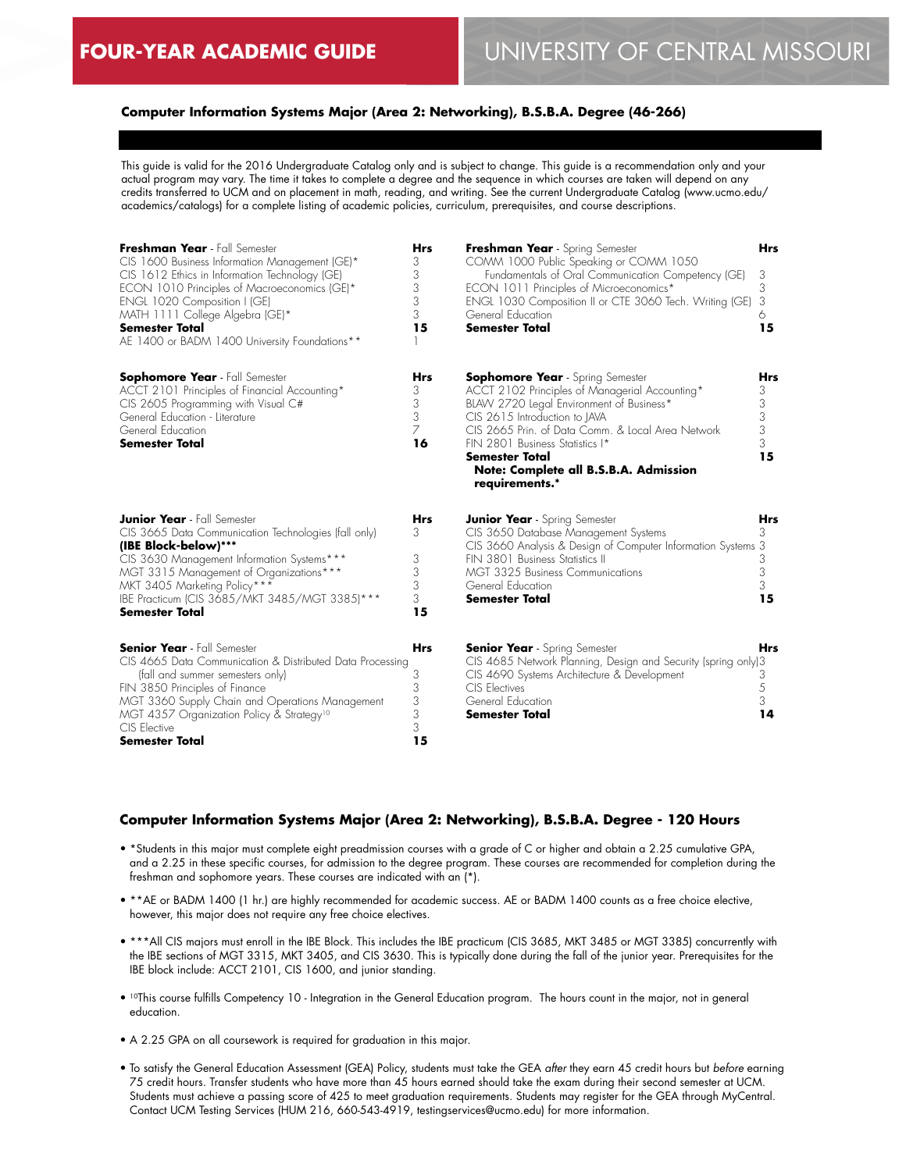## **Computer Information Systems Major (Area 2: Networking), B.S.B.A. Degree (46-266)**

This guide is valid for the 2016 Undergraduate Catalog only and is subject to change. This guide is a recommendation only and your actual program may vary. The time it takes to complete a degree and the sequence in which courses are taken will depend on any credits transferred to UCM and on placement in math, reading, and writing. See the current Undergraduate Catalog (www.ucmo.edu/ academics/catalogs) for a complete listing of academic policies, curriculum, prerequisites, and course descriptions.

| Freshman Year - Fall Semester<br>CIS 1600 Business Information Management (GE)*<br>CIS 1612 Ethics in Information Technology (GE)<br>ECON 1010 Principles of Macroeconomics (GE)*<br>ENGL 1020 Composition I (GE)<br>MATH 1111 College Algebra (GE)*<br><b>Semester Total</b><br>AE 1400 or BADM 1400 University Foundations** | <b>Hrs</b><br>3<br>3<br>3<br>3<br>3<br>15 | Freshman Year - Spring Semester<br>COMM 1000 Public Speaking or COMM 1050<br>Fundamentals of Oral Communication Competency (GE)<br>ECON 1011 Principles of Microeconomics*<br>ENGL 1030 Composition II or CTE 3060 Tech. Writing (GE)<br>General Education<br><b>Semester Total</b>                                                                | <b>Hrs</b><br>3<br>3<br>3<br>6<br>15 |
|--------------------------------------------------------------------------------------------------------------------------------------------------------------------------------------------------------------------------------------------------------------------------------------------------------------------------------|-------------------------------------------|----------------------------------------------------------------------------------------------------------------------------------------------------------------------------------------------------------------------------------------------------------------------------------------------------------------------------------------------------|--------------------------------------|
| <b>Sophomore Year</b> - Fall Semester<br>ACCT 2101 Principles of Financial Accounting*<br>CIS 2605 Programming with Visual C#<br>General Education - Literature<br>General Education<br><b>Semester Total</b>                                                                                                                  | <b>Hrs</b><br>3<br>3<br>3<br>7<br>16      | <b>Sophomore Year</b> - Spring Semester<br>ACCT 2102 Principles of Managerial Accounting*<br>BLAW 2720 Legal Environment of Business*<br>CIS 2615 Introduction to JAVA<br>CIS 2665 Prin. of Data Comm. & Local Area Network<br>FIN 2801 Business Statistics I*<br><b>Semester Total</b><br>Note: Complete all B.S.B.A. Admission<br>requirements.* | Hrs<br>3<br>3<br>3<br>3<br>3<br>15   |
| <b>Junior Year</b> - Fall Semester<br>CIS 3665 Data Communication Technologies (fall only)<br>(IBE Block-below)***<br>CIS 3630 Management Information Systems***<br>MGT 3315 Management of Organizations***<br>MKT 3405 Marketing Policy***<br>IBE Practicum (CIS 3685/MKT 3485/MGT 3385)***<br><b>Semester Total</b>          | <b>Hrs</b><br>3<br>3<br>3<br>3<br>3<br>15 | <b>Junior Year</b> - Spring Semester<br>CIS 3650 Database Management Systems<br>CIS 3660 Analysis & Design of Computer Information Systems 3<br>FIN 3801 Business Statistics II<br>MGT 3325 Business Communications<br>General Education<br>Semester Total                                                                                         | Hrs<br>3<br>3<br>3<br>3<br>15        |
| <b>Senior Year</b> - Fall Semester<br>CIS 4665 Data Communication & Distributed Data Processing<br>(fall and summer semesters only)<br>FIN 3850 Principles of Finance<br>MGT 3360 Supply Chain and Operations Management<br>MGT 4357 Organization Policy & Strategy <sup>10</sup><br>CIS Elective<br>Semester Total            | <b>Hrs</b><br>3<br>3<br>3<br>3<br>3<br>15 | <b>Senior Year</b> - Spring Semester<br>CIS 4685 Network Planning, Design and Security (spring only)3<br>CIS 4690 Systems Architecture & Development<br>CIS Electives<br>General Education<br><b>Semester Total</b>                                                                                                                                | <b>Hrs</b><br>3<br>5<br>3<br>14      |

## **Computer Information Systems Major (Area 2: Networking), B.S.B.A. Degree - 120 Hours**

- \*Students in this major must complete eight preadmission courses with a grade of C or higher and obtain a 2.25 cumulative GPA, and a 2.25 in these specific courses, for admission to the degree program. These courses are recommended for completion during the freshman and sophomore years. These courses are indicated with an (\*).
- \*\*AE or BADM 1400 (1 hr.) are highly recommended for academic success. AE or BADM 1400 counts as a free choice elective, however, this major does not require any free choice electives.
- \*\*\*All CIS majors must enroll in the IBE Block. This includes the IBE practicum (CIS 3685, MKT 3485 or MGT 3385) concurrently with the IBE sections of MGT 3315, MKT 3405, and CIS 3630. This is typically done during the fall of the junior year. Prerequisites for the IBE block include: ACCT 2101, CIS 1600, and junior standing.
- 10This course fulfills Competency 10 Integration in the General Education program. The hours count in the major, not in general education.
- A 2.25 GPA on all coursework is required for graduation in this major.
- To satisfy the General Education Assessment (GEA) Policy, students must take the GEA *after* they earn 45 credit hours but *before* earning 75 credit hours. Transfer students who have more than 45 hours earned should take the exam during their second semester at UCM. Students must achieve a passing score of 425 to meet graduation requirements. Students may register for the GEA through MyCentral. Contact UCM Testing Services (HUM 216, 660-543-4919, testingservices@ucmo.edu) for more information.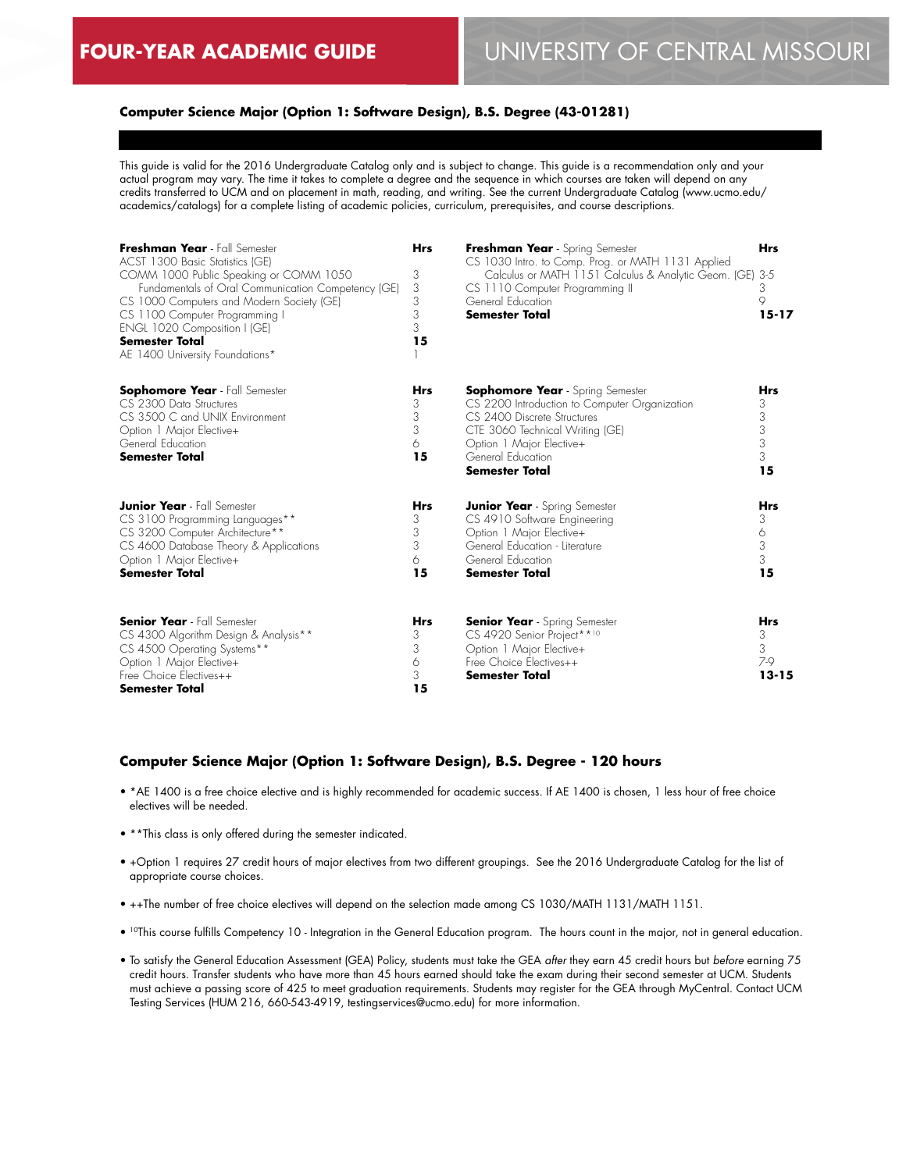## **Computer Science Major (Option 1: Software Design), B.S. Degree (43-01281)**

This guide is valid for the 2016 Undergraduate Catalog only and is subject to change. This guide is a recommendation only and your actual program may vary. The time it takes to complete a degree and the sequence in which courses are taken will depend on any credits transferred to UCM and on placement in math, reading, and writing. See the current Undergraduate Catalog (www.ucmo.edu/ academics/catalogs) for a complete listing of academic policies, curriculum, prerequisites, and course descriptions.

| Freshman Year - Fall Semester<br>ACST 1300 Basic Statistics (GE)<br>COMM 1000 Public Speaking or COMM 1050<br>Fundamentals of Oral Communication Competency (GE)<br>CS 1000 Computers and Modern Society (GE)<br>CS 1100 Computer Programming I<br>ENGL 1020 Composition I (GE)<br><b>Semester Total</b><br>AE 1400 University Foundations* | <b>Hrs</b><br>3<br>3<br>3<br>3<br>3<br>15 | Freshman Year - Spring Semester<br>CS 1030 Intro. to Comp. Prog. or MATH 1131 Applied<br>Calculus or MATH 1151 Calculus & Analytic Geom. (GE) 3-5<br>CS 1110 Computer Programming II<br>General Education<br><b>Semester Total</b>   | <b>Hrs</b><br>3<br>9<br>$15 - 17$        |
|---------------------------------------------------------------------------------------------------------------------------------------------------------------------------------------------------------------------------------------------------------------------------------------------------------------------------------------------|-------------------------------------------|--------------------------------------------------------------------------------------------------------------------------------------------------------------------------------------------------------------------------------------|------------------------------------------|
| <b>Sophomore Year</b> - Fall Semester<br>CS 2300 Data Structures<br>CS 3500 C and UNIX Environment<br>Option 1 Major Elective+<br>General Education<br><b>Semester Total</b>                                                                                                                                                                | <b>Hrs</b><br>3<br>3<br>3<br>6<br>15      | <b>Sophomore Year</b> - Spring Semester<br>CS 2200 Introduction to Computer Organization<br>CS 2400 Discrete Structures<br>CTE 3060 Technical Writing (GE)<br>Option 1 Major Elective+<br>General Education<br><b>Semester Total</b> | Hrs<br>3<br>3<br>3<br>3<br>3<br>15       |
| <b>Junior Year</b> - Fall Semester<br>CS 3100 Programming Languages**<br>CS 3200 Computer Architecture**<br>CS 4600 Database Theory & Applications<br>Option 1 Major Elective+<br><b>Semester Total</b>                                                                                                                                     | <b>Hrs</b><br>3<br>3<br>3<br>6<br>15      | <b>Junior Year</b> - Spring Semester<br>CS 4910 Software Engineering<br>Option 1 Major Elective+<br>General Education - Literature<br>General Education<br><b>Semester Total</b>                                                     | <b>Hrs</b><br>3<br>6<br>3<br>3<br>15     |
| <b>Senior Year</b> - Fall Semester<br>CS 4300 Algorithm Design & Analysis**<br>CS 4500 Operating Systems**<br>Option 1 Major Elective+<br>Free Choice Electives++<br><b>Semester Total</b>                                                                                                                                                  | <b>Hrs</b><br>3<br>3<br>6<br>3<br>15      | <b>Senior Year</b> - Spring Semester<br>CS 4920 Senior Project**10<br>Option 1 Major Elective+<br>Free Choice Electives++<br><b>Semester Total</b>                                                                                   | <b>Hrs</b><br>3<br>3<br>7-9<br>$13 - 15$ |

#### **Computer Science Major (Option 1: Software Design), B.S. Degree - 120 hours**

- \*AE 1400 is a free choice elective and is highly recommended for academic success. If AE 1400 is chosen, 1 less hour of free choice electives will be needed.
- \*\*This class is only offered during the semester indicated.
- +Option 1 requires 27 credit hours of major electives from two different groupings. See the 2016 Undergraduate Catalog for the list of appropriate course choices.
- ++The number of free choice electives will depend on the selection made among CS 1030/MATH 1131/MATH 1151.
- <sup>10</sup>This course fulfills Competency 10 Integration in the General Education program. The hours count in the major, not in general education.
- To satisfy the General Education Assessment (GEA) Policy, students must take the GEA *after* they earn 45 credit hours but *before* earning 75 credit hours. Transfer students who have more than 45 hours earned should take the exam during their second semester at UCM. Students must achieve a passing score of 425 to meet graduation requirements. Students may register for the GEA through MyCentral. Contact UCM Testing Services (HUM 216, 660-543-4919, testingservices@ucmo.edu) for more information.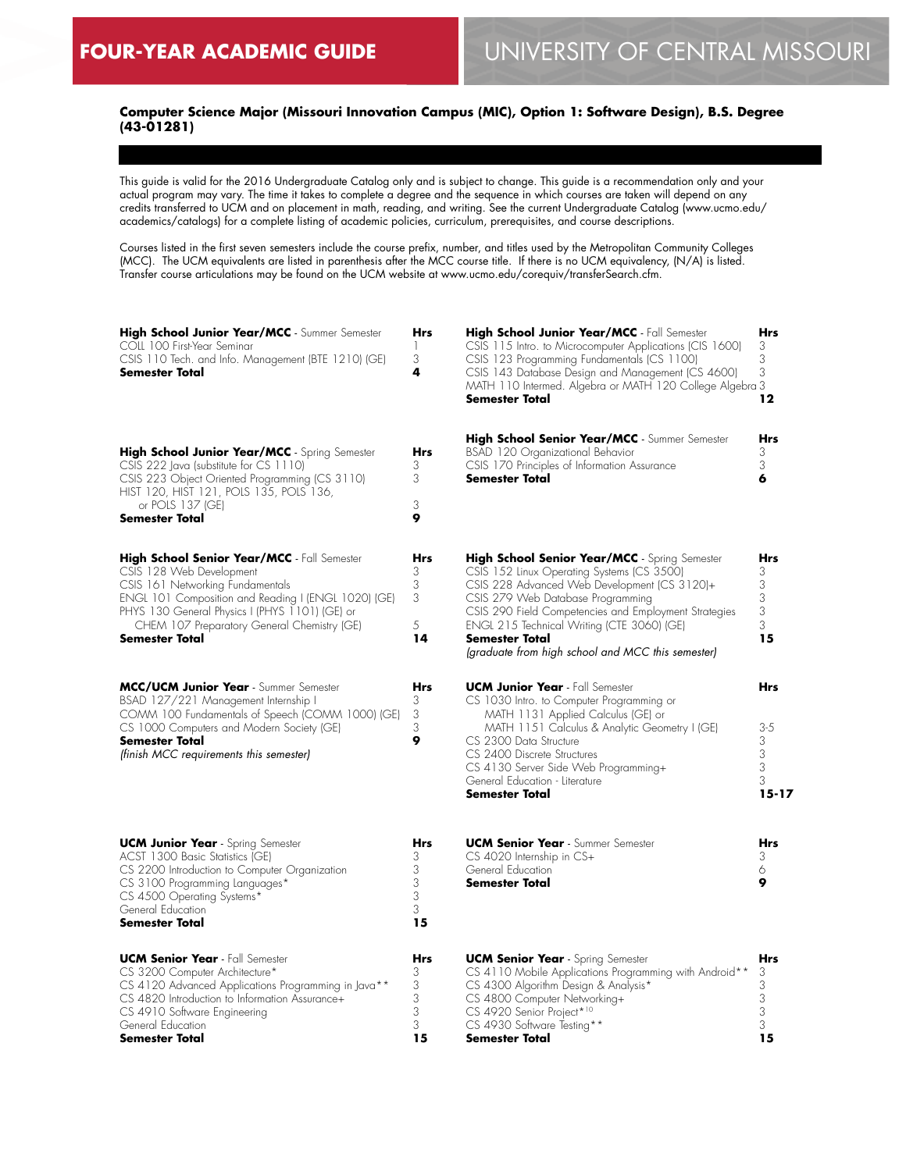## **Computer Science Major (Missouri Innovation Campus (MIC), Option 1: Software Design), B.S. Degree (43-01281)**

This guide is valid for the 2016 Undergraduate Catalog only and is subject to change. This guide is a recommendation only and your actual program may vary. The time it takes to complete a degree and the sequence in which courses are taken will depend on any credits transferred to UCM and on placement in math, reading, and writing. See the current Undergraduate Catalog (www.ucmo.edu/ academics/catalogs) for a complete listing of academic policies, curriculum, prerequisites, and course descriptions.

Courses listed in the first seven semesters include the course prefix, number, and titles used by the Metropolitan Community Colleges (MCC). The UCM equivalents are listed in parenthesis after the MCC course title. If there is no UCM equivalency, (N/A) is listed. Transfer course articulations may be found on the UCM website at www.ucmo.edu/corequiv/transferSearch.cfm.

| High School Junior Year/MCC - Summer Semester<br>COLL 100 First-Year Seminar<br>CSIS 110 Tech. and Info. Management (BTE 1210) (GE)<br>Semester Total                                                                                                                                        | Hrs<br>$\mathbb{I}$<br>3<br>4      | High School Junior Year/MCC - Fall Semester<br>CSIS 115 Intro. to Microcomputer Applications (CIS 1600)<br>CSIS 123 Programming Fundamentals (CS 1100)<br>CSIS 143 Database Design and Management (CS 4600)<br>MATH 110 Intermed. Algebra or MATH 120 College Algebra 3<br><b>Semester Total</b>                                                                             | Hrs<br>3<br>3<br>3<br>12                               |
|----------------------------------------------------------------------------------------------------------------------------------------------------------------------------------------------------------------------------------------------------------------------------------------------|------------------------------------|------------------------------------------------------------------------------------------------------------------------------------------------------------------------------------------------------------------------------------------------------------------------------------------------------------------------------------------------------------------------------|--------------------------------------------------------|
| High School Junior Year/MCC - Spring Semester<br>CSIS 222 Java (substitute for CS 1110)<br>CSIS 223 Object Oriented Programming (CS 3110)<br>HIST 120, HIST 121, POLS 135, POLS 136,<br>or POLS 137 (GE)<br>Semester Total                                                                   | <b>Hrs</b><br>3<br>3<br>3<br>9     | High School Senior Year/MCC - Summer Semester<br>BSAD 120 Organizational Behavior<br>CSIS 170 Principles of Information Assurance<br><b>Semester Total</b>                                                                                                                                                                                                                   | Hrs<br>3<br>3<br>6                                     |
| High School Senior Year/MCC - Fall Semester<br>CSIS 128 Web Development<br>CSIS 161 Networking Fundamentals<br>ENGL 101 Composition and Reading I (ENGL 1020) (GE)<br>PHYS 130 General Physics I (PHYS 1101) (GE) or<br>CHEM 107 Preparatory General Chemistry (GE)<br><b>Semester Total</b> | Hrs<br>3<br>3<br>3<br>5<br>14      | <b>High School Senior Year/MCC</b> - Spring Semester<br>CSIS 152 Linux Operating Systems (CS 3500)<br>CSIS 228 Advanced Web Development (CS 3120)+<br>CSIS 279 Web Database Programming<br>CSIS 290 Field Competencies and Employment Strategies<br>ENGL 215 Technical Writing (CTE 3060) (GE)<br><b>Semester Total</b><br>(graduate from high school and MCC this semester) | <b>Hrs</b><br>3<br>3<br>3<br>3<br>3<br>15              |
| MCC/UCM Junior Year - Summer Semester<br>BSAD 127/221 Management Internship I<br>COMM 100 Fundamentals of Speech (COMM 1000) (GE)<br>CS 1000 Computers and Modern Society (GE)<br><b>Semester Total</b><br>(finish MCC requirements this semester)                                           | <b>Hrs</b><br>3<br>3<br>3<br>9     | <b>UCM Junior Year</b> - Fall Semester<br>CS 1030 Intro. to Computer Programming or<br>MATH 1131 Applied Calculus (GE) or<br>MATH 1151 Calculus & Analytic Geometry I (GE)<br>CS 2300 Data Structure<br>CS 2400 Discrete Structures<br>CS 4130 Server Side Web Programming+<br>General Education - Literature<br><b>Semester Total</b>                                       | <b>Hrs</b><br>$3 - 5$<br>3<br>3<br>3<br>3<br>$15 - 17$ |
| <b>UCM Junior Year</b> - Spring Semester<br>ACST 1300 Basic Statistics (GE)<br>CS 2200 Introduction to Computer Organization<br>CS 3100 Programming Languages*<br>CS 4500 Operating Systems*<br>General Education<br><b>Semester Total</b>                                                   | Hrs<br>3<br>3<br>3<br>3<br>3<br>15 | <b>UCM Senior Year</b> - Summer Semester<br>CS 4020 Internship in CS+<br>General Education<br><b>Semester Total</b>                                                                                                                                                                                                                                                          | Hrs<br>3<br>6<br>9                                     |
| <b>UCM Senior Year</b> - Fall Semester<br>CS 3200 Computer Architecture*<br>CS 4120 Advanced Applications Programming in Java**<br>CS 4820 Introduction to Information Assurance+<br>CS 4910 Software Engineering<br>General Education<br>Semester Total                                     | Hrs<br>3<br>3<br>3<br>3<br>3<br>15 | <b>UCM Senior Year</b> - Spring Semester<br>CS 4110 Mobile Applications Programming with Android**<br>CS 4300 Algorithm Design & Analysis*<br>CS 4800 Computer Networking+<br>CS 4920 Senior Project*10<br>CS 4930 Software Testing**<br><b>Semester Total</b>                                                                                                               | Hrs<br>3<br>3<br>3<br>3<br>3<br>15                     |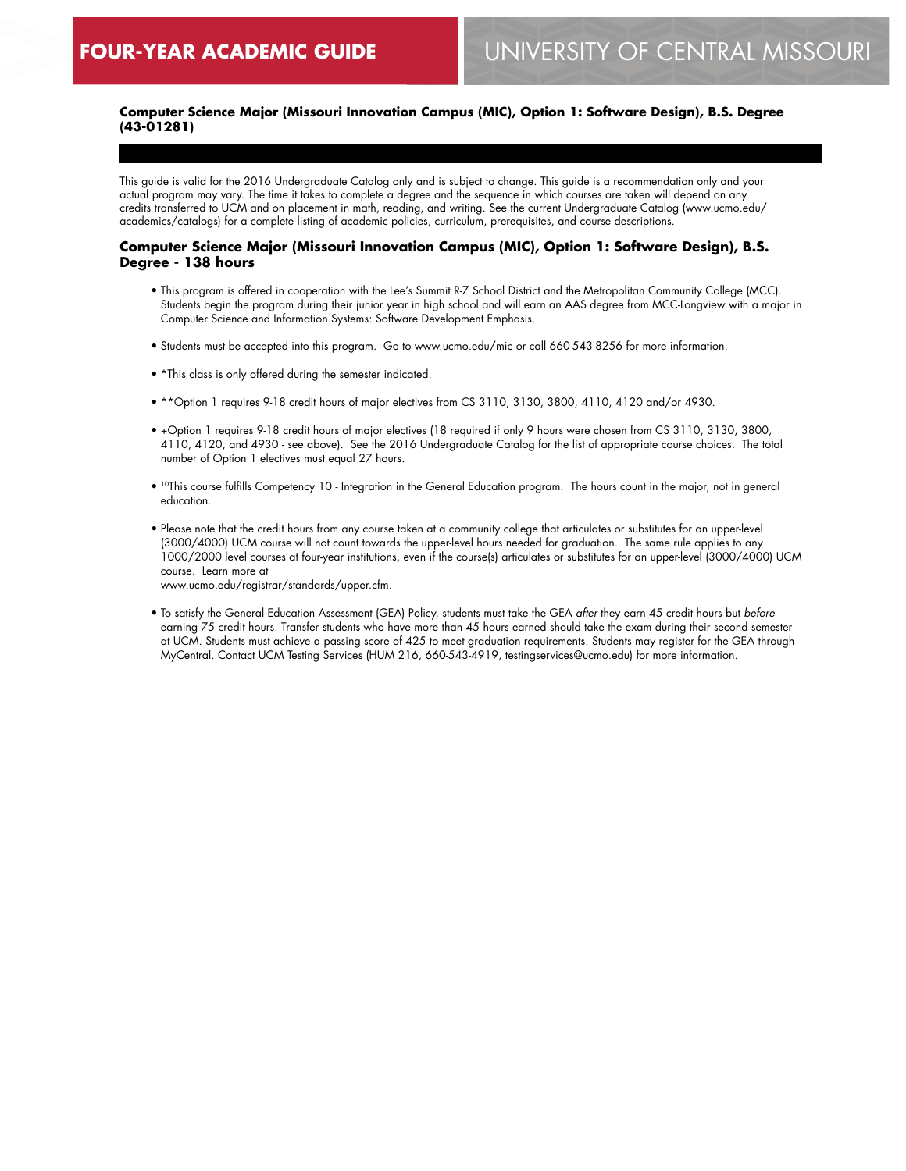## **Computer Science Major (Missouri Innovation Campus (MIC), Option 1: Software Design), B.S. Degree (43-01281)**

This guide is valid for the 2016 Undergraduate Catalog only and is subject to change. This guide is a recommendation only and your actual program may vary. The time it takes to complete a degree and the sequence in which courses are taken will depend on any credits transferred to UCM and on placement in math, reading, and writing. See the current Undergraduate Catalog (www.ucmo.edu/ academics/catalogs) for a complete listing of academic policies, curriculum, prerequisites, and course descriptions.

#### **Computer Science Major (Missouri Innovation Campus (MIC), Option 1: Software Design), B.S. Degree - 138 hours**

- This program is offered in cooperation with the Lee's Summit R-7 School District and the Metropolitan Community College (MCC). Students begin the program during their junior year in high school and will earn an AAS degree from MCC-Longview with a major in Computer Science and Information Systems: Software Development Emphasis.
- Students must be accepted into this program. Go to www.ucmo.edu/mic or call 660-543-8256 for more information.
- \*This class is only offered during the semester indicated.
- \*\*Option 1 requires 9-18 credit hours of major electives from CS 3110, 3130, 3800, 4110, 4120 and/or 4930.
- +Option 1 requires 9-18 credit hours of major electives (18 required if only 9 hours were chosen from CS 3110, 3130, 3800, 4110, 4120, and 4930 - see above). See the 2016 Undergraduate Catalog for the list of appropriate course choices. The total number of Option 1 electives must equal 27 hours.
- <sup>10</sup>This course fulfills Competency 10 Integration in the General Education program. The hours count in the major, not in general education.
- Please note that the credit hours from any course taken at a community college that articulates or substitutes for an upper-level (3000/4000) UCM course will not count towards the upper-level hours needed for graduation. The same rule applies to any 1000/2000 level courses at four-year institutions, even if the course(s) articulates or substitutes for an upper-level (3000/4000) UCM course. Learn more at

www.ucmo.edu/registrar/standards/upper.cfm.

• To satisfy the General Education Assessment (GEA) Policy, students must take the GEA *after* they earn 45 credit hours but *before* earning 75 credit hours. Transfer students who have more than 45 hours earned should take the exam during their second semester at UCM. Students must achieve a passing score of 425 to meet graduation requirements. Students may register for the GEA through MyCentral. Contact UCM Testing Services (HUM 216, 660-543-4919, testingservices@ucmo.edu) for more information.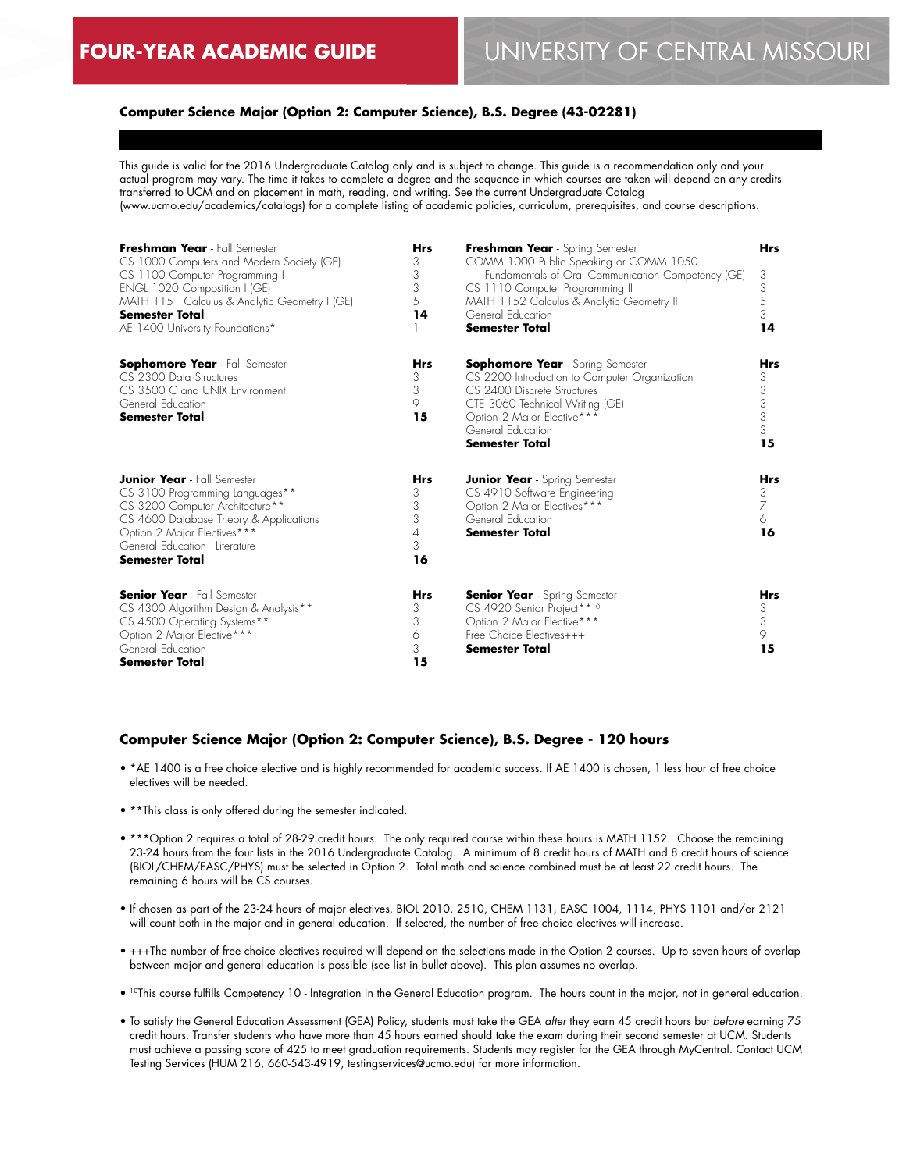## **Computer Science Major (Option 2: Computer Science), B.S. Degree (43-02281)**

This guide is valid for the 2016 Undergraduate Catalog only and is subject to change. This guide is a recommendation only and your actual program may vary. The time it takes to complete a degree and the sequence in which courses are taken will depend on any credits transferred to UCM and on placement in math, reading, and writing. See the current Undergraduate Catalog (www.ucmo.edu/academics/catalogs) for a complete listing of academic policies, curriculum, prerequisites, and course descriptions.

| Freshman Year - Fall Semester<br>CS 1000 Computers and Modern Society (GE)<br>CS 1100 Computer Programming I<br>ENGL 1020 Composition I (GE)<br>MATH 1151 Calculus & Analytic Geometry I (GE)<br><b>Semester Total</b><br>AE 1400 University Foundations* | <b>Hrs</b><br>3<br>3<br>3<br>5<br>14      | Freshman Year - Spring Semester<br>COMM 1000 Public Speaking or COMM 1050<br>Fundamentals of Oral Communication Competency (GE)<br>CS 1110 Computer Programming II<br>MATH 1152 Calculus & Analytic Geometry II<br>General Education<br>Semester Total | <b>Hrs</b><br>3<br>3<br>5<br>3<br>14 |
|-----------------------------------------------------------------------------------------------------------------------------------------------------------------------------------------------------------------------------------------------------------|-------------------------------------------|--------------------------------------------------------------------------------------------------------------------------------------------------------------------------------------------------------------------------------------------------------|--------------------------------------|
| <b>Sophomore Year</b> - Fall Semester<br>CS 2300 Data Structures<br>CS 3500 C and UNIX Environment<br>General Education<br><b>Semester Total</b>                                                                                                          | <b>Hrs</b><br>3<br>3<br>9<br>15           | <b>Sophomore Year</b> - Spring Semester<br>CS 2200 Introduction to Computer Organization<br>CS 2400 Discrete Structures<br>CTE 3060 Technical Writing (GE)<br>Option 2 Major Elective***<br>General Education<br><b>Semester Total</b>                 | Hrs<br>3<br>3<br>3<br>3<br>3<br>15   |
| <b>Junior Year</b> - Fall Semester<br>CS 3100 Programming Languages**<br>CS 3200 Computer Architecture**<br>CS 4600 Database Theory & Applications<br>Option 2 Major Electives***<br>General Education - Literature<br><b>Semester Total</b>              | <b>Hrs</b><br>3<br>3<br>3<br>4<br>3<br>16 | <b>Junior Year</b> - Spring Semester<br>CS 4910 Software Engineering<br>Option 2 Major Electives***<br>General Education<br><b>Semester Total</b>                                                                                                      | <b>Hrs</b><br>3<br>7<br>6.<br>16     |
| <b>Senior Year</b> - Fall Semester<br>CS 4300 Algorithm Design & Analysis**<br>CS 4500 Operating Systems**<br>Option 2 Major Elective***<br>General Education<br><b>Semester Total</b>                                                                    | <b>Hrs</b><br>3<br>3<br>6<br>3<br>15      | <b>Senior Year</b> - Spring Semester<br>CS 4920 Senior Project**10<br>Option 2 Major Elective***<br>Free Choice Electives+++<br>Semester Total                                                                                                         | Hrs<br>3<br>3<br>9<br>15             |

#### **Computer Science Major (Option 2: Computer Science), B.S. Degree - 120 hours**

- \*AE 1400 is a free choice elective and is highly recommended for academic success. If AE 1400 is chosen, 1 less hour of free choice electives will be needed.
- \*\*This class is only offered during the semester indicated.
- \*\*\* Option 2 requires a total of 28-29 credit hours. The only required course within these hours is MATH 1152. Choose the remaining 23-24 hours from the four lists in the 2016 Undergraduate Catalog. A minimum of 8 credit hours of MATH and 8 credit hours of science (BIOL/CHEM/EASC/PHYS) must be selected in Option 2. Total math and science combined must be at least 22 credit hours. The remaining 6 hours will be CS courses.
- If chosen as part of the 23-24 hours of major electives, BIOL 2010, 2510, CHEM 1131, EASC 1004, 1114, PHYS 1101 and/or 2121 will count both in the major and in general education. If selected, the number of free choice electives will increase.
- +++The number of free choice electives required will depend on the selections made in the Option 2 courses. Up to seven hours of overlap between major and general education is possible (see list in bullet above). This plan assumes no overlap.
- 10This course fulfills Competency 10 Integration in the General Education program. The hours count in the major, not in general education.
- To satisfy the General Education Assessment (GEA) Policy, students must take the GEA *after* they earn 45 credit hours but *before* earning 75 credit hours. Transfer students who have more than 45 hours earned should take the exam during their second semester at UCM. Students must achieve a passing score of 425 to meet graduation requirements. Students may register for the GEA through MyCentral. Contact UCM Testing Services (HUM 216, 660-543-4919, testingservices@ucmo.edu) for more information.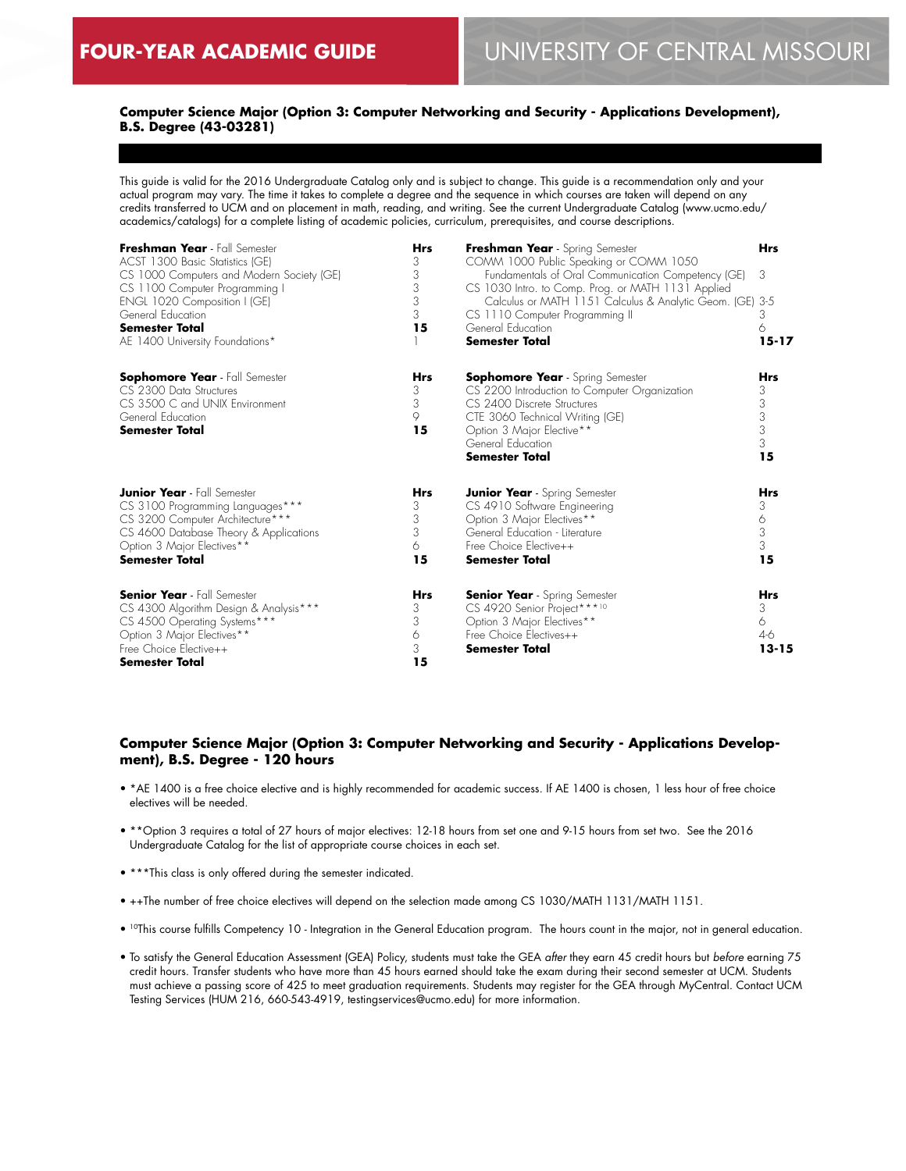## **Computer Science Major (Option 3: Computer Networking and Security - Applications Development), B.S. Degree (43-03281)**

This guide is valid for the 2016 Undergraduate Catalog only and is subject to change. This guide is a recommendation only and your actual program may vary. The time it takes to complete a degree and the sequence in which courses are taken will depend on any credits transferred to UCM and on placement in math, reading, and writing. See the current Undergraduate Catalog (www.ucmo.edu/ academics/catalogs) for a complete listing of academic policies, curriculum, prerequisites, and course descriptions.

| Freshman Year - Fall Semester<br>ACST 1300 Basic Statistics (GE)<br>CS 1000 Computers and Modern Society (GE)<br>CS 1100 Computer Programming I | Hrs<br>3<br>3<br>3 | Freshman Year - Spring Semester<br>COMM 1000 Public Speaking or COMM 1050<br>Fundamentals of Oral Communication Competency (GE)<br>CS 1030 Intro. to Comp. Prog. or MATH 1131 Applied | <b>Hrs</b><br>3 |
|-------------------------------------------------------------------------------------------------------------------------------------------------|--------------------|---------------------------------------------------------------------------------------------------------------------------------------------------------------------------------------|-----------------|
| ENGL 1020 Composition I (GE)<br>General Education                                                                                               | 3<br>3             | Calculus or MATH 1151 Calculus & Analytic Geom. (GE) 3-5<br>CS 1110 Computer Programming II                                                                                           | 3               |
| <b>Semester Total</b>                                                                                                                           | 15                 | General Education                                                                                                                                                                     | 6               |
| AE 1400 University Foundations*                                                                                                                 |                    | <b>Semester Total</b>                                                                                                                                                                 | $15 - 17$       |
| Sophomore Year - Fall Semester                                                                                                                  | Hrs                | <b>Sophomore Year</b> - Spring Semester                                                                                                                                               | <b>Hrs</b>      |
| CS 2300 Data Structures                                                                                                                         | 3                  | CS 2200 Introduction to Computer Organization                                                                                                                                         | 3               |
| CS 3500 C and UNIX Environment                                                                                                                  | 3                  | CS 2400 Discrete Structures                                                                                                                                                           | 3               |
| General Education<br>Semester Total                                                                                                             | 9<br>15            | CTE 3060 Technical Writing (GE)<br>Option 3 Major Elective**                                                                                                                          | 3<br>3          |
|                                                                                                                                                 |                    | General Education                                                                                                                                                                     | 3               |
|                                                                                                                                                 |                    | <b>Semester Total</b>                                                                                                                                                                 | 15              |
| <b>Junior Year</b> - Fall Semester                                                                                                              | Hrs                | <b>Junior Year</b> - Spring Semester                                                                                                                                                  | <b>Hrs</b>      |
| CS 3100 Programming Languages***                                                                                                                | 3                  | CS 4910 Software Engineering                                                                                                                                                          | 3               |
| CS 3200 Computer Architecture***                                                                                                                | 3                  | Option 3 Major Electives**                                                                                                                                                            | 6               |
| CS 4600 Database Theory & Applications                                                                                                          | 3<br>6             | General Education - Literature<br>Free Choice Elective++                                                                                                                              | 3<br>3          |
| Option 3 Major Electives**<br><b>Semester Total</b>                                                                                             | 15                 | Semester Total                                                                                                                                                                        | 15              |
|                                                                                                                                                 |                    |                                                                                                                                                                                       |                 |
| <b>Senior Year</b> - Fall Semester                                                                                                              | <b>Hrs</b>         | <b>Senior Year</b> - Spring Semester                                                                                                                                                  | Hrs             |
| CS 4300 Algorithm Design & Analysis***                                                                                                          | 3                  | CS 4920 Senior Project***10                                                                                                                                                           | 3               |
| CS 4500 Operating Systems***<br>Option 3 Major Electives**                                                                                      | 3<br>6             | Option 3 Major Electives**<br>Free Choice Electives++                                                                                                                                 | 6<br>$4-6$      |
| Free Choice Elective++                                                                                                                          | 3                  | Semester Total                                                                                                                                                                        | $13 - 15$       |
| <b>Semester Total</b>                                                                                                                           | 15                 |                                                                                                                                                                                       |                 |
|                                                                                                                                                 |                    |                                                                                                                                                                                       |                 |

## **Computer Science Major (Option 3: Computer Networking and Security - Applications Development), B.S. Degree - 120 hours**

- \*AE 1400 is a free choice elective and is highly recommended for academic success. If AE 1400 is chosen, 1 less hour of free choice electives will be needed.
- \*\*Option 3 requires a total of 27 hours of major electives: 12-18 hours from set one and 9-15 hours from set two. See the 2016 Undergraduate Catalog for the list of appropriate course choices in each set.
- \*\*\*This class is only offered during the semester indicated.
- ++The number of free choice electives will depend on the selection made among CS 1030/MATH 1131/MATH 1151.
- 10This course fulfills Competency 10 Integration in the General Education program. The hours count in the major, not in general education.
- To satisfy the General Education Assessment (GEA) Policy, students must take the GEA *after* they earn 45 credit hours but *before* earning 75 credit hours. Transfer students who have more than 45 hours earned should take the exam during their second semester at UCM. Students must achieve a passing score of 425 to meet graduation requirements. Students may register for the GEA through MyCentral. Contact UCM Testing Services (HUM 216, 660-543-4919, testingservices@ucmo.edu) for more information.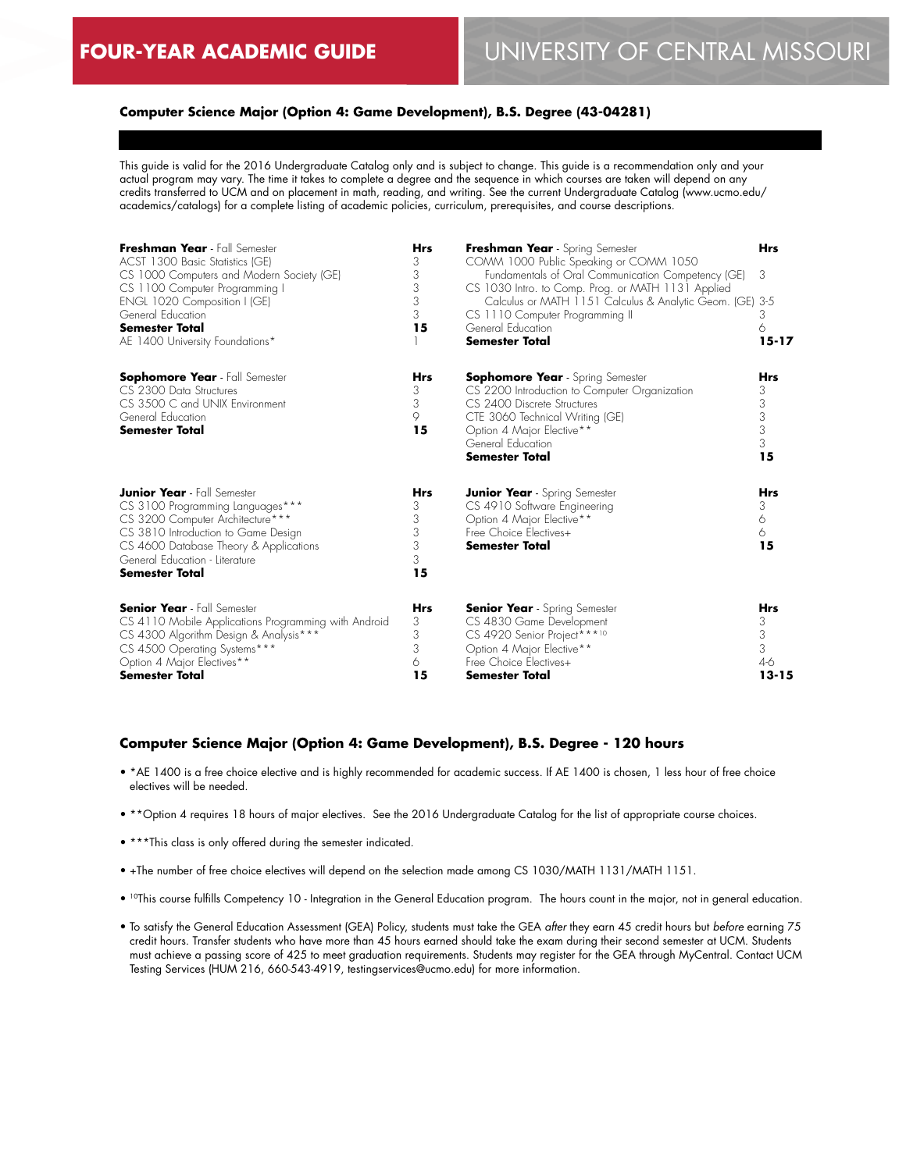## **Computer Science Major (Option 4: Game Development), B.S. Degree (43-04281)**

This guide is valid for the 2016 Undergraduate Catalog only and is subject to change. This guide is a recommendation only and your actual program may vary. The time it takes to complete a degree and the sequence in which courses are taken will depend on any credits transferred to UCM and on placement in math, reading, and writing. See the current Undergraduate Catalog (www.ucmo.edu/ academics/catalogs) for a complete listing of academic policies, curriculum, prerequisites, and course descriptions.

| Freshman Year - Fall Semester<br>ACST 1300 Basic Statistics (GE)<br>CS 1000 Computers and Modern Society (GE)<br>CS 1100 Computer Programming I<br>ENGL 1020 Composition I (GE)<br>General Education<br><b>Semester Total</b><br>AE 1400 University Foundations* | <b>Hrs</b><br>3<br>3<br>3<br>3<br>3<br>15 | Freshman Year - Spring Semester<br>COMM 1000 Public Speaking or COMM 1050<br>Fundamentals of Oral Communication Competency (GE)<br>CS 1030 Intro. to Comp. Prog. or MATH 1131 Applied<br>Calculus or MATH 1151 Calculus & Analytic Geom. (GE)<br>CS 1110 Computer Programming II<br>General Education<br><b>Semester Total</b> | <b>Hrs</b><br>3<br>-3-5<br>3<br>6<br>$15 - 17$  |
|------------------------------------------------------------------------------------------------------------------------------------------------------------------------------------------------------------------------------------------------------------------|-------------------------------------------|--------------------------------------------------------------------------------------------------------------------------------------------------------------------------------------------------------------------------------------------------------------------------------------------------------------------------------|-------------------------------------------------|
| <b>Sophomore Year</b> - Fall Semester<br>CS 2300 Data Structures<br>CS 3500 C and UNIX Environment<br>General Education<br><b>Semester Total</b>                                                                                                                 | <b>Hrs</b><br>3<br>3<br>9<br>15           | <b>Sophomore Year</b> - Spring Semester<br>CS 2200 Introduction to Computer Organization<br>CS 2400 Discrete Structures<br>CTE 3060 Technical Writing (GE)<br>Option 4 Major Elective**<br>General Education<br><b>Semester Total</b>                                                                                          | <b>Hrs</b><br>3<br>3<br>3<br>3<br>3<br>15       |
| <b>Junior Year</b> - Fall Semester<br>CS 3100 Programming Languages***<br>CS 3200 Computer Architecture***<br>CS 3810 Introduction to Game Design<br>CS 4600 Database Theory & Applications<br>General Education - Literature<br><b>Semester Total</b>           | <b>Hrs</b><br>3<br>3<br>3<br>3<br>3<br>15 | <b>Junior Year</b> - Spring Semester<br>CS 4910 Software Engineering<br>Option 4 Major Elective**<br>Free Choice Flectives+<br><b>Semester Total</b>                                                                                                                                                                           | <b>Hrs</b><br>3<br>6<br>6<br>15                 |
| <b>Senior Year</b> - Fall Semester<br>CS 4110 Mobile Applications Programming with Android<br>CS 4300 Algorithm Design & Analysis***<br>CS 4500 Operating Systems***<br>Option 4 Major Electives**<br><b>Semester Total</b>                                      | <b>Hrs</b><br>3<br>3<br>3<br>6<br>15      | <b>Senior Year</b> - Spring Semester<br>CS 4830 Game Development<br>CS 4920 Senior Project***10<br>Option 4 Major Elective**<br>Free Choice Flectives+<br><b>Semester Total</b>                                                                                                                                                | <b>Hrs</b><br>3<br>3<br>3<br>$4-6$<br>$13 - 15$ |

## **Computer Science Major (Option 4: Game Development), B.S. Degree - 120 hours**

- \*AE 1400 is a free choice elective and is highly recommended for academic success. If AE 1400 is chosen, 1 less hour of free choice electives will be needed.
- \*\*Option 4 requires 18 hours of major electives. See the 2016 Undergraduate Catalog for the list of appropriate course choices.
- \*\*\*This class is only offered during the semester indicated.
- +The number of free choice electives will depend on the selection made among CS 1030/MATH 1131/MATH 1151.
- <sup>10</sup>This course fulfills Competency 10 Integration in the General Education program. The hours count in the major, not in general education.
- To satisfy the General Education Assessment (GEA) Policy, students must take the GEA *after* they earn 45 credit hours but *before* earning 75 credit hours. Transfer students who have more than 45 hours earned should take the exam during their second semester at UCM. Students must achieve a passing score of 425 to meet graduation requirements. Students may register for the GEA through MyCentral. Contact UCM Testing Services (HUM 216, 660-543-4919, testingservices@ucmo.edu) for more information.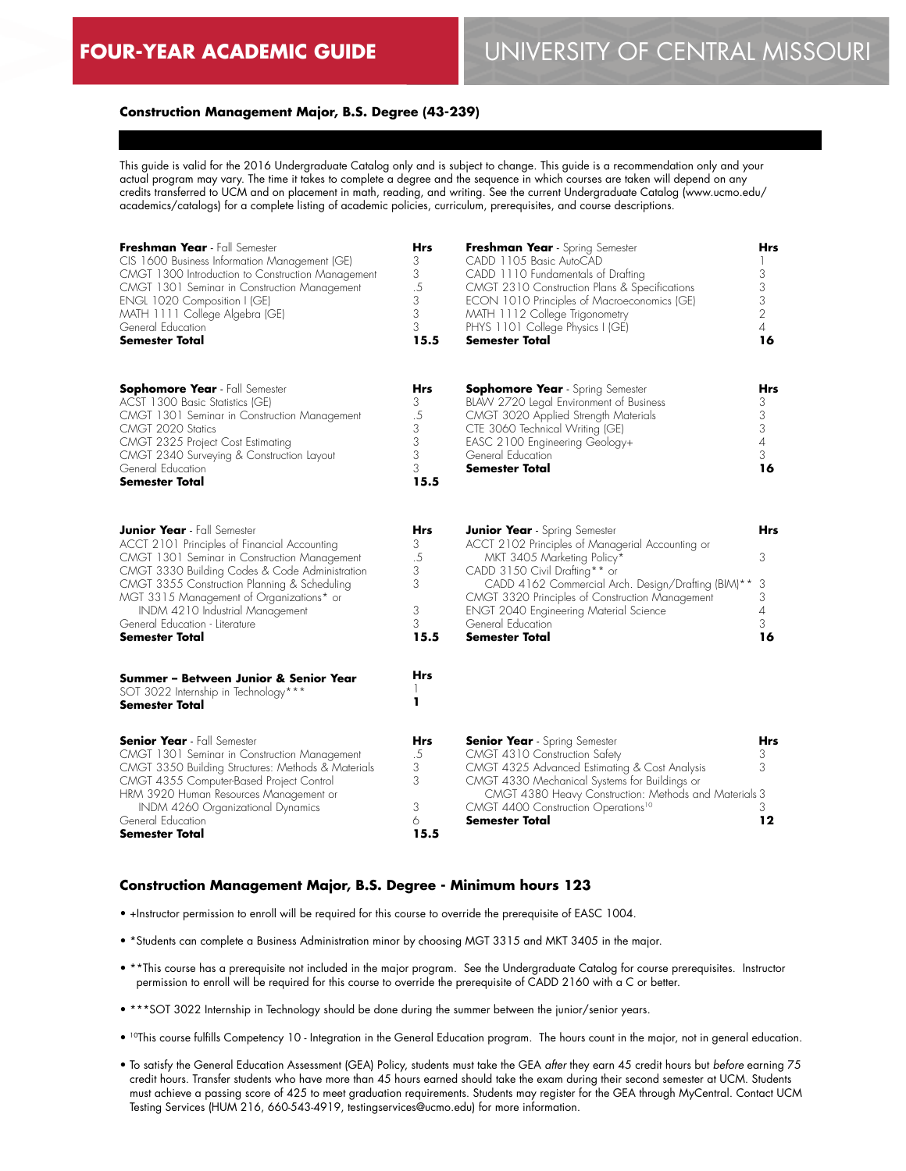#### **Construction Management Major, B.S. Degree (43-239)**

This guide is valid for the 2016 Undergraduate Catalog only and is subject to change. This guide is a recommendation only and your actual program may vary. The time it takes to complete a degree and the sequence in which courses are taken will depend on any credits transferred to UCM and on placement in math, reading, and writing. See the current Undergraduate Catalog (www.ucmo.edu/ academics/catalogs) for a complete listing of academic policies, curriculum, prerequisites, and course descriptions.

| Freshman Year - Fall Semester<br>CIS 1600 Business Information Management (GE)<br>CMGT 1300 Introduction to Construction Management<br>CMGT 1301 Seminar in Construction Management<br>ENGL 1020 Composition I (GE)<br>MATH 1111 College Algebra (GE)<br>General Education<br>Semester Total                                                                                                                     | <b>Hrs</b><br>3<br>3<br>$.5\,$<br>3<br>3<br>3<br>15.5    | Freshman Year - Spring Semester<br>CADD 1105 Basic AutoCAD<br>CADD 1110 Fundamentals of Drafting<br>CMGT 2310 Construction Plans & Specifications<br>ECON 1010 Principles of Macroeconomics (GE)<br>MATH 1112 College Trigonometry<br>PHYS 1101 College Physics I (GE)<br><b>Semester Total</b>                                                                 | Hrs<br>3<br>$\mathfrak{Z}$<br>3<br>2<br>$\overline{4}$<br>16 |
|------------------------------------------------------------------------------------------------------------------------------------------------------------------------------------------------------------------------------------------------------------------------------------------------------------------------------------------------------------------------------------------------------------------|----------------------------------------------------------|-----------------------------------------------------------------------------------------------------------------------------------------------------------------------------------------------------------------------------------------------------------------------------------------------------------------------------------------------------------------|--------------------------------------------------------------|
| <b>Sophomore Year</b> - Fall Semester<br>ACST 1300 Basic Statistics (GE)<br>CMGT 1301 Seminar in Construction Management<br>CMGT 2020 Statics<br>CMGT 2325 Project Cost Estimating<br>CMGT 2340 Surveying & Construction Layout<br>General Education<br><b>Semester Total</b>                                                                                                                                    | <b>Hrs</b><br>3<br>$.5\,$<br>3<br>3<br>3<br>3<br>15.5    | <b>Sophomore Year</b> - Spring Semester<br>BLAW 2720 Legal Environment of Business<br>CMGT 3020 Applied Strength Materials<br>CTE 3060 Technical Writing (GE)<br>EASC 2100 Engineering Geology+<br>General Education<br>Semester Total                                                                                                                          | Hrs<br>3<br>3<br>3<br>$\it 4$<br>3<br>16                     |
| <b>Junior Year</b> - Fall Semester<br>ACCT 2101 Principles of Financial Accounting<br>CMGT 1301 Seminar in Construction Management<br>CMGT 3330 Building Codes & Code Administration<br>CMGT 3355 Construction Planning & Scheduling<br>MGT 3315 Management of Organizations* or<br>INDM 4210 Industrial Management<br>General Education - Literature<br>Semester Total<br>Summer - Between Junior & Senior Year | Hrs<br>3<br>.5<br>3<br>3<br>3<br>3<br>15.5<br><b>Hrs</b> | <b>Junior Year</b> - Spring Semester<br>ACCT 2102 Principles of Managerial Accounting or<br>MKT 3405 Marketing Policy*<br>CADD 3150 Civil Drafting** or<br>CADD 4162 Commercial Arch. Design/Drafting (BIM)**<br>CMGT 3320 Principles of Construction Management<br><b>ENGT 2040 Engineering Material Science</b><br>General Education<br><b>Semester Total</b> | Hrs<br>3<br>3<br>3<br>$\overline{4}$<br>3<br>16              |
| SOT 3022 Internship in Technology***<br><b>Semester Total</b>                                                                                                                                                                                                                                                                                                                                                    | ı                                                        |                                                                                                                                                                                                                                                                                                                                                                 |                                                              |
| <b>Senior Year</b> - Fall Semester<br>CMGT 1301 Seminar in Construction Management<br>CMGT 3350 Building Structures: Methods & Materials<br>CMGT 4355 Computer-Based Project Control<br>HRM 3920 Human Resources Management or<br>INDM 4260 Organizational Dynamics<br>General Education<br>Semester Total                                                                                                       | Hrs<br>.5<br>3<br>3<br>3<br>6<br>15.5                    | <b>Senior Year</b> - Spring Semester<br>CMGT 4310 Construction Safety<br>CMGT 4325 Advanced Estimating & Cost Analysis<br>CMGT 4330 Mechanical Systems for Buildings or<br>CMGT 4380 Heavy Construction: Methods and Materials 3<br>CMGT 4400 Construction Operations <sup>10</sup><br><b>Semester Total</b>                                                    | Hrs<br>3<br>3<br>3<br>12                                     |

#### **Construction Management Major, B.S. Degree - Minimum hours 123**

- +Instructor permission to enroll will be required for this course to override the prerequisite of EASC 1004.
- \*Students can complete a Business Administration minor by choosing MGT 3315 and MKT 3405 in the major.
- \*\*This course has a prerequisite not included in the major program. See the Undergraduate Catalog for course prerequisites. Instructor permission to enroll will be required for this course to override the prerequisite of CADD 2160 with a C or better.
- \*\*\*SOT 3022 Internship in Technology should be done during the summer between the junior/senior years.
- 10This course fulfills Competency 10 Integration in the General Education program. The hours count in the major, not in general education.
- To satisfy the General Education Assessment (GEA) Policy, students must take the GEA *after* they earn 45 credit hours but *before* earning 75 credit hours. Transfer students who have more than 45 hours earned should take the exam during their second semester at UCM. Students must achieve a passing score of 425 to meet graduation requirements. Students may register for the GEA through MyCentral. Contact UCM Testing Services (HUM 216, 660-543-4919, testingservices@ucmo.edu) for more information.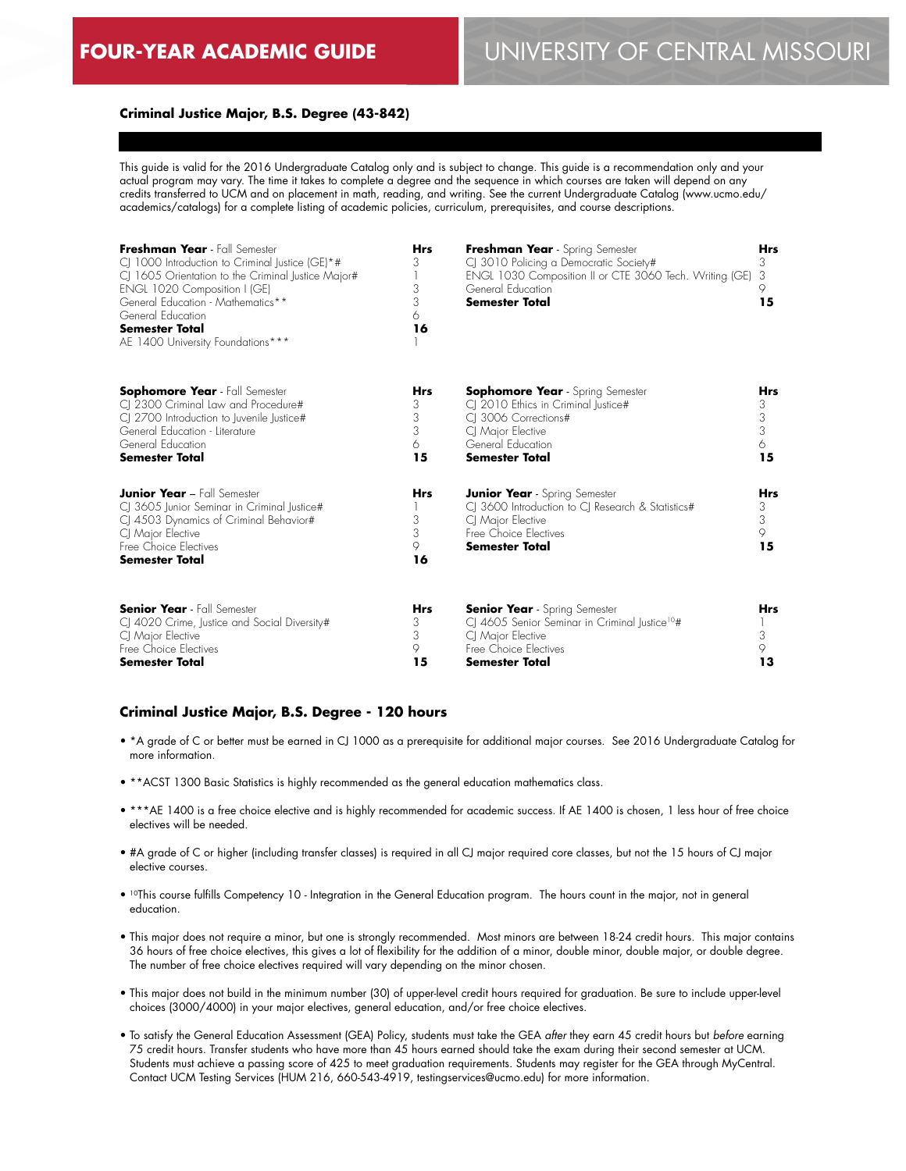## **Criminal Justice Major, B.S. Degree (43-842)**

This guide is valid for the 2016 Undergraduate Catalog only and is subject to change. This guide is a recommendation only and your actual program may vary. The time it takes to complete a degree and the sequence in which courses are taken will depend on any credits transferred to UCM and on placement in math, reading, and writing. See the current Undergraduate Catalog (www.ucmo.edu/ academics/catalogs) for a complete listing of academic policies, curriculum, prerequisites, and course descriptions.

| Freshman Year - Fall Semester<br>CJ 1000 Introduction to Criminal Justice (GE)*#<br>CJ 1605 Orientation to the Criminal Justice Major#<br>ENGL 1020 Composition I (GE)<br>General Education - Mathematics**<br>General Education<br><b>Semester Total</b><br>AE 1400 University Foundations*** | <b>Hrs</b><br>3<br>3<br>3<br>6.<br>16 | Freshman Year - Spring Semester<br>CJ 3010 Policing a Democratic Society#<br>ENGL 1030 Composition II or CTE 3060 Tech. Writing (GE)<br>General Education<br><b>Semester Total</b> | <b>Hrs</b><br>3<br>3<br>15                                         |
|------------------------------------------------------------------------------------------------------------------------------------------------------------------------------------------------------------------------------------------------------------------------------------------------|---------------------------------------|------------------------------------------------------------------------------------------------------------------------------------------------------------------------------------|--------------------------------------------------------------------|
| <b>Sophomore Year</b> - Fall Semester<br>CJ 2300 Criminal Law and Procedure#<br>CJ 2700 Introduction to Juvenile Justice#<br>General Education - Literature<br>General Education<br><b>Semester Total</b>                                                                                      | Hrs<br>3<br>3<br>3<br>6<br>15         | <b>Sophomore Year</b> - Spring Semester<br>CI 2010 Ethics in Criminal Justice#<br>CI 3006 Corrections#<br>CJ Major Elective<br>General Education<br><b>Semester Total</b>          | Hrs<br>3<br>$\ensuremath{\mathsf{3}}$<br>$\overline{3}$<br>6<br>15 |
| <b>Junior Year - Fall Semester</b><br>CJ 3605 Junior Seminar in Criminal Justice#<br>CJ 4503 Dynamics of Criminal Behavior#<br>CI Major Elective<br>Free Choice Electives<br><b>Semester Total</b>                                                                                             | <b>Hrs</b><br>3<br>3<br>9<br>16       | <b>Junior Year</b> - Spring Semester<br>CJ 3600 Introduction to CJ Research & Statistics#<br>CJ Major Elective<br>Free Choice Electives<br><b>Semester Total</b>                   | <b>Hrs</b><br>3<br>3<br>9<br>15                                    |
| <b>Senior Year</b> - Fall Semester<br>CJ 4020 Crime, Justice and Social Diversity#<br>CI Major Elective<br>Free Choice Electives<br>Semester Total                                                                                                                                             | <b>Hrs</b><br>3<br>3<br>9<br>15       | <b>Senior Year</b> - Spring Semester<br>CJ 4605 Senior Seminar in Criminal Justice <sup>10#</sup><br>CI Major Elective<br>Free Choice Electives<br>Semester Total                  | <b>Hrs</b><br>3<br>9<br>13                                         |

## **Criminal Justice Major, B.S. Degree - 120 hours**

- \*A grade of C or better must be earned in CJ 1000 as a prerequisite for additional major courses. See 2016 Undergraduate Catalog for more information.
- \*\*ACST 1300 Basic Statistics is highly recommended as the general education mathematics class.
- \*\*\*AE 1400 is a free choice elective and is highly recommended for academic success. If AE 1400 is chosen, 1 less hour of free choice electives will be needed.
- #A grade of C or higher (including transfer classes) is required in all CJ major required core classes, but not the 15 hours of CJ major elective courses.
- 10This course fulfills Competency 10 Integration in the General Education program. The hours count in the major, not in general education.
- This major does not require a minor, but one is strongly recommended. Most minors are between 18-24 credit hours. This major contains 36 hours of free choice electives, this gives a lot of flexibility for the addition of a minor, double minor, double major, or double degree. The number of free choice electives required will vary depending on the minor chosen.
- This major does not build in the minimum number (30) of upper-level credit hours required for graduation. Be sure to include upper-level choices (3000/4000) in your major electives, general education, and/or free choice electives.
- To satisfy the General Education Assessment (GEA) Policy, students must take the GEA *after* they earn 45 credit hours but *before* earning 75 credit hours. Transfer students who have more than 45 hours earned should take the exam during their second semester at UCM. Students must achieve a passing score of 425 to meet graduation requirements. Students may register for the GEA through MyCentral. Contact UCM Testing Services (HUM 216, 660-543-4919, testingservices@ucmo.edu) for more information.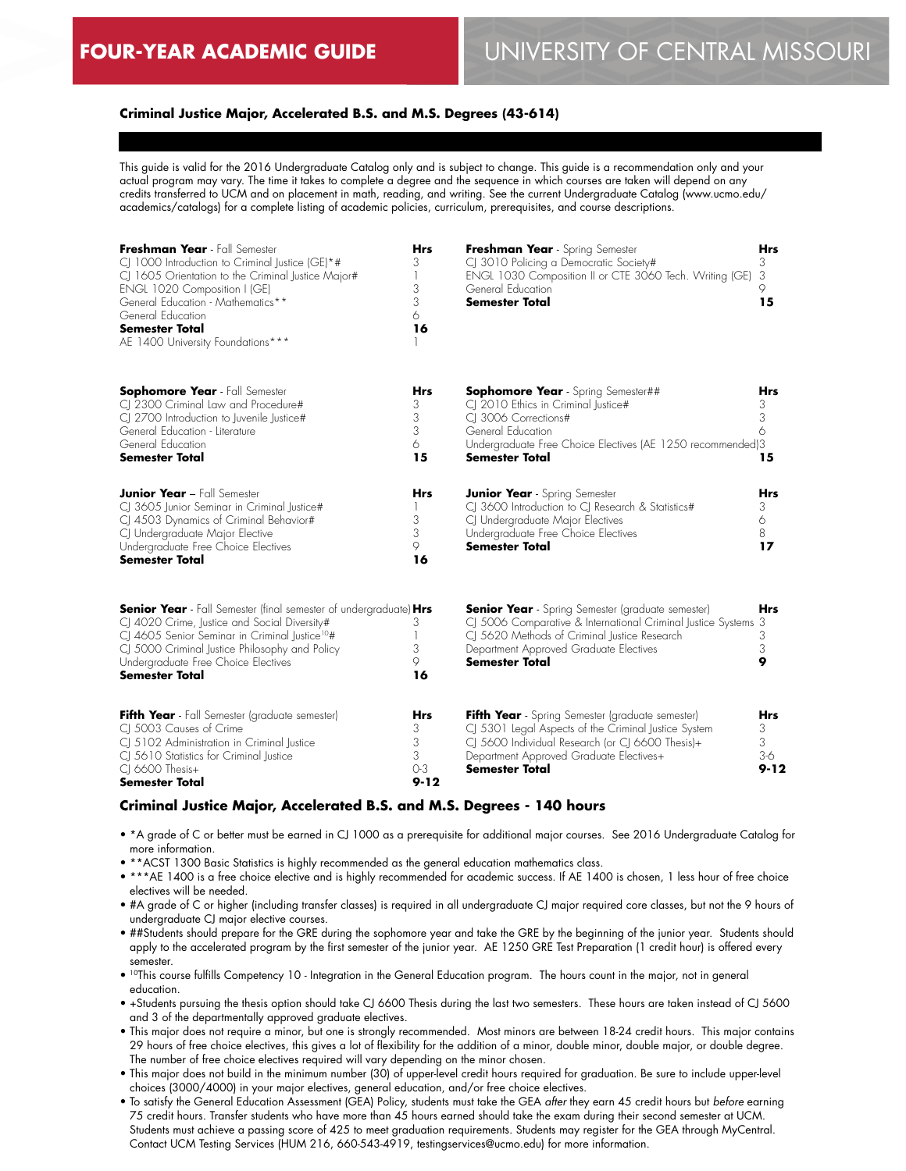## **Criminal Justice Major, Accelerated B.S. and M.S. Degrees (43-614)**

This guide is valid for the 2016 Undergraduate Catalog only and is subject to change. This guide is a recommendation only and your actual program may vary. The time it takes to complete a degree and the sequence in which courses are taken will depend on any credits transferred to UCM and on placement in math, reading, and writing. See the current Undergraduate Catalog (www.ucmo.edu/ academics/catalogs) for a complete listing of academic policies, curriculum, prerequisites, and course descriptions.

| Freshman Year - Fall Semester<br>C  1000 Introduction to Criminal Justice (GE)*#<br>CJ 1605 Orientation to the Criminal Justice Major#<br>ENGL 1020 Composition I (GE)<br>General Education - Mathematics**<br>General Education<br><b>Semester Total</b><br>AE 1400 University Foundations***                 | <b>Hrs</b><br>3<br>3<br>3<br>6<br>16           | Freshman Year - Spring Semester<br>CJ 3010 Policing a Democratic Society#<br>ENGL 1030 Composition II or CTE 3060 Tech. Writing (GE)<br>General Education<br><b>Semester Total</b>                                                          | <b>Hrs</b><br>3<br>3<br>9<br>15           |
|----------------------------------------------------------------------------------------------------------------------------------------------------------------------------------------------------------------------------------------------------------------------------------------------------------------|------------------------------------------------|---------------------------------------------------------------------------------------------------------------------------------------------------------------------------------------------------------------------------------------------|-------------------------------------------|
| <b>Sophomore Year</b> - Fall Semester<br>CJ 2300 Criminal Law and Procedure#<br>CJ 2700 Introduction to Juvenile Justice#<br>General Education - Literature<br>General Education<br><b>Semester Total</b>                                                                                                      | <b>Hrs</b><br>3<br>3<br>3<br>6<br>15           | <b>Sophomore Year</b> - Spring Semester##<br>CJ 2010 Ethics in Criminal Justice#<br>CI 3006 Corrections#<br>General Education<br>Undergraduate Free Choice Electives (AE 1250 recommended)3<br><b>Semester Total</b>                        | <b>Hrs</b><br>3<br>3<br>6<br>15           |
| <b>Junior Year - Fall Semester</b><br>CJ 3605 Junior Seminar in Criminal Justice#<br>CJ 4503 Dynamics of Criminal Behavior#<br>CJ Undergraduate Major Elective<br>Undergraduate Free Choice Electives<br><b>Semester Total</b>                                                                                 | <b>Hrs</b><br>3<br>3<br>9<br>16                | <b>Junior Year</b> - Spring Semester<br>CJ 3600 Introduction to CJ Research & Statistics#<br>CJ Undergraduate Major Electives<br>Undergraduate Free Choice Electives<br><b>Semester Total</b>                                               | <b>Hrs</b><br>3<br>6<br>8<br>17           |
| <b>Senior Year</b> - Fall Semester (final semester of undergraduate) <b>Hrs</b><br>CJ 4020 Crime, Justice and Social Diversity#<br>CJ 4605 Senior Seminar in Criminal Justice <sup>10#</sup><br>CJ 5000 Criminal Justice Philosophy and Policy<br>Undergraduate Free Choice Electives<br><b>Semester Total</b> | З<br>3<br>9<br>16                              | <b>Senior Year</b> - Spring Semester (graduate semester)<br>CJ 5006 Comparative & International Criminal Justice Systems<br>CJ 5620 Methods of Criminal Justice Research<br>Department Approved Graduate Electives<br><b>Semester Total</b> | <b>Hrs</b><br>3<br>3<br>3<br>9            |
| Fifth Year - Fall Semester (graduate semester)<br>CJ 5003 Causes of Crime<br>CJ 5102 Administration in Criminal Justice<br>CJ 5610 Statistics for Criminal Justice<br>CI 6600 Thesis+<br>Semester Total                                                                                                        | <b>Hrs</b><br>3<br>3<br>3<br>$O-3$<br>$9 - 12$ | Fifth Year - Spring Semester (graduate semester)<br>CJ 5301 Legal Aspects of the Criminal Justice System<br>CJ 5600 Individual Research (or CJ 6600 Thesis)+<br>Department Approved Graduate Electives+<br><b>Semester Total</b>            | <b>Hrs</b><br>3<br>3<br>$3-6$<br>$9 - 12$ |

#### **Criminal Justice Major, Accelerated B.S. and M.S. Degrees - 140 hours**

- \*A grade of C or better must be earned in CJ 1000 as a prerequisite for additional major courses. See 2016 Undergraduate Catalog for more information.
- \*\* ACST 1300 Basic Statistics is highly recommended as the general education mathematics class.
- \*\*\*AE 1400 is a free choice elective and is highly recommended for academic success. If AE 1400 is chosen, 1 less hour of free choice electives will be needed.
- #A grade of C or higher (including transfer classes) is required in all undergraduate CJ major required core classes, but not the 9 hours of undergraduate CJ major elective courses.
- ##Students should prepare for the GRE during the sophomore year and take the GRE by the beginning of the junior year. Students should apply to the accelerated program by the first semester of the junior year. AE 1250 GRE Test Preparation (1 credit hour) is offered every semester.
- 10This course fulfills Competency 10 Integration in the General Education program. The hours count in the major, not in general education.
- +Students pursuing the thesis option should take CJ 6600 Thesis during the last two semesters. These hours are taken instead of CJ 5600 and 3 of the departmentally approved graduate electives.
- This major does not require a minor, but one is strongly recommended. Most minors are between 18-24 credit hours. This major contains 29 hours of free choice electives, this gives a lot of flexibility for the addition of a minor, double minor, double major, or double degree. The number of free choice electives required will vary depending on the minor chosen.
- This major does not build in the minimum number (30) of upper-level credit hours required for graduation. Be sure to include upper-level choices (3000/4000) in your major electives, general education, and/or free choice electives.
- To satisfy the General Education Assessment (GEA) Policy, students must take the GEA *after* they earn 45 credit hours but *before* earning 75 credit hours. Transfer students who have more than 45 hours earned should take the exam during their second semester at UCM. Students must achieve a passing score of 425 to meet graduation requirements. Students may register for the GEA through MyCentral. Contact UCM Testing Services (HUM 216, 660-543-4919, testingservices@ucmo.edu) for more information.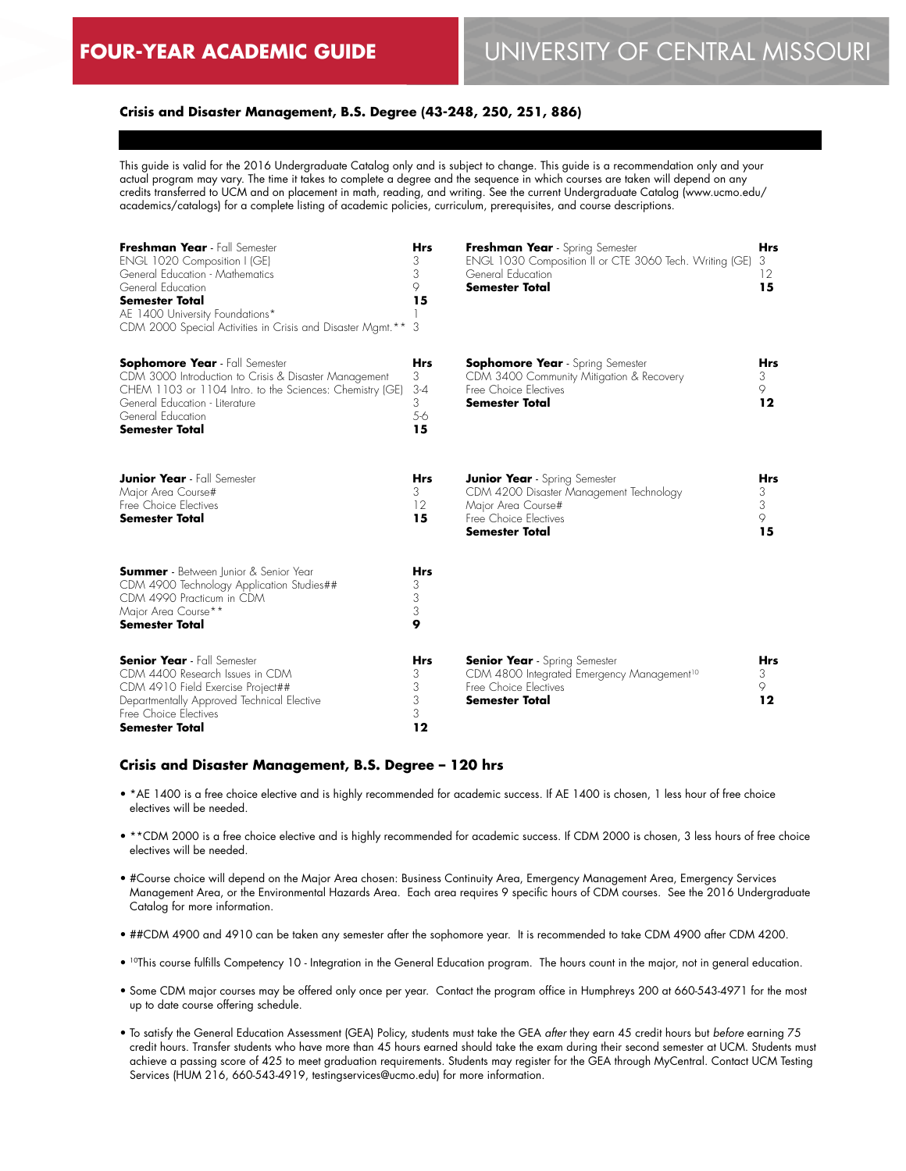#### **Crisis and Disaster Management, B.S. Degree (43-248, 250, 251, 886)**

This guide is valid for the 2016 Undergraduate Catalog only and is subject to change. This guide is a recommendation only and your actual program may vary. The time it takes to complete a degree and the sequence in which courses are taken will depend on any credits transferred to UCM and on placement in math, reading, and writing. See the current Undergraduate Catalog (www.ucmo.edu/ academics/catalogs) for a complete listing of academic policies, curriculum, prerequisites, and course descriptions.

| Freshman Year - Fall Semester<br>ENGL 1020 Composition I (GE)<br>General Education - Mathematics<br>General Education<br>Semester Total<br>AE 1400 University Foundations*<br>CDM 2000 Special Activities in Crisis and Disaster Mamt. **  | <b>Hrs</b><br>3<br>3<br>9<br>15<br>3         | Freshman Year - Spring Semester<br>ENGL 1030 Composition II or CTE 3060 Tech. Writing (GE)<br>General Education<br><b>Semester Total</b>         | <b>Hrs</b><br>3<br>12<br>15     |
|--------------------------------------------------------------------------------------------------------------------------------------------------------------------------------------------------------------------------------------------|----------------------------------------------|--------------------------------------------------------------------------------------------------------------------------------------------------|---------------------------------|
| <b>Sophomore Year</b> - Fall Semester<br>CDM 3000 Introduction to Crisis & Disaster Management<br>CHEM 1103 or 1104 Intro. to the Sciences: Chemistry (GE)<br>General Education - Literature<br>General Education<br><b>Semester Total</b> | <b>Hrs</b><br>3<br>$3 - 4$<br>3<br>5-6<br>15 | <b>Sophomore Year</b> - Spring Semester<br>CDM 3400 Community Mitigation & Recovery<br>Free Choice Electives<br><b>Semester Total</b>            | <b>Hrs</b><br>3<br>9<br>12      |
| <b>Junior Year</b> - Fall Semester<br>Major Area Course#<br>Free Choice Electives<br><b>Semester Total</b>                                                                                                                                 | <b>Hrs</b><br>3<br>12<br>15                  | <b>Junior Year</b> - Spring Semester<br>CDM 4200 Disaster Management Technology<br>Major Area Course#<br>Free Choice Electives<br>Semester Total | <b>Hrs</b><br>3<br>3<br>9<br>15 |
| <b>Summer</b> - Between Junior & Senior Year<br>CDM 4900 Technology Application Studies##<br>CDM 4990 Practicum in CDM<br>Major Area Course**<br>Semester Total                                                                            | <b>Hrs</b><br>3<br>3<br>3<br>9               |                                                                                                                                                  |                                 |
| <b>Senior Year</b> - Fall Semester<br>CDM 4400 Research Issues in CDM<br>CDM 4910 Field Exercise Project##<br>Departmentally Approved Technical Elective<br>Free Choice Electives<br><b>Semester Total</b>                                 | <b>Hrs</b><br>3<br>3<br>3<br>3<br>12         | <b>Senior Year</b> - Spring Semester<br>CDM 4800 Integrated Emergency Management <sup>10</sup><br>Free Choice Electives<br><b>Semester Total</b> | <b>Hrs</b><br>3<br>9<br>12      |

#### **Crisis and Disaster Management, B.S. Degree – 120 hrs**

- \*AE 1400 is a free choice elective and is highly recommended for academic success. If AE 1400 is chosen, 1 less hour of free choice electives will be needed.
- \*\*CDM 2000 is a free choice elective and is highly recommended for academic success. If CDM 2000 is chosen, 3 less hours of free choice electives will be needed.
- #Course choice will depend on the Major Area chosen: Business Continuity Area, Emergency Management Area, Emergency Services Management Area, or the Environmental Hazards Area. Each area requires 9 specific hours of CDM courses. See the 2016 Undergraduate Catalog for more information.
- ##CDM 4900 and 4910 can be taken any semester after the sophomore year. It is recommended to take CDM 4900 after CDM 4200.
- 10This course fulfills Competency 10 Integration in the General Education program. The hours count in the major, not in general education.
- Some CDM major courses may be offered only once per year. Contact the program office in Humphreys 200 at 660-543-4971 for the most up to date course offering schedule.
- To satisfy the General Education Assessment (GEA) Policy, students must take the GEA *after* they earn 45 credit hours but *before* earning 75 credit hours. Transfer students who have more than 45 hours earned should take the exam during their second semester at UCM. Students must achieve a passing score of 425 to meet graduation requirements. Students may register for the GEA through MyCentral. Contact UCM Testing Services (HUM 216, 660-543-4919, testingservices@ucmo.edu) for more information.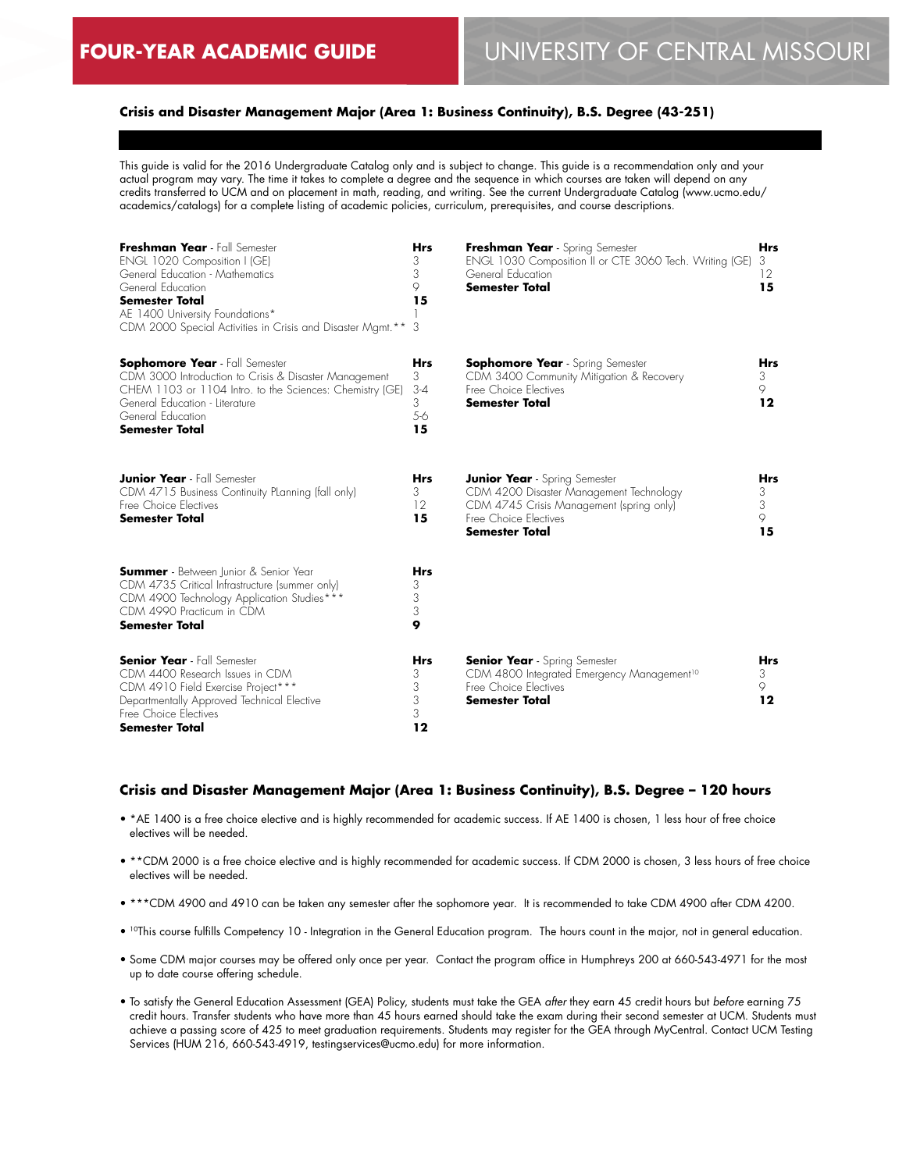## **Crisis and Disaster Management Major (Area 1: Business Continuity), B.S. Degree (43-251)**

This guide is valid for the 2016 Undergraduate Catalog only and is subject to change. This guide is a recommendation only and your actual program may vary. The time it takes to complete a degree and the sequence in which courses are taken will depend on any credits transferred to UCM and on placement in math, reading, and writing. See the current Undergraduate Catalog (www.ucmo.edu/ academics/catalogs) for a complete listing of academic policies, curriculum, prerequisites, and course descriptions.

| Freshman Year - Fall Semester<br>ENGL 1020 Composition I (GE)<br>General Education - Mathematics<br>General Education<br><b>Semester Total</b><br>AE 1400 University Foundations*<br>CDM 2000 Special Activities in Crisis and Disaster Mamt. ** | <b>Hrs</b><br>3<br>3<br>9<br>15<br>3         | Freshman Year - Spring Semester<br>ENGL 1030 Composition II or CTE 3060 Tech. Writing (GE)<br>General Education<br><b>Semester Total</b>                                      | <b>Hrs</b><br>3<br>12<br>15 |
|--------------------------------------------------------------------------------------------------------------------------------------------------------------------------------------------------------------------------------------------------|----------------------------------------------|-------------------------------------------------------------------------------------------------------------------------------------------------------------------------------|-----------------------------|
| <b>Sophomore Year</b> - Fall Semester<br>CDM 3000 Introduction to Crisis & Disaster Management<br>CHEM 1103 or 1104 Intro. to the Sciences: Chemistry (GE)<br>General Education - Literature<br>General Education<br><b>Semester Total</b>       | <b>Hrs</b><br>3<br>$3 - 4$<br>3<br>5-6<br>15 | <b>Sophomore Year</b> - Spring Semester<br>CDM 3400 Community Mitigation & Recovery<br>Free Choice Electives<br><b>Semester Total</b>                                         | <b>Hrs</b><br>3<br>9<br>12  |
| <b>Junior Year</b> - Fall Semester<br>CDM 4715 Business Continuity Planning (fall only)<br>Free Choice Electives<br><b>Semester Total</b>                                                                                                        | Hrs<br>3<br>12<br>15                         | <b>Junior Year</b> - Spring Semester<br>CDM 4200 Disaster Management Technology<br>CDM 4745 Crisis Management (spring only)<br>Free Choice Electives<br><b>Semester Total</b> | Hrs<br>3<br>3<br>9<br>15    |
| <b>Summer</b> - Between Junior & Senior Year<br>CDM 4735 Critical Infrastructure (summer only)<br>CDM 4900 Technology Application Studies***<br>CDM 4990 Practicum in CDM<br><b>Semester Total</b>                                               | <b>Hrs</b><br>3<br>3<br>3<br>9               |                                                                                                                                                                               |                             |
| <b>Senior Year</b> - Fall Semester<br>CDM 4400 Research Issues in CDM<br>CDM 4910 Field Exercise Project***<br>Departmentally Approved Technical Elective<br>Free Choice Electives<br>Semester Total                                             | <b>Hrs</b><br>3<br>3<br>3<br>3<br>12         | <b>Senior Year</b> - Spring Semester<br>CDM 4800 Integrated Emergency Management <sup>10</sup><br>Free Choice Electives<br><b>Semester Total</b>                              | <b>Hrs</b><br>3<br>9<br>12  |

#### **Crisis and Disaster Management Major (Area 1: Business Continuity), B.S. Degree – 120 hours**

- \*AE 1400 is a free choice elective and is highly recommended for academic success. If AE 1400 is chosen, 1 less hour of free choice electives will be needed.
- \*\*CDM 2000 is a free choice elective and is highly recommended for academic success. If CDM 2000 is chosen, 3 less hours of free choice electives will be needed.
- \*\*\*CDM 4900 and 4910 can be taken any semester after the sophomore year. It is recommended to take CDM 4900 after CDM 4200.
- 10This course fulfills Competency 10 Integration in the General Education program. The hours count in the major, not in general education.
- Some CDM major courses may be offered only once per year. Contact the program office in Humphreys 200 at 660-543-4971 for the most up to date course offering schedule.
- To satisfy the General Education Assessment (GEA) Policy, students must take the GEA *after* they earn 45 credit hours but *before* earning 75 credit hours. Transfer students who have more than 45 hours earned should take the exam during their second semester at UCM. Students must achieve a passing score of 425 to meet graduation requirements. Students may register for the GEA through MyCentral. Contact UCM Testing Services (HUM 216, 660-543-4919, testingservices@ucmo.edu) for more information.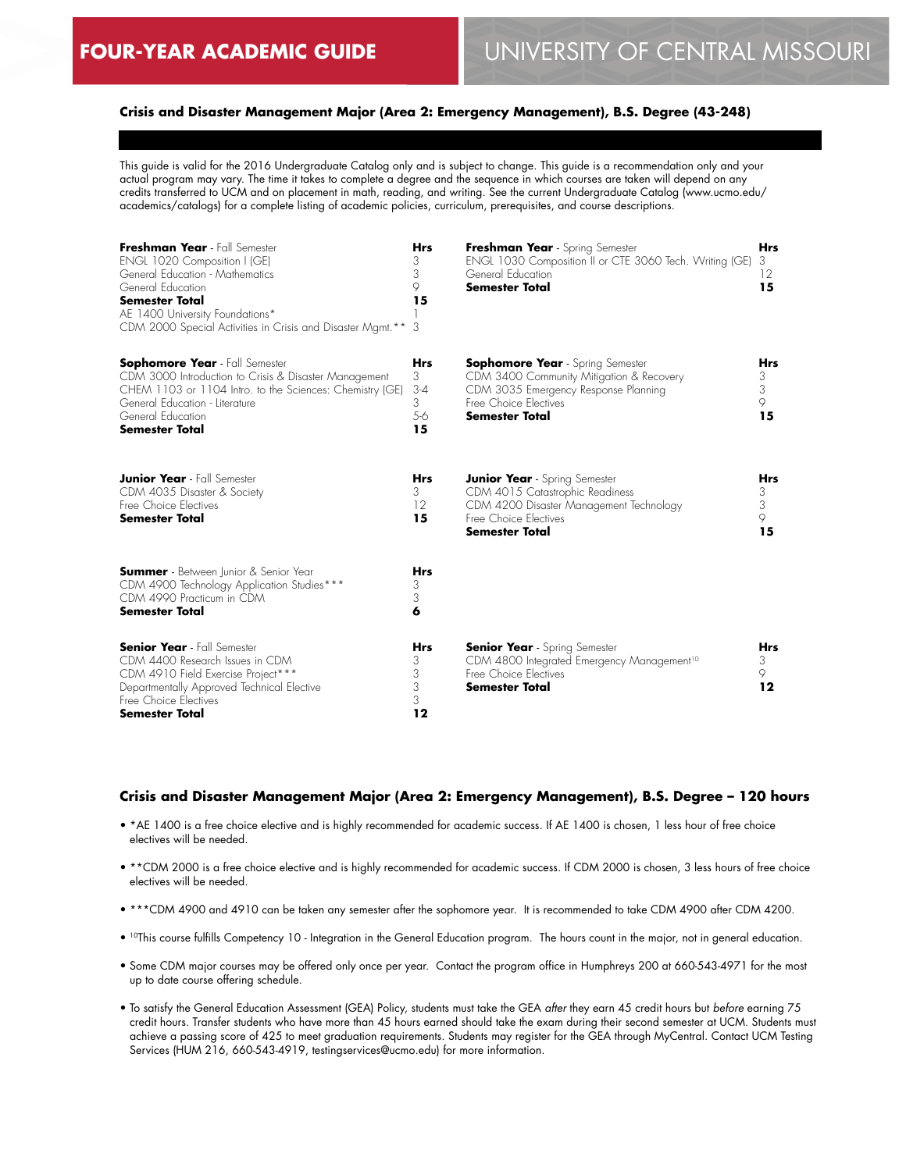## **Crisis and Disaster Management Major (Area 2: Emergency Management), B.S. Degree (43-248)**

This guide is valid for the 2016 Undergraduate Catalog only and is subject to change. This guide is a recommendation only and your actual program may vary. The time it takes to complete a degree and the sequence in which courses are taken will depend on any credits transferred to UCM and on placement in math, reading, and writing. See the current Undergraduate Catalog (www.ucmo.edu/ academics/catalogs) for a complete listing of academic policies, curriculum, prerequisites, and course descriptions.

| Freshman Year - Fall Semester<br>ENGL 1020 Composition I (GE)<br>General Education - Mathematics<br>General Education<br>Semester Total<br>AE 1400 University Foundations*<br>CDM 2000 Special Activities in Crisis and Disaster Mamt.**   | <b>Hrs</b><br>3<br>3<br>9<br>15<br>3         | Freshman Year - Spring Semester<br>ENGL 1030 Composition II or CTE 3060 Tech. Writing (GE)<br>General Education<br><b>Semester Total</b>                                      | <b>Hrs</b><br>3<br>12<br>15     |
|--------------------------------------------------------------------------------------------------------------------------------------------------------------------------------------------------------------------------------------------|----------------------------------------------|-------------------------------------------------------------------------------------------------------------------------------------------------------------------------------|---------------------------------|
| <b>Sophomore Year</b> - Fall Semester<br>CDM 3000 Introduction to Crisis & Disaster Management<br>CHEM 1103 or 1104 Intro. to the Sciences: Chemistry (GE)<br>General Education - Literature<br>General Education<br><b>Semester Total</b> | <b>Hrs</b><br>3<br>$3-4$<br>3<br>$5-6$<br>15 | <b>Sophomore Year</b> - Spring Semester<br>CDM 3400 Community Mitigation & Recovery<br>CDM 3035 Emergency Response Planning<br>Free Choice Electives<br><b>Semester Total</b> | <b>Hrs</b><br>3<br>3<br>9<br>15 |
| <b>Junior Year</b> - Fall Semester<br>CDM 4035 Disaster & Society<br>Free Choice Flectives<br><b>Semester Total</b>                                                                                                                        | <b>Hrs</b><br>3<br>12<br>15                  | <b>Junior Year</b> - Spring Semester<br>CDM 4015 Catastrophic Readiness<br>CDM 4200 Disaster Management Technology<br>Free Choice Flectives<br><b>Semester Total</b>          | <b>Hrs</b><br>3<br>3<br>9<br>15 |
| <b>Summer</b> - Between Junior & Senior Year<br>CDM 4900 Technology Application Studies***<br>CDM 4990 Practicum in CDM<br><b>Semester Total</b>                                                                                           | <b>Hrs</b><br>3<br>3<br>6                    |                                                                                                                                                                               |                                 |
| <b>Senior Year</b> - Fall Semester<br>CDM 4400 Research Issues in CDM<br>CDM 4910 Field Exercise Project***<br>Departmentally Approved Technical Elective<br>Free Choice Electives<br><b>Semester Total</b>                                | <b>Hrs</b><br>3<br>3<br>3<br>3<br>12         | <b>Senior Year</b> - Spring Semester<br>CDM 4800 Integrated Emergency Management <sup>10</sup><br>Free Choice Electives<br>Semester Total                                     | <b>Hrs</b><br>3<br>9<br>$12 \$  |

#### **Crisis and Disaster Management Major (Area 2: Emergency Management), B.S. Degree – 120 hours**

- \*AE 1400 is a free choice elective and is highly recommended for academic success. If AE 1400 is chosen, 1 less hour of free choice electives will be needed.
- \*\*CDM 2000 is a free choice elective and is highly recommended for academic success. If CDM 2000 is chosen, 3 less hours of free choice electives will be needed.
- \*\*\*CDM 4900 and 4910 can be taken any semester after the sophomore year. It is recommended to take CDM 4900 after CDM 4200.
- <sup>10</sup>This course fulfills Competency 10 Integration in the General Education program. The hours count in the major, not in general education.
- Some CDM major courses may be offered only once per year. Contact the program office in Humphreys 200 at 660-543-4971 for the most up to date course offering schedule.
- To satisfy the General Education Assessment (GEA) Policy, students must take the GEA *after* they earn 45 credit hours but *before* earning 75 credit hours. Transfer students who have more than 45 hours earned should take the exam during their second semester at UCM. Students must achieve a passing score of 425 to meet graduation requirements. Students may register for the GEA through MyCentral. Contact UCM Testing Services (HUM 216, 660-543-4919, testingservices@ucmo.edu) for more information.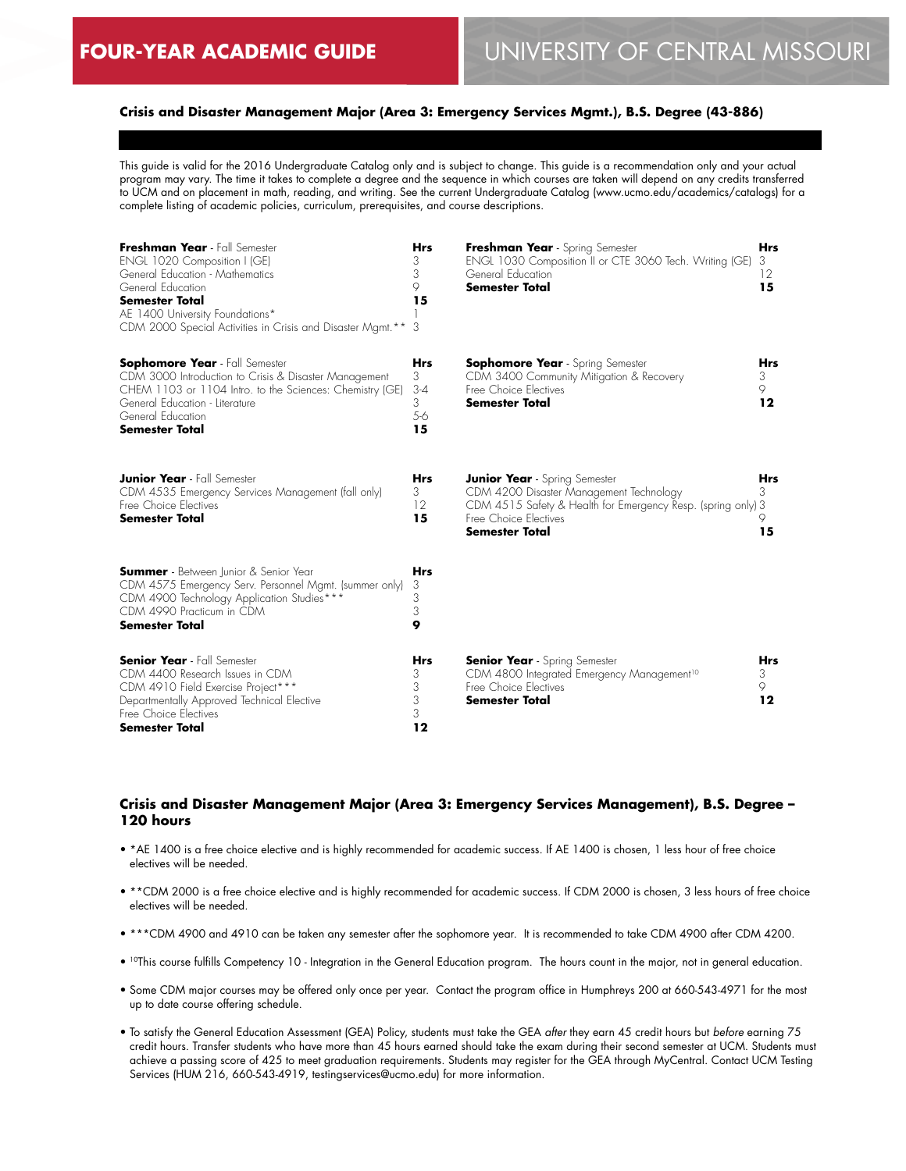## **Crisis and Disaster Management Major (Area 3: Emergency Services Mgmt.), B.S. Degree (43-886)**

This guide is valid for the 2016 Undergraduate Catalog only and is subject to change. This guide is a recommendation only and your actual program may vary. The time it takes to complete a degree and the sequence in which courses are taken will depend on any credits transferred to UCM and on placement in math, reading, and writing. See the current Undergraduate Catalog (www.ucmo.edu/academics/catalogs) for a complete listing of academic policies, curriculum, prerequisites, and course descriptions.

| Freshman Year - Fall Semester<br><b>ENGL 1020 Composition I (GE)</b><br>General Education - Mathematics<br>General Education<br><b>Semester Total</b><br>AE 1400 University Foundations*<br>CDM 2000 Special Activities in Crisis and Disaster Mamt.** | <b>Hrs</b><br>3<br>3<br>9<br>15<br>3           | Freshman Year - Spring Semester<br>ENGL 1030 Composition II or CTE 3060 Tech. Writing (GE)<br>General Education<br><b>Semester Total</b>                                                          | <b>Hrs</b><br>3<br>12<br>15    |
|--------------------------------------------------------------------------------------------------------------------------------------------------------------------------------------------------------------------------------------------------------|------------------------------------------------|---------------------------------------------------------------------------------------------------------------------------------------------------------------------------------------------------|--------------------------------|
| <b>Sophomore Year</b> - Fall Semester<br>CDM 3000 Introduction to Crisis & Disaster Management<br>CHEM 1103 or 1104 Intro. to the Sciences: Chemistry (GE)<br>General Education - Literature<br>General Education<br><b>Semester Total</b>             | <b>Hrs</b><br>3<br>$3 - 4$<br>3<br>$5-6$<br>15 | <b>Sophomore Year</b> - Spring Semester<br>CDM 3400 Community Mitigation & Recovery<br>Free Choice Electives<br><b>Semester Total</b>                                                             | <b>Hrs</b><br>3<br>9<br>12     |
| <b>Junior Year</b> - Fall Semester<br>CDM 4535 Emergency Services Management (fall only)<br>Free Choice Electives<br><b>Semester Total</b>                                                                                                             | <b>Hrs</b><br>3<br>12<br>15                    | <b>Junior Year</b> - Spring Semester<br>CDM 4200 Disaster Management Technology<br>CDM 4515 Safety & Health for Emergency Resp. (spring only) 3<br>Free Choice Electives<br><b>Semester Total</b> | <b>Hrs</b><br>3<br>9<br>15     |
| <b>Summer</b> - Between Junior & Senior Year<br>CDM 4575 Emergency Serv. Personnel Mgmt. (summer only)<br>CDM 4900 Technology Application Studies***<br>CDM 4990 Practicum in CDM<br><b>Semester Total</b>                                             | <b>Hrs</b><br>3<br>3<br>3<br>9                 |                                                                                                                                                                                                   |                                |
| <b>Senior Year</b> - Fall Semester<br>CDM 4400 Research Issues in CDM<br>CDM 4910 Field Exercise Project***<br>Departmentally Approved Technical Elective<br>Free Choice Electives<br>Semester Total                                                   | <b>Hrs</b><br>3<br>3<br>3<br>3<br>12           | <b>Senior Year</b> - Spring Semester<br>CDM 4800 Integrated Emergency Management <sup>10</sup><br>Free Choice Electives<br><b>Semester Total</b>                                                  | <b>Hrs</b><br>3<br>9<br>$12 \$ |

#### **Crisis and Disaster Management Major (Area 3: Emergency Services Management), B.S. Degree – 120 hours**

- \*AE 1400 is a free choice elective and is highly recommended for academic success. If AE 1400 is chosen, 1 less hour of free choice electives will be needed.
- \*\*CDM 2000 is a free choice elective and is highly recommended for academic success. If CDM 2000 is chosen, 3 less hours of free choice electives will be needed.
- \*\*\*CDM 4900 and 4910 can be taken any semester after the sophomore year. It is recommended to take CDM 4900 after CDM 4200.
- <sup>10</sup>This course fulfills Competency 10 Integration in the General Education program. The hours count in the major, not in general education.
- Some CDM major courses may be offered only once per year. Contact the program office in Humphreys 200 at 660-543-4971 for the most up to date course offering schedule.
- To satisfy the General Education Assessment (GEA) Policy, students must take the GEA *after* they earn 45 credit hours but *before* earning 75 credit hours. Transfer students who have more than 45 hours earned should take the exam during their second semester at UCM. Students must achieve a passing score of 425 to meet graduation requirements. Students may register for the GEA through MyCentral. Contact UCM Testing Services (HUM 216, 660-543-4919, testingservices@ucmo.edu) for more information.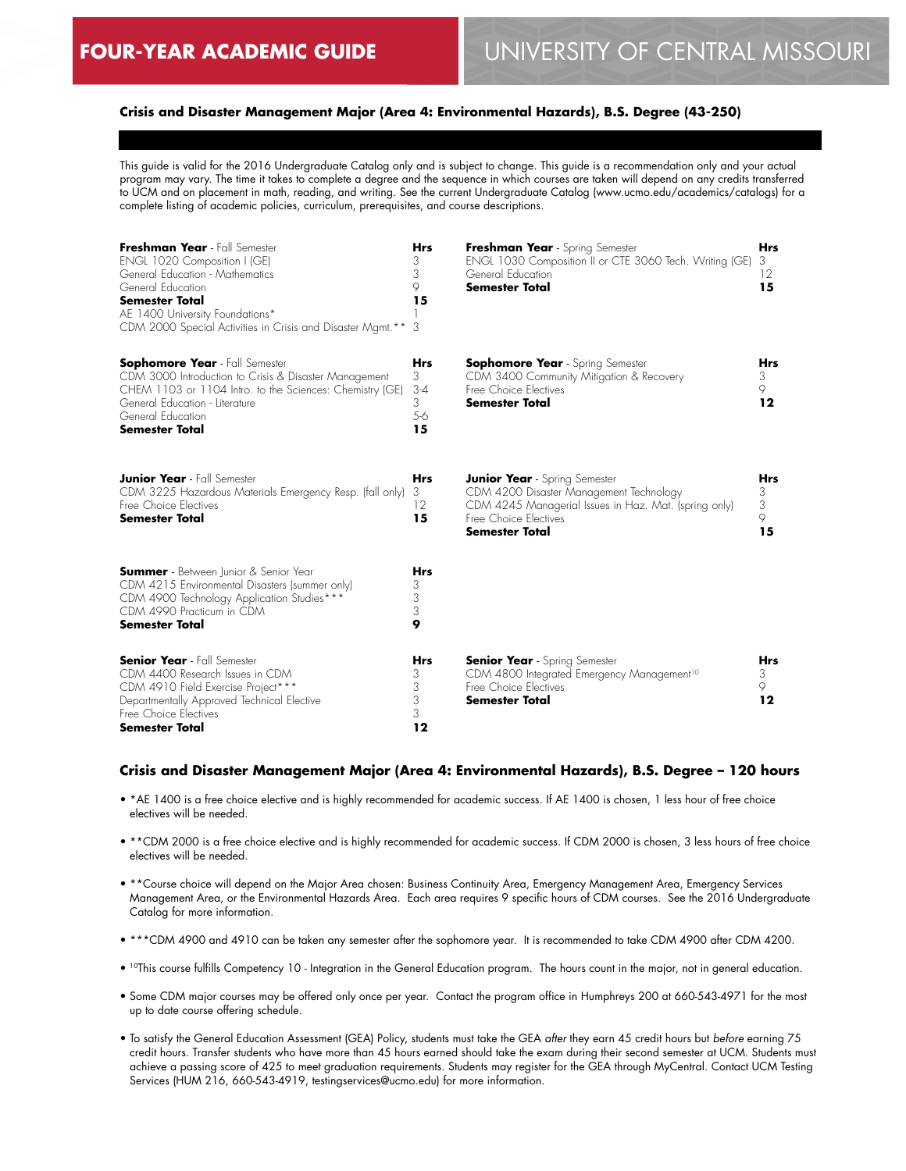## **Crisis and Disaster Management Major (Area 4: Environmental Hazards), B.S. Degree (43-250)**

This guide is valid for the 2016 Undergraduate Catalog only and is subject to change. This guide is a recommendation only and your actual program may vary. The time it takes to complete a degree and the sequence in which courses are taken will depend on any credits transferred to UCM and on placement in math, reading, and writing. See the current Undergraduate Catalog (www.ucmo.edu/academics/catalogs) for a complete listing of academic policies, curriculum, prerequisites, and course descriptions.

| Freshman Year - Fall Semester<br>ENGL 1020 Composition I (GE)<br>General Education - Mathematics<br>General Education<br><b>Semester Total</b><br>AE 1400 University Foundations*<br>CDM 2000 Special Activities in Crisis and Disaster Mamt. ** | <b>Hrs</b><br>3<br>3<br>9<br>15<br>3         | Freshman Year - Spring Semester<br>ENGL 1030 Composition II or CTE 3060 Tech. Writing (GE)<br>General Education<br><b>Semester Total</b>                                                   | <b>Hrs</b><br>3<br>12<br>15     |
|--------------------------------------------------------------------------------------------------------------------------------------------------------------------------------------------------------------------------------------------------|----------------------------------------------|--------------------------------------------------------------------------------------------------------------------------------------------------------------------------------------------|---------------------------------|
| <b>Sophomore Year</b> - Fall Semester<br>CDM 3000 Introduction to Crisis & Disaster Management<br>CHEM 1103 or 1104 Intro. to the Sciences: Chemistry (GE)<br>General Education - Literature<br>General Education<br>Semester Total              | <b>Hrs</b><br>3<br>$3 - 4$<br>3<br>5-6<br>15 | <b>Sophomore Year</b> - Spring Semester<br>CDM 3400 Community Mitigation & Recovery<br>Free Choice Electives<br><b>Semester Total</b>                                                      | <b>Hrs</b><br>3<br>9<br>12      |
| <b>Junior Year</b> - Fall Semester<br>CDM 3225 Hazardous Materials Emergency Resp. (fall only)<br>Free Choice Flectives<br><b>Semester Total</b>                                                                                                 | <b>Hrs</b><br>3<br>12<br>15                  | <b>Junior Year</b> - Spring Semester<br>CDM 4200 Disaster Management Technology<br>CDM 4245 Managerial Issues in Haz. Mat. (spring only)<br>Free Choice Electives<br><b>Semester Total</b> | <b>Hrs</b><br>3<br>3<br>9<br>15 |
| <b>Summer</b> - Between Junior & Senior Year<br>CDM 4215 Environmental Disasters (summer only)<br>CDM 4900 Technology Application Studies***<br>CDM 4990 Practicum in CDM<br><b>Semester Total</b>                                               | <b>Hrs</b><br>3<br>3<br>3<br>9               |                                                                                                                                                                                            |                                 |
| <b>Senior Year</b> - Fall Semester<br>CDM 4400 Research Issues in CDM<br>CDM 4910 Field Exercise Project***<br>Departmentally Approved Technical Elective<br>Free Choice Electives<br><b>Semester Total</b>                                      | Hrs<br>3<br>3<br>3<br>3<br>12                | <b>Senior Year</b> - Spring Semester<br>CDM 4800 Integrated Emergency Management <sup>10</sup><br>Free Choice Electives<br><b>Semester Total</b>                                           | <b>Hrs</b><br>3<br>9<br>$12 \$  |

#### **Crisis and Disaster Management Major (Area 4: Environmental Hazards), B.S. Degree – 120 hours**

- \*AE 1400 is a free choice elective and is highly recommended for academic success. If AE 1400 is chosen, 1 less hour of free choice electives will be needed.
- \*\*CDM 2000 is a free choice elective and is highly recommended for academic success. If CDM 2000 is chosen, 3 less hours of free choice electives will be needed.
- \*\*Course choice will depend on the Major Area chosen: Business Continuity Area, Emergency Management Area, Emergency Services Management Area, or the Environmental Hazards Area. Each area requires 9 specific hours of CDM courses. See the 2016 Undergraduate Catalog for more information.
- \*\*\*CDM 4900 and 4910 can be taken any semester after the sophomore year. It is recommended to take CDM 4900 after CDM 4200.
- 10This course fulfills Competency 10 Integration in the General Education program. The hours count in the major, not in general education.
- Some CDM major courses may be offered only once per year. Contact the program office in Humphreys 200 at 660-543-4971 for the most up to date course offering schedule.
- To satisfy the General Education Assessment (GEA) Policy, students must take the GEA *after* they earn 45 credit hours but *before* earning 75 credit hours. Transfer students who have more than 45 hours earned should take the exam during their second semester at UCM. Students must achieve a passing score of 425 to meet graduation requirements. Students may register for the GEA through MyCentral. Contact UCM Testing Services (HUM 216, 660-543-4919, testingservices@ucmo.edu) for more information.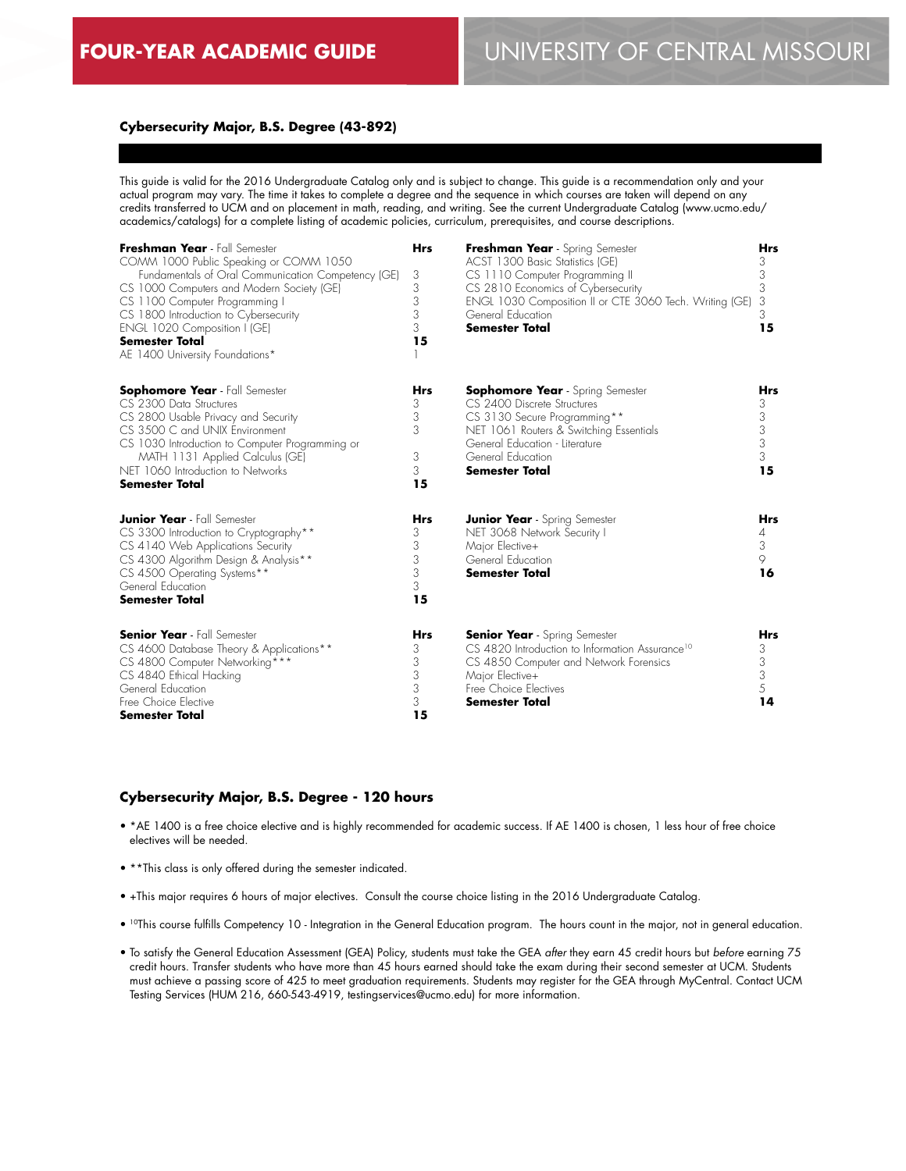## **Cybersecurity Major, B.S. Degree (43-892)**

This guide is valid for the 2016 Undergraduate Catalog only and is subject to change. This guide is a recommendation only and your actual program may vary. The time it takes to complete a degree and the sequence in which courses are taken will depend on any credits transferred to UCM and on placement in math, reading, and writing. See the current Undergraduate Catalog (www.ucmo.edu/ academics/catalogs) for a complete listing of academic policies, curriculum, prerequisites, and course descriptions.

| Freshman Year - Fall Semester<br>COMM 1000 Public Speaking or COMM 1050<br>Fundamentals of Oral Communication Competency (GE)<br>CS 1000 Computers and Modern Society (GE)<br>CS 1100 Computer Programming I<br>CS 1800 Introduction to Cybersecurity<br>ENGL 1020 Composition I (GE)<br>Semester Total<br>AE 1400 University Foundations* | <b>Hrs</b><br>3<br>3<br>3<br>3<br>3<br>15 | Freshman Year - Spring Semester<br>ACST 1300 Basic Statistics (GE)<br>CS 1110 Computer Programming II<br>CS 2810 Economics of Cybersecurity<br>ENGL 1030 Composition II or CTE 3060 Tech. Writing (GE)<br>General Education<br><b>Semester Total</b> | <b>Hrs</b><br>3<br>3<br>3<br>3<br>3<br>15         |
|--------------------------------------------------------------------------------------------------------------------------------------------------------------------------------------------------------------------------------------------------------------------------------------------------------------------------------------------|-------------------------------------------|------------------------------------------------------------------------------------------------------------------------------------------------------------------------------------------------------------------------------------------------------|---------------------------------------------------|
| <b>Sophomore Year</b> - Fall Semester<br>CS 2300 Data Structures<br>CS 2800 Usable Privacy and Security<br>CS 3500 C and UNIX Environment<br>CS 1030 Introduction to Computer Programming or<br>MATH 1131 Applied Calculus (GE)<br>NET 1060 Introduction to Networks<br><b>Semester Total</b>                                              | Hrs<br>3<br>3<br>3<br>3<br>3<br>15        | <b>Sophomore Year</b> - Spring Semester<br>CS 2400 Discrete Structures<br>CS 3130 Secure Programming**<br>NET 1061 Routers & Switching Essentials<br>General Education - Literature<br>General Education<br><b>Semester Total</b>                    | Hrs<br>3<br>3<br>3<br>3<br>3<br>15                |
| <b>Junior Year</b> - Fall Semester<br>CS 3300 Introduction to Cryptography**<br>CS 4140 Web Applications Security<br>CS 4300 Algorithm Design & Analysis**<br>CS 4500 Operating Systems**<br>General Education<br><b>Semester Total</b>                                                                                                    | <b>Hrs</b><br>3<br>3<br>3<br>3<br>3<br>15 | <b>Junior Year</b> - Spring Semester<br>NET 3068 Network Security I<br>Major Elective+<br>General Education<br><b>Semester Total</b>                                                                                                                 | Hrs<br>4<br>3<br>9<br>16                          |
| <b>Senior Year</b> - Fall Semester<br>CS 4600 Database Theory & Applications**<br>CS 4800 Computer Networking***<br>CS 4840 Ethical Hacking<br>General Education<br>Free Choice Elective<br><b>Semester Total</b>                                                                                                                          | <b>Hrs</b><br>3<br>3<br>3<br>3<br>3<br>15 | <b>Senior Year</b> - Spring Semester<br>CS 4820 Introduction to Information Assurance <sup>10</sup><br>CS 4850 Computer and Network Forensics<br>Major Elective+<br>Free Choice Electives<br><b>Semester Total</b>                                   | <b>Hrs</b><br>3<br>3<br>$\mathfrak{Z}$<br>5<br>14 |

## **Cybersecurity Major, B.S. Degree - 120 hours**

- \*AE 1400 is a free choice elective and is highly recommended for academic success. If AE 1400 is chosen, 1 less hour of free choice electives will be needed.
- \*\*This class is only offered during the semester indicated.
- +This major requires 6 hours of major electives. Consult the course choice listing in the 2016 Undergraduate Catalog.
- 10This course fulfills Competency 10 Integration in the General Education program. The hours count in the major, not in general education.
- To satisfy the General Education Assessment (GEA) Policy, students must take the GEA *after* they earn 45 credit hours but *before* earning 75 credit hours. Transfer students who have more than 45 hours earned should take the exam during their second semester at UCM. Students must achieve a passing score of 425 to meet graduation requirements. Students may register for the GEA through MyCentral. Contact UCM Testing Services (HUM 216, 660-543-4919, testingservices@ucmo.edu) for more information.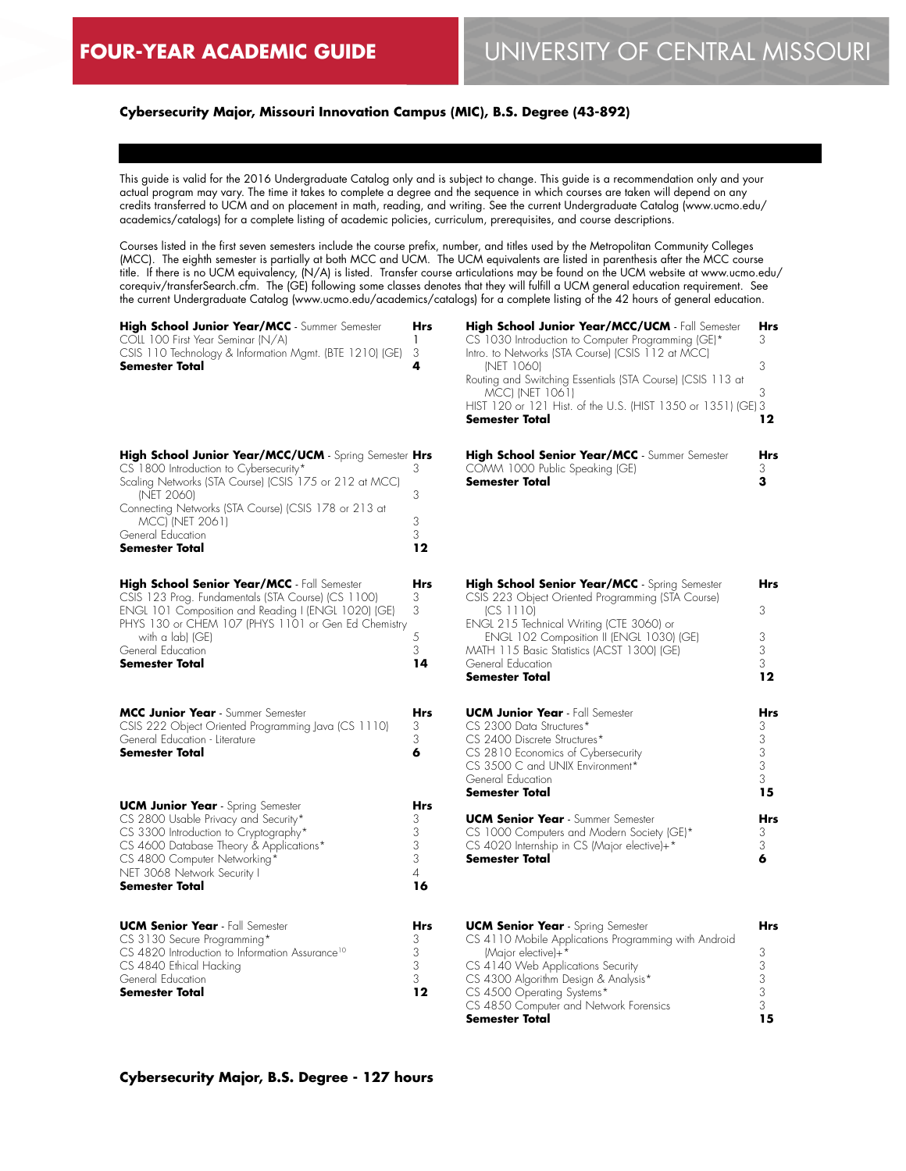**High School Junior Year/MCC** - Summer Semester

COLL 100 First Year Seminar (N/A)

## **Cybersecurity Major, Missouri Innovation Campus (MIC), B.S. Degree (43-892)**

This guide is valid for the 2016 Undergraduate Catalog only and is subject to change. This guide is a recommendation only and your actual program may vary. The time it takes to complete a degree and the sequence in which courses are taken will depend on any credits transferred to UCM and on placement in math, reading, and writing. See the current Undergraduate Catalog (www.ucmo.edu/ academics/catalogs) for a complete listing of academic policies, curriculum, prerequisites, and course descriptions.

Courses listed in the first seven semesters include the course prefix, number, and titles used by the Metropolitan Community Colleges (MCC). The eighth semester is partially at both MCC and UCM. The UCM equivalents are listed in parenthesis after the MCC course title. If there is no UCM equivalency, (N/A) is listed. Transfer course articulations may be found on the UCM website at www.ucmo.edu/ corequiv/transferSearch.cfm. The (GE) following some classes denotes that they will fulfill a UCM general education requirement. See the current Undergraduate Catalog (www.ucmo.edu/academics/catalogs) for a complete listing of the 42 hours of general education.

> **Hrs** 1

| CSIS 110 Technology & Information Mgmt. (BTE 1210) (GE)                                                                                                                                                                                                                                   | 3                             |
|-------------------------------------------------------------------------------------------------------------------------------------------------------------------------------------------------------------------------------------------------------------------------------------------|-------------------------------|
| Semester Total                                                                                                                                                                                                                                                                            | 4                             |
| High School Junior Year/MCC/UCM - Spring Semester Hrs<br>CS 1800 Introduction to Cybersecurity*<br>Scaling Networks (STA Course) (CSIS 175 or 212 at MCC)<br>(NET 2060)<br>Connecting Networks (STA Course) (CSIS 178 or 213 at<br>MCC) (NET 2061)<br>General Education<br>Semester Total | 3<br>3<br>3<br>3<br>12        |
| High School Senior Year/MCC - Fall Semester<br>CSIS 123 Prog. Fundamentals (STA Course) (CS 1100)<br>ENGL 101 Composition and Reading I (ENGL 1020) (GE)<br>PHYS 130 or CHEM 107 (PHYS 1101 or Gen Ed Chemistry<br>with a lab) (GE)<br>General Education<br><b>Semester Total</b>         | Hrs<br>3<br>3<br>5<br>3<br>14 |
| MCC Junior Year - Summer Semester                                                                                                                                                                                                                                                         | Hrs                           |
| CSIS 222 Object Oriented Programming Java (CS 1110)                                                                                                                                                                                                                                       | 3                             |
| General Education - Literature                                                                                                                                                                                                                                                            | 3                             |
| <b>Semester Total</b>                                                                                                                                                                                                                                                                     | 6                             |
| <b>UCM Junior Year</b> - Spring Semester                                                                                                                                                                                                                                                  | Hrs                           |
| CS 2800 Usable Privacy and Security*                                                                                                                                                                                                                                                      | 3                             |
| CS 3300 Introduction to Cryptography*                                                                                                                                                                                                                                                     | 3                             |
| CS 4600 Database Theory & Applications*                                                                                                                                                                                                                                                   | 3                             |
| CS 4800 Computer Networking*                                                                                                                                                                                                                                                              | 3                             |
| NET 3068 Network Security I                                                                                                                                                                                                                                                               | 4                             |
| Semester Total                                                                                                                                                                                                                                                                            | 16                            |
| <b>UCM Senior Year</b> - Fall Semester                                                                                                                                                                                                                                                    | Hrs                           |
| CS 3130 Secure Programming*                                                                                                                                                                                                                                                               | 3                             |
| CS 4820 Introduction to Information Assurance <sup>10</sup>                                                                                                                                                                                                                               | 3                             |
| CS 4840 Ethical Hacking                                                                                                                                                                                                                                                                   | 3                             |
| General Education                                                                                                                                                                                                                                                                         | 3                             |
| <b>Semester Total</b>                                                                                                                                                                                                                                                                     | 12                            |

| High School Junior Year/MCC/UCM - Fall Semester              | <b>Hrs</b> |
|--------------------------------------------------------------|------------|
| CS 1030 Introduction to Computer Programming (GE)*           | 3          |
| Intro. to Networks (STA Course) (CSIS 112 at MCC)            |            |
| <b>INET 10601</b>                                            | 3          |
| Routing and Switching Essentials (STA Course) (CSIS 113 at   |            |
| <b>MCCI (NET 1061)</b>                                       | З          |
| HIST 120 or 121 Hist. of the U.S. (HIST 1350 or 1351) (GE) 3 |            |
| <b>Semester Total</b>                                        | 12         |
| High School Senior Year/MCC - Summer Semester                |            |

| <b>Ingh senser senser rear/mes</b> common componer |  |
|----------------------------------------------------|--|
| COMM 1000 Public Speaking (GE)                     |  |
| Semester Total                                     |  |

| High School Senior Year/MCC - Spring Semester<br>CSIS 223 Object Oriented Programming (STA Course)                                                             | Hrs                                        |
|----------------------------------------------------------------------------------------------------------------------------------------------------------------|--------------------------------------------|
| (CS 1110)<br>ENGL 215 Technical Writing (CTE 3060) or                                                                                                          | 3                                          |
| ENGL 102 Composition II (ENGL 1030) (GE)<br>MATH 115 Basic Statistics (ACST 1300) (GE)                                                                         | 3<br>3                                     |
| General Education<br>Semester Total                                                                                                                            | 3<br>12                                    |
| <b>UCM Junior Year</b> - Fall Semester                                                                                                                         | <b>Hrs</b>                                 |
| CS 2300 Data Structures*<br>CS 2400 Discrete Structures*<br>CS 2810 Economics of Cybersecurity<br>CS 3500 C and UNIX Environment*                              | 3<br>$\begin{array}{c} 3 \\ 3 \end{array}$ |
| General Education<br>Semester Total                                                                                                                            | 3<br>15                                    |
| <b>UCM Senior Year - Summer Semester</b><br>CS 1000 Computers and Modern Society (GE)*<br>CS 4020 Internship in CS (Major elective)+*<br><b>Semester Total</b> | <b>Hrs</b><br>3<br>3<br>6                  |
|                                                                                                                                                                |                                            |
|                                                                                                                                                                |                                            |

| <b>UCM Senior Year</b> - Spring Semester             | Hrs |
|------------------------------------------------------|-----|
| CS 4110 Mobile Applications Programming with Android |     |
| (Major elective)+*                                   |     |
| CS 4140 Web Applications Security                    |     |
| CS 4300 Algorithm Design & Analysis*                 |     |
| CS 4500 Operating Systems*                           |     |
| CS 4850 Computer and Network Forensics               |     |
| <b>Semester Total</b>                                | 15  |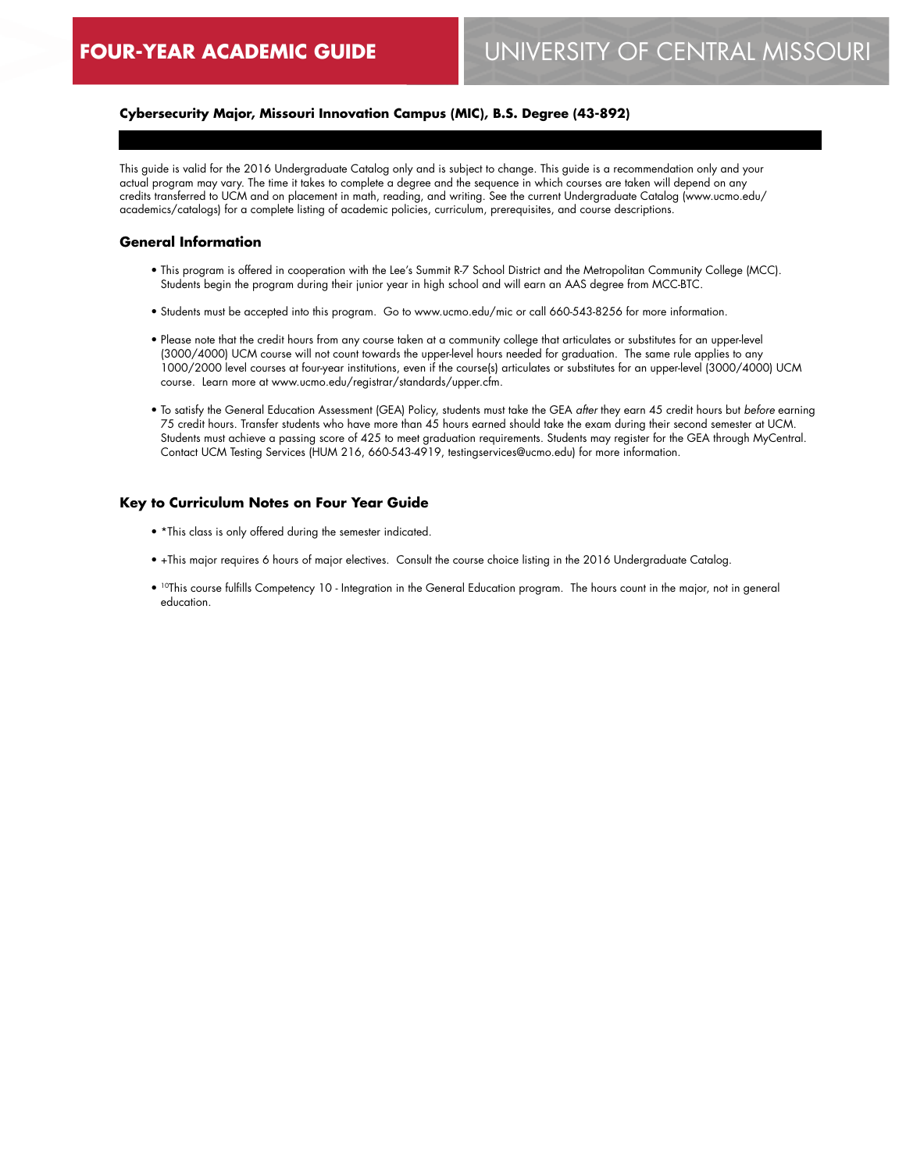# **Cybersecurity Major, Missouri Innovation Campus (MIC), B.S. Degree (43-892)**

This guide is valid for the 2016 Undergraduate Catalog only and is subject to change. This guide is a recommendation only and your actual program may vary. The time it takes to complete a degree and the sequence in which courses are taken will depend on any credits transferred to UCM and on placement in math, reading, and writing. See the current Undergraduate Catalog (www.ucmo.edu/ academics/catalogs) for a complete listing of academic policies, curriculum, prerequisites, and course descriptions.

## **General Information**

- This program is offered in cooperation with the Lee's Summit R-7 School District and the Metropolitan Community College (MCC). Students begin the program during their junior year in high school and will earn an AAS degree from MCC-BTC.
- Students must be accepted into this program. Go to www.ucmo.edu/mic or call 660-543-8256 for more information.
- Please note that the credit hours from any course taken at a community college that articulates or substitutes for an upper-level (3000/4000) UCM course will not count towards the upper-level hours needed for graduation. The same rule applies to any 1000/2000 level courses at four-year institutions, even if the course(s) articulates or substitutes for an upper-level (3000/4000) UCM course. Learn more at www.ucmo.edu/registrar/standards/upper.cfm.
- To satisfy the General Education Assessment (GEA) Policy, students must take the GEA *after* they earn 45 credit hours but *before* earning 75 credit hours. Transfer students who have more than 45 hours earned should take the exam during their second semester at UCM. Students must achieve a passing score of 425 to meet graduation requirements. Students may register for the GEA through MyCentral. Contact UCM Testing Services (HUM 216, 660-543-4919, testingservices@ucmo.edu) for more information.

#### **Key to Curriculum Notes on Four Year Guide**

- \*This class is only offered during the semester indicated.
- +This major requires 6 hours of major electives. Consult the course choice listing in the 2016 Undergraduate Catalog.
- 10This course fulfills Competency 10 Integration in the General Education program. The hours count in the major, not in general education.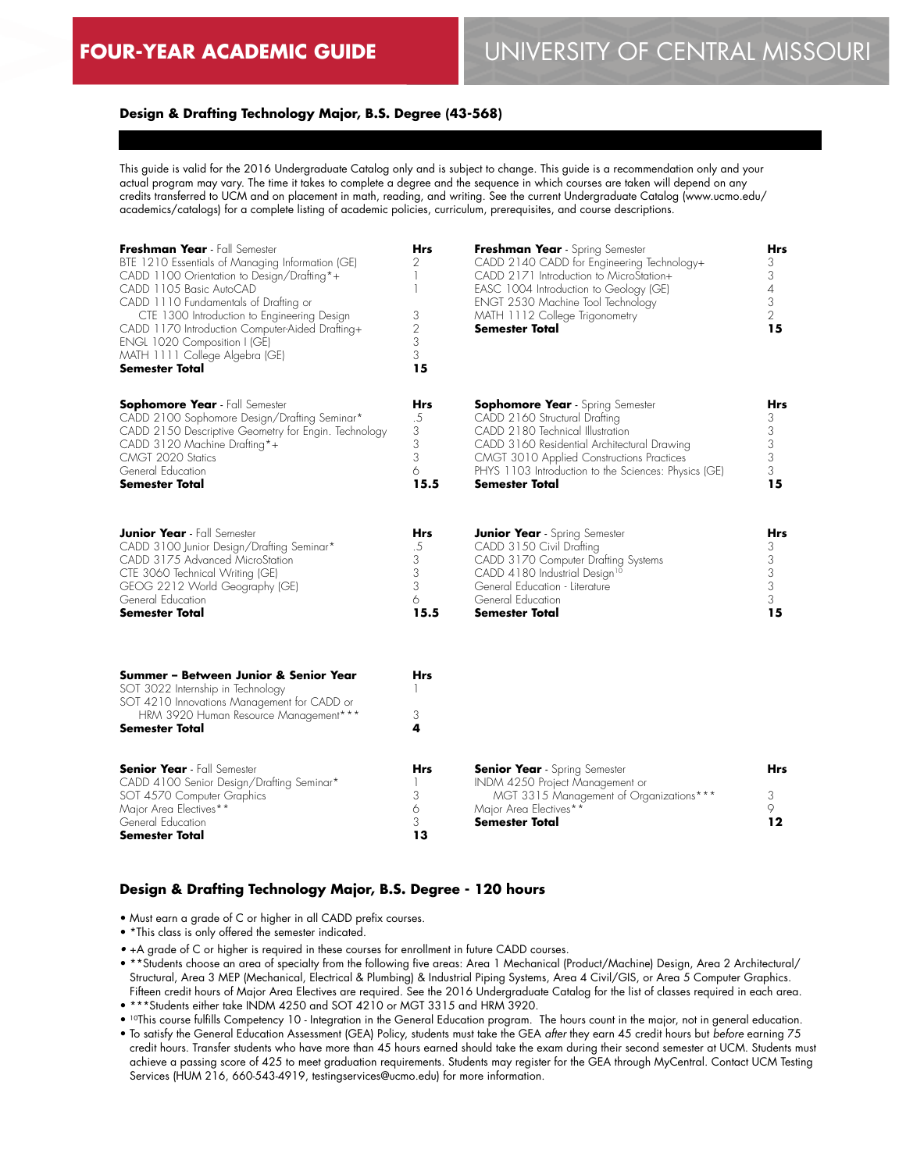#### **Design & Drafting Technology Major, B.S. Degree (43-568)**

This guide is valid for the 2016 Undergraduate Catalog only and is subject to change. This guide is a recommendation only and your actual program may vary. The time it takes to complete a degree and the sequence in which courses are taken will depend on any credits transferred to UCM and on placement in math, reading, and writing. See the current Undergraduate Catalog (www.ucmo.edu/ academics/catalogs) for a complete listing of academic policies, curriculum, prerequisites, and course descriptions.

| Freshman Year - Fall Semester<br>BTE 1210 Essentials of Managing Information (GE)<br>CADD 1100 Orientation to Design/Drafting*+<br>CADD 1105 Basic AutoCAD<br>CADD 1110 Fundamentals of Drafting or<br>CTE 1300 Introduction to Engineering Design<br>CADD 1170 Introduction Computer-Aided Drafting+<br>ENGL 1020 Composition I (GE)<br>MATH 1111 College Algebra (GE)<br>Semester Total | <b>Hrs</b><br>2<br>1<br>1<br>3<br>$\overline{2}$<br>3<br>3<br>15 | Freshman Year - Spring Semester<br>CADD 2140 CADD for Engineering Technology+<br>CADD 2171 Introduction to MicroStation+<br>EASC 1004 Introduction to Geology (GE)<br>ENGT 2530 Machine Tool Technology<br>MATH 1112 College Trigonometry<br><b>Semester Total</b>                        | Hrs<br>3<br>3<br>$\overline{4}$<br>3<br>$\overline{2}$<br>15 |
|-------------------------------------------------------------------------------------------------------------------------------------------------------------------------------------------------------------------------------------------------------------------------------------------------------------------------------------------------------------------------------------------|------------------------------------------------------------------|-------------------------------------------------------------------------------------------------------------------------------------------------------------------------------------------------------------------------------------------------------------------------------------------|--------------------------------------------------------------|
| <b>Sophomore Year</b> - Fall Semester<br>CADD 2100 Sophomore Design/Drafting Seminar*<br>CADD 2150 Descriptive Geometry for Engin. Technology<br>CADD 3120 Machine Drafting*+<br>CMGT 2020 Statics<br>General Education<br>Semester Total                                                                                                                                                 | Hrs<br>.5<br>3<br>3<br>3<br>6<br>15.5                            | <b>Sophomore Year</b> - Spring Semester<br>CADD 2160 Structural Drafting<br>CADD 2180 Technical Illustration<br>CADD 3160 Residential Architectural Drawing<br>CMGT 3010 Applied Constructions Practices<br>PHYS 1103 Introduction to the Sciences: Physics (GE)<br><b>Semester Total</b> | Hrs<br>3<br>3<br>$\ensuremath{\mathsf{3}}$<br>3<br>3<br>15   |
| <b>Junior Year</b> - Fall Semester<br>CADD 3100 Junior Design/Drafting Seminar*<br>CADD 3175 Advanced MicroStation<br>CTE 3060 Technical Writing (GE)<br>GEOG 2212 World Geography (GE)<br>General Education<br><b>Semester Total</b>                                                                                                                                                     | Hrs<br>.5<br>$\ensuremath{\mathsf{3}}$<br>3<br>3<br>6<br>15.5    | <b>Junior Year</b> - Spring Semester<br>CADD 3150 Civil Drafting<br>CADD 3170 Computer Drafting Systems<br>CADD 4180 Industrial Design <sup>10</sup><br>General Education - Literature<br>General Education<br>Semester Total                                                             | Hrs<br>3<br>3<br>3<br>$\ensuremath{\mathsf{3}}$<br>3<br>15   |
| Summer - Between Junior & Senior Year<br>SOT 3022 Internship in Technology<br>SOT 4210 Innovations Management for CADD or<br>HRM 3920 Human Resource Management***<br><b>Semester Total</b>                                                                                                                                                                                               | <b>Hrs</b><br>1<br>3<br>4                                        |                                                                                                                                                                                                                                                                                           |                                                              |
| <b>Senior Year</b> - Fall Semester<br>CADD 4100 Senior Design/Drafting Seminar*<br>SOT 4570 Computer Graphics<br>Major Area Electives**<br>General Education<br>Semester Total                                                                                                                                                                                                            | <b>Hrs</b><br>1<br>3<br>6<br>3<br>13                             | <b>Senior Year</b> - Spring Semester<br>INDM 4250 Project Management or<br>MGT 3315 Management of Organizations***<br>Major Area Electives**<br><b>Semester Total</b>                                                                                                                     | <b>Hrs</b><br>3<br>9<br>12                                   |

## **Design & Drafting Technology Major, B.S. Degree - 120 hours**

• Must earn a grade of C or higher in all CADD prefix courses.

• \*This class is only offered the semester indicated.

*•* +A grade of C or higher is required in these courses for enrollment in future CADD courses.

- \*\*Students choose an area of specialty from the following five areas: Area 1 Mechanical (Product/Machine) Design, Area 2 Architectural/ Structural, Area 3 MEP (Mechanical, Electrical & Plumbing) & Industrial Piping Systems, Area 4 Civil/GIS, or Area 5 Computer Graphics. Fifteen credit hours of Major Area Electives are required. See the 2016 Undergraduate Catalog for the list of classes required in each area.
- \*\*\*Students either take INDM 4250 and SOT 4210 or MGT 3315 and HRM 3920.

• 10This course fulfills Competency 10 - Integration in the General Education program. The hours count in the major, not in general education.

• To satisfy the General Education Assessment (GEA) Policy, students must take the GEA *after* they earn 45 credit hours but *before* earning 75 credit hours. Transfer students who have more than 45 hours earned should take the exam during their second semester at UCM. Students must achieve a passing score of 425 to meet graduation requirements. Students may register for the GEA through MyCentral. Contact UCM Testing Services (HUM 216, 660-543-4919, testingservices@ucmo.edu) for more information.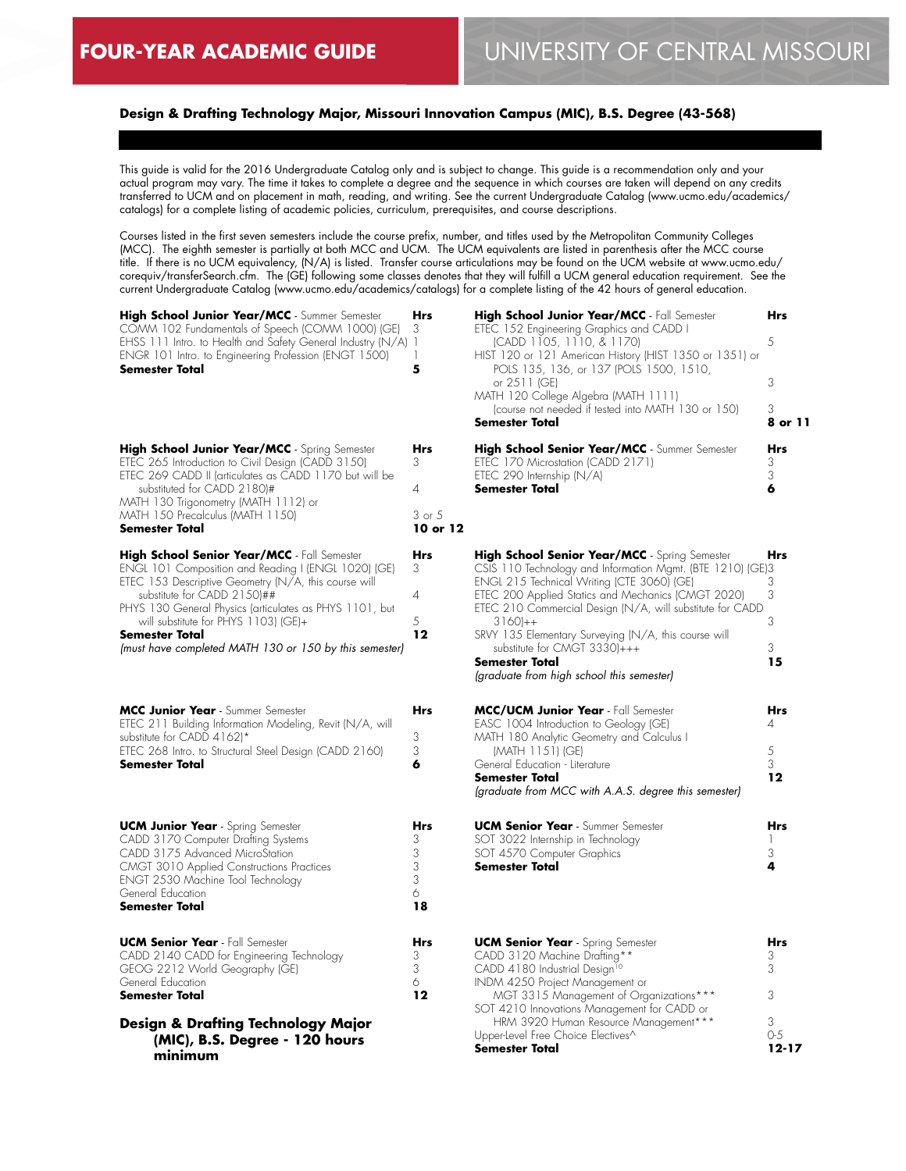# **Design & Drafting Technology Major, Missouri Innovation Campus (MIC), B.S. Degree (43-568)**

This guide is valid for the 2016 Undergraduate Catalog only and is subject to change. This guide is a recommendation only and your actual program may vary. The time it takes to complete a degree and the sequence in which courses are taken will depend on any credits transferred to UCM and on placement in math, reading, and writing. See the current Undergraduate Catalog (www.ucmo.edu/academics/ catalogs) for a complete listing of academic policies, curriculum, prerequisites, and course descriptions.

Courses listed in the first seven semesters include the course prefix, number, and titles used by the Metropolitan Community Colleges (MCC). The eighth semester is partially at both MCC and UCM. The UCM equivalents are listed in parenthesis after the MCC course title. If there is no UCM equivalency, (N/A) is listed. Transfer course articulations may be found on the UCM website at www.ucmo.edu/ corequiv/transferSearch.cfm. The (GE) following some classes denotes that they will fulfill a UCM general education requirement. See the current Undergraduate Catalog (www.ucmo.edu/academics/catalogs) for a complete listing of the 42 hours of general education.

| High School Junior Year/MCC - Summer Semester<br>COMM 102 Fundamentals of Speech (COMM 1000) (GE)<br>EHSS 111 Intro. to Health and Safety General Industry (N/A)<br>ENGR 101 Intro. to Engineering Profession (ENGT 1500)<br>Semester Total                                                                                                                              | Hrs<br>3<br>$\mathbf{1}$<br>1<br>5      | Hig<br>ETE<br><b>HIS</b>                          |
|--------------------------------------------------------------------------------------------------------------------------------------------------------------------------------------------------------------------------------------------------------------------------------------------------------------------------------------------------------------------------|-----------------------------------------|---------------------------------------------------|
|                                                                                                                                                                                                                                                                                                                                                                          |                                         | MA<br>Sei                                         |
| High School Junior Year/MCC - Spring Semester<br>ETEC 265 Introduction to Civil Design (CADD 3150)<br>ETEC 269 CADD II (articulates as CADD 1170 but will be<br>substituted for CADD 2180)#<br>MATH 130 Trigonometry (MATH 1112) or<br>MATH 150 Precalculus (MATH 1150)<br><b>Semester Total</b>                                                                         | Hrs<br>3<br>4<br>$3$ or $5$<br>10 or 12 | Hig<br>ETE<br>ETE<br>Se                           |
| High School Senior Year/MCC - Fall Semester<br>ENGL 101 Composition and Reading I (ENGL 1020) (GE)<br>ETEC 153 Descriptive Geometry (N/A, this course will<br>substitute for CADD 2150)##<br>PHYS 130 General Physics (articulates as PHYS 1101, but<br>will substitute for PHYS 1103) (GE)+<br>Semester Total<br>(must have completed MATH 130 or 150 by this semester) | Hrs<br>3<br>4<br>5<br>12                | Hig<br>CS<br>EN<br>ETE<br>ETE<br>SR\<br>Se<br>(gr |
| MCC Junior Year - Summer Semester<br>ETEC 211 Building Information Modeling, Revit (N/A, will<br>substitute for CADD 4162)*<br>ETEC 268 Intro. to Structural Steel Design (CADD 2160)<br><b>Semester Total</b>                                                                                                                                                           | Hrs<br>3<br>3<br>6                      | M<br>EA<br>MΑ<br>Ge<br>Se<br>(gr                  |
| <b>UCM Junior Year</b> - Spring Semester<br>CADD 3170 Computer Drafting Systems<br>CADD 3175 Advanced MicroStation<br>CMGT 3010 Applied Constructions Practices<br>ENGT 2530 Machine Tool Technology<br>General Education<br><b>Semester Total</b>                                                                                                                       | Hrs<br>3<br>3<br>3<br>3<br>6<br>18      | UC<br>SO<br>SO<br>Se⊧                             |
| <b>UCM Senior Year</b> - Fall Semester<br>CADD 2140 CADD for Engineering Technology<br>GEOG 2212 World Geography (GE)<br>General Education<br><b>Semester Total</b><br><b>Design &amp; Drafting Technology Major</b><br>(MIC), B.S. Degree - 120 hours                                                                                                                   | Hrs<br>3<br>3<br>6<br>12                | UC<br>СA<br>CА<br>INI<br>SO<br>Up                 |

**minimum**

| High School Junior Year/MCC - Fall Semester             | Hrs     |
|---------------------------------------------------------|---------|
| ETEC 152 Engineering Graphics and CADD I                |         |
| (CADD 1105, 1110, & 1170)                               | 5       |
| HIST 120 or 121 American History (HIST 1350 or 1351) or |         |
| POLS 135, 136, or 137 (POLS 1500, 1510,                 |         |
| or 2511 (GE)                                            | З       |
| MATH 120 College Algebra (MATH 1111)                    |         |
| (course not needed if tested into MATH 130 or 150)      | 3       |
| <b>Semester Total</b>                                   | 8 or 11 |
| High School Senior Year/MCC - Summer Semester           | Hrs     |
| ETEC 170 Microstation (CADD 2171)                       | 3       |
| ETEC 290 Internship (N/A)                               | 3       |
| <b>Semester Total</b>                                   |         |

| High School Senior Year/MCC - Spring Semester<br>CSIS 110 Technology and Information Mamt. (BTE 1210) (GE)3 | <b>Hrs</b>     |
|-------------------------------------------------------------------------------------------------------------|----------------|
| ENGL 215 Technical Writing (CTE 3060) (GE)                                                                  | 3              |
| ETEC 200 Applied Statics and Mechanics (CMGT 2020)                                                          | 3              |
| ETEC 210 Commercial Design (N/A, will substitute for CADD                                                   |                |
| $3160++$                                                                                                    | 3              |
| SRVY 135 Elementary Surveying (N/A, this course will                                                        |                |
| substitute for CMGT 3330)+++                                                                                | 3              |
| Semester Total                                                                                              | 15             |
| (graduate from high school this semester)                                                                   |                |
| <b>MCC/UCM Junior Year</b> - Fall Semester                                                                  | Hrs            |
| EASC 1004 Introduction to Geology (GE)                                                                      | 4              |
| MATH 180 Analytic Geometry and Calculus I                                                                   |                |
| (MATH 1151) (GE)                                                                                            | 5              |
| General Education - Literature                                                                              | $\overline{3}$ |
| Semester Total                                                                                              | 12             |
| (graduate from MCC with A.A.S. degree this semester)                                                        |                |
| <b>UCM Senior Year</b> - Summer Semester                                                                    | Hrs            |
| SOT 3022 Internship in Technology                                                                           |                |
| SOT 4570 Computer Graphics                                                                                  | 3              |
| <b>Semester Total</b>                                                                                       | 4              |

| <b>UCM Senior Year</b> - Spring Semester    | Hrs   |
|---------------------------------------------|-------|
| CADD 3120 Machine Drafting**                | 3     |
| CADD 4180 Industrial Design <sup>10</sup>   |       |
| INDM 4250 Project Management or             |       |
| MGT 3315 Management of Organizations***     |       |
| SOT 4210 Innovations Management for CADD or |       |
| HRM 3920 Human Resource Management***       |       |
| Upper-level Free Choice Electives^          | $O-5$ |
| <b>Semester Total</b>                       | 12-17 |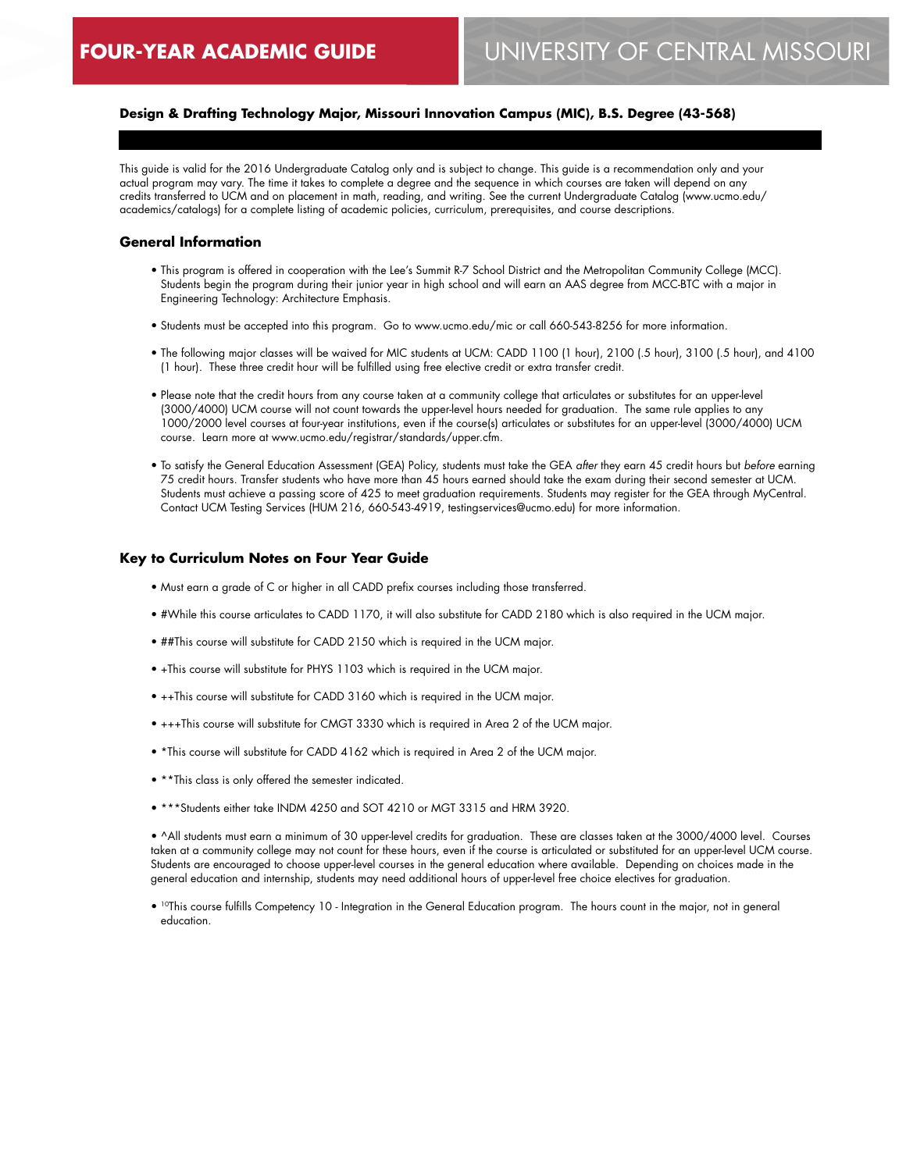## **Design & Drafting Technology Major, Missouri Innovation Campus (MIC), B.S. Degree (43-568)**

This guide is valid for the 2016 Undergraduate Catalog only and is subject to change. This guide is a recommendation only and your actual program may vary. The time it takes to complete a degree and the sequence in which courses are taken will depend on any credits transferred to UCM and on placement in math, reading, and writing. See the current Undergraduate Catalog (www.ucmo.edu/ academics/catalogs) for a complete listing of academic policies, curriculum, prerequisites, and course descriptions.

#### **General Information**

- This program is offered in cooperation with the Lee's Summit R-7 School District and the Metropolitan Community College (MCC). Students begin the program during their junior year in high school and will earn an AAS degree from MCC-BTC with a major in Engineering Technology: Architecture Emphasis.
- Students must be accepted into this program. Go to www.ucmo.edu/mic or call 660-543-8256 for more information.
- The following major classes will be waived for MIC students at UCM: CADD 1100 (1 hour), 2100 (.5 hour), 3100 (.5 hour), and 4100 (1 hour). These three credit hour will be fulfilled using free elective credit or extra transfer credit.
- Please note that the credit hours from any course taken at a community college that articulates or substitutes for an upper-level (3000/4000) UCM course will not count towards the upper-level hours needed for graduation. The same rule applies to any 1000/2000 level courses at four-year institutions, even if the course(s) articulates or substitutes for an upper-level (3000/4000) UCM course. Learn more at www.ucmo.edu/registrar/standards/upper.cfm.
- To satisfy the General Education Assessment (GEA) Policy, students must take the GEA *after* they earn 45 credit hours but *before* earning 75 credit hours. Transfer students who have more than 45 hours earned should take the exam during their second semester at UCM. Students must achieve a passing score of 425 to meet graduation requirements. Students may register for the GEA through MyCentral. Contact UCM Testing Services (HUM 216, 660-543-4919, testingservices@ucmo.edu) for more information.

#### **Key to Curriculum Notes on Four Year Guide**

- Must earn a grade of C or higher in all CADD prefix courses including those transferred.
- #While this course articulates to CADD 1170, it will also substitute for CADD 2180 which is also required in the UCM major.
- ##This course will substitute for CADD 2150 which is required in the UCM major.
- +This course will substitute for PHYS 1103 which is required in the UCM major.
- ++This course will substitute for CADD 3160 which is required in the UCM major.
- +++This course will substitute for CMGT 3330 which is required in Area 2 of the UCM major.
- \*This course will substitute for CADD 4162 which is required in Area 2 of the UCM major.
- \*\*This class is only offered the semester indicated.
- \*\*\*Students either take INDM 4250 and SOT 4210 or MGT 3315 and HRM 3920.

• ^All students must earn a minimum of 30 upper-level credits for graduation. These are classes taken at the 3000/4000 level. Courses taken at a community college may not count for these hours, even if the course is articulated or substituted for an upper-level UCM course. Students are encouraged to choose upper-level courses in the general education where available. Depending on choices made in the general education and internship, students may need additional hours of upper-level free choice electives for graduation.

• <sup>10</sup>This course fulfills Competency 10 - Integration in the General Education program. The hours count in the major, not in general education.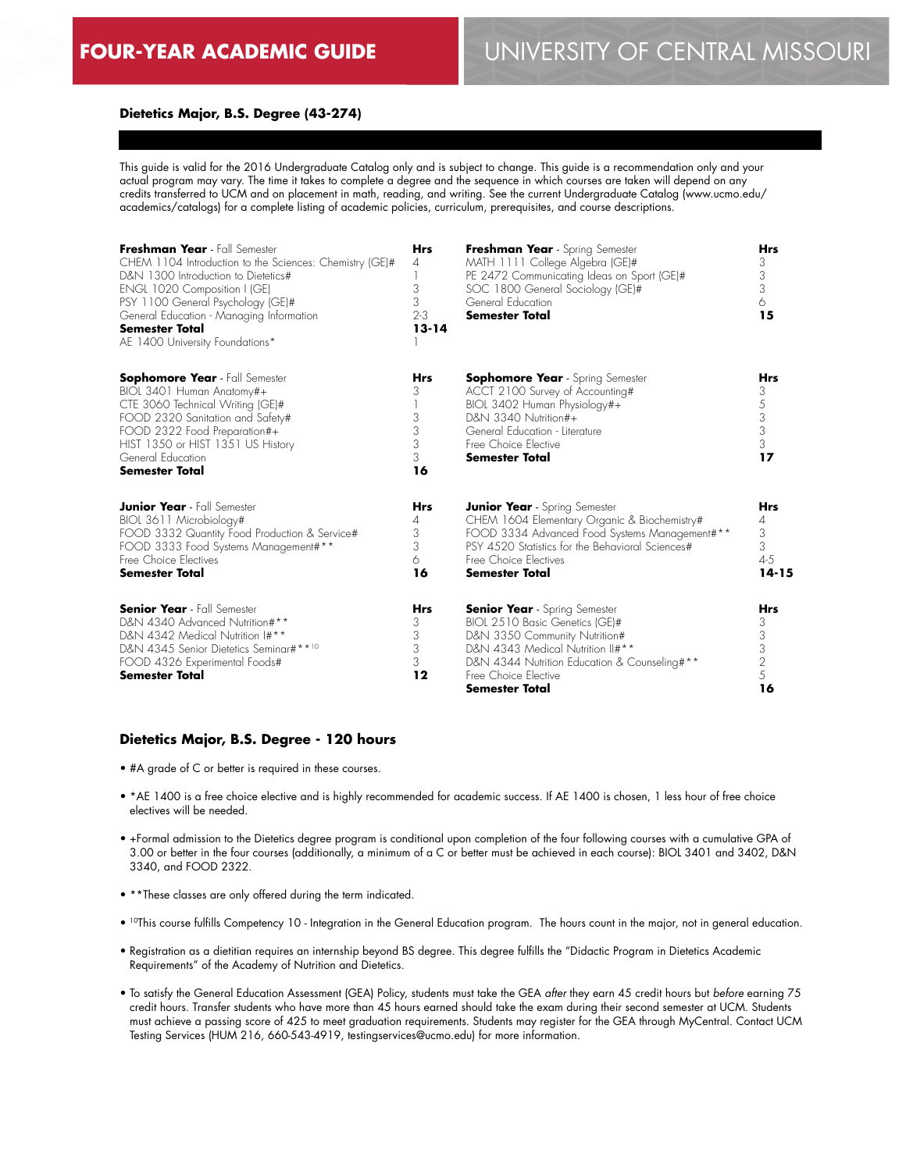#### **Dietetics Major, B.S. Degree (43-274)**

This guide is valid for the 2016 Undergraduate Catalog only and is subject to change. This guide is a recommendation only and your actual program may vary. The time it takes to complete a degree and the sequence in which courses are taken will depend on any credits transferred to UCM and on placement in math, reading, and writing. See the current Undergraduate Catalog (www.ucmo.edu/ academics/catalogs) for a complete listing of academic policies, curriculum, prerequisites, and course descriptions.

| Freshman Year - Fall Semester<br>CHEM 1104 Introduction to the Sciences: Chemistry (GE)#<br>D&N 1300 Introduction to Dietetics#<br>ENGL 1020 Composition I (GE)<br>PSY 1100 General Psychology (GE)#<br>General Education - Managing Information<br><b>Semester Total</b><br>AE 1400 University Foundations* | <b>Hrs</b><br>$\overline{4}$<br>3<br>3<br>$2 - 3$<br>$13 - 14$ | Freshman Year - Spring Semester<br>MATH 1111 College Algebra (GE)#<br>PE 2472 Communicating Ideas on Sport (GE)#<br>SOC 1800 General Sociology (GE)#<br>General Education<br><b>Semester Total</b>                                           | <b>Hrs</b><br>3<br>3<br>3<br>6<br>15                   |
|--------------------------------------------------------------------------------------------------------------------------------------------------------------------------------------------------------------------------------------------------------------------------------------------------------------|----------------------------------------------------------------|----------------------------------------------------------------------------------------------------------------------------------------------------------------------------------------------------------------------------------------------|--------------------------------------------------------|
| <b>Sophomore Year</b> - Fall Semester<br>BIOL 3401 Human Anatomy#+<br>CTE 3060 Technical Writing (GE)#<br>FOOD 2320 Sanitation and Safety#<br>FOOD 2322 Food Preparation#+<br>HIST 1350 or HIST 1351 US History<br>General Education<br><b>Semester Total</b>                                                | <b>Hrs</b><br>3<br>3<br>3<br>3<br>3<br>16                      | <b>Sophomore Year</b> - Spring Semester<br>ACCT 2100 Survey of Accounting#<br>BIOL 3402 Human Physiology#+<br>D&N 3340 Nutrition#+<br>General Education - Literature<br>Free Choice Elective<br><b>Semester Total</b>                        | <b>Hrs</b><br>3<br>5<br>$\frac{3}{3}$<br>3<br>17       |
| <b>Junior Year</b> - Fall Semester<br>BIOL 3611 Microbiology#<br>FOOD 3332 Quantity Food Production & Service#<br>FOOD 3333 Food Systems Management#**<br>Free Choice Electives<br><b>Semester Total</b>                                                                                                     | <b>Hrs</b><br>4<br>3<br>3<br>6<br>16                           | <b>Junior Year</b> - Spring Semester<br>CHEM 1604 Elementary Organic & Biochemistry#<br>FOOD 3334 Advanced Food Systems Management#**<br>PSY 4520 Statistics for the Behavioral Sciences#<br>Free Choice Flectives<br><b>Semester Total</b>  | <b>Hrs</b><br>4<br>3<br>3<br>$4 - 5$<br>$14 - 15$      |
| <b>Senior Year</b> - Fall Semester<br>D&N 4340 Advanced Nutrition#**<br>D&N 4342 Medical Nutrition I#**<br>D&N 4345 Senior Dietetics Seminar#**10<br>FOOD 4326 Experimental Foods#<br>Semester Total                                                                                                         | <b>Hrs</b><br>3<br>3<br>3<br>3<br>12                           | <b>Senior Year</b> - Spring Semester<br>BIOL 2510 Basic Genetics (GE)#<br>D&N 3350 Community Nutrition#<br>D&N 4343 Medical Nutrition II#**<br>D&N 4344 Nutrition Education & Counseling#**<br>Free Choice Flective<br><b>Semester Total</b> | <b>Hrs</b><br>3<br>3<br>3<br>$\overline{2}$<br>5<br>16 |

#### **Dietetics Major, B.S. Degree - 120 hours**

- #A grade of C or better is required in these courses.
- \*AE 1400 is a free choice elective and is highly recommended for academic success. If AE 1400 is chosen, 1 less hour of free choice electives will be needed.
- +Formal admission to the Dietetics degree program is conditional upon completion of the four following courses with a cumulative GPA of 3.00 or better in the four courses (additionally, a minimum of a C or better must be achieved in each course): BIOL 3401 and 3402, D&N 3340, and FOOD 2322.
- \*\*These classes are only offered during the term indicated.
- <sup>10</sup>This course fulfills Competency 10 Integration in the General Education program. The hours count in the major, not in general education.
- Registration as a dietitian requires an internship beyond BS degree. This degree fulfills the "Didactic Program in Dietetics Academic Requirements" of the Academy of Nutrition and Dietetics.
- To satisfy the General Education Assessment (GEA) Policy, students must take the GEA *after* they earn 45 credit hours but *before* earning 75 credit hours. Transfer students who have more than 45 hours earned should take the exam during their second semester at UCM. Students must achieve a passing score of 425 to meet graduation requirements. Students may register for the GEA through MyCentral. Contact UCM Testing Services (HUM 216, 660-543-4919, testingservices@ucmo.edu) for more information.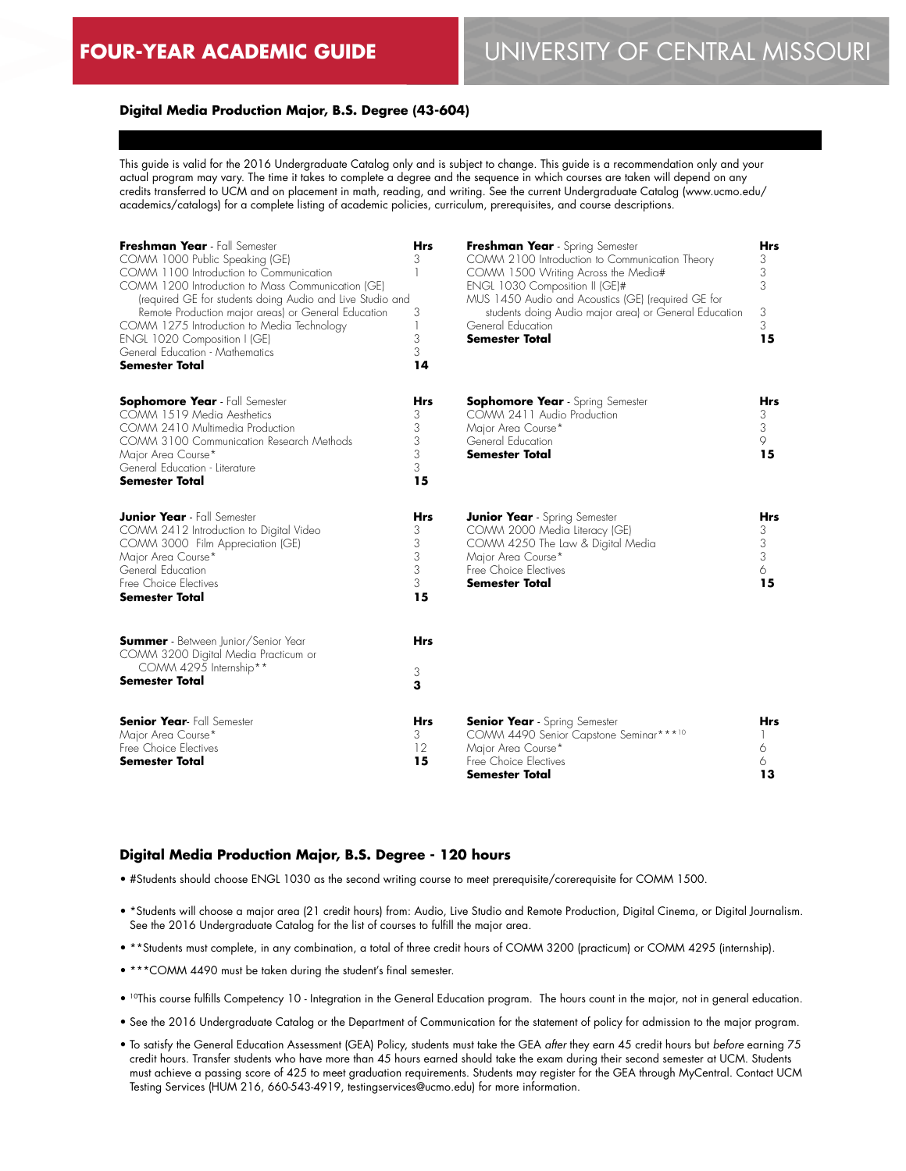# **FOUR-YEAR ACADEMIC GUIDE** UNIVERSITY OF CENTRAL MISSOURI

#### **Digital Media Production Major, B.S. Degree (43-604)**

This guide is valid for the 2016 Undergraduate Catalog only and is subject to change. This guide is a recommendation only and your actual program may vary. The time it takes to complete a degree and the sequence in which courses are taken will depend on any credits transferred to UCM and on placement in math, reading, and writing. See the current Undergraduate Catalog (www.ucmo.edu/ academics/catalogs) for a complete listing of academic policies, curriculum, prerequisites, and course descriptions.

| Freshman Year - Fall Semester<br>COMM 1000 Public Speaking (GE)<br>COMM 1100 Introduction to Communication<br>COMM 1200 Introduction to Mass Communication (GE)<br>(required GE for students doing Audio and Live Studio and<br>Remote Production major areas) or General Education<br>COMM 1275 Introduction to Media Technology<br>ENGL 1020 Composition I (GE)<br>General Education - Mathematics<br><b>Semester Total</b> | <b>Hrs</b><br>3<br>3<br>3<br>3<br>14      | Freshman Year - Spring Semester<br>COMM 2100 Introduction to Communication Theory<br>COMM 1500 Writing Across the Media#<br>ENGL 1030 Composition II (GE)#<br>MUS 1450 Audio and Acoustics (GE) (required GE for<br>students doing Audio major area) or General Education<br>General Education<br><b>Semester Total</b> | <b>Hrs</b><br>3<br>3<br>3<br>3<br>3<br>15 |
|-------------------------------------------------------------------------------------------------------------------------------------------------------------------------------------------------------------------------------------------------------------------------------------------------------------------------------------------------------------------------------------------------------------------------------|-------------------------------------------|-------------------------------------------------------------------------------------------------------------------------------------------------------------------------------------------------------------------------------------------------------------------------------------------------------------------------|-------------------------------------------|
| <b>Sophomore Year</b> - Fall Semester<br>COMM 1519 Media Aesthetics<br>COMM 2410 Multimedia Production<br>COMM 3100 Communication Research Methods<br>Major Area Course*<br>General Education - Literature<br><b>Semester Total</b>                                                                                                                                                                                           | <b>Hrs</b><br>3<br>3<br>3<br>3<br>3<br>15 | <b>Sophomore Year</b> - Spring Semester<br>COMM 2411 Audio Production<br>Major Area Course*<br>General Education<br><b>Semester Total</b>                                                                                                                                                                               | <b>Hrs</b><br>3<br>3<br>9<br>15           |
| <b>Junior Year</b> - Fall Semester<br>COMM 2412 Introduction to Digital Video<br>COMM 3000 Film Appreciation (GE)<br>Major Area Course*<br>General Education<br>Free Choice Electives<br><b>Semester Total</b>                                                                                                                                                                                                                | <b>Hrs</b><br>3<br>3<br>3<br>3<br>3<br>15 | <b>Junior Year</b> - Spring Semester<br>COMM 2000 Media Literacy (GE)<br>COMM 4250 The Law & Digital Media<br>Major Area Course*<br>Free Choice Electives<br><b>Semester Total</b>                                                                                                                                      | <b>Hrs</b><br>3<br>3<br>3<br>6<br>15      |
| <b>Summer</b> - Between Junior/Senior Year<br>COMM 3200 Digital Media Practicum or<br>COMM 4295 Internship**<br><b>Semester Total</b>                                                                                                                                                                                                                                                                                         | <b>Hrs</b><br>3<br>3                      |                                                                                                                                                                                                                                                                                                                         |                                           |
| <b>Senior Year-</b> Fall Semester<br>Major Area Course*<br>Free Choice Electives<br><b>Semester Total</b>                                                                                                                                                                                                                                                                                                                     | <b>Hrs</b><br>3<br>12<br>15               | <b>Senior Year</b> - Spring Semester<br>COMM 4490 Senior Capstone Seminar***10<br>Major Area Course*<br>Free Choice Electives<br>Semester Total                                                                                                                                                                         | <b>Hrs</b><br>6<br>6<br>13                |

#### **Digital Media Production Major, B.S. Degree - 120 hours**

- #Students should choose ENGL 1030 as the second writing course to meet prerequisite/corerequisite for COMM 1500.
- \*Students will choose a major area (21 credit hours) from: Audio, Live Studio and Remote Production, Digital Cinema, or Digital Journalism. See the 2016 Undergraduate Catalog for the list of courses to fulfill the major area.
- \*\*Students must complete, in any combination, a total of three credit hours of COMM 3200 (practicum) or COMM 4295 (internship).
- \*\*\*COMM 4490 must be taken during the student's final semester.
- 10This course fulfills Competency 10 Integration in the General Education program. The hours count in the major, not in general education.
- See the 2016 Undergraduate Catalog or the Department of Communication for the statement of policy for admission to the major program.
- To satisfy the General Education Assessment (GEA) Policy, students must take the GEA *after* they earn 45 credit hours but *before* earning 75 credit hours. Transfer students who have more than 45 hours earned should take the exam during their second semester at UCM. Students must achieve a passing score of 425 to meet graduation requirements. Students may register for the GEA through MyCentral. Contact UCM Testing Services (HUM 216, 660-543-4919, testingservices@ucmo.edu) for more information.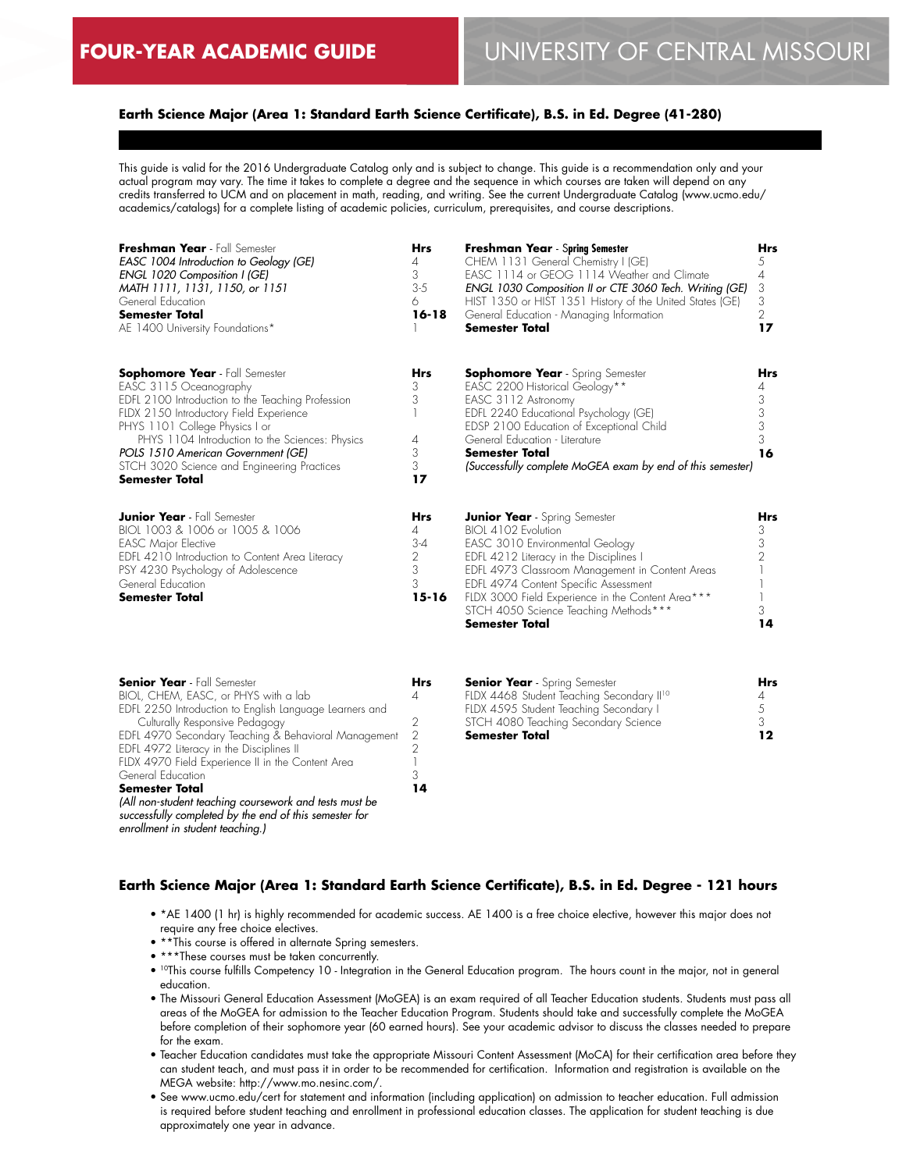# **Earth Science Major (Area 1: Standard Earth Science Certificate), B.S. in Ed. Degree (41-280)**

This guide is valid for the 2016 Undergraduate Catalog only and is subject to change. This guide is a recommendation only and your actual program may vary. The time it takes to complete a degree and the sequence in which courses are taken will depend on any credits transferred to UCM and on placement in math, reading, and writing. See the current Undergraduate Catalog (www.ucmo.edu/ academics/catalogs) for a complete listing of academic policies, curriculum, prerequisites, and course descriptions.

| Freshman Year - Fall Semester<br>EASC 1004 Introduction to Geology (GE)<br>ENGL 1020 Composition I (GE)<br>MATH 1111, 1131, 1150, or 1151<br>General Education<br><b>Semester Total</b><br>AE 1400 University Foundations*                                                                                                                                         | <b>Hrs</b><br>4<br>3<br>$3-5$<br>6<br>$16 - 18$                     | <b>Freshman Year</b> - Spring Semester<br>CHEM 1131 General Chemistry I (GE)<br>EASC 1114 or GEOG 1114 Weather and Climate<br>ENGL 1030 Composition II or CTE 3060 Tech. Writing (GE)<br>HIST 1350 or HIST 1351 History of the United States (GE)<br>General Education - Managing Information<br><b>Semester Total</b>                                       | <b>Hrs</b><br>5<br>4<br>3<br>3<br>2<br>17 |
|--------------------------------------------------------------------------------------------------------------------------------------------------------------------------------------------------------------------------------------------------------------------------------------------------------------------------------------------------------------------|---------------------------------------------------------------------|--------------------------------------------------------------------------------------------------------------------------------------------------------------------------------------------------------------------------------------------------------------------------------------------------------------------------------------------------------------|-------------------------------------------|
| <b>Sophomore Year</b> - Fall Semester<br>EASC 3115 Oceanography<br>EDFL 2100 Introduction to the Teaching Profession<br>FLDX 2150 Introductory Field Experience<br>PHYS 1101 College Physics I or<br>PHYS 1104 Introduction to the Sciences: Physics<br>POLS 1510 American Government (GE)<br>STCH 3020 Science and Engineering Practices<br><b>Semester Total</b> | <b>Hrs</b><br>3<br>3<br>4<br>3<br>3<br>17                           | <b>Sophomore Year</b> - Spring Semester<br>EASC 2200 Historical Geology**<br>EASC 3112 Astronomy<br>EDFL 2240 Educational Psychology (GE)<br>EDSP 2100 Education of Exceptional Child<br>General Education - Literature<br><b>Semester Total</b><br>(Successfully complete MoGEA exam by end of this semester)                                               | <b>Hrs</b><br>4<br>3<br>3<br>3<br>3<br>16 |
| <b>Junior Year</b> - Fall Semester<br>BIOL 1003 & 1006 or 1005 & 1006<br><b>EASC Major Elective</b><br>EDFL 4210 Introduction to Content Area Literacy<br>PSY 4230 Psychology of Adolescence<br>General Education<br><b>Semester Total</b>                                                                                                                         | <b>Hrs</b><br>4<br>$3 - 4$<br>$\overline{2}$<br>3<br>3<br>$15 - 16$ | <b>Junior Year</b> - Spring Semester<br>BIOL 4102 Evolution<br>EASC 3010 Environmental Geology<br>EDFL 4212 Literacy in the Disciplines I<br>EDFL 4973 Classroom Management in Content Areas<br>EDFL 4974 Content Specific Assessment<br>FLDX 3000 Field Experience in the Content Area***<br>STCH 4050 Science Teaching Methods***<br><b>Semester Total</b> | Hrs<br>3<br>3<br>3<br>14                  |

| <b>Senior Year</b> - Fall Semester                      |    |
|---------------------------------------------------------|----|
| BIOL, CHEM, EASC, or PHYS with a lab                    |    |
| EDFL 2250 Introduction to English Language Learners and |    |
| Culturally Responsive Pedagogy                          | 2  |
| EDFL 4970 Secondary Teaching & Behavioral Management    | 2  |
| EDFL 4972 Literacy in the Disciplines II                |    |
| FLDX 4970 Field Experience II in the Content Area       |    |
| General Education                                       |    |
| <b>Semester Total</b>                                   | 14 |
| (All non-student teaching coursework and tests must be  |    |
| successfully completed by the end of this semester for  |    |
| enrollment in student teaching.)                        |    |

| <b>Senior Year</b> - Spring Semester                  | Hrs |
|-------------------------------------------------------|-----|
| FLDX 4468 Student Teaching Secondary II <sup>10</sup> |     |
| FLDX 4595 Student Teaching Secondary I                |     |
| STCH 4080 Teaching Secondary Science                  | -2  |
| <b>Semester Total</b>                                 | 12  |

## **Earth Science Major (Area 1: Standard Earth Science Certificate), B.S. in Ed. Degree - 121 hours**

- \*AE 1400 (1 hr) is highly recommended for academic success. AE 1400 is a free choice elective, however this major does not require any free choice electives.
- \*\*This course is offered in alternate Spring semesters.
- \*\*\*These courses must be taken concurrently.
- 10This course fulfills Competency 10 Integration in the General Education program. The hours count in the major, not in general education.
- The Missouri General Education Assessment (MoGEA) is an exam required of all Teacher Education students. Students must pass all areas of the MoGEA for admission to the Teacher Education Program. Students should take and successfully complete the MoGEA before completion of their sophomore year (60 earned hours). See your academic advisor to discuss the classes needed to prepare for the exam.
- Teacher Education candidates must take the appropriate Missouri Content Assessment (MoCA) for their certification area before they can student teach, and must pass it in order to be recommended for certification. Information and registration is available on the MEGA website: http://www.mo.nesinc.com/.
- See www.ucmo.edu/cert for statement and information (including application) on admission to teacher education. Full admission is required before student teaching and enrollment in professional education classes. The application for student teaching is due approximately one year in advance.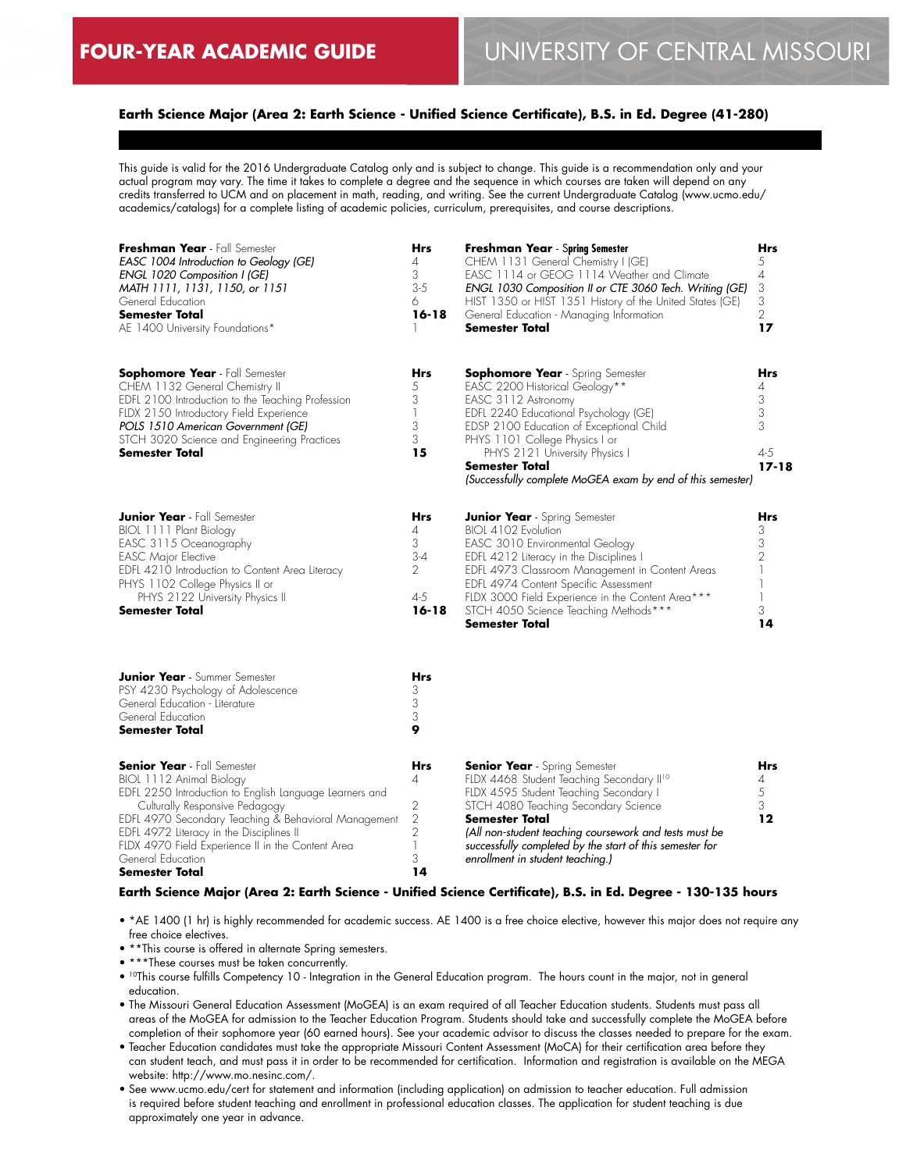# **Earth Science Major (Area 2: Earth Science - Unified Science Certificate), B.S. in Ed. Degree (41-280)**

This guide is valid for the 2016 Undergraduate Catalog only and is subject to change. This guide is a recommendation only and your actual program may vary. The time it takes to complete a degree and the sequence in which courses are taken will depend on any credits transferred to UCM and on placement in math, reading, and writing. See the current Undergraduate Catalog (www.ucmo.edu/ academics/catalogs) for a complete listing of academic policies, curriculum, prerequisites, and course descriptions.

| Freshman Year - Fall Semester<br>EASC 1004 Introduction to Geology (GE)<br>ENGL 1020 Composition I (GE)<br>MATH 1111, 1131, 1150, or 1151<br>General Education<br><b>Semester Total</b><br>AE 1400 University Foundations*                                                                                                                                         | Hrs<br>4<br>3<br>$3 - 5$<br>6<br>$16 - 18$                                   | Freshman Year - Spring Semester<br>CHEM 1131 General Chemistry I (GE)<br>EASC 1114 or GEOG 1114 Weather and Climate<br>ENGL 1030 Composition II or CTE 3060 Tech. Writing (GE)<br>HIST 1350 or HIST 1351 History of the United States (GE)<br>General Education - Managing Information<br><b>Semester Total</b>                                              | Hrs<br>5<br>4<br>3<br>3<br>2<br>17                  |
|--------------------------------------------------------------------------------------------------------------------------------------------------------------------------------------------------------------------------------------------------------------------------------------------------------------------------------------------------------------------|------------------------------------------------------------------------------|--------------------------------------------------------------------------------------------------------------------------------------------------------------------------------------------------------------------------------------------------------------------------------------------------------------------------------------------------------------|-----------------------------------------------------|
| <b>Sophomore Year</b> - Fall Semester<br>CHEM 1132 General Chemistry II<br>EDFL 2100 Introduction to the Teaching Profession<br>FLDX 2150 Introductory Field Experience<br>POLS 1510 American Government (GE)<br>STCH 3020 Science and Engineering Practices<br>Semester Total                                                                                     | <b>Hrs</b><br>5<br>3<br>1<br>3<br>3<br>15                                    | <b>Sophomore Year</b> - Spring Semester<br>EASC 2200 Historical Geology**<br>EASC 3112 Astronomy<br>EDFL 2240 Educational Psychology (GE)<br>EDSP 2100 Education of Exceptional Child<br>PHYS 1101 College Physics I or<br>PHYS 2121 University Physics I<br><b>Semester Total</b><br>(Successfully complete MoGEA exam by end of this semester)             | <b>Hrs</b><br>4<br>3<br>3<br>3<br>$4 - 5$<br>17-18  |
| <b>Junior Year</b> - Fall Semester<br>BIOL 1111 Plant Biology<br>EASC 3115 Oceanography<br><b>EASC Major Elective</b><br>EDFL 4210 Introduction to Content Area Literacy<br>PHYS 1102 College Physics II or<br>PHYS 2122 University Physics II<br>Semester Total                                                                                                   | Hrs<br>4<br>3<br>$3-4$<br>2<br>$4 - 5$<br>$16 - 18$                          | <b>Junior Year</b> - Spring Semester<br>BIOL 4102 Evolution<br>EASC 3010 Environmental Geology<br>EDFL 4212 Literacy in the Disciplines I<br>EDFL 4973 Classroom Management in Content Areas<br>EDFL 4974 Content Specific Assessment<br>FLDX 3000 Field Experience in the Content Area***<br>STCH 4050 Science Teaching Methods***<br><b>Semester Total</b> | <b>Hrs</b><br>3<br>3<br>2<br>1<br>1<br>1<br>3<br>14 |
| <b>Junior Year</b> - Summer Semester<br>PSY 4230 Psychology of Adolescence<br>General Education - Literature<br>General Education<br><b>Semester Total</b>                                                                                                                                                                                                         | Hrs<br>3<br>3<br>3<br>9                                                      |                                                                                                                                                                                                                                                                                                                                                              |                                                     |
| <b>Senior Year</b> - Fall Semester<br>BIOL 1112 Animal Biology<br>EDFL 2250 Introduction to English Language Learners and<br>Culturally Responsive Pedagogy<br>EDFL 4970 Secondary Teaching & Behavioral Management<br>EDFL 4972 Literacy in the Disciplines II<br>FLDX 4970 Field Experience II in the Content Area<br>General Education<br><b>Semester Total</b> | Hrs<br>4<br>2<br>$\overline{2}$<br>$\overline{2}$<br>$\mathbf{1}$<br>3<br>14 | <b>Senior Year</b> - Spring Semester<br>FLDX 4468 Student Teaching Secondary II <sup>10</sup><br>FLDX 4595 Student Teaching Secondary I<br>STCH 4080 Teaching Secondary Science<br>Semester Total<br>(All non-student teaching coursework and tests must be<br>successfully completed by the start of this semester for<br>enrollment in student teaching.)  | Hrs<br>4<br>5<br>3<br>12                            |

#### **Earth Science Major (Area 2: Earth Science - Unified Science Certificate), B.S. in Ed. Degree - 130-135 hours**

• \*AE 1400 (1 hr) is highly recommended for academic success. AE 1400 is a free choice elective, however this major does not require any free choice electives.

• \*\*This course is offered in alternate Spring semesters.

• \*\*\*These courses must be taken concurrently.

• 10This course fulfills Competency 10 - Integration in the General Education program. The hours count in the major, not in general education.

• The Missouri General Education Assessment (MoGEA) is an exam required of all Teacher Education students. Students must pass all areas of the MoGEA for admission to the Teacher Education Program. Students should take and successfully complete the MoGEA before completion of their sophomore year (60 earned hours). See your academic advisor to discuss the classes needed to prepare for the exam.

• Teacher Education candidates must take the appropriate Missouri Content Assessment (MoCA) for their certification area before they can student teach, and must pass it in order to be recommended for certification. Information and registration is available on the MEGA website: http://www.mo.nesinc.com/.

• See www.ucmo.edu/cert for statement and information (including application) on admission to teacher education. Full admission is required before student teaching and enrollment in professional education classes. The application for student teaching is due approximately one year in advance.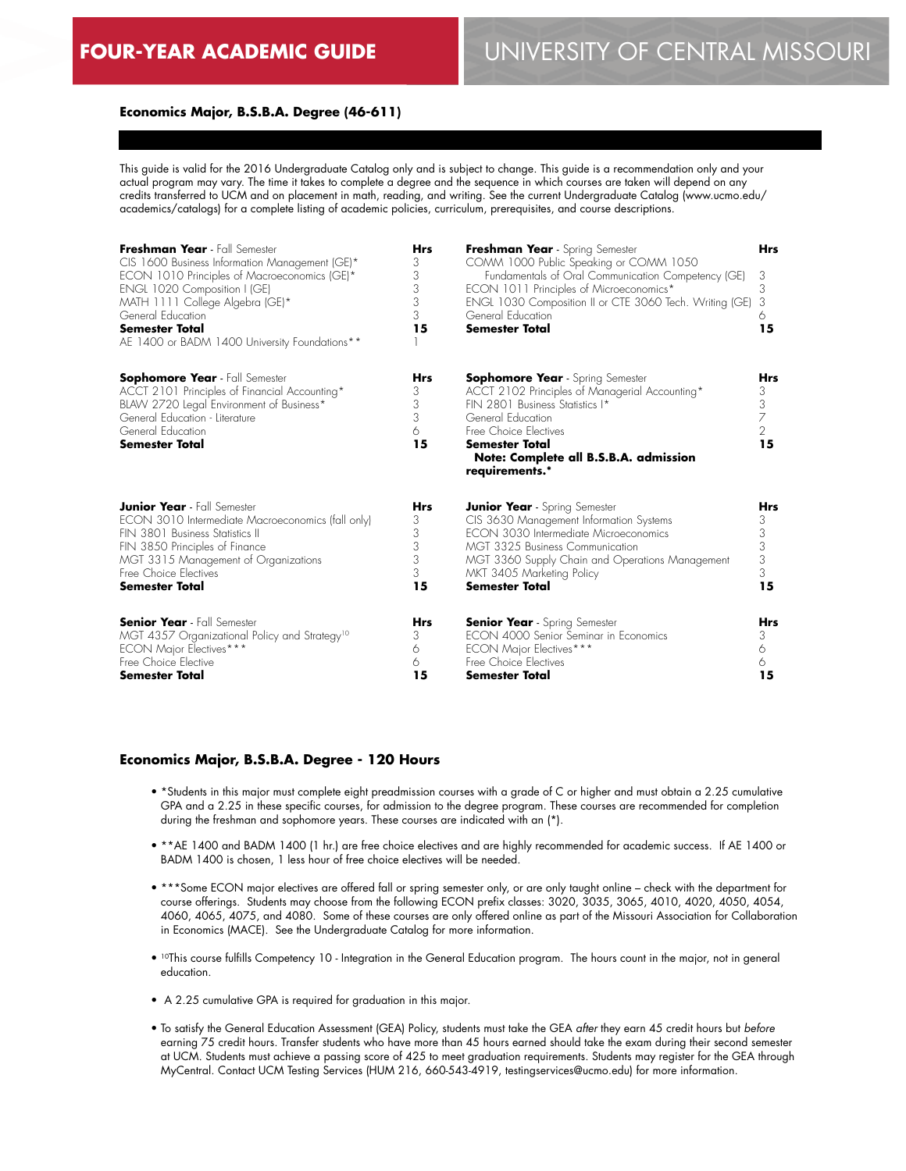## **Economics Major, B.S.B.A. Degree (46-611)**

This guide is valid for the 2016 Undergraduate Catalog only and is subject to change. This guide is a recommendation only and your actual program may vary. The time it takes to complete a degree and the sequence in which courses are taken will depend on any credits transferred to UCM and on placement in math, reading, and writing. See the current Undergraduate Catalog (www.ucmo.edu/ academics/catalogs) for a complete listing of academic policies, curriculum, prerequisites, and course descriptions.

| Freshman Year - Fall Semester<br>CIS 1600 Business Information Management (GE)*<br>ECON 1010 Principles of Macroeconomics (GE)*<br>ENGL 1020 Composition I (GE)<br>MATH 1111 College Algebra (GE)*<br>General Education<br><b>Semester Total</b><br>AE 1400 or BADM 1400 University Foundations** | <b>Hrs</b><br>3<br>3<br>3<br>3<br>3<br>15 | Freshman Year - Spring Semester<br>COMM 1000 Public Speaking or COMM 1050<br>Fundamentals of Oral Communication Competency (GE)<br>ECON 1011 Principles of Microeconomics*<br>ENGL 1030 Composition II or CTE 3060 Tech. Writing (GE)<br>General Education<br><b>Semester Total</b> | <b>Hrs</b><br>3<br>3<br>3<br>6<br>15              |
|---------------------------------------------------------------------------------------------------------------------------------------------------------------------------------------------------------------------------------------------------------------------------------------------------|-------------------------------------------|-------------------------------------------------------------------------------------------------------------------------------------------------------------------------------------------------------------------------------------------------------------------------------------|---------------------------------------------------|
| <b>Sophomore Year</b> - Fall Semester<br>ACCT 2101 Principles of Financial Accounting*<br>BLAW 2720 Legal Environment of Business*<br>General Education - Literature<br>General Education<br><b>Semester Total</b>                                                                                | <b>Hrs</b><br>3<br>3<br>3<br>6<br>15      | <b>Sophomore Year</b> - Spring Semester<br>ACCT 2102 Principles of Managerial Accounting*<br>FIN 2801 Business Statistics I*<br>General Education<br>Free Choice Electives<br>Semester Total<br>Note: Complete all B.S.B.A. admission<br>requirements.*                             | <b>Hrs</b><br>3<br>3<br>7<br>$\overline{2}$<br>15 |
| <b>Junior Year</b> - Fall Semester                                                                                                                                                                                                                                                                | <b>Hrs</b>                                | <b>Junior Year</b> - Spring Semester                                                                                                                                                                                                                                                | <b>Hrs</b>                                        |
| ECON 3010 Intermediate Macroeconomics (fall only)                                                                                                                                                                                                                                                 | 3                                         | CIS 3630 Management Information Systems                                                                                                                                                                                                                                             | 3                                                 |
| FIN 3801 Business Statistics II                                                                                                                                                                                                                                                                   | 3                                         | FCON 3030 Intermediate Microeconomics                                                                                                                                                                                                                                               | 3                                                 |
| FIN 3850 Principles of Finance                                                                                                                                                                                                                                                                    | 3                                         | MGT 3325 Business Communication                                                                                                                                                                                                                                                     | 3                                                 |
| MGT 3315 Management of Organizations                                                                                                                                                                                                                                                              | 3                                         | MGT 3360 Supply Chain and Operations Management                                                                                                                                                                                                                                     | 3                                                 |
| Free Choice Electives                                                                                                                                                                                                                                                                             | 3                                         | MKT 3405 Marketing Policy                                                                                                                                                                                                                                                           | 3                                                 |
| <b>Semester Total</b>                                                                                                                                                                                                                                                                             | 15                                        | <b>Semester Total</b>                                                                                                                                                                                                                                                               | 15                                                |
| <b>Senior Year</b> - Fall Semester                                                                                                                                                                                                                                                                | <b>Hrs</b>                                | <b>Senior Year</b> - Spring Semester                                                                                                                                                                                                                                                | <b>Hrs</b>                                        |
| MGT 4357 Organizational Policy and Strategy <sup>10</sup>                                                                                                                                                                                                                                         | 3                                         | FCON 4000 Senior Seminar in Fronomics                                                                                                                                                                                                                                               | 3                                                 |
| <b>ECON Major Electives***</b>                                                                                                                                                                                                                                                                    | 6                                         | ECON Major Electives***                                                                                                                                                                                                                                                             | 6                                                 |
| Free Choice Elective                                                                                                                                                                                                                                                                              | 6                                         | Free Choice Electives                                                                                                                                                                                                                                                               | 6                                                 |
| <b>Semester Total</b>                                                                                                                                                                                                                                                                             | 15                                        | Semester Total                                                                                                                                                                                                                                                                      | 15                                                |

#### **Economics Major, B.S.B.A. Degree - 120 Hours**

- \*Students in this major must complete eight preadmission courses with a grade of C or higher and must obtain a 2.25 cumulative GPA and a 2.25 in these specific courses, for admission to the degree program. These courses are recommended for completion during the freshman and sophomore years. These courses are indicated with an (\*).
- \*\*AE 1400 and BADM 1400 (1 hr.) are free choice electives and are highly recommended for academic success. If AE 1400 or BADM 1400 is chosen, 1 less hour of free choice electives will be needed.
- \*\*\*Some ECON major electives are offered fall or spring semester only, or are only taught online check with the department for course offerings. Students may choose from the following ECON prefix classes: 3020, 3035, 3065, 4010, 4020, 4050, 4054, 4060, 4065, 4075, and 4080. Some of these courses are only offered online as part of the Missouri Association for Collaboration in Economics (MACE). See the Undergraduate Catalog for more information.
- <sup>10</sup>This course fulfills Competency 10 Integration in the General Education program. The hours count in the major, not in general education.
- A 2.25 cumulative GPA is required for graduation in this major.
- To satisfy the General Education Assessment (GEA) Policy, students must take the GEA *after* they earn 45 credit hours but *before* earning 75 credit hours. Transfer students who have more than 45 hours earned should take the exam during their second semester at UCM. Students must achieve a passing score of 425 to meet graduation requirements. Students may register for the GEA through MyCentral. Contact UCM Testing Services (HUM 216, 660-543-4919, testingservices@ucmo.edu) for more information.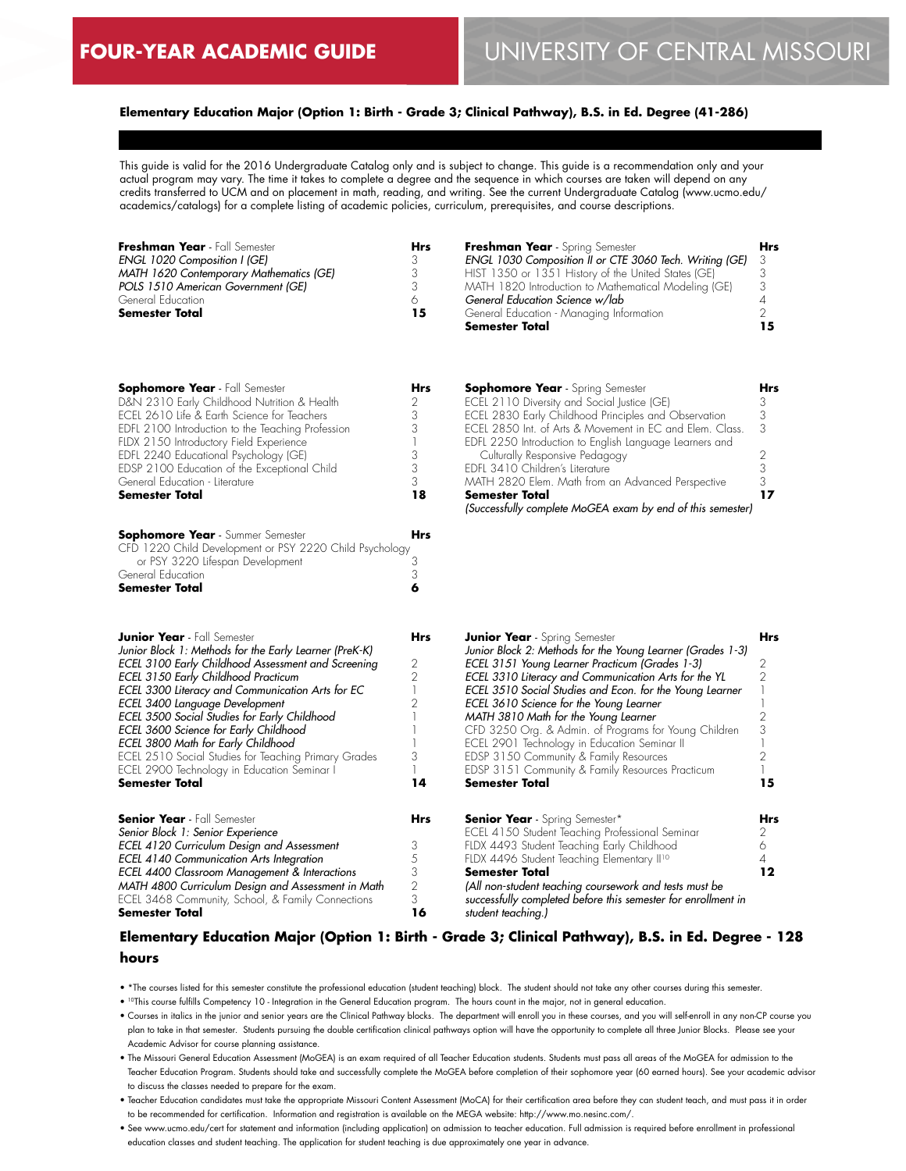## **Elementary Education Major (Option 1: Birth - Grade 3; Clinical Pathway), B.S. in Ed. Degree (41-286)**

This guide is valid for the 2016 Undergraduate Catalog only and is subject to change. This guide is a recommendation only and your actual program may vary. The time it takes to complete a degree and the sequence in which courses are taken will depend on any credits transferred to UCM and on placement in math, reading, and writing. See the current Undergraduate Catalog (www.ucmo.edu/ academics/catalogs) for a complete listing of academic policies, curriculum, prerequisites, and course descriptions.

| Freshman Year - Fall Semester           | Hrs | Freshman Year - Spring Semester                           | <b>Hrs</b> |
|-----------------------------------------|-----|-----------------------------------------------------------|------------|
| <b>ENGL 1020 Composition I (GE)</b>     |     | ENGL 1030 Composition II or CTE 3060 Tech. Writing (GE) 3 |            |
| MATH 1620 Contemporary Mathematics (GE) |     | HIST 1350 or 1351 History of the United States (GE)       |            |
| POLS 1510 American Government (GE)      |     | MATH 1820 Introduction to Mathematical Modeling (GE)      |            |
| General Education                       |     | General Education Science w/lab                           |            |
| <b>Semester Total</b>                   | 15  | General Education - Managing Information                  |            |
|                                         |     | <b>Semester Total</b>                                     |            |

| <b>Sophomore Year</b> - Fall Semester<br>D&N 2310 Early Childhood Nutrition & Health<br>ECEL 2610 Life & Earth Science for Teachers<br>EDFL 2100 Introduction to the Teaching Profession<br>FLDX 2150 Introductory Field Experience<br>EDFL 2240 Educational Psychology (GE)<br>EDSP 2100 Education of the Exceptional Child<br>General Education - Literature                                                                                                                                                                                 | <b>Hrs</b><br>2<br>3<br>3<br>3<br>3<br>3                                            | <b>Sophomore Year</b> - Spring Semester<br>ECEL 2110 Diversity and Social Justice (GE)<br>ECEL 2830 Early Childhood Principles and Observation<br>ECEL 2850 Int. of Arts & Movement in EC and Elem. Class.<br>EDFL 2250 Introduction to English Language Learners and<br>Culturally Responsive Pedagogy<br>EDFL 3410 Children's Literature<br>MATH 2820 Elem. Math from an Advanced Perspective                                                                                                                                                                                      | <b>Hrs</b><br>3<br>3<br>3<br>2<br>3<br>3                            |
|------------------------------------------------------------------------------------------------------------------------------------------------------------------------------------------------------------------------------------------------------------------------------------------------------------------------------------------------------------------------------------------------------------------------------------------------------------------------------------------------------------------------------------------------|-------------------------------------------------------------------------------------|--------------------------------------------------------------------------------------------------------------------------------------------------------------------------------------------------------------------------------------------------------------------------------------------------------------------------------------------------------------------------------------------------------------------------------------------------------------------------------------------------------------------------------------------------------------------------------------|---------------------------------------------------------------------|
| <b>Semester Total</b>                                                                                                                                                                                                                                                                                                                                                                                                                                                                                                                          | 18                                                                                  | Semester Total<br>(Successfully complete MoGEA exam by end of this semester)                                                                                                                                                                                                                                                                                                                                                                                                                                                                                                         | 17                                                                  |
| <b>Sophomore Year</b> - Summer Semester<br>CFD 1220 Child Development or PSY 2220 Child Psychology<br>or PSY 3220 Lifespan Development<br>General Education<br><b>Semester Total</b>                                                                                                                                                                                                                                                                                                                                                           | Hrs<br>З<br>3<br>6                                                                  |                                                                                                                                                                                                                                                                                                                                                                                                                                                                                                                                                                                      |                                                                     |
| <b>Junior Year</b> - Fall Semester<br>Junior Block 1: Methods for the Early Learner (PreK-K)<br>ECEL 3100 Early Childhood Assessment and Screening<br>ECEL 3150 Early Childhood Practicum<br>ECEL 3300 Literacy and Communication Arts for EC<br>ECEL 3400 Language Development<br>ECEL 3500 Social Studies for Early Childhood<br>ECEL 3600 Science for Early Childhood<br>ECEL 3800 Math for Early Childhood<br>ECEL 2510 Social Studies for Teaching Primary Grades<br>ECEL 2900 Technology in Education Seminar I<br><b>Semester Total</b> | Hrs<br>$\begin{array}{c} 2 \\ 2 \\ 1 \end{array}$<br>$\overline{c}$<br>3<br>1<br>14 | Junior Year - Spring Semester<br>Junior Block 2: Methods for the Young Learner (Grades 1-3)<br>ECEL 3151 Young Learner Practicum (Grades 1-3)<br>ECEL 3310 Literacy and Communication Arts for the YL<br>ECEL 3510 Social Studies and Econ. for the Young Learner<br>ECEL 3610 Science for the Young Learner<br>MATH 3810 Math for the Young Learner<br>CFD 3250 Org. & Admin. of Programs for Young Children<br>ECEL 2901 Technology in Education Seminar II<br>EDSP 3150 Community & Family Resources<br>EDSP 3151 Community & Family Resources Practicum<br><b>Semester Total</b> | <b>Hrs</b><br>2<br>2<br>$\overline{c}$<br>3<br>$\overline{2}$<br>15 |
| <b>Senior Year</b> - Fall Semester<br>Senior Block 1: Senior Experience<br>ECEL 4120 Curriculum Design and Assessment<br>ECEL 4140 Communication Arts Integration<br>ECEL 4400 Classroom Management & Interactions<br>MATH 4800 Curriculum Design and Assessment in Math<br>ECEL 3468 Community, School, & Family Connections<br>Semester Total                                                                                                                                                                                                | <b>Hrs</b><br>3<br>5<br>3<br>$\overline{2}$<br>3<br>16                              | <b>Senior Year</b> - Spring Semester*<br>ECEL 4150 Student Teaching Professional Seminar<br>FLDX 4493 Student Teaching Early Childhood<br>FLDX 4496 Student Teaching Elementary II <sup>10</sup><br><b>Semester Total</b><br>(All non-student teaching coursework and tests must be<br>successfully completed before this semester for enrollment in<br>student teaching.)                                                                                                                                                                                                           | Hrs<br>2<br>6<br>4<br>12                                            |

## **Elementary Education Major (Option 1: Birth - Grade 3; Clinical Pathway), B.S. in Ed. Degree - 128 hours**

- \*The courses listed for this semester constitute the professional education (student teaching) block. The student should not take any other courses during this semester.
- 10This course fulfills Competency 10 Integration in the General Education program. The hours count in the major, not in general education.
- Courses in italics in the junior and senior years are the Clinical Pathway blocks. The department will enroll you in these courses, and you will self-enroll in any non-CP course you plan to take in that semester. Students pursuing the double certification clinical pathways option will have the opportunity to complete all three Junior Blocks. Please see your Academic Advisor for course planning assistance.
- The Missouri General Education Assessment (MoGEA) is an exam required of all Teacher Education students. Students must pass all areas of the MoGEA for admission to the Teacher Education Program. Students should take and successfully complete the MoGEA before completion of their sophomore year (60 earned hours). See your academic advisor to discuss the classes needed to prepare for the exam.
- Teacher Education candidates must take the appropriate Missouri Content Assessment (MoCA) for their certification area before they can student teach, and must pass it in order to be recommended for certification. Information and registration is available on the MEGA website: http://www.mo.nesinc.com/.
- See www.ucmo.edu/cert for statement and information (including application) on admission to teacher education. Full admission is required before enrollment in professional education classes and student teaching. The application for student teaching is due approximately one year in advance.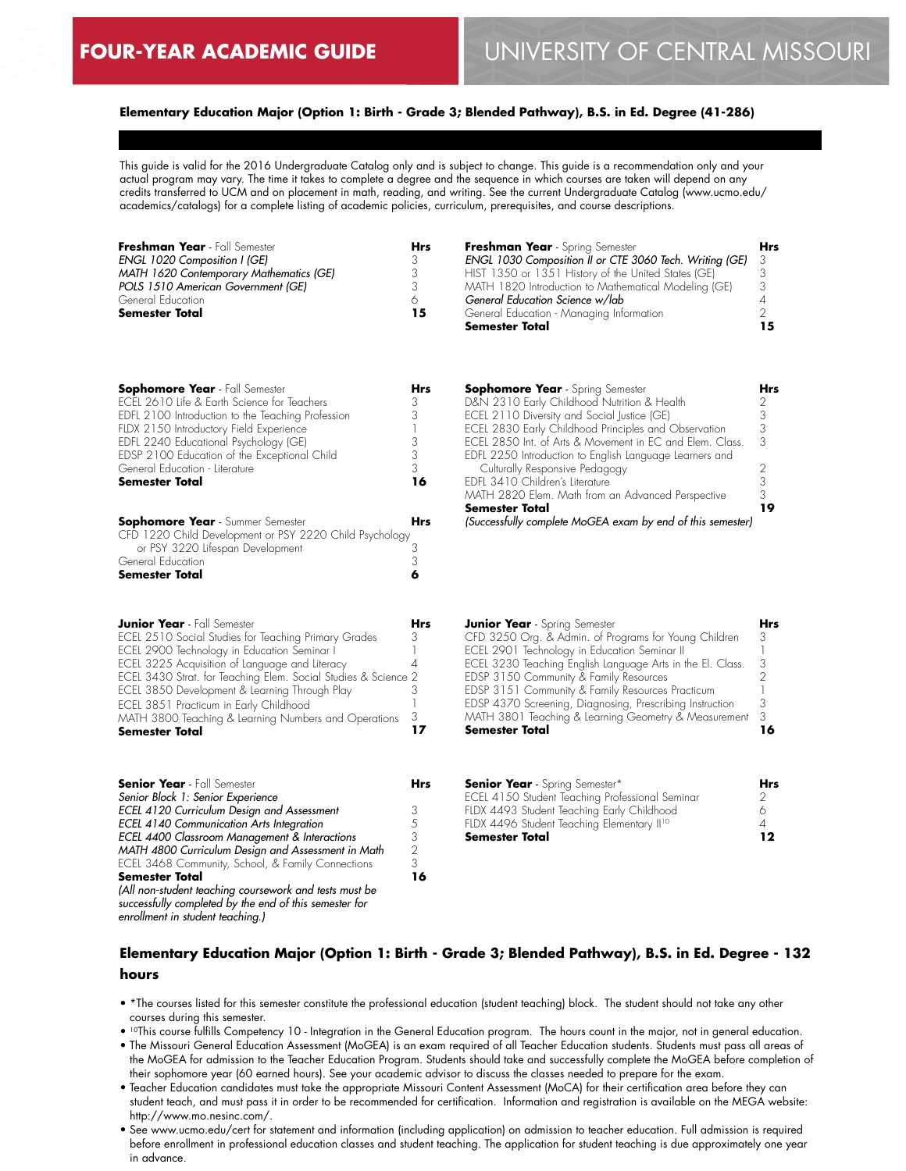## **Elementary Education Major (Option 1: Birth - Grade 3; Blended Pathway), B.S. in Ed. Degree (41-286)**

This guide is valid for the 2016 Undergraduate Catalog only and is subject to change. This guide is a recommendation only and your actual program may vary. The time it takes to complete a degree and the sequence in which courses are taken will depend on any credits transferred to UCM and on placement in math, reading, and writing. See the current Undergraduate Catalog (www.ucmo.edu/ academics/catalogs) for a complete listing of academic policies, curriculum, prerequisites, and course descriptions.

| Freshman Year - Fall Semester           | Hrs | Freshman Year - Spring Semester                         | Hrs |
|-----------------------------------------|-----|---------------------------------------------------------|-----|
| <b>ENGL 1020 Composition I (GE)</b>     |     | ENGL 1030 Composition II or CTE 3060 Tech. Writing (GE) |     |
| MATH 1620 Contemporary Mathematics (GE) |     | HIST 1350 or 1351 History of the United States (GE)     |     |
| POLS 1510 American Government (GE)      |     | MATH 1820 Introduction to Mathematical Modeling (GE)    |     |
| General Education                       |     | General Education Science w/lab                         |     |
| <b>Semester Total</b>                   | 15  | General Education - Managing Information                |     |
|                                         |     | <b>Semester Total</b>                                   | 15  |

| <b>Sophomore Year</b> - Fall Semester             | Hrs |
|---------------------------------------------------|-----|
| ECEL 2610 Life & Earth Science for Teachers       | 3   |
| EDFL 2100 Introduction to the Teaching Profession |     |
| FLDX 2150 Introductory Field Experience           |     |
| EDFL 2240 Educational Psychology (GE)             |     |
| EDSP 2100 Education of the Exceptional Child      | 3   |
| General Education - Literature                    | 3   |
| <b>Semester Total</b>                             | 16  |
|                                                   |     |
|                                                   |     |

| <b>Sophomore Year</b> - Summer Semester                 | Hrs |
|---------------------------------------------------------|-----|
| CFD 1220 Child Development or PSY 2220 Child Psychology |     |
| or PSY 3220 Lifespan Development                        |     |
| General Education                                       |     |
| <b>Semester Total</b>                                   |     |

| <b>Junior Year</b> - Fall Semester                             |   |
|----------------------------------------------------------------|---|
| ECEL 2510 Social Studies for Teaching Primary Grades           |   |
| ECEL 2900 Technology in Education Seminar I                    |   |
| ECEL 3225 Acquisition of Language and Literacy                 |   |
| ECEL 3430 Strat. for Teaching Elem. Social Studies & Science 2 |   |
| ECEL 3850 Development & Learning Through Play                  |   |
| ECEL 3851 Practicum in Early Childhood                         |   |
| MATH 3800 Teaching & Learning Numbers and Operations           | 3 |
| <b>Semester Total</b>                                          |   |

**Senior Year** - Fall Semester *Senior Block 1: Senior Experience* 

*enrollment in student teaching.)*

**Semester Total**

*ECEL 4120 Curriculum Design and Assessment ECEL 4140 Communication Arts Integration ECEL 4400 Classroom Management & Interactions MATH 4800 Curriculum Design and Assessment in Math* ECEL 3468 Community, School, & Family Connections

*(All non-student teaching coursework and tests must be successfully completed by the end of this semester for* 

| <b>Sophomore Year</b> - Spring Semester                   | Hrs |
|-----------------------------------------------------------|-----|
| D&N 2310 Early Childhood Nutrition & Health               | 2   |
| ECEL 2110 Diversity and Social Justice (GE)               | 3   |
| ECEL 2830 Early Childhood Principles and Observation      | 3   |
| FCFL 28.50 Int. of Arts & Movement in FC and Flem. Class. | 3   |
| EDFL 2250 Introduction to English Language Learners and   |     |
| Culturally Responsive Pedagogy                            |     |
| FDFL 3410 Children's Literature                           | 3   |
| MATH 2820 Elem. Math from an Advanced Perspective         | 3   |
| <b>Semester Total</b>                                     |     |

*(Successfully complete MoGEA exam by end of this semester)*

| <b>Junior Year</b> - Spring Semester                       | Hrs |
|------------------------------------------------------------|-----|
| CFD 3250 Org. & Admin. of Programs for Young Children      | 3   |
| ECEL 2901 Technology in Education Seminar II               |     |
| ECEL 3230 Teaching English Language Arts in the El. Class. | 3   |
| EDSP 3150 Community & Family Resources                     |     |
| EDSP 3151 Community & Family Resources Practicum           |     |
| EDSP 4370 Screening, Diagnosing, Prescribing Instruction   | 3   |
| MATH 3801 Teaching & Learning Geometry & Measurement       | 3   |
| <b>Semester Total</b>                                      | 16  |
|                                                            |     |

| <b>Senior Year</b> - Spring Semester*                  | <b>Hrs</b> |
|--------------------------------------------------------|------------|
| ECEL 4150 Student Teaching Professional Seminar        |            |
| FLDX 4493 Student Teaching Early Childhood             |            |
| FLDX 4496 Student Teaching Elementary II <sup>10</sup> |            |
| <b>Semester Total</b>                                  | 12         |

# **Elementary Education Major (Option 1: Birth - Grade 3; Blended Pathway), B.S. in Ed. Degree - 132 hours**

• \*The courses listed for this semester constitute the professional education (student teaching) block. The student should not take any other courses during this semester.

- 10This course fulfills Competency 10 Integration in the General Education program. The hours count in the major, not in general education.
- The Missouri General Education Assessment (MoGEA) is an exam required of all Teacher Education students. Students must pass all areas of the MoGEA for admission to the Teacher Education Program. Students should take and successfully complete the MoGEA before completion of their sophomore year (60 earned hours). See your academic advisor to discuss the classes needed to prepare for the exam.
- Teacher Education candidates must take the appropriate Missouri Content Assessment (MoCA) for their certification area before they can student teach, and must pass it in order to be recommended for certification. Information and registration is available on the MEGA website: http://www.mo.nesinc.com/.
- See www.ucmo.edu/cert for statement and information (including application) on admission to teacher education. Full admission is required before enrollment in professional education classes and student teaching. The application for student teaching is due approximately one year in advance.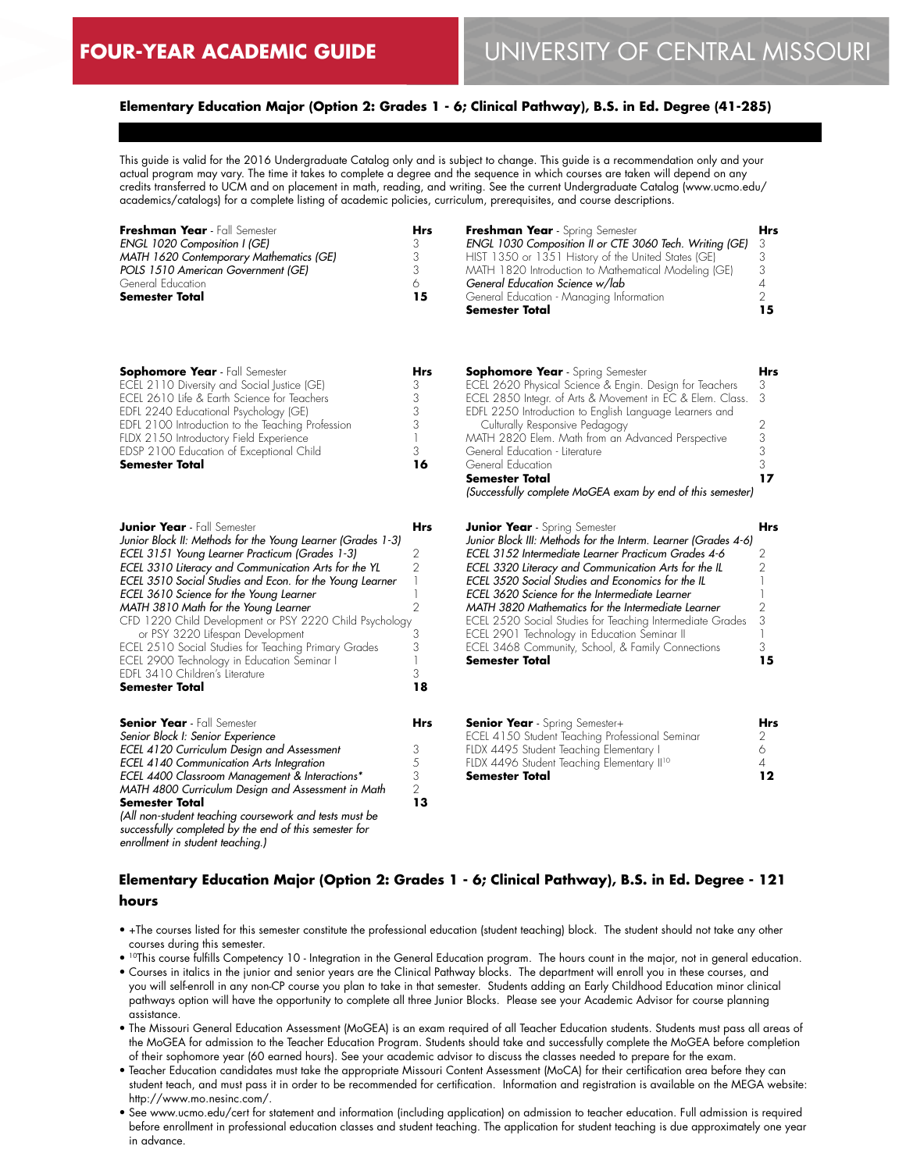*MATH 4800 Curriculum Design and Assessment in Math* 

*(All non-student teaching coursework and tests must be successfully completed by the end of this semester for* 

**Semester Total**

*enrollment in student teaching.)*

#### **Elementary Education Major (Option 2: Grades 1 - 6; Clinical Pathway), B.S. in Ed. Degree (41-285)**

This guide is valid for the 2016 Undergraduate Catalog only and is subject to change. This guide is a recommendation only and your actual program may vary. The time it takes to complete a degree and the sequence in which courses are taken will depend on any credits transferred to UCM and on placement in math, reading, and writing. See the current Undergraduate Catalog (www.ucmo.edu/ academics/catalogs) for a complete listing of academic policies, curriculum, prerequisites, and course descriptions.

| Freshman Year - Fall Semester<br>ENGL 1020 Composition I (GE)<br>MATH 1620 Contemporary Mathematics (GE)<br>POLS 1510 American Government (GE)<br>General Education<br><b>Semester Total</b>                                                                                                                                                                                                                                                                                                                                                                                                                          | <b>Hrs</b><br>3<br>3<br>3<br>6<br>15                             | Freshman Year - Spring Semester<br>ENGL 1030 Composition II or CTE 3060 Tech. Writing (GE)<br>HIST 1350 or 1351 History of the United States (GE)<br>MATH 1820 Introduction to Mathematical Modeling (GE)<br>General Education Science w/lab<br>General Education - Managing Information<br>Semester Total                                                                                                                                                                                                                                                                    | Hrs<br>3<br>3<br>3<br>4<br>$\overline{2}$<br>15        |
|-----------------------------------------------------------------------------------------------------------------------------------------------------------------------------------------------------------------------------------------------------------------------------------------------------------------------------------------------------------------------------------------------------------------------------------------------------------------------------------------------------------------------------------------------------------------------------------------------------------------------|------------------------------------------------------------------|-------------------------------------------------------------------------------------------------------------------------------------------------------------------------------------------------------------------------------------------------------------------------------------------------------------------------------------------------------------------------------------------------------------------------------------------------------------------------------------------------------------------------------------------------------------------------------|--------------------------------------------------------|
| <b>Sophomore Year</b> - Fall Semester<br>ECEL 2110 Diversity and Social Justice (GE)<br>ECEL 2610 Life & Earth Science for Teachers<br>EDFL 2240 Educational Psychology (GE)<br>EDFL 2100 Introduction to the Teaching Profession<br>FLDX 2150 Introductory Field Experience<br>EDSP 2100 Education of Exceptional Child<br><b>Semester Total</b>                                                                                                                                                                                                                                                                     | Hrs<br>3<br>3<br>3<br>3<br>3<br>16                               | <b>Sophomore Year</b> - Spring Semester<br>ECEL 2620 Physical Science & Engin. Design for Teachers<br>ECEL 2850 Integr. of Arts & Movement in EC & Elem. Class.<br>EDFL 2250 Introduction to English Language Learners and<br>Culturally Responsive Pedagogy<br>MATH 2820 Elem. Math from an Advanced Perspective<br>General Education - Literature<br>General Education<br><b>Semester Total</b><br>(Successfully complete MoGEA exam by end of this semester)                                                                                                               | Hrs<br>3<br>3<br>2<br>3<br>3<br>3<br>17                |
| <b>Junior Year</b> - Fall Semester<br>Junior Block II: Methods for the Young Learner (Grades 1-3)<br>ECEL 3151 Young Learner Practicum (Grades 1-3)<br>ECEL 3310 Literacy and Communication Arts for the YL<br>ECEL 3510 Social Studies and Econ. for the Young Learner<br>ECEL 3610 Science for the Young Learner<br>MATH 3810 Math for the Young Learner<br>CFD 1220 Child Development or PSY 2220 Child Psychology<br>or PSY 3220 Lifespan Development<br>ECEL 2510 Social Studies for Teaching Primary Grades<br>ECEL 2900 Technology in Education Seminar I<br>EDFL 3410 Children's Literature<br>Semester Total | <b>Hrs</b><br>2<br>2<br>1<br>$\overline{2}$<br>3<br>3<br>3<br>18 | <b>Junior Year</b> - Spring Semester<br>Junior Block III: Methods for the Interm. Learner (Grades 4-6)<br>ECEL 3152 Intermediate Learner Practicum Grades 4-6<br>ECEL 3320 Literacy and Communication Arts for the IL<br>ECEL 3520 Social Studies and Economics for the IL<br>ECEL 3620 Science for the Intermediate Learner<br>MATH 3820 Mathematics for the Intermediate Learner<br>ECEL 2520 Social Studies for Teaching Intermediate Grades<br>ECEL 2901 Technology in Education Seminar II<br>ECEL 3468 Community, School, & Family Connections<br><b>Semester Total</b> | <b>Hrs</b><br>2<br>2<br>$\overline{2}$<br>3<br>3<br>15 |
| <b>Senior Year</b> - Fall Semester<br>Senior Block I: Senior Experience<br>ECEL 4120 Curriculum Design and Assessment<br>ECEL 4140 Communication Arts Integration<br>ECEL 4400 Classroom Management & Interactions*                                                                                                                                                                                                                                                                                                                                                                                                   | <b>Hrs</b><br>3<br>5<br>3                                        | <b>Senior Year</b> - Spring Semester+<br>ECEL 4150 Student Teaching Professional Seminar<br>FLDX 4495 Student Teaching Elementary I<br>FLDX 4496 Student Teaching Elementary II <sup>10</sup><br>Semester Total                                                                                                                                                                                                                                                                                                                                                               | Hrs<br>2<br>6<br>4<br>12                               |

## **Elementary Education Major (Option 2: Grades 1 - 6; Clinical Pathway), B.S. in Ed. Degree - 121 hours**

 $\mathfrak{D}$ **13**

• +The courses listed for this semester constitute the professional education (student teaching) block. The student should not take any other courses during this semester.

- 10This course fulfills Competency 10 Integration in the General Education program. The hours count in the major, not in general education.
- Courses in italics in the junior and senior years are the Clinical Pathway blocks. The department will enroll you in these courses, and you will self-enroll in any non-CP course you plan to take in that semester. Students adding an Early Childhood Education minor clinical pathways option will have the opportunity to complete all three Junior Blocks. Please see your Academic Advisor for course planning assistance.
- The Missouri General Education Assessment (MoGEA) is an exam required of all Teacher Education students. Students must pass all areas of the MoGEA for admission to the Teacher Education Program. Students should take and successfully complete the MoGEA before completion of their sophomore year (60 earned hours). See your academic advisor to discuss the classes needed to prepare for the exam.
- Teacher Education candidates must take the appropriate Missouri Content Assessment (MoCA) for their certification area before they can student teach, and must pass it in order to be recommended for certification. Information and registration is available on the MEGA website: http://www.mo.nesinc.com/.
- See www.ucmo.edu/cert for statement and information (including application) on admission to teacher education. Full admission is required before enrollment in professional education classes and student teaching. The application for student teaching is due approximately one year in advance.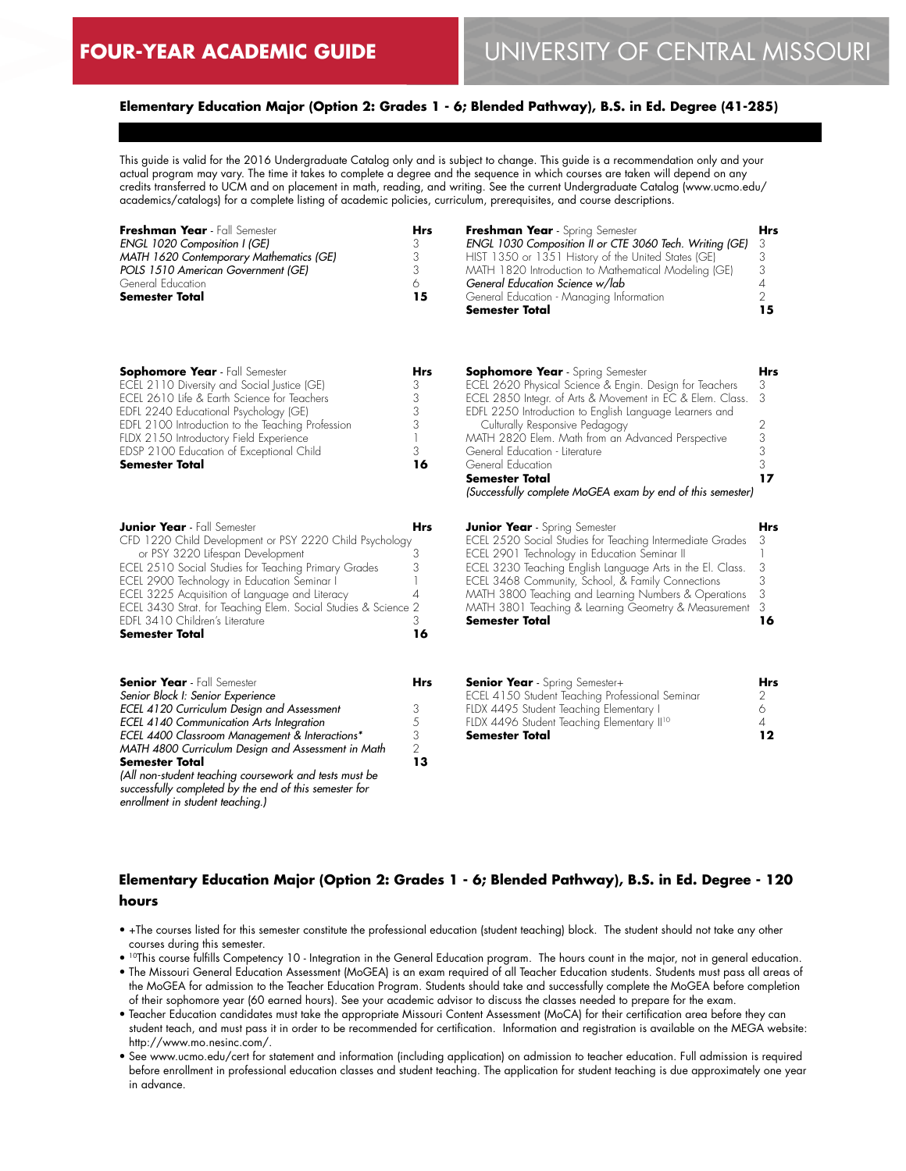#### **Elementary Education Major (Option 2: Grades 1 - 6; Blended Pathway), B.S. in Ed. Degree (41-285)**

This guide is valid for the 2016 Undergraduate Catalog only and is subject to change. This guide is a recommendation only and your actual program may vary. The time it takes to complete a degree and the sequence in which courses are taken will depend on any credits transferred to UCM and on placement in math, reading, and writing. See the current Undergraduate Catalog (www.ucmo.edu/ academics/catalogs) for a complete listing of academic policies, curriculum, prerequisites, and course descriptions.

| Freshman Year - Fall Semester<br>ENGL 1020 Composition I (GE)<br>MATH 1620 Contemporary Mathematics (GE)<br>POLS 1510 American Government (GE)<br>General Education<br><b>Semester Total</b>                                                                                                                                                                                                                                                               | <b>Hrs</b><br>3<br>3<br>3<br>6<br>15                           | Freshman Year - Spring Semester<br>ENGL 1030 Composition II or CTE 3060 Tech. Writing (GE)<br>HIST 1350 or 1351 History of the United States (GE)<br>MATH 1820 Introduction to Mathematical Modeling (GE)<br>General Education Science w/lab<br>General Education - Managing Information<br>Semester Total                                                                                                                                               | Hrs<br>3<br>3<br>3<br>4<br>$\overline{2}$<br>15           |
|------------------------------------------------------------------------------------------------------------------------------------------------------------------------------------------------------------------------------------------------------------------------------------------------------------------------------------------------------------------------------------------------------------------------------------------------------------|----------------------------------------------------------------|----------------------------------------------------------------------------------------------------------------------------------------------------------------------------------------------------------------------------------------------------------------------------------------------------------------------------------------------------------------------------------------------------------------------------------------------------------|-----------------------------------------------------------|
| <b>Sophomore Year</b> - Fall Semester<br>ECEL 2110 Diversity and Social Justice (GE)<br>ECEL 2610 Life & Earth Science for Teachers<br>EDFL 2240 Educational Psychology (GE)<br>EDFL 2100 Introduction to the Teaching Profession<br>FLDX 2150 Introductory Field Experience<br>EDSP 2100 Education of Exceptional Child<br><b>Semester Total</b>                                                                                                          | Hrs<br>3<br>3<br>3<br>3<br>$\overline{\phantom{a}}$<br>3<br>16 | <b>Sophomore Year</b> - Spring Semester<br>ECEL 2620 Physical Science & Engin. Design for Teachers<br>ECEL 2850 Integr. of Arts & Movement in EC & Elem. Class.<br>EDFL 2250 Introduction to English Language Learners and<br>Culturally Responsive Pedagogy<br>MATH 2820 Elem. Math from an Advanced Perspective<br>General Education - Literature<br>General Education<br>Semester Total<br>(Successfully complete MoGEA exam by end of this semester) | <b>Hrs</b><br>3<br>3<br>$\mathbf{2}$<br>3<br>3<br>3<br>17 |
| <b>Junior Year</b> - Fall Semester<br>CFD 1220 Child Development or PSY 2220 Child Psychology<br>or PSY 3220 Lifespan Development<br>ECEL 2510 Social Studies for Teaching Primary Grades<br>ECEL 2900 Technology in Education Seminar I<br>ECEL 3225 Acquisition of Language and Literacy<br>ECEL 3430 Strat. for Teaching Elem. Social Studies & Science 2<br>EDFL 3410 Children's Literature<br><b>Semester Total</b>                                   | Hrs<br>3<br>3<br>1<br>4<br>3<br>16                             | <b>Junior Year</b> - Spring Semester<br>ECEL 2520 Social Studies for Teaching Intermediate Grades<br>ECEL 2901 Technology in Education Seminar II<br>ECEL 3230 Teaching English Language Arts in the El. Class.<br>ECEL 3468 Community, School, & Family Connections<br>MATH 3800 Teaching and Learning Numbers & Operations<br>MATH 3801 Teaching & Learning Geometry & Measurement<br><b>Semester Total</b>                                            | <b>Hrs</b><br>3<br>3<br>3<br>3<br>3<br>16                 |
| <b>Senior Year</b> - Fall Semester<br>Senior Block I: Senior Experience<br>ECEL 4120 Curriculum Design and Assessment<br>ECEL 4140 Communication Arts Integration<br>ECEL 4400 Classroom Management & Interactions*<br>MATH 4800 Curriculum Design and Assessment in Math<br><b>Semester Total</b><br>(All non-student teaching coursework and tests must be<br>successfully completed by the end of this semester for<br>enrollment in student teaching.) | Hrs<br>3<br>5<br>3<br>2<br>13                                  | <b>Senior Year</b> - Spring Semester+<br>ECEL 4150 Student Teaching Professional Seminar<br>FLDX 4495 Student Teaching Elementary I<br>FLDX 4496 Student Teaching Elementary II <sup>10</sup><br>Semester Total                                                                                                                                                                                                                                          | <b>Hrs</b><br>2<br>6<br>$\overline{4}$<br>12              |

# **Elementary Education Major (Option 2: Grades 1 - 6; Blended Pathway), B.S. in Ed. Degree - 120 hours**

- +The courses listed for this semester constitute the professional education (student teaching) block. The student should not take any other courses during this semester.
- $\bullet$  <sup>10</sup>This course fulfills Competency 10 Integration in the General Education program. The hours count in the major, not in general education.
- The Missouri General Education Assessment (MoGEA) is an exam required of all Teacher Education students. Students must pass all areas of the MoGEA for admission to the Teacher Education Program. Students should take and successfully complete the MoGEA before completion of their sophomore year (60 earned hours). See your academic advisor to discuss the classes needed to prepare for the exam.
- Teacher Education candidates must take the appropriate Missouri Content Assessment (MoCA) for their certification area before they can student teach, and must pass it in order to be recommended for certification. Information and registration is available on the MEGA website: http://www.mo.nesinc.com/.
- See www.ucmo.edu/cert for statement and information (including application) on admission to teacher education. Full admission is required before enrollment in professional education classes and student teaching. The application for student teaching is due approximately one year in advance.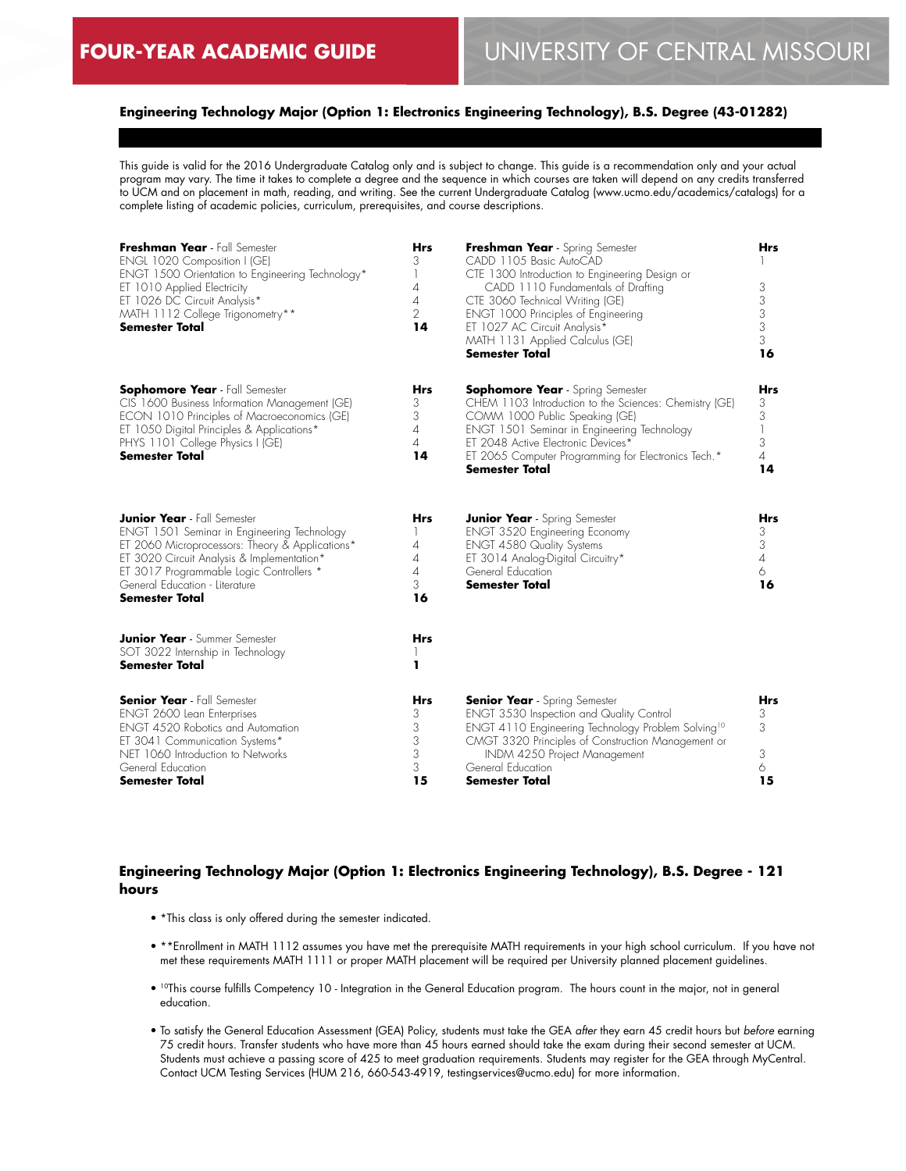## **Engineering Technology Major (Option 1: Electronics Engineering Technology), B.S. Degree (43-01282)**

This guide is valid for the 2016 Undergraduate Catalog only and is subject to change. This guide is a recommendation only and your actual program may vary. The time it takes to complete a degree and the sequence in which courses are taken will depend on any credits transferred to UCM and on placement in math, reading, and writing. See the current Undergraduate Catalog (www.ucmo.edu/academics/catalogs) for a complete listing of academic policies, curriculum, prerequisites, and course descriptions.

| Freshman Year - Fall Semester<br>ENGL 1020 Composition I (GE)<br>ENGT 1500 Orientation to Engineering Technology*<br>ET 1010 Applied Electricity<br>ET 1026 DC Circuit Analysis*<br>MATH 1112 College Trigonometry**<br>Semester Total                                                    | <b>Hrs</b><br>3<br>1<br>4<br>4<br>$\overline{2}$<br>14 | Freshman Year - Spring Semester<br>CADD 1105 Basic AutoCAD<br>CTE 1300 Introduction to Engineering Design or<br>CADD 1110 Fundamentals of Drafting<br>CTE 3060 Technical Writing (GE)<br>ENGT 1000 Principles of Engineering<br>ET 1027 AC Circuit Analysis*<br>MATH 1131 Applied Calculus (GE)<br><b>Semester Total</b> | Hrs<br>3<br>3<br>3<br>3<br>3<br>16         |
|-------------------------------------------------------------------------------------------------------------------------------------------------------------------------------------------------------------------------------------------------------------------------------------------|--------------------------------------------------------|--------------------------------------------------------------------------------------------------------------------------------------------------------------------------------------------------------------------------------------------------------------------------------------------------------------------------|--------------------------------------------|
| <b>Sophomore Year</b> - Fall Semester<br>CIS 1600 Business Information Management (GE)<br>ECON 1010 Principles of Macroeconomics (GE)<br>ET 1050 Digital Principles & Applications*<br>PHYS 1101 College Physics I (GE)<br><b>Semester Total</b>                                          | Hrs<br>3<br>3<br>4<br>$\overline{A}$<br>14             | <b>Sophomore Year</b> - Spring Semester<br>CHEM 1103 Introduction to the Sciences: Chemistry (GE)<br>COMM 1000 Public Speaking (GE)<br>ENGT 1501 Seminar in Engineering Technology<br>ET 2048 Active Electronic Devices*<br>ET 2065 Computer Programming for Electronics Tech.*<br>Semester Total                        | Hrs<br>3<br>3<br>3<br>$\overline{4}$<br>14 |
| <b>Junior Year</b> - Fall Semester<br>ENGT 1501 Seminar in Engineering Technology<br>ET 2060 Microprocessors: Theory & Applications*<br>ET 3020 Circuit Analysis & Implementation*<br>ET 3017 Programmable Logic Controllers *<br>General Education - Literature<br><b>Semester Total</b> | Hrs<br>4<br>4<br>4<br>3<br>16                          | <b>Junior Year</b> - Spring Semester<br><b>ENGT 3520 Engineering Economy</b><br><b>ENGT 4580 Quality Systems</b><br>ET 3014 Analog-Digital Circuitry*<br>General Education<br><b>Semester Total</b>                                                                                                                      | Hrs<br>3<br>3<br>$\overline{4}$<br>6<br>16 |
| <b>Junior Year</b> - Summer Semester<br>SOT 3022 Internship in Technology<br><b>Semester Total</b>                                                                                                                                                                                        | Hrs<br>ı                                               |                                                                                                                                                                                                                                                                                                                          |                                            |
| <b>Senior Year</b> - Fall Semester<br>ENGT 2600 Lean Enterprises<br><b>ENGT 4520 Robotics and Automation</b><br>ET 3041 Communication Systems*<br>NET 1060 Introduction to Networks<br>General Education<br>Semester Total                                                                | Hrs<br>3<br>3<br>3<br>3<br>3<br>15                     | <b>Senior Year</b> - Spring Semester<br><b>ENGT 3530 Inspection and Quality Control</b><br>ENGT 4110 Engineering Technology Problem Solving <sup>10</sup><br>CMGT 3320 Principles of Construction Management or<br>INDM 4250 Project Management<br>General Education<br>Semester Total                                   | Hrs<br>3<br>3<br>3<br>6<br>15              |

## **Engineering Technology Major (Option 1: Electronics Engineering Technology), B.S. Degree - 121 hours**

- \*This class is only offered during the semester indicated.
- \*\*Enrollment in MATH 1112 assumes you have met the prerequisite MATH requirements in your high school curriculum. If you have not met these requirements MATH 1111 or proper MATH placement will be required per University planned placement guidelines.
- 10This course fulfills Competency 10 Integration in the General Education program. The hours count in the major, not in general education.
- To satisfy the General Education Assessment (GEA) Policy, students must take the GEA *after* they earn 45 credit hours but *before* earning 75 credit hours. Transfer students who have more than 45 hours earned should take the exam during their second semester at UCM. Students must achieve a passing score of 425 to meet graduation requirements. Students may register for the GEA through MyCentral. Contact UCM Testing Services (HUM 216, 660-543-4919, testingservices@ucmo.edu) for more information.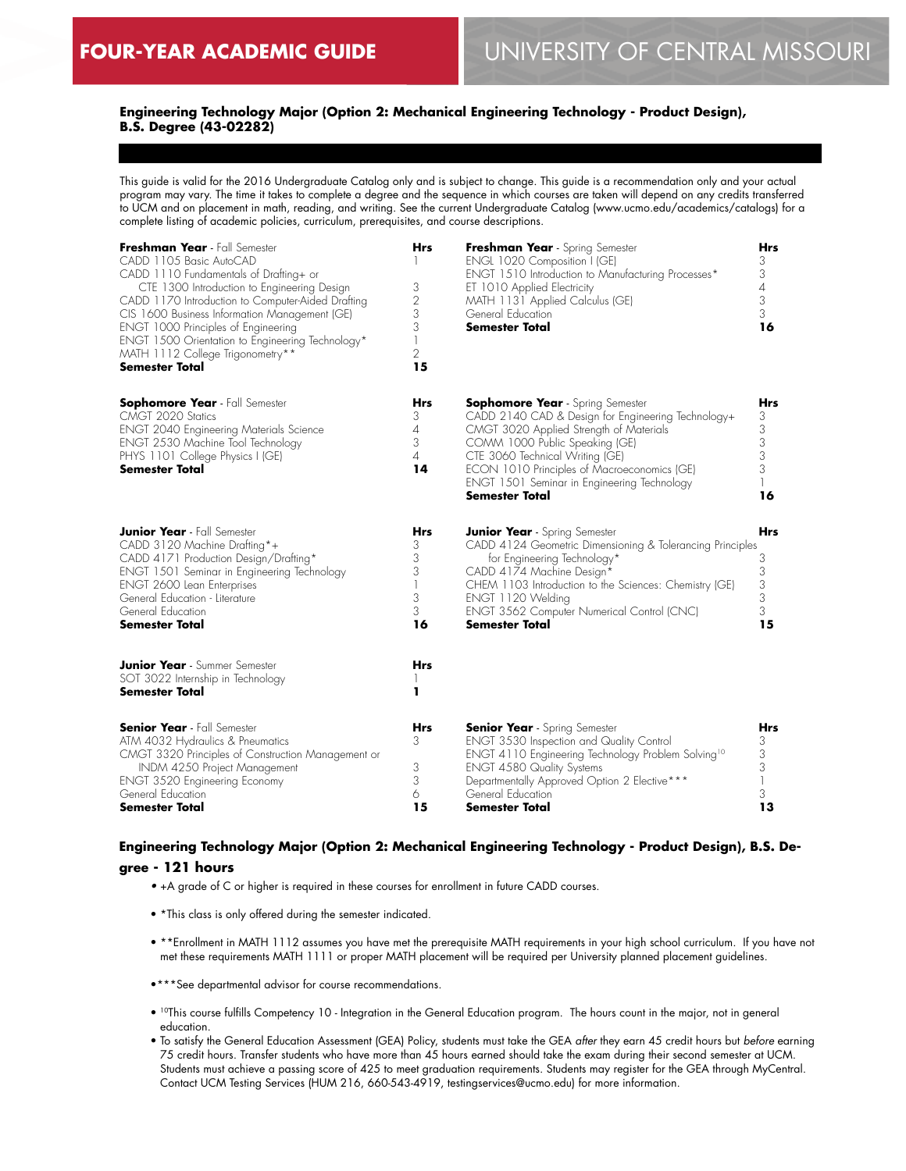## **Engineering Technology Major (Option 2: Mechanical Engineering Technology - Product Design), B.S. Degree (43-02282)**

This guide is valid for the 2016 Undergraduate Catalog only and is subject to change. This guide is a recommendation only and your actual program may vary. The time it takes to complete a degree and the sequence in which courses are taken will depend on any credits transferred to UCM and on placement in math, reading, and writing. See the current Undergraduate Catalog (www.ucmo.edu/academics/catalogs) for a complete listing of academic policies, curriculum, prerequisites, and course descriptions.

| Freshman Year - Fall Semester<br>CADD 1105 Basic AutoCAD<br>CADD 1110 Fundamentals of Drafting+ or<br>CTE 1300 Introduction to Engineering Design<br>CADD 1170 Introduction to Computer-Aided Drafting<br>CIS 1600 Business Information Management (GE)<br>ENGT 1000 Principles of Engineering<br>ENGT 1500 Orientation to Engineering Technology*<br>MATH 1112 College Trigonometry**<br>Semester Total | Hrs<br>3<br>2<br>3<br>3<br>$\overline{1}$<br>$\overline{2}$<br>15 | Freshman Year - Spring Semester<br>ENGL 1020 Composition I (GE)<br>ENGT 1510 Introduction to Manufacturing Processes*<br>ET 1010 Applied Electricity<br>MATH 1131 Applied Calculus (GE)<br>General Education<br><b>Semester Total</b>                                                                                         | Hrs<br>3<br>3<br>$\overline{A}$<br>3<br>3<br>16 |
|----------------------------------------------------------------------------------------------------------------------------------------------------------------------------------------------------------------------------------------------------------------------------------------------------------------------------------------------------------------------------------------------------------|-------------------------------------------------------------------|-------------------------------------------------------------------------------------------------------------------------------------------------------------------------------------------------------------------------------------------------------------------------------------------------------------------------------|-------------------------------------------------|
| <b>Sophomore Year</b> - Fall Semester<br>CMGT 2020 Statics<br><b>ENGT 2040 Engineering Materials Science</b><br>ENGT 2530 Machine Tool Technology<br>PHYS 1101 College Physics I (GE)<br>Semester Total                                                                                                                                                                                                  | Hrs<br>3<br>$\overline{4}$<br>3<br>$\overline{4}$<br>14           | <b>Sophomore Year</b> - Spring Semester<br>CADD 2140 CAD & Design for Engineering Technology+<br>CMGT 3020 Applied Strength of Materials<br>COMM 1000 Public Speaking (GE)<br>CTE 3060 Technical Writing (GE)<br>ECON 1010 Principles of Macroeconomics (GE)<br>ENGT 1501 Seminar in Engineering Technology<br>Semester Total | Hrs<br>3<br>3<br>3<br>3<br>3<br>16              |
| <b>Junior Year</b> - Fall Semester<br>CADD 3120 Machine Drafting*+<br>CADD 4171 Production Design/Drafting*<br>ENGT 1501 Seminar in Engineering Technology<br>ENGT 2600 Lean Enterprises<br>General Education - Literature<br>General Education<br>Semester Total                                                                                                                                        | Hrs<br>3<br>3<br>3<br>$\mathbf{1}$<br>3<br>3<br>16                | <b>Junior Year</b> - Spring Semester<br>CADD 4124 Geometric Dimensioning & Tolerancing Principles<br>for Engineering Technology*<br>CADD 4174 Machine Design*<br>CHEM 1103 Introduction to the Sciences: Chemistry (GE)<br>ENGT 1120 Welding<br>ENGT 3562 Computer Numerical Control (CNC)<br>Semester Total                  | Hrs<br>3<br>3<br>3<br>3<br>3<br>15              |
| <b>Junior Year</b> - Summer Semester<br>SOT 3022 Internship in Technology<br>Semester Total                                                                                                                                                                                                                                                                                                              | Hrs<br>ı                                                          |                                                                                                                                                                                                                                                                                                                               |                                                 |
| <b>Senior Year</b> - Fall Semester<br>ATM 4032 Hydraulics & Pneumatics<br>CMGT 3320 Principles of Construction Management or<br>INDM 4250 Project Management<br><b>ENGT 3520 Engineering Economy</b><br>General Education<br>Semester Total                                                                                                                                                              | Hrs<br>3<br>3<br>3<br>6<br>15                                     | <b>Senior Year</b> - Spring Semester<br><b>ENGT 3530 Inspection and Quality Control</b><br>ENGT 4110 Engineering Technology Problem Solving <sup>10</sup><br><b>ENGT 4580 Quality Systems</b><br>Departmentally Approved Option 2 Elective***<br>General Education<br>Semester Total                                          | Hrs<br>3<br>3<br>3<br>3<br>13                   |

## **Engineering Technology Major (Option 2: Mechanical Engineering Technology - Product Design), B.S. De-**

## **gree - 121 hours**

- +A grade of C or higher is required in these courses for enrollment in future CADD courses.
- \*This class is only offered during the semester indicated.
- \*\*Enrollment in MATH 1112 assumes you have met the prerequisite MATH requirements in your high school curriculum. If you have not met these requirements MATH 1111 or proper MATH placement will be required per University planned placement guidelines.
- •\*\*\*See departmental advisor for course recommendations.
- 10This course fulfills Competency 10 Integration in the General Education program. The hours count in the major, not in general education.
- To satisfy the General Education Assessment (GEA) Policy, students must take the GEA *after* they earn 45 credit hours but *before* earning 75 credit hours. Transfer students who have more than 45 hours earned should take the exam during their second semester at UCM. Students must achieve a passing score of 425 to meet graduation requirements. Students may register for the GEA through MyCentral. Contact UCM Testing Services (HUM 216, 660-543-4919, testingservices@ucmo.edu) for more information.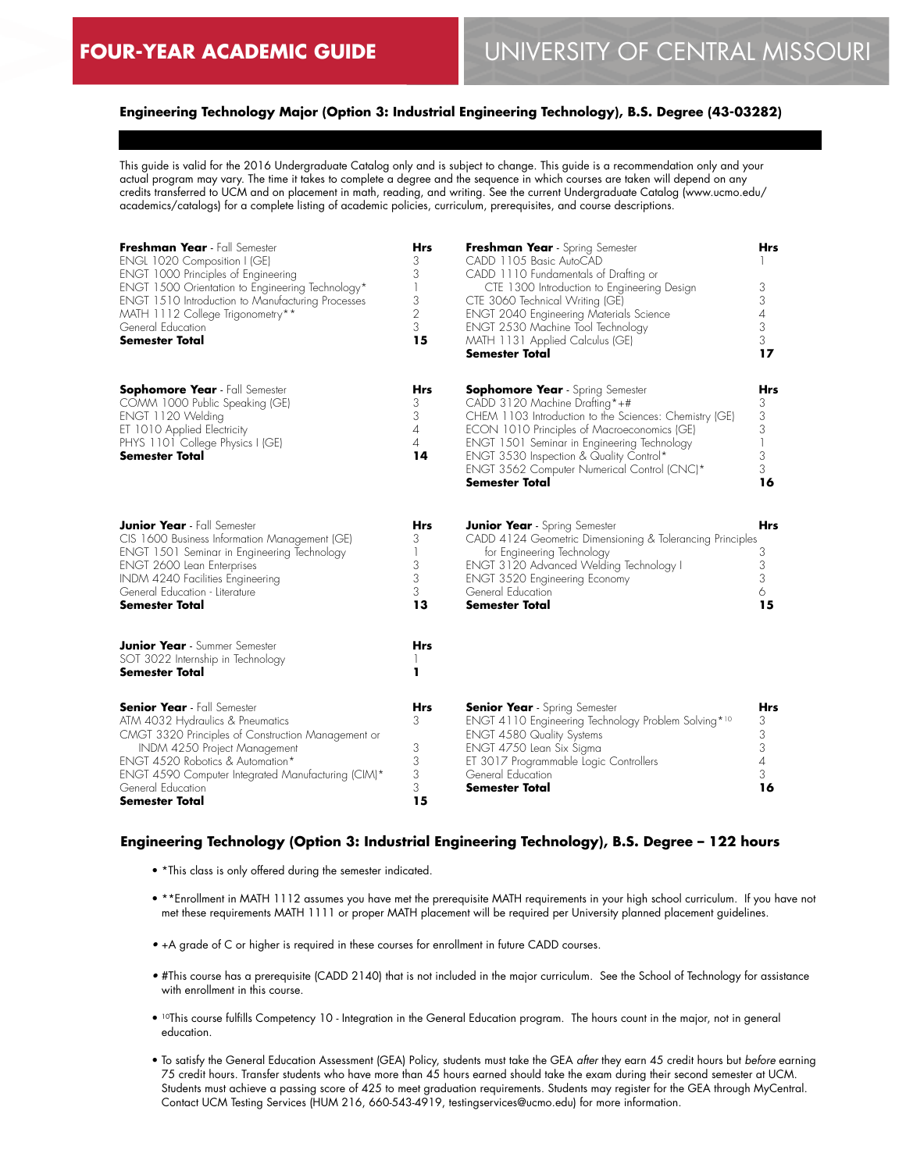## **Engineering Technology Major (Option 3: Industrial Engineering Technology), B.S. Degree (43-03282)**

This guide is valid for the 2016 Undergraduate Catalog only and is subject to change. This guide is a recommendation only and your actual program may vary. The time it takes to complete a degree and the sequence in which courses are taken will depend on any credits transferred to UCM and on placement in math, reading, and writing. See the current Undergraduate Catalog (www.ucmo.edu/ academics/catalogs) for a complete listing of academic policies, curriculum, prerequisites, and course descriptions.

| Freshman Year - Fall Semester<br>ENGL 1020 Composition I (GE)<br>ENGT 1000 Principles of Engineering<br>ENGT 1500 Orientation to Engineering Technology*<br><b>ENGT 1510 Introduction to Manufacturing Processes</b><br>MATH 1112 College Trigonometry**<br>General Education<br>Semester Total | Hrs<br>3<br>3<br>$\begin{array}{c} \hline \end{array}$<br>3<br>$\overline{2}$<br>3<br>15 | Freshman Year - Spring Semester<br>CADD 1105 Basic AutoCAD<br>CADD 1110 Fundamentals of Drafting or<br>CTE 1300 Introduction to Engineering Design<br>CTE 3060 Technical Writing (GE)<br><b>ENGT 2040 Engineering Materials Science</b><br>ENGT 2530 Machine Tool Technology<br>MATH 1131 Applied Calculus (GE)<br><b>Semester Total</b>            | Hrs<br>3<br>3<br>4<br>3<br>3<br>17                             |
|-------------------------------------------------------------------------------------------------------------------------------------------------------------------------------------------------------------------------------------------------------------------------------------------------|------------------------------------------------------------------------------------------|-----------------------------------------------------------------------------------------------------------------------------------------------------------------------------------------------------------------------------------------------------------------------------------------------------------------------------------------------------|----------------------------------------------------------------|
| <b>Sophomore Year</b> - Fall Semester<br>COMM 1000 Public Speaking (GE)<br>ENGT 1120 Welding<br>ET 1010 Applied Electricity<br>PHYS 1101 College Physics I (GE)<br><b>Semester Total</b>                                                                                                        | Hrs<br>3<br>3<br>4<br>4<br>14                                                            | <b>Sophomore Year</b> - Spring Semester<br>CADD 3120 Machine Drafting*+#<br>CHEM 1103 Introduction to the Sciences: Chemistry (GE)<br>ECON 1010 Principles of Macroeconomics (GE)<br>ENGT 1501 Seminar in Engineering Technology<br>ENGT 3530 Inspection & Quality Control*<br>ENGT 3562 Computer Numerical Control (CNC)*<br><b>Semester Total</b> | Hrs<br>3<br>3<br>3<br>$\overline{\phantom{a}}$<br>3<br>3<br>16 |
| <b>Junior Year</b> - Fall Semester<br>CIS 1600 Business Information Management (GE)<br>ENGT 1501 Seminar in Engineering Technology<br>ENGT 2600 Lean Enterprises<br>INDM 4240 Facilities Engineering<br>General Education - Literature<br><b>Semester Total</b>                                 | Hrs<br>3<br>1<br>3<br>3<br>3<br>13                                                       | <b>Junior Year</b> - Spring Semester<br>CADD 4124 Geometric Dimensioning & Tolerancing Principles<br>for Engineering Technology<br>ENGT 3120 Advanced Welding Technology I<br><b>ENGT 3520 Engineering Economy</b><br>General Education<br><b>Semester Total</b>                                                                                    | Hrs<br>3<br>3<br>3<br>6<br>15                                  |
| <b>Junior Year</b> - Summer Semester<br>SOT 3022 Internship in Technology<br><b>Semester Total</b>                                                                                                                                                                                              | <b>Hrs</b><br>1                                                                          |                                                                                                                                                                                                                                                                                                                                                     |                                                                |
| <b>Senior Year</b> - Fall Semester<br>ATM 4032 Hydraulics & Pneumatics<br>CMGT 3320 Principles of Construction Management or<br>INDM 4250 Project Management<br>ENGT 4520 Robotics & Automation*<br>ENGT 4590 Computer Integrated Manufacturing (CIM)*<br>General Education<br>Semester Total   | <b>Hrs</b><br>3<br>3<br>3<br>$\frac{3}{3}$<br>15                                         | <b>Senior Year</b> - Spring Semester<br>ENGT 4110 Engineering Technology Problem Solving* <sup>10</sup><br><b>ENGT 4580 Quality Systems</b><br>ENGT 4750 Lean Six Sigma<br>ET 3017 Programmable Logic Controllers<br>General Education<br><b>Semester Total</b>                                                                                     | Hrs<br>3<br>3<br>3<br>4<br>3<br>16                             |

#### **Engineering Technology (Option 3: Industrial Engineering Technology), B.S. Degree – 122 hours**

- \*This class is only offered during the semester indicated.
- \*\*Enrollment in MATH 1112 assumes you have met the prerequisite MATH requirements in your high school curriculum. If you have not met these requirements MATH 1111 or proper MATH placement will be required per University planned placement guidelines.
- +A grade of C or higher is required in these courses for enrollment in future CADD courses.
- #This course has a prerequisite (CADD 2140) that is not included in the major curriculum. See the School of Technology for assistance with enrollment in this course.
- 10This course fulfills Competency 10 Integration in the General Education program. The hours count in the major, not in general education.
- To satisfy the General Education Assessment (GEA) Policy, students must take the GEA *after* they earn 45 credit hours but *before* earning 75 credit hours. Transfer students who have more than 45 hours earned should take the exam during their second semester at UCM. Students must achieve a passing score of 425 to meet graduation requirements. Students may register for the GEA through MyCentral. Contact UCM Testing Services (HUM 216, 660-543-4919, testingservices@ucmo.edu) for more information.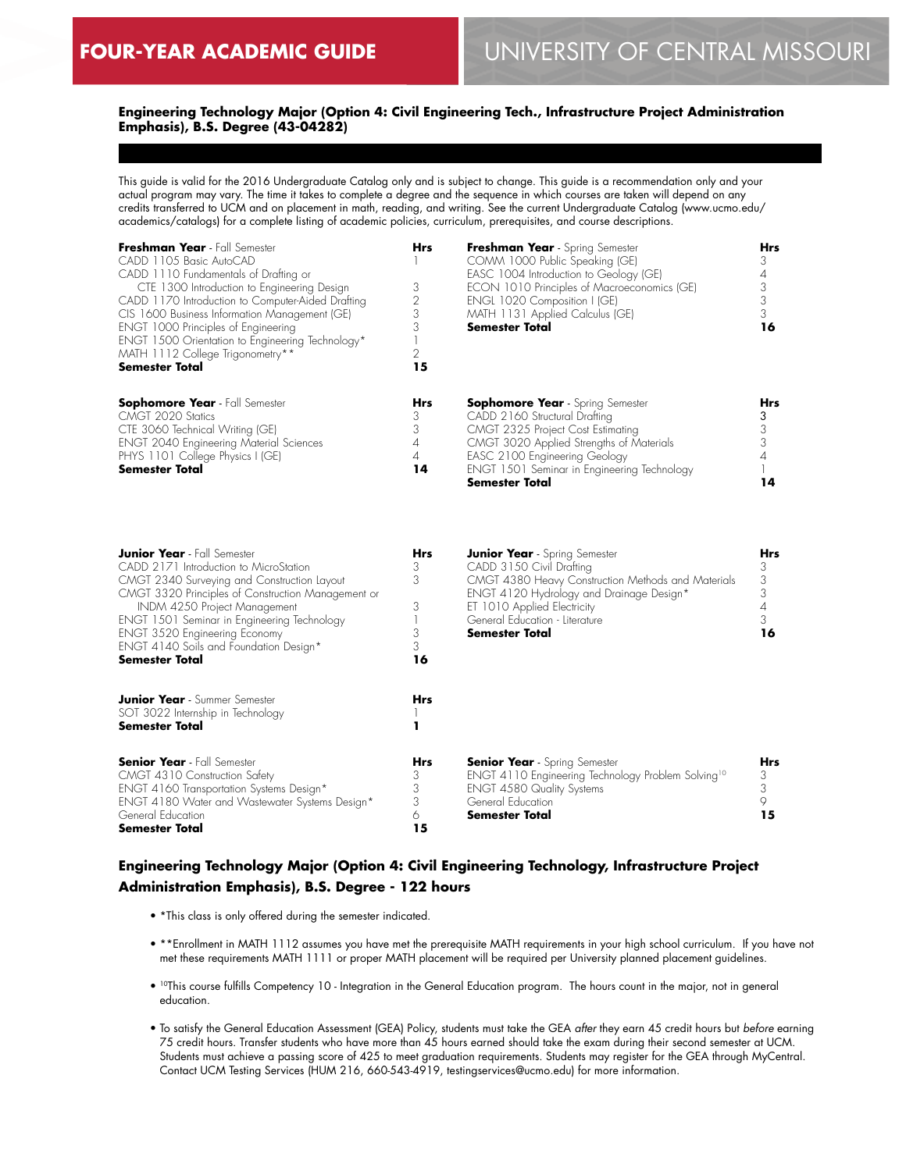# **Engineering Technology Major (Option 4: Civil Engineering Tech., Infrastructure Project Administration Emphasis), B.S. Degree (43-04282)**

This guide is valid for the 2016 Undergraduate Catalog only and is subject to change. This guide is a recommendation only and your actual program may vary. The time it takes to complete a degree and the sequence in which courses are taken will depend on any credits transferred to UCM and on placement in math, reading, and writing. See the current Undergraduate Catalog (www.ucmo.edu/ academics/catalogs) for a complete listing of academic policies, curriculum, prerequisites, and course descriptions.

| Freshman Year - Fall Semester<br>CADD 1105 Basic AutoCAD<br>CADD 1110 Fundamentals of Drafting or<br>CTE 1300 Introduction to Engineering Design<br>CADD 1170 Introduction to Computer-Aided Drafting<br>CIS 1600 Business Information Management (GE)<br>ENGT 1000 Principles of Engineering<br>ENGT 1500 Orientation to Engineering Technology*<br>MATH 1112 College Trigonometry**<br><b>Semester Total</b> | <b>Hrs</b><br>3<br>15                | Freshman Year - Spring Semester<br>COMM 1000 Public Speaking (GE)<br>EASC 1004 Introduction to Geology (GE)<br>ECON 1010 Principles of Macroeconomics (GE)<br>ENGL 1020 Composition I (GE)<br>MATH 1131 Applied Calculus (GE)<br><b>Semester Total</b>      | <b>Hrs</b><br>16 |
|----------------------------------------------------------------------------------------------------------------------------------------------------------------------------------------------------------------------------------------------------------------------------------------------------------------------------------------------------------------------------------------------------------------|--------------------------------------|-------------------------------------------------------------------------------------------------------------------------------------------------------------------------------------------------------------------------------------------------------------|------------------|
| <b>Sophomore Year</b> - Fall Semester<br>CMGT 2020 Statics<br>CTE 3060 Technical Writing (GE)<br><b>ENGT 2040 Engineering Material Sciences</b><br>PHYS 1101 College Physics I (GE)<br><b>Semester Total</b>                                                                                                                                                                                                   | <b>Hrs</b><br>3<br>3<br>4<br>4<br>14 | <b>Sophomore Year</b> - Spring Semester<br>CADD 2160 Structural Drafting<br>CMGT 2325 Project Cost Estimating<br>CMGT 3020 Applied Strengths of Materials<br>EASC 2100 Engineering Geology<br>ENGT 1501 Seminar in Engineering Technology<br>Semester Total | <b>Hrs</b><br>14 |

| <b>Junior Year</b> - Fall Semester                         | <b>Hrs</b> | <b>Junior Year</b> - Spring Semester                           | Hrs |
|------------------------------------------------------------|------------|----------------------------------------------------------------|-----|
| CADD 2171 Introduction to MicroStation                     | 3          | CADD 3150 Civil Drafting                                       | 3   |
| CMGT 2340 Surveying and Construction Layout                | 3          | CMGT 4380 Heavy Construction Methods and Materials             | 3   |
| CMGT 3320 Principles of Construction Management or         |            | ENGT 4120 Hydrology and Drainage Design*                       |     |
| INDM 4250 Project Management                               | 3          | ET 1010 Applied Electricity                                    |     |
| ENGT 1501 Seminar in Engineering Technology                |            | General Education - Literature                                 |     |
| <b>ENGT 3520 Engineering Economy</b>                       |            | <b>Semester Total</b>                                          | 16  |
| ENGT 4140 Soils and Foundation Design*                     | 3          |                                                                |     |
| Semester Total                                             | 16         |                                                                |     |
| <b>Junior Year</b> - Summer Semester                       | <b>Hrs</b> |                                                                |     |
| SOT 3022 Internship in Technology<br><b>Semester Total</b> |            |                                                                |     |
| <b>Senior Year</b> - Fall Semester                         | Hrs        | <b>Senior Year</b> - Spring Semester                           | Hrs |
| CMGT 4310 Construction Safety                              | 3          | ENGT 4110 Engineering Technology Problem Solving <sup>10</sup> | 3   |
| ENGT 4160 Transportation Systems Design*                   |            | <b>ENGT 4580 Quality Systems</b>                               |     |
| ENGT 4180 Water and Wastewater Systems Design*             | 3          | General Education                                              |     |
| General Education                                          | 6          | <b>Semester Total</b>                                          | 15  |
| <b>Semester Total</b>                                      | 15         |                                                                |     |

# **Engineering Technology Major (Option 4: Civil Engineering Technology, Infrastructure Project Administration Emphasis), B.S. Degree - 122 hours**

- \*This class is only offered during the semester indicated.
- \*\*Enrollment in MATH 1112 assumes you have met the prerequisite MATH requirements in your high school curriculum. If you have not met these requirements MATH 1111 or proper MATH placement will be required per University planned placement guidelines.
- 10This course fulfills Competency 10 Integration in the General Education program. The hours count in the major, not in general education.
- To satisfy the General Education Assessment (GEA) Policy, students must take the GEA *after* they earn 45 credit hours but *before* earning 75 credit hours. Transfer students who have more than 45 hours earned should take the exam during their second semester at UCM. Students must achieve a passing score of 425 to meet graduation requirements. Students may register for the GEA through MyCentral. Contact UCM Testing Services (HUM 216, 660-543-4919, testingservices@ucmo.edu) for more information.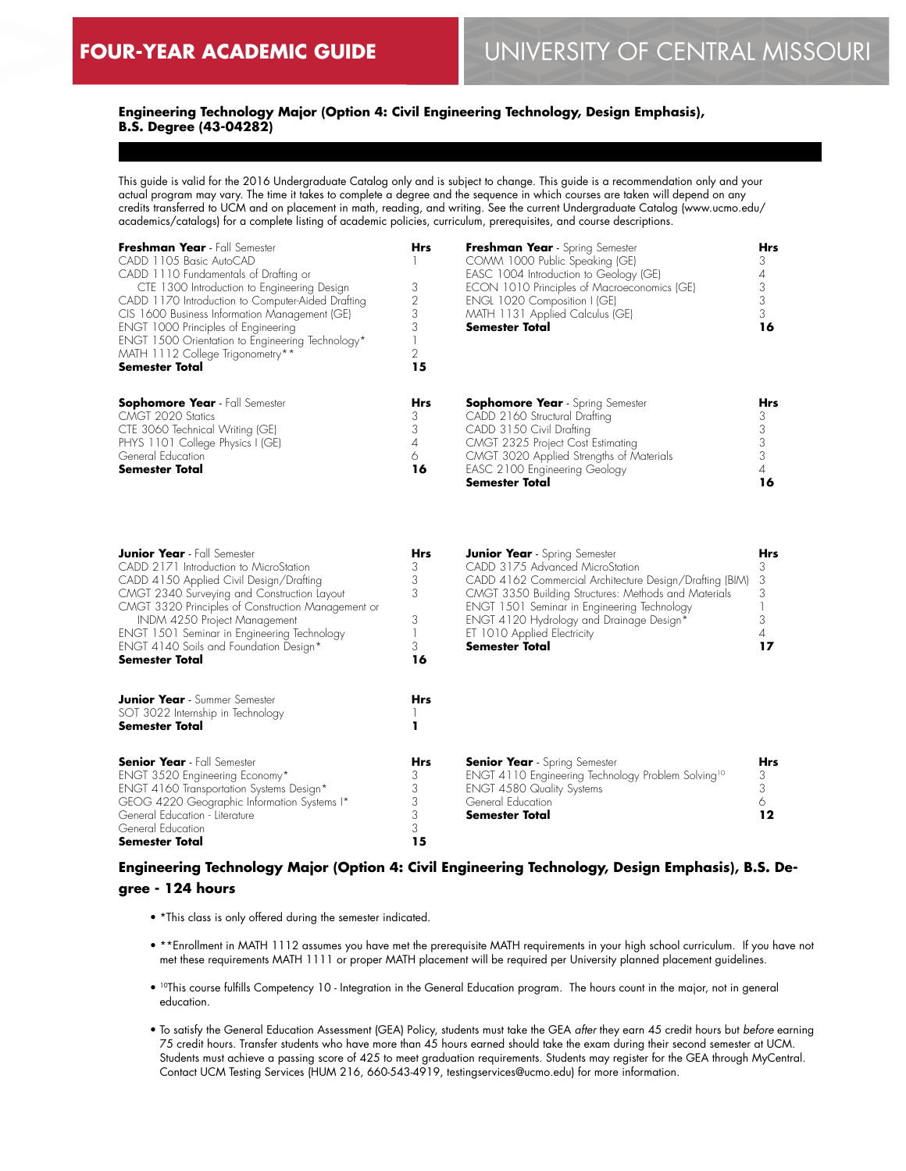# **Engineering Technology Major (Option 4: Civil Engineering Technology, Design Emphasis), B.S. Degree (43-04282)**

This guide is valid for the 2016 Undergraduate Catalog only and is subject to change. This guide is a recommendation only and your actual program may vary. The time it takes to complete a degree and the sequence in which courses are taken will depend on any credits transferred to UCM and on placement in math, reading, and writing. See the current Undergraduate Catalog (www.ucmo.edu/ academics/catalogs) for a complete listing of academic policies, curriculum, prerequisites, and course descriptions.

| Freshman Year - Fall Semester<br>CADD 1105 Basic AutoCAD<br>CADD 1110 Fundamentals of Drafting or<br>CTE 1300 Introduction to Engineering Design<br>CADD 1170 Introduction to Computer-Aided Drafting<br>CIS 1600 Business Information Management (GE)<br>ENGT 1000 Principles of Engineering<br>ENGT 1500 Orientation to Engineering Technology*<br>MATH 1112 College Trigonometry**<br><b>Semester Total</b> | <b>Hrs</b><br>2<br>3<br>15           | Freshman Year - Spring Semester<br>COMM 1000 Public Speaking (GE)<br>EASC 1004 Introduction to Geology (GE)<br>ECON 1010 Principles of Macroeconomics (GE)<br>ENGL 1020 Composition I (GE)<br>MATH 1131 Applied Calculus (GE)<br><b>Semester Total</b> | Hrs<br>16 |
|----------------------------------------------------------------------------------------------------------------------------------------------------------------------------------------------------------------------------------------------------------------------------------------------------------------------------------------------------------------------------------------------------------------|--------------------------------------|--------------------------------------------------------------------------------------------------------------------------------------------------------------------------------------------------------------------------------------------------------|-----------|
| <b>Sophomore Year</b> - Fall Semester<br>CMGT 2020 Statics<br>CTE 3060 Technical Writing (GE)<br>PHYS 1101 College Physics I (GE)<br>General Education<br><b>Semester Total</b>                                                                                                                                                                                                                                | <b>Hrs</b><br>3<br>3<br>4<br>6<br>16 | <b>Sophomore Year</b> - Spring Semester<br>CADD 2160 Structural Drafting<br>CADD 3150 Civil Drafting<br>CMGT 2325 Project Cost Estimating<br>CMGT 3020 Applied Strengths of Materials<br>EASC 2100 Engineering Geology<br><b>Semester Total</b>        | Hrs<br>16 |

| <b>Junior Year</b> - Fall Semester                 | <b>Hrs</b> | <b>Junior Year</b> - Spring Semester                           | Hrs        |
|----------------------------------------------------|------------|----------------------------------------------------------------|------------|
| CADD 2171 Introduction to MicroStation             | 3          | CADD 3175 Advanced MicroStation                                |            |
| CADD 4150 Applied Civil Design/Drafting            | 3          | CADD 4162 Commercial Architecture Design/Drafting (BIM)        | 3          |
| CMGT 2340 Surveying and Construction Layout        | 3          | CMGT 3350 Building Structures: Methods and Materials           |            |
| CMGT 3320 Principles of Construction Management or |            | ENGT 1501 Seminar in Engineering Technology                    |            |
| INDM 4250 Project Management                       | 3          | ENGT 4120 Hydrology and Drainage Design*                       |            |
| ENGT 1501 Seminar in Engineering Technology        |            | ET 1010 Applied Electricity                                    |            |
| ENGT 4140 Soils and Foundation Design*             | 3          | <b>Semester Total</b>                                          |            |
| <b>Semester Total</b>                              | 16         |                                                                |            |
| <b>Junior Year</b> - Summer Semester               | <b>Hrs</b> |                                                                |            |
| SOT 3022 Internship in Technology                  |            |                                                                |            |
| <b>Semester Total</b>                              |            |                                                                |            |
| <b>Senior Year</b> - Fall Semester                 | Hrs        | <b>Senior Year</b> - Spring Semester                           | <b>Hrs</b> |
| ENGT 3520 Engineering Economy*                     | 3          | ENGT 4110 Engineering Technology Problem Solving <sup>10</sup> | 3          |
| ENGT 4160 Transportation Systems Design*           | 3          | <b>ENGT 4580 Quality Systems</b>                               | 3          |
| GEOG 4220 Geographic Information Systems I*        |            | General Education                                              |            |
| General Education - Literature                     |            | <b>Semester Total</b>                                          | 12         |
| General Education                                  | 3          |                                                                |            |
| <b>Semester Total</b>                              | 15         |                                                                |            |

# **Engineering Technology Major (Option 4: Civil Engineering Technology, Design Emphasis), B.S. Degree - 124 hours**

- \*This class is only offered during the semester indicated.
- \*\*Enrollment in MATH 1112 assumes you have met the prerequisite MATH requirements in your high school curriculum. If you have not met these requirements MATH 1111 or proper MATH placement will be required per University planned placement guidelines.
- 10This course fulfills Competency 10 Integration in the General Education program. The hours count in the major, not in general education.
- To satisfy the General Education Assessment (GEA) Policy, students must take the GEA *after* they earn 45 credit hours but *before* earning 75 credit hours. Transfer students who have more than 45 hours earned should take the exam during their second semester at UCM. Students must achieve a passing score of 425 to meet graduation requirements. Students may register for the GEA through MyCentral. Contact UCM Testing Services (HUM 216, 660-543-4919, testingservices@ucmo.edu) for more information.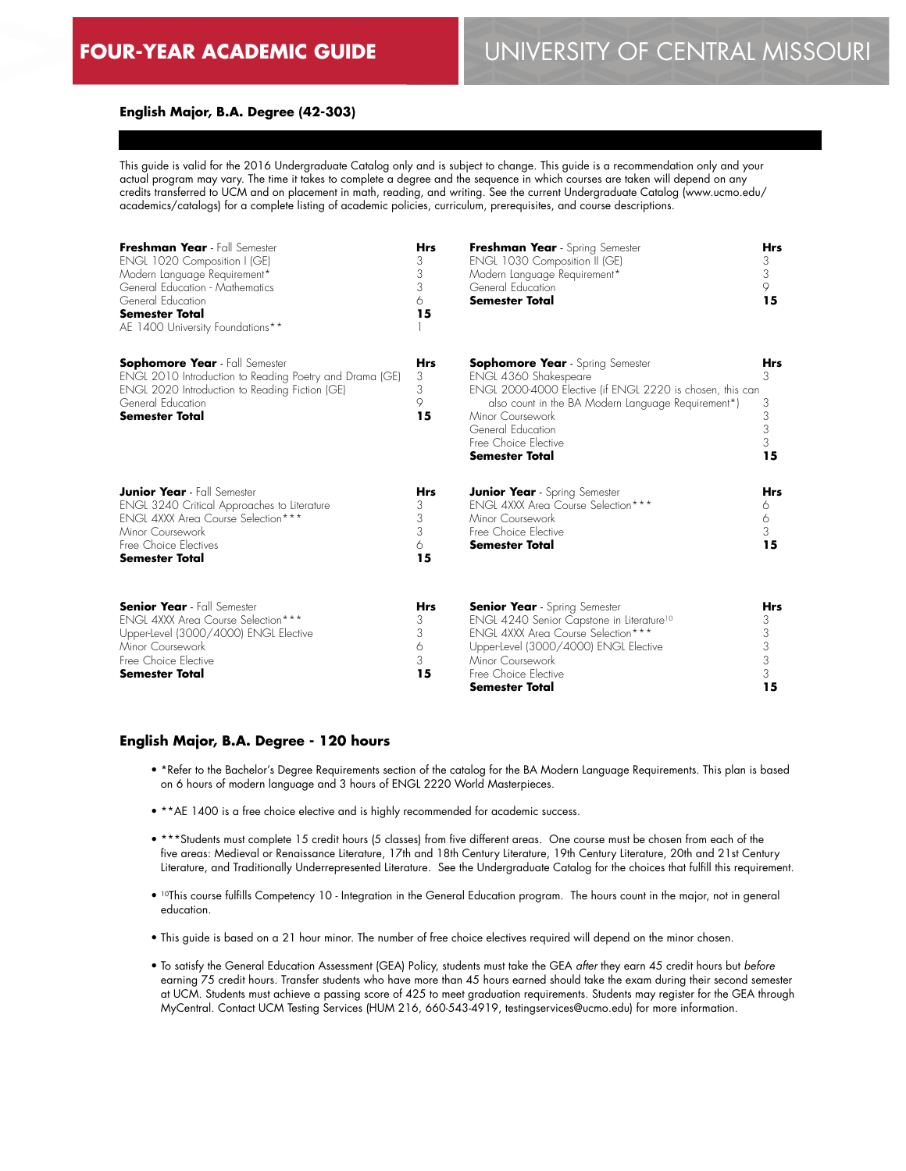## **English Major, B.A. Degree (42-303)**

This guide is valid for the 2016 Undergraduate Catalog only and is subject to change. This guide is a recommendation only and your actual program may vary. The time it takes to complete a degree and the sequence in which courses are taken will depend on any credits transferred to UCM and on placement in math, reading, and writing. See the current Undergraduate Catalog (www.ucmo.edu/ academics/catalogs) for a complete listing of academic policies, curriculum, prerequisites, and course descriptions.

| Freshman Year - Fall Semester<br>ENGL 1020 Composition I (GE)<br>Modern Language Requirement*<br>General Education - Mathematics<br>General Education<br><b>Semester Total</b><br>AE 1400 University Foundations** | <b>Hrs</b><br>3<br>3<br>3<br>6<br>15 | Freshman Year - Spring Semester<br>ENGL 1030 Composition II (GE)<br>Modern Language Requirement*<br>General Education<br><b>Semester Total</b>                                                                                                                                | <b>Hrs</b><br>3<br>3<br>9<br>15           |
|--------------------------------------------------------------------------------------------------------------------------------------------------------------------------------------------------------------------|--------------------------------------|-------------------------------------------------------------------------------------------------------------------------------------------------------------------------------------------------------------------------------------------------------------------------------|-------------------------------------------|
| <b>Sophomore Year</b> - Fall Semester<br>ENGL 2010 Introduction to Reading Poetry and Drama (GE)<br>ENGL 2020 Introduction to Reading Fiction (GE)<br>General Education<br><b>Semester Total</b>                   | <b>Hrs</b><br>3<br>3<br>9<br>15      | <b>Sophomore Year</b> - Spring Semester<br>ENGL 4360 Shakespeare<br>ENGL 2000-4000 Elective (if ENGL 2220 is chosen, this can<br>also count in the BA Modern Language Requirement*)<br>Minor Coursework<br>General Education<br>Free Choice Elective<br><b>Semester Total</b> | <b>Hrs</b><br>3<br>3<br>3<br>3<br>3<br>15 |
| <b>Junior Year</b> - Fall Semester<br>ENGL 3240 Critical Approaches to Literature<br>ENGL 4XXX Area Course Selection ***<br>Minor Coursework<br>Free Choice Electives<br>Semester Total                            | <b>Hrs</b><br>3<br>3<br>3<br>6<br>15 | <b>Junior Year</b> - Spring Semester<br><b>ENGL 4XXX Area Course Selection***</b><br>Minor Coursework<br>Free Choice Elective<br><b>Semester Total</b>                                                                                                                        | <b>Hrs</b><br>6<br>6<br>3<br>15           |
| <b>Senior Year</b> - Fall Semester<br><b>ENGL 4XXX Area Course Selection ***</b><br>Upper-Level (3000/4000) ENGL Elective<br>Minor Coursework<br>Free Choice Elective<br><b>Semester Total</b>                     | <b>Hrs</b><br>3<br>3<br>6<br>3<br>15 | <b>Senior Year</b> - Spring Semester<br>ENGL 4240 Senior Capstone in Literature <sup>10</sup><br>ENGL 4XXX Area Course Selection***<br>Upper-Level (3000/4000) ENGL Elective<br>Minor Coursework<br>Free Choice Elective<br>Semester Total                                    | Hrs<br>3<br>3<br>3<br>3<br>3<br>15        |

#### **English Major, B.A. Degree - 120 hours**

- \*Refer to the Bachelor's Degree Requirements section of the catalog for the BA Modern Language Requirements. This plan is based on 6 hours of modern language and 3 hours of ENGL 2220 World Masterpieces.
- \*\*AE 1400 is a free choice elective and is highly recommended for academic success.
- \*\*\*Students must complete 15 credit hours (5 classes) from five different areas. One course must be chosen from each of the five areas: Medieval or Renaissance Literature, 17th and 18th Century Literature, 19th Century Literature, 20th and 21st Century Literature, and Traditionally Underrepresented Literature. See the Undergraduate Catalog for the choices that fulfill this requirement.
- 10This course fulfills Competency 10 Integration in the General Education program. The hours count in the major, not in general education.
- This guide is based on a 21 hour minor. The number of free choice electives required will depend on the minor chosen.
- To satisfy the General Education Assessment (GEA) Policy, students must take the GEA *after* they earn 45 credit hours but *before* earning 75 credit hours. Transfer students who have more than 45 hours earned should take the exam during their second semester at UCM. Students must achieve a passing score of 425 to meet graduation requirements. Students may register for the GEA through MyCentral. Contact UCM Testing Services (HUM 216, 660-543-4919, testingservices@ucmo.edu) for more information.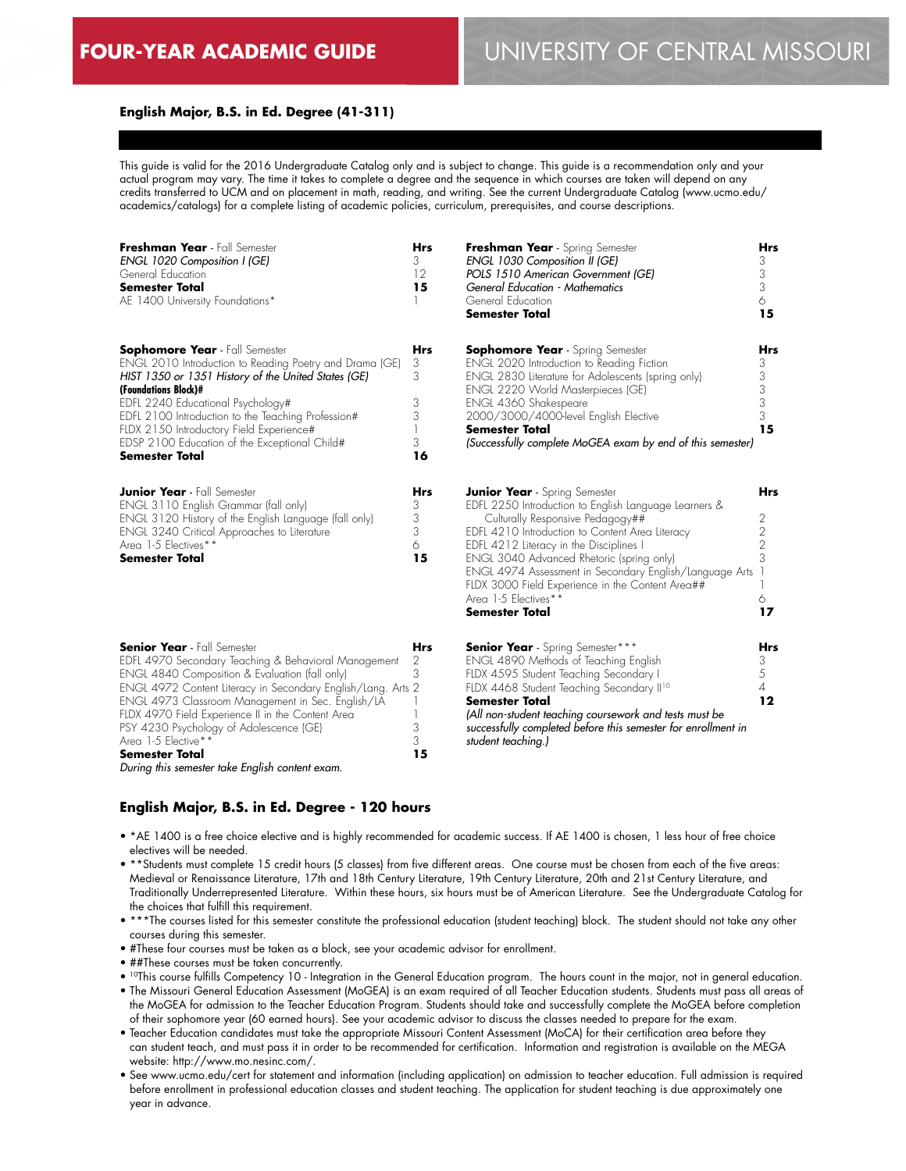# **English Major, B.S. in Ed. Degree (41-311)**

This guide is valid for the 2016 Undergraduate Catalog only and is subject to change. This guide is a recommendation only and your actual program may vary. The time it takes to complete a degree and the sequence in which courses are taken will depend on any credits transferred to UCM and on placement in math, reading, and writing. See the current Undergraduate Catalog (www.ucmo.edu/ academics/catalogs) for a complete listing of academic policies, curriculum, prerequisites, and course descriptions.

| Freshman Year - Fall Semester<br>ENGL 1020 Composition I (GE)<br>General Education<br><b>Semester Total</b><br>AE 1400 University Foundations*                                                                                                                                                                                                                                                                                                                       | <b>Hrs</b><br>3<br>12<br>15               | Freshman Year - Spring Semester<br><b>ENGL 1030 Composition II (GE)</b><br>POLS 1510 American Government (GE)<br><b>General Education - Mathematics</b><br>General Education<br>Semester Total                                                                                                                                                                                                                                               | Hrs<br>3<br>3<br>3<br>6<br>15                                       |
|----------------------------------------------------------------------------------------------------------------------------------------------------------------------------------------------------------------------------------------------------------------------------------------------------------------------------------------------------------------------------------------------------------------------------------------------------------------------|-------------------------------------------|----------------------------------------------------------------------------------------------------------------------------------------------------------------------------------------------------------------------------------------------------------------------------------------------------------------------------------------------------------------------------------------------------------------------------------------------|---------------------------------------------------------------------|
| <b>Sophomore Year</b> - Fall Semester<br>ENGL 2010 Introduction to Reading Poetry and Drama (GE)<br>HIST 1350 or 1351 History of the United States (GE)<br>(Foundations Block)#<br>EDFL 2240 Educational Psychology#<br>EDFL 2100 Introduction to the Teaching Profession#<br>FLDX 2150 Introductory Field Experience#<br>EDSP 2100 Education of the Exceptional Child#<br><b>Semester Total</b>                                                                     | <b>Hrs</b><br>3<br>3<br>3<br>3<br>3<br>16 | <b>Sophomore Year</b> - Spring Semester<br>ENGL 2020 Introduction to Reading Fiction<br>ENGL 2830 Literature for Adolescents (spring only)<br>ENGL 2220 World Masterpieces (GE)<br>ENGL 4360 Shakespeare<br>2000/3000/4000-level English Elective<br><b>Semester Total</b><br>(Successfully complete MoGEA exam by end of this semester)                                                                                                     | Hrs<br>3<br>3<br>3<br>3<br>3<br>15                                  |
| <b>Junior Year</b> - Fall Semester<br>ENGL 3110 English Grammar (fall only)<br>ENGL 3120 History of the English Language (fall only)<br><b>ENGL 3240 Critical Approaches to Literature</b><br>Area 1-5 Electives**<br><b>Semester Total</b>                                                                                                                                                                                                                          | Hrs<br>3<br>3<br>3<br>6<br>15             | <b>Junior Year</b> - Spring Semester<br>EDFL 2250 Introduction to English Language Learners &<br>Culturally Responsive Pedagogy##<br>EDFL 4210 Introduction to Content Area Literacy<br>EDFL 4212 Literacy in the Disciplines I<br>ENGL 3040 Advanced Rhetoric (spring only)<br>ENGL 4974 Assessment in Secondary English/Language Arts<br>FLDX 3000 Field Experience in the Content Area##<br>Area 1-5 Electives**<br><b>Semester Total</b> | <b>Hrs</b><br>2<br>$\overline{2}$<br>$\overline{2}$<br>3<br>6<br>17 |
| <b>Senior Year</b> - Fall Semester<br>EDFL 4970 Secondary Teaching & Behavioral Management<br>ENGL 4840 Composition & Evaluation (fall only)<br>ENGL 4972 Content Literacy in Secondary English/Lang. Arts 2<br>ENGL 4973 Classroom Management in Sec. English/LA<br>FLDX 4970 Field Experience II in the Content Area<br>PSY 4230 Psychology of Adolescence (GE)<br>Area 1-5 Elective**<br><b>Semester Total</b><br>During this semester take English content exam. | <b>Hrs</b><br>2<br>3<br>3<br>3<br>15      | <b>Senior Year</b> - Spring Semester***<br>ENGL 4890 Methods of Teaching English<br>FLDX 4595 Student Teaching Secondary I<br>FLDX 4468 Student Teaching Secondary II <sup>10</sup><br><b>Semester Total</b><br>(All non-student teaching coursework and tests must be<br>successfully completed before this semester for enrollment in<br>student teaching.)                                                                                | Hrs<br>3<br>5<br>$\overline{A}$<br>$12 \,$                          |

#### **English Major, B.S. in Ed. Degree - 120 hours**

- \*AE 1400 is a free choice elective and is highly recommended for academic success. If AE 1400 is chosen, 1 less hour of free choice electives will be needed.
- \*\*Students must complete 15 credit hours (5 classes) from five different areas. One course must be chosen from each of the five areas: Medieval or Renaissance Literature, 17th and 18th Century Literature, 19th Century Literature, 20th and 21st Century Literature, and Traditionally Underrepresented Literature. Within these hours, six hours must be of American Literature. See the Undergraduate Catalog for the choices that fulfill this requirement.
- \*\*\*The courses listed for this semester constitute the professional education (student teaching) block. The student should not take any other courses during this semester.
- #These four courses must be taken as a block, see your academic advisor for enrollment.
- ##These courses must be taken concurrently.
- 10This course fulfills Competency 10 Integration in the General Education program. The hours count in the major, not in general education.
- The Missouri General Education Assessment (MoGEA) is an exam required of all Teacher Education students. Students must pass all areas of the MoGEA for admission to the Teacher Education Program. Students should take and successfully complete the MoGEA before completion of their sophomore year (60 earned hours). See your academic advisor to discuss the classes needed to prepare for the exam.
- Teacher Education candidates must take the appropriate Missouri Content Assessment (MoCA) for their certification area before they can student teach, and must pass it in order to be recommended for certification. Information and registration is available on the MEGA website: http://www.mo.nesinc.com/.
- See www.ucmo.edu/cert for statement and information (including application) on admission to teacher education. Full admission is required before enrollment in professional education classes and student teaching. The application for student teaching is due approximately one year in advance.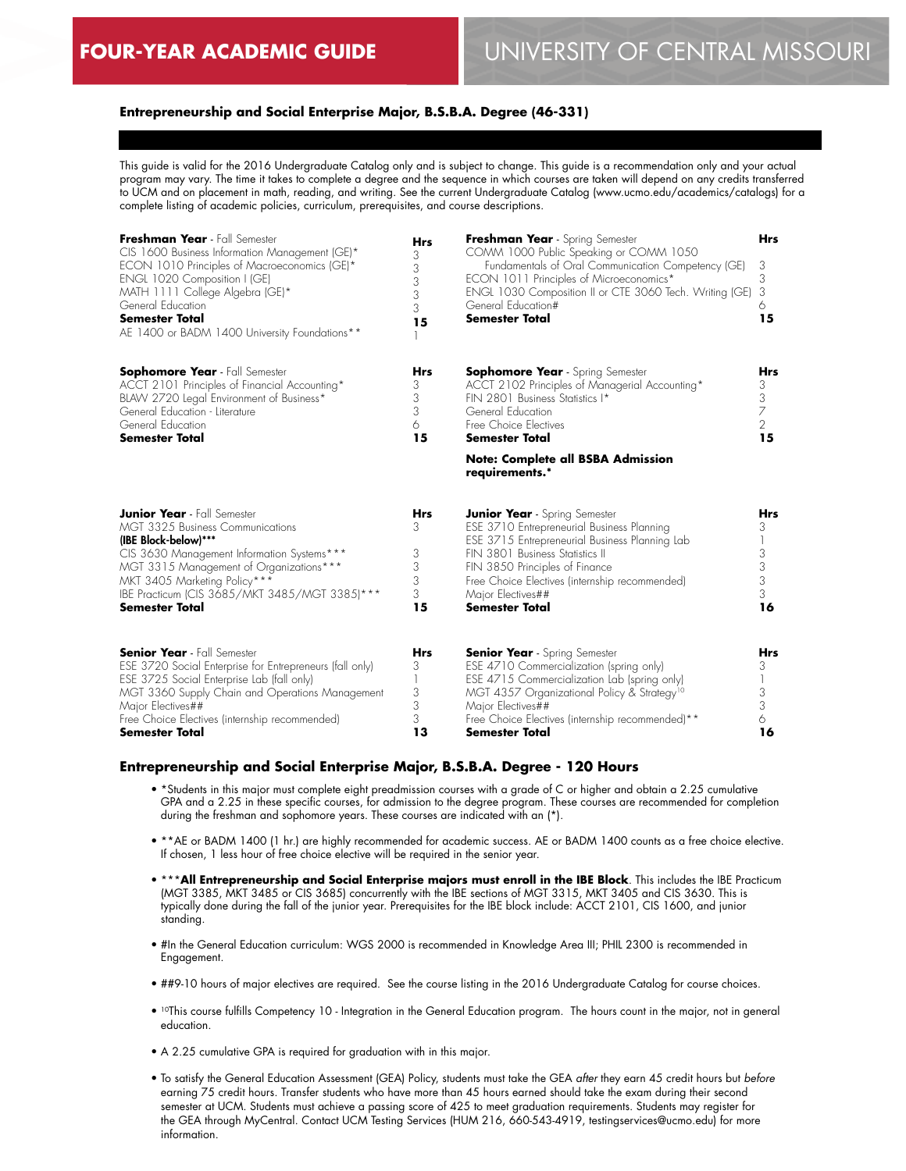# **Entrepreneurship and Social Enterprise Major, B.S.B.A. Degree (46-331)**

This guide is valid for the 2016 Undergraduate Catalog only and is subject to change. This guide is a recommendation only and your actual program may vary. The time it takes to complete a degree and the sequence in which courses are taken will depend on any credits transferred to UCM and on placement in math, reading, and writing. See the current Undergraduate Catalog (www.ucmo.edu/academics/catalogs) for a complete listing of academic policies, curriculum, prerequisites, and course descriptions.

| Freshman Year - Fall Semester<br>CIS 1600 Business Information Management (GE)*<br>ECON 1010 Principles of Macroeconomics (GE)*<br>ENGL 1020 Composition I (GE)<br>MATH 1111 College Algebra (GE)*<br>General Education<br><b>Semester Total</b><br>AE 1400 or BADM 1400 University Foundations**        | <b>Hrs</b><br>3<br>3<br>3<br>3<br>3<br>15 | Freshman Year - Spring Semester<br>COMM 1000 Public Speaking or COMM 1050<br>Fundamentals of Oral Communication Competency (GE)<br>ECON 1011 Principles of Microeconomics*<br>ENGL 1030 Composition II or CTE 3060 Tech. Writing (GE)<br>General Education#<br><b>Semester Total</b>                      | <b>Hrs</b><br>3<br>3<br>3<br>6<br>15              |
|----------------------------------------------------------------------------------------------------------------------------------------------------------------------------------------------------------------------------------------------------------------------------------------------------------|-------------------------------------------|-----------------------------------------------------------------------------------------------------------------------------------------------------------------------------------------------------------------------------------------------------------------------------------------------------------|---------------------------------------------------|
| <b>Sophomore Year</b> - Fall Semester<br>ACCT 2101 Principles of Financial Accounting*<br>BLAW 2720 Legal Environment of Business*<br>General Education - Literature<br>General Education<br><b>Semester Total</b>                                                                                       | Hrs<br>3<br>3<br>3<br>6<br>15             | <b>Sophomore Year</b> - Spring Semester<br>ACCT 2102 Principles of Managerial Accounting*<br>FIN 2801 Business Statistics I*<br>General Education<br>Free Choice Electives<br><b>Semester Total</b>                                                                                                       | <b>Hrs</b><br>3<br>3<br>7<br>$\overline{2}$<br>15 |
|                                                                                                                                                                                                                                                                                                          |                                           | <b>Note: Complete all BSBA Admission</b><br>requirements.*                                                                                                                                                                                                                                                |                                                   |
| <b>Junior Year</b> - Fall Semester<br><b>MGT 3325 Business Communications</b><br>(IBE Block-below)***<br>CIS 3630 Management Information Systems***<br>MGT 3315 Management of Organizations***<br>MKT 3405 Marketing Policy***<br>IBE Practicum (CIS 3685/MKT 3485/MGT 3385)***<br><b>Semester Total</b> | Hrs<br>3<br>3<br>3<br>3<br>3<br>15        | <b>Junior Year</b> - Spring Semester<br>ESE 3710 Entrepreneurial Business Planning<br>ESE 3715 Entrepreneurial Business Planning Lab<br>FIN 3801 Business Statistics II<br>FIN 3850 Principles of Finance<br>Free Choice Electives (internship recommended)<br>Major Electives##<br><b>Semester Total</b> | <b>Hrs</b><br>3<br>3 <sup>3</sup><br>3<br>16      |
| <b>Senior Year</b> - Fall Semester<br>ESE 3720 Social Enterprise for Entrepreneurs (fall only)<br>ESE 3725 Social Enterprise Lab (fall only)<br>MGT 3360 Supply Chain and Operations Management<br>Major Electives##<br>Free Choice Electives (internship recommended)<br><b>Semester Total</b>          | <b>Hrs</b><br>3<br>1<br>3<br>3<br>3<br>13 | <b>Senior Year</b> - Spring Semester<br>ESE 4710 Commercialization (spring only)<br>ESE 4715 Commercialization Lab (spring only)<br>MGT 4357 Organizational Policy & Strategy <sup>10</sup><br>Major Electives##<br>Free Choice Electives (internship recommended)**<br>Semester Total                    | <b>Hrs</b><br>3<br>3<br>3<br>6<br>16              |

#### **Entrepreneurship and Social Enterprise Major, B.S.B.A. Degree - 120 Hours**

- \*Students in this major must complete eight preadmission courses with a grade of C or higher and obtain a 2.25 cumulative GPA and a 2.25 in these specific courses, for admission to the degree program. These courses are recommended for completion during the freshman and sophomore years. These courses are indicated with an (\*).
- \*\*AE or BADM 1400 (1 hr.) are highly recommended for academic success. AE or BADM 1400 counts as a free choice elective. If chosen, 1 less hour of free choice elective will be required in the senior year.
- \*\*\***All Entrepreneurship and Social Enterprise majors must enroll in the IBE Block**. This includes the IBE Practicum (MGT 3385, MKT 3485 or CIS 3685) concurrently with the IBE sections of MGT 3315, MKT 3405 and CIS 3630. This is typically done during the fall of the junior year. Prerequisites for the IBE block include: ACCT 2101, CIS 1600, and junior standing.
- #In the General Education curriculum: WGS 2000 is recommended in Knowledge Area III; PHIL 2300 is recommended in Engagement.
- ##9-10 hours of major electives are required. See the course listing in the 2016 Undergraduate Catalog for course choices.
- 10This course fulfills Competency 10 Integration in the General Education program. The hours count in the major, not in general education.
- A 2.25 cumulative GPA is required for graduation with in this major.
- To satisfy the General Education Assessment (GEA) Policy, students must take the GEA *after* they earn 45 credit hours but *before* earning 75 credit hours. Transfer students who have more than 45 hours earned should take the exam during their second semester at UCM. Students must achieve a passing score of 425 to meet graduation requirements. Students may register for the GEA through MyCentral. Contact UCM Testing Services (HUM 216, 660-543-4919, testingservices@ucmo.edu) for more information.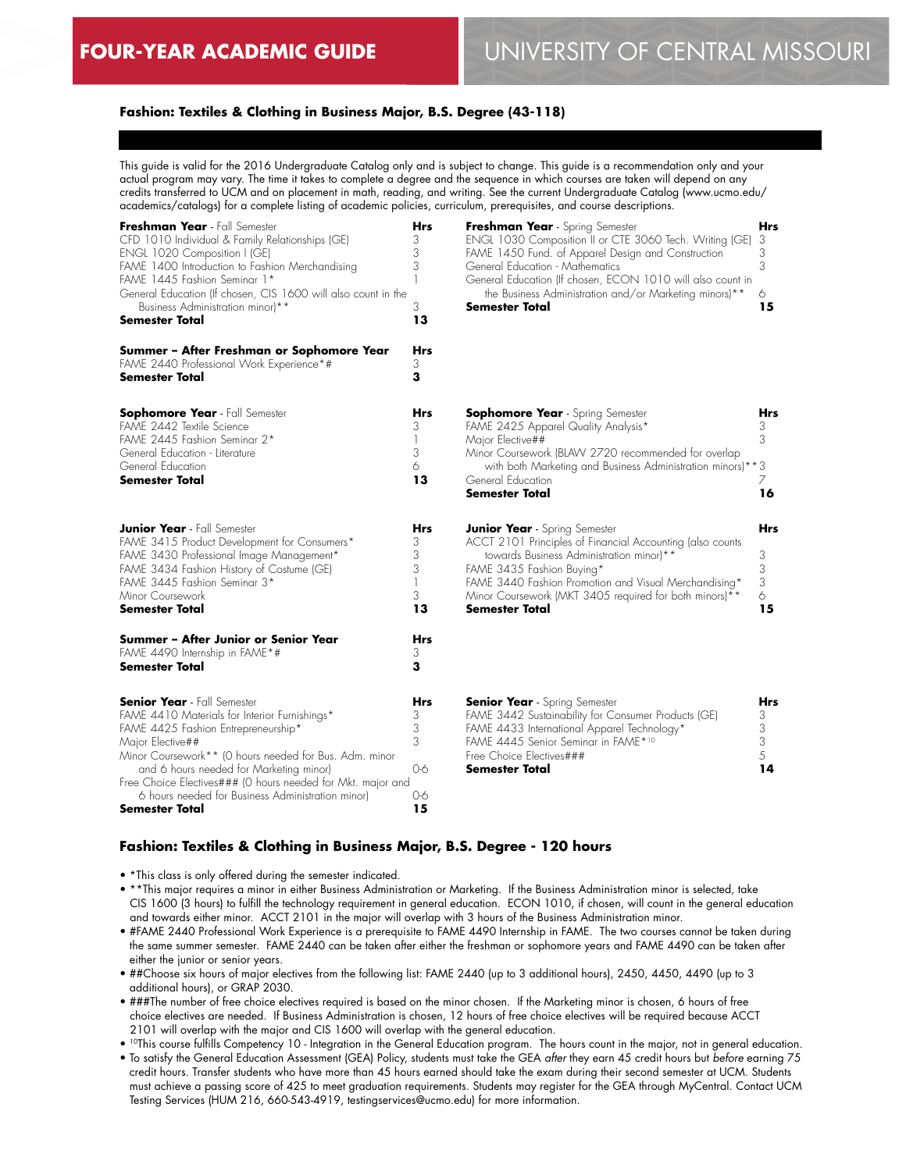# **Fashion: Textiles & Clothing in Business Major, B.S. Degree (43-118)**

This guide is valid for the 2016 Undergraduate Catalog only and is subject to change. This guide is a recommendation only and your actual program may vary. The time it takes to complete a degree and the sequence in which courses are taken will depend on any credits transferred to UCM and on placement in math, reading, and writing. See the current Undergraduate Catalog (www.ucmo.edu/ academics/catalogs) for a complete listing of academic policies, curriculum, prerequisites, and course descriptions.

| Freshman Year - Fall Semester<br>CFD 1010 Individual & Family Relationships (GE)<br>ENGL 1020 Composition I (GE)<br>FAME 1400 Introduction to Fashion Merchandising<br>FAME 1445 Fashion Seminar 1*<br>General Education (If chosen, CIS 1600 will also count in the<br>Business Administration minor)**<br><b>Semester Total</b><br>Summer - After Freshman or Sophomore Year            | Hrs<br>3<br>3<br>3<br>3<br>13<br>Hrs      | Freshman Year - Spring Semester<br>ENGL 1030 Composition II or CTE 3060 Tech. Writing (GE)<br>FAME 1450 Fund. of Apparel Design and Construction<br>General Education - Mathematics<br>General Education (If chosen, ECON 1010 will also count in<br>the Business Administration and/or Marketing minors)**<br>Semester Total | Hrs<br>3<br>3<br>3<br>6<br>15 |
|-------------------------------------------------------------------------------------------------------------------------------------------------------------------------------------------------------------------------------------------------------------------------------------------------------------------------------------------------------------------------------------------|-------------------------------------------|-------------------------------------------------------------------------------------------------------------------------------------------------------------------------------------------------------------------------------------------------------------------------------------------------------------------------------|-------------------------------|
| FAME 2440 Professional Work Experience*#<br>Semester Total                                                                                                                                                                                                                                                                                                                                | 3<br>з                                    |                                                                                                                                                                                                                                                                                                                               |                               |
| <b>Sophomore Year</b> - Fall Semester<br>FAME 2442 Textile Science<br>FAME 2445 Fashion Seminar 2*<br>General Education - Literature<br>General Education<br>Semester Total                                                                                                                                                                                                               | Hrs<br>3<br>3<br>6<br>13                  | <b>Sophomore Year</b> - Spring Semester<br>FAME 2425 Apparel Quality Analysis*<br>Major Elective##<br>Minor Coursework (BLAW 2720 recommended for overlap<br>with both Marketing and Business Administration minors)**3<br>General Education<br><b>Semester Total</b>                                                         | Hrs<br>3<br>3<br>7<br>16      |
| <b>Junior Year</b> - Fall Semester<br>FAME 3415 Product Development for Consumers*<br>FAME 3430 Professional Image Management*<br>FAME 3434 Fashion History of Costume (GE)<br>FAME 3445 Fashion Seminar 3*<br>Minor Coursework<br>Semester Total                                                                                                                                         | <b>Hrs</b><br>3<br>3<br>3<br>1<br>3<br>13 | <b>Junior Year</b> - Spring Semester<br>ACCT 2101 Principles of Financial Accounting (also counts<br>towards Business Administration minor)**<br>FAME 3435 Fashion Buying*<br>FAME 3440 Fashion Promotion and Visual Merchandising*<br>Minor Coursework (MKT 3405 required for both minors)**<br>Semester Total               | Hrs<br>3<br>3<br>3<br>6<br>15 |
| Summer - After Junior or Senior Year<br>FAME 4490 Internship in FAME*#<br><b>Semester Total</b>                                                                                                                                                                                                                                                                                           | Hrs<br>3<br>3                             |                                                                                                                                                                                                                                                                                                                               |                               |
| <b>Senior Year</b> - Fall Semester<br>FAME 4410 Materials for Interior Furnishings*<br>FAME 4425 Fashion Entrepreneurship*<br>Major Elective##<br>Minor Coursework** (O hours needed for Bus. Adm. minor<br>and 6 hours needed for Marketing minor)<br>Free Choice Electives### (0 hours needed for Mkt. major and<br>6 hours needed for Business Administration minor)<br>Semester Total | Hrs<br>3<br>3<br>3<br>0-6<br>0-6<br>15    | <b>Senior Year</b> - Spring Semester<br>FAME 3442 Sustainability for Consumer Products (GE)<br>FAME 4433 International Apparel Technology*<br>FAME 4445 Senior Seminar in FAME*10<br>Free Choice Electives###<br>Semester Total                                                                                               | Hrs<br>3<br>3<br>3<br>5<br>14 |

## **Fashion: Textiles & Clothing in Business Major, B.S. Degree - 120 hours**

- \*This class is only offered during the semester indicated.
- \*\*This major requires a minor in either Business Administration or Marketing. If the Business Administration minor is selected, take CIS 1600 (3 hours) to fulfill the technology requirement in general education. ECON 1010, if chosen, will count in the general education and towards either minor. ACCT 2101 in the major will overlap with 3 hours of the Business Administration minor.
- #FAME 2440 Professional Work Experience is a prerequisite to FAME 4490 Internship in FAME. The two courses cannot be taken during the same summer semester. FAME 2440 can be taken after either the freshman or sophomore years and FAME 4490 can be taken after either the junior or senior years.
- ##Choose six hours of major electives from the following list: FAME 2440 (up to 3 additional hours), 2450, 4450, 4490 (up to 3 additional hours), or GRAP 2030.
- ###The number of free choice electives required is based on the minor chosen. If the Marketing minor is chosen, 6 hours of free choice electives are needed. If Business Administration is chosen, 12 hours of free choice electives will be required because ACCT 2101 will overlap with the major and CIS 1600 will overlap with the general education.
- 10This course fulfills Competency 10 Integration in the General Education program. The hours count in the major, not in general education.
- To satisfy the General Education Assessment (GEA) Policy, students must take the GEA *after* they earn 45 credit hours but *before* earning 75 credit hours. Transfer students who have more than 45 hours earned should take the exam during their second semester at UCM. Students must achieve a passing score of 425 to meet graduation requirements. Students may register for the GEA through MyCentral. Contact UCM Testing Services (HUM 216, 660-543-4919, testingservices@ucmo.edu) for more information.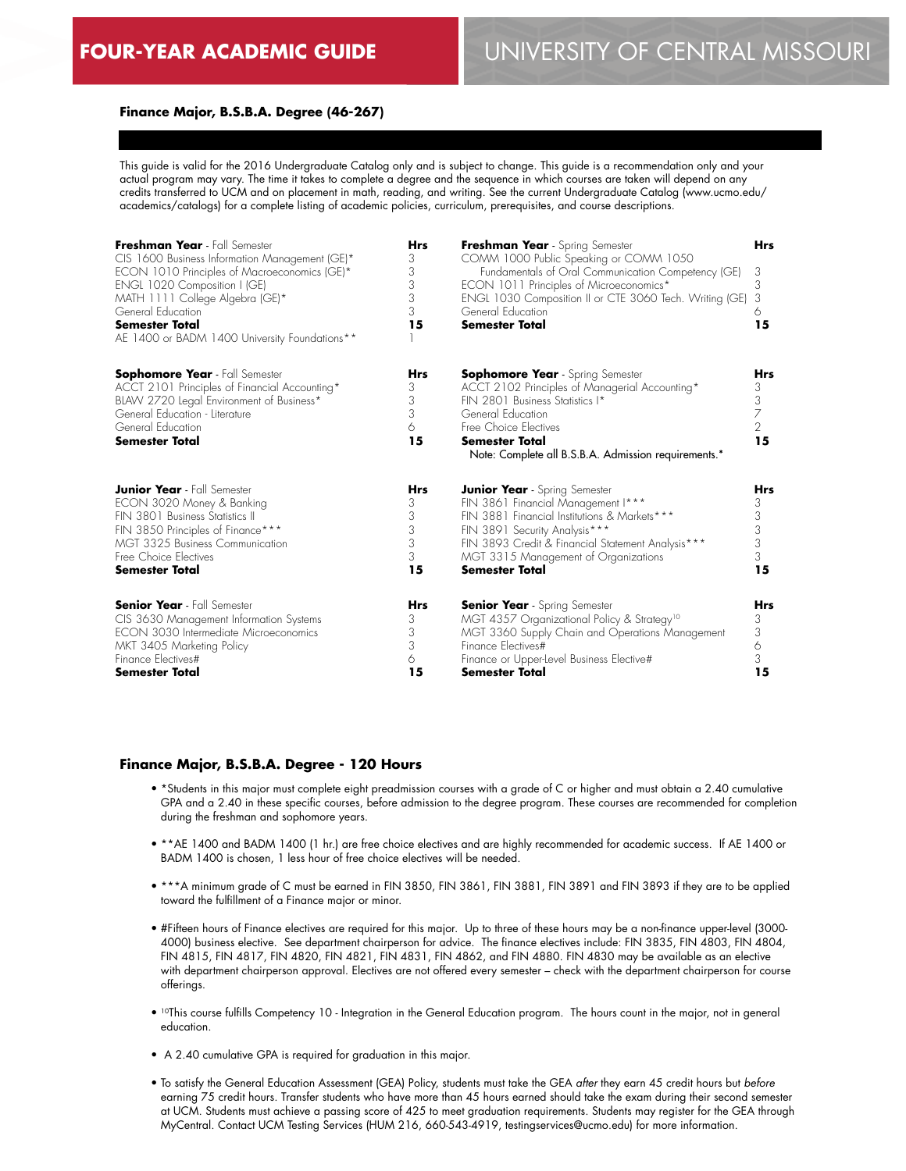## **Finance Major, B.S.B.A. Degree (46-267)**

This guide is valid for the 2016 Undergraduate Catalog only and is subject to change. This guide is a recommendation only and your actual program may vary. The time it takes to complete a degree and the sequence in which courses are taken will depend on any credits transferred to UCM and on placement in math, reading, and writing. See the current Undergraduate Catalog (www.ucmo.edu/ academics/catalogs) for a complete listing of academic policies, curriculum, prerequisites, and course descriptions.

| Freshman Year - Fall Semester<br>CIS 1600 Business Information Management (GE)*<br>ECON 1010 Principles of Macroeconomics (GE)*<br>ENGL 1020 Composition I (GE)<br>MATH 1111 College Algebra (GE)*<br>General Education<br><b>Semester Total</b><br>AE 1400 or BADM 1400 University Foundations** | Hrs<br>3<br>3<br>3<br>3<br>3<br>15 | Freshman Year - Spring Semester<br>COMM 1000 Public Speaking or COMM 1050<br>Fundamentals of Oral Communication Competency (GE)<br>ECON 1011 Principles of Microeconomics*<br>ENGL 1030 Composition II or CTE 3060 Tech. Writing (GE)<br>General Education<br><b>Semester Total</b> | <b>Hrs</b><br>3<br>3<br>3<br>6<br>15              |
|---------------------------------------------------------------------------------------------------------------------------------------------------------------------------------------------------------------------------------------------------------------------------------------------------|------------------------------------|-------------------------------------------------------------------------------------------------------------------------------------------------------------------------------------------------------------------------------------------------------------------------------------|---------------------------------------------------|
| <b>Sophomore Year</b> - Fall Semester<br>ACCT 2101 Principles of Financial Accounting*<br>BLAW 2720 Legal Environment of Business*<br>General Education - Literature<br>General Education<br>Semester Total                                                                                       | Hrs<br>3<br>3<br>3<br>6<br>15      | <b>Sophomore Year</b> - Spring Semester<br>ACCT 2102 Principles of Managerial Accounting*<br>FIN 2801 Business Statistics I*<br>General Education<br>Free Choice Electives<br>Semester Total<br>Note: Complete all B.S.B.A. Admission requirements.*                                | <b>Hrs</b><br>3<br>3<br>7<br>$\overline{2}$<br>15 |
| <b>Junior Year</b> - Fall Semester                                                                                                                                                                                                                                                                | Hrs                                | <b>Junior Year</b> - Spring Semester                                                                                                                                                                                                                                                | Hrs                                               |
| ECON 3020 Money & Banking                                                                                                                                                                                                                                                                         | 3                                  | FIN 3861 Financial Management I***                                                                                                                                                                                                                                                  | 3                                                 |
| FIN 3801 Business Statistics II                                                                                                                                                                                                                                                                   | 3                                  | FIN 3881 Financial Institutions & Markets ***                                                                                                                                                                                                                                       | 3                                                 |
| FIN 3850 Principles of Finance***                                                                                                                                                                                                                                                                 | 3                                  | FIN 3891 Security Analysis***                                                                                                                                                                                                                                                       | 3                                                 |
| MGT 3325 Business Communication                                                                                                                                                                                                                                                                   | 3                                  | FIN 3893 Credit & Financial Statement Analysis***                                                                                                                                                                                                                                   | 3                                                 |
| Free Choice Electives                                                                                                                                                                                                                                                                             | 3                                  | MGT 3315 Management of Organizations                                                                                                                                                                                                                                                | 3                                                 |
| <b>Semester Total</b>                                                                                                                                                                                                                                                                             | 15                                 | <b>Semester Total</b>                                                                                                                                                                                                                                                               | 15                                                |
| <b>Senior Year</b> - Fall Semester                                                                                                                                                                                                                                                                | <b>Hrs</b>                         | <b>Senior Year</b> - Spring Semester                                                                                                                                                                                                                                                | <b>Hrs</b>                                        |
| CIS 3630 Management Information Systems                                                                                                                                                                                                                                                           | 3                                  | MGT 4357 Organizational Policy & Strategy <sup>10</sup>                                                                                                                                                                                                                             | 3                                                 |
| <b>ECON 3030 Intermediate Microeconomics</b>                                                                                                                                                                                                                                                      | 3                                  | MGT 3360 Supply Chain and Operations Management                                                                                                                                                                                                                                     | 3                                                 |
| MKT 3405 Marketing Policy                                                                                                                                                                                                                                                                         | 3                                  | Finance Flectives#                                                                                                                                                                                                                                                                  | 6                                                 |
| Finance Electives#                                                                                                                                                                                                                                                                                | 6                                  | Finance or Upper-level Business Elective#                                                                                                                                                                                                                                           | 3                                                 |
| <b>Semester Total</b>                                                                                                                                                                                                                                                                             | 15                                 | Semester Total                                                                                                                                                                                                                                                                      | 15                                                |

#### **Finance Major, B.S.B.A. Degree - 120 Hours**

- \*Students in this major must complete eight preadmission courses with a grade of C or higher and must obtain a 2.40 cumulative GPA and a 2.40 in these specific courses, before admission to the degree program. These courses are recommended for completion during the freshman and sophomore years.
- \*\*AE 1400 and BADM 1400 (1 hr.) are free choice electives and are highly recommended for academic success. If AE 1400 or BADM 1400 is chosen, 1 less hour of free choice electives will be needed.
- \*\*\*A minimum grade of C must be earned in FIN 3850, FIN 3861, FIN 3881, FIN 3891 and FIN 3893 if they are to be applied toward the fulfillment of a Finance major or minor.
- #Fifteen hours of Finance electives are required for this major. Up to three of these hours may be a non-finance upper-level (3000- 4000) business elective. See department chairperson for advice. The finance electives include: FIN 3835, FIN 4803, FIN 4804, FIN 4815, FIN 4817, FIN 4820, FIN 4821, FIN 4831, FIN 4862, and FIN 4880. FIN 4830 may be available as an elective with department chairperson approval. Electives are not offered every semester – check with the department chairperson for course offerings.
- 10This course fulfills Competency 10 Integration in the General Education program. The hours count in the major, not in general education.
- A 2.40 cumulative GPA is required for graduation in this major.
- To satisfy the General Education Assessment (GEA) Policy, students must take the GEA *after* they earn 45 credit hours but *before* earning 75 credit hours. Transfer students who have more than 45 hours earned should take the exam during their second semester at UCM. Students must achieve a passing score of 425 to meet graduation requirements. Students may register for the GEA through MyCentral. Contact UCM Testing Services (HUM 216, 660-543-4919, testingservices@ucmo.edu) for more information.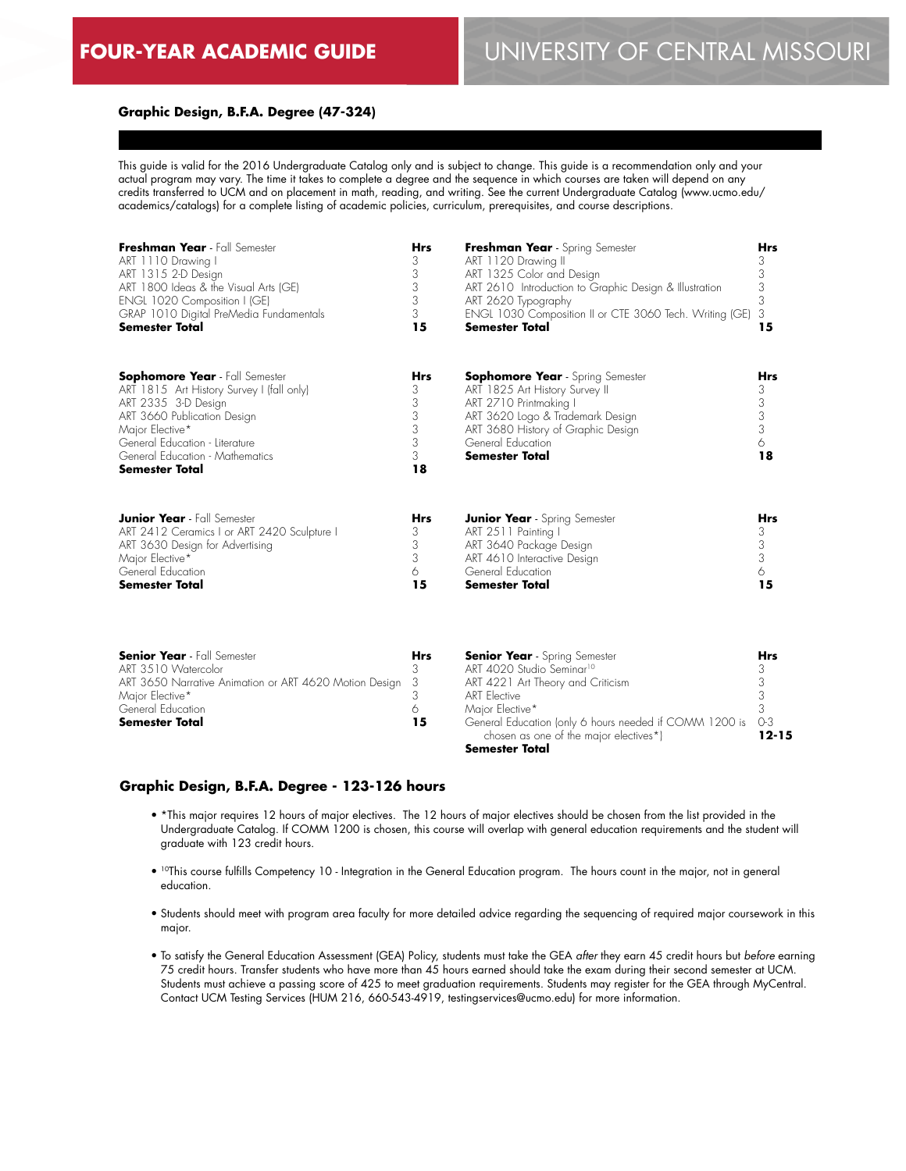## **Graphic Design, B.F.A. Degree (47-324)**

This guide is valid for the 2016 Undergraduate Catalog only and is subject to change. This guide is a recommendation only and your actual program may vary. The time it takes to complete a degree and the sequence in which courses are taken will depend on any credits transferred to UCM and on placement in math, reading, and writing. See the current Undergraduate Catalog (www.ucmo.edu/ academics/catalogs) for a complete listing of academic policies, curriculum, prerequisites, and course descriptions.

| Freshman Year - Fall Semester<br>ART 1110 Drawing I<br>ART 1315 2-D Design<br>ART 1800 Ideas & the Visual Arts (GE)<br>ENGL 1020 Composition I (GE)<br>GRAP 1010 Digital PreMedia Fundamentals<br><b>Semester Total</b>                                   | <b>Hrs</b><br>3<br>3<br>3<br>3<br>3<br>15                                       | Freshman Year - Spring Semester<br>ART 1120 Drawing II<br>ART 1325 Color and Design<br>ART 2610 Introduction to Graphic Design & Illustration<br>ART 2620 Typography<br>ENGL 1030 Composition II or CTE 3060 Tech. Writing (GE)<br><b>Semester Total</b> | <b>Hrs</b><br>3<br>3<br>3<br>3<br>3<br>15                      |
|-----------------------------------------------------------------------------------------------------------------------------------------------------------------------------------------------------------------------------------------------------------|---------------------------------------------------------------------------------|----------------------------------------------------------------------------------------------------------------------------------------------------------------------------------------------------------------------------------------------------------|----------------------------------------------------------------|
| <b>Sophomore Year</b> - Fall Semester<br>ART 1815 Art History Survey I (fall only)<br>ART 2335 3-D Design<br>ART 3660 Publication Design<br>Major Elective*<br>General Education - Literature<br>General Education - Mathematics<br><b>Semester Total</b> | <b>Hrs</b><br>$\frac{3}{3}$<br>$\begin{array}{c} 3 \\ 3 \end{array}$<br>3<br>18 | <b>Sophomore Year</b> - Spring Semester<br>ART 1825 Art History Survey II<br>ART 2710 Printmaking I<br>ART 3620 Logo & Trademark Design<br>ART 3680 History of Graphic Design<br>General Education<br><b>Semester Total</b>                              | Hrs<br>$\begin{array}{c} 3 \\ 3 \\ 3 \end{array}$<br>6<br>18   |
| <b>Junior Year</b> - Fall Semester<br>ART 2412 Ceramics I or ART 2420 Sculpture I<br>ART 3630 Design for Advertising<br>Major Elective*<br>General Education<br><b>Semester Total</b>                                                                     | <b>Hrs</b><br>3<br>3<br>3<br>6<br>15                                            | <b>Junior Year</b> - Spring Semester<br>ART 2511 Painting I<br>ART 3640 Package Design<br>ART 4610 Interactive Design<br>General Education<br><b>Semester Total</b>                                                                                      | <b>Hrs</b><br>$\begin{array}{c} 3 \\ 3 \end{array}$<br>6<br>15 |

| <b>Senior Year</b> - Fall Semester                       | <b>Hrs</b> | <b>Senior Year</b> - Spring Semester                                                                 | Hrs       |
|----------------------------------------------------------|------------|------------------------------------------------------------------------------------------------------|-----------|
| ART 3510 Watercolor                                      |            | ART 4020 Studio Seminar <sup>10</sup>                                                                |           |
| ART 3650 Narrative Animation or ART 4620 Motion Design 3 |            | ART 4221 Art Theory and Criticism                                                                    |           |
| Major Elective*                                          |            | ART Elective                                                                                         |           |
| General Education                                        |            | Maior Elective*                                                                                      |           |
| <b>Semester Total</b>                                    | 15         | General Education (only 6 hours needed if COMM 1200 is 0-3<br>chosen as one of the major electives*) | $12 - 15$ |
|                                                          |            | <b>Semester Total</b>                                                                                |           |

#### **Graphic Design, B.F.A. Degree - 123-126 hours**

- \*This major requires 12 hours of major electives. The 12 hours of major electives should be chosen from the list provided in the Undergraduate Catalog. If COMM 1200 is chosen, this course will overlap with general education requirements and the student will graduate with 123 credit hours.
- 10This course fulfills Competency 10 Integration in the General Education program. The hours count in the major, not in general education.
- Students should meet with program area faculty for more detailed advice regarding the sequencing of required major coursework in this major.
- To satisfy the General Education Assessment (GEA) Policy, students must take the GEA *after* they earn 45 credit hours but *before* earning 75 credit hours. Transfer students who have more than 45 hours earned should take the exam during their second semester at UCM. Students must achieve a passing score of 425 to meet graduation requirements. Students may register for the GEA through MyCentral. Contact UCM Testing Services (HUM 216, 660-543-4919, testingservices@ucmo.edu) for more information.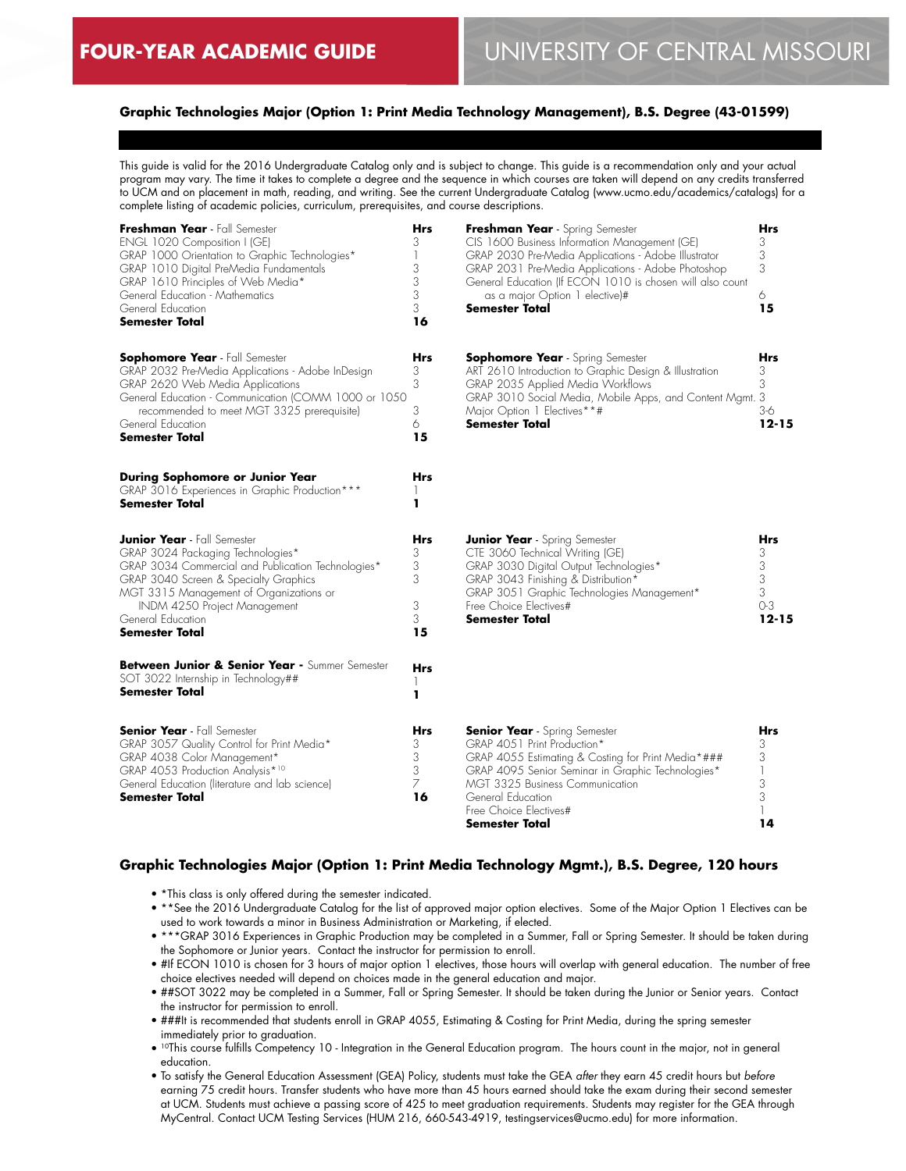# **Graphic Technologies Major (Option 1: Print Media Technology Management), B.S. Degree (43-01599)**

This guide is valid for the 2016 Undergraduate Catalog only and is subject to change. This guide is a recommendation only and your actual program may vary. The time it takes to complete a degree and the sequence in which courses are taken will depend on any credits transferred to UCM and on placement in math, reading, and writing. See the current Undergraduate Catalog (www.ucmo.edu/academics/catalogs) for a complete listing of academic policies, curriculum, prerequisites, and course descriptions.

| Freshman Year - Fall Semester<br>ENGL 1020 Composition I (GE)<br>GRAP 1000 Orientation to Graphic Technologies*<br>GRAP 1010 Digital PreMedia Fundamentals<br>GRAP 1610 Principles of Web Media*<br>General Education - Mathematics<br>General Education<br>Semester Total                                                                        | <b>Hrs</b><br>3<br>3<br>3<br>3<br>3<br>16        | Freshman Year - Spring Semester<br>CIS 1600 Business Information Management (GE)<br>GRAP 2030 Pre-Media Applications - Adobe Illustrator<br>GRAP 2031 Pre-Media Applications - Adobe Photoshop<br>General Education (If ECON 1010 is chosen will also count<br>as a major Option 1 elective)#<br><b>Semester Total</b> | <b>Hrs</b><br>3<br>3<br>3<br>6<br>15                 |
|---------------------------------------------------------------------------------------------------------------------------------------------------------------------------------------------------------------------------------------------------------------------------------------------------------------------------------------------------|--------------------------------------------------|------------------------------------------------------------------------------------------------------------------------------------------------------------------------------------------------------------------------------------------------------------------------------------------------------------------------|------------------------------------------------------|
| <b>Sophomore Year</b> - Fall Semester<br>GRAP 2032 Pre-Media Applications - Adobe InDesign<br>GRAP 2620 Web Media Applications<br>General Education - Communication (COMM 1000 or 1050<br>recommended to meet MGT 3325 prerequisite)<br>General Education<br>Semester Total                                                                       | Hrs<br>3<br>3<br>3<br>6<br>15                    | <b>Sophomore Year</b> - Spring Semester<br>ART 2610 Introduction to Graphic Design & Illustration<br>GRAP 2035 Applied Media Workflows<br>GRAP 3010 Social Media, Mobile Apps, and Content Mgmt. 3<br>Major Option 1 Electives**#<br><b>Semester Total</b>                                                             | <b>Hrs</b><br>3<br>3<br>$3-6$<br>$12 - 15$           |
| During Sophomore or Junior Year<br>GRAP 3016 Experiences in Graphic Production***<br><b>Semester Total</b>                                                                                                                                                                                                                                        | Hrs<br>ı                                         |                                                                                                                                                                                                                                                                                                                        |                                                      |
| <b>Junior Year</b> - Fall Semester<br>GRAP 3024 Packaging Technologies*<br>GRAP 3034 Commercial and Publication Technologies*<br>GRAP 3040 Screen & Specialty Graphics<br>MGT 3315 Management of Organizations or<br>INDM 4250 Project Management<br>General Education<br><b>Semester Total</b><br>Between Junior & Senior Year - Summer Semester | Hrs<br>3<br>3<br>3<br>3<br>3<br>15<br><b>Hrs</b> | <b>Junior Year</b> - Spring Semester<br>CTE 3060 Technical Writing (GE)<br>GRAP 3030 Digital Output Technologies*<br>GRAP 3043 Finishing & Distribution*<br>GRAP 3051 Graphic Technologies Management*<br>Free Choice Electives#<br><b>Semester Total</b>                                                              | <b>Hrs</b><br>3<br>3<br>3<br>3<br>$O-3$<br>$12 - 15$ |
| SOT 3022 Internship in Technology##<br>Semester Total                                                                                                                                                                                                                                                                                             | ı                                                |                                                                                                                                                                                                                                                                                                                        |                                                      |
| <b>Senior Year</b> - Fall Semester<br>GRAP 3057 Quality Control for Print Media*<br>GRAP 4038 Color Management*<br>GRAP 4053 Production Analysis*10<br>General Education (literature and lab science)<br>Semester Total                                                                                                                           | Hrs<br>3<br>3<br>3<br>7<br>16                    | <b>Senior Year</b> - Spring Semester<br>GRAP 4051 Print Production*<br>GRAP 4055 Estimating & Costing for Print Media*###<br>GRAP 4095 Senior Seminar in Graphic Technologies*<br>MGT 3325 Business Communication<br>General Education<br>Free Choice Electives#<br>Semester Total                                     | <b>Hrs</b><br>3<br>3<br>1<br>3<br>3<br>1<br>14       |

# **Graphic Technologies Major (Option 1: Print Media Technology Mgmt.), B.S. Degree, 120 hours**

- \*This class is only offered during the semester indicated.
- \*\*See the 2016 Undergraduate Catalog for the list of approved major option electives. Some of the Major Option 1 Electives can be used to work towards a minor in Business Administration or Marketing, if elected.
- \*\*\*GRAP 3016 Experiences in Graphic Production may be completed in a Summer, Fall or Spring Semester. It should be taken during the Sophomore or Junior years. Contact the instructor for permission to enroll.
- #If ECON 1010 is chosen for 3 hours of major option 1 electives, those hours will overlap with general education. The number of free choice electives needed will depend on choices made in the general education and major.
- ##SOT 3022 may be completed in a Summer, Fall or Spring Semester. It should be taken during the Junior or Senior years. Contact the instructor for permission to enroll.
- ###It is recommended that students enroll in GRAP 4055, Estimating & Costing for Print Media, during the spring semester immediately prior to graduation.
- 10This course fulfills Competency 10 Integration in the General Education program. The hours count in the major, not in general education.
- To satisfy the General Education Assessment (GEA) Policy, students must take the GEA *after* they earn 45 credit hours but *before* earning 75 credit hours. Transfer students who have more than 45 hours earned should take the exam during their second semester at UCM. Students must achieve a passing score of 425 to meet graduation requirements. Students may register for the GEA through MyCentral. Contact UCM Testing Services (HUM 216, 660-543-4919, testingservices@ucmo.edu) for more information.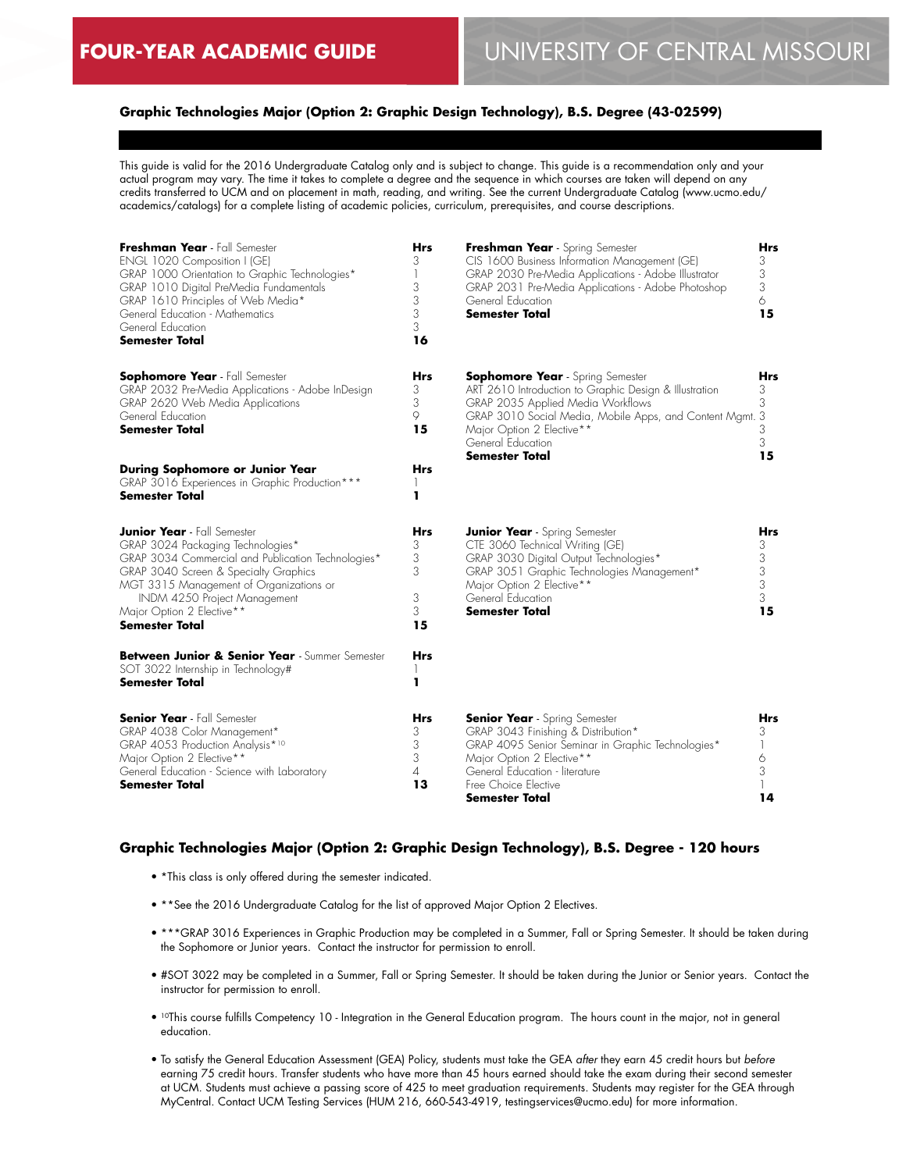# **Graphic Technologies Major (Option 2: Graphic Design Technology), B.S. Degree (43-02599)**

This guide is valid for the 2016 Undergraduate Catalog only and is subject to change. This guide is a recommendation only and your actual program may vary. The time it takes to complete a degree and the sequence in which courses are taken will depend on any credits transferred to UCM and on placement in math, reading, and writing. See the current Undergraduate Catalog (www.ucmo.edu/ academics/catalogs) for a complete listing of academic policies, curriculum, prerequisites, and course descriptions.

| Freshman Year - Fall Semester<br>ENGL 1020 Composition I (GE)<br>GRAP 1000 Orientation to Graphic Technologies*<br>GRAP 1010 Digital PreMedia Fundamentals<br>GRAP 1610 Principles of Web Media*<br>General Education - Mathematics<br>General Education<br><b>Semester Total</b>                       | <b>Hrs</b><br>3<br>1<br>3<br>3<br>3<br>3<br>16 | Freshman Year - Spring Semester<br>CIS 1600 Business Information Management (GE)<br>GRAP 2030 Pre-Media Applications - Adobe Illustrator<br>GRAP 2031 Pre-Media Applications - Adobe Photoshop<br>General Education<br>Semester Total                                  | Hrs<br>3<br>3<br>3<br>6<br>15        |
|---------------------------------------------------------------------------------------------------------------------------------------------------------------------------------------------------------------------------------------------------------------------------------------------------------|------------------------------------------------|------------------------------------------------------------------------------------------------------------------------------------------------------------------------------------------------------------------------------------------------------------------------|--------------------------------------|
| <b>Sophomore Year</b> - Fall Semester<br>GRAP 2032 Pre-Media Applications - Adobe InDesign<br>GRAP 2620 Web Media Applications<br>General Education<br><b>Semester Total</b>                                                                                                                            | <b>Hrs</b><br>3<br>3<br>9<br>15                | <b>Sophomore Year</b> - Spring Semester<br>ART 2610 Introduction to Graphic Design & Illustration<br>GRAP 2035 Applied Media Workflows<br>GRAP 3010 Social Media, Mobile Apps, and Content Mgmt. 3<br>Major Option 2 Elective**<br>General Education<br>Semester Total | Hrs<br>3<br>3<br>3<br>3<br>15        |
| <b>During Sophomore or Junior Year</b><br>GRAP 3016 Experiences in Graphic Production***<br>Semester Total                                                                                                                                                                                              | Hrs<br>H<br>ı                                  |                                                                                                                                                                                                                                                                        |                                      |
| <b>Junior Year</b> - Fall Semester<br>GRAP 3024 Packaging Technologies*<br>GRAP 3034 Commercial and Publication Technologies*<br>GRAP 3040 Screen & Specialty Graphics<br>MGT 3315 Management of Organizations or<br>INDM 4250 Project Management<br>Major Option 2 Elective**<br><b>Semester Total</b> | Hrs<br>3<br>3<br>3<br>3<br>3<br>15             | <b>Junior Year</b> - Spring Semester<br>CTE 3060 Technical Writing (GE)<br>GRAP 3030 Digital Output Technologies*<br>GRAP 3051 Graphic Technologies Management*<br>Major Option 2 Elective**<br>General Education<br>Semester Total                                    | Hrs<br>3<br>3<br>3<br>3<br>3<br>15   |
| Between Junior & Senior Year - Summer Semester<br>SOT 3022 Internship in Technology#<br>Semester Total                                                                                                                                                                                                  | Hrs<br>1<br>ı                                  |                                                                                                                                                                                                                                                                        |                                      |
| <b>Senior Year</b> - Fall Semester<br>GRAP 4038 Color Management*<br>GRAP 4053 Production Analysis*10<br>Major Option 2 Elective**<br>General Education - Science with Laboratory<br><b>Semester Total</b>                                                                                              | Hrs<br>3<br>3<br>3<br>4<br>13                  | <b>Senior Year</b> - Spring Semester<br>GRAP 3043 Finishing & Distribution*<br>GRAP 4095 Senior Seminar in Graphic Technologies*<br>Major Option 2 Elective**<br>General Education - literature<br>Free Choice Elective<br>Semester Total                              | <b>Hrs</b><br>3<br>1<br>6<br>3<br>14 |

## **Graphic Technologies Major (Option 2: Graphic Design Technology), B.S. Degree - 120 hours**

- \*This class is only offered during the semester indicated.
- \*\*See the 2016 Undergraduate Catalog for the list of approved Major Option 2 Electives.
- \*\*\*GRAP 3016 Experiences in Graphic Production may be completed in a Summer, Fall or Spring Semester. It should be taken during the Sophomore or Junior years. Contact the instructor for permission to enroll.
- #SOT 3022 may be completed in a Summer, Fall or Spring Semester. It should be taken during the Junior or Senior years. Contact the instructor for permission to enroll.
- 10This course fulfills Competency 10 Integration in the General Education program. The hours count in the major, not in general education.
- To satisfy the General Education Assessment (GEA) Policy, students must take the GEA *after* they earn 45 credit hours but *before* earning 75 credit hours. Transfer students who have more than 45 hours earned should take the exam during their second semester at UCM. Students must achieve a passing score of 425 to meet graduation requirements. Students may register for the GEA through MyCentral. Contact UCM Testing Services (HUM 216, 660-543-4919, testingservices@ucmo.edu) for more information.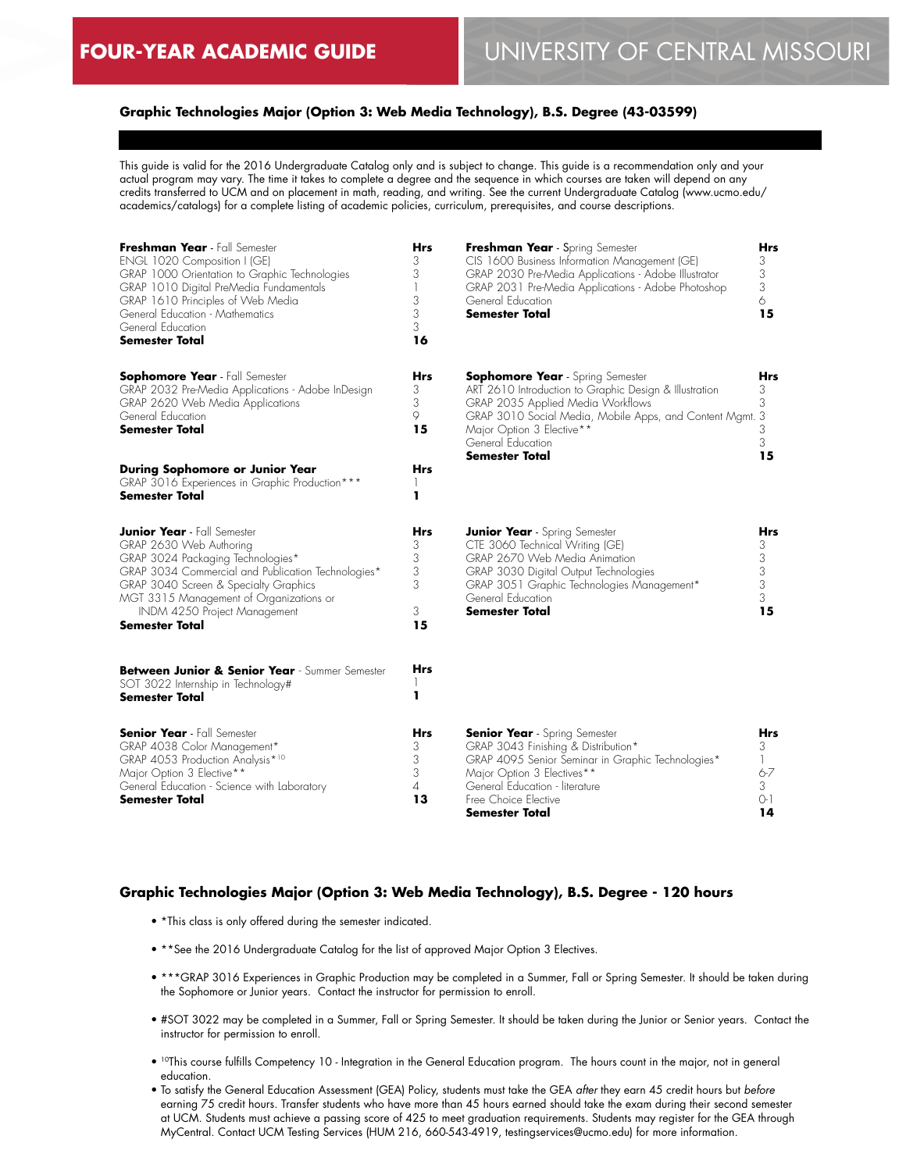# **Graphic Technologies Major (Option 3: Web Media Technology), B.S. Degree (43-03599)**

This guide is valid for the 2016 Undergraduate Catalog only and is subject to change. This guide is a recommendation only and your actual program may vary. The time it takes to complete a degree and the sequence in which courses are taken will depend on any credits transferred to UCM and on placement in math, reading, and writing. See the current Undergraduate Catalog (www.ucmo.edu/ academics/catalogs) for a complete listing of academic policies, curriculum, prerequisites, and course descriptions.

| Freshman Year - Fall Semester<br>ENGL 1020 Composition I (GE)<br>GRAP 1000 Orientation to Graphic Technologies<br>GRAP 1010 Digital PreMedia Fundamentals<br>GRAP 1610 Principles of Web Media<br>General Education - Mathematics<br>General Education<br><b>Semester Total</b>                | Hrs<br>3<br>3<br>1<br>3<br>3<br>3<br>16    | Freshman Year - Spring Semester<br>CIS 1600 Business Information Management (GE)<br>GRAP 2030 Pre-Media Applications - Adobe Illustrator<br>GRAP 2031 Pre-Media Applications - Adobe Photoshop<br>General Education<br><b>Semester Total</b>                                  | Hrs<br>3<br>3<br>3<br>6<br>15                                |
|------------------------------------------------------------------------------------------------------------------------------------------------------------------------------------------------------------------------------------------------------------------------------------------------|--------------------------------------------|-------------------------------------------------------------------------------------------------------------------------------------------------------------------------------------------------------------------------------------------------------------------------------|--------------------------------------------------------------|
| <b>Sophomore Year</b> - Fall Semester<br>GRAP 2032 Pre-Media Applications - Adobe InDesign<br>GRAP 2620 Web Media Applications<br>General Education<br><b>Semester Total</b>                                                                                                                   | Hrs<br>3<br>3<br>9<br>15                   | <b>Sophomore Year</b> - Spring Semester<br>ART 2610 Introduction to Graphic Design & Illustration<br>GRAP 2035 Applied Media Workflows<br>GRAP 3010 Social Media, Mobile Apps, and Content Mgmt. 3<br>Major Option 3 Elective**<br>General Education<br><b>Semester Total</b> | Hrs<br>3<br>3<br>3<br>3<br>15                                |
| During Sophomore or Junior Year<br>GRAP 3016 Experiences in Graphic Production***<br>Semester Total                                                                                                                                                                                            | Hrs<br>ı                                   |                                                                                                                                                                                                                                                                               |                                                              |
| <b>Junior Year</b> - Fall Semester<br>GRAP 2630 Web Authoring<br>GRAP 3024 Packaging Technologies*<br>GRAP 3034 Commercial and Publication Technologies*<br>GRAP 3040 Screen & Specialty Graphics<br>MGT 3315 Management of Organizations or<br>INDM 4250 Project Management<br>Semester Total | Hrs<br>3<br>3<br>3<br>3<br>3<br>15         | <b>Junior Year</b> - Spring Semester<br>CTE 3060 Technical Writing (GE)<br>GRAP 2670 Web Media Animation<br>GRAP 3030 Digital Output Technologies<br>GRAP 3051 Graphic Technologies Management*<br>General Education<br>Semester Total                                        | Hrs<br>3<br>$\begin{array}{c} 3 \\ 3 \\ 3 \end{array}$<br>15 |
| Between Junior & Senior Year - Summer Semester<br>SOT 3022 Internship in Technology#<br>Semester Total                                                                                                                                                                                         | Hrs<br>ı                                   |                                                                                                                                                                                                                                                                               |                                                              |
| <b>Senior Year</b> - Fall Semester<br>GRAP 4038 Color Management*<br>GRAP 4053 Production Analysis*10<br>Major Option 3 Elective**<br>General Education - Science with Laboratory<br>Semester Total                                                                                            | Hrs<br>3<br>3<br>3<br>$\overline{A}$<br>13 | <b>Senior Year</b> - Spring Semester<br>GRAP 3043 Finishing & Distribution*<br>GRAP 4095 Senior Seminar in Graphic Technologies*<br>Major Option 3 Electives**<br>General Education - literature<br>Free Choice Elective<br>Semester Total                                    | Hrs<br>3<br>1<br>$6 - 7$<br>3<br>$O-1$<br>14                 |

#### **Graphic Technologies Major (Option 3: Web Media Technology), B.S. Degree - 120 hours**

- \*This class is only offered during the semester indicated.
- \*\* See the 2016 Undergraduate Catalog for the list of approved Major Option 3 Electives.
- \*\*\*GRAP 3016 Experiences in Graphic Production may be completed in a Summer, Fall or Spring Semester. It should be taken during the Sophomore or Junior years. Contact the instructor for permission to enroll.
- #SOT 3022 may be completed in a Summer, Fall or Spring Semester. It should be taken during the Junior or Senior years. Contact the instructor for permission to enroll.
- 10This course fulfills Competency 10 Integration in the General Education program. The hours count in the major, not in general education.
- To satisfy the General Education Assessment (GEA) Policy, students must take the GEA *after* they earn 45 credit hours but *before* earning 75 credit hours. Transfer students who have more than 45 hours earned should take the exam during their second semester at UCM. Students must achieve a passing score of 425 to meet graduation requirements. Students may register for the GEA through MyCentral. Contact UCM Testing Services (HUM 216, 660-543-4919, testingservices@ucmo.edu) for more information.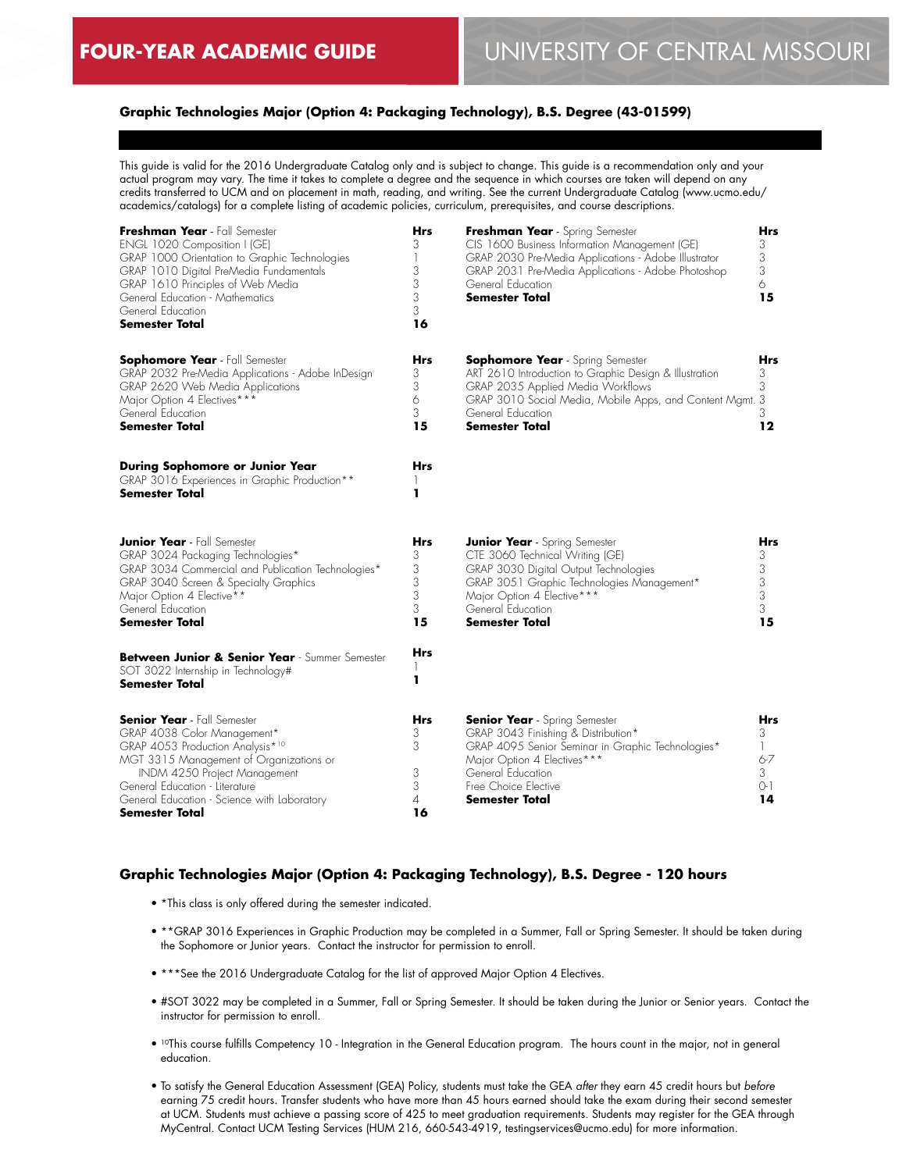# **Graphic Technologies Major (Option 4: Packaging Technology), B.S. Degree (43-01599)**

This guide is valid for the 2016 Undergraduate Catalog only and is subject to change. This guide is a recommendation only and your actual program may vary. The time it takes to complete a degree and the sequence in which courses are taken will depend on any credits transferred to UCM and on placement in math, reading, and writing. See the current Undergraduate Catalog (www.ucmo.edu/ academics/catalogs) for a complete listing of academic policies, curriculum, prerequisites, and course descriptions.

| Freshman Year - Fall Semester<br>ENGL 1020 Composition I (GE)<br>GRAP 1000 Orientation to Graphic Technologies<br>GRAP 1010 Digital PreMedia Fundamentals<br>GRAP 1610 Principles of Web Media<br>General Education - Mathematics<br>General Education<br><b>Semester Total</b>     | <b>Hrs</b><br>3<br>3<br>3<br>3<br>3<br>16 | Freshman Year - Spring Semester<br>CIS 1600 Business Information Management (GE)<br>GRAP 2030 Pre-Media Applications - Adobe Illustrator<br>GRAP 2031 Pre-Media Applications - Adobe Photoshop<br>General Education<br><b>Semester Total</b>     | Hrs<br>3<br>3<br>3<br>6<br>15              |
|-------------------------------------------------------------------------------------------------------------------------------------------------------------------------------------------------------------------------------------------------------------------------------------|-------------------------------------------|--------------------------------------------------------------------------------------------------------------------------------------------------------------------------------------------------------------------------------------------------|--------------------------------------------|
| <b>Sophomore Year</b> - Fall Semester<br>GRAP 2032 Pre-Media Applications - Adobe InDesign<br>GRAP 2620 Web Media Applications<br>Major Option 4 Electives***<br>General Education<br><b>Semester Total</b>                                                                         | <b>Hrs</b><br>3<br>3<br>6<br>3<br>15      | <b>Sophomore Year</b> - Spring Semester<br>ART 2610 Introduction to Graphic Design & Illustration<br>GRAP 2035 Applied Media Workflows<br>GRAP 3010 Social Media, Mobile Apps, and Content Mgmt. 3<br>General Education<br><b>Semester Total</b> | Hrs<br>3<br>3<br>3<br>12                   |
| During Sophomore or Junior Year<br>GRAP 3016 Experiences in Graphic Production**<br><b>Semester Total</b>                                                                                                                                                                           | <b>Hrs</b><br>ı                           |                                                                                                                                                                                                                                                  |                                            |
| <b>Junior Year</b> - Fall Semester<br>GRAP 3024 Packaging Technologies*<br>GRAP 3034 Commercial and Publication Technologies*<br>GRAP 3040 Screen & Specialty Graphics<br>Major Option 4 Elective**<br>General Education<br><b>Semester Total</b>                                   | Hrs<br>3<br>3<br>3<br>3<br>3<br>15        | <b>Junior Year</b> - Spring Semester<br>CTE 3060 Technical Writing (GE)<br>GRAP 3030 Digital Output Technologies<br>GRAP 3051 Graphic Technologies Management*<br>Major Option 4 Elective***<br>General Education<br><b>Semester Total</b>       | Hrs<br>3<br>3<br>3<br>3<br>3<br>15         |
| Between Junior & Senior Year - Summer Semester<br>SOT 3022 Internship in Technology#<br>Semester Total                                                                                                                                                                              | Hrs<br>ı                                  |                                                                                                                                                                                                                                                  |                                            |
| <b>Senior Year</b> - Fall Semester<br>GRAP 4038 Color Management*<br>GRAP 4053 Production Analysis*10<br>MGT 3315 Management of Organizations or<br>INDM 4250 Project Management<br>General Education - Literature<br>General Education - Science with Laboratory<br>Semester Total | <b>Hrs</b><br>3<br>3<br>3<br>3<br>4<br>16 | <b>Senior Year</b> - Spring Semester<br>GRAP 3043 Finishing & Distribution*<br>GRAP 4095 Senior Seminar in Graphic Technologies*<br>Major Option 4 Electives***<br>General Education<br>Free Choice Elective<br>Semester Total                   | Hrs<br>3<br>1<br>$6 - 7$<br>3<br>0-1<br>14 |

#### **Graphic Technologies Major (Option 4: Packaging Technology), B.S. Degree - 120 hours**

- \*This class is only offered during the semester indicated.
- \*\*GRAP 3016 Experiences in Graphic Production may be completed in a Summer, Fall or Spring Semester. It should be taken during the Sophomore or Junior years. Contact the instructor for permission to enroll.
- \*\*\*See the 2016 Undergraduate Catalog for the list of approved Major Option 4 Electives.
- #SOT 3022 may be completed in a Summer, Fall or Spring Semester. It should be taken during the Junior or Senior years. Contact the instructor for permission to enroll.
- <sup>10</sup>This course fulfills Competency 10 Integration in the General Education program. The hours count in the major, not in general education.
- To satisfy the General Education Assessment (GEA) Policy, students must take the GEA *after* they earn 45 credit hours but *before* earning 75 credit hours. Transfer students who have more than 45 hours earned should take the exam during their second semester at UCM. Students must achieve a passing score of 425 to meet graduation requirements. Students may register for the GEA through MyCentral. Contact UCM Testing Services (HUM 216, 660-543-4919, testingservices@ucmo.edu) for more information.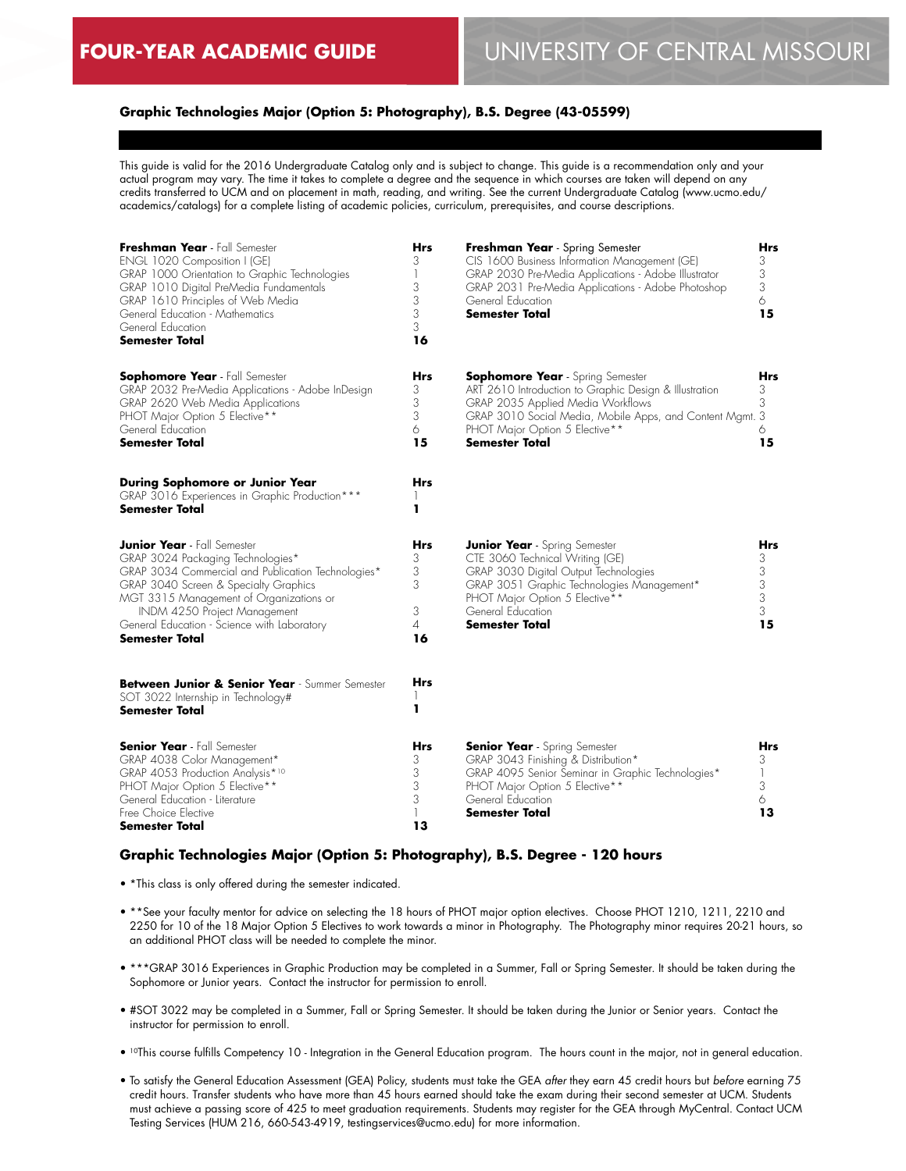# **Graphic Technologies Major (Option 5: Photography), B.S. Degree (43-05599)**

This guide is valid for the 2016 Undergraduate Catalog only and is subject to change. This guide is a recommendation only and your actual program may vary. The time it takes to complete a degree and the sequence in which courses are taken will depend on any credits transferred to UCM and on placement in math, reading, and writing. See the current Undergraduate Catalog (www.ucmo.edu/ academics/catalogs) for a complete listing of academic policies, curriculum, prerequisites, and course descriptions.

| Freshman Year - Fall Semester<br>ENGL 1020 Composition I (GE)<br>GRAP 1000 Orientation to Graphic Technologies<br>GRAP 1010 Digital PreMedia Fundamentals<br>GRAP 1610 Principles of Web Media<br>General Education - Mathematics<br>General Education<br><b>Semester Total</b>                                    | <b>Hrs</b><br>3<br>3<br>3<br>3<br>3<br>16 | Freshman Year - Spring Semester<br>CIS 1600 Business Information Management (GE)<br>GRAP 2030 Pre-Media Applications - Adobe Illustrator<br>GRAP 2031 Pre-Media Applications - Adobe Photoshop<br>General Education<br><b>Semester Total</b>           | Hrs<br>3<br>3<br>3<br>6<br>15      |
|--------------------------------------------------------------------------------------------------------------------------------------------------------------------------------------------------------------------------------------------------------------------------------------------------------------------|-------------------------------------------|--------------------------------------------------------------------------------------------------------------------------------------------------------------------------------------------------------------------------------------------------------|------------------------------------|
| <b>Sophomore Year</b> - Fall Semester<br>GRAP 2032 Pre-Media Applications - Adobe InDesign<br>GRAP 2620 Web Media Applications<br>PHOT Major Option 5 Elective**<br>General Education<br>Semester Total                                                                                                            | Hrs<br>3<br>3<br>3<br>6<br>15             | <b>Sophomore Year</b> - Spring Semester<br>ART 2610 Introduction to Graphic Design & Illustration<br>GRAP 2035 Applied Media Workflows<br>GRAP 3010 Social Media, Mobile Apps, and Content Mgmt. 3<br>PHOT Major Option 5 Elective**<br>Semester Total | Hrs<br>3<br>3<br>6<br>15           |
| During Sophomore or Junior Year<br>GRAP 3016 Experiences in Graphic Production***<br>Semester Total                                                                                                                                                                                                                | <b>Hrs</b><br>ı                           |                                                                                                                                                                                                                                                        |                                    |
| <b>Junior Year</b> - Fall Semester<br>GRAP 3024 Packaging Technologies*<br>GRAP 3034 Commercial and Publication Technologies*<br>GRAP 3040 Screen & Specialty Graphics<br>MGT 3315 Management of Organizations or<br>INDM 4250 Project Management<br>General Education - Science with Laboratory<br>Semester Total | Hrs<br>3<br>3<br>3<br>3<br>4<br>16        | <b>Junior Year</b> - Spring Semester<br>CTE 3060 Technical Writing (GE)<br>GRAP 3030 Digital Output Technologies<br>GRAP 3051 Graphic Technologies Management*<br>PHOT Major Option 5 Elective**<br>General Education<br>Semester Total                | Hrs<br>3<br>3<br>3<br>3<br>3<br>15 |
| Between Junior & Senior Year - Summer Semester<br>SOT 3022 Internship in Technology#<br>Semester Total                                                                                                                                                                                                             | Hrs<br>ı                                  |                                                                                                                                                                                                                                                        |                                    |
| <b>Senior Year</b> - Fall Semester<br>GRAP 4038 Color Management*<br>GRAP 4053 Production Analysis*10<br>PHOT Major Option 5 Elective**<br>General Education - Literature<br>Free Choice Elective<br>Semester Total                                                                                                | Hrs<br>3<br>3<br>3<br>3<br>1<br>13        | <b>Senior Year</b> - Spring Semester<br>GRAP 3043 Finishing & Distribution*<br>GRAP 4095 Senior Seminar in Graphic Technologies*<br>PHOT Major Option 5 Elective**<br>General Education<br>Semester Total                                              | Hrs<br>3<br>1<br>3<br>6<br>13      |

# **Graphic Technologies Major (Option 5: Photography), B.S. Degree - 120 hours**

- \*This class is only offered during the semester indicated.
- \*\*See your faculty mentor for advice on selecting the 18 hours of PHOT major option electives. Choose PHOT 1210, 1211, 2210 and 2250 for 10 of the 18 Major Option 5 Electives to work towards a minor in Photography. The Photography minor requires 20-21 hours, so an additional PHOT class will be needed to complete the minor.
- \*\*\*GRAP 3016 Experiences in Graphic Production may be completed in a Summer, Fall or Spring Semester. It should be taken during the Sophomore or Junior years. Contact the instructor for permission to enroll.
- #SOT 3022 may be completed in a Summer, Fall or Spring Semester. It should be taken during the Junior or Senior years. Contact the instructor for permission to enroll.
- 10This course fulfills Competency 10 Integration in the General Education program. The hours count in the major, not in general education.
- To satisfy the General Education Assessment (GEA) Policy, students must take the GEA *after* they earn 45 credit hours but *before* earning 75 credit hours. Transfer students who have more than 45 hours earned should take the exam during their second semester at UCM. Students must achieve a passing score of 425 to meet graduation requirements. Students may register for the GEA through MyCentral. Contact UCM Testing Services (HUM 216, 660-543-4919, testingservices@ucmo.edu) for more information.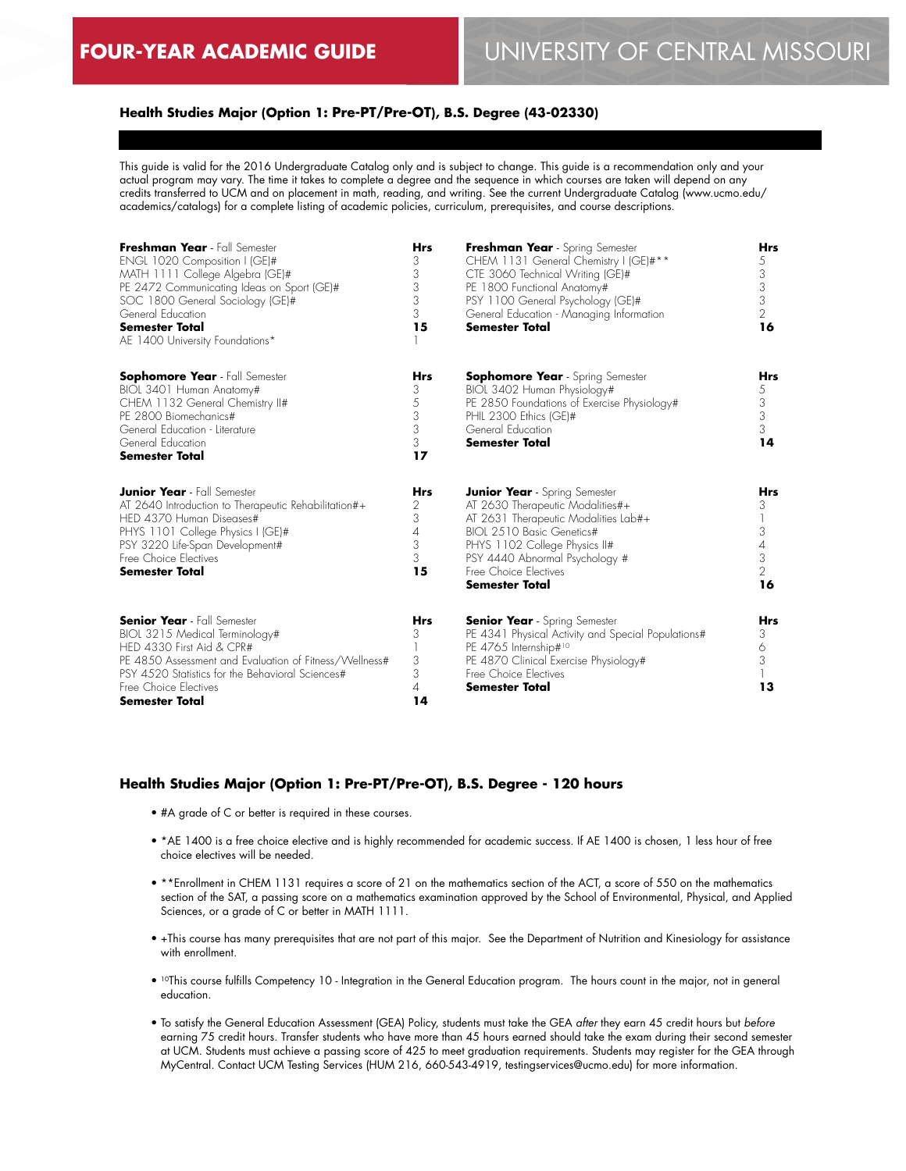# **Health Studies Major (Option 1: Pre-PT/Pre-OT), B.S. Degree (43-02330)**

This guide is valid for the 2016 Undergraduate Catalog only and is subject to change. This guide is a recommendation only and your actual program may vary. The time it takes to complete a degree and the sequence in which courses are taken will depend on any credits transferred to UCM and on placement in math, reading, and writing. See the current Undergraduate Catalog (www.ucmo.edu/ academics/catalogs) for a complete listing of academic policies, curriculum, prerequisites, and course descriptions.

| Freshman Year - Fall Semester<br>ENGL 1020 Composition I (GE)#<br>MATH 1111 College Algebra (GE)#<br>PE 2472 Communicating Ideas on Sport (GE)#<br>SOC 1800 General Sociology (GE)#<br>General Education<br><b>Semester Total</b><br>AE 1400 University Foundations* | <b>Hrs</b><br>3<br>3<br>3<br>3<br>3<br>15              | Freshman Year - Spring Semester<br>CHEM 1131 General Chemistry I (GE)#**<br>CTE 3060 Technical Writing (GE)#<br>PE 1800 Functional Anatomy#<br>PSY 1100 General Psychology (GE)#<br>General Education - Managing Information<br><b>Semester Total</b>              | Hrs<br>5<br>3<br>3<br>3<br>$\overline{2}$<br>16           |
|----------------------------------------------------------------------------------------------------------------------------------------------------------------------------------------------------------------------------------------------------------------------|--------------------------------------------------------|--------------------------------------------------------------------------------------------------------------------------------------------------------------------------------------------------------------------------------------------------------------------|-----------------------------------------------------------|
| <b>Sophomore Year</b> - Fall Semester<br>BIOL 3401 Human Anatomy#<br>CHEM 1132 General Chemistry II#<br>PE 2800 Biomechanics#<br>General Education - Literature<br>General Education<br><b>Semester Total</b>                                                        | <b>Hrs</b><br>3<br>5<br>3<br>3<br>3<br>17              | <b>Sophomore Year</b> - Spring Semester<br>BIOL 3402 Human Physiology#<br>PE 2850 Foundations of Exercise Physiology#<br>PHIL 2300 Ethics (GE)#<br>General Education<br><b>Semester Total</b>                                                                      | Hrs<br>5<br>3<br>3<br>3<br>14                             |
| <b>Junior Year</b> - Fall Semester<br>AT 2640 Introduction to Therapeutic Rehabilitation#+<br>HED 4370 Human Diseases#<br>PHYS 1101 College Physics I (GE)#<br>PSY 3220 Life-Span Development#<br>Free Choice Electives<br><b>Semester Total</b>                     | <b>Hrs</b><br>2<br>3<br>$\overline{4}$<br>3<br>3<br>15 | <b>Junior Year</b> - Spring Semester<br>AT 2630 Therapeutic Modalities#+<br>AT 2631 Therapeutic Modalities Lab#+<br>BIOL 2510 Basic Genetics#<br>PHYS 1102 College Physics II#<br>PSY 4440 Abnormal Psychology #<br>Free Choice Electives<br><b>Semester Total</b> | Hrs<br>3<br>3<br>4<br>3<br>$\overline{\phantom{a}}$<br>16 |
| <b>Senior Year</b> - Fall Semester<br>BIOL 3215 Medical Terminology#<br>HED 4330 First Aid & CPR#<br>PE 4850 Assessment and Evaluation of Fitness/Wellness#<br>PSY 4520 Statistics for the Behavioral Sciences#<br>Free Choice Electives<br><b>Semester Total</b>    | <b>Hrs</b><br>3<br>3<br>3<br>4<br>14                   | <b>Senior Year</b> - Spring Semester<br>PE 4341 Physical Activity and Special Populations#<br>PE 4765 Internship#10<br>PE 4870 Clinical Exercise Physiology#<br>Free Choice Flectives<br><b>Semester Total</b>                                                     | Hrs<br>3<br>6<br>3<br>13                                  |

#### **Health Studies Major (Option 1: Pre-PT/Pre-OT), B.S. Degree - 120 hours**

- #A grade of C or better is required in these courses.
- \*AE 1400 is a free choice elective and is highly recommended for academic success. If AE 1400 is chosen, 1 less hour of free choice electives will be needed.
- \*\*Enrollment in CHEM 1131 requires a score of 21 on the mathematics section of the ACT, a score of 550 on the mathematics section of the SAT, a passing score on a mathematics examination approved by the School of Environmental, Physical, and Applied Sciences, or a grade of C or better in MATH 1111.
- +This course has many prerequisites that are not part of this major. See the Department of Nutrition and Kinesiology for assistance with enrollment.
- <sup>10</sup>This course fulfills Competency 10 Integration in the General Education program. The hours count in the major, not in general education.
- To satisfy the General Education Assessment (GEA) Policy, students must take the GEA *after* they earn 45 credit hours but *before* earning 75 credit hours. Transfer students who have more than 45 hours earned should take the exam during their second semester at UCM. Students must achieve a passing score of 425 to meet graduation requirements. Students may register for the GEA through MyCentral. Contact UCM Testing Services (HUM 216, 660-543-4919, testingservices@ucmo.edu) for more information.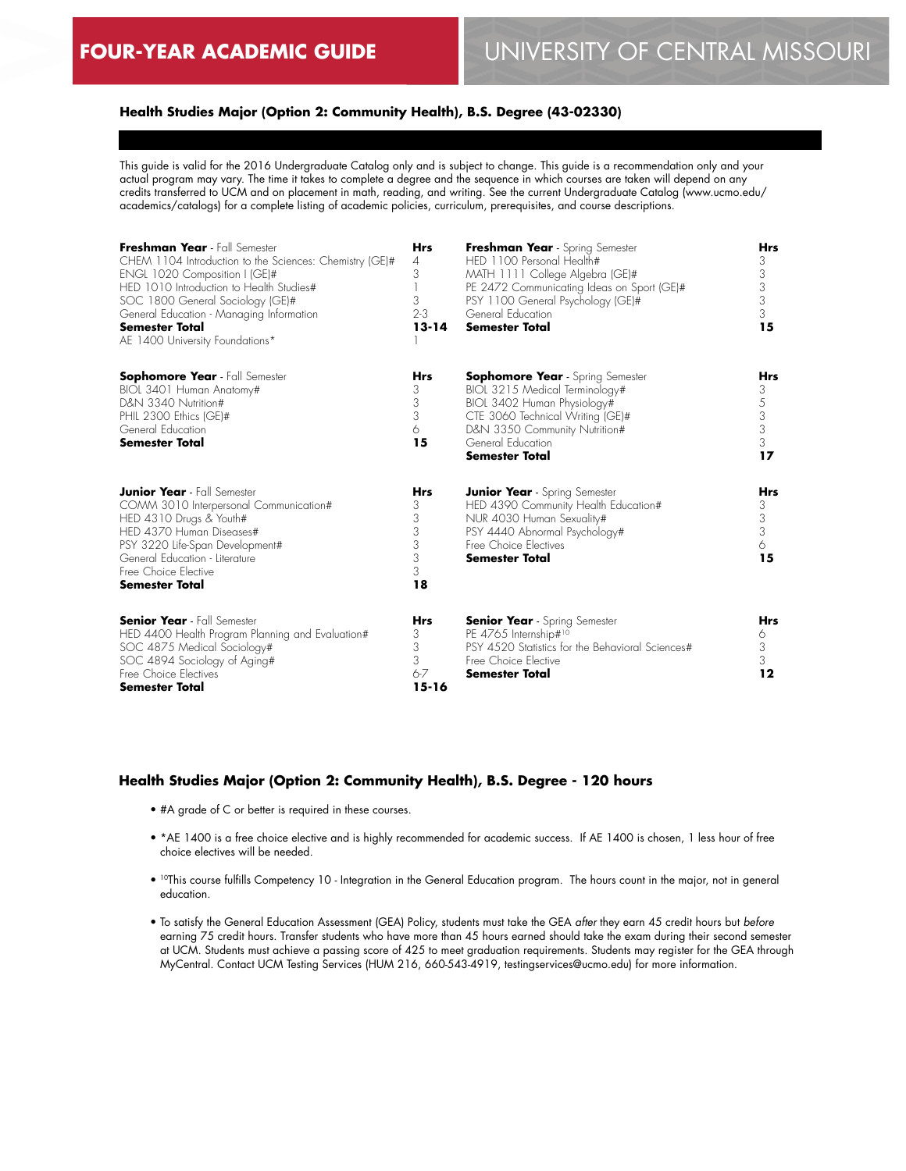# **Health Studies Major (Option 2: Community Health), B.S. Degree (43-02330)**

This guide is valid for the 2016 Undergraduate Catalog only and is subject to change. This guide is a recommendation only and your actual program may vary. The time it takes to complete a degree and the sequence in which courses are taken will depend on any credits transferred to UCM and on placement in math, reading, and writing. See the current Undergraduate Catalog (www.ucmo.edu/ academics/catalogs) for a complete listing of academic policies, curriculum, prerequisites, and course descriptions.

| Freshman Year - Fall Semester<br>CHEM 1104 Introduction to the Sciences: Chemistry (GE)#<br>ENGL 1020 Composition I (GE)#<br>HED 1010 Introduction to Health Studies#<br>SOC 1800 General Sociology (GE)#<br>General Education - Managing Information<br><b>Semester Total</b><br>AE 1400 University Foundations* | <b>Hrs</b><br>4<br>3<br>3<br>$2-3$<br>$13 - 14$   | Freshman Year - Spring Semester<br>HED 1100 Personal Health#<br>MATH 1111 College Algebra (GE)#<br>PE 2472 Communicating Ideas on Sport (GE)#<br>PSY 1100 General Psychology (GE)#<br>General Education<br><b>Semester Total</b> | Hrs<br>3<br>3<br>3<br>3<br>3<br>15   |
|-------------------------------------------------------------------------------------------------------------------------------------------------------------------------------------------------------------------------------------------------------------------------------------------------------------------|---------------------------------------------------|----------------------------------------------------------------------------------------------------------------------------------------------------------------------------------------------------------------------------------|--------------------------------------|
| <b>Sophomore Year</b> - Fall Semester<br>BIOL 3401 Human Anatomy#<br>D&N 3340 Nutrition#<br>PHIL 2300 Ethics (GE)#<br>General Education<br><b>Semester Total</b>                                                                                                                                                  | <b>Hrs</b><br>3<br>3<br>3<br>6<br>15              | <b>Sophomore Year</b> - Spring Semester<br>BIOL 3215 Medical Terminology#<br>BIOL 3402 Human Physiology#<br>CTE 3060 Technical Writing (GE)#<br>D&N 3350 Community Nutrition#<br>General Education<br><b>Semester Total</b>      | Hrs<br>3<br>5<br>3<br>3<br>3<br>17   |
| <b>Junior Year</b> - Fall Semester<br>COMM 3010 Interpersonal Communication#<br>HED 4310 Drugs & Youth#<br>HED 4370 Human Diseases#<br>PSY 3220 Life-Span Development#<br>General Education - Literature<br>Free Choice Flective<br><b>Semester Total</b>                                                         | <b>Hrs</b><br>3<br>3<br>3<br>3<br>3<br>3<br>18    | <b>Junior Year</b> - Spring Semester<br>HED 4390 Community Health Education#<br>NUR 4030 Human Sexuality#<br>PSY 4440 Abnormal Psychology#<br>Free Choice Flectives<br><b>Semester Total</b>                                     | <b>Hrs</b><br>3<br>3<br>3<br>6<br>15 |
| <b>Senior Year</b> - Fall Semester<br>HED 4400 Health Program Planning and Evaluation#<br>SOC 4875 Medical Sociology#<br>SOC 4894 Sociology of Aging#<br>Free Choice Electives<br><b>Semester Total</b>                                                                                                           | <b>Hrs</b><br>3<br>3<br>3<br>$6 - 7$<br>$15 - 16$ | <b>Senior Year</b> - Spring Semester<br>PE 4765 Internship#10<br>PSY 4520 Statistics for the Behavioral Sciences#<br>Free Choice Elective<br><b>Semester Total</b>                                                               | <b>Hrs</b><br>6<br>3<br>3<br>12      |

#### **Health Studies Major (Option 2: Community Health), B.S. Degree - 120 hours**

- #A grade of C or better is required in these courses.
- \*AE 1400 is a free choice elective and is highly recommended for academic success. If AE 1400 is chosen, 1 less hour of free choice electives will be needed.
- <sup>10</sup>This course fulfills Competency 10 Integration in the General Education program. The hours count in the major, not in general education.
- To satisfy the General Education Assessment (GEA) Policy, students must take the GEA *after* they earn 45 credit hours but *before* earning 75 credit hours. Transfer students who have more than 45 hours earned should take the exam during their second semester at UCM. Students must achieve a passing score of 425 to meet graduation requirements. Students may register for the GEA through MyCentral. Contact UCM Testing Services (HUM 216, 660-543-4919, testingservices@ucmo.edu) for more information.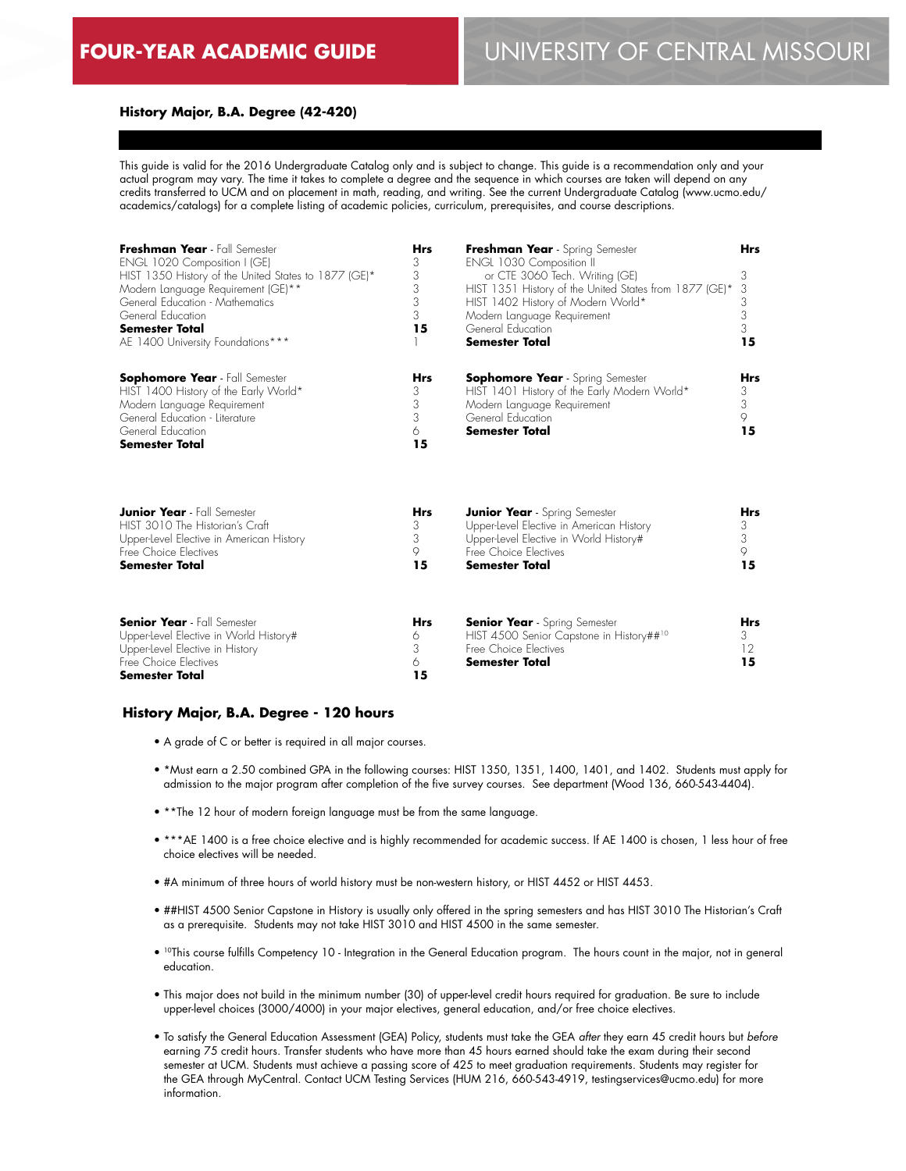12 **15**

## **History Major, B.A. Degree (42-420)**

This guide is valid for the 2016 Undergraduate Catalog only and is subject to change. This guide is a recommendation only and your actual program may vary. The time it takes to complete a degree and the sequence in which courses are taken will depend on any credits transferred to UCM and on placement in math, reading, and writing. See the current Undergraduate Catalog (www.ucmo.edu/ academics/catalogs) for a complete listing of academic policies, curriculum, prerequisites, and course descriptions.

| Freshman Year - Fall Semester<br>ENGL 1020 Composition I (GE)<br>HIST 1350 History of the United States to 1877 (GE)*<br>Modern Language Requirement (GE)**<br>General Education - Mathematics<br>General Education<br><b>Semester Total</b><br>AE 1400 University Foundations*** | <b>Hrs</b><br>3<br>3<br>3<br>3<br>3<br>15 | Freshman Year - Spring Semester<br><b>ENGL 1030 Composition II</b><br>or CTE 3060 Tech. Writing (GE)<br>HIST 1351 History of the United States from 1877 (GE)*<br>HIST 1402 History of Modern World*<br>Modern Language Requirement<br>General Education<br>Semester Total | <b>Hrs</b><br>3<br>3<br>3<br>3<br>3<br>15 |
|-----------------------------------------------------------------------------------------------------------------------------------------------------------------------------------------------------------------------------------------------------------------------------------|-------------------------------------------|----------------------------------------------------------------------------------------------------------------------------------------------------------------------------------------------------------------------------------------------------------------------------|-------------------------------------------|
| <b>Sophomore Year</b> - Fall Semester<br>HIST 1400 History of the Early World*<br>Modern Language Requirement<br>General Education - Literature<br>General Education<br><b>Semester Total</b>                                                                                     | <b>Hrs</b><br>3<br>3<br>3<br>6<br>15      | <b>Sophomore Year</b> - Spring Semester<br>HIST 1401 History of the Early Modern World*<br>Modern Language Requirement<br>General Education<br>Semester Total                                                                                                              | <b>Hrs</b><br>3<br>3<br>9<br>15           |
| <b>Junior Year</b> - Fall Semester                                                                                                                                                                                                                                                | <b>Hrs</b>                                | <b>Junior Year</b> - Spring Semester                                                                                                                                                                                                                                       | <b>Hrs</b>                                |
| HIST 3010 The Historian's Craft                                                                                                                                                                                                                                                   | 3                                         | Upper-level Elective in American History                                                                                                                                                                                                                                   | 3                                         |
| Upper-Level Elective in American History                                                                                                                                                                                                                                          | 3                                         | Upper-level Elective in World History#                                                                                                                                                                                                                                     | 3                                         |
| Free Choice Electives                                                                                                                                                                                                                                                             | 9                                         | Free Choice Flectives                                                                                                                                                                                                                                                      | 9                                         |
| <b>Semester Total</b>                                                                                                                                                                                                                                                             | 15                                        | <b>Semester Total</b>                                                                                                                                                                                                                                                      | 15                                        |
| <b>Senior Year</b> - Fall Semester                                                                                                                                                                                                                                                | Hrs                                       | <b>Senior Year</b> - Spring Semester                                                                                                                                                                                                                                       | <b>Hrs</b>                                |
| Upper-level Elective in World History#                                                                                                                                                                                                                                            | 6                                         | HIST 4500 Senior Capstone in History##10                                                                                                                                                                                                                                   | 3                                         |
| Upper-level Flective in History                                                                                                                                                                                                                                                   | 3                                         | Free Choice Flectives                                                                                                                                                                                                                                                      | 12                                        |

## **History Major, B.A. Degree - 120 hours**

Upper-Level Elective in History Free Choice Electives **Semester Total**

- A grade of C or better is required in all major courses.
- \*Must earn a 2.50 combined GPA in the following courses: HIST 1350, 1351, 1400, 1401, and 1402. Students must apply for admission to the major program after completion of the five survey courses. See department (Wood 136, 660-543-4404).

**Semester Total**

- \*\*The 12 hour of modern foreign language must be from the same language.
- \*\*\*AE 1400 is a free choice elective and is highly recommended for academic success. If AE 1400 is chosen, 1 less hour of free choice electives will be needed.
- #A minimum of three hours of world history must be non-western history, or HIST 4452 or HIST 4453.

3 6 **15**

- ##HIST 4500 Senior Capstone in History is usually only offered in the spring semesters and has HIST 3010 The Historian's Craft as a prerequisite. Students may not take HIST 3010 and HIST 4500 in the same semester.
- 10This course fulfills Competency 10 Integration in the General Education program. The hours count in the major, not in general education.
- This major does not build in the minimum number (30) of upper-level credit hours required for graduation. Be sure to include upper-level choices (3000/4000) in your major electives, general education, and/or free choice electives.
- To satisfy the General Education Assessment (GEA) Policy, students must take the GEA *after* they earn 45 credit hours but *before* earning 75 credit hours. Transfer students who have more than 45 hours earned should take the exam during their second semester at UCM. Students must achieve a passing score of 425 to meet graduation requirements. Students may register for the GEA through MyCentral. Contact UCM Testing Services (HUM 216, 660-543-4919, testingservices@ucmo.edu) for more information.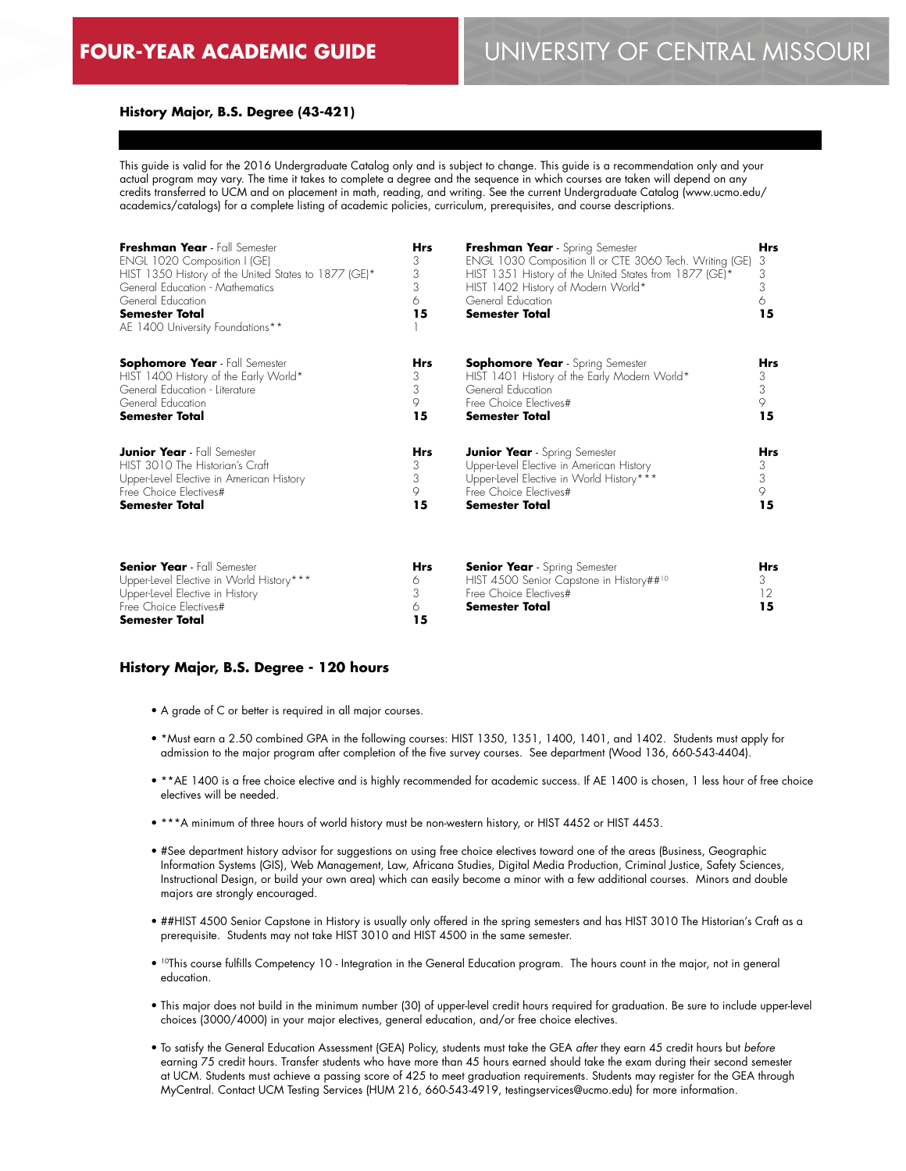## **History Major, B.S. Degree (43-421)**

This guide is valid for the 2016 Undergraduate Catalog only and is subject to change. This guide is a recommendation only and your actual program may vary. The time it takes to complete a degree and the sequence in which courses are taken will depend on any credits transferred to UCM and on placement in math, reading, and writing. See the current Undergraduate Catalog (www.ucmo.edu/ academics/catalogs) for a complete listing of academic policies, curriculum, prerequisites, and course descriptions.

| Freshman Year - Fall Semester<br>ENGL 1020 Composition I (GE)<br>HIST 1350 History of the United States to 1877 (GE)*<br>General Education - Mathematics<br>General Education<br>Semester Total<br>AE 1400 University Foundations** | <b>Hrs</b><br>3<br>3<br>3<br>6<br>15 | Freshman Year - Spring Semester<br>ENGL 1030 Composition II or CTE 3060 Tech. Writing (GE)<br>HIST 1351 History of the United States from 1877 (GE)*<br>HIST 1402 History of Modern World*<br>General Education<br>Semester Total | <b>Hrs</b><br>3<br>3<br>3<br>6<br>15 |
|-------------------------------------------------------------------------------------------------------------------------------------------------------------------------------------------------------------------------------------|--------------------------------------|-----------------------------------------------------------------------------------------------------------------------------------------------------------------------------------------------------------------------------------|--------------------------------------|
| <b>Sophomore Year</b> - Fall Semester                                                                                                                                                                                               | <b>Hrs</b>                           | <b>Sophomore Year</b> - Spring Semester                                                                                                                                                                                           | Hrs                                  |
| HIST 1400 History of the Early World*                                                                                                                                                                                               | 3                                    | HIST 1401 History of the Early Modern World*                                                                                                                                                                                      | 3                                    |
| General Education - Literature                                                                                                                                                                                                      | 3                                    | General Education                                                                                                                                                                                                                 | 3                                    |
| General Education                                                                                                                                                                                                                   | 9                                    | Free Choice Flectives#                                                                                                                                                                                                            | 9                                    |
| <b>Semester Total</b>                                                                                                                                                                                                               | 15                                   | <b>Semester Total</b>                                                                                                                                                                                                             | 15                                   |
| <b>Junior Year</b> - Fall Semester                                                                                                                                                                                                  | <b>Hrs</b>                           | <b>Junior Year</b> - Spring Semester                                                                                                                                                                                              | <b>Hrs</b>                           |
| HIST 3010 The Historian's Craft                                                                                                                                                                                                     | 3                                    | Upper-level Elective in American History                                                                                                                                                                                          | 3                                    |
| Upper-level Elective in American History                                                                                                                                                                                            | 3                                    | Upper-Level Elective in World History***                                                                                                                                                                                          | 3                                    |
| Free Choice Electives#                                                                                                                                                                                                              | 9                                    | Free Choice Flectives#                                                                                                                                                                                                            | 9                                    |
| <b>Semester Total</b>                                                                                                                                                                                                               | 15                                   | Semester Total                                                                                                                                                                                                                    | 15                                   |
| <b>Senior Year</b> - Fall Semester<br>Upper-Level Elective in World History***<br>Upper-Level Elective in History<br>Free Choice Electives#<br><b>Semester Total</b>                                                                | <b>Hrs</b><br>6<br>3<br>6<br>15      | <b>Senior Year</b> - Spring Semester<br>HIST 4500 Senior Capstone in History##10<br>Free Choice Flectives#<br>Semester Total                                                                                                      | <b>Hrs</b><br>3<br>12<br>15          |

#### **History Major, B.S. Degree - 120 hours**

- A grade of C or better is required in all major courses.
- \*Must earn a 2.50 combined GPA in the following courses: HIST 1350, 1351, 1400, 1401, and 1402. Students must apply for admission to the major program after completion of the five survey courses. See department (Wood 136, 660-543-4404).
- \*\*AE 1400 is a free choice elective and is highly recommended for academic success. If AE 1400 is chosen, 1 less hour of free choice electives will be needed.
- \*\*\*A minimum of three hours of world history must be non-western history, or HIST 4452 or HIST 4453.
- #See department history advisor for suggestions on using free choice electives toward one of the areas (Business, Geographic Information Systems (GIS), Web Management, Law, Africana Studies, Digital Media Production, Criminal Justice, Safety Sciences, Instructional Design, or build your own area) which can easily become a minor with a few additional courses. Minors and double majors are strongly encouraged.
- ##HIST 4500 Senior Capstone in History is usually only offered in the spring semesters and has HIST 3010 The Historian's Craft as a prerequisite. Students may not take HIST 3010 and HIST 4500 in the same semester.
- <sup>10</sup>This course fulfills Competency 10 Integration in the General Education program. The hours count in the major, not in general education.
- This major does not build in the minimum number (30) of upper-level credit hours required for graduation. Be sure to include upper-level choices (3000/4000) in your major electives, general education, and/or free choice electives.
- To satisfy the General Education Assessment (GEA) Policy, students must take the GEA *after* they earn 45 credit hours but *before* earning 75 credit hours. Transfer students who have more than 45 hours earned should take the exam during their second semester at UCM. Students must achieve a passing score of 425 to meet graduation requirements. Students may register for the GEA through MyCentral. Contact UCM Testing Services (HUM 216, 660-543-4919, testingservices@ucmo.edu) for more information.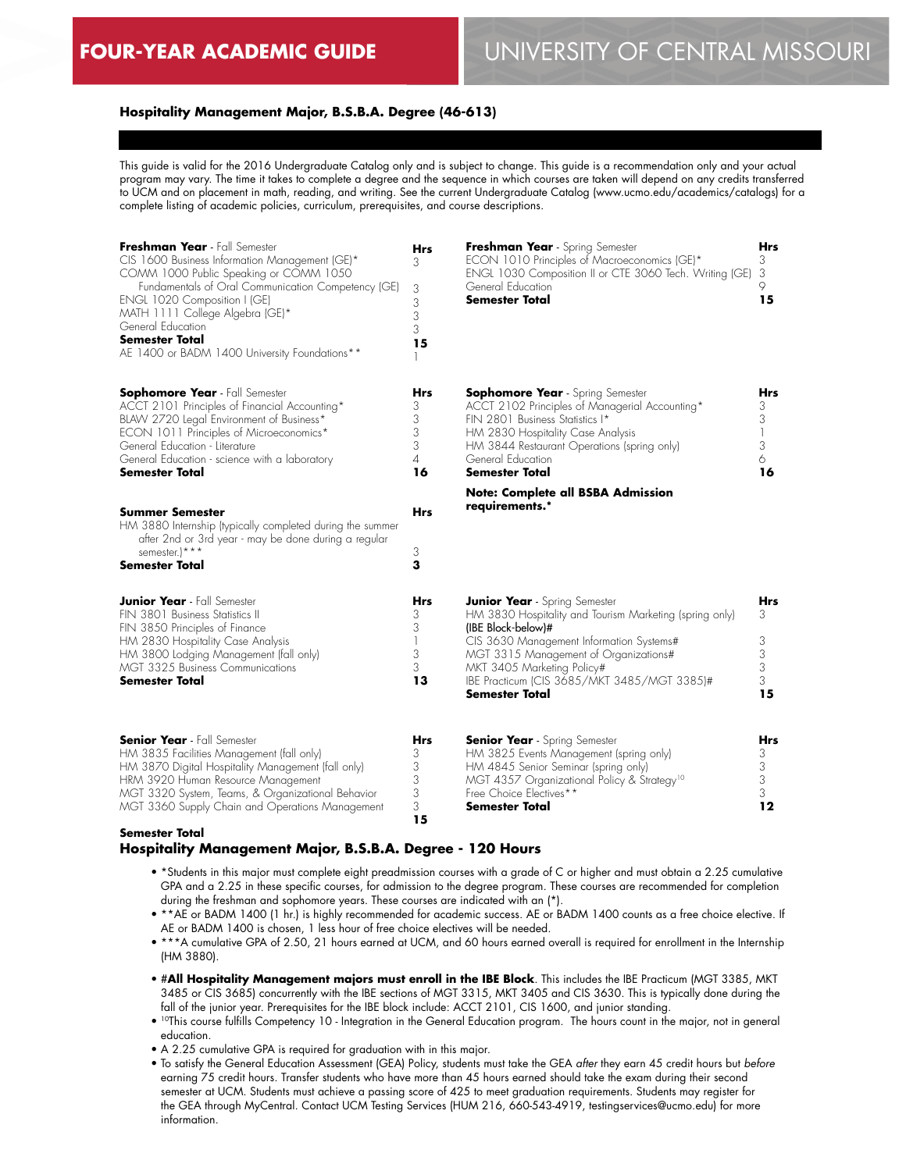# **FOUR-YEAR ACADEMIC GUIDE** UNIVERSITY OF CENTRAL MISSOURI

## **Hospitality Management Major, B.S.B.A. Degree (46-613)**

This guide is valid for the 2016 Undergraduate Catalog only and is subject to change. This guide is a recommendation only and your actual program may vary. The time it takes to complete a degree and the sequence in which courses are taken will depend on any credits transferred to UCM and on placement in math, reading, and writing. See the current Undergraduate Catalog (www.ucmo.edu/academics/catalogs) for a complete listing of academic policies, curriculum, prerequisites, and course descriptions.

| Freshman Year - Fall Semester<br>CIS 1600 Business Information Management (GE)*<br>COMM 1000 Public Speaking or COMM 1050<br>Fundamentals of Oral Communication Competency (GE)<br>ENGL 1020 Composition I (GE)<br>MATH 1111 College Algebra (GE)*<br>General Education<br>Semester Total<br>AE 1400 or BADM 1400 University Foundations** | <b>Hrs</b><br>3<br>3<br>3<br>3<br>3<br>15       | Freshman Year - Spring Semester<br>ECON 1010 Principles of Macroeconomics (GE)*<br>ENGL 1030 Composition II or CTE 3060 Tech. Writing (GE)<br>General Education<br><b>Semester Total</b>                                                                                                                  | <b>Hrs</b><br>3<br>3<br>9<br>15    |
|--------------------------------------------------------------------------------------------------------------------------------------------------------------------------------------------------------------------------------------------------------------------------------------------------------------------------------------------|-------------------------------------------------|-----------------------------------------------------------------------------------------------------------------------------------------------------------------------------------------------------------------------------------------------------------------------------------------------------------|------------------------------------|
| <b>Sophomore Year</b> - Fall Semester<br>ACCT 2101 Principles of Financial Accounting*<br>BLAW 2720 Legal Environment of Business*<br>ECON 1011 Principles of Microeconomics*<br>General Education - Literature<br>General Education - science with a laboratory<br>Semester Total                                                         | Hrs<br>3<br>3<br>3<br>3<br>$\overline{4}$<br>16 | <b>Sophomore Year</b> - Spring Semester<br>ACCT 2102 Principles of Managerial Accounting*<br>FIN 2801 Business Statistics I*<br>HM 2830 Hospitality Case Analysis<br>HM 3844 Restaurant Operations (spring only)<br>General Education<br><b>Semester Total</b>                                            | Hrs<br>3<br>3<br>1<br>3<br>6<br>16 |
| <b>Summer Semester</b><br>HM 3880 Internship (typically completed during the summer<br>after 2nd or 3rd year - may be done during a regular<br>semester.)***<br>Semester Total                                                                                                                                                             | Hrs<br>3<br>3                                   | <b>Note: Complete all BSBA Admission</b><br>requirements.*                                                                                                                                                                                                                                                |                                    |
| <b>Junior Year</b> - Fall Semester<br>FIN 3801 Business Statistics II<br>FIN 3850 Principles of Finance<br>HM 2830 Hospitality Case Analysis<br>HM 3800 Lodging Management (fall only)<br>MGT 3325 Business Communications<br>Semester Total                                                                                               | Hrs<br>3<br>3<br>3<br>3<br>13                   | <b>Junior Year</b> - Spring Semester<br>HM 3830 Hospitality and Tourism Marketing (spring only)<br>(IBE Block-below)#<br>CIS 3630 Management Information Systems#<br>MGT 3315 Management of Organizations#<br>MKT 3405 Marketing Policy#<br>IBE Practicum (CIS 3685/MKT 3485/MGT 3385)#<br>Semester Total | Hrs<br>3<br>3<br>3<br>3<br>3<br>15 |
| <b>Senior Year</b> - Fall Semester<br>HM 3835 Facilities Management (fall only)<br>HM 3870 Digital Hospitality Management (fall only)<br>HRM 3920 Human Resource Management<br>MGT 3320 System, Teams, & Organizational Behavior<br>MGT 3360 Supply Chain and Operations Management                                                        | Hrs<br>3<br>3<br>3<br>3<br>3                    | <b>Senior Year</b> - Spring Semester<br>HM 3825 Events Management (spring only)<br>HM 4845 Senior Seminar (spring only)<br>MGT 4357 Organizational Policy & Strategy <sup>10</sup><br>Free Choice Electives**<br>Semester Total                                                                           | Hrs<br>3<br>3<br>3<br>3<br>12      |

#### **Semester Total**

#### **Hospitality Management Major, B.S.B.A. Degree - 120 Hours**

• \*Students in this major must complete eight preadmission courses with a grade of C or higher and must obtain a 2.25 cumulative GPA and a 2.25 in these specific courses, for admission to the degree program. These courses are recommended for completion during the freshman and sophomore years. These courses are indicated with an (\*).

**15**

- \*\*AE or BADM 1400 (1 hr.) is highly recommended for academic success. AE or BADM 1400 counts as a free choice elective. If AE or BADM 1400 is chosen, 1 less hour of free choice electives will be needed.
- \*\*\*A cumulative GPA of 2.50, 21 hours earned at UCM, and 60 hours earned overall is required for enrollment in the Internship (HM 3880).
- #**All Hospitality Management majors must enroll in the IBE Block**. This includes the IBE Practicum (MGT 3385, MKT 3485 or CIS 3685) concurrently with the IBE sections of MGT 3315, MKT 3405 and CIS 3630. This is typically done during the fall of the junior year. Prerequisites for the IBE block include: ACCT 2101, CIS 1600, and junior standing.
- 10This course fulfills Competency 10 Integration in the General Education program. The hours count in the major, not in general education.
- A 2.25 cumulative GPA is required for graduation with in this major.
- To satisfy the General Education Assessment (GEA) Policy, students must take the GEA *after* they earn 45 credit hours but *before* earning 75 credit hours. Transfer students who have more than 45 hours earned should take the exam during their second semester at UCM. Students must achieve a passing score of 425 to meet graduation requirements. Students may register for the GEA through MyCentral. Contact UCM Testing Services (HUM 216, 660-543-4919, testingservices@ucmo.edu) for more information.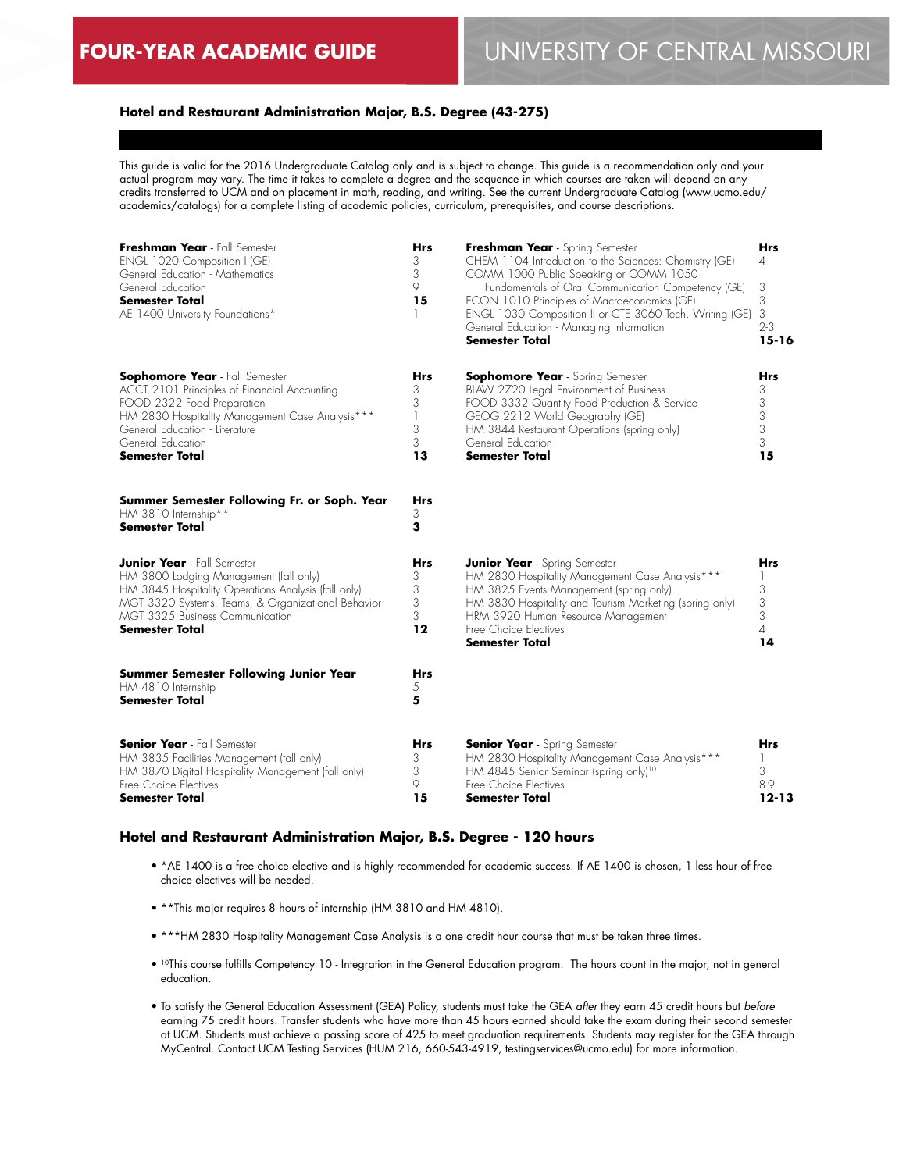# **Hotel and Restaurant Administration Major, B.S. Degree (43-275)**

This guide is valid for the 2016 Undergraduate Catalog only and is subject to change. This guide is a recommendation only and your actual program may vary. The time it takes to complete a degree and the sequence in which courses are taken will depend on any credits transferred to UCM and on placement in math, reading, and writing. See the current Undergraduate Catalog (www.ucmo.edu/ academics/catalogs) for a complete listing of academic policies, curriculum, prerequisites, and course descriptions.

| Freshman Year - Fall Semester<br>ENGL 1020 Composition I (GE)<br>General Education - Mathematics<br>General Education<br><b>Semester Total</b><br>AE 1400 University Foundations*                                                                      | Hrs<br>3<br>3<br>9<br>15             | Freshman Year - Spring Semester<br>CHEM 1104 Introduction to the Sciences: Chemistry (GE)<br>COMM 1000 Public Speaking or COMM 1050<br>Fundamentals of Oral Communication Competency (GE)<br>ECON 1010 Principles of Macroeconomics (GE)<br>ENGL 1030 Composition II or CTE 3060 Tech. Writing (GE)<br>General Education - Managing Information<br><b>Semester Total</b> | Hrs<br>4<br>3<br>3<br>3<br>$2 - 3$<br>$15 - 16$ |
|--------------------------------------------------------------------------------------------------------------------------------------------------------------------------------------------------------------------------------------------------------|--------------------------------------|--------------------------------------------------------------------------------------------------------------------------------------------------------------------------------------------------------------------------------------------------------------------------------------------------------------------------------------------------------------------------|-------------------------------------------------|
| <b>Sophomore Year</b> - Fall Semester<br>ACCT 2101 Principles of Financial Accounting<br>FOOD 2322 Food Preparation<br>HM 2830 Hospitality Management Case Analysis***<br>General Education - Literature<br>General Education<br><b>Semester Total</b> | Hrs<br>3<br>3<br>1<br>3<br>3<br>13   | <b>Sophomore Year</b> - Spring Semester<br>BLAW 2720 Legal Environment of Business<br>FOOD 3332 Quantity Food Production & Service<br>GEOG 2212 World Geography (GE)<br>HM 3844 Restaurant Operations (spring only)<br>General Education<br><b>Semester Total</b>                                                                                                        | Hrs<br>3<br>3<br>3<br>3<br>3<br>15              |
| Summer Semester Following Fr. or Soph. Year<br>HM 3810 Internship**<br><b>Semester Total</b>                                                                                                                                                           | Hrs<br>3<br>3                        |                                                                                                                                                                                                                                                                                                                                                                          |                                                 |
| <b>Junior Year</b> - Fall Semester<br>HM 3800 Lodging Management (fall only)<br>HM 3845 Hospitality Operations Analysis (fall only)<br>MGT 3320 Systems, Teams, & Organizational Behavior<br>MGT 3325 Business Communication<br><b>Semester Total</b>  | <b>Hrs</b><br>3<br>3<br>3<br>3<br>12 | <b>Junior Year</b> - Spring Semester<br>HM 2830 Hospitality Management Case Analysis***<br>HM 3825 Events Management (spring only)<br>HM 3830 Hospitality and Tourism Marketing (spring only)<br>HRM 3920 Human Resource Management<br>Free Choice Electives<br><b>Semester Total</b>                                                                                    | Hrs<br>3<br>3<br>3<br>$\overline{A}$<br>14      |
| <b>Summer Semester Following Junior Year</b><br>HM 4810 Internship<br><b>Semester Total</b>                                                                                                                                                            | Hrs<br>5<br>5                        |                                                                                                                                                                                                                                                                                                                                                                          |                                                 |
| <b>Senior Year</b> - Fall Semester<br>HM 3835 Facilities Management (fall only)<br>HM 3870 Digital Hospitality Management (fall only)<br>Free Choice Electives<br><b>Semester Total</b>                                                                | Hrs<br>3<br>3<br>9<br>15             | <b>Senior Year</b> - Spring Semester<br>HM 2830 Hospitality Management Case Analysis***<br>HM 4845 Senior Seminar (spring only) <sup>10</sup><br>Free Choice Electives<br>Semester Total                                                                                                                                                                                 | <b>Hrs</b><br>3<br>$8-9$<br>$12 - 13$           |

#### **Hotel and Restaurant Administration Major, B.S. Degree - 120 hours**

- \*AE 1400 is a free choice elective and is highly recommended for academic success. If AE 1400 is chosen, 1 less hour of free choice electives will be needed.
- \*\*This major requires 8 hours of internship (HM 3810 and HM 4810).
- \*\*\*HM 2830 Hospitality Management Case Analysis is a one credit hour course that must be taken three times.
- 10This course fulfills Competency 10 Integration in the General Education program. The hours count in the major, not in general education.
- To satisfy the General Education Assessment (GEA) Policy, students must take the GEA *after* they earn 45 credit hours but *before* earning 75 credit hours. Transfer students who have more than 45 hours earned should take the exam during their second semester at UCM. Students must achieve a passing score of 425 to meet graduation requirements. Students may register for the GEA through MyCentral. Contact UCM Testing Services (HUM 216, 660-543-4919, testingservices@ucmo.edu) for more information.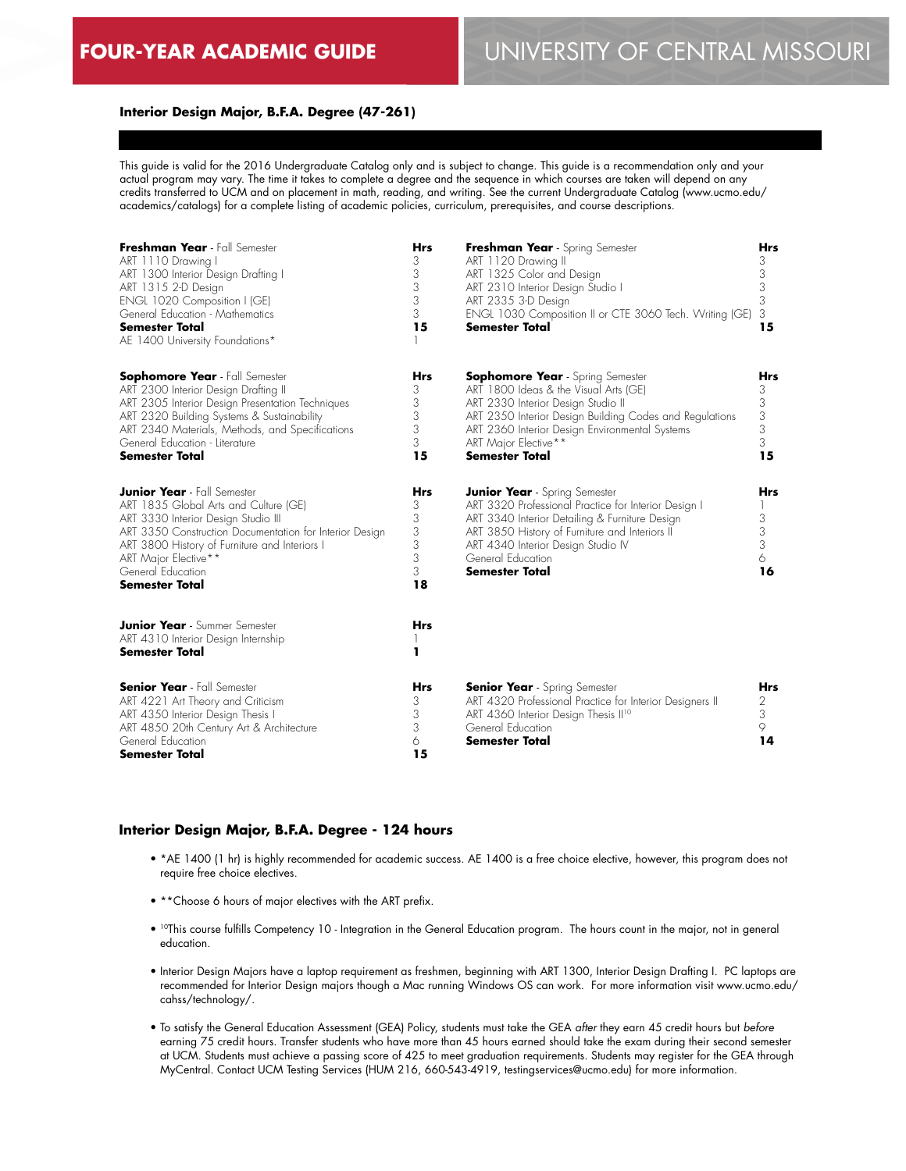## **Interior Design Major, B.F.A. Degree (47-261)**

This guide is valid for the 2016 Undergraduate Catalog only and is subject to change. This guide is a recommendation only and your actual program may vary. The time it takes to complete a degree and the sequence in which courses are taken will depend on any credits transferred to UCM and on placement in math, reading, and writing. See the current Undergraduate Catalog (www.ucmo.edu/ academics/catalogs) for a complete listing of academic policies, curriculum, prerequisites, and course descriptions.

| Freshman Year - Fall Semester<br>ART 1110 Drawing I<br>ART 1300 Interior Design Drafting I<br>ART 1315 2-D Design<br>ENGL 1020 Composition I (GE)<br>General Education - Mathematics<br><b>Semester Total</b><br>AE 1400 University Foundations*                                                     | <b>Hrs</b><br>3<br>3<br>3<br>$\mathfrak{Z}$<br>3<br>15      | Freshman Year - Spring Semester<br>ART 1120 Drawing II<br>ART 1325 Color and Design<br>ART 2310 Interior Design Studio I<br>ART 2335 3-D Design<br>ENGL 1030 Composition II or CTE 3060 Tech. Writing (GE)<br><b>Semester Total</b>                                                  | <b>Hrs</b><br>3<br>$\mathfrak{Z}$<br>3<br>3<br>3<br>15 |
|------------------------------------------------------------------------------------------------------------------------------------------------------------------------------------------------------------------------------------------------------------------------------------------------------|-------------------------------------------------------------|--------------------------------------------------------------------------------------------------------------------------------------------------------------------------------------------------------------------------------------------------------------------------------------|--------------------------------------------------------|
| <b>Sophomore Year</b> - Fall Semester<br>ART 2300 Interior Design Drafting II<br>ART 2305 Interior Design Presentation Techniques<br>ART 2320 Building Systems & Sustainability<br>ART 2340 Materials, Methods, and Specifications<br>General Education - Literature<br><b>Semester Total</b>        | <b>Hrs</b><br>3<br>3<br>3<br>3<br>3<br>15                   | <b>Sophomore Year</b> - Spring Semester<br>ART 1800 Ideas & the Visual Arts (GE)<br>ART 2330 Interior Design Studio II<br>ART 2350 Interior Design Building Codes and Regulations<br>ART 2360 Interior Design Environmental Systems<br>ART Major Elective**<br><b>Semester Total</b> | <b>Hrs</b><br>3<br>3<br>3<br>3<br>3<br>15              |
| <b>Junior Year</b> - Fall Semester<br>ART 1835 Global Arts and Culture (GE)<br>ART 3330 Interior Design Studio III<br>ART 3350 Construction Documentation for Interior Design<br>ART 3800 History of Furniture and Interiors I<br>ART Major Elective**<br>General Education<br><b>Semester Total</b> | <b>Hrs</b><br>3<br>$\mathfrak{Z}$<br>3<br>3<br>3<br>3<br>18 | <b>Junior Year</b> - Spring Semester<br>ART 3320 Professional Practice for Interior Design I<br>ART 3340 Interior Detailing & Furniture Design<br>ART 3850 History of Furniture and Interiors II<br>ART 4340 Interior Design Studio IV<br>General Education<br><b>Semester Total</b> | <b>Hrs</b><br>3<br>3<br>3<br>6<br>16                   |
| <b>Junior Year</b> - Summer Semester<br>ART 4310 Interior Design Internship<br><b>Semester Total</b>                                                                                                                                                                                                 | <b>Hrs</b><br>п                                             |                                                                                                                                                                                                                                                                                      |                                                        |
| <b>Senior Year</b> - Fall Semester<br>ART 4221 Art Theory and Criticism<br>ART 4350 Interior Design Thesis I<br>ART 4850 20th Century Art & Architecture<br>General Education<br><b>Semester Total</b>                                                                                               | <b>Hrs</b><br>3<br>3<br>3<br>6<br>15                        | <b>Senior Year</b> - Spring Semester<br>ART 4320 Professional Practice for Interior Designers II<br>ART 4360 Interior Design Thesis II <sup>10</sup><br>General Education<br><b>Semester Total</b>                                                                                   | <b>Hrs</b><br>2<br>3<br>9<br>14                        |

#### **Interior Design Major, B.F.A. Degree - 124 hours**

- \*AE 1400 (1 hr) is highly recommended for academic success. AE 1400 is a free choice elective, however, this program does not require free choice electives.
- \*\*Choose 6 hours of major electives with the ART prefix.
- <sup>10</sup>This course fulfills Competency 10 Integration in the General Education program. The hours count in the major, not in general education.
- Interior Design Majors have a laptop requirement as freshmen, beginning with ART 1300, Interior Design Drafting I. PC laptops are recommended for Interior Design majors though a Mac running Windows OS can work. For more information visit www.ucmo.edu/ cahss/technology/.
- To satisfy the General Education Assessment (GEA) Policy, students must take the GEA *after* they earn 45 credit hours but *before* earning 75 credit hours. Transfer students who have more than 45 hours earned should take the exam during their second semester at UCM. Students must achieve a passing score of 425 to meet graduation requirements. Students may register for the GEA through MyCentral. Contact UCM Testing Services (HUM 216, 660-543-4919, testingservices@ucmo.edu) for more information.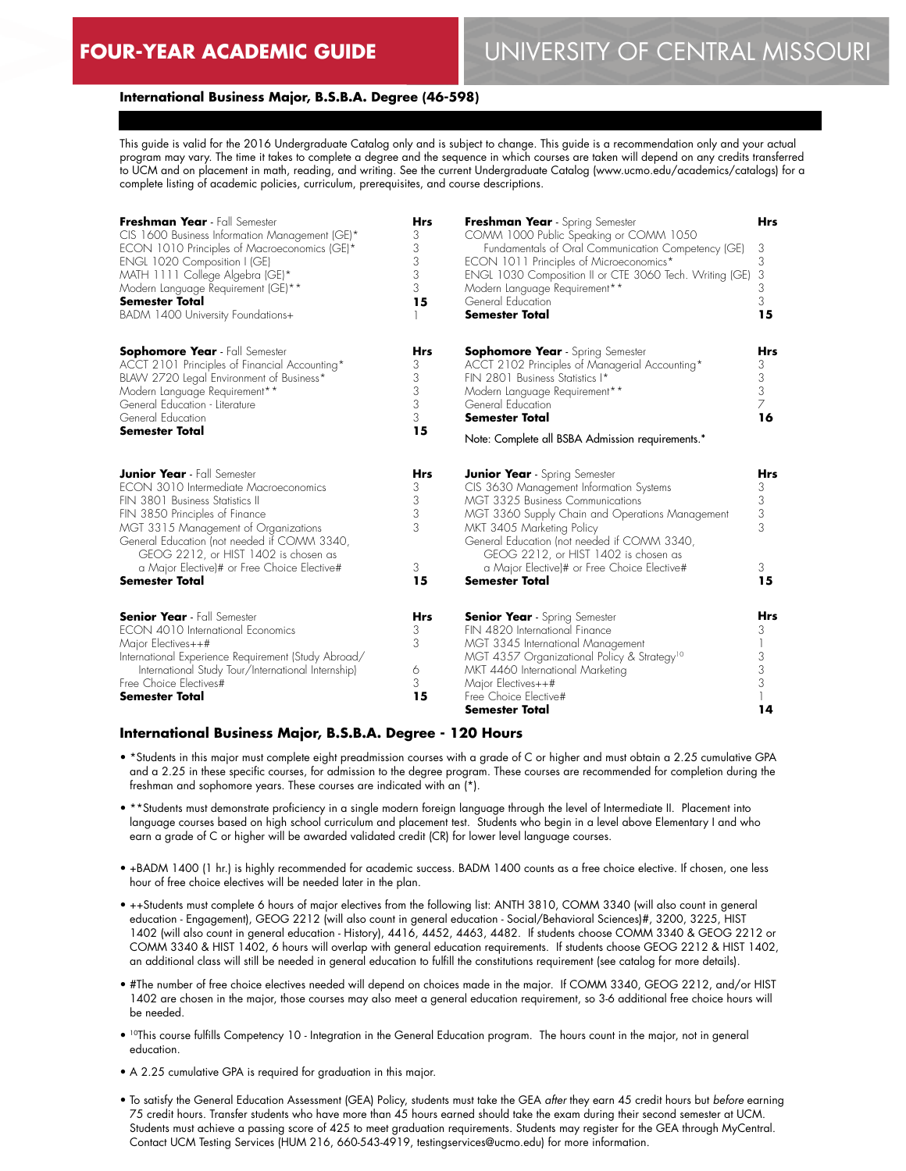# **FOUR-YEAR ACADEMIC GUIDE** UNIVERSITY OF CENTRAL MISSOURI

#### **International Business Major, B.S.B.A. Degree (46-598)**

This guide is valid for the 2016 Undergraduate Catalog only and is subject to change. This guide is a recommendation only and your actual program may vary. The time it takes to complete a degree and the sequence in which courses are taken will depend on any credits transferred to UCM and on placement in math, reading, and writing. See the current Undergraduate Catalog (www.ucmo.edu/academics/catalogs) for a complete listing of academic policies, curriculum, prerequisites, and course descriptions.

| Freshman Year - Fall Semester<br>CIS 1600 Business Information Management (GE)*<br>ECON 1010 Principles of Macroeconomics (GE)*<br>ENGL 1020 Composition I (GE)<br>MATH 1111 College Algebra (GE)*<br>Modern Language Requirement (GE)**<br><b>Semester Total</b><br>BADM 1400 University Foundations+ | <b>Hrs</b><br>3<br>3<br>3<br>3<br>3<br>15 | Freshman Year - Spring Semester<br>COMM 1000 Public Speaking or COMM 1050<br>Fundamentals of Oral Communication Competency (GE)<br>ECON 1011 Principles of Microeconomics*<br>ENGL 1030 Composition II or CTE 3060 Tech. Writing (GE)<br>Modern Language Requirement**<br>General Education<br><b>Semester Total</b> | <b>Hrs</b><br>3<br>3<br>3<br>3<br>3<br>15 |
|--------------------------------------------------------------------------------------------------------------------------------------------------------------------------------------------------------------------------------------------------------------------------------------------------------|-------------------------------------------|----------------------------------------------------------------------------------------------------------------------------------------------------------------------------------------------------------------------------------------------------------------------------------------------------------------------|-------------------------------------------|
| <b>Sophomore Year</b> - Fall Semester<br>ACCT 2101 Principles of Financial Accounting*<br>BLAW 2720 Legal Environment of Business*<br>Modern Language Requirement**<br>General Education - Literature<br>General Education<br><b>Semester Total</b>                                                    | Hrs<br>3<br>3<br>3<br>3<br>3<br>15        | <b>Sophomore Year</b> - Spring Semester<br>ACCT 2102 Principles of Managerial Accounting*<br>FIN 2801 Business Statistics I*<br>Modern Language Requirement**<br>General Education<br><b>Semester Total</b><br>Note: Complete all BSBA Admission requirements.*                                                      | Hrs<br>3<br>3<br>3<br>7<br>16             |
| <b>Junior Year</b> - Fall Semester<br>ECON 3010 Intermediate Macroeconomics<br>FIN 3801 Business Statistics II<br>FIN 3850 Principles of Finance<br>MGT 3315 Management of Organizations<br>General Education (not needed if COMM 3340,<br>GEOG 2212, or HIST 1402 is chosen as                        | <b>Hrs</b><br>3<br>3<br>3<br>3            | <b>Junior Year</b> - Spring Semester<br>CIS 3630 Management Information Systems<br><b>MGT 3325 Business Communications</b><br>MGT 3360 Supply Chain and Operations Management<br>MKT 3405 Marketing Policy<br>General Education (not needed if COMM 3340,<br>GEOG 2212, or HIST 1402 is chosen as                    | <b>Hrs</b><br>3<br>3<br>3<br>3            |
| a Major Elective)# or Free Choice Elective#<br><b>Semester Total</b>                                                                                                                                                                                                                                   | 3<br>15                                   | a Major Elective)# or Free Choice Elective#<br><b>Semester Total</b>                                                                                                                                                                                                                                                 | 3<br>15                                   |
| <b>Senior Year</b> - Fall Semester<br>ECON 4010 International Economics<br>Major Electives++#<br>International Experience Requirement (Study Abroad/<br>International Study Tour/International Internship)<br>Free Choice Electives#<br><b>Semester Total</b>                                          | <b>Hrs</b><br>3<br>3<br>6<br>3<br>15      | <b>Senior Year</b> - Spring Semester<br>FIN 4820 International Finance<br>MGT 3345 International Management<br>MGT 4357 Organizational Policy & Strategy <sup>10</sup><br>MKT 4460 International Marketing<br>Major Electives++#<br>Free Choice Elective#<br><b>Semester Total</b>                                   | <b>Hrs</b><br>3<br>3<br>3<br>3<br>14      |

#### **International Business Major, B.S.B.A. Degree - 120 Hours**

- \*Students in this major must complete eight preadmission courses with a grade of C or higher and must obtain a 2.25 cumulative GPA and a 2.25 in these specific courses, for admission to the degree program. These courses are recommended for completion during the freshman and sophomore years. These courses are indicated with an (\*).
- \*\*Students must demonstrate proficiency in a single modern foreign language through the level of Intermediate II. Placement into language courses based on high school curriculum and placement test. Students who begin in a level above Elementary I and who earn a grade of C or higher will be awarded validated credit (CR) for lower level language courses.
- +BADM 1400 (1 hr.) is highly recommended for academic success. BADM 1400 counts as a free choice elective. If chosen, one less hour of free choice electives will be needed later in the plan.
- ++Students must complete 6 hours of major electives from the following list: ANTH 3810, COMM 3340 (will also count in general education - Engagement), GEOG 2212 (will also count in general education - Social/Behavioral Sciences)#, 3200, 3225, HIST 1402 (will also count in general education - History), 4416, 4452, 4463, 4482. If students choose COMM 3340 & GEOG 2212 or COMM 3340 & HIST 1402, 6 hours will overlap with general education requirements. If students choose GEOG 2212 & HIST 1402, an additional class will still be needed in general education to fulfill the constitutions requirement (see catalog for more details).
- #The number of free choice electives needed will depend on choices made in the major. If COMM 3340, GEOG 2212, and/or HIST 1402 are chosen in the major, those courses may also meet a general education requirement, so 3-6 additional free choice hours will be needed.
- <sup>10</sup>This course fulfills Competency 10 Integration in the General Education program. The hours count in the major, not in general education.
- A 2.25 cumulative GPA is required for graduation in this major.
- To satisfy the General Education Assessment (GEA) Policy, students must take the GEA *after* they earn 45 credit hours but *before* earning 75 credit hours. Transfer students who have more than 45 hours earned should take the exam during their second semester at UCM. Students must achieve a passing score of 425 to meet graduation requirements. Students may register for the GEA through MyCentral. Contact UCM Testing Services (HUM 216, 660-543-4919, testingservices@ucmo.edu) for more information.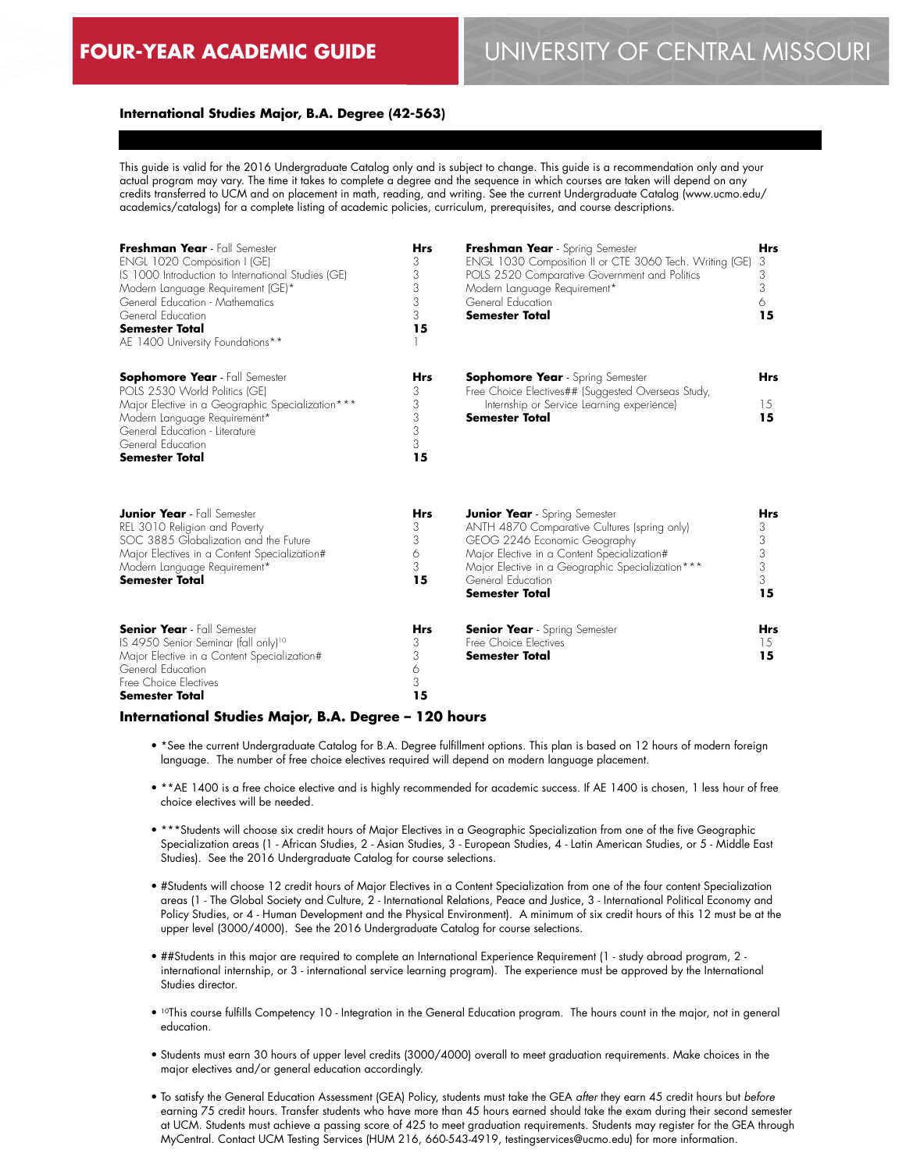## **International Studies Major, B.A. Degree (42-563)**

This guide is valid for the 2016 Undergraduate Catalog only and is subject to change. This guide is a recommendation only and your actual program may vary. The time it takes to complete a degree and the sequence in which courses are taken will depend on any credits transferred to UCM and on placement in math, reading, and writing. See the current Undergraduate Catalog (www.ucmo.edu/ academics/catalogs) for a complete listing of academic policies, curriculum, prerequisites, and course descriptions.

| Freshman Year - Fall Semester<br>ENGL 1020 Composition I (GE)<br>IS 1000 Introduction to International Studies (GE)<br>Modern Language Requirement (GE)*<br>General Education - Mathematics<br>General Education<br><b>Semester Total</b><br>AE 1400 University Foundations** | <b>Hrs</b><br>3<br>3<br>3<br>3<br>3<br>15 | Freshman Year - Spring Semester<br>ENGL 1030 Composition II or CTE 3060 Tech. Writing (GE)<br>POLS 2520 Comparative Government and Politics<br>Modern Language Requirement*<br>General Education<br><b>Semester Total</b>                                             | <b>Hrs</b><br>3<br>3<br>3<br>6<br>15      |
|-------------------------------------------------------------------------------------------------------------------------------------------------------------------------------------------------------------------------------------------------------------------------------|-------------------------------------------|-----------------------------------------------------------------------------------------------------------------------------------------------------------------------------------------------------------------------------------------------------------------------|-------------------------------------------|
| <b>Sophomore Year</b> - Fall Semester<br>POLS 2530 World Politics (GE)<br>Major Elective in a Geographic Specialization***<br>Modern Language Requirement*<br>General Education - Literature<br>General Education<br><b>Semester Total</b>                                    | <b>Hrs</b><br>3<br>3<br>3<br>3<br>3<br>15 | <b>Sophomore Year</b> - Spring Semester<br>Free Choice Electives## (Suggested Overseas Study,<br>Internship or Service Learning experience)<br><b>Semester Total</b>                                                                                                  | <b>Hrs</b><br>15<br>15                    |
| <b>Junior Year</b> - Fall Semester<br>REL 3010 Religion and Poverty<br>SOC 3885 Globalization and the Future<br>Major Electives in a Content Specialization#<br>Modern Language Requirement*<br><b>Semester Total</b>                                                         | <b>Hrs</b><br>3<br>3<br>6<br>3<br>15      | <b>Junior Year</b> - Spring Semester<br>ANTH 4870 Comparative Cultures (spring only)<br>GEOG 2246 Economic Geography<br>Major Elective in a Content Specialization#<br>Major Elective in a Geographic Specialization***<br>General Education<br><b>Semester Total</b> | <b>Hrs</b><br>3<br>3<br>3<br>3<br>3<br>15 |
| <b>Senior Year</b> - Fall Semester<br>IS 4950 Senior Seminar (fall only) <sup>10</sup><br>Major Elective in a Content Specialization#<br>General Education<br>Free Choice Electives<br><b>Semester Total</b>                                                                  | <b>Hrs</b><br>3<br>3<br>6<br>3<br>15      | <b>Senior Year</b> - Spring Semester<br>Free Choice Flectives<br><b>Semester Total</b>                                                                                                                                                                                | <b>Hrs</b><br>15<br>15                    |

#### **International Studies Major, B.A. Degree – 120 hours**

- \*See the current Undergraduate Catalog for B.A. Degree fulfillment options. This plan is based on 12 hours of modern foreign language. The number of free choice electives required will depend on modern language placement.
- \*\*AE 1400 is a free choice elective and is highly recommended for academic success. If AE 1400 is chosen, 1 less hour of free choice electives will be needed.
- \*\*\*Students will choose six credit hours of Major Electives in a Geographic Specialization from one of the five Geographic Specialization areas (1 - African Studies, 2 - Asian Studies, 3 - European Studies, 4 - Latin American Studies, or 5 - Middle East Studies). See the 2016 Undergraduate Catalog for course selections.
- #Students will choose 12 credit hours of Major Electives in a Content Specialization from one of the four content Specialization areas (1 - The Global Society and Culture, 2 - International Relations, Peace and Justice, 3 - International Political Economy and Policy Studies, or 4 - Human Development and the Physical Environment). A minimum of six credit hours of this 12 must be at the upper level (3000/4000). See the 2016 Undergraduate Catalog for course selections.
- ##Students in this major are required to complete an International Experience Requirement (1 study abroad program, 2 international internship, or 3 - international service learning program). The experience must be approved by the International Studies director.
- 10This course fulfills Competency 10 Integration in the General Education program. The hours count in the major, not in general education.
- Students must earn 30 hours of upper level credits (3000/4000) overall to meet graduation requirements. Make choices in the major electives and/or general education accordingly.
- To satisfy the General Education Assessment (GEA) Policy, students must take the GEA *after* they earn 45 credit hours but *before* earning 75 credit hours. Transfer students who have more than 45 hours earned should take the exam during their second semester at UCM. Students must achieve a passing score of 425 to meet graduation requirements. Students may register for the GEA through MyCentral. Contact UCM Testing Services (HUM 216, 660-543-4919, testingservices@ucmo.edu) for more information.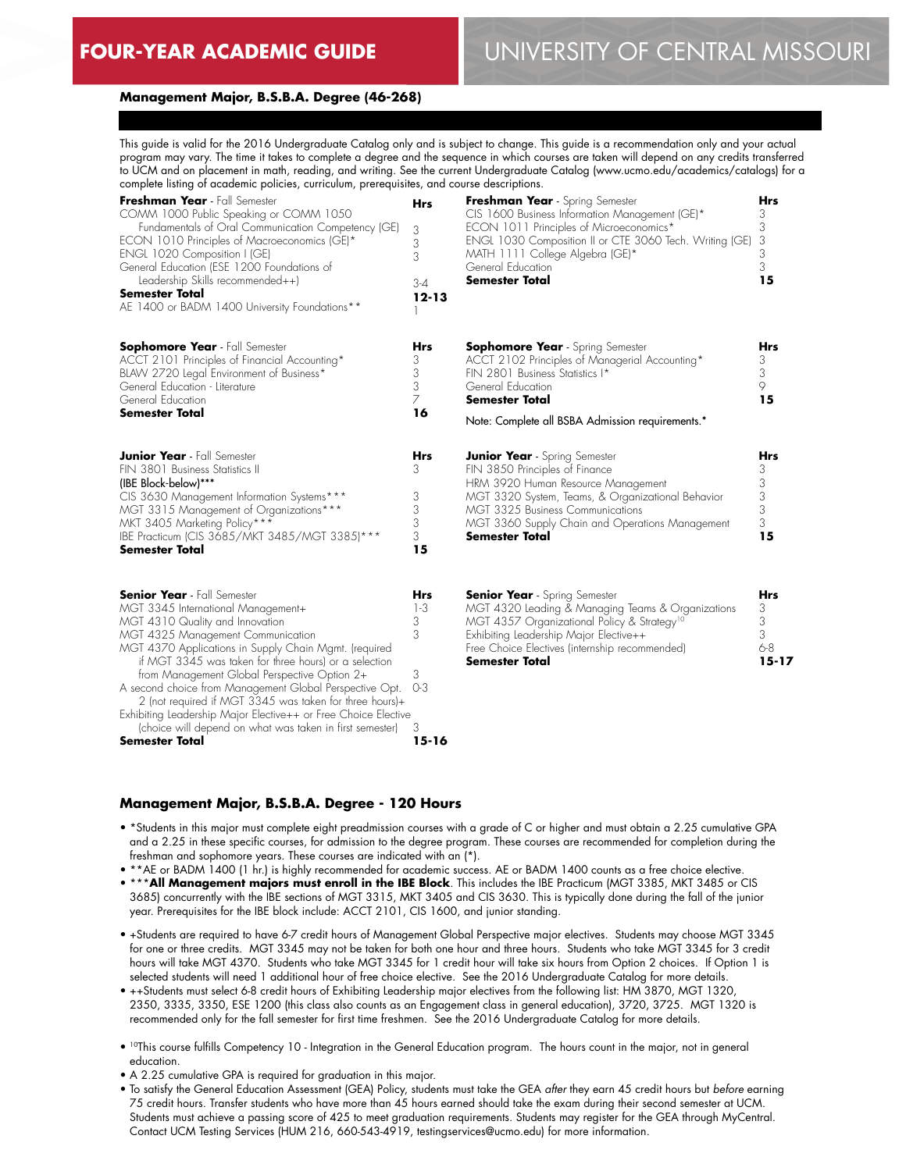## **Management Major, B.S.B.A. Degree (46-268)**

This guide is valid for the 2016 Undergraduate Catalog only and is subject to change. This guide is a recommendation only and your actual program may vary. The time it takes to complete a degree and the sequence in which courses are taken will depend on any credits transferred to UCM and on placement in math, reading, and writing. See the current Undergraduate Catalog (www.ucmo.edu/academics/catalogs) for a complete listing of academic policies, curriculum, prerequisites, and course descriptions.

| Freshman Year - Fall Semester<br>COMM 1000 Public Speaking or COMM 1050<br>Fundamentals of Oral Communication Competency (GE)<br>ECON 1010 Principles of Macroeconomics (GE)*<br>ENGL 1020 Composition I (GE)<br>General Education (ESE 1200 Foundations of<br>Leadership Skills recommended++)<br>Semester Total<br>AE 1400 or BADM 1400 University Foundations**                                                                                                                                                                                                                       | <b>Hrs</b><br>3<br>3<br>3<br>$3 - 4$<br>$12 - 13$      | Freshman Year - Spring Semester<br>CIS 1600 Business Information Management (GE)*<br>ECON 1011 Principles of Microeconomics*<br>ENGL 1030 Composition II or CTE 3060 Tech. Writing (GE)<br>MATH 1111 College Algebra (GE)*<br>General Education<br>Semester Total                 | Hrs<br>3<br>3<br>3<br>3<br>3<br>15                |
|------------------------------------------------------------------------------------------------------------------------------------------------------------------------------------------------------------------------------------------------------------------------------------------------------------------------------------------------------------------------------------------------------------------------------------------------------------------------------------------------------------------------------------------------------------------------------------------|--------------------------------------------------------|-----------------------------------------------------------------------------------------------------------------------------------------------------------------------------------------------------------------------------------------------------------------------------------|---------------------------------------------------|
| Sophomore Year - Fall Semester<br>ACCT 2101 Principles of Financial Accounting*<br>BLAVV 2720 Legal Environment of Business*<br>General Education - Literature<br>General Education<br><b>Semester Total</b>                                                                                                                                                                                                                                                                                                                                                                             | Hrs<br>3<br>3<br>3<br>$\overline{7}$<br>16             | <b>Sophomore Year</b> - Spring Semester<br>ACCT 2102 Principles of Managerial Accounting*<br>FIN 2801 Business Statistics I*<br>General Education<br>Semester Total<br>Note: Complete all BSBA Admission requirements.*                                                           | Hrs<br>3<br>3<br>$\circ$<br>15                    |
| <b>Junior Year</b> - Fall Semester<br>FIN 3801 Business Statistics II<br>(IBE Block-below)***<br>CIS 3630 Management Information Systems***<br>MGT 3315 Management of Organizations***<br>MKT 3405 Marketing Policy***<br>IBE Practicum (CIS 3685/MKT 3485/MGT 3385)***<br><b>Semester Total</b>                                                                                                                                                                                                                                                                                         | Hrs<br>3<br>3<br>3<br>3<br>3<br>15                     | <b>Junior Year</b> - Spring Semester<br>FIN 3850 Principles of Finance<br>HRM 3920 Human Resource Management<br>MGT 3320 System, Teams, & Organizational Behavior<br>MGT 3325 Business Communications<br>MGT 3360 Supply Chain and Operations Management<br><b>Semester Total</b> | Hrs<br>3<br>3<br>3<br>3<br>3<br>15                |
| <b>Senior Year</b> - Fall Semester<br>MGT 3345 International Management+<br>MGT 4310 Quality and Innovation<br>MGT 4325 Management Communication<br>MGT 4370 Applications in Supply Chain Mgmt. (required<br>if MGT 3345 was taken for three hours) or a selection<br>from Management Global Perspective Option 2+<br>A second choice from Management Global Perspective Opt.<br>2 (not required if MGT 3345 was taken for three hours)+<br>Exhibiting Leadership Major Elective++ or Free Choice Elective<br>(choice will depend on what was taken in first semester)<br>Semester Total | Hrs<br>$1-3$<br>3<br>3<br>3<br>$O-3$<br>3<br>$15 - 16$ | <b>Senior Year</b> - Spring Semester<br>MGT 4320 Leading & Managing Teams & Organizations<br>MGT 4357 Organizational Policy & Strategy <sup>10</sup><br>Exhibiting Leadership Major Elective++<br>Free Choice Electives (internship recommended)<br>Semester Total                | <b>Hrs</b><br>3<br>3<br>3<br>$6 - 8$<br>$15 - 17$ |

#### **Management Major, B.S.B.A. Degree - 120 Hours**

- \*Students in this major must complete eight preadmission courses with a grade of C or higher and must obtain a 2.25 cumulative GPA and a 2.25 in these specific courses, for admission to the degree program. These courses are recommended for completion during the freshman and sophomore years. These courses are indicated with an (\*).
- \*\*AE or BADM 1400 (1 hr.) is highly recommended for academic success. AE or BADM 1400 counts as a free choice elective. • \*\*\***All Management majors must enroll in the IBE Block**. This includes the IBE Practicum (MGT 3385, MKT 3485 or CIS 3685) concurrently with the IBE sections of MGT 3315, MKT 3405 and CIS 3630. This is typically done during the fall of the junior year. Prerequisites for the IBE block include: ACCT 2101, CIS 1600, and junior standing.
- +Students are required to have 6-7 credit hours of Management Global Perspective major electives. Students may choose MGT 3345 for one or three credits. MGT 3345 may not be taken for both one hour and three hours. Students who take MGT 3345 for 3 credit hours will take MGT 4370. Students who take MGT 3345 for 1 credit hour will take six hours from Option 2 choices. If Option 1 is selected students will need 1 additional hour of free choice elective. See the 2016 Undergraduate Catalog for more details.
- ++Students must select 6-8 credit hours of Exhibiting Leadership major electives from the following list: HM 3870, MGT 1320, 2350, 3335, 3350, ESE 1200 (this class also counts as an Engagement class in general education), 3720, 3725. MGT 1320 is recommended only for the fall semester for first time freshmen. See the 2016 Undergraduate Catalog for more details.
- 10This course fulfills Competency 10 Integration in the General Education program. The hours count in the major, not in general education.
- A 2.25 cumulative GPA is required for graduation in this major.
- To satisfy the General Education Assessment (GEA) Policy, students must take the GEA *after* they earn 45 credit hours but *before* earning 75 credit hours. Transfer students who have more than 45 hours earned should take the exam during their second semester at UCM. Students must achieve a passing score of 425 to meet graduation requirements. Students may register for the GEA through MyCentral. Contact UCM Testing Services (HUM 216, 660-543-4919, testingservices@ucmo.edu) for more information.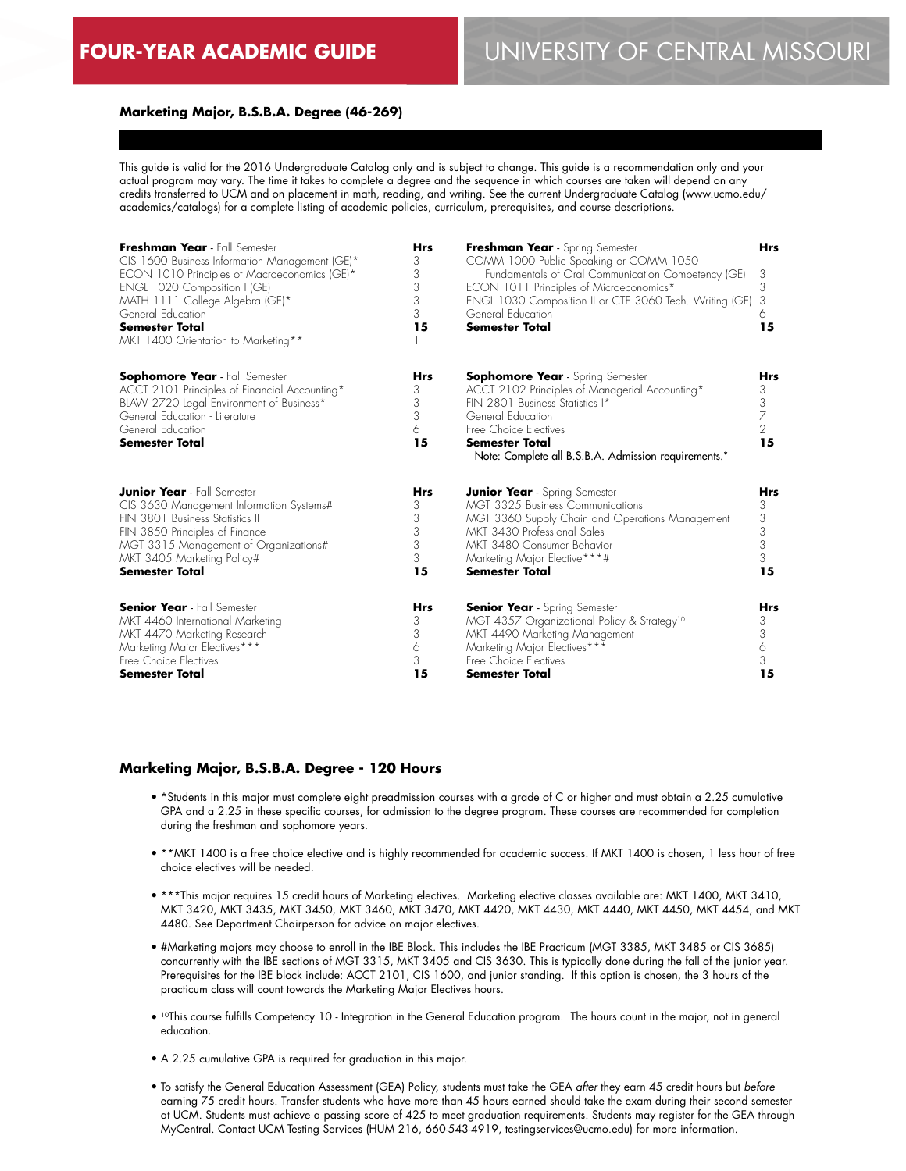## **Marketing Major, B.S.B.A. Degree (46-269)**

This guide is valid for the 2016 Undergraduate Catalog only and is subject to change. This guide is a recommendation only and your actual program may vary. The time it takes to complete a degree and the sequence in which courses are taken will depend on any credits transferred to UCM and on placement in math, reading, and writing. See the current Undergraduate Catalog (www.ucmo.edu/ academics/catalogs) for a complete listing of academic policies, curriculum, prerequisites, and course descriptions.

| Freshman Year - Fall Semester<br>CIS 1600 Business Information Management (GE)*<br>ECON 1010 Principles of Macroeconomics (GE)*<br>ENGL 1020 Composition I (GE)<br>MATH 1111 College Algebra (GE)*<br>General Education<br><b>Semester Total</b><br>MKT 1400 Orientation to Marketing** | <b>Hrs</b><br>3<br>3<br>3<br>3<br>3<br>15 | <b>Freshman Year</b> - Spring Semester<br>COMM 1000 Public Speaking or COMM 1050<br>Fundamentals of Oral Communication Competency (GE)<br>ECON 1011 Principles of Microeconomics*<br>ENGL 1030 Composition II or CTE 3060 Tech. Writing (GE)<br>General Education<br><b>Semester Total</b> | <b>Hrs</b><br>3<br>3<br>3<br>6<br>15                     |
|-----------------------------------------------------------------------------------------------------------------------------------------------------------------------------------------------------------------------------------------------------------------------------------------|-------------------------------------------|--------------------------------------------------------------------------------------------------------------------------------------------------------------------------------------------------------------------------------------------------------------------------------------------|----------------------------------------------------------|
| <b>Sophomore Year</b> - Fall Semester<br>ACCT 2101 Principles of Financial Accounting*<br>BLAW 2720 Legal Environment of Business*<br>General Education - Literature<br>General Education<br><b>Semester Total</b>                                                                      | <b>Hrs</b><br>3<br>3<br>3<br>6<br>15      | <b>Sophomore Year</b> - Spring Semester<br>ACCT 2102 Principles of Managerial Accounting*<br>FIN 2801 Business Statistics I*<br>General Education<br>Free Choice Electives<br>Semester Total<br>Note: Complete all B.S.B.A. Admission requirements.*                                       | <b>Hrs</b><br>3<br>$\frac{3}{7}$<br>$\overline{2}$<br>15 |
| <b>Junior Year</b> - Fall Semester                                                                                                                                                                                                                                                      | Hrs                                       | <b>Junior Year</b> - Spring Semester                                                                                                                                                                                                                                                       | <b>Hrs</b>                                               |
| CIS 3630 Management Information Systems#                                                                                                                                                                                                                                                | 3                                         | <b>MGT 3325 Business Communications</b>                                                                                                                                                                                                                                                    | 3                                                        |
| FIN 3801 Business Statistics II                                                                                                                                                                                                                                                         | 3                                         | MGT 3360 Supply Chain and Operations Management                                                                                                                                                                                                                                            | 3                                                        |
| FIN 3850 Principles of Finance                                                                                                                                                                                                                                                          | 3                                         | MKT 3430 Professional Sales                                                                                                                                                                                                                                                                | 3                                                        |
| MGT 3315 Management of Organizations#                                                                                                                                                                                                                                                   | 3                                         | MKT 3480 Consumer Behavior                                                                                                                                                                                                                                                                 | 3                                                        |
| MKT 3405 Marketing Policy#                                                                                                                                                                                                                                                              | 3                                         | Marketing Major Elective***#                                                                                                                                                                                                                                                               | 3                                                        |
| <b>Semester Total</b>                                                                                                                                                                                                                                                                   | 15                                        | <b>Semester Total</b>                                                                                                                                                                                                                                                                      | 15                                                       |
| <b>Senior Year</b> - Fall Semester                                                                                                                                                                                                                                                      | <b>Hrs</b>                                | <b>Senior Year</b> - Spring Semester                                                                                                                                                                                                                                                       | <b>Hrs</b>                                               |
| MKT 4460 International Marketing                                                                                                                                                                                                                                                        | 3                                         | MGT 4357 Organizational Policy & Strategy <sup>10</sup>                                                                                                                                                                                                                                    | 3                                                        |
| MKT 4470 Marketing Research                                                                                                                                                                                                                                                             | 3                                         | MKT 4490 Marketing Management                                                                                                                                                                                                                                                              | 3                                                        |
| Marketing Major Electives***                                                                                                                                                                                                                                                            | 6                                         | Marketing Major Electives***                                                                                                                                                                                                                                                               | 6                                                        |
| Free Choice Electives                                                                                                                                                                                                                                                                   | 3                                         | Free Choice Electives                                                                                                                                                                                                                                                                      | 3                                                        |
| <b>Semester Total</b>                                                                                                                                                                                                                                                                   | 15                                        | Semester Total                                                                                                                                                                                                                                                                             | 15                                                       |

#### **Marketing Major, B.S.B.A. Degree - 120 Hours**

- \*Students in this major must complete eight preadmission courses with a grade of C or higher and must obtain a 2.25 cumulative GPA and a 2.25 in these specific courses, for admission to the degree program. These courses are recommended for completion during the freshman and sophomore years.
- \*\*MKT 1400 is a free choice elective and is highly recommended for academic success. If MKT 1400 is chosen, 1 less hour of free choice electives will be needed.
- \*\*\*This major requires 15 credit hours of Marketing electives. Marketing elective classes available are: MKT 1400, MKT 3410, MKT 3420, MKT 3435, MKT 3450, MKT 3460, MKT 3470, MKT 4420, MKT 4430, MKT 4440, MKT 4450, MKT 4454, and MKT 4480. See Department Chairperson for advice on major electives.
- #Marketing majors may choose to enroll in the IBE Block. This includes the IBE Practicum (MGT 3385, MKT 3485 or CIS 3685) concurrently with the IBE sections of MGT 3315, MKT 3405 and CIS 3630. This is typically done during the fall of the junior year. Prerequisites for the IBE block include: ACCT 2101, CIS 1600, and junior standing. If this option is chosen, the 3 hours of the practicum class will count towards the Marketing Major Electives hours.
- 10This course fulfills Competency 10 Integration in the General Education program. The hours count in the major, not in general education.
- A 2.25 cumulative GPA is required for graduation in this major.
- To satisfy the General Education Assessment (GEA) Policy, students must take the GEA *after* they earn 45 credit hours but *before* earning 75 credit hours. Transfer students who have more than 45 hours earned should take the exam during their second semester at UCM. Students must achieve a passing score of 425 to meet graduation requirements. Students may register for the GEA through MyCentral. Contact UCM Testing Services (HUM 216, 660-543-4919, testingservices@ucmo.edu) for more information.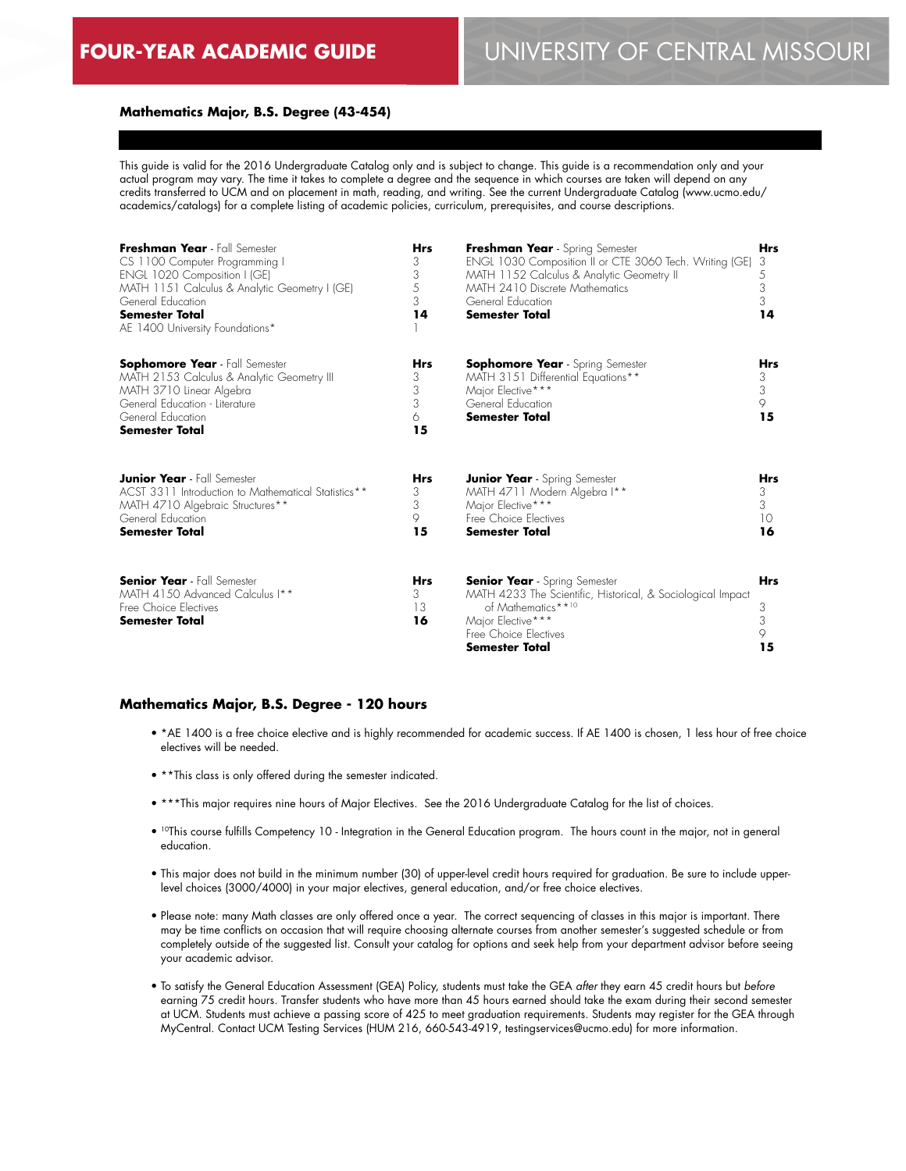## **Mathematics Major, B.S. Degree (43-454)**

This guide is valid for the 2016 Undergraduate Catalog only and is subject to change. This guide is a recommendation only and your actual program may vary. The time it takes to complete a degree and the sequence in which courses are taken will depend on any credits transferred to UCM and on placement in math, reading, and writing. See the current Undergraduate Catalog (www.ucmo.edu/ academics/catalogs) for a complete listing of academic policies, curriculum, prerequisites, and course descriptions.

| Freshman Year - Fall Semester<br>CS 1100 Computer Programming I<br>ENGL 1020 Composition I (GE)<br>MATH 1151 Calculus & Analytic Geometry I (GE)<br>General Education<br>Semester Total<br>AE 1400 University Foundations* | <b>Hrs</b><br>3<br>3<br>5<br>3<br>14 | <b>Freshman Year</b> - Spring Semester<br>ENGL 1030 Composition II or CTE 3060 Tech. Writing (GE)<br>MATH 1152 Calculus & Analytic Geometry II<br>MATH 2410 Discrete Mathematics<br>General Education<br>Semester Total | <b>Hrs</b><br>3<br>5<br>3<br>3<br>14 |
|----------------------------------------------------------------------------------------------------------------------------------------------------------------------------------------------------------------------------|--------------------------------------|-------------------------------------------------------------------------------------------------------------------------------------------------------------------------------------------------------------------------|--------------------------------------|
| <b>Sophomore Year</b> - Fall Semester<br>MATH 2153 Calculus & Analytic Geometry III<br>MATH 3710 Linear Algebra<br>General Education - Literature<br>General Education<br><b>Semester Total</b>                            | <b>Hrs</b><br>3<br>3<br>3<br>6<br>15 | <b>Sophomore Year</b> - Spring Semester<br>MATH 3151 Differential Equations**<br>Major Elective***<br>General Education<br><b>Semester Total</b>                                                                        | <b>Hrs</b><br>3<br>3<br>9<br>15      |
| <b>Junior Year</b> - Fall Semester<br>ACST 3311 Introduction to Mathematical Statistics**<br>MATH 4710 Algebraic Structures**<br>General Education<br><b>Semester Total</b>                                                | <b>Hrs</b><br>3<br>3<br>9<br>15      | <b>Junior Year</b> - Spring Semester<br>MATH 4711 Modern Algebra I**<br>Major Elective***<br>Free Choice Electives<br><b>Semester Total</b>                                                                             | <b>Hrs</b><br>3<br>3<br>10<br>16     |
| <b>Senior Year</b> - Fall Semester<br>MATH 4150 Advanced Calculus I**<br>Free Choice Flectives<br><b>Semester Total</b>                                                                                                    | <b>Hrs</b><br>3<br>13<br>16          | <b>Senior Year</b> - Spring Semester<br>MATH 4233 The Scientific, Historical, & Sociological Impact<br>of Mathematics**10<br>Major Elective***<br>Free Choice Flectives<br>Semester Total                               | <b>Hrs</b><br>3<br>3<br>9<br>15      |

#### **Mathematics Major, B.S. Degree - 120 hours**

- \*AE 1400 is a free choice elective and is highly recommended for academic success. If AE 1400 is chosen, 1 less hour of free choice electives will be needed.
- \*\*This class is only offered during the semester indicated.
- \*\*\*This major requires nine hours of Major Electives. See the 2016 Undergraduate Catalog for the list of choices.
- <sup>10</sup>This course fulfills Competency 10 Integration in the General Education program. The hours count in the major, not in general education.
- This major does not build in the minimum number (30) of upper-level credit hours required for graduation. Be sure to include upperlevel choices (3000/4000) in your major electives, general education, and/or free choice electives.
- Please note: many Math classes are only offered once a year. The correct sequencing of classes in this major is important. There may be time conflicts on occasion that will require choosing alternate courses from another semester's suggested schedule or from completely outside of the suggested list. Consult your catalog for options and seek help from your department advisor before seeing your academic advisor.
- To satisfy the General Education Assessment (GEA) Policy, students must take the GEA *after* they earn 45 credit hours but *before* earning 75 credit hours. Transfer students who have more than 45 hours earned should take the exam during their second semester at UCM. Students must achieve a passing score of 425 to meet graduation requirements. Students may register for the GEA through MyCentral. Contact UCM Testing Services (HUM 216, 660-543-4919, testingservices@ucmo.edu) for more information.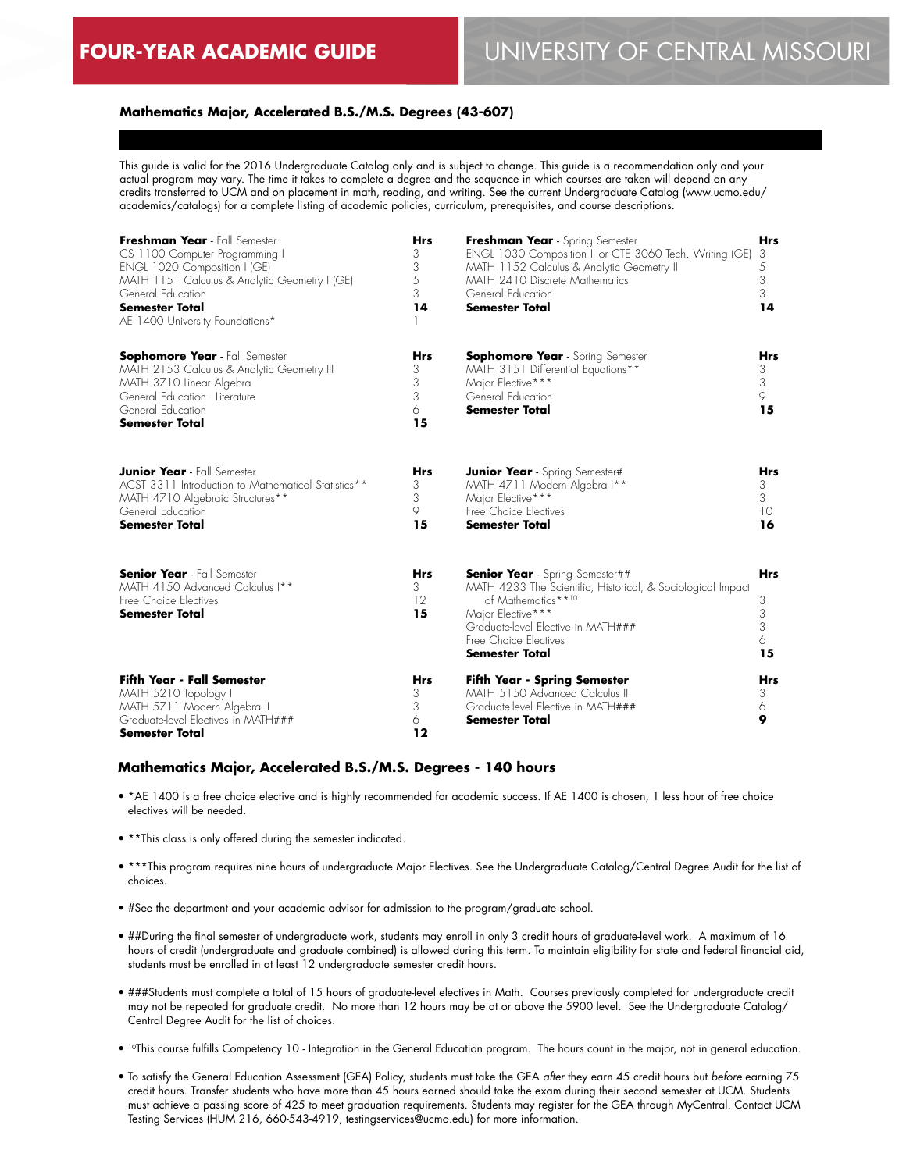# **FOUR-YEAR ACADEMIC GUIDE** UNIVERSITY OF CENTRAL MISSOURI

## **Mathematics Major, Accelerated B.S./M.S. Degrees (43-607)**

This guide is valid for the 2016 Undergraduate Catalog only and is subject to change. This guide is a recommendation only and your actual program may vary. The time it takes to complete a degree and the sequence in which courses are taken will depend on any credits transferred to UCM and on placement in math, reading, and writing. See the current Undergraduate Catalog (www.ucmo.edu/ academics/catalogs) for a complete listing of academic policies, curriculum, prerequisites, and course descriptions.

| Freshman Year - Fall Semester<br>CS 1100 Computer Programming I<br>ENGL 1020 Composition I (GE)<br>MATH 1151 Calculus & Analytic Geometry I (GE)<br>General Education<br><b>Semester Total</b><br>AE 1400 University Foundations* | <b>Hrs</b><br>3<br>3<br>5<br>3<br>14 | Freshman Year - Spring Semester<br>ENGL 1030 Composition II or CTE 3060 Tech. Writing (GE)<br>MATH 1152 Calculus & Analytic Geometry II<br>MATH 2410 Discrete Mathematics<br>General Education<br><b>Semester Total</b>                  | <b>Hrs</b><br>3<br>5<br>3<br>3<br>14 |
|-----------------------------------------------------------------------------------------------------------------------------------------------------------------------------------------------------------------------------------|--------------------------------------|------------------------------------------------------------------------------------------------------------------------------------------------------------------------------------------------------------------------------------------|--------------------------------------|
| <b>Sophomore Year</b> - Fall Semester<br>MATH 2153 Calculus & Analytic Geometry III<br>MATH 3710 Linear Algebra<br>General Education - Literature<br>General Education<br><b>Semester Total</b>                                   | <b>Hrs</b><br>3<br>3<br>3<br>6<br>15 | <b>Sophomore Year</b> - Spring Semester<br>MATH 3151 Differential Equations**<br>Major Elective***<br>General Education<br><b>Semester Total</b>                                                                                         | <b>Hrs</b><br>3<br>3<br>9<br>15      |
| <b>Junior Year</b> - Fall Semester<br>ACST 3311 Introduction to Mathematical Statistics**<br>MATH 4710 Algebraic Structures**<br>General Education<br><b>Semester Total</b>                                                       | <b>Hrs</b><br>3<br>3<br>9<br>15      | <b>Junior Year</b> - Spring Semester#<br>MATH 4711 Modern Algebra I**<br>Major Elective***<br>Free Choice Electives<br><b>Semester Total</b>                                                                                             | <b>Hrs</b><br>3<br>3<br>10<br>16     |
| <b>Senior Year</b> - Fall Semester<br>MATH 4150 Advanced Calculus I**<br>Free Choice Electives<br><b>Semester Total</b>                                                                                                           | <b>Hrs</b><br>3<br>12<br>15          | <b>Senior Year</b> - Spring Semester##<br>MATH 4233 The Scientific, Historical, & Sociological Impact<br>of Mathematics**10<br>Major Elective***<br>Graduate-level Elective in MATH###<br>Free Choice Electives<br><b>Semester Total</b> | <b>Hrs</b><br>3<br>3<br>3<br>6<br>15 |
| <b>Fifth Year - Fall Semester</b><br>MATH 5210 Topology I<br>MATH 5711 Modern Algebra II<br>Graduate-level Electives in MATH###<br><b>Semester Total</b>                                                                          | <b>Hrs</b><br>3<br>3<br>6<br>12      | <b>Fifth Year - Spring Semester</b><br>MATH 5150 Advanced Calculus II<br>Graduate-level Elective in MATH###<br><b>Semester Total</b>                                                                                                     | Hrs<br>3<br>6<br>9                   |

#### **Mathematics Major, Accelerated B.S./M.S. Degrees - 140 hours**

- \*AE 1400 is a free choice elective and is highly recommended for academic success. If AE 1400 is chosen, 1 less hour of free choice electives will be needed.
- \*\*This class is only offered during the semester indicated.
- \*\*\*This program requires nine hours of undergraduate Major Electives. See the Undergraduate Catalog/Central Degree Audit for the list of choices.
- #See the department and your academic advisor for admission to the program/graduate school.
- ##During the final semester of undergraduate work, students may enroll in only 3 credit hours of graduate-level work. A maximum of 16 hours of credit (undergraduate and graduate combined) is allowed during this term. To maintain eligibility for state and federal financial aid, students must be enrolled in at least 12 undergraduate semester credit hours.
- ###Students must complete a total of 15 hours of graduate-level electives in Math. Courses previously completed for undergraduate credit may not be repeated for graduate credit. No more than 12 hours may be at or above the 5900 level. See the Undergraduate Catalog/ Central Degree Audit for the list of choices.
- 10This course fulfills Competency 10 Integration in the General Education program. The hours count in the major, not in general education.
- To satisfy the General Education Assessment (GEA) Policy, students must take the GEA *after* they earn 45 credit hours but *before* earning 75 credit hours. Transfer students who have more than 45 hours earned should take the exam during their second semester at UCM. Students must achieve a passing score of 425 to meet graduation requirements. Students may register for the GEA through MyCentral. Contact UCM Testing Services (HUM 216, 660-543-4919, testingservices@ucmo.edu) for more information.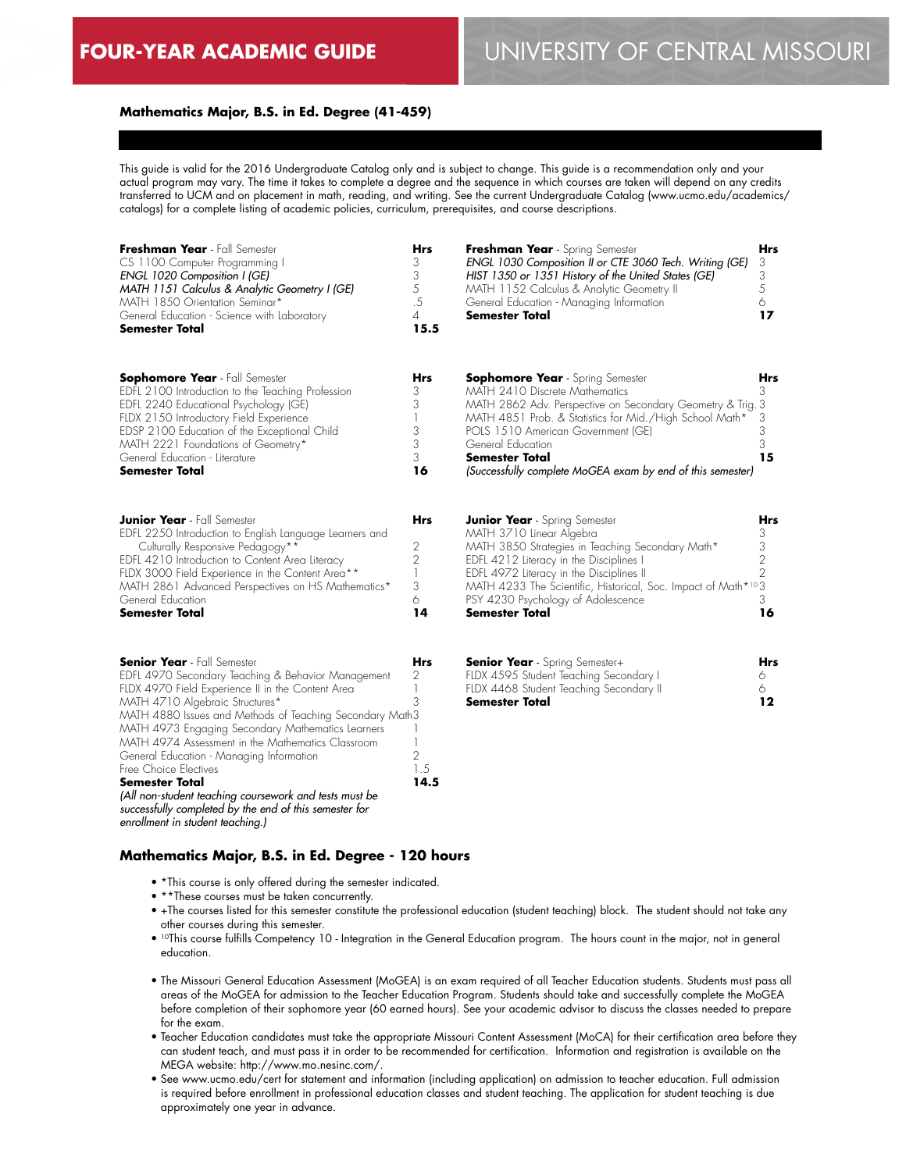## **Mathematics Major, B.S. in Ed. Degree (41-459)**

This guide is valid for the 2016 Undergraduate Catalog only and is subject to change. This guide is a recommendation only and your actual program may vary. The time it takes to complete a degree and the sequence in which courses are taken will depend on any credits transferred to UCM and on placement in math, reading, and writing. See the current Undergraduate Catalog (www.ucmo.edu/academics/ catalogs) for a complete listing of academic policies, curriculum, prerequisites, and course descriptions.

| Freshman Year - Fall Semester<br>CS 1100 Computer Programming I<br><b>ENGL 1020 Composition I (GE)</b><br>MATH 1151 Calculus & Analytic Geometry I (GE)<br>MATH 1850 Orientation Seminar*<br>General Education - Science with Laboratory<br><b>Semester Total</b>                                                                                                                                                                                                                                                                                                                                            | <b>Hrs</b><br>3<br>3<br>5<br>.5<br>$\overline{4}$<br>15.5                       | Freshman Year - Spring Semester<br>ENGL 1030 Composition II or CTE 3060 Tech. Writing (GE)<br>HIST 1350 or 1351 History of the United States (GE)<br>MATH 1152 Calculus & Analytic Geometry II<br>General Education - Managing Information<br>Semester Total                                                                                         | <b>Hrs</b><br>3<br>3<br>5<br>6<br>17                   |
|--------------------------------------------------------------------------------------------------------------------------------------------------------------------------------------------------------------------------------------------------------------------------------------------------------------------------------------------------------------------------------------------------------------------------------------------------------------------------------------------------------------------------------------------------------------------------------------------------------------|---------------------------------------------------------------------------------|------------------------------------------------------------------------------------------------------------------------------------------------------------------------------------------------------------------------------------------------------------------------------------------------------------------------------------------------------|--------------------------------------------------------|
| <b>Sophomore Year</b> - Fall Semester<br>EDFL 2100 Introduction to the Teaching Profession<br>EDFL 2240 Educational Psychology (GE)<br>FLDX 2150 Introductory Field Experience<br>EDSP 2100 Education of the Exceptional Child<br>MATH 2221 Foundations of Geometry*<br>General Education - Literature<br>Semester Total                                                                                                                                                                                                                                                                                     | Hrs<br>3<br>3<br>3<br>3<br>3<br>16                                              | <b>Sophomore Year</b> - Spring Semester<br>MATH 2410 Discrete Mathematics<br>MATH 2862 Adv. Perspective on Secondary Geometry & Trig. 3<br>MATH 4851 Prob. & Statistics for Mid./High School Math*<br>POLS 1510 American Government (GE)<br>General Education<br><b>Semester Total</b><br>(Successfully complete MoGEA exam by end of this semester) | Hrs<br>3<br>3<br>3<br>3<br>15                          |
| <b>Junior Year</b> - Fall Semester<br>EDFL 2250 Introduction to English Language Learners and<br>Culturally Responsive Pedagogy**<br>EDFL 4210 Introduction to Content Area Literacy<br>FLDX 3000 Field Experience in the Content Area**<br>MATH 2861 Advanced Perspectives on HS Mathematics*<br>General Education<br><b>Semester Total</b>                                                                                                                                                                                                                                                                 | Hrs<br>2<br>$\overline{2}$<br>1<br>3<br>6<br>14                                 | <b>Junior Year</b> - Spring Semester<br>MATH 3710 Linear Algebra<br>MATH 3850 Strategies in Teaching Secondary Math*<br>EDFL 4212 Literacy in the Disciplines I<br>EDFL 4972 Literacy in the Disciplines II<br>MATH 4233 The Scientific, Historical, Soc. Impact of Math*103<br>PSY 4230 Psychology of Adolescence<br>Semester Total                 | Hrs<br>3<br>$\frac{3}{2}$<br>$\overline{2}$<br>3<br>16 |
| <b>Senior Year</b> - Fall Semester<br>EDFL 4970 Secondary Teaching & Behavior Management<br>FLDX 4970 Field Experience II in the Content Area<br>MATH 4710 Algebraic Structures*<br>MATH 4880 Issues and Methods of Teaching Secondary Math3<br>MATH 4973 Engaging Secondary Mathematics Learners<br>MATH 4974 Assessment in the Mathematics Classroom<br>General Education - Managing Information<br>Free Choice Electives<br><b>Semester Total</b><br>(All non-student teaching coursework and tests must be<br>successfully completed by the end of this semester for<br>enrollment in student teaching.) | Hrs<br>2<br>1<br>3<br>$\overline{\phantom{a}}$<br>$\overline{2}$<br>1.5<br>14.5 | <b>Senior Year</b> - Spring Semester+<br>FLDX 4595 Student Teaching Secondary I<br>FLDX 4468 Student Teaching Secondary II<br>Semester Total                                                                                                                                                                                                         | Hrs<br>6<br>6<br>12                                    |

# **Mathematics Major, B.S. in Ed. Degree - 120 hours**

- \*This course is only offered during the semester indicated.
- \*\*These courses must be taken concurrently.
- +The courses listed for this semester constitute the professional education (student teaching) block. The student should not take any other courses during this semester.
- 10This course fulfills Competency 10 Integration in the General Education program. The hours count in the major, not in general education.
- The Missouri General Education Assessment (MoGEA) is an exam required of all Teacher Education students. Students must pass all areas of the MoGEA for admission to the Teacher Education Program. Students should take and successfully complete the MoGEA before completion of their sophomore year (60 earned hours). See your academic advisor to discuss the classes needed to prepare for the exam.
- Teacher Education candidates must take the appropriate Missouri Content Assessment (MoCA) for their certification area before they can student teach, and must pass it in order to be recommended for certification. Information and registration is available on the MEGA website: http://www.mo.nesinc.com/.
- See www.ucmo.edu/cert for statement and information (including application) on admission to teacher education. Full admission is required before enrollment in professional education classes and student teaching. The application for student teaching is due approximately one year in advance.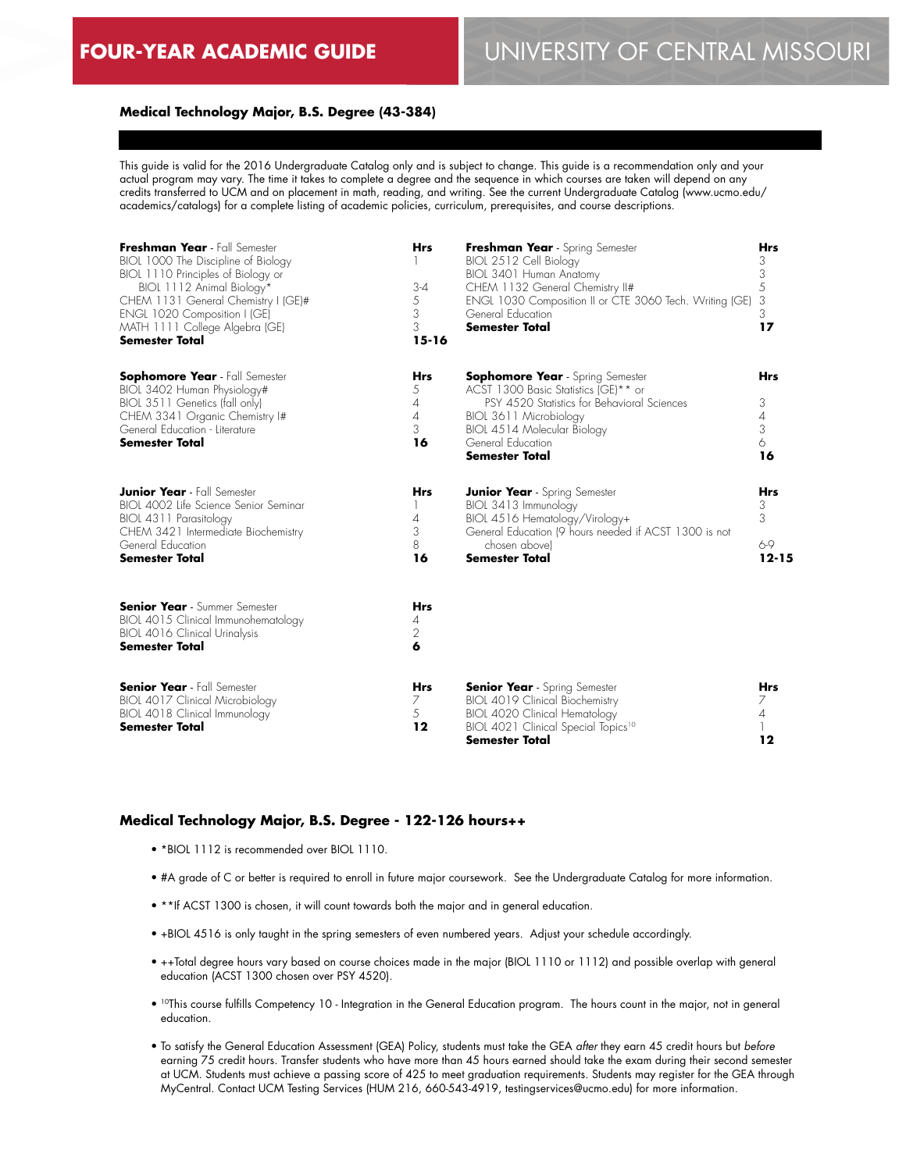## **Medical Technology Major, B.S. Degree (43-384)**

This guide is valid for the 2016 Undergraduate Catalog only and is subject to change. This guide is a recommendation only and your actual program may vary. The time it takes to complete a degree and the sequence in which courses are taken will depend on any credits transferred to UCM and on placement in math, reading, and writing. See the current Undergraduate Catalog (www.ucmo.edu/ academics/catalogs) for a complete listing of academic policies, curriculum, prerequisites, and course descriptions.

| Freshman Year - Fall Semester<br>BIOL 1000 The Discipline of Biology<br>BIOL 1110 Principles of Biology or<br>BIOL 1112 Animal Biology*<br>CHEM 1131 General Chemistry I (GE)#<br>ENGL 1020 Composition I (GE)<br>MATH 1111 College Algebra (GE)<br><b>Semester Total</b> | <b>Hrs</b><br>$3 - 4$<br>5<br>3<br>3<br>$15 - 16$              | Freshman Year - Spring Semester<br>BIOL 2512 Cell Biology<br>BIOL 3401 Human Anatomy<br>CHEM 1132 General Chemistry II#<br>ENGL 1030 Composition II or CTE 3060 Tech. Writing (GE)<br>General Education<br><b>Semester Total</b>      | <b>Hrs</b><br>3<br>3<br>5<br>3<br>3<br>17 |
|---------------------------------------------------------------------------------------------------------------------------------------------------------------------------------------------------------------------------------------------------------------------------|----------------------------------------------------------------|---------------------------------------------------------------------------------------------------------------------------------------------------------------------------------------------------------------------------------------|-------------------------------------------|
| <b>Sophomore Year</b> - Fall Semester<br>BIOL 3402 Human Physiology#<br>BIOL 3511 Genetics (fall only)<br>CHEM 3341 Organic Chemistry I#<br>General Education - Literature<br><b>Semester Total</b>                                                                       | <b>Hrs</b><br>5<br>$\overline{A}$<br>$\overline{4}$<br>3<br>16 | <b>Sophomore Year</b> - Spring Semester<br>ACST 1300 Basic Statistics (GE)** or<br>PSY 4520 Statistics for Behavioral Sciences<br>BIOL 3611 Microbiology<br>BIOL 4514 Molecular Biology<br>General Education<br><b>Semester Total</b> | <b>Hrs</b><br>3<br>4<br>3<br>6<br>16      |
| <b>Junior Year</b> - Fall Semester<br>BIOL 4002 Life Science Senior Seminar<br>BIOL 4311 Parasitology<br>CHEM 3421 Intermediate Biochemistry<br>General Education<br><b>Semester Total</b>                                                                                | <b>Hrs</b><br>4<br>3<br>8<br>16                                | <b>Junior Year</b> - Spring Semester<br>BIOL 3413 Immunology<br>BIOL 4516 Hematology/Virology+<br>General Education (9 hours needed if ACST 1300 is not<br>chosen abovel<br><b>Semester Total</b>                                     | <b>Hrs</b><br>3<br>3<br>6-9<br>$12 - 15$  |
| <b>Senior Year</b> - Summer Semester<br>BIOL 4015 Clinical Immunohematology<br>BIOL 4016 Clinical Urinalysis<br><b>Semester Total</b>                                                                                                                                     | <b>Hrs</b><br>4<br>2<br>6                                      |                                                                                                                                                                                                                                       |                                           |
| <b>Senior Year</b> - Fall Semester<br>BIOL 4017 Clinical Microbiology<br>BIOL 4018 Clinical Immunology<br><b>Semester Total</b>                                                                                                                                           | <b>Hrs</b><br>7<br>5<br>12                                     | <b>Senior Year</b> - Spring Semester<br>BIOL 4019 Clinical Biochemistry<br><b>BIOL 4020 Clinical Hematology</b><br>BIOL 4021 Clinical Special Topics <sup>10</sup><br><b>Semester Total</b>                                           | <b>Hrs</b><br>7<br>$\overline{A}$<br>12   |

# **Medical Technology Major, B.S. Degree - 122-126 hours++**

- \*BIOL 1112 is recommended over BIOL 1110.
- #A grade of C or better is required to enroll in future major coursework. See the Undergraduate Catalog for more information.
- \*\*If ACST 1300 is chosen, it will count towards both the major and in general education.
- +BIOL 4516 is only taught in the spring semesters of even numbered years. Adjust your schedule accordingly.
- ++Total degree hours vary based on course choices made in the major (BIOL 1110 or 1112) and possible overlap with general education (ACST 1300 chosen over PSY 4520).
- 10This course fulfills Competency 10 Integration in the General Education program. The hours count in the major, not in general education.
- To satisfy the General Education Assessment (GEA) Policy, students must take the GEA *after* they earn 45 credit hours but *before* earning 75 credit hours. Transfer students who have more than 45 hours earned should take the exam during their second semester at UCM. Students must achieve a passing score of 425 to meet graduation requirements. Students may register for the GEA through MyCentral. Contact UCM Testing Services (HUM 216, 660-543-4919, testingservices@ucmo.edu) for more information.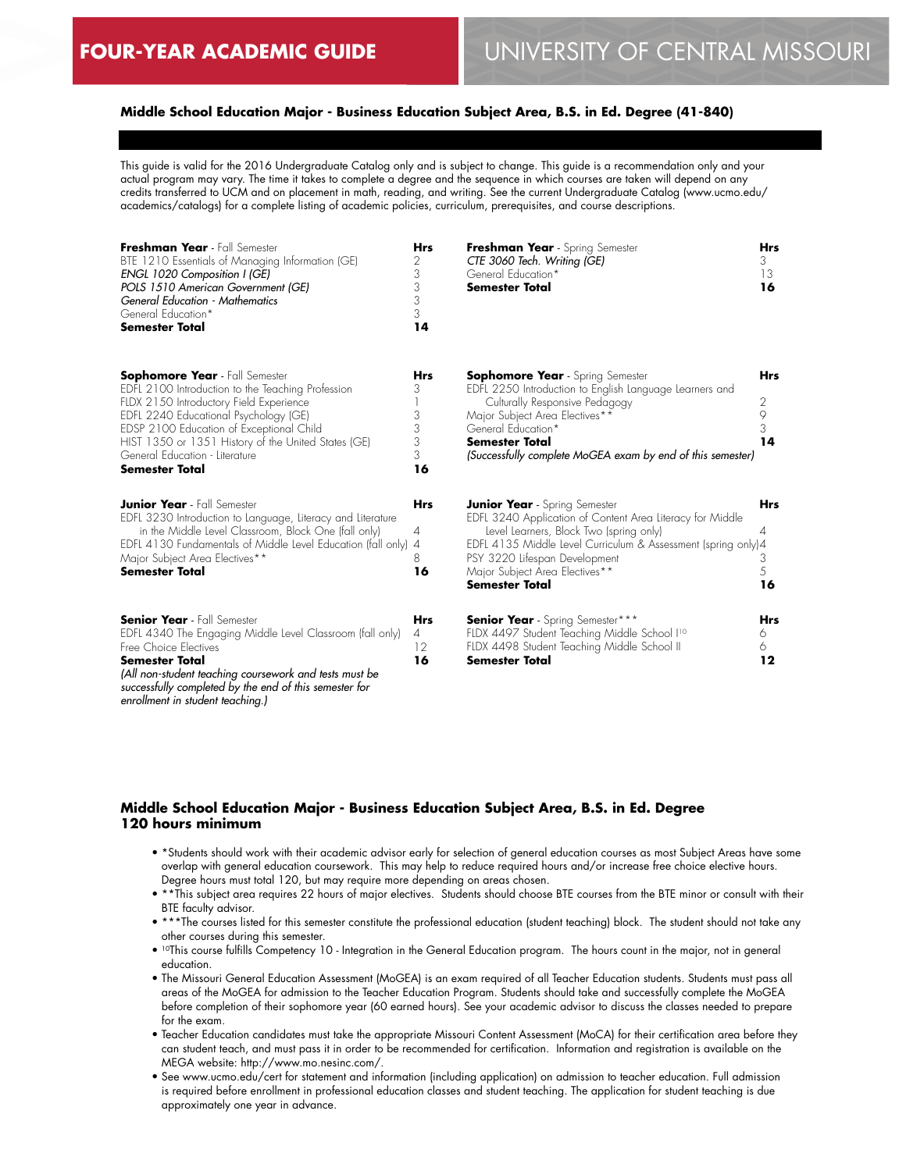# **Middle School Education Major - Business Education Subject Area, B.S. in Ed. Degree (41-840)**

This guide is valid for the 2016 Undergraduate Catalog only and is subject to change. This guide is a recommendation only and your actual program may vary. The time it takes to complete a degree and the sequence in which courses are taken will depend on any credits transferred to UCM and on placement in math, reading, and writing. See the current Undergraduate Catalog (www.ucmo.edu/ academics/catalogs) for a complete listing of academic policies, curriculum, prerequisites, and course descriptions.

| Freshman Year - Fall Semester<br>BTE 1210 Essentials of Managing Information (GE)<br><b>ENGL 1020 Composition I (GE)</b><br>POLS 1510 American Government (GE)<br>General Education - Mathematics<br>General Education*<br><b>Semester Total</b>                                                                                             | <b>Hrs</b><br>2<br>3<br>3<br>3<br>3<br>14 | Freshman Year - Spring Semester<br>CTE 3060 Tech. Writing (GE)<br>General Education*<br><b>Semester Total</b>                                                                                                                                                                                      | <b>Hrs</b><br>3.<br>13<br>16    |
|----------------------------------------------------------------------------------------------------------------------------------------------------------------------------------------------------------------------------------------------------------------------------------------------------------------------------------------------|-------------------------------------------|----------------------------------------------------------------------------------------------------------------------------------------------------------------------------------------------------------------------------------------------------------------------------------------------------|---------------------------------|
| <b>Sophomore Year</b> - Fall Semester<br>EDFL 2100 Introduction to the Teaching Profession<br>FLDX 2150 Introductory Field Experience<br>EDFL 2240 Educational Psychology (GE)<br>EDSP 2100 Education of Exceptional Child<br>HIST 1350 or 1351 History of the United States (GE)<br>General Education - Literature<br><b>Semester Total</b> | <b>Hrs</b><br>3<br>3<br>3<br>3<br>3<br>16 | <b>Sophomore Year</b> - Spring Semester<br>EDFL 2250 Introduction to English Language Learners and<br>Culturally Responsive Pedagogy<br>Major Subject Area Electives**<br>General Education*<br><b>Semester Total</b><br>(Successfully complete MoGEA exam by end of this semester)                | <b>Hrs</b><br>2<br>9<br>3<br>14 |
| <b>Junior Year</b> - Fall Semester<br>EDFL 3230 Introduction to Language, Literacy and Literature<br>in the Middle Level Classroom, Block One (fall only)<br>EDFL 4130 Fundamentals of Middle Level Education (fall only) 4<br>Major Subject Area Electives**<br><b>Semester Total</b>                                                       | <b>Hrs</b><br>4<br>8<br>16                | Junior Year - Spring Semester<br>EDFL 3240 Application of Content Area Literacy for Middle<br>Level Learners, Block Two (spring only)<br>EDFL 4135 Middle Level Curriculum & Assessment (spring only)4<br>PSY 3220 Lifespan Development<br>Major Subject Area Electives**<br><b>Semester Total</b> | <b>Hrs</b><br>4<br>3<br>5<br>16 |
| <b>Senior Year</b> - Fall Semester<br>EDFL 4340 The Engaging Middle Level Classroom (fall only)<br>Free Choice Flectives<br><b>Semester Total</b><br>(All non-student teaching coursework and tests must be<br>successfully completed by the end of this semester for<br>enrollment in student teaching.)                                    | <b>Hrs</b><br>$\overline{4}$<br>12<br>16  | <b>Senior Year</b> - Spring Semester***<br>FLDX 4497 Student Teaching Middle School I <sup>10</sup><br>FLDX 4498 Student Teaching Middle School II<br>Semester Total                                                                                                                               | <b>Hrs</b><br>6<br>6<br>$12 \,$ |

## **Middle School Education Major - Business Education Subject Area, B.S. in Ed. Degree 120 hours minimum**

- \*Students should work with their academic advisor early for selection of general education courses as most Subject Areas have some overlap with general education coursework. This may help to reduce required hours and/or increase free choice elective hours. Degree hours must total 120, but may require more depending on areas chosen.
- \*\*This subject area requires 22 hours of major electives. Students should choose BTE courses from the BTE minor or consult with their BTE faculty advisor.
- \*\*\*The courses listed for this semester constitute the professional education (student teaching) block. The student should not take any other courses during this semester.
- <sup>10</sup>This course fulfills Competency 10 Integration in the General Education program. The hours count in the major, not in general education.
- The Missouri General Education Assessment (MoGEA) is an exam required of all Teacher Education students. Students must pass all areas of the MoGEA for admission to the Teacher Education Program. Students should take and successfully complete the MoGEA before completion of their sophomore year (60 earned hours). See your academic advisor to discuss the classes needed to prepare for the exam.
- Teacher Education candidates must take the appropriate Missouri Content Assessment (MoCA) for their certification area before they can student teach, and must pass it in order to be recommended for certification. Information and registration is available on the MEGA website: http://www.mo.nesinc.com/.
- See www.ucmo.edu/cert for statement and information (including application) on admission to teacher education. Full admission is required before enrollment in professional education classes and student teaching. The application for student teaching is due approximately one year in advance.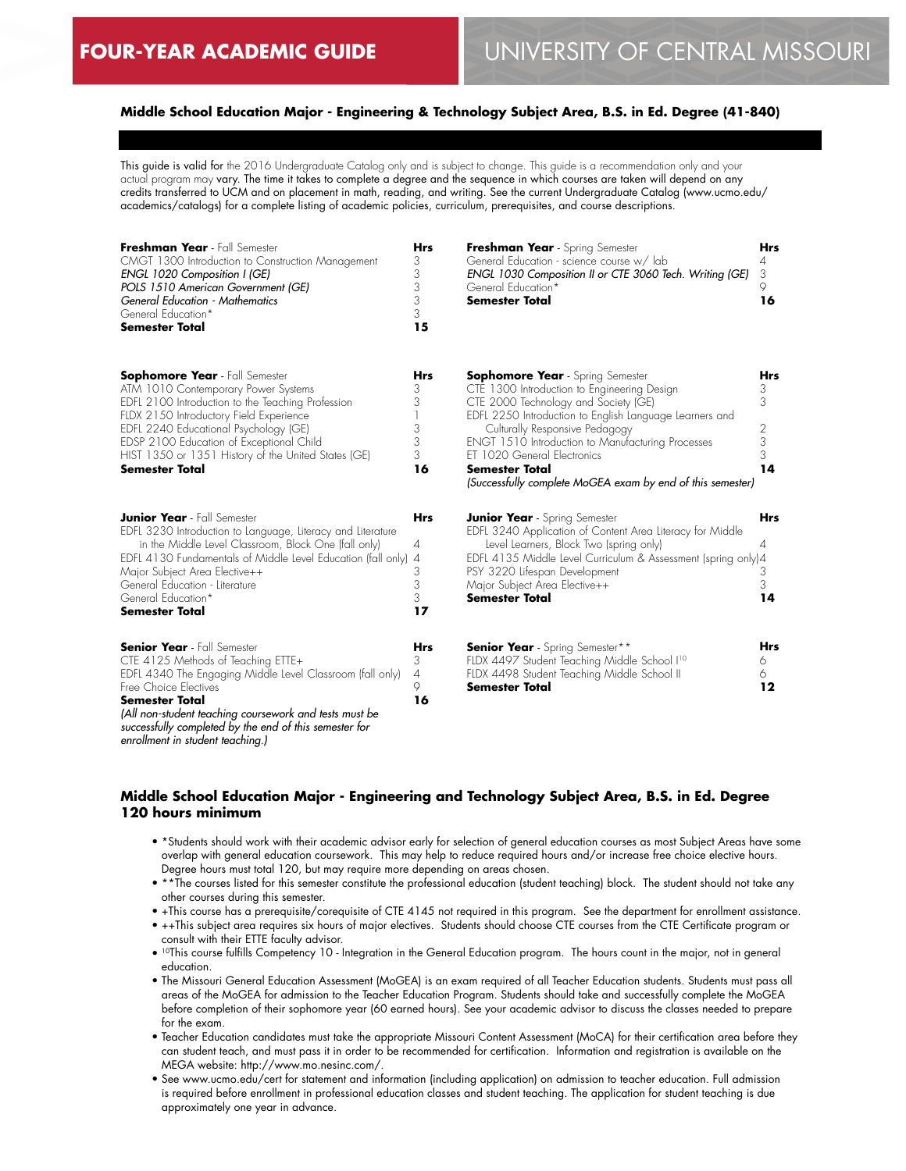# **Middle School Education Major - Engineering & Technology Subject Area, B.S. in Ed. Degree (41-840)**

This guide is valid for the 2016 Undergraduate Catalog only and is subject to change. This guide is a recommendation only and your actual program may vary. The time it takes to complete a degree and the sequence in which courses are taken will depend on any credits transferred to UCM and on placement in math, reading, and writing. See the current Undergraduate Catalog (www.ucmo.edu/ academics/catalogs) for a complete listing of academic policies, curriculum, prerequisites, and course descriptions.

| Freshman Year - Fall Semester<br>CMGT 1300 Introduction to Construction Management<br>ENGL 1020 Composition I (GE)<br>POLS 1510 American Government (GE)<br>General Education - Mathematics<br>General Education*<br><b>Semester Total</b>                                                                                                      | <b>Hrs</b><br>3<br>3<br>3<br>3<br>3<br>15 | Freshman Year - Spring Semester<br>General Education - science course w/ lab<br>ENGL 1030 Composition II or CTE 3060 Tech. Writing (GE)<br>General Education*<br><b>Semester Total</b>                                                                                                                                                                                                                 | <b>Hrs</b><br>4<br>3<br>9.<br>16   |
|-------------------------------------------------------------------------------------------------------------------------------------------------------------------------------------------------------------------------------------------------------------------------------------------------------------------------------------------------|-------------------------------------------|--------------------------------------------------------------------------------------------------------------------------------------------------------------------------------------------------------------------------------------------------------------------------------------------------------------------------------------------------------------------------------------------------------|------------------------------------|
| <b>Sophomore Year</b> - Fall Semester<br>ATM 1010 Contemporary Power Systems<br>EDFL 2100 Introduction to the Teaching Profession<br>FLDX 2150 Introductory Field Experience<br>EDFL 2240 Educational Psychology (GE)<br>EDSP 2100 Education of Exceptional Child<br>HIST 1350 or 1351 History of the United States (GE)<br>Semester Total      | Hrs<br>3<br>3<br>3<br>3<br>3<br>16        | <b>Sophomore Year</b> - Spring Semester<br>CTE 1300 Introduction to Engineering Design<br>CTE 2000 Technology and Society (GE)<br>EDFL 2250 Introduction to English Language Learners and<br>Culturally Responsive Pedagogy<br><b>ENGT 1510 Introduction to Manufacturing Processes</b><br>ET 1020 General Electronics<br>Semester Total<br>(Successfully complete MoGEA exam by end of this semester) | Hrs<br>3<br>3<br>2<br>3<br>3<br>14 |
| <b>Junior Year</b> - Fall Semester<br>EDFL 3230 Introduction to Language, Literacy and Literature<br>in the Middle Level Classroom, Block One (fall only)<br>EDFL 4130 Fundamentals of Middle Level Education (fall only) 4<br>Major Subject Area Elective++<br>General Education - Literature<br>General Education*<br><b>Semester Total</b>   | <b>Hrs</b><br>4<br>3<br>3<br>3<br>17      | <b>Junior Year</b> - Spring Semester<br>EDFL 3240 Application of Content Area Literacy for Middle<br>Level Learners, Block Two (spring only)<br>EDFL 4135 Middle Level Curriculum & Assessment (spring only)4<br>PSY 3220 Lifespan Development<br>Major Subject Area Elective++<br><b>Semester Total</b>                                                                                               | <b>Hrs</b><br>4<br>З<br>3<br>14    |
| <b>Senior Year</b> - Fall Semester<br>CTE 4125 Methods of Teaching ETTE+<br>EDFL 4340 The Engaging Middle Level Classroom (fall only)<br>Free Choice Electives<br><b>Semester Total</b><br>(All non-student teaching coursework and tests must be<br>successfully completed by the end of this semester for<br>enrollment in student teaching.) | <b>Hrs</b><br>3<br>4<br>9<br>16           | <b>Senior Year</b> - Spring Semester**<br>FLDX 4497 Student Teaching Middle School I10<br>FLDX 4498 Student Teaching Middle School II<br><b>Semester Total</b>                                                                                                                                                                                                                                         | <b>Hrs</b><br>6<br>6<br>12         |

## **Middle School Education Major - Engineering and Technology Subject Area, B.S. in Ed. Degree 120 hours minimum**

- \*Students should work with their academic advisor early for selection of general education courses as most Subject Areas have some overlap with general education coursework. This may help to reduce required hours and/or increase free choice elective hours. Degree hours must total 120, but may require more depending on areas chosen.
- \*\*The courses listed for this semester constitute the professional education (student teaching) block. The student should not take any other courses during this semester.
- +This course has a prerequisite/corequisite of CTE 4145 not required in this program. See the department for enrollment assistance.
- ++This subject area requires six hours of major electives. Students should choose CTE courses from the CTE Certificate program or consult with their ETTE faculty advisor.
- <sup>10</sup>This course fulfills Competency 10 Integration in the General Education program. The hours count in the major, not in general education.
- The Missouri General Education Assessment (MoGEA) is an exam required of all Teacher Education students. Students must pass all areas of the MoGEA for admission to the Teacher Education Program. Students should take and successfully complete the MoGEA before completion of their sophomore year (60 earned hours). See your academic advisor to discuss the classes needed to prepare for the exam.
- Teacher Education candidates must take the appropriate Missouri Content Assessment (MoCA) for their certification area before they can student teach, and must pass it in order to be recommended for certification. Information and registration is available on the MEGA website: http://www.mo.nesinc.com/.
- See www.ucmo.edu/cert for statement and information (including application) on admission to teacher education. Full admission is required before enrollment in professional education classes and student teaching. The application for student teaching is due approximately one year in advance.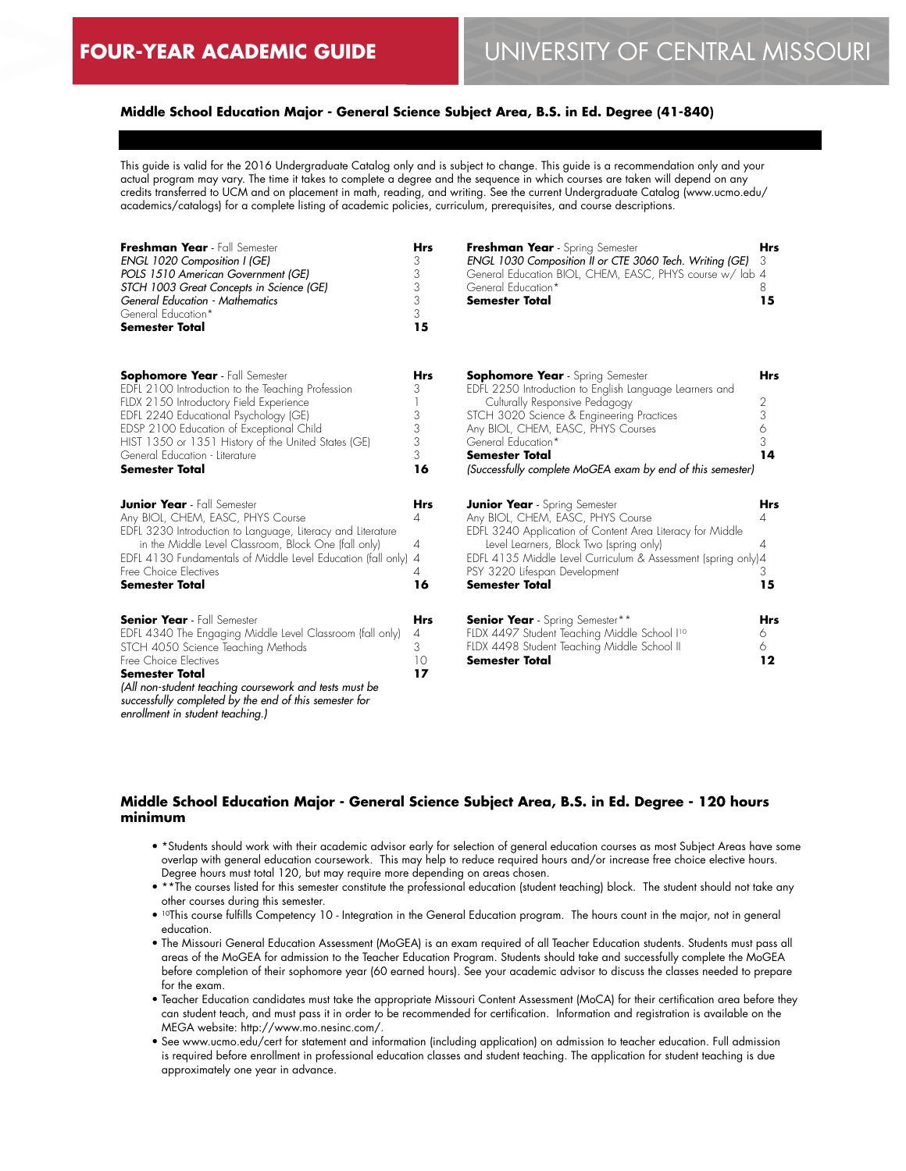# **Middle School Education Major - General Science Subject Area, B.S. in Ed. Degree (41-840)**

This guide is valid for the 2016 Undergraduate Catalog only and is subject to change. This guide is a recommendation only and your actual program may vary. The time it takes to complete a degree and the sequence in which courses are taken will depend on any credits transferred to UCM and on placement in math, reading, and writing. See the current Undergraduate Catalog (www.ucmo.edu/ academics/catalogs) for a complete listing of academic policies, curriculum, prerequisites, and course descriptions.

| Freshman Year - Fall Semester<br><b>ENGL 1020 Composition I (GE)</b><br>POLS 1510 American Government (GE)<br>STCH 1003 Great Concepts in Science (GE)<br>General Education - Mathematics<br>General Education*<br><b>Semester Total</b>                                                                                                        | <b>Hrs</b><br>3<br>3<br>3<br>3<br>3<br>15  | Freshman Year - Spring Semester<br>ENGL 1030 Composition II or CTE 3060 Tech. Writing (GE)<br>General Education BIOL, CHEM, EASC, PHYS course w/ lab 4<br>General Education*<br>Semester Total                                                                                                                                | <b>Hrs</b><br>3<br>8<br>15           |
|-------------------------------------------------------------------------------------------------------------------------------------------------------------------------------------------------------------------------------------------------------------------------------------------------------------------------------------------------|--------------------------------------------|-------------------------------------------------------------------------------------------------------------------------------------------------------------------------------------------------------------------------------------------------------------------------------------------------------------------------------|--------------------------------------|
| <b>Sophomore Year</b> - Fall Semester<br>EDFL 2100 Introduction to the Teaching Profession<br>FLDX 2150 Introductory Field Experience<br>EDFL 2240 Educational Psychology (GE)<br>EDSP 2100 Education of Exceptional Child<br>HIST 1350 or 1351 History of the United States (GE)<br>General Education - Literature<br><b>Semester Total</b>    | Hrs<br>3<br>3<br>3<br>3<br>3<br>16         | <b>Sophomore Year</b> - Spring Semester<br>EDFL 2250 Introduction to English Language Learners and<br>Culturally Responsive Pedagogy<br>STCH 3020 Science & Engineering Practices<br>Any BIOL, CHEM, EASC, PHYS Courses<br>General Education*<br>Semester Total<br>(Successfully complete MoGEA exam by end of this semester) | <b>Hrs</b><br>2<br>3<br>6<br>3<br>14 |
| <b>Junior Year</b> - Fall Semester<br>Any BIOL, CHEM, EASC, PHYS Course<br>EDFL 3230 Introduction to Language, Literacy and Literature<br>in the Middle Level Classroom, Block One (fall only)<br>EDFL 4130 Fundamentals of Middle Level Education (fall only)<br>Free Choice Electives<br><b>Semester Total</b>                                | Hrs<br>4<br>4<br>$\overline{A}$<br>4<br>16 | <b>Junior Year</b> - Spring Semester<br>Any BIOL, CHEM, EASC, PHYS Course<br>EDFL 3240 Application of Content Area Literacy for Middle<br>Level Learners, Block Two (spring only)<br>EDFL 4135 Middle Level Curriculum & Assessment (spring only)4<br>PSY 3220 Lifespan Development<br><b>Semester Total</b>                  | <b>Hrs</b><br>4<br>4<br>3<br>15      |
| <b>Senior Year</b> - Fall Semester<br>EDFL 4340 The Engaging Middle Level Classroom (fall only)<br>STCH 4050 Science Teaching Methods<br>Free Choice Electives<br><b>Semester Total</b><br>(All non-student teaching coursework and tests must be<br>successfully completed by the end of this semester for<br>enrollment in student teaching.) | Hrs<br>4<br>3<br>10<br>17                  | <b>Senior Year</b> - Spring Semester**<br>FLDX 4497 Student Teaching Middle School I <sup>10</sup><br>FLDX 4498 Student Teaching Middle School II<br><b>Semester Total</b>                                                                                                                                                    | <b>Hrs</b><br>6<br>6<br>$12 \$       |

## **Middle School Education Major - General Science Subject Area, B.S. in Ed. Degree - 120 hours minimum**

- \*Students should work with their academic advisor early for selection of general education courses as most Subject Areas have some overlap with general education coursework. This may help to reduce required hours and/or increase free choice elective hours. Degree hours must total 120, but may require more depending on areas chosen.
- \*\*The courses listed for this semester constitute the professional education (student teaching) block. The student should not take any other courses during this semester.
- <sup>10</sup>This course fulfills Competency 10 Integration in the General Education program. The hours count in the major, not in general education.
- The Missouri General Education Assessment (MoGEA) is an exam required of all Teacher Education students. Students must pass all areas of the MoGEA for admission to the Teacher Education Program. Students should take and successfully complete the MoGEA before completion of their sophomore year (60 earned hours). See your academic advisor to discuss the classes needed to prepare for the exam.
- Teacher Education candidates must take the appropriate Missouri Content Assessment (MoCA) for their certification area before they can student teach, and must pass it in order to be recommended for certification. Information and registration is available on the MEGA website: http://www.mo.nesinc.com/.
- See www.ucmo.edu/cert for statement and information (including application) on admission to teacher education. Full admission is required before enrollment in professional education classes and student teaching. The application for student teaching is due approximately one year in advance.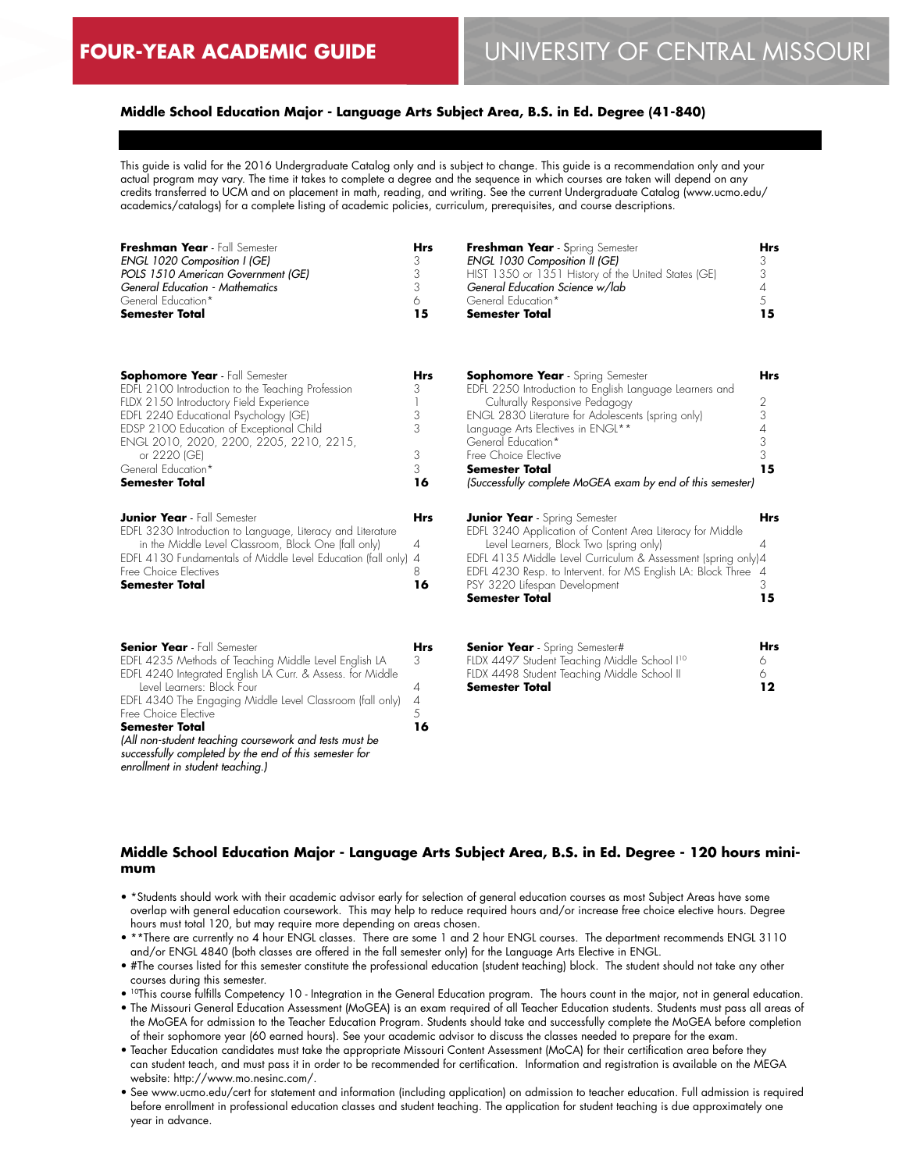# **Middle School Education Major - Language Arts Subject Area, B.S. in Ed. Degree (41-840)**

This guide is valid for the 2016 Undergraduate Catalog only and is subject to change. This guide is a recommendation only and your actual program may vary. The time it takes to complete a degree and the sequence in which courses are taken will depend on any credits transferred to UCM and on placement in math, reading, and writing. See the current Undergraduate Catalog (www.ucmo.edu/ academics/catalogs) for a complete listing of academic policies, curriculum, prerequisites, and course descriptions.

| Freshman Year - Fall Semester<br>ENGL 1020 Composition I (GE)<br>POLS 1510 American Government (GE)<br><b>General Education - Mathematics</b><br>General Education*<br><b>Semester Total</b>                                                                                                                                                                                                                                                                  | <b>Hrs</b><br>3<br>3<br>3<br>6<br>15              | Freshman Year - Spring Semester<br>ENGL 1030 Composition II (GE)<br>HIST 1350 or 1351 History of the United States (GE)<br>General Education Science w/lab<br>General Education*<br><b>Semester Total</b>                                                                                                                                                            | <b>Hrs</b><br>3<br>3<br>4<br>5<br>15      |
|---------------------------------------------------------------------------------------------------------------------------------------------------------------------------------------------------------------------------------------------------------------------------------------------------------------------------------------------------------------------------------------------------------------------------------------------------------------|---------------------------------------------------|----------------------------------------------------------------------------------------------------------------------------------------------------------------------------------------------------------------------------------------------------------------------------------------------------------------------------------------------------------------------|-------------------------------------------|
| <b>Sophomore Year</b> - Fall Semester<br>EDFL 2100 Introduction to the Teaching Profession<br>FLDX 2150 Introductory Field Experience<br>EDFL 2240 Educational Psychology (GE)<br>EDSP 2100 Education of Exceptional Child<br>ENGL 2010, 2020, 2200, 2205, 2210, 2215,<br>or 2220 (GE)<br>General Education*<br><b>Semester Total</b>                                                                                                                         | Hrs<br>3<br>1<br>3<br>3<br>3<br>3<br>16           | <b>Sophomore Year</b> - Spring Semester<br>EDFL 2250 Introduction to English Language Learners and<br>Culturally Responsive Pedagogy<br>ENGL 2830 Literature for Adolescents (spring only)<br>Language Arts Electives in ENGL**<br>General Education*<br>Free Choice Elective<br><b>Semester Total</b><br>(Successfully complete MoGEA exam by end of this semester) | <b>Hrs</b><br>2<br>3<br>4<br>3<br>3<br>15 |
| <b>Junior Year</b> - Fall Semester<br>EDFL 3230 Introduction to Language, Literacy and Literature<br>in the Middle Level Classroom, Block One (fall only)<br>EDFL 4130 Fundamentals of Middle Level Education (fall only)<br>Free Choice Electives<br><b>Semester Total</b>                                                                                                                                                                                   | <b>Hrs</b><br>4<br>$\overline{4}$<br>8<br>16      | <b>Junior Year</b> - Spring Semester<br>EDFL 3240 Application of Content Area Literacy for Middle<br>Level Learners, Block Two (spring only)<br>EDFL 4135 Middle Level Curriculum & Assessment (spring only)4<br>EDFL 4230 Resp. to Intervent. for MS English LA: Block Three 4<br>PSY 3220 Lifespan Development<br><b>Semester Total</b>                            | <b>Hrs</b><br>4<br>3<br>15                |
| <b>Senior Year</b> - Fall Semester<br>EDFL 4235 Methods of Teaching Middle Level English LA<br>EDFL 4240 Integrated English LA Curr. & Assess. for Middle<br>Level Learners: Block Four<br>EDFL 4340 The Engaging Middle Level Classroom (fall only)<br>Free Choice Elective<br><b>Semester Total</b><br>(All non-student teaching coursework and tests must be<br>successfully completed by the end of this semester for<br>enrollment in student teaching.) | <b>Hrs</b><br>3<br>$\overline{4}$<br>4<br>5<br>16 | <b>Senior Year</b> - Spring Semester#<br>FLDX 4497 Student Teaching Middle School I <sup>10</sup><br>FLDX 4498 Student Teaching Middle School II<br><b>Semester Total</b>                                                                                                                                                                                            | Hrs<br>6<br>6.<br>12                      |

# **Middle School Education Major - Language Arts Subject Area, B.S. in Ed. Degree - 120 hours minimum**

- \*Students should work with their academic advisor early for selection of general education courses as most Subject Areas have some overlap with general education coursework. This may help to reduce required hours and/or increase free choice elective hours. Degree hours must total 120, but may require more depending on areas chosen.
- \*\*There are currently no 4 hour ENGL classes. There are some 1 and 2 hour ENGL courses. The department recommends ENGL 3110 and/or ENGL 4840 (both classes are offered in the fall semester only) for the Language Arts Elective in ENGL.
- #The courses listed for this semester constitute the professional education (student teaching) block. The student should not take any other courses during this semester.
- 10This course fulfills Competency 10 Integration in the General Education program. The hours count in the major, not in general education.
- The Missouri General Education Assessment (MoGEA) is an exam required of all Teacher Education students. Students must pass all areas of the MoGEA for admission to the Teacher Education Program. Students should take and successfully complete the MoGEA before completion of their sophomore year (60 earned hours). See your academic advisor to discuss the classes needed to prepare for the exam.
- Teacher Education candidates must take the appropriate Missouri Content Assessment (MoCA) for their certification area before they can student teach, and must pass it in order to be recommended for certification. Information and registration is available on the MEGA website: http://www.mo.nesinc.com/.
- See www.ucmo.edu/cert for statement and information (including application) on admission to teacher education. Full admission is required before enrollment in professional education classes and student teaching. The application for student teaching is due approximately one year in advance.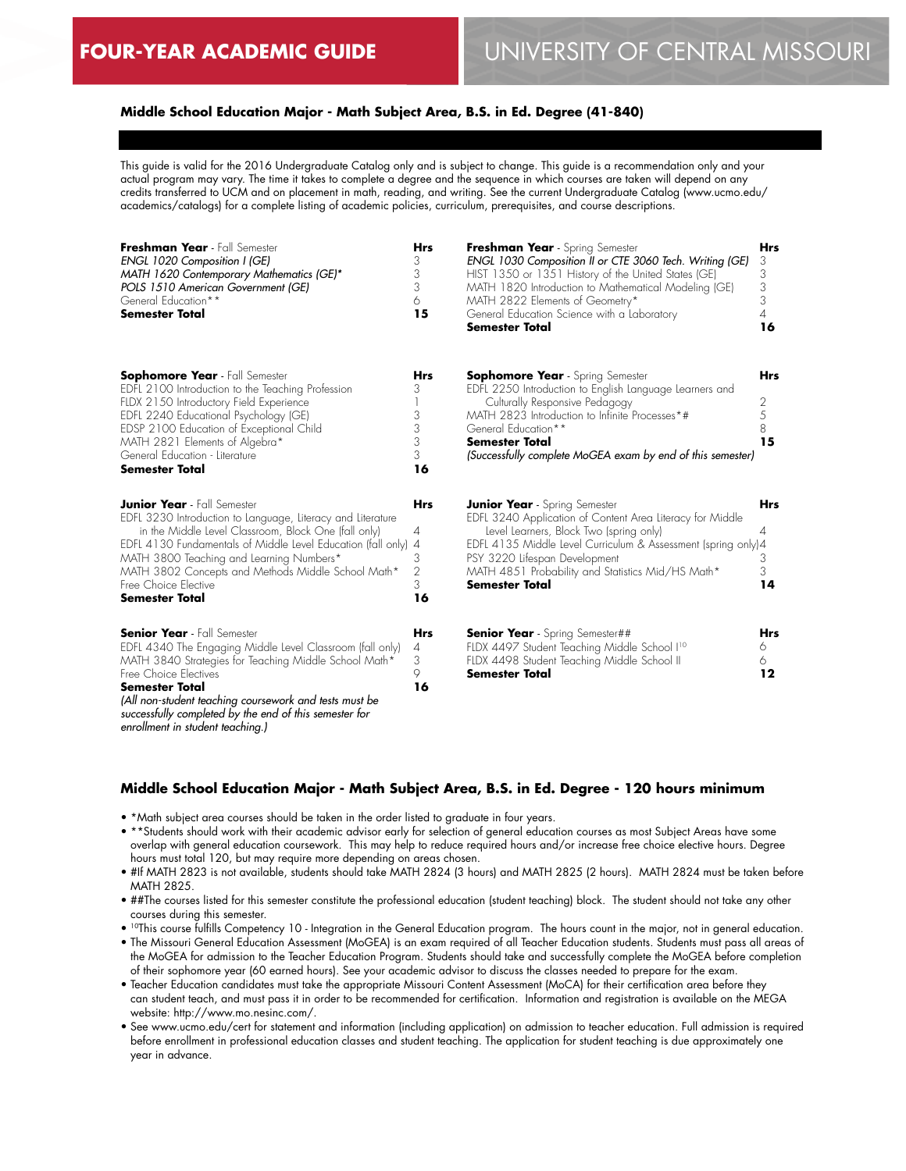## **Middle School Education Major - Math Subject Area, B.S. in Ed. Degree (41-840)**

This guide is valid for the 2016 Undergraduate Catalog only and is subject to change. This guide is a recommendation only and your actual program may vary. The time it takes to complete a degree and the sequence in which courses are taken will depend on any credits transferred to UCM and on placement in math, reading, and writing. See the current Undergraduate Catalog (www.ucmo.edu/ academics/catalogs) for a complete listing of academic policies, curriculum, prerequisites, and course descriptions.

| Freshman Year - Fall Semester<br>ENGL 1020 Composition I (GE)<br>MATH 1620 Contemporary Mathematics (GE)*<br>POLS 1510 American Government (GE)<br>General Education**<br><b>Semester Total</b>                                                                                                                                                                              | <b>Hrs</b><br>3<br>3<br>3<br>6<br>15                   | Freshman Year - Spring Semester<br>ENGL 1030 Composition II or CTE 3060 Tech. Writing (GE)<br>HIST 1350 or 1351 History of the United States (GE)<br>MATH 1820 Introduction to Mathematical Modeling (GE)<br>MATH 2822 Elements of Geometry*<br>General Education Science with a Laboratory<br><b>Semester Total</b>          | <b>Hrs</b><br>3<br>3<br>3<br>3<br>4<br>16 |
|------------------------------------------------------------------------------------------------------------------------------------------------------------------------------------------------------------------------------------------------------------------------------------------------------------------------------------------------------------------------------|--------------------------------------------------------|-------------------------------------------------------------------------------------------------------------------------------------------------------------------------------------------------------------------------------------------------------------------------------------------------------------------------------|-------------------------------------------|
| <b>Sophomore Year</b> - Fall Semester<br>EDFL 2100 Introduction to the Teaching Profession<br>FLDX 2150 Introductory Field Experience<br>EDFL 2240 Educational Psychology (GE)<br>EDSP 2100 Education of Exceptional Child<br>MATH 2821 Elements of Algebra*<br>General Education - Literature<br><b>Semester Total</b>                                                      | <b>Hrs</b><br>3<br>3<br>3<br>3<br>3<br>16              | <b>Sophomore Year</b> - Spring Semester<br>EDFL 2250 Introduction to English Language Learners and<br>Culturally Responsive Pedagogy<br>MATH 2823 Introduction to Infinite Processes*#<br>General Education**<br><b>Semester Total</b><br>(Successfully complete MoGEA exam by end of this semester)                          | <b>Hrs</b><br>2<br>5<br>8<br>15           |
| <b>Junior Year</b> - Fall Semester<br>EDFL 3230 Introduction to Language, Literacy and Literature<br>in the Middle Level Classroom, Block One (fall only)<br>EDFL 4130 Fundamentals of Middle Level Education (fall only)<br>MATH 3800 Teaching and Learning Numbers*<br>MATH 3802 Concepts and Methods Middle School Math*<br>Free Choice Elective<br><b>Semester Total</b> | <b>Hrs</b><br>4<br>4<br>3<br>$\overline{2}$<br>3<br>16 | <b>Junior Year</b> - Spring Semester<br>EDFL 3240 Application of Content Area Literacy for Middle<br>Level Learners, Block Two (spring only)<br>EDFL 4135 Middle Level Curriculum & Assessment (spring only) 4<br>PSY 3220 Lifespan Development<br>MATH 4851 Probability and Statistics Mid/HS Math*<br><b>Semester Total</b> | <b>Hrs</b><br>4<br>3<br>3<br>14           |
| <b>Senior Year</b> - Fall Semester<br>EDFL 4340 The Engaging Middle Level Classroom (fall only)<br>MATH 3840 Strategies for Teaching Middle School Math*<br>Free Choice Electives<br><b>Semester Total</b><br>(All non-student teaching coursework and tests must be<br>successfully completed by the end of this semester for<br>enrollment in student teaching.)           | Hrs<br>4<br>3<br>9<br>16                               | <b>Senior Year</b> - Spring Semester##<br>FLDX 4497 Student Teaching Middle School I <sup>10</sup><br>FLDX 4498 Student Teaching Middle School II<br><b>Semester Total</b>                                                                                                                                                    | <b>Hrs</b><br>6<br>6<br>12                |

# **Middle School Education Major - Math Subject Area, B.S. in Ed. Degree - 120 hours minimum**

- \*Math subject area courses should be taken in the order listed to graduate in four years.
- \*\*Students should work with their academic advisor early for selection of general education courses as most Subject Areas have some overlap with general education coursework. This may help to reduce required hours and/or increase free choice elective hours. Degree hours must total 120, but may require more depending on areas chosen.
- #If MATH 2823 is not available, students should take MATH 2824 (3 hours) and MATH 2825 (2 hours). MATH 2824 must be taken before MATH 2825.
- ##The courses listed for this semester constitute the professional education (student teaching) block. The student should not take any other courses during this semester.
- 10This course fulfills Competency 10 Integration in the General Education program. The hours count in the major, not in general education.
- The Missouri General Education Assessment (MoGEA) is an exam required of all Teacher Education students. Students must pass all areas of the MoGEA for admission to the Teacher Education Program. Students should take and successfully complete the MoGEA before completion of their sophomore year (60 earned hours). See your academic advisor to discuss the classes needed to prepare for the exam.
- Teacher Education candidates must take the appropriate Missouri Content Assessment (MoCA) for their certification area before they can student teach, and must pass it in order to be recommended for certification. Information and registration is available on the MEGA website: http://www.mo.nesinc.com/.
- See www.ucmo.edu/cert for statement and information (including application) on admission to teacher education. Full admission is required before enrollment in professional education classes and student teaching. The application for student teaching is due approximately one year in advance.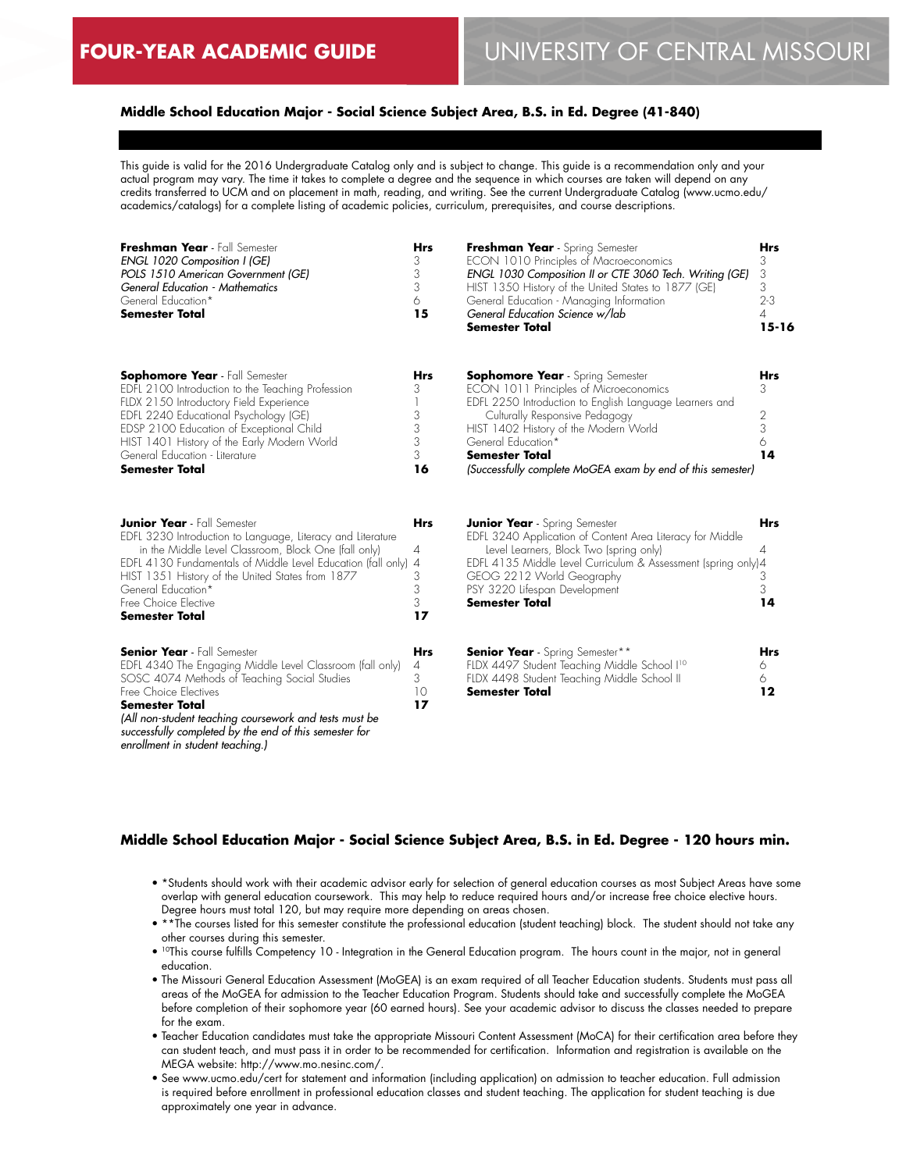# **Middle School Education Major - Social Science Subject Area, B.S. in Ed. Degree (41-840)**

This guide is valid for the 2016 Undergraduate Catalog only and is subject to change. This guide is a recommendation only and your actual program may vary. The time it takes to complete a degree and the sequence in which courses are taken will depend on any credits transferred to UCM and on placement in math, reading, and writing. See the current Undergraduate Catalog (www.ucmo.edu/ academics/catalogs) for a complete listing of academic policies, curriculum, prerequisites, and course descriptions.

| Freshman Year - Fall Semester<br>ENGL 1020 Composition I (GE)<br>POLS 1510 American Government (GE)<br>General Education - Mathematics<br>General Education*<br><b>Semester Total</b>                                                                                                                                                                     | <b>Hrs</b><br>3<br>3<br>3<br>6<br>15      | Freshman Year - Spring Semester<br>ECON 1010 Principles of Macroeconomics<br>ENGL 1030 Composition II or CTE 3060 Tech. Writing (GE)<br>HIST 1350 History of the United States to 1877 (GE)<br>General Education - Managing Information<br>General Education Science w/lab<br><b>Semester Total</b>                                  | <b>Hrs</b><br>3<br>3<br>3<br>$2 - 3$<br>4<br>$15 - 16$ |
|-----------------------------------------------------------------------------------------------------------------------------------------------------------------------------------------------------------------------------------------------------------------------------------------------------------------------------------------------------------|-------------------------------------------|--------------------------------------------------------------------------------------------------------------------------------------------------------------------------------------------------------------------------------------------------------------------------------------------------------------------------------------|--------------------------------------------------------|
| <b>Sophomore Year</b> - Fall Semester<br>EDFL 2100 Introduction to the Teaching Profession<br>FLDX 2150 Introductory Field Experience<br>EDFL 2240 Educational Psychology (GE)<br>EDSP 2100 Education of Exceptional Child<br>HIST 1401 History of the Early Modern World<br>General Education - Literature<br><b>Semester Total</b>                      | <b>Hrs</b><br>3<br>3<br>3<br>3<br>3<br>16 | <b>Sophomore Year</b> - Spring Semester<br>ECON 1011 Principles of Microeconomics<br>EDFL 2250 Introduction to English Language Learners and<br>Culturally Responsive Pedagogy<br>HIST 1402 History of the Modern World<br>General Education*<br><b>Semester Total</b><br>(Successfully complete MoGEA exam by end of this semester) | <b>Hrs</b><br>3<br>2<br>3<br>6<br>14                   |
| <b>Junior Year</b> - Fall Semester<br>EDFL 3230 Introduction to Language, Literacy and Literature<br>in the Middle Level Classroom, Block One (fall only)<br>EDFL 4130 Fundamentals of Middle Level Education (fall only) 4<br>HIST 1351 History of the United States from 1877<br>General Education*<br>Free Choice Elective<br><b>Semester Total</b>    | <b>Hrs</b><br>4<br>3<br>3<br>3<br>17      | <b>Junior Year</b> - Spring Semester<br>EDFL 3240 Application of Content Area Literacy for Middle<br>Level Learners, Block Two (spring only)<br>EDFL 4135 Middle Level Curriculum & Assessment (spring only)4<br>GEOG 2212 World Geography<br>PSY 3220 Lifespan Development<br><b>Semester Total</b>                                 | <b>Hrs</b><br>4<br>3<br>3<br>14                        |
| <b>Senior Year</b> - Fall Semester<br>EDFL 4340 The Engaging Middle Level Classroom (fall only)<br>SOSC 4074 Methods of Teaching Social Studies<br>Free Choice Electives<br><b>Semester Total</b><br>(All non-student teaching coursework and tests must be<br>successfully completed by the end of this semester for<br>enrollment in student teaching.) | <b>Hrs</b><br>4<br>3<br>10<br>17          | <b>Senior Year</b> - Spring Semester**<br>FLDX 4497 Student Teaching Middle School I <sup>10</sup><br>FLDX 4498 Student Teaching Middle School II<br><b>Semester Total</b>                                                                                                                                                           | <b>Hrs</b><br>6<br>6<br>12                             |

## **Middle School Education Major - Social Science Subject Area, B.S. in Ed. Degree - 120 hours min.**

- \*Students should work with their academic advisor early for selection of general education courses as most Subject Areas have some overlap with general education coursework. This may help to reduce required hours and/or increase free choice elective hours. Degree hours must total 120, but may require more depending on areas chosen.
- \*\*The courses listed for this semester constitute the professional education (student teaching) block. The student should not take any other courses during this semester.
- <sup>10</sup>This course fulfills Competency 10 Integration in the General Education program. The hours count in the major, not in general education.
- The Missouri General Education Assessment (MoGEA) is an exam required of all Teacher Education students. Students must pass all areas of the MoGEA for admission to the Teacher Education Program. Students should take and successfully complete the MoGEA before completion of their sophomore year (60 earned hours). See your academic advisor to discuss the classes needed to prepare for the exam.
- Teacher Education candidates must take the appropriate Missouri Content Assessment (MoCA) for their certification area before they can student teach, and must pass it in order to be recommended for certification. Information and registration is available on the MEGA website: http://www.mo.nesinc.com/.
- See www.ucmo.edu/cert for statement and information (including application) on admission to teacher education. Full admission is required before enrollment in professional education classes and student teaching. The application for student teaching is due approximately one year in advance.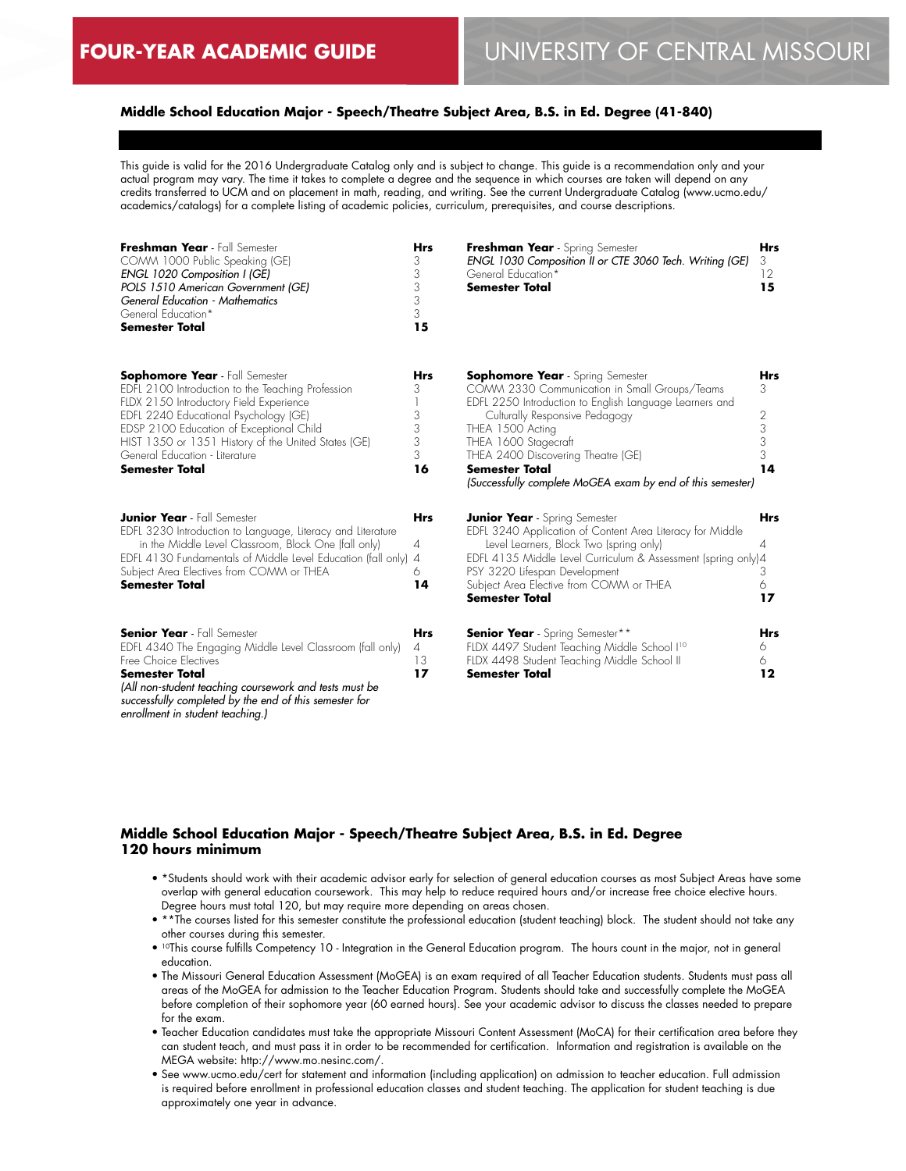# **Middle School Education Major - Speech/Theatre Subject Area, B.S. in Ed. Degree (41-840)**

This guide is valid for the 2016 Undergraduate Catalog only and is subject to change. This guide is a recommendation only and your actual program may vary. The time it takes to complete a degree and the sequence in which courses are taken will depend on any credits transferred to UCM and on placement in math, reading, and writing. See the current Undergraduate Catalog (www.ucmo.edu/ academics/catalogs) for a complete listing of academic policies, curriculum, prerequisites, and course descriptions.

| Freshman Year - Fall Semester<br>COMM 1000 Public Speaking (GE)<br>ENGL 1020 Composition I (GE)<br>POLS 1510 American Government (GE)<br>General Education - Mathematics<br>General Education*<br><b>Semester Total</b>                                                                                                                      | <b>Hrs</b><br>3<br>3<br>3<br>3<br>3<br>15 | Freshman Year - Spring Semester<br>ENGL 1030 Composition II or CTE 3060 Tech. Writing (GE)<br>General Education*<br>Semester Total                                                                                                                                                                                                                             | <b>Hrs</b><br>3<br>12<br>15        |
|----------------------------------------------------------------------------------------------------------------------------------------------------------------------------------------------------------------------------------------------------------------------------------------------------------------------------------------------|-------------------------------------------|----------------------------------------------------------------------------------------------------------------------------------------------------------------------------------------------------------------------------------------------------------------------------------------------------------------------------------------------------------------|------------------------------------|
| <b>Sophomore Year</b> - Fall Semester<br>EDFL 2100 Introduction to the Teaching Profession<br>FLDX 2150 Introductory Field Experience<br>EDFL 2240 Educational Psychology (GE)<br>EDSP 2100 Education of Exceptional Child<br>HIST 1350 or 1351 History of the United States (GE)<br>General Education - Literature<br><b>Semester Total</b> | <b>Hrs</b><br>3<br>3<br>3<br>3<br>3<br>16 | <b>Sophomore Year</b> - Spring Semester<br>COMM 2330 Communication in Small Groups/Teams<br>EDFL 2250 Introduction to English Language Learners and<br>Culturally Responsive Pedagogy<br>THEA 1500 Acting<br>THEA 1600 Stagecraft<br>THEA 2400 Discovering Theatre (GE)<br><b>Semester Total</b><br>(Successfully complete MoGEA exam by end of this semester) | Hrs<br>3<br>2<br>3<br>3<br>3<br>14 |
| <b>Junior Year</b> - Fall Semester<br>EDFL 3230 Introduction to Language, Literacy and Literature<br>in the Middle Level Classroom, Block One (fall only)<br>EDFL 4130 Fundamentals of Middle Level Education (fall only) 4<br>Subject Area Electives from COMM or THEA<br>Semester Total                                                    | <b>Hrs</b><br>4<br>6<br>14                | <b>Junior Year</b> - Spring Semester<br>EDFL 3240 Application of Content Area Literacy for Middle<br>Level Learners, Block Two (spring only)<br>EDFL 4135 Middle Level Curriculum & Assessment (spring only)4<br>PSY 3220 Lifespan Development<br>Subject Area Elective from COMM or THEA<br><b>Semester Total</b>                                             | <b>Hrs</b><br>4<br>3<br>6<br>17    |
| <b>Senior Year</b> - Fall Semester<br>EDFL 4340 The Engaging Middle Level Classroom (fall only)<br>Free Choice Electives<br><b>Semester Total</b><br>(All non-student teaching coursework and tests must be<br>successfully completed by the end of this semester for<br>enrollment in student teaching.)                                    | <b>Hrs</b><br>$\overline{A}$<br>13<br>17  | <b>Senior Year</b> - Spring Semester**<br>FLDX 4497 Student Teaching Middle School I <sup>10</sup><br>FLDX 4498 Student Teaching Middle School II<br>Semester Total                                                                                                                                                                                            | <b>Hrs</b><br>6<br>6<br>12         |

# **Middle School Education Major - Speech/Theatre Subject Area, B.S. in Ed. Degree 120 hours minimum**

- \*Students should work with their academic advisor early for selection of general education courses as most Subject Areas have some overlap with general education coursework. This may help to reduce required hours and/or increase free choice elective hours. Degree hours must total 120, but may require more depending on areas chosen.
- \*\*The courses listed for this semester constitute the professional education (student teaching) block. The student should not take any other courses during this semester.
- <sup>10</sup>This course fulfills Competency 10 Integration in the General Education program. The hours count in the major, not in general education.
- The Missouri General Education Assessment (MoGEA) is an exam required of all Teacher Education students. Students must pass all areas of the MoGEA for admission to the Teacher Education Program. Students should take and successfully complete the MoGEA before completion of their sophomore year (60 earned hours). See your academic advisor to discuss the classes needed to prepare for the exam.
- Teacher Education candidates must take the appropriate Missouri Content Assessment (MoCA) for their certification area before they can student teach, and must pass it in order to be recommended for certification. Information and registration is available on the MEGA website: http://www.mo.nesinc.com/.
- See www.ucmo.edu/cert for statement and information (including application) on admission to teacher education. Full admission is required before enrollment in professional education classes and student teaching. The application for student teaching is due approximately one year in advance.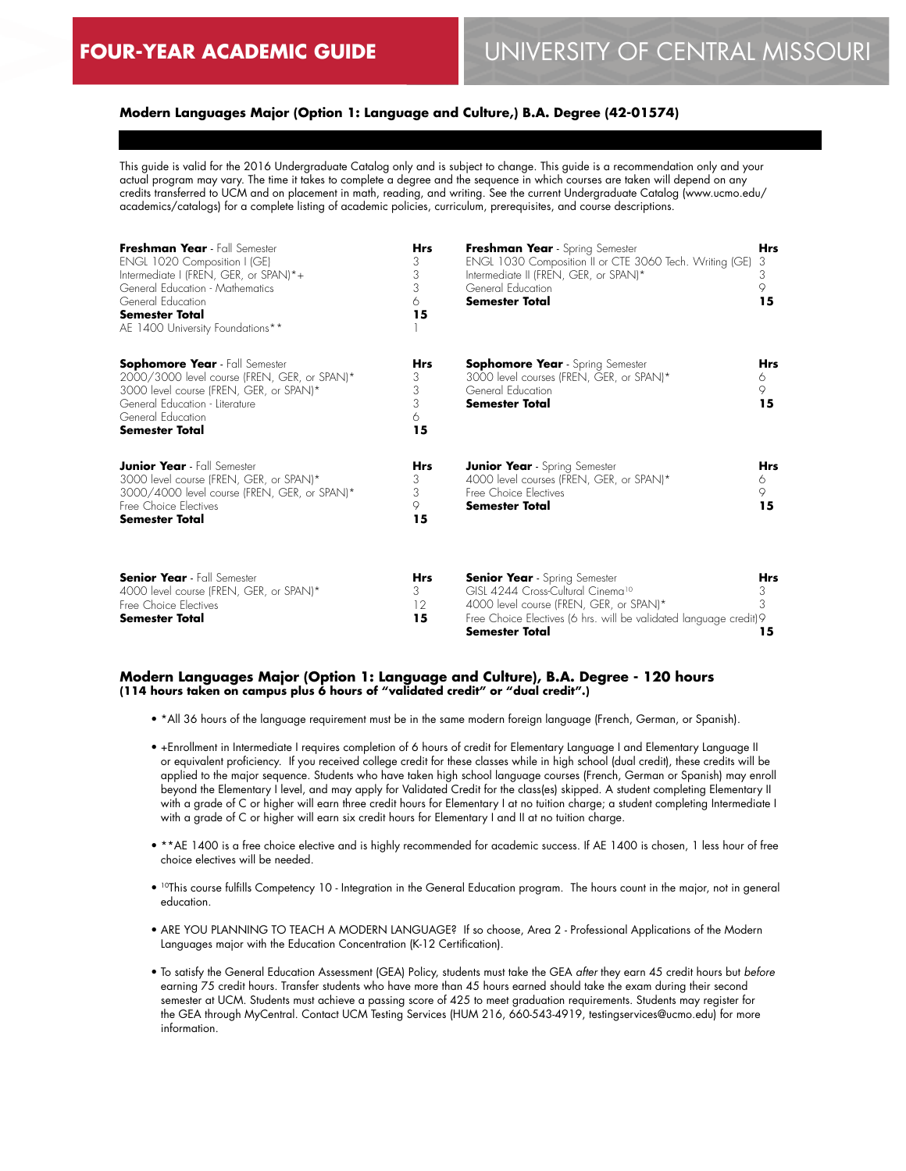# **Modern Languages Major (Option 1: Language and Culture,) B.A. Degree (42-01574)**

This guide is valid for the 2016 Undergraduate Catalog only and is subject to change. This guide is a recommendation only and your actual program may vary. The time it takes to complete a degree and the sequence in which courses are taken will depend on any credits transferred to UCM and on placement in math, reading, and writing. See the current Undergraduate Catalog (www.ucmo.edu/ academics/catalogs) for a complete listing of academic policies, curriculum, prerequisites, and course descriptions.

| Freshman Year - Fall Semester<br>ENGL 1020 Composition I (GE)<br>Intermediate I (FREN, GER, or SPAN)*+<br>General Education - Mathematics<br>General Education<br><b>Semester Total</b><br>AE 1400 University Foundations** | <b>Hrs</b><br>3<br>3<br>3<br>6<br>15 | Freshman Year - Spring Semester<br>ENGL 1030 Composition II or CTE 3060 Tech. Writing (GE)<br>Intermediate II (FREN, GER, or SPAN)*<br>General Education<br><b>Semester Total</b>                                        | <b>Hrs</b><br>3<br>3<br>9<br>15 |
|-----------------------------------------------------------------------------------------------------------------------------------------------------------------------------------------------------------------------------|--------------------------------------|--------------------------------------------------------------------------------------------------------------------------------------------------------------------------------------------------------------------------|---------------------------------|
| <b>Sophomore Year</b> - Fall Semester<br>2000/3000 level course (FREN, GER, or SPAN)*<br>3000 level course (FREN, GER, or SPAN)*<br>General Education - Literature<br>General Education<br><b>Semester Total</b>            | Hrs<br>3<br>3<br>3<br>6<br>15        | <b>Sophomore Year</b> - Spring Semester<br>3000 level courses (FREN, GER, or SPAN)*<br>General Education<br><b>Semester Total</b>                                                                                        | Hrs<br>6<br>9<br>15             |
| <b>Junior Year</b> - Fall Semester<br>3000 level course (FREN, GER, or SPAN)*<br>3000/4000 level course (FREN, GER, or SPAN)*<br>Free Choice Electives<br><b>Semester Total</b>                                             | <b>Hrs</b><br>3<br>3<br>9<br>15      | <b>Junior Year</b> - Spring Semester<br>4000 level courses (FREN, GER, or SPAN)*<br>Free Choice Electives<br><b>Semester Total</b>                                                                                       | <b>Hrs</b><br>6<br>9.<br>15     |
| <b>Senior Year</b> - Fall Semester<br>4000 level course (FREN, GER, or SPAN)*<br>Free Choice Electives<br><b>Semester Total</b>                                                                                             | Hrs<br>3<br>12<br>15                 | <b>Senior Year</b> - Spring Semester<br>GISL 4244 Cross-Cultural Cinema <sup>10</sup><br>4000 level course (FREN, GER, or SPAN)*<br>Free Choice Electives (6 hrs. will be validated language credit) 9<br>Semester Total | Hrs<br>3<br>3<br>15             |

#### **Modern Languages Major (Option 1: Language and Culture), B.A. Degree - 120 hours (114 hours taken on campus plus 6 hours of "validated credit" or "dual credit".)**

- \*All 36 hours of the language requirement must be in the same modern foreign language (French, German, or Spanish).
- +Enrollment in Intermediate I requires completion of 6 hours of credit for Elementary Language I and Elementary Language II or equivalent proficiency. If you received college credit for these classes while in high school (dual credit), these credits will be applied to the major sequence. Students who have taken high school language courses (French, German or Spanish) may enroll beyond the Elementary I level, and may apply for Validated Credit for the class(es) skipped. A student completing Elementary II with a grade of C or higher will earn three credit hours for Elementary I at no tuition charge; a student completing Intermediate I with a grade of C or higher will earn six credit hours for Elementary I and II at no tuition charge.
- \*\*AE 1400 is a free choice elective and is highly recommended for academic success. If AE 1400 is chosen, 1 less hour of free choice electives will be needed.
- 10This course fulfills Competency 10 Integration in the General Education program. The hours count in the major, not in general education.
- ARE YOU PLANNING TO TEACH A MODERN LANGUAGE? If so choose, Area 2 Professional Applications of the Modern Languages major with the Education Concentration (K-12 Certification).
- To satisfy the General Education Assessment (GEA) Policy, students must take the GEA *after* they earn 45 credit hours but *before* earning 75 credit hours. Transfer students who have more than 45 hours earned should take the exam during their second semester at UCM. Students must achieve a passing score of 425 to meet graduation requirements. Students may register for the GEA through MyCentral. Contact UCM Testing Services (HUM 216, 660-543-4919, testingservices@ucmo.edu) for more information.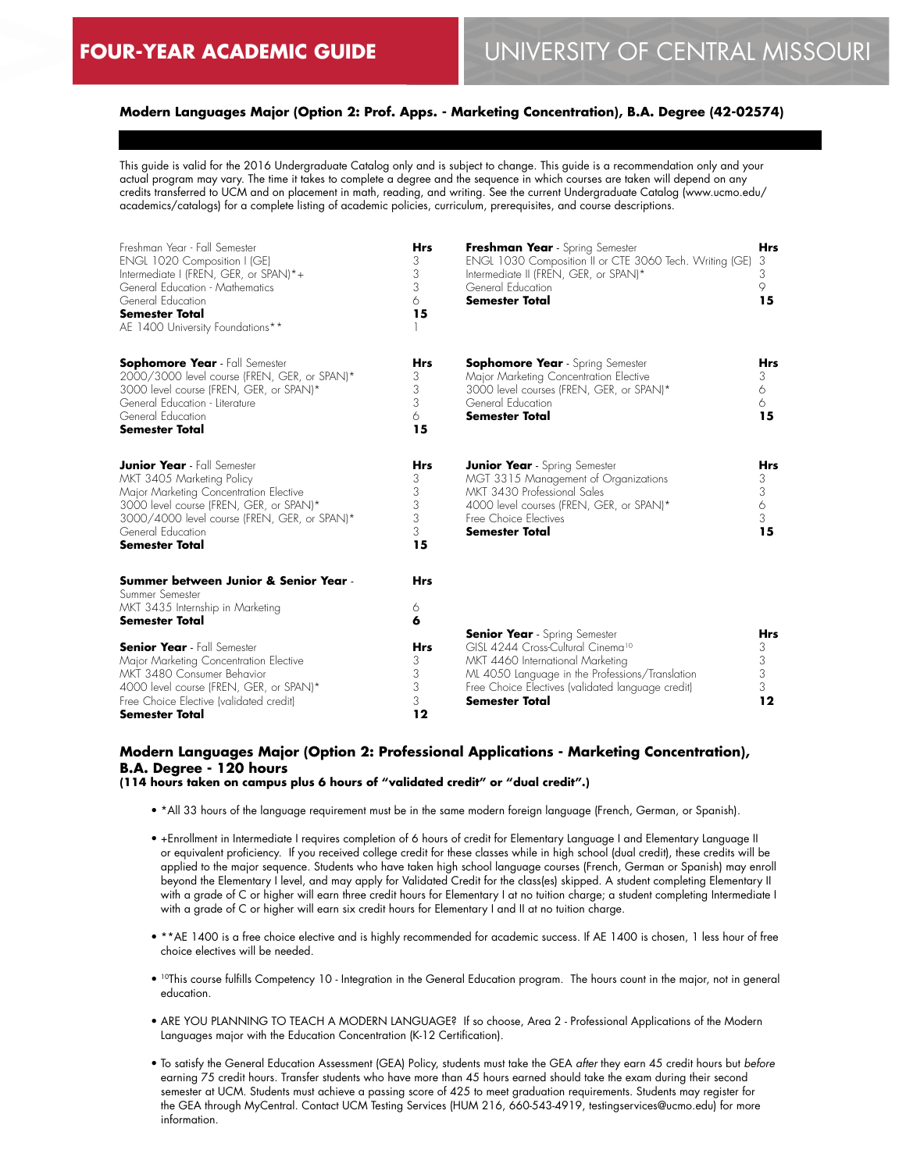# **Modern Languages Major (Option 2: Prof. Apps. - Marketing Concentration), B.A. Degree (42-02574)**

This guide is valid for the 2016 Undergraduate Catalog only and is subject to change. This guide is a recommendation only and your actual program may vary. The time it takes to complete a degree and the sequence in which courses are taken will depend on any credits transferred to UCM and on placement in math, reading, and writing. See the current Undergraduate Catalog (www.ucmo.edu/ academics/catalogs) for a complete listing of academic policies, curriculum, prerequisites, and course descriptions.

| Freshman Year - Fall Semester<br>ENGL 1020 Composition I (GE)<br>Intermediate I (FREN, GER, or SPAN)*+<br>General Education - Mathematics<br>General Education<br><b>Semester Total</b><br>AE 1400 University Foundations**                        | <b>Hrs</b><br>3<br>3<br>3<br>6<br>15      | Freshman Year - Spring Semester<br>ENGL 1030 Composition II or CTE 3060 Tech. Writing (GE)<br>Intermediate II (FREN, GER, or SPAN)*<br>General Education<br><b>Semester Total</b>                           | <b>Hrs</b><br>3<br>3<br>9<br>15      |
|----------------------------------------------------------------------------------------------------------------------------------------------------------------------------------------------------------------------------------------------------|-------------------------------------------|-------------------------------------------------------------------------------------------------------------------------------------------------------------------------------------------------------------|--------------------------------------|
| <b>Sophomore Year</b> - Fall Semester<br>2000/3000 level course (FREN, GER, or SPAN)*<br>3000 level course (FREN, GER, or SPAN)*<br>General Education - Literature<br>General Education<br><b>Semester Total</b>                                   | <b>Hrs</b><br>3<br>3<br>3<br>6<br>15      | <b>Sophomore Year</b> - Spring Semester<br>Major Marketing Concentration Elective<br>3000 level courses (FREN, GER, or SPAN)*<br>General Education<br><b>Semester Total</b>                                 | <b>Hrs</b><br>3<br>6<br>6<br>15      |
| <b>Junior Year</b> - Fall Semester<br>MKT 3405 Marketing Policy<br>Major Marketing Concentration Elective<br>3000 level course (FREN, GER, or SPAN)*<br>3000/4000 level course (FREN, GER, or SPAN)*<br>General Education<br><b>Semester Total</b> | <b>Hrs</b><br>3<br>3<br>3<br>3<br>3<br>15 | <b>Junior Year</b> - Spring Semester<br>MGT 3315 Management of Organizations<br>MKT 3430 Professional Sales<br>4000 level courses (FREN, GER, or SPAN)*<br>Free Choice Electives<br><b>Semester Total</b>   | <b>Hrs</b><br>3<br>3<br>6<br>3<br>15 |
| Summer between Junior & Senior Year -<br>Summer Semester<br>MKT 3435 Internship in Marketing<br><b>Semester Total</b>                                                                                                                              | <b>Hrs</b><br>6<br>6                      | <b>Senior Year</b> - Spring Semester                                                                                                                                                                        | <b>Hrs</b>                           |
| <b>Senior Year</b> - Fall Semester<br>Major Marketing Concentration Elective<br>MKT 3480 Consumer Behavior<br>4000 level course (FREN, GER, or SPAN)*<br>Free Choice Elective (validated credit)<br><b>Semester Total</b>                          | <b>Hrs</b><br>3<br>3<br>3<br>3<br>12      | GISL 4244 Cross-Cultural Cinema <sup>10</sup><br>MKT 4460 International Marketing<br>ML 4050 Language in the Professions/Translation<br>Free Choice Electives (validated language credit)<br>Semester Total | 3<br>3<br>3<br>3<br>12               |

# **Modern Languages Major (Option 2: Professional Applications - Marketing Concentration), B.A. Degree - 120 hours**

# **(114 hours taken on campus plus 6 hours of "validated credit" or "dual credit".)**

- \*All 33 hours of the language requirement must be in the same modern foreign language (French, German, or Spanish).
- +Enrollment in Intermediate I requires completion of 6 hours of credit for Elementary Language I and Elementary Language II or equivalent proficiency. If you received college credit for these classes while in high school (dual credit), these credits will be applied to the major sequence. Students who have taken high school language courses (French, German or Spanish) may enroll beyond the Elementary I level, and may apply for Validated Credit for the class(es) skipped. A student completing Elementary II with a grade of C or higher will earn three credit hours for Elementary I at no tuition charge; a student completing Intermediate I with a grade of C or higher will earn six credit hours for Elementary I and II at no tuition charge.
- \*\*AE 1400 is a free choice elective and is highly recommended for academic success. If AE 1400 is chosen, 1 less hour of free choice electives will be needed.
- <sup>10</sup>This course fulfills Competency 10 Integration in the General Education program. The hours count in the major, not in general education.
- ARE YOU PLANNING TO TEACH A MODERN LANGUAGE? If so choose, Area 2 Professional Applications of the Modern Languages major with the Education Concentration (K-12 Certification).
- To satisfy the General Education Assessment (GEA) Policy, students must take the GEA *after* they earn 45 credit hours but *before* earning 75 credit hours. Transfer students who have more than 45 hours earned should take the exam during their second semester at UCM. Students must achieve a passing score of 425 to meet graduation requirements. Students may register for the GEA through MyCentral. Contact UCM Testing Services (HUM 216, 660-543-4919, testingservices@ucmo.edu) for more information.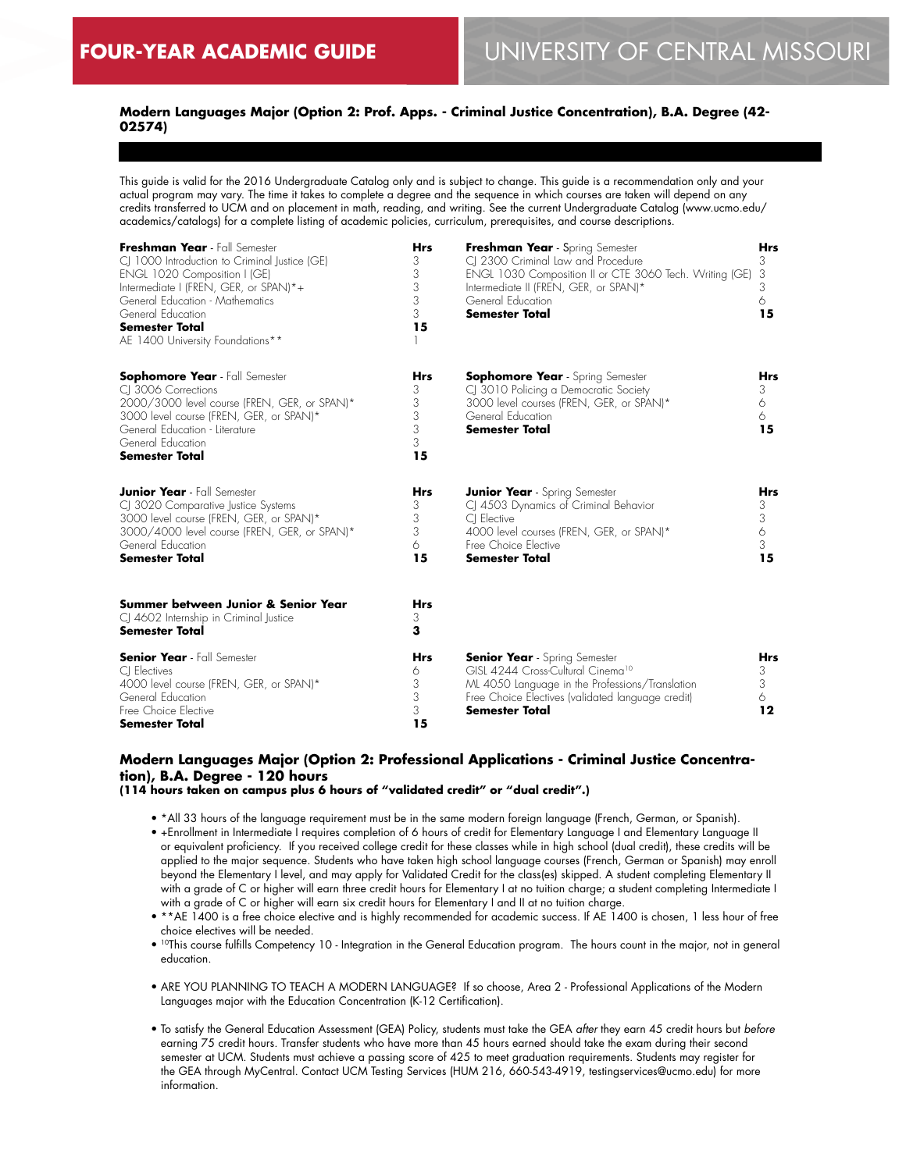# **Modern Languages Major (Option 2: Prof. Apps. - Criminal Justice Concentration), B.A. Degree (42- 02574)**

This guide is valid for the 2016 Undergraduate Catalog only and is subject to change. This guide is a recommendation only and your actual program may vary. The time it takes to complete a degree and the sequence in which courses are taken will depend on any credits transferred to UCM and on placement in math, reading, and writing. See the current Undergraduate Catalog (www.ucmo.edu/ academics/catalogs) for a complete listing of academic policies, curriculum, prerequisites, and course descriptions.

| Freshman Year - Fall Semester<br>CJ 1000 Introduction to Criminal Justice (GE)<br>ENGL 1020 Composition I (GE)<br>Intermediate I (FREN, GER, or SPAN)*+<br>General Education - Mathematics<br>General Education<br><b>Semester Total</b><br>AE 1400 University Foundations** | <b>Hrs</b><br>Freshman Year - Spring Semester<br>3<br>CJ 2300 Criminal Law and Procedure<br>3<br>ENGL 1030 Composition II or CTE 3060 Tech. Writing (GE)<br>3<br>Intermediate II (FREN, GER, or SPAN)*<br>3<br>General Education<br>3<br><b>Semester Total</b><br>15 |                                                                                                                                                                                                                        |                                      |  | Hrs<br>3<br>3<br>3<br>6<br>15 |  |
|------------------------------------------------------------------------------------------------------------------------------------------------------------------------------------------------------------------------------------------------------------------------------|----------------------------------------------------------------------------------------------------------------------------------------------------------------------------------------------------------------------------------------------------------------------|------------------------------------------------------------------------------------------------------------------------------------------------------------------------------------------------------------------------|--------------------------------------|--|-------------------------------|--|
| <b>Sophomore Year</b> - Fall Semester<br>CI 3006 Corrections<br>2000/3000 level course (FREN, GER, or SPAN)*<br>3000 level course (FREN, GER, or SPAN)*<br>General Education - Literature<br>General Education<br><b>Semester Total</b>                                      | <b>Hrs</b><br>3<br>3<br>3<br>3<br>3<br>15                                                                                                                                                                                                                            | <b>Sophomore Year</b> - Spring Semester<br>CJ 3010 Policing a Democratic Society<br>3000 level courses (FREN, GER, or SPAN)*<br>General Education<br><b>Semester Total</b>                                             | <b>Hrs</b><br>3<br>6<br>6<br>15      |  |                               |  |
| <b>Junior Year</b> - Fall Semester<br>CJ 3020 Comparative Justice Systems<br>3000 level course (FREN, GER, or SPAN)*<br>3000/4000 level course (FREN, GER, or SPAN)*<br>General Education<br><b>Semester Total</b>                                                           | <b>Hrs</b><br>3<br>3<br>3<br>6<br>15                                                                                                                                                                                                                                 | <b>Junior Year</b> - Spring Semester<br>CJ 4503 Dynamics of Criminal Behavior<br>CI Elective<br>4000 level courses (FREN, GER, or SPAN)*<br>Free Choice Elective<br><b>Semester Total</b>                              | <b>Hrs</b><br>3<br>3<br>6<br>3<br>15 |  |                               |  |
| Summer between Junior & Senior Year<br>CJ 4602 Internship in Criminal Justice<br><b>Semester Total</b>                                                                                                                                                                       | <b>Hrs</b><br>3<br>3                                                                                                                                                                                                                                                 |                                                                                                                                                                                                                        |                                      |  |                               |  |
| <b>Senior Year</b> - Fall Semester<br>CI Electives<br>4000 level course (FREN, GER, or SPAN)*<br>General Education<br>Free Choice Elective<br><b>Semester Total</b>                                                                                                          | Hrs<br>6<br>3<br>3<br>3<br>15                                                                                                                                                                                                                                        | <b>Senior Year</b> - Spring Semester<br>GISL 4244 Cross-Cultural Cinema <sup>10</sup><br>ML 4050 Language in the Professions/Translation<br>Free Choice Electives (validated language credit)<br><b>Semester Total</b> | <b>Hrs</b><br>3<br>3<br>6<br>12      |  |                               |  |

# **Modern Languages Major (Option 2: Professional Applications - Criminal Justice Concentration), B.A. Degree - 120 hours**

**(114 hours taken on campus plus 6 hours of "validated credit" or "dual credit".)**

- \*All 33 hours of the language requirement must be in the same modern foreign language (French, German, or Spanish). • +Enrollment in Intermediate I requires completion of 6 hours of credit for Elementary Language I and Elementary Language II or equivalent proficiency. If you received college credit for these classes while in high school (dual credit), these credits will be applied to the major sequence. Students who have taken high school language courses (French, German or Spanish) may enroll beyond the Elementary I level, and may apply for Validated Credit for the class(es) skipped. A student completing Elementary II with a grade of C or higher will earn three credit hours for Elementary I at no tuition charge; a student completing Intermediate I with a grade of C or higher will earn six credit hours for Elementary I and II at no tuition charge.
- \*\*AE 1400 is a free choice elective and is highly recommended for academic success. If AE 1400 is chosen, 1 less hour of free choice electives will be needed.
- 10This course fulfills Competency 10 Integration in the General Education program. The hours count in the major, not in general education.
- ARE YOU PLANNING TO TEACH A MODERN LANGUAGE? If so choose, Area 2 Professional Applications of the Modern Languages major with the Education Concentration (K-12 Certification).
- To satisfy the General Education Assessment (GEA) Policy, students must take the GEA *after* they earn 45 credit hours but *before* earning 75 credit hours. Transfer students who have more than 45 hours earned should take the exam during their second semester at UCM. Students must achieve a passing score of 425 to meet graduation requirements. Students may register for the GEA through MyCentral. Contact UCM Testing Services (HUM 216, 660-543-4919, testingservices@ucmo.edu) for more information.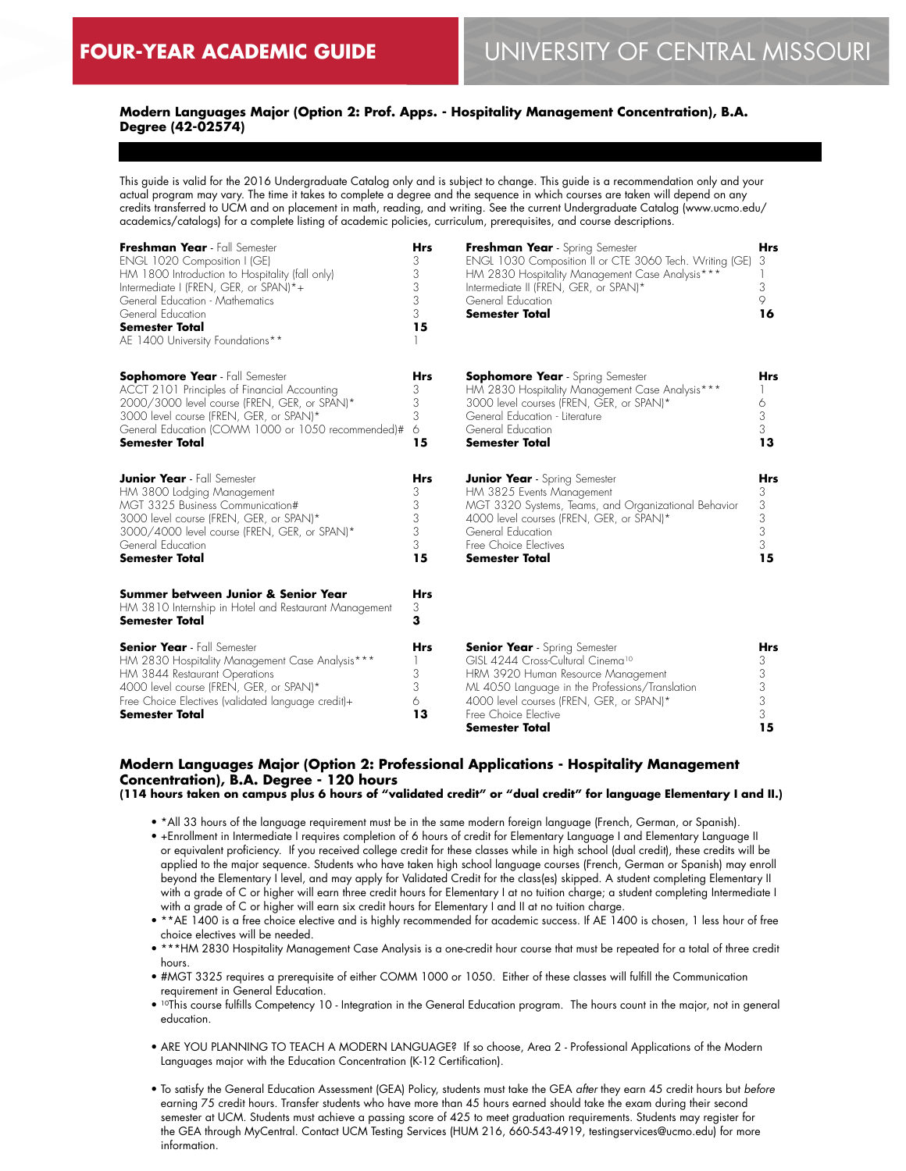# **Modern Languages Major (Option 2: Prof. Apps. - Hospitality Management Concentration), B.A. Degree (42-02574)**

This guide is valid for the 2016 Undergraduate Catalog only and is subject to change. This guide is a recommendation only and your actual program may vary. The time it takes to complete a degree and the sequence in which courses are taken will depend on any credits transferred to UCM and on placement in math, reading, and writing. See the current Undergraduate Catalog (www.ucmo.edu/ academics/catalogs) for a complete listing of academic policies, curriculum, prerequisites, and course descriptions.

| Freshman Year - Fall Semester<br>ENGL 1020 Composition I (GE)<br>HM 1800 Introduction to Hospitality (fall only)<br>Intermediate I (FREN, GER, or SPAN)*+<br>General Education - Mathematics<br>General Education<br><b>Semester Total</b><br>AE 1400 University Foundations** |                                           | Freshman Year - Spring Semester<br>ENGL 1030 Composition II or CTE 3060 Tech. Writing (GE)<br>HM 2830 Hospitality Management Case Analysis***<br>Intermediate II (FREN, GER, or SPAN)*<br>General Education<br><b>Semester Total</b>                                        |                                    |  |
|--------------------------------------------------------------------------------------------------------------------------------------------------------------------------------------------------------------------------------------------------------------------------------|-------------------------------------------|-----------------------------------------------------------------------------------------------------------------------------------------------------------------------------------------------------------------------------------------------------------------------------|------------------------------------|--|
| <b>Sophomore Year</b> - Fall Semester<br>ACCT 2101 Principles of Financial Accounting<br>2000/3000 level course (FREN, GER, or SPAN)*<br>3000 level course (FREN, GER, or SPAN)*<br>General Education (COMM 1000 or 1050 recommended)#<br><b>Semester Total</b>                | <b>Hrs</b><br>3<br>3<br>3<br>6<br>15      | <b>Sophomore Year</b> - Spring Semester<br>HM 2830 Hospitality Management Case Analysis***<br>3000 level courses (FREN, GER, or SPAN)*<br>General Education - Literature<br>General Education<br><b>Semester Total</b>                                                      | Hrs<br>6<br>3<br>3<br>13           |  |
| <b>Junior Year</b> - Fall Semester<br>HM 3800 Lodging Management<br>MGT 3325 Business Communication#<br>3000 level course (FREN, GER, or SPAN)*<br>3000/4000 level course (FREN, GER, or SPAN)*<br>General Education<br><b>Semester Total</b>                                  | <b>Hrs</b><br>3<br>3<br>3<br>3<br>3<br>15 | <b>Junior Year</b> - Spring Semester<br>HM 3825 Events Management<br>MGT 3320 Systems, Teams, and Organizational Behavior<br>4000 level courses (FREN, GER, or SPAN)*<br>General Education<br>Free Choice Electives<br><b>Semester Total</b>                                | Hrs<br>3<br>3<br>3<br>3<br>3<br>15 |  |
| Summer between Junior & Senior Year<br>HM 3810 Internship in Hotel and Restaurant Management<br><b>Semester Total</b>                                                                                                                                                          | <b>Hrs</b><br>3<br>3                      |                                                                                                                                                                                                                                                                             |                                    |  |
| <b>Senior Year</b> - Fall Semester<br>HM 2830 Hospitality Management Case Analysis***<br>HM 3844 Restaurant Operations<br>4000 level course (FREN, GER, or SPAN)*<br>Free Choice Electives (validated language credit)+<br><b>Semester Total</b>                               | Hrs<br>3<br>3<br>6<br>13                  | <b>Senior Year</b> - Spring Semester<br>GISL 4244 Cross-Cultural Cinema <sup>10</sup><br>HRM 3920 Human Resource Management<br>ML 4050 Language in the Professions/Translation<br>4000 level courses (FREN, GER, or SPAN)*<br>Free Choice Elective<br><b>Semester Total</b> | Hrs<br>3<br>3<br>3<br>3<br>3<br>15 |  |

# **Modern Languages Major (Option 2: Professional Applications - Hospitality Management Concentration), B.A. Degree - 120 hours**

**(114 hours taken on campus plus 6 hours of "validated credit" or "dual credit" for language Elementary I and II.)**

- \*All 33 hours of the language requirement must be in the same modern foreign language (French, German, or Spanish).
- +Enrollment in Intermediate I requires completion of 6 hours of credit for Elementary Language I and Elementary Language II or equivalent proficiency. If you received college credit for these classes while in high school (dual credit), these credits will be applied to the major sequence. Students who have taken high school language courses (French, German or Spanish) may enroll beyond the Elementary I level, and may apply for Validated Credit for the class(es) skipped. A student completing Elementary II with a grade of C or higher will earn three credit hours for Elementary I at no tuition charge; a student completing Intermediate I with a grade of C or higher will earn six credit hours for Elementary I and II at no tuition charge.
- \*\*AE 1400 is a free choice elective and is highly recommended for academic success. If AE 1400 is chosen, 1 less hour of free choice electives will be needed.
- \*\*\*HM 2830 Hospitality Management Case Analysis is a one-credit hour course that must be repeated for a total of three credit hours.
- #MGT 3325 requires a prerequisite of either COMM 1000 or 1050. Either of these classes will fulfill the Communication requirement in General Education.
- 10This course fulfills Competency 10 Integration in the General Education program. The hours count in the major, not in general education.
- ARE YOU PLANNING TO TEACH A MODERN LANGUAGE? If so choose, Area 2 Professional Applications of the Modern Languages major with the Education Concentration (K-12 Certification).
- To satisfy the General Education Assessment (GEA) Policy, students must take the GEA *after* they earn 45 credit hours but *before* earning 75 credit hours. Transfer students who have more than 45 hours earned should take the exam during their second semester at UCM. Students must achieve a passing score of 425 to meet graduation requirements. Students may register for the GEA through MyCentral. Contact UCM Testing Services (HUM 216, 660-543-4919, testingservices@ucmo.edu) for more information.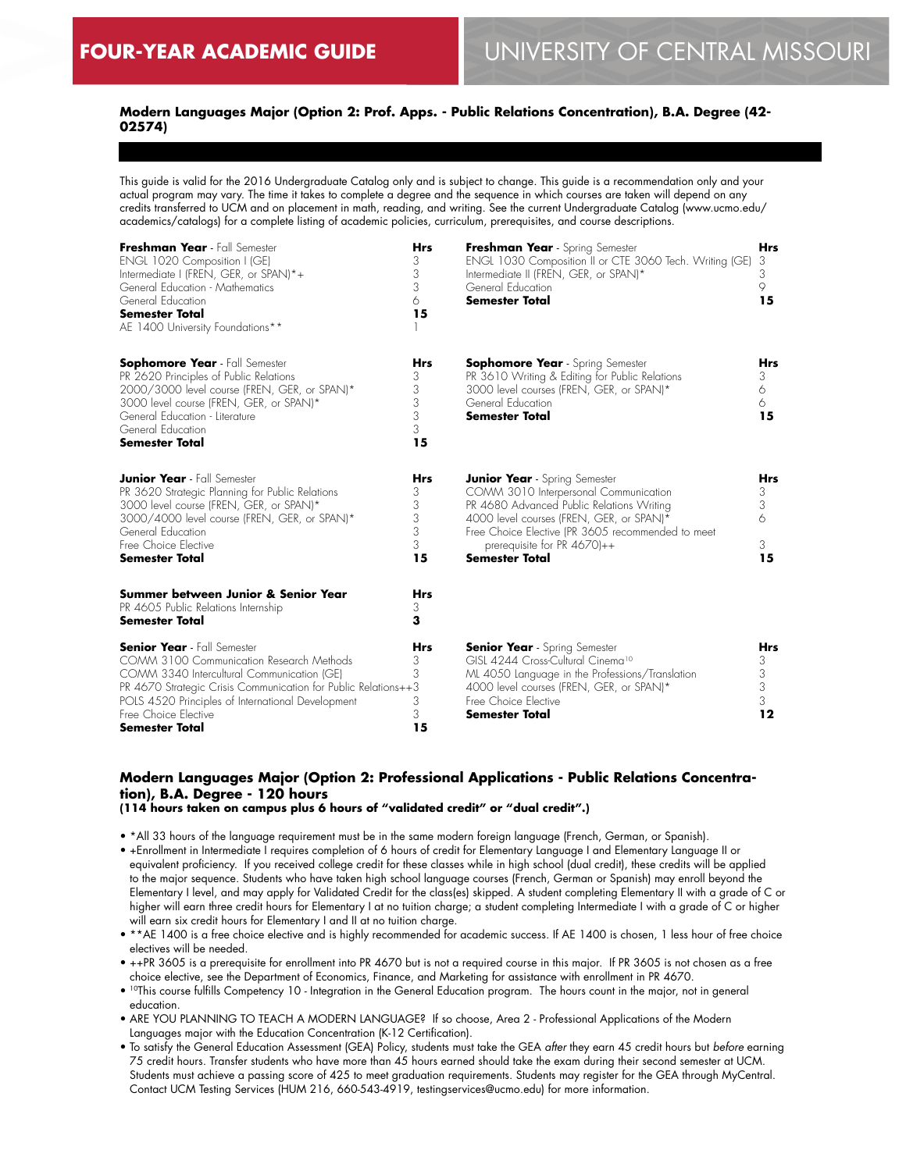# **Modern Languages Major (Option 2: Prof. Apps. - Public Relations Concentration), B.A. Degree (42- 02574)**

This guide is valid for the 2016 Undergraduate Catalog only and is subject to change. This guide is a recommendation only and your actual program may vary. The time it takes to complete a degree and the sequence in which courses are taken will depend on any credits transferred to UCM and on placement in math, reading, and writing. See the current Undergraduate Catalog (www.ucmo.edu/ academics/catalogs) for a complete listing of academic policies, curriculum, prerequisites, and course descriptions.

| Freshman Year - Fall Semester<br>ENGL 1020 Composition I (GE)<br>Intermediate I (FREN, GER, or SPAN)*+<br>General Education - Mathematics<br>General Education<br><b>Semester Total</b><br>AE 1400 University Foundations**                                                                          | <b>Hrs</b><br>3<br>3<br>3<br>6<br>15      | Freshman Year - Spring Semester<br>ENGL 1030 Composition II or CTE 3060 Tech. Writing (GE)<br>Intermediate II (FREN, GER, or SPAN)*<br>General Education<br><b>Semester Total</b>                                                                                                      | <b>Hrs</b><br>3<br>3<br>9<br>15       |
|------------------------------------------------------------------------------------------------------------------------------------------------------------------------------------------------------------------------------------------------------------------------------------------------------|-------------------------------------------|----------------------------------------------------------------------------------------------------------------------------------------------------------------------------------------------------------------------------------------------------------------------------------------|---------------------------------------|
| <b>Sophomore Year</b> - Fall Semester<br>PR 2620 Principles of Public Relations<br>2000/3000 level course (FREN, GER, or SPAN)*<br>3000 level course (FREN, GER, or SPAN)*<br>General Education - Literature<br>General Education<br><b>Semester Total</b>                                           | <b>Hrs</b><br>3<br>3<br>3<br>3<br>3<br>15 | <b>Sophomore Year</b> - Spring Semester<br>PR 3610 Writing & Editing for Public Relations<br>3000 level courses (FREN, GER, or SPAN)*<br>General Education<br><b>Semester Total</b>                                                                                                    | <b>Hrs</b><br>3.<br>6<br>6<br>15      |
| <b>Junior Year</b> - Fall Semester<br>PR 3620 Strategic Planning for Public Relations<br>3000 level course (FREN, GER, or SPAN)*<br>3000/4000 level course (FREN, GER, or SPAN)*<br>General Education<br>Free Choice Elective<br><b>Semester Total</b>                                               | <b>Hrs</b><br>3<br>3<br>3<br>3<br>3<br>15 | <b>Junior Year</b> - Spring Semester<br>COMM 3010 Interpersonal Communication<br>PR 4680 Advanced Public Relations Writing<br>4000 level courses (FREN, GER, or SPAN)*<br>Free Choice Elective (PR 3605 recommended to meet<br>prerequisite for PR $4670$ )++<br><b>Semester Total</b> | <b>Hrs</b><br>3<br>3<br>6<br>3.<br>15 |
| Summer between Junior & Senior Year<br>PR 4605 Public Relations Internship<br><b>Semester Total</b>                                                                                                                                                                                                  | <b>Hrs</b><br>3<br>3                      |                                                                                                                                                                                                                                                                                        |                                       |
| <b>Senior Year</b> - Fall Semester<br>COMM 3100 Communication Research Methods<br>COMM 3340 Intercultural Communication (GE)<br>PR 4670 Strategic Crisis Communication for Public Relations++3<br>POLS 4520 Principles of International Development<br>Free Choice Elective<br><b>Semester Total</b> | <b>Hrs</b><br>3<br>3<br>3<br>3<br>15      | <b>Senior Year</b> - Spring Semester<br>GISL 4244 Cross-Cultural Cinema <sup>10</sup><br>ML 4050 Language in the Professions/Translation<br>4000 level courses (FREN, GER, or SPAN)*<br>Free Choice Elective<br><b>Semester Total</b>                                                  | <b>Hrs</b><br>3<br>3<br>3<br>3<br>12  |

# **Modern Languages Major (Option 2: Professional Applications - Public Relations Concentration), B.A. Degree - 120 hours**

**(114 hours taken on campus plus 6 hours of "validated credit" or "dual credit".)**

- \*All 33 hours of the language requirement must be in the same modern foreign language (French, German, or Spanish).
- +Enrollment in Intermediate I requires completion of 6 hours of credit for Elementary Language I and Elementary Language II or equivalent proficiency. If you received college credit for these classes while in high school (dual credit), these credits will be applied to the major sequence. Students who have taken high school language courses (French, German or Spanish) may enroll beyond the Elementary I level, and may apply for Validated Credit for the class(es) skipped. A student completing Elementary II with a grade of C or higher will earn three credit hours for Elementary I at no tuition charge; a student completing Intermediate I with a grade of C or higher will earn six credit hours for Elementary I and II at no tuition charge.
- \*\*AE 1400 is a free choice elective and is highly recommended for academic success. If AE 1400 is chosen, 1 less hour of free choice electives will be needed.
- ++PR 3605 is a prerequisite for enrollment into PR 4670 but is not a required course in this major. If PR 3605 is not chosen as a free choice elective, see the Department of Economics, Finance, and Marketing for assistance with enrollment in PR 4670.
- 10This course fulfills Competency 10 Integration in the General Education program. The hours count in the major, not in general education.
- ARE YOU PLANNING TO TEACH A MODERN LANGUAGE? If so choose, Area 2 Professional Applications of the Modern Languages major with the Education Concentration (K-12 Certification).
- To satisfy the General Education Assessment (GEA) Policy, students must take the GEA *after* they earn 45 credit hours but *before* earning 75 credit hours. Transfer students who have more than 45 hours earned should take the exam during their second semester at UCM. Students must achieve a passing score of 425 to meet graduation requirements. Students may register for the GEA through MyCentral. Contact UCM Testing Services (HUM 216, 660-543-4919, testingservices@ucmo.edu) for more information.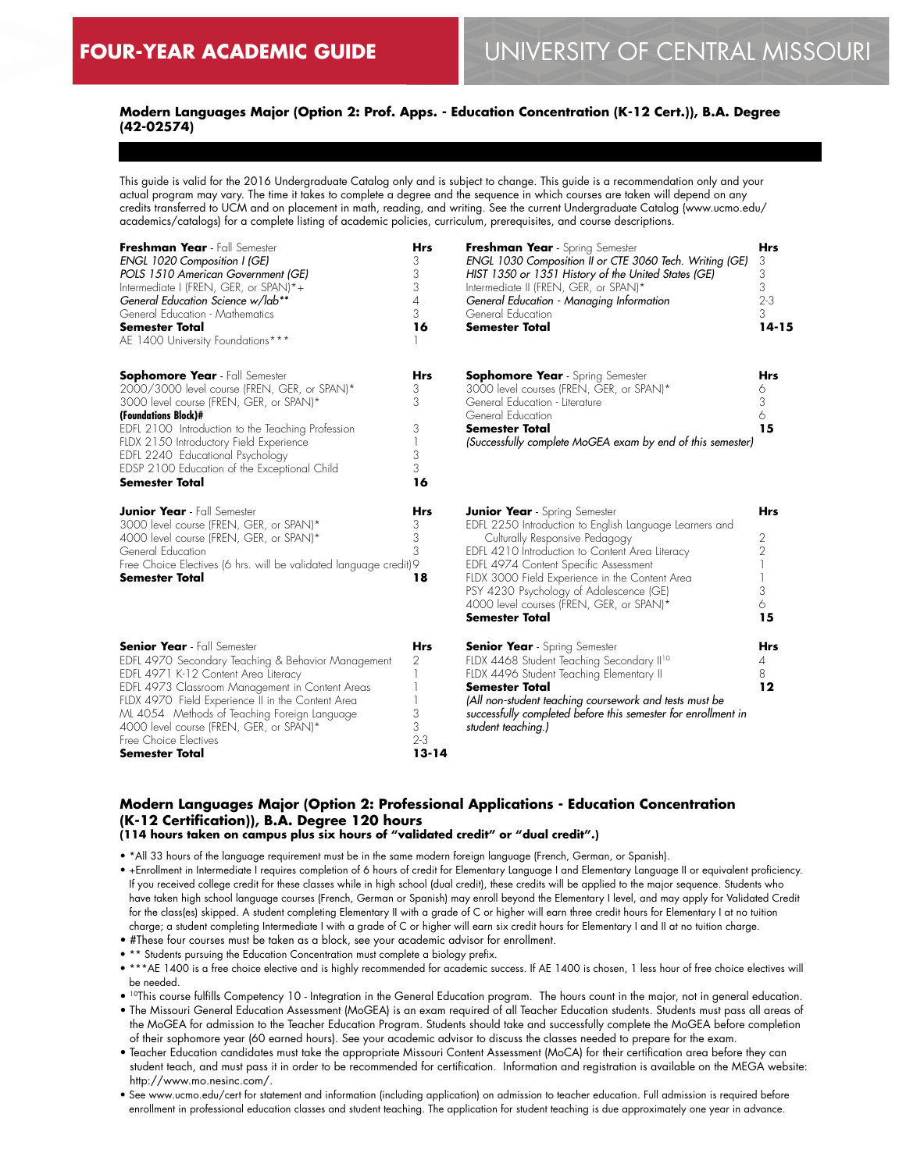# **Modern Languages Major (Option 2: Prof. Apps. - Education Concentration (K-12 Cert.)), B.A. Degree (42-02574)**

This guide is valid for the 2016 Undergraduate Catalog only and is subject to change. This guide is a recommendation only and your actual program may vary. The time it takes to complete a degree and the sequence in which courses are taken will depend on any credits transferred to UCM and on placement in math, reading, and writing. See the current Undergraduate Catalog (www.ucmo.edu/ academics/catalogs) for a complete listing of academic policies, curriculum, prerequisites, and course descriptions.

| Freshman Year - Fall Semester<br>ENGL 1020 Composition I (GE)<br>POLS 1510 American Government (GE)<br>Intermediate I (FREN, GER, or SPAN)*+<br>General Education Science w/lab**<br>General Education - Mathematics<br><b>Semester Total</b><br>AE 1400 University Foundations***                                                                                                    | <b>Hrs</b><br>3<br>3<br>3<br>4<br>3<br>16         | Freshman Year - Spring Semester<br>ENGL 1030 Composition II or CTE 3060 Tech. Writing (GE)<br>HIST 1350 or 1351 History of the United States (GE)<br>Intermediate II (FREN, GER, or SPAN)*<br>General Education - Managing Information<br>General Education<br><b>Semester Total</b>                                                                                                            |                                                   |
|---------------------------------------------------------------------------------------------------------------------------------------------------------------------------------------------------------------------------------------------------------------------------------------------------------------------------------------------------------------------------------------|---------------------------------------------------|-------------------------------------------------------------------------------------------------------------------------------------------------------------------------------------------------------------------------------------------------------------------------------------------------------------------------------------------------------------------------------------------------|---------------------------------------------------|
| <b>Sophomore Year</b> - Fall Semester<br>2000/3000 level course (FREN, GER, or SPAN)*<br>3000 level course (FREN, GER, or SPAN)*<br>(Foundations Block)#<br>EDFL 2100 Introduction to the Teaching Profession<br>FLDX 2150 Introductory Field Experience<br>EDFL 2240 Educational Psychology<br>EDSP 2100 Education of the Exceptional Child<br><b>Semester Total</b>                 | <b>Hrs</b><br>3<br>3<br>3<br>1<br>3<br>3<br>16    | <b>Sophomore Year</b> - Spring Semester<br>3000 level courses (FREN, GER, or SPAN)*<br>General Education - Literature<br>General Education<br><b>Semester Total</b><br>(Successfully complete MoGEA exam by end of this semester)                                                                                                                                                               | <b>Hrs</b><br>6<br>3<br>6<br>15                   |
| <b>Junior Year</b> - Fall Semester<br>3000 level course (FREN, GER, or SPAN)*<br>4000 level course (FREN, GER, or SPAN)*<br>General Education<br>Free Choice Electives (6 hrs. will be validated language credit) 9<br>Semester Total                                                                                                                                                 | Hrs<br>3<br>3<br>3<br>18                          | <b>Junior Year</b> - Spring Semester<br>EDFL 2250 Introduction to English Language Learners and<br>Culturally Responsive Pedagogy<br>EDFL 4210 Introduction to Content Area Literacy<br>EDFL 4974 Content Specific Assessment<br>FLDX 3000 Field Experience in the Content Area<br>PSY 4230 Psychology of Adolescence (GE)<br>4000 level courses (FREN, GER, or SPAN)*<br><b>Semester Total</b> | <b>Hrs</b><br>2<br>$\overline{2}$<br>3<br>6<br>15 |
| <b>Senior Year</b> - Fall Semester<br>EDFL 4970 Secondary Teaching & Behavior Management<br>EDFL 4971 K-12 Content Area Literacy<br>EDFL 4973 Classroom Management in Content Areas<br>FLDX 4970 Field Experience II in the Content Area<br>ML 4054 Methods of Teaching Foreign Language<br>4000 level course (FREN, GER, or SPAN)*<br>Free Choice Electives<br><b>Semester Total</b> | <b>Hrs</b><br>2<br>3<br>3<br>$2 - 3$<br>$13 - 14$ | <b>Senior Year</b> - Spring Semester<br>FLDX 4468 Student Teaching Secondary II <sup>10</sup><br>FLDX 4496 Student Teaching Elementary II<br><b>Semester Total</b><br>(All non-student teaching coursework and tests must be<br>successfully completed before this semester for enrollment in<br>student teaching.)                                                                             | <b>Hrs</b><br>4<br>8<br>12                        |

# **Modern Languages Major (Option 2: Professional Applications - Education Concentration (K-12 Certification)), B.A. Degree 120 hours**

**(114 hours taken on campus plus six hours of "validated credit" or "dual credit".)**

- \*All 33 hours of the language requirement must be in the same modern foreign language (French, German, or Spanish).
- +Enrollment in Intermediate I requires completion of 6 hours of credit for Elementary Language I and Elementary Language II or equivalent proficiency. If you received college credit for these classes while in high school (dual credit), these credits will be applied to the major sequence. Students who have taken high school language courses (French, German or Spanish) may enroll beyond the Elementary I level, and may apply for Validated Credit for the class(es) skipped. A student completing Elementary II with a grade of C or higher will earn three credit hours for Elementary I at no tuition charge; a student completing Intermediate I with a grade of C or higher will earn six credit hours for Elementary I and II at no tuition charge.
- #These four courses must be taken as a block, see your academic advisor for enrollment.
- \*\* Students pursuing the Education Concentration must complete a biology prefix.
- \*\*\*AE 1400 is a free choice elective and is highly recommended for academic success. If AE 1400 is chosen, 1 less hour of free choice electives will be needed.
- 10This course fulfills Competency 10 Integration in the General Education program. The hours count in the major, not in general education.
- The Missouri General Education Assessment (MoGEA) is an exam required of all Teacher Education students. Students must pass all areas of the MoGEA for admission to the Teacher Education Program. Students should take and successfully complete the MoGEA before completion of their sophomore year (60 earned hours). See your academic advisor to discuss the classes needed to prepare for the exam.
- Teacher Education candidates must take the appropriate Missouri Content Assessment (MoCA) for their certification area before they can student teach, and must pass it in order to be recommended for certification. Information and registration is available on the MEGA website: http://www.mo.nesinc.com/.
- See www.ucmo.edu/cert for statement and information (including application) on admission to teacher education. Full admission is required before enrollment in professional education classes and student teaching. The application for student teaching is due approximately one year in advance.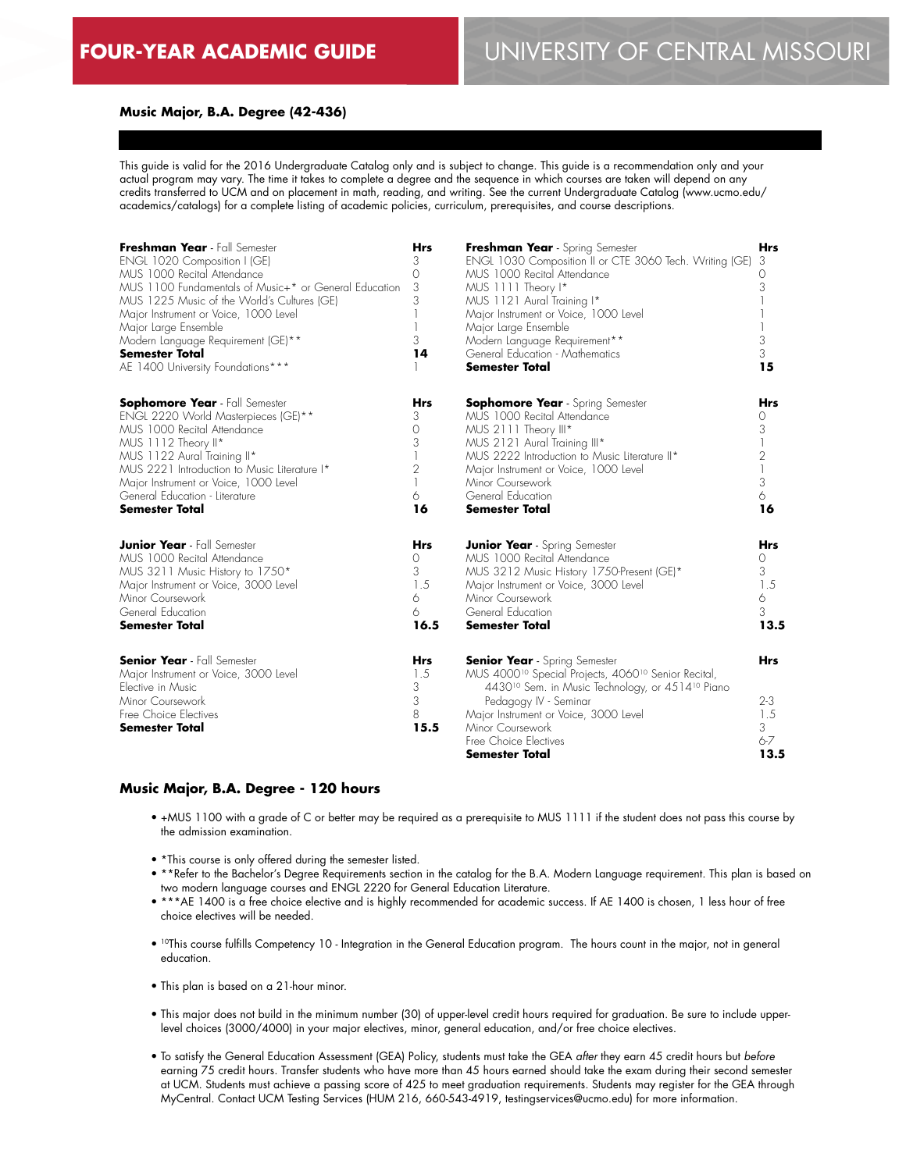#### **Music Major, B.A. Degree (42-436)**

This guide is valid for the 2016 Undergraduate Catalog only and is subject to change. This guide is a recommendation only and your actual program may vary. The time it takes to complete a degree and the sequence in which courses are taken will depend on any credits transferred to UCM and on placement in math, reading, and writing. See the current Undergraduate Catalog (www.ucmo.edu/ academics/catalogs) for a complete listing of academic policies, curriculum, prerequisites, and course descriptions.

| Freshman Year - Fall Semester                                                                                                                                                                                                                                                                                         |                                          | Freshman Year - Spring Semester                                                                                                                                                                                                                                                                                                  |                                                      |
|-----------------------------------------------------------------------------------------------------------------------------------------------------------------------------------------------------------------------------------------------------------------------------------------------------------------------|------------------------------------------|----------------------------------------------------------------------------------------------------------------------------------------------------------------------------------------------------------------------------------------------------------------------------------------------------------------------------------|------------------------------------------------------|
| ENGL 1020 Composition I (GE)                                                                                                                                                                                                                                                                                          |                                          | ENGL 1030 Composition II or CTE 3060 Tech. Writing (GE)                                                                                                                                                                                                                                                                          |                                                      |
| MUS 1000 Recital Attendance                                                                                                                                                                                                                                                                                           |                                          | MUS 1000 Recital Attendance                                                                                                                                                                                                                                                                                                      |                                                      |
| MUS 1100 Fundamentals of Music+* or General Education                                                                                                                                                                                                                                                                 |                                          | MUS 1111 Theory I*                                                                                                                                                                                                                                                                                                               |                                                      |
| MUS 1225 Music of the World's Cultures (GE)                                                                                                                                                                                                                                                                           |                                          | MUS 1121 Aural Training I*                                                                                                                                                                                                                                                                                                       |                                                      |
| Major Instrument or Voice, 1000 Level                                                                                                                                                                                                                                                                                 |                                          | Major Instrument or Voice, 1000 Level                                                                                                                                                                                                                                                                                            |                                                      |
| Major Large Ensemble                                                                                                                                                                                                                                                                                                  |                                          | Major Large Ensemble                                                                                                                                                                                                                                                                                                             |                                                      |
| Modern Language Requirement (GE)**                                                                                                                                                                                                                                                                                    |                                          | Modern Language Requirement**                                                                                                                                                                                                                                                                                                    |                                                      |
| <b>Semester Total</b>                                                                                                                                                                                                                                                                                                 |                                          | General Education - Mathematics                                                                                                                                                                                                                                                                                                  |                                                      |
| AE 1400 University Foundations***                                                                                                                                                                                                                                                                                     |                                          | <b>Semester Total</b>                                                                                                                                                                                                                                                                                                            |                                                      |
| <b>Sophomore Year</b> - Fall Semester<br>ENGL 2220 World Masterpieces (GE)**<br>MUS 1000 Recital Attendance<br>MUS 1112 Theory II*<br>MUS 1122 Aural Training II*<br>MUS 2221 Introduction to Music Literature I*<br>Major Instrument or Voice, 1000 Level<br>General Education - Literature<br><b>Semester Total</b> | Hrs<br>3<br>0<br>3<br>2<br>6<br>16       | <b>Sophomore Year</b> - Spring Semester<br>MUS 1000 Recital Attendance<br>MUS 2111 Theory III*<br>MUS 2121 Aural Training III*<br>MUS 2222 Introduction to Music Literature II*<br>Major Instrument or Voice, 1000 Level<br>Minor Coursework<br>General Education<br><b>Semester Total</b>                                       | Hrs<br>0<br>3<br>$\overline{c}$<br>3<br>6<br>16      |
| <b>Junior Year</b> - Fall Semester                                                                                                                                                                                                                                                                                    | Hrs                                      | <b>Junior Year</b> - Spring Semester                                                                                                                                                                                                                                                                                             | <b>Hrs</b>                                           |
| MUS 1000 Recital Attendance                                                                                                                                                                                                                                                                                           | 0                                        | MUS 1000 Recital Attendance                                                                                                                                                                                                                                                                                                      | 0                                                    |
| MUS 3211 Music History to 1750*                                                                                                                                                                                                                                                                                       | 3                                        | MUS 3212 Music History 1750-Present (GE)*                                                                                                                                                                                                                                                                                        | 3                                                    |
| Major Instrument or Voice, 3000 Level                                                                                                                                                                                                                                                                                 | 1.5                                      | Major Instrument or Voice, 3000 Level                                                                                                                                                                                                                                                                                            | 1.5                                                  |
| Minor Coursework                                                                                                                                                                                                                                                                                                      | 6                                        | Minor Coursework                                                                                                                                                                                                                                                                                                                 | 6                                                    |
| General Education                                                                                                                                                                                                                                                                                                     | 6                                        | General Education                                                                                                                                                                                                                                                                                                                | 3                                                    |
| <b>Semester Total</b>                                                                                                                                                                                                                                                                                                 | 16.5                                     | <b>Semester Total</b>                                                                                                                                                                                                                                                                                                            | 13.5                                                 |
| <b>Senior Year</b> - Fall Semester<br>Major Instrument or Voice, 3000 Level<br>Elective in Music<br>Minor Coursework<br>Free Choice Electives<br>Semester Total                                                                                                                                                       | <b>Hrs</b><br>1.5<br>3<br>3<br>8<br>15.5 | <b>Senior Year</b> - Spring Semester<br>MUS 4000 <sup>10</sup> Special Projects, 4060 <sup>10</sup> Senior Recital,<br>4430 <sup>10</sup> Sem. in Music Technology, or 4514 <sup>10</sup> Piano<br>Pedagogy IV - Seminar<br>Major Instrument or Voice, 3000 Level<br>Minor Coursework<br>Free Choice Electives<br>Semester Total | <b>Hrs</b><br>$2 - 3$<br>1.5<br>3<br>$6 - 7$<br>13.5 |

#### **Music Major, B.A. Degree - 120 hours**

- +MUS 1100 with a grade of C or better may be required as a prerequisite to MUS 1111 if the student does not pass this course by the admission examination.
- \*This course is only offered during the semester listed.
- \*\*Refer to the Bachelor's Degree Requirements section in the catalog for the B.A. Modern Language requirement. This plan is based on two modern language courses and ENGL 2220 for General Education Literature.
- \*\*\*AE 1400 is a free choice elective and is highly recommended for academic success. If AE 1400 is chosen, 1 less hour of free choice electives will be needed.
- 10This course fulfills Competency 10 Integration in the General Education program. The hours count in the major, not in general education.
- This plan is based on a 21-hour minor.
- This major does not build in the minimum number (30) of upper-level credit hours required for graduation. Be sure to include upperlevel choices (3000/4000) in your major electives, minor, general education, and/or free choice electives.
- To satisfy the General Education Assessment (GEA) Policy, students must take the GEA *after* they earn 45 credit hours but *before* earning 75 credit hours. Transfer students who have more than 45 hours earned should take the exam during their second semester at UCM. Students must achieve a passing score of 425 to meet graduation requirements. Students may register for the GEA through MyCentral. Contact UCM Testing Services (HUM 216, 660-543-4919, testingservices@ucmo.edu) for more information.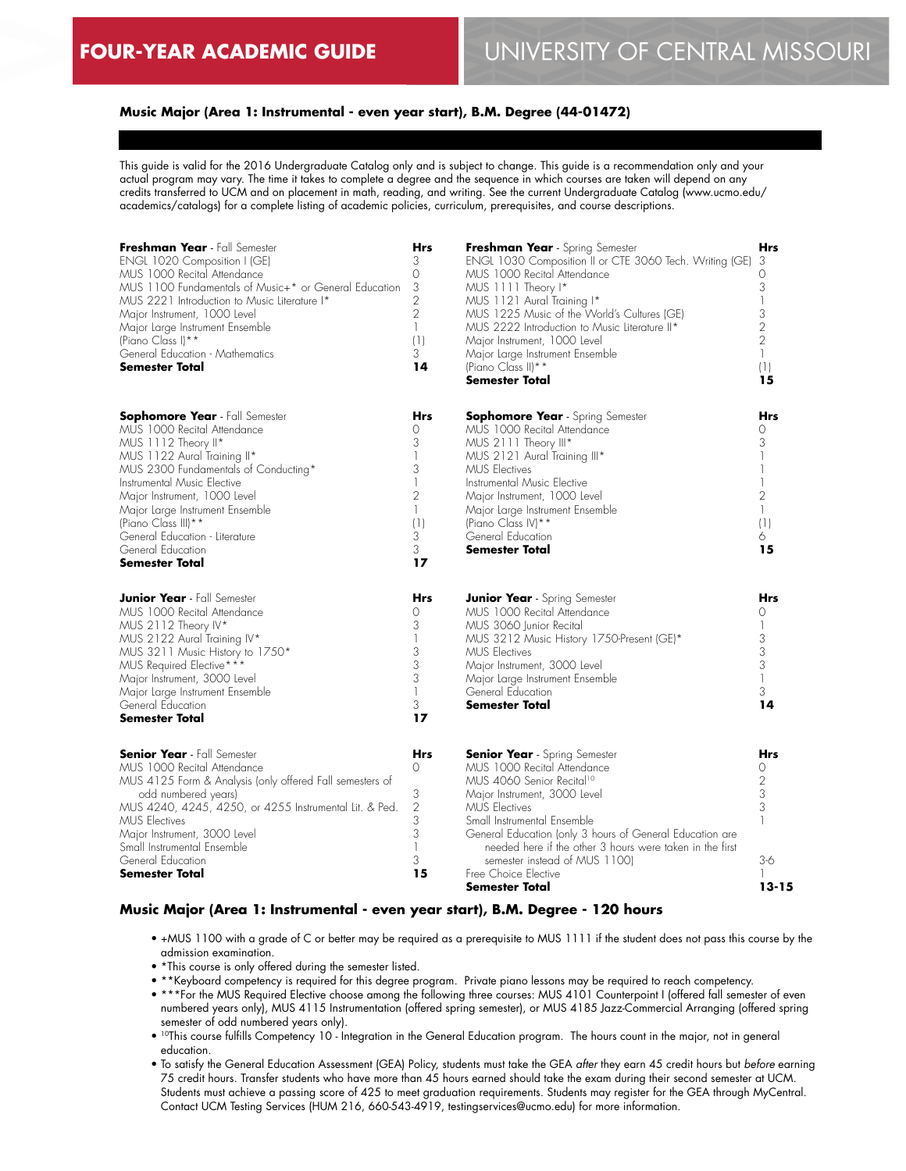#### **Music Major (Area 1: Instrumental - even year start), B.M. Degree (44-01472)**

This guide is valid for the 2016 Undergraduate Catalog only and is subject to change. This guide is a recommendation only and your actual program may vary. The time it takes to complete a degree and the sequence in which courses are taken will depend on any credits transferred to UCM and on placement in math, reading, and writing. See the current Undergraduate Catalog (www.ucmo.edu/ academics/catalogs) for a complete listing of academic policies, curriculum, prerequisites, and course descriptions.

| Freshman Year - Fall Semester<br>ENGL 1020 Composition I (GE)<br>MUS 1000 Recital Attendance<br>MUS 1100 Fundamentals of Music+* or General Education<br>MUS 2221 Introduction to Music Literature I*<br>Major Instrument, 1000 Level<br>Major Large Instrument Ensemble<br>(Piano Class I) **<br>General Education - Mathematics<br><b>Semester Total</b>                   |                                                                                       | Freshman Year - Spring Semester<br>ENGL 1030 Composition II or CTE 3060 Tech. Writing (GE)<br>MUS 1000 Recital Attendance<br>MUS 1111 Theory I*<br>MUS 1121 Aural Training I*<br>MUS 1225 Music of the World's Cultures (GE)<br>MUS 2222 Introduction to Music Literature II*<br>Major Instrument, 1000 Level<br>Major Large Instrument Ensemble<br>(Piano Class II) **<br><b>Semester Total</b>       |                                                                          |  |
|------------------------------------------------------------------------------------------------------------------------------------------------------------------------------------------------------------------------------------------------------------------------------------------------------------------------------------------------------------------------------|---------------------------------------------------------------------------------------|--------------------------------------------------------------------------------------------------------------------------------------------------------------------------------------------------------------------------------------------------------------------------------------------------------------------------------------------------------------------------------------------------------|--------------------------------------------------------------------------|--|
| <b>Sophomore Year</b> - Fall Semester<br>MUS 1000 Recital Attendance<br>MUS 1112 Theory II*<br>MUS 1122 Aural Training II*<br>MUS 2300 Fundamentals of Conducting*<br>Instrumental Music Elective<br>Major Instrument, 1000 Level<br>Major Large Instrument Ensemble<br>(Piano Class III) **<br>General Education - Literature<br>General Education<br><b>Semester Total</b> | Hrs<br>0<br>3<br>1<br>3<br>1<br>$\overline{2}$<br>$\mathbb{I}$<br>(1)<br>3<br>3<br>17 | <b>Sophomore Year</b> - Spring Semester<br>MUS 1000 Recital Attendance<br>MUS 2111 Theory III*<br>MUS 2121 Aural Training III*<br><b>MUS Electives</b><br>Instrumental Music Flective<br>Major Instrument, 1000 Level<br>Major Large Instrument Ensemble<br>(Piano Class IV) **<br>General Education<br><b>Semester Total</b>                                                                          | Hrs<br>$\Omega$<br>3<br>$\overline{2}$<br>$\mathbf{1}$<br>(1)<br>6<br>15 |  |
| <b>Junior Year</b> - Fall Semester<br>MUS 1000 Recital Attendance<br>MUS 2112 Theory IV*<br>MUS 2122 Aural Training IV*<br>MUS 3211 Music History to 1750*<br>MUS Required Elective***<br>Major Instrument, 3000 Level<br>Major Large Instrument Ensemble<br>General Education<br><b>Semester Total</b>                                                                      | Hrs<br>0<br>3<br>3<br>3<br>3<br>$\mathbb{I}$<br>3<br>17                               | <b>Junior Year</b> - Spring Semester<br>MUS 1000 Recital Attendance<br>MUS 3060 Junior Recital<br>MUS 3212 Music History 1750-Present (GE)*<br><b>MUS</b> Electives<br>Major Instrument, 3000 Level<br>Major Large Instrument Ensemble<br>General Education<br><b>Semester Total</b>                                                                                                                   | <b>Hrs</b><br>$\Omega$<br>3<br>3<br>3<br>$\mathbf{1}$<br>3<br>14         |  |
| <b>Senior Year</b> - Fall Semester<br>MUS 1000 Recital Attendance<br>MUS 4125 Form & Analysis (only offered Fall semesters of<br>odd numbered years)<br>MUS 4240, 4245, 4250, or 4255 Instrumental Lit. & Ped.<br><b>MUS Electives</b><br>Major Instrument, 3000 Level<br>Small Instrumental Ensemble<br>General Education<br>Semester Total                                 | Hrs<br>0<br>3<br>$\overline{2}$<br>3<br>3<br>$\mathbb{I}$<br>3<br>15                  | <b>Senior Year</b> - Spring Semester<br>MUS 1000 Recital Attendance<br>MUS 4060 Senior Recital <sup>10</sup><br>Major Instrument, 3000 Level<br><b>MUS Electives</b><br>Small Instrumental Ensemble<br>General Education (only 3 hours of General Education are<br>needed here if the other 3 hours were taken in the first<br>semester instead of MUS 1100)<br>Free Choice Elective<br>Semester Total | <b>Hrs</b><br>0<br>$\overline{2}$<br>3<br>3<br>$3-6$<br>13-15            |  |

#### **Music Major (Area 1: Instrumental - even year start), B.M. Degree - 120 hours**

- +MUS 1100 with a grade of C or better may be required as a prerequisite to MUS 1111 if the student does not pass this course by the admission examination.
- \*This course is only offered during the semester listed.
- \*\*Keyboard competency is required for this degree program. Private piano lessons may be required to reach competency.
- \*\*\*For the MUS Required Elective choose among the following three courses: MUS 4101 Counterpoint I (offered fall semester of even numbered years only), MUS 4115 Instrumentation (offered spring semester), or MUS 4185 Jazz-Commercial Arranging (offered spring semester of odd numbered years only).
- 10This course fulfills Competency 10 Integration in the General Education program. The hours count in the major, not in general education.
- To satisfy the General Education Assessment (GEA) Policy, students must take the GEA *after* they earn 45 credit hours but *before* earning 75 credit hours. Transfer students who have more than 45 hours earned should take the exam during their second semester at UCM. Students must achieve a passing score of 425 to meet graduation requirements. Students may register for the GEA through MyCentral. Contact UCM Testing Services (HUM 216, 660-543-4919, testingservices@ucmo.edu) for more information.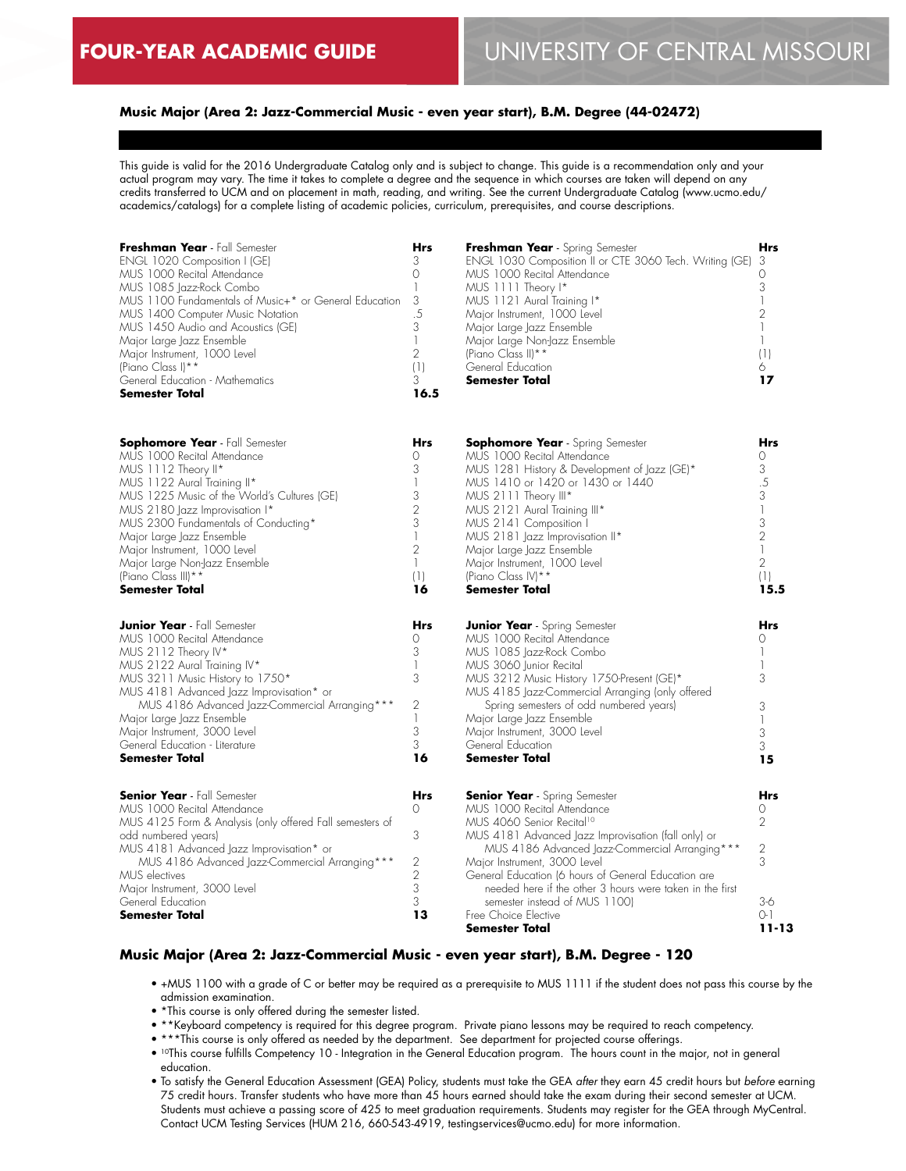### **Music Major (Area 2: Jazz-Commercial Music - even year start), B.M. Degree (44-02472)**

This guide is valid for the 2016 Undergraduate Catalog only and is subject to change. This guide is a recommendation only and your actual program may vary. The time it takes to complete a degree and the sequence in which courses are taken will depend on any credits transferred to UCM and on placement in math, reading, and writing. See the current Undergraduate Catalog (www.ucmo.edu/ academics/catalogs) for a complete listing of academic policies, curriculum, prerequisites, and course descriptions.

| Freshman Year - Fall Semester<br>ENGL 1020 Composition I (GE)<br>MUS 1000 Recital Attendance<br>MUS 1085 Jazz-Rock Combo<br>MUS 1100 Fundamentals of Music+* or General Education<br>MUS 1400 Computer Music Notation<br>MUS 1450 Audio and Acoustics (GE)<br>Major Large Jazz Ensemble<br>Major Instrument, 1000 Level<br>(Piano Class I) **<br>General Education - Mathematics<br><b>Semester Total</b> |                                                                                                                                 | Freshman Year - Spring Semester<br>ENGL 1030 Composition II or CTE 3060 Tech. Writing (GE)<br>MUS 1000 Recital Attendance<br>MUS 1111 Theory I*<br>MUS 1121 Aural Training I*<br>Major Instrument, 1000 Level<br>Major Large Jazz Ensemble<br>Major Large Non-Jazz Ensemble<br>(Piano Class II) **<br>General Education<br><b>Semester Total</b>                                                                                                     |                                                                                                                                                |  |
|-----------------------------------------------------------------------------------------------------------------------------------------------------------------------------------------------------------------------------------------------------------------------------------------------------------------------------------------------------------------------------------------------------------|---------------------------------------------------------------------------------------------------------------------------------|------------------------------------------------------------------------------------------------------------------------------------------------------------------------------------------------------------------------------------------------------------------------------------------------------------------------------------------------------------------------------------------------------------------------------------------------------|------------------------------------------------------------------------------------------------------------------------------------------------|--|
| <b>Sophomore Year</b> - Fall Semester<br>MUS 1000 Recital Attendance<br>MUS 1112 Theory II*<br>MUS 1122 Aural Training II*<br>MUS 1225 Music of the World's Cultures (GE)<br>MUS 2180 Jazz Improvisation I*<br>MUS 2300 Fundamentals of Conducting*<br>Major Large Jazz Ensemble<br>Major Instrument, 1000 Level<br>Major Large Non-Jazz Ensemble<br>(Piano Class III) **<br><b>Semester Total</b>        | <b>Hrs</b><br>0<br>3<br>$\mathbb{I}$<br>3<br>$\overline{2}$<br>3<br>$\mathbb{I}$<br>$\overline{2}$<br>$\mathbf{1}$<br>(1)<br>16 | <b>Sophomore Year</b> - Spring Semester<br>MUS 1000 Recital Attendance<br>MUS 1281 History & Development of Jazz (GE)*<br>MUS 1410 or 1420 or 1430 or 1440<br>MUS 2111 Theory III*<br>MUS 2121 Aural Training III*<br>MUS 2141 Composition I<br>MUS 2181 Jazz Improvisation II*<br>Major Large Jazz Ensemble<br>Major Instrument, 1000 Level<br>(Piano Class IV)**<br><b>Semester Total</b>                                                          | <b>Hrs</b><br>$\Omega$<br>3<br>$.5\,$<br>3<br>$\overline{\phantom{a}}$<br>3<br>$\overline{2}$<br>$\mathbf{1}$<br>$\overline{2}$<br>(1)<br>15.5 |  |
| <b>Junior Year</b> - Fall Semester<br>MUS 1000 Recital Attendance<br>MUS 2112 Theory IV*<br>MUS 2122 Aural Training IV*<br>MUS 3211 Music History to 1750*<br>MUS 4181 Advanced Jazz Improvisation* or<br>MUS 4186 Advanced Jazz-Commercial Arranging ***<br>Major Large Jazz Ensemble<br>Major Instrument, 3000 Level<br>General Education - Literature<br><b>Semester Total</b>                         | <b>Hrs</b><br>0<br>3<br>1<br>3<br>$\mathbf{2}$<br>$\mathbf{1}$<br>3<br>3<br>16                                                  | <b>Junior Year</b> - Spring Semester<br>MUS 1000 Recital Attendance<br>MUS 1085 Jazz-Rock Combo<br>MUS 3060 Junior Recital<br>MUS 3212 Music History 1750-Present (GE)*<br>MUS 4185 Jazz-Commercial Arranging (only offered<br>Spring semesters of odd numbered years)<br>Major Large Jazz Ensemble<br>Major Instrument, 3000 Level<br>General Education<br><b>Semester Total</b>                                                                    | <b>Hrs</b><br>0<br>$\mathbf{1}$<br>1<br>3<br>3<br>$\mathbf{1}$<br>3<br>3<br>15                                                                 |  |
| <b>Senior Year</b> - Fall Semester<br>MUS 1000 Recital Attendance<br>MUS 4125 Form & Analysis (only offered Fall semesters of<br>odd numbered years)<br>MUS 4181 Advanced Jazz Improvisation* or<br>MUS 4186 Advanced Jazz-Commercial Arranging ***<br>MUS electives<br>Major Instrument, 3000 Level<br>General Education<br><b>Semester Total</b>                                                        | <b>Hrs</b><br>$\Omega$<br>3<br>$\mathbf{2}$<br>$\overline{2}$<br>3<br>3<br>13                                                   | <b>Senior Year</b> - Spring Semester<br>MUS 1000 Recital Attendance<br>MUS 4060 Senior Recital <sup>10</sup><br>MUS 4181 Advanced Jazz Improvisation (fall only) or<br>MUS 4186 Advanced Jazz-Commercial Arranging ***<br>Major Instrument, 3000 Level<br>General Education (6 hours of General Education are<br>needed here if the other 3 hours were taken in the first<br>semester instead of MUS 1100)<br>Free Choice Elective<br>Semester Total | <b>Hrs</b><br>0<br>$\overline{2}$<br>2<br>3<br>$3-6$<br>$O-1$<br>11-13                                                                         |  |

#### **Music Major (Area 2: Jazz-Commercial Music - even year start), B.M. Degree - 120**

- +MUS 1100 with a grade of C or better may be required as a prerequisite to MUS 1111 if the student does not pass this course by the admission examination.
- \*This course is only offered during the semester listed.
- \*\*Keyboard competency is required for this degree program. Private piano lessons may be required to reach competency.
- \*\*\*This course is only offered as needed by the department. See department for projected course offerings.
- 10This course fulfills Competency 10 Integration in the General Education program. The hours count in the major, not in general education.
- To satisfy the General Education Assessment (GEA) Policy, students must take the GEA *after* they earn 45 credit hours but *before* earning 75 credit hours. Transfer students who have more than 45 hours earned should take the exam during their second semester at UCM. Students must achieve a passing score of 425 to meet graduation requirements. Students may register for the GEA through MyCentral. Contact UCM Testing Services (HUM 216, 660-543-4919, testingservices@ucmo.edu) for more information.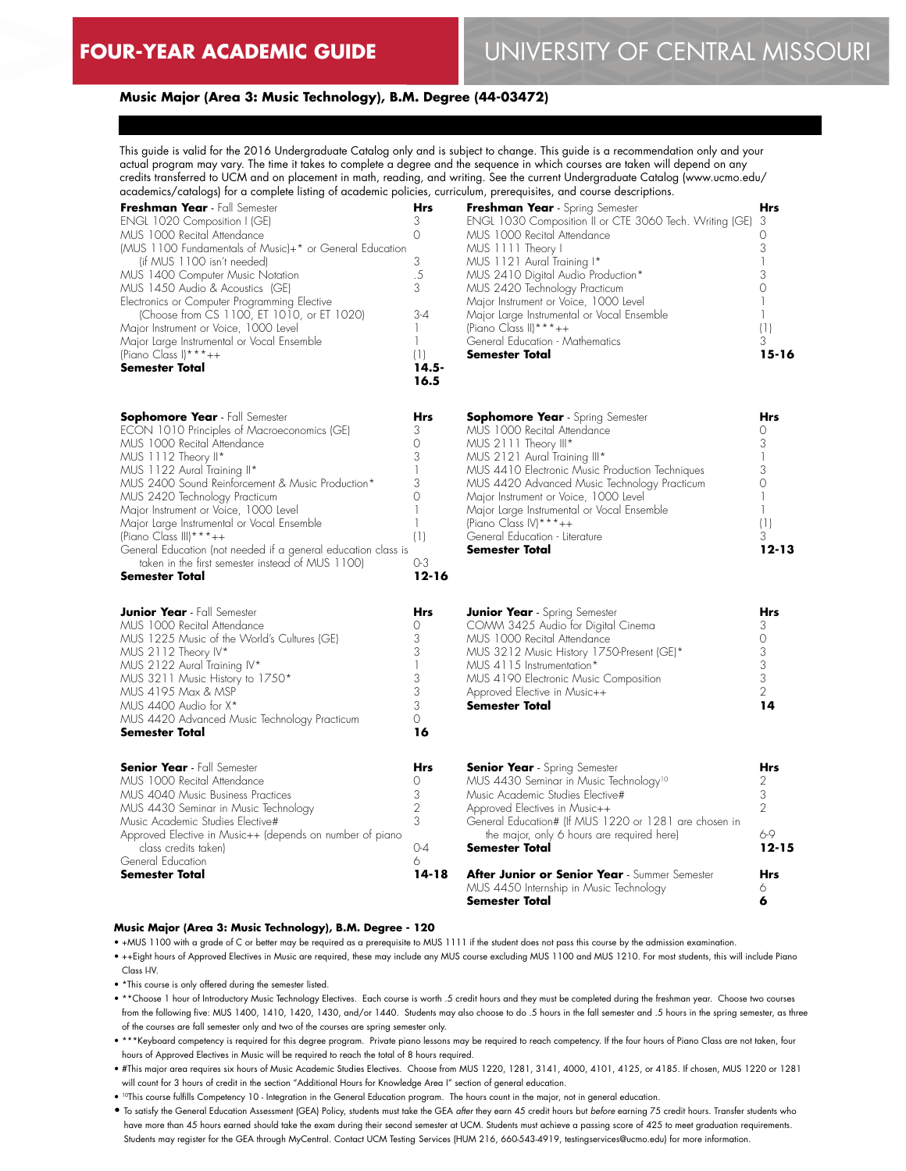#### **Music Major (Area 3: Music Technology), B.M. Degree (44-03472)**

This guide is valid for the 2016 Undergraduate Catalog only and is subject to change. This guide is a recommendation only and your actual program may vary. The time it takes to complete a degree and the sequence in which courses are taken will depend on any credits transferred to UCM and on placement in math, reading, and writing. See the current Undergraduate Catalog (www.ucmo.edu/ academics/catalogs) for a complete listing of academic policies, curriculum, prerequisites, and course descriptions.

| Freshman Year - Fall Semester<br>ENGL 1020 Composition I (GE)<br>MUS 1000 Recital Attendance<br>(MUS 1100 Fundamentals of Music)+* or General Education<br>(if MUS 1100 isn't needed)<br>MUS 1400 Computer Music Notation<br>MUS 1450 Audio & Acoustics (GE)<br>Electronics or Computer Programming Elective<br>(Choose from CS 1100, ET 1010, or ET 1020)<br>Major Instrument or Voice, 1000 Level<br>Major Large Instrumental or Vocal Ensemble<br>(Piano Class I) * * * $++$<br>Semester Total                                   | Hrs<br>3<br>$\Omega$<br>3<br>.5<br>3<br>$3-4$<br>1<br>1<br>(1)<br>14.5-<br>16.5          | Freshman Year<br>ENGL 1030 Comp<br>MUS 1000 Recital<br>MUS 1111 Theory<br>MUS 1121 Aural T<br>MUS 2410 Digital<br>MUS 2420 Techno<br>Major Instrument or<br>Major Large Instrum<br>(Piano Class II) * * * -<br>General Education ·<br>Semester Total |
|-------------------------------------------------------------------------------------------------------------------------------------------------------------------------------------------------------------------------------------------------------------------------------------------------------------------------------------------------------------------------------------------------------------------------------------------------------------------------------------------------------------------------------------|------------------------------------------------------------------------------------------|------------------------------------------------------------------------------------------------------------------------------------------------------------------------------------------------------------------------------------------------------|
| <b>Sophomore Year</b> - Fall Semester<br>ECON 1010 Principles of Macroeconomics (GE)<br>MUS 1000 Recital Attendance<br>MUS 1112 Theory II*<br>MUS 1122 Aural Training II*<br>MUS 2400 Sound Reinforcement & Music Production*<br>MUS 2420 Technology Practicum<br>Major Instrument or Voice, 1000 Level<br>Major Large Instrumental or Vocal Ensemble<br>(Piano Class III) * * * $++$<br>General Education (not needed it a general education class is<br>taken in the first semester instead of MUS 1100)<br><b>Semester Total</b> | Hrs<br>3<br>$\Omega$<br>3<br>1<br>3<br>0<br>1<br>$\mathbf{1}$<br>(1)<br>0-3<br>$12 - 16$ | Sophomore Yea<br>MUS 1000 Recital<br>MUS 2111 Theory<br>MUS 2121 Aural T<br>MUS 4410 Electror<br>MUS 4420 Advand<br>Major Instrument or<br>Major Large Instrum<br>(Piano Class IV) ***<br>General Education ·<br>Semester Total                      |
| <b>Junior Year</b> - Fall Semester<br>MUS 1000 Recital Attendance<br>MUS 1225 Music of the World's Cultures (GE)<br>MUS 2112 Theory IV*<br>MUS 2122 Aural Training IV*<br>MUS 3211 Music History to 1750*<br>MUS 4195 Max & MSP<br>MUS 4400 Audio for X*<br>MUS 4420 Advanced Music Technology Practicum<br><b>Semester Total</b>                                                                                                                                                                                                   | Hrs<br>0<br>3<br>3<br>1<br>3<br>3<br>3<br>0<br>16                                        | <b>Junior Year</b> - Spr<br>COMM 3425 Aud<br>MUS 1000 Recital<br>MUS 3212 Music I<br>MUS 4115 Instrume<br>MUS 4190 Electror<br>Approved Elective in<br>Semester Total                                                                                |
| <b>Senior Year</b> - Fall Semester<br>MUS 1000 Recital Attendance<br>MUS 4040 Music Business Practices<br>MUS 4430 Seminar in Music Technology<br>Music Academic Studies Elective#<br>Approved Elective in Music++ (depends on number of piano<br>class credits taken)<br>General Education                                                                                                                                                                                                                                         | Hrs<br>0<br>3<br>2<br>3<br>0-4<br>6                                                      | Senior Year - Spr<br>MUS 4430 Semino<br>Music Academic Sti<br>Approved Electives<br>General Education#<br>the major, only<br>Semester Total                                                                                                          |
| <b>Semester Total</b>                                                                                                                                                                                                                                                                                                                                                                                                                                                                                                               | 14-18                                                                                    | After Junior or :                                                                                                                                                                                                                                    |

| Freshman Year - Spring Semester                           | Hrs |
|-----------------------------------------------------------|-----|
| ENGL 1030 Composition II or CTE 3060 Tech. Writing (GE) 3 |     |
| MUS 1000 Recital Attendance                               |     |
| MUS 1111 Theory I                                         | 3   |
| MUS 1121 Aural Training I*                                |     |
| MUS 2410 Digital Audio Production*                        | 3   |
| MUS 2420 Technology Practicum                             |     |
| Major Instrument or Voice, 1000 Level                     |     |
| Major Large Instrumental or Vocal Ensemble                |     |
| (Piano Class II) * * * $++$                               |     |
| General Education - Mathematics                           | 3   |
| <b>Semester Total</b>                                     |     |

| <b>Sophomore Year</b> - Spring Semester         | Hrs   |
|-------------------------------------------------|-------|
| MUS 1000 Recital Attendance                     |       |
| MUS 2111 Theory III*                            | 3     |
| MUS 2121 Aural Training III*                    |       |
| MUS 4410 Electronic Music Production Techniques |       |
| MUS 4420 Advanced Music Technology Practicum    |       |
| Major Instrument or Voice, 1000 Level           |       |
| Major Large Instrumental or Vocal Ensemble      |       |
| (Piano Class IV) *** $++$                       |       |
| General Education - Literature                  | 3     |
| <b>Semester Total</b>                           | 12-13 |
|                                                 |       |

| <b>Junior Year</b> - Spring Semester      |   |
|-------------------------------------------|---|
| COMM 3425 Audio for Digital Cinema        |   |
| MUS 1000 Recital Attendance               |   |
| MUS 3212 Music History 1750-Present (GE)* | 3 |
| MUS 4115 Instrumentation*                 | 3 |
| MUS 4190 Electronic Music Composition     | 3 |
| Approved Elective in Music++              | ◠ |
| <b>Semester Total</b>                     |   |

| <b>Senior Year</b> - Spring Semester                                                                | Hrs       |
|-----------------------------------------------------------------------------------------------------|-----------|
| MUS 4430 Seminar in Music Technology <sup>10</sup>                                                  |           |
| Music Academic Studies Elective#                                                                    | 3         |
| Approved Electives in Music++                                                                       | 2         |
| General Education# (If MUS 1220 or 1281 are chosen in<br>the major, only 6 hours are required here) | 6-9       |
| <b>Semester Total</b>                                                                               | $12 - 15$ |
| After Junior or Senior Year - Summer Semester                                                       | Hrs       |
| MUS 4450 Internship in Music Technology                                                             |           |
| <b>Semester Total</b>                                                                               |           |

#### **Music Major (Area 3: Music Technology), B.M. Degree - 120**

• +MUS 1100 with a grade of C or better may be required as a prerequisite to MUS 1111 if the student does not pass this course by the admission examination.

- ++Eight hours of Approved Electives in Music are required, these may include any MUS course excluding MUS 1100 and MUS 1210. For most students, this will include Piano Class I-IV.
- \*This course is only offered during the semester listed.

• \*\*Choose 1 hour of Introductory Music Technology Electives. Each course is worth .5 credit hours and they must be completed during the freshman year. Choose two courses from the following five: MUS 1400, 1410, 1420, 1430, and/or 1440. Students may also choose to do .5 hours in the fall semester and .5 hours in the spring semester, as three of the courses are fall semester only and two of the courses are spring semester only.

- \*\*\*Keyboard competency is required for this degree program. Private piano lessons may be required to reach competency. If the four hours of Piano Class are not taken, four hours of Approved Electives in Music will be required to reach the total of 8 hours required.
- #This major area requires six hours of Music Academic Studies Electives. Choose from MUS 1220, 1281, 3141, 4000, 4101, 4125, or 4185. If chosen, MUS 1220 or 1281 will count for 3 hours of credit in the section "Additional Hours for Knowledge Area I" section of general education.
- 10This course fulfills Competency 10 Integration in the General Education program. The hours count in the major, not in general education.

• To satisfy the General Education Assessment (GEA) Policy, students must take the GEA *after* they earn 45 credit hours but *before* earning 75 credit hours. Transfer students who have more than 45 hours earned should take the exam during their second semester at UCM. Students must achieve a passing score of 425 to meet graduation requirements. Students may register for the GEA through MyCentral. Contact UCM Testing Services (HUM 216, 660-543-4919, testingservices@ucmo.edu) for more information.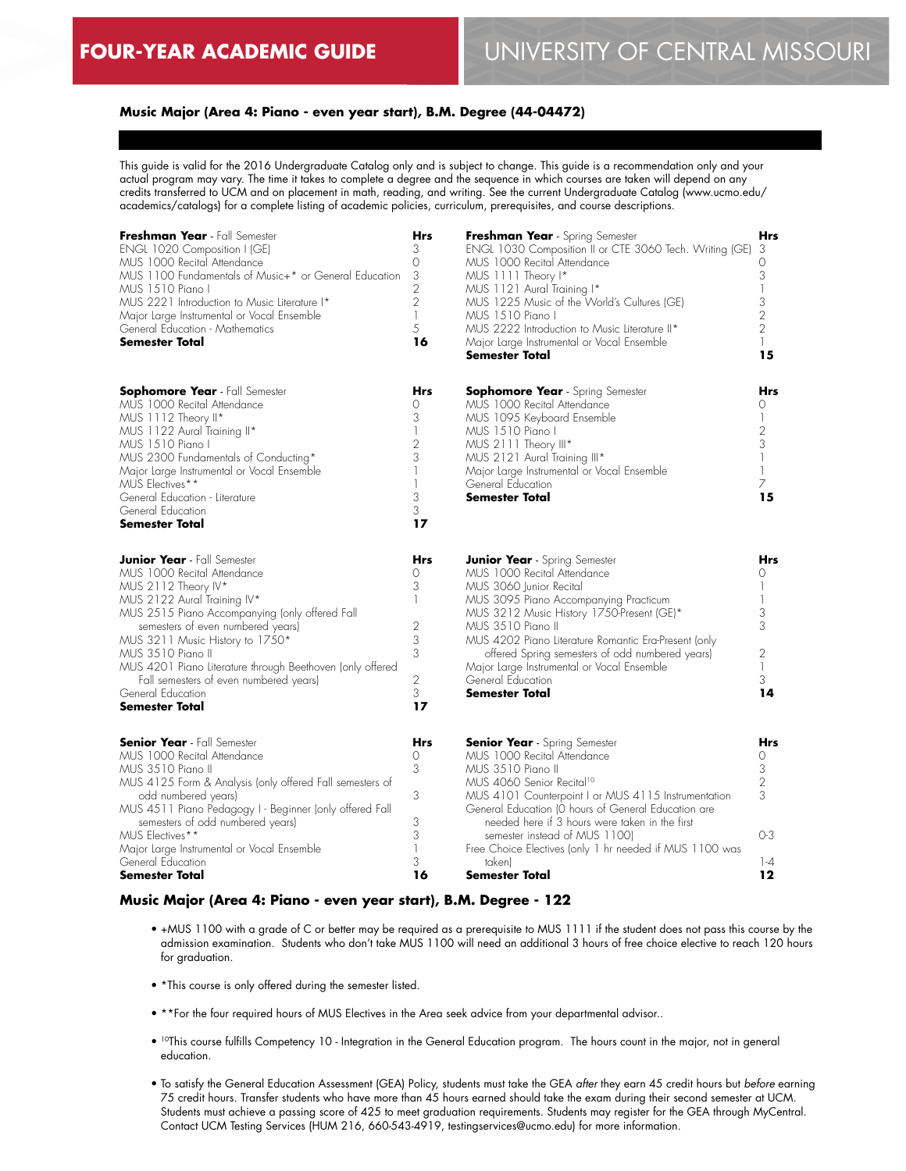# **Music Major (Area 4: Piano - even year start), B.M. Degree (44-04472)**

This guide is valid for the 2016 Undergraduate Catalog only and is subject to change. This guide is a recommendation only and your actual program may vary. The time it takes to complete a degree and the sequence in which courses are taken will depend on any credits transferred to UCM and on placement in math, reading, and writing. See the current Undergraduate Catalog (www.ucmo.edu/ academics/catalogs) for a complete listing of academic policies, curriculum, prerequisites, and course descriptions.

| Freshman Year - Fall Semester<br>ENGL 1020 Composition I (GE)<br>MUS 1000 Recital Attendance<br>MUS 1100 Fundamentals of Music+* or General Education<br>MUS 1510 Piano I<br>MUS 2221 Introduction to Music Literature I*<br>Major Large Instrumental or Vocal Ensemble<br>General Education - Mathematics<br><b>Semester Total</b>                                                                                         | <b>Hrs</b><br>3<br>0<br>3<br>$\overline{2}$<br>$\overline{2}$<br>$\mathbf{1}$<br>5<br>16                          | Freshman Year - Spring Semester<br>ENGL 1030 Composition II or CTE 3060 Tech. Writing (GE)<br>MUS 1000 Recital Attendance<br>MUS 1111 Theory I*<br>MUS 1121 Aural Training I*<br>MUS 1225 Music of the World's Cultures (GE)<br>MUS 1510 Piano I<br>MUS 2222 Introduction to Music Literature II*<br>Major Large Instrumental or Vocal Ensemble<br>Semester Total                                                                | <b>Hrs</b><br>3<br>0<br>3<br>3<br>$\overline{2}$<br>$\overline{2}$<br>15 |
|-----------------------------------------------------------------------------------------------------------------------------------------------------------------------------------------------------------------------------------------------------------------------------------------------------------------------------------------------------------------------------------------------------------------------------|-------------------------------------------------------------------------------------------------------------------|----------------------------------------------------------------------------------------------------------------------------------------------------------------------------------------------------------------------------------------------------------------------------------------------------------------------------------------------------------------------------------------------------------------------------------|--------------------------------------------------------------------------|
| <b>Sophomore Year</b> - Fall Semester<br>MUS 1000 Recital Attendance<br>MUS 1112 Theory II*<br>MUS 1122 Aural Training II*<br>MUS 1510 Piano I<br>MUS 2300 Fundamentals of Conducting*<br>Major Large Instrumental or Vocal Ensemble<br>MUS Electives**<br>General Education - Literature<br>General Education<br><b>Semester Total</b>                                                                                     | <b>Hrs</b><br>Ω<br>3<br>1<br>2<br>3<br>1<br>1<br>3<br>3<br>17                                                     | <b>Sophomore Year</b> - Spring Semester<br>MUS 1000 Recital Attendance<br>MUS 1095 Keyboard Ensemble<br>MUS 1510 Piano I<br>MUS 2111 Theory III*<br>MUS 2121 Aural Training III*<br>Major Large Instrumental or Vocal Ensemble<br>General Education<br><b>Semester Total</b>                                                                                                                                                     | Hrs<br>0<br>2<br>3<br>7<br>15                                            |
| <b>Junior Year</b> - Fall Semester<br>MUS 1000 Recital Attendance<br>MUS 2112 Theory IV*<br>MUS 2122 Aural Training IV*<br>MUS 2515 Piano Accompanying (only offered Fall<br>semesters of even numbered years)<br>MUS 3211 Music History to 1750*<br>MUS 3510 Piano II<br>MUS 4201 Piano Literature through Beethoven (only offered<br>Fall semesters of even numbered years)<br>General Education<br><b>Semester Total</b> | <b>Hrs</b><br>$\Omega$<br>3<br>1<br>$\overline{2}$<br>$\ensuremath{\mathsf{3}}$<br>3<br>$\overline{2}$<br>3<br>17 | <b>Junior Year</b> - Spring Semester<br>MUS 1000 Recital Attendance<br>MUS 3060 Junior Recital<br>MUS 3095 Piano Accompanying Practicum<br>MUS 3212 Music History 1750-Present (GE)*<br>MUS 3510 Piano II<br>MUS 4202 Piano Literature Romantic Era-Present (only<br>offered Spring semesters of odd numbered years)<br>Major Large Instrumental or Vocal Ensemble<br>General Education<br><b>Semester Total</b>                 | Hrs<br>0<br>3<br>3<br>2<br>3<br>14                                       |
| <b>Senior Year</b> - Fall Semester<br>MUS 1000 Recital Attendance<br>MUS 3510 Piano II<br>MUS 4125 Form & Analysis (only offered Fall semesters of<br>odd numbered years)<br>MUS 4511 Piano Pedagogy I - Beginner (only offered Fall<br>semesters of odd numbered years)<br>MUS Electives**<br>Major Large Instrumental or Vocal Ensemble<br>General Education<br><b>Semester Total</b>                                     | Hrs<br>$\Omega$<br>3<br>3<br>3<br>3<br>$\overline{\phantom{a}}$<br>3<br>16                                        | <b>Senior Year</b> - Spring Semester<br>MUS 1000 Recital Attendance<br>MUS 3510 Piano II<br>MUS 4060 Senior Recital <sup>10</sup><br>MUS 4101 Counterpoint I or MUS 4115 Instrumentation<br>General Education (O hours of General Education are<br>needed here if 3 hours were taken in the first<br>semester instead of MUS 1100)<br>Free Choice Electives (only 1 hr needed if MUS 1100 was<br>taken)<br><b>Semester Total</b> | Hrs<br>0<br>3<br>$\overline{2}$<br>3<br>$O-3$<br>$1 - 4$<br>$12 \,$      |

#### **Music Major (Area 4: Piano - even year start), B.M. Degree - 122**

- +MUS 1100 with a grade of C or better may be required as a prerequisite to MUS 1111 if the student does not pass this course by the admission examination. Students who don't take MUS 1100 will need an additional 3 hours of free choice elective to reach 120 hours for graduation.
- \*This course is only offered during the semester listed.
- \*\*For the four required hours of MUS Electives in the Area seek advice from your departmental advisor..
- 10This course fulfills Competency 10 Integration in the General Education program. The hours count in the major, not in general education.
- To satisfy the General Education Assessment (GEA) Policy, students must take the GEA *after* they earn 45 credit hours but *before* earning 75 credit hours. Transfer students who have more than 45 hours earned should take the exam during their second semester at UCM. Students must achieve a passing score of 425 to meet graduation requirements. Students may register for the GEA through MyCentral. Contact UCM Testing Services (HUM 216, 660-543-4919, testingservices@ucmo.edu) for more information.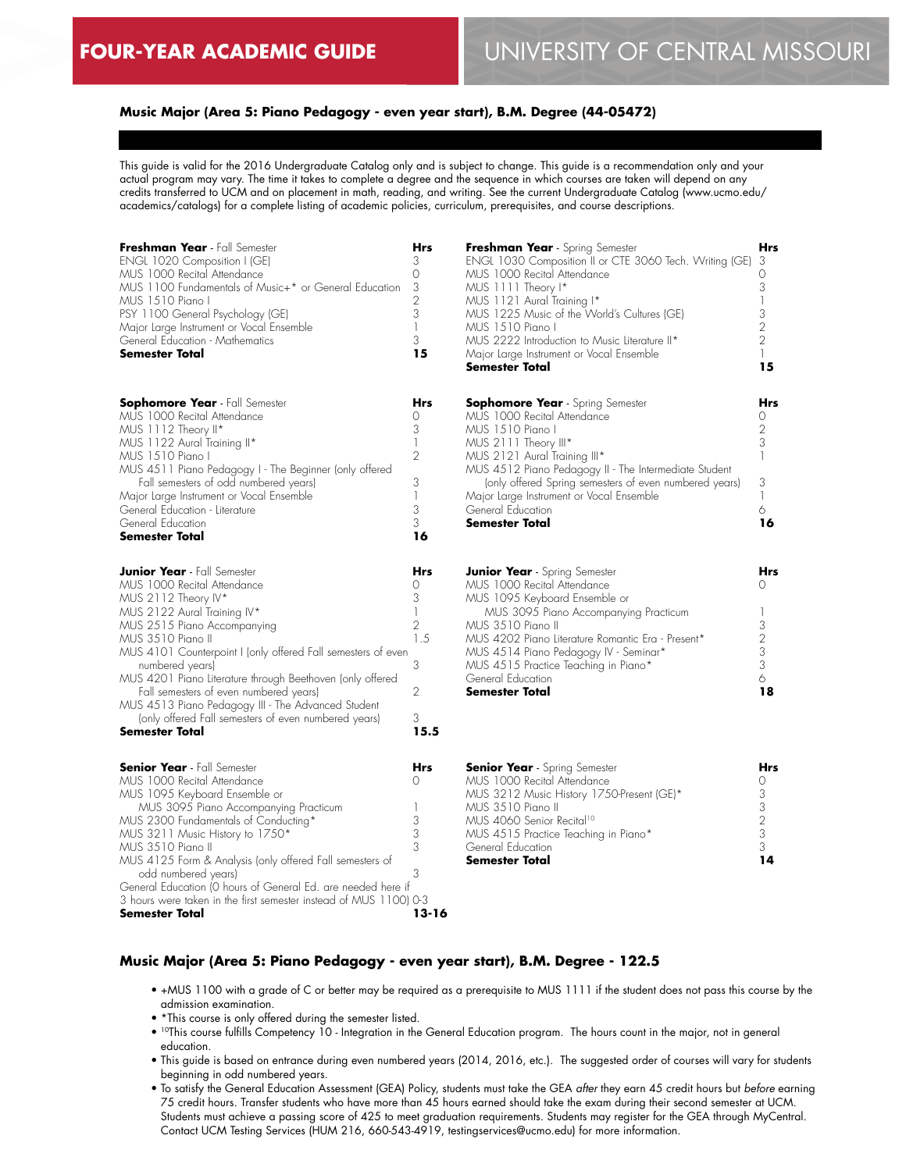### **Music Major (Area 5: Piano Pedagogy - even year start), B.M. Degree (44-05472)**

This guide is valid for the 2016 Undergraduate Catalog only and is subject to change. This guide is a recommendation only and your actual program may vary. The time it takes to complete a degree and the sequence in which courses are taken will depend on any credits transferred to UCM and on placement in math, reading, and writing. See the current Undergraduate Catalog (www.ucmo.edu/ academics/catalogs) for a complete listing of academic policies, curriculum, prerequisites, and course descriptions.

| Freshman Year - Fall Semester<br>ENGL 1020 Composition I (GE)<br>MUS 1000 Recital Attendance<br>MUS 1100 Fundamentals of Music+* or General Education<br>MUS 1510 Piano I<br>PSY 1100 General Psychology (GE)<br>Major Large Instrument or Vocal Ensemble<br>General Education - Mathematics<br>Semester Total                                                                                                                                                                                        | Hrs<br>3<br>0<br>3<br>$\overline{2}$<br>3<br>1<br>3<br>15          |
|-------------------------------------------------------------------------------------------------------------------------------------------------------------------------------------------------------------------------------------------------------------------------------------------------------------------------------------------------------------------------------------------------------------------------------------------------------------------------------------------------------|--------------------------------------------------------------------|
| <b>Sophomore Year</b> - Fall Semester<br>MUS 1000 Recital Attendance<br>MUS 1112 Theory II*<br>MUS 1122 Aural Training II*<br>MUS 1510 Piano I<br>MUS 4511 Piano Pedagogy I - The Beginner (only offered<br>Fall semesters of odd numbered years)<br>Major Large Instrument or Vocal Ensemble<br>General Education - Literature<br>General Education<br><b>Semester Total</b>                                                                                                                         | Hrs<br>0<br>3<br>1<br>$\overline{2}$<br>3<br>1<br>3<br>3<br>16     |
| <b>Junior Year</b> - Fall Semester<br>MUS 1000 Recital Attendance<br>MUS 2112 Theory IV*<br>MUS 2122 Aural Training IV*<br>MUS 2515 Piano Accompanying<br>MUS 3510 Piano II<br>MUS 4101 Counterpoint I (only offered Fall semesters of even<br>numbered years)<br>MUS 4201 Piano Literature through Beethoven (only offered<br>Fall semesters of even numbered years)<br>MUS 4513 Piano Pedagogy III - The Advanced Student<br>(only offered Fall semesters of even numbered years)<br>Semester Total | Hrs<br>0<br>3<br>1<br>$\overline{2}$<br>1.5<br>3<br>2<br>3<br>15.5 |
| <b>Senior Year</b> - Fall Semester<br>MUS 1000 Recital Attendance<br>MUS 1095 Keyboard Ensemble or<br>MUS 3095 Piano Accompanying Practicum<br>MUS 2300 Fundamentals of Conducting*<br>MUS 3211 Music History to 1750*<br>MUS 3510 Piano II<br>MUS 4125 Form & Analysis (only offered Fall semesters of<br>odd numbered years)<br>General Education (O hours of General Ed. are needed here if                                                                                                        | Hrs<br>0<br>1<br>3<br>3<br>3<br>3                                  |

| Freshman Year - Spring Semester                         | Hrs            |
|---------------------------------------------------------|----------------|
| ENGL 1030 Composition II or CTE 3060 Tech. Writing (GE) | 3              |
| MUS 1000 Recital Attendance                             | 0              |
| MUS 1111 Theory I*                                      | 3              |
| MUS 1121 Aural Training I*                              |                |
| MUS 1225 Music of the World's Cultures (GE)             | 3              |
| MUS 1510 Piano I                                        | $\overline{2}$ |
| MUS 2222 Introduction to Music Literature II*           | $\overline{2}$ |
| Major Large Instrument or Vocal Ensemble                |                |
| Semester Total                                          | 15             |
|                                                         |                |
| <b>Sophomore Year</b> - Spring Semester                 | <b>Hrs</b>     |
| MUS 1000 Recital Attendance                             |                |
| MUS 1510 Piano I                                        | 2              |
| MUS 2111 Theory III*                                    | 3              |
| MUS 2121 Aural Training III*                            |                |
| MUS 4512 Piano Pedagogy II - The Intermediate Student   |                |
| (only offered Spring semesters of even numbered years)  | 3              |
|                                                         |                |
| Major Large Instrument or Vocal Ensemble                |                |
| General Education                                       | 6              |

| <b>Junior Year</b> - Spring Semester              |   |
|---------------------------------------------------|---|
| MUS 1000 Recital Attendance                       |   |
| MUS 1095 Keyboard Ensemble or                     |   |
| MUS 3095 Piano Accompanying Practicum             |   |
| MUS 3510 Piano II                                 | 3 |
| MUS 4202 Piano Literature Romantic Fra - Present* |   |
| MUS 4514 Piano Pedagogy IV - Seminar*             | 3 |
| MUS 4515 Practice Teaching in Piano*              | 3 |
| General Education                                 |   |
| <b>Semester Total</b>                             |   |

**16**

| <b>Senior Year</b> - Spring Semester      |   |
|-------------------------------------------|---|
| MUS 1000 Recital Attendance               |   |
| MUS 3212 Music History 1750-Present (GE)* |   |
| MUS 3510 Piano II                         | 3 |
| MUS 4060 Senior Recital <sup>10</sup>     |   |
| MUS 4515 Practice Teaching in Piano*      | 3 |
| General Education                         | 3 |
| <b>Semester Total</b>                     |   |

#### **Music Major (Area 5: Piano Pedagogy - even year start), B.M. Degree - 122.5**

**13-16**

• +MUS 1100 with a grade of C or better may be required as a prerequisite to MUS 1111 if the student does not pass this course by the admission examination.

**Semester Total**

• \*This course is only offered during the semester listed.

3 hours were taken in the first semester instead of MUS 1100) 0-3

**Semester Total**

- 10This course fulfills Competency 10 Integration in the General Education program. The hours count in the major, not in general education.
- This guide is based on entrance during even numbered years (2014, 2016, etc.). The suggested order of courses will vary for students beginning in odd numbered years.
- To satisfy the General Education Assessment (GEA) Policy, students must take the GEA *after* they earn 45 credit hours but *before* earning 75 credit hours. Transfer students who have more than 45 hours earned should take the exam during their second semester at UCM. Students must achieve a passing score of 425 to meet graduation requirements. Students may register for the GEA through MyCentral. Contact UCM Testing Services (HUM 216, 660-543-4919, testingservices@ucmo.edu) for more information.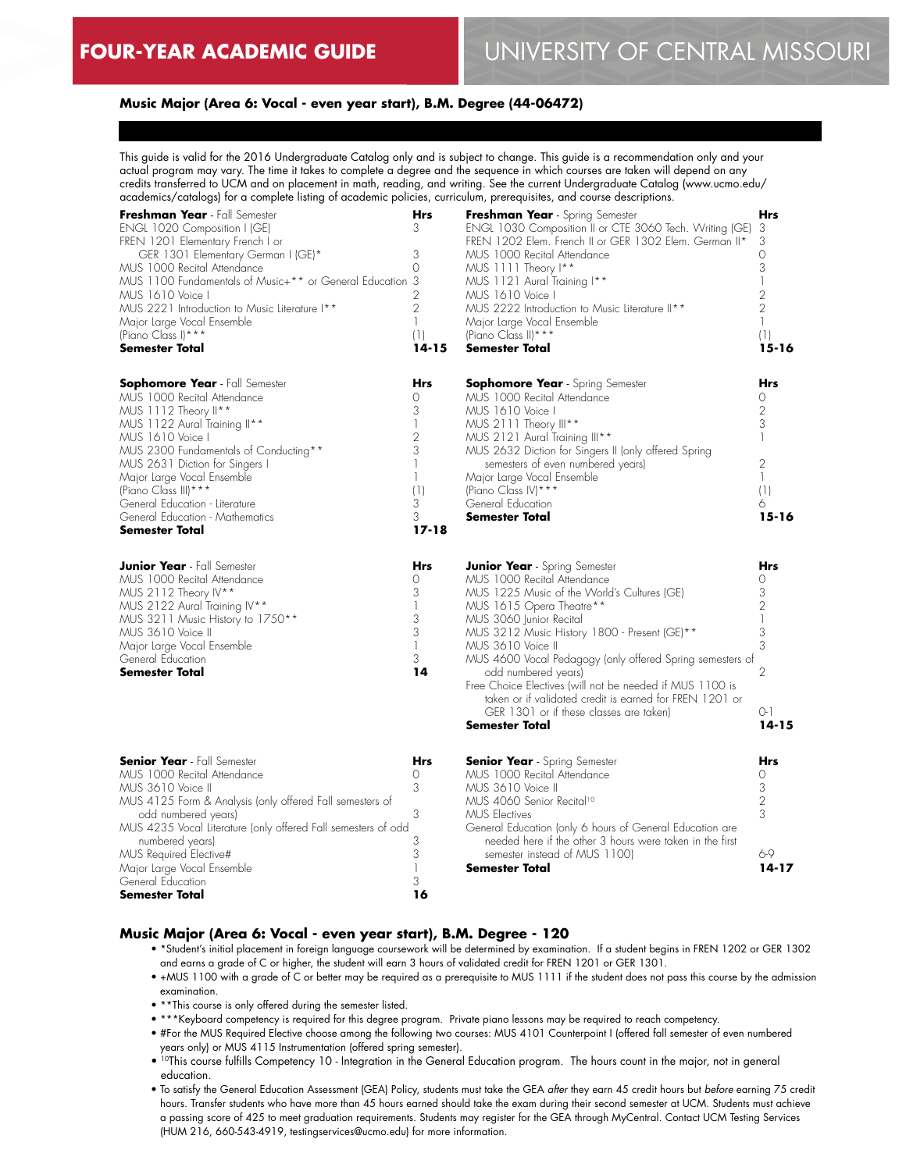#### **Music Major (Area 6: Vocal - even year start), B.M. Degree (44-06472)**

This guide is valid for the 2016 Undergraduate Catalog only and is subject to change. This guide is a recommendation only and your actual program may vary. The time it takes to complete a degree and the sequence in which courses are taken will depend on any credits transferred to UCM and on placement in math, reading, and writing. See the current Undergraduate Catalog (www.ucmo.edu/ academics/catalogs) for a complete listing of academic policies, curriculum, prerequisites, and course descriptions.

| Freshman Year - Fall Semester<br>ENGL 1020 Composition I (GE)<br>FREN 1201 Elementary French I or<br>GER 1301 Elementary German I (GE)*<br>MUS 1000 Recital Attendance<br>MUS 1100 Fundamentals of Music+** or General Education 3<br>MUS 1610 Voice I<br>MUS 2221 Introduction to Music Literature I**<br>Major Large Vocal Ensemble<br>(Piano Class I) ***<br><b>Semester Total</b>                                  | Hrs<br>3<br>3<br>$\circ$<br>2<br>$\overline{2}$<br>1<br>(1)<br>$14 - 15$   | Freshman Year - Spring Semester<br>ENGL 1030 Composition II or CTE 3060 Tech. Writing (GE)<br>FREN 1202 Elem. French II or GER 1302 Elem. German II*<br>MUS 1000 Recital Attendance<br>MUS 1111 Theory I**<br>MUS 1121 Aural Training I**<br>MUS 1610 Voice I<br>MUS 2222 Introduction to Music Literature II**<br>Major Large Vocal Ensemble<br>(Piano Class II) ***<br><b>Semester Total</b>                                                                                 | <b>Hrs</b><br>3<br>3<br>0<br>3<br>1<br>2<br>$\overline{2}$<br>$\mathbf{1}$<br>(1)<br>$15 - 16$   |
|------------------------------------------------------------------------------------------------------------------------------------------------------------------------------------------------------------------------------------------------------------------------------------------------------------------------------------------------------------------------------------------------------------------------|----------------------------------------------------------------------------|--------------------------------------------------------------------------------------------------------------------------------------------------------------------------------------------------------------------------------------------------------------------------------------------------------------------------------------------------------------------------------------------------------------------------------------------------------------------------------|--------------------------------------------------------------------------------------------------|
| <b>Sophomore Year</b> - Fall Semester<br>MUS 1000 Recital Attendance<br>MUS 1112 Theory II**<br>MUS 1122 Aural Training II**<br>MUS 1610 Voice I<br>MUS 2300 Fundamentals of Conducting**<br>MUS 2631 Diction for Singers I<br>Major Large Vocal Ensemble<br>(Piano Class III) ***<br>General Education - Literature<br>General Education - Mathematics<br><b>Semester Total</b><br><b>Junior Year</b> - Fall Semester | Hrs<br>$\Omega$<br>3<br>2<br>3<br>(1)<br>3<br>3<br>$17 - 18$<br><b>Hrs</b> | <b>Sophomore Year</b> - Spring Semester<br>MUS 1000 Recital Attendance<br>MUS 1610 Voice I<br>MUS 2111 Theory III**<br>MUS 2121 Aural Training III**<br>MUS 2632 Diction for Singers II (only offered Spring<br>semesters of even numbered years)<br>Major Large Vocal Ensemble<br>(Piano Class IV) ***<br>General Education<br><b>Semester Total</b><br><b>Junior Year</b> - Spring Semester                                                                                  | <b>Hrs</b><br>Ω<br>2<br>3<br>1<br>$\overline{2}$<br>$\mathbf{1}$<br>(1)<br>6<br>$15 - 16$<br>Hrs |
| MUS 1000 Recital Attendance<br>MUS 2112 Theory IV**<br>MUS 2122 Aural Training IV**<br>MUS 3211 Music History to 1750**<br>MUS 3610 Voice II<br>Major Large Vocal Ensemble<br>General Education<br><b>Semester Total</b>                                                                                                                                                                                               | Ω<br>3<br>3<br>3<br>1<br>3<br>14                                           | MUS 1000 Recital Attendance<br>MUS 1225 Music of the World's Cultures (GE)<br>MUS 1615 Opera Theatre**<br>MUS 3060 Junior Recital<br>MUS 3212 Music History 1800 - Present (GE)**<br>MUS 3610 Voice II<br>MUS 4600 Vocal Pedagogy (only offered Spring semesters of<br>odd numbered years)<br>Free Choice Electives (will not be needed if MUS 1100 is<br>taken or if validated credit is earned for FREN 1201 or<br>GER 1301 or if these classes are taken)<br>Semester Total | Ω<br>3<br>2<br>$\mathbb{I}$<br>3<br>3<br>2<br>$O-1$<br>$14 - 15$                                 |
| <b>Senior Year</b> - Fall Semester<br>MUS 1000 Recital Attendance<br>MUS 3610 Voice II<br>MUS 4125 Form & Analysis (only offered Fall semesters of<br>odd numbered years)<br>MUS 4235 Vocal Literature (only offered Fall semesters of odd<br>numbered years)<br>MUS Required Elective#<br>Major Large Vocal Ensemble<br>General Education<br>Semester Total                                                           | <b>Hrs</b><br>$\Omega$<br>3<br>3<br>3<br>3<br>3<br>16                      | <b>Senior Year</b> - Spring Semester<br>MUS 1000 Recital Attendance<br>MUS 3610 Voice II<br>MUS 4060 Senior Recital <sup>10</sup><br><b>MUS Electives</b><br>General Education (only 6 hours of General Education are<br>needed here if the other 3 hours were taken in the first<br>semester instead of MUS 1100)<br>Semester Total                                                                                                                                           | <b>Hrs</b><br>0<br>3<br>2<br>3<br>6-9<br>$14 - 17$                                               |

#### **Music Major (Area 6: Vocal - even year start), B.M. Degree - 120**

- \*Student's initial placement in foreign language coursework will be determined by examination. If a student begins in FREN 1202 or GER 1302 and earns a grade of C or higher, the student will earn 3 hours of validated credit for FREN 1201 or GER 1301.
- +MUS 1100 with a grade of C or better may be required as a prerequisite to MUS 1111 if the student does not pass this course by the admission examination.
- \*\*This course is only offered during the semester listed.
- \*\*\*Keyboard competency is required for this degree program. Private piano lessons may be required to reach competency.
- #For the MUS Required Elective choose among the following two courses: MUS 4101 Counterpoint I (offered fall semester of even numbered years only) or MUS 4115 Instrumentation (offered spring semester).
- <sup>10</sup>This course fulfills Competency 10 Integration in the General Education program. The hours count in the major, not in general education.
- To satisfy the General Education Assessment (GEA) Policy, students must take the GEA *after* they earn 45 credit hours but *before* earning 75 credit hours. Transfer students who have more than 45 hours earned should take the exam during their second semester at UCM. Students must achieve a passing score of 425 to meet graduation requirements. Students may register for the GEA through MyCentral. Contact UCM Testing Services (HUM 216, 660-543-4919, testingservices@ucmo.edu) for more information.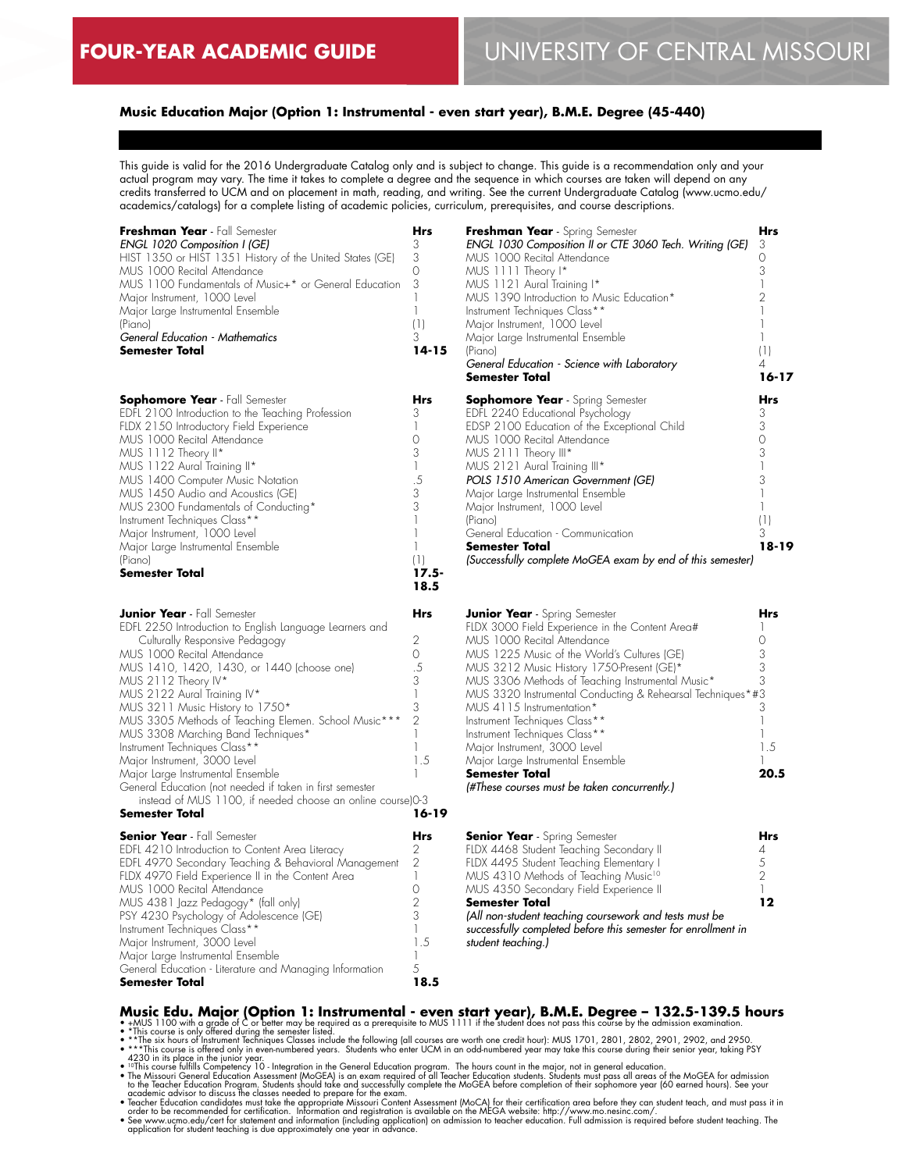# **Music Education Major (Option 1: Instrumental - even start year), B.M.E. Degree (45-440)**

This guide is valid for the 2016 Undergraduate Catalog only and is subject to change. This guide is a recommendation only and your actual program may vary. The time it takes to complete a degree and the sequence in which courses are taken will depend on any credits transferred to UCM and on placement in math, reading, and writing. See the current Undergraduate Catalog (www.ucmo.edu/ academics/catalogs) for a complete listing of academic policies, curriculum, prerequisites, and course descriptions.

| Freshman Year - Fall Semester<br>ENGL 1020 Composition I (GE)<br>HIST 1350 or HIST 1351 History of the United States (GE)<br>MUS 1000 Recital Attendance<br>MUS 1100 Fundamentals of Music+* or General Education<br>Major Instrument, 1000 Level<br>Major Large Instrumental Ensemble<br>(Piano)<br>General Education - Mathematics<br><b>Semester Total</b>                                                                                                                                                                                                                                                                                         | Hrs<br>3<br>3<br>$\Omega$<br>3<br>1<br>$\mathbb{I}$<br>(1)<br>3<br>$14 - 15$                                                   | Freshman Year - Spring Semester<br>ENGL 1030 Composition II or CTE 3060 Tech. Writing (GE)<br>MUS 1000 Recital Attendance<br>MUS 1111 Theory I*<br>MUS 1121 Aural Training I*<br>MUS 1390 Introduction to Music Education*<br>Instrument Techniques Class**<br>Major Instrument, 1000 Level<br>Major Large Instrumental Ensemble<br>(Piano)<br>General Education - Science with Laboratory<br>Semester Total                                                                                                                                                                      | Hrs<br>3<br>$\Omega$<br>3<br>$\mathbb{I}$<br>2<br>1<br>(1)<br>4<br>$16 - 17$            |
|-------------------------------------------------------------------------------------------------------------------------------------------------------------------------------------------------------------------------------------------------------------------------------------------------------------------------------------------------------------------------------------------------------------------------------------------------------------------------------------------------------------------------------------------------------------------------------------------------------------------------------------------------------|--------------------------------------------------------------------------------------------------------------------------------|-----------------------------------------------------------------------------------------------------------------------------------------------------------------------------------------------------------------------------------------------------------------------------------------------------------------------------------------------------------------------------------------------------------------------------------------------------------------------------------------------------------------------------------------------------------------------------------|-----------------------------------------------------------------------------------------|
| <b>Sophomore Year</b> - Fall Semester<br>EDFL 2100 Introduction to the Teaching Profession<br>FLDX 2150 Introductory Field Experience<br>MUS 1000 Recital Attendance<br>MUS 1112 Theory II*<br>MUS 1122 Aural Training II*<br>MUS 1400 Computer Music Notation<br>MUS 1450 Audio and Acoustics (GE)<br>MUS 2300 Fundamentals of Conducting*<br>Instrument Techniques Class**<br>Major Instrument, 1000 Level<br>Major Large Instrumental Ensemble<br>(Piano)<br>Semester Total                                                                                                                                                                        | Hrs<br>3<br>$\mathbb{I}$<br>$\Omega$<br>3<br>1<br>.5<br>3<br>3<br>1<br>$\mathbb{I}$<br>$\mathbb{I}$<br>(1)<br>$17.5 -$<br>18.5 | <b>Sophomore Year</b> - Spring Semester<br>EDFL 2240 Educational Psychology<br>EDSP 2100 Education of the Exceptional Child<br>MUS 1000 Recital Attendance<br>MUS 2111 Theory III*<br>MUS 2121 Aural Training III*<br>POLS 1510 American Government (GE)<br>Major Large Instrumental Ensemble<br>Major Instrument, 1000 Level<br>(Piano)<br>General Education - Communication<br>Semester Total<br>(Successfully complete MoGEA exam by end of this semester)                                                                                                                     | <b>Hrs</b><br>3<br>3<br>$\circ$<br>3<br>3<br>1<br>1<br>(1)<br>3<br>18-19                |
| <b>Junior Year</b> - Fall Semester<br>EDFL 2250 Introduction to English Language Learners and<br>Culturally Responsive Pedagogy<br>MUS 1000 Recital Attendance<br>MUS 1410, 1420, 1430, or 1440 (choose one)<br>MUS 2112 Theory IV*<br>MUS 2122 Aural Training IV*<br>MUS 3211 Music History to 1750*<br>MUS 3305 Methods of Teaching Elemen. School Music***<br>MUS 3308 Marching Band Techniques*<br>Instrument Techniques Class**<br>Major Instrument, 3000 Level<br>Major Large Instrumental Ensemble<br>General Education (not needed if taken in first semester<br>instead of MUS 1100, if needed choose an online course)0-3<br>Semester Total | Hrs<br>2<br>0<br>.5<br>3<br>1<br>3<br>$\overline{2}$<br>$\mathbb{I}$<br>$\mathbb{L}$<br>1.5<br>1<br>$16 - 19$                  | <b>Junior Year</b> - Spring Semester<br>FLDX 3000 Field Experience in the Content Area#<br>MUS 1000 Recital Attendance<br>MUS 1225 Music of the World's Cultures (GE)<br>MUS 3212 Music History 1750-Present (GE)*<br>MUS 3306 Methods of Teaching Instrumental Music*<br>MUS 3320 Instrumental Conducting & Rehearsal Techniques*#3<br>MUS 4115 Instrumentation*<br>Instrument Techniques Class**<br>Instrument Techniques Class**<br>Major Instrument, 3000 Level<br>Major Large Instrumental Ensemble<br><b>Semester Total</b><br>(#These courses must be taken concurrently.) | Hrs<br>-1<br>$\circ$<br>3<br>3<br>3<br>3<br>$\mathbf{1}$<br>$\mathbb{I}$<br>1.5<br>20.5 |
| <b>Senior Year</b> - Fall Semester<br>EDFL 4210 Introduction to Content Area Literacy<br>EDFL 4970 Secondary Teaching & Behavioral Management<br>FLDX 4970 Field Experience II in the Content Area<br>MUS 1000 Recital Attendance<br>MUS 4381 Jazz Pedagogy* (fall only)<br>PSY 4230 Psychology of Adolescence (GE)<br>Instrument Techniques Class**<br>Major Instrument, 3000 Level<br>Major Large Instrumental Ensemble<br>General Education - Literature and Managing Information<br>Semester Total                                                                                                                                                | Hrs<br>2<br>2<br>$\mathbb{I}$<br>0<br>2<br>3<br>$\mathbf{1}$<br>1.5<br>1<br>5<br>18.5                                          | <b>Senior Year</b> - Spring Semester<br>FLDX 4468 Student Teaching Secondary II<br>FLDX 4495 Student Teaching Elementary I<br>MUS 4310 Methods of Teaching Music <sup>10</sup><br>MUS 4350 Secondary Field Experience II<br><b>Semester Total</b><br>(All non-student teaching coursework and tests must be<br>successfully completed before this semester for enrollment in<br>student teaching.)                                                                                                                                                                                | <b>Hrs</b><br>4<br>5<br>$\overline{2}$<br>$\mathbf{1}$<br>12                            |

**Music Edu. Major (Option 1: Instrumental - even start year), B.M.E. Degree – 132.5-139.5 hours<br>• \*MUS 1100 with a grade of C or belief may be required as a prerequisite to MUS 1111 if the student does not pass this cours**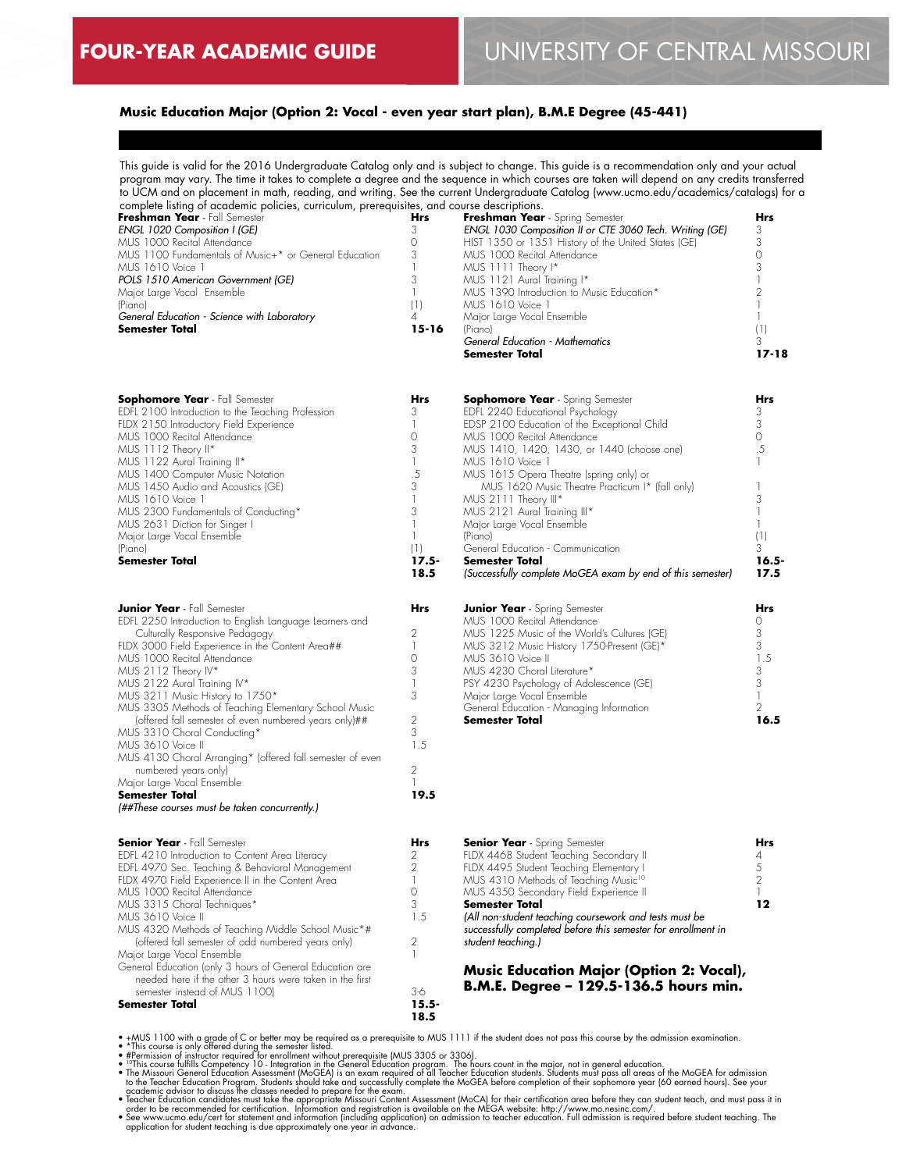# **Music Education Major (Option 2: Vocal - even year start plan), B.M.E Degree (45-441)**

This guide is valid for the 2016 Undergraduate Catalog only and is subject to change. This guide is a recommendation only and your actual program may vary. The time it takes to complete a degree and the sequence in which courses are taken will depend on any credits transferred to UCM and on placement in math, reading, and writing. See the current Undergraduate Catalog (www.ucmo.edu/academics/catalogs) for a

| complete listing of academic policies, curriculum, prerequisites, and course descriptions. |       |                                                         |       |
|--------------------------------------------------------------------------------------------|-------|---------------------------------------------------------|-------|
| Freshman Year - Fall Semester                                                              | Hrs   | Freshman Year - Spring Semester                         | Hrs   |
| ENGL 1020 Composition I (GE)                                                               |       | ENGL 1030 Composition II or CTE 3060 Tech. Writing (GE) |       |
| MUS 1000 Recital Attendance                                                                |       | HIST 1350 or 1351 History of the United States (GE)     |       |
| MUS 1100 Fundamentals of Music+* or General Education                                      |       | MUS 1000 Recital Attendance                             |       |
| MUS 1610 Voice 1                                                                           |       | MUS 1111 Theory I*                                      |       |
| POLS 1510 American Government (GE)                                                         |       | MUS 1121 Aural Training I*                              |       |
| Major Large Vocal Ensemble                                                                 |       | MUS 1390 Introduction to Music Education*               |       |
| (Piano)                                                                                    |       | MUS 1610 Voice 1                                        |       |
| General Education - Science with Laboratory                                                |       | Major Large Vocal Ensemble                              |       |
| <b>Semester Total</b>                                                                      | 15-16 | (Piano)                                                 |       |
|                                                                                            |       | General Education - Mathematics                         |       |
|                                                                                            |       | Semester Total                                          | 17-18 |

**18.5**

| <b>Sophomore Year - Fall Semester</b>             | Hrs |
|---------------------------------------------------|-----|
| EDFL 2100 Introduction to the Teaching Profession |     |
| FLDX 2150 Introductory Field Experience           |     |
| MUS 1000 Recital Attendance                       |     |
| MUS 1112 Theory II*                               | 3   |
| MUS 1122 Aural Training II*                       |     |
| MUS 1400 Computer Music Notation                  | .5  |
| MUS 1450 Audio and Acoustics (GE)                 | 3   |
| MUS 1610 Voice 1                                  |     |
| MUS 2300 Fundamentals of Conducting*              |     |
| MUS 2631 Diction for Singer I                     |     |
| Major Large Vocal Ensemble                        |     |
| (Piano)                                           |     |
| Semester Total                                    |     |

| <b>Junior Year</b> - Fall Semester                        | Hr<  |
|-----------------------------------------------------------|------|
| EDFL 2250 Introduction to English Language Learners and   |      |
| Culturally Responsive Pedagogy                            |      |
| FLDX 3000 Field Experience in the Content Area##          |      |
| MUS 1000 Recital Attendance                               |      |
| MUS 2112 Theory IV*                                       | 3    |
| MUS 2122 Aural Training IV*                               |      |
| MUS 3211 Music History to 1750*                           | 3    |
| MUS 3305 Methods of Teaching Elementary School Music      |      |
| (offered fall semester of even numbered years only)##     | 2    |
| MUS 3310 Choral Conducting*                               | 3    |
| MUS 3610 Voice II                                         | 1.5  |
| MUS 4130 Choral Arranging* (offered fall semester of even |      |
| numbered years only)                                      | 2    |
| Major Large Vocal Ensemble                                |      |
| <b>Semester Total</b>                                     | 19.5 |
| (##These courses must be taken concurrently.)             |      |

| <b>Senior Year</b> - Fall Semester                       | Hrs  |
|----------------------------------------------------------|------|
| EDFL 4210 Introduction to Content Area Literacy          | 2    |
| EDFL 4970 Sec. Teaching & Behavioral Management          | 2    |
| FLDX 4970 Field Experience II in the Content Area        |      |
| MUS 1000 Recital Attendance                              |      |
| MUS 3315 Choral Techniques*                              | 3    |
| MUS 3610 Voice II                                        | 15   |
| MUS 4320 Methods of Teaching Middle School Music*#       |      |
| (offered fall semester of odd numbered years only)       | 2    |
| Major Large Vocal Ensemble                               |      |
| General Education (only 3 hours of General Education are |      |
| needed here if the other 3 hours were taken in the first |      |
| semester instead of MUS 1100)                            | 3-6  |
| <b>Semester Total</b>                                    | 15.5 |
|                                                          | 18.5 |

| <b>Sophomore Year</b> - Spring Semester                    | Hrs   |
|------------------------------------------------------------|-------|
| EDFL 2240 Educational Psychology                           | 3     |
| EDSP 2100 Education of the Exceptional Child               | 3     |
| MUS 1000 Recital Attendance                                |       |
| MUS 1410, 1420, 1430, or 1440 (choose one)                 | .5    |
| MUS 1610 Voice 1                                           |       |
| MUS 1615 Opera Theatre (spring only) or                    |       |
| MUS 1620 Music Theatre Practicum I* (fall only)            |       |
| MUS 2111 Theory III*                                       | 3     |
| MUS 2121 Aural Training III*                               |       |
| Major Large Vocal Ensemble                                 |       |
| (Piano)                                                    |       |
| General Education - Communication                          | 3     |
| Semester Total                                             | 16.5- |
| (Successfully complete MoGEA exam by end of this semester) | 17.5  |
|                                                            |       |
|                                                            |       |

| <b>Junior Year</b> - Spring Semester        | Hrs |
|---------------------------------------------|-----|
| MUS 1000 Recital Attendance                 |     |
| MUS 1225 Music of the World's Cultures (GE) | 3   |
| MUS 3212 Music History 1750-Present (GE)*   | 3   |
| MUS 3610 Voice II                           | 15  |
| MUS 4230 Choral Literature*                 | 3   |
| PSY 4230 Psychology of Adolescence (GE)     | 3   |
| Major Large Vocal Ensemble                  |     |
| General Education - Managing Information    |     |
| <b>Semester Total</b>                       |     |
|                                             |     |

| <b>Senior Year</b> - Spring Semester                                                                                                          | Hrs |
|-----------------------------------------------------------------------------------------------------------------------------------------------|-----|
| FLDX 4468 Student Teaching Secondary II                                                                                                       | 4   |
| FLDX 4495 Student Teaching Elementary I                                                                                                       | 5   |
| MUS 4310 Methods of Teaching Music <sup>10</sup>                                                                                              | 2   |
| MUS 4350 Secondary Field Experience II                                                                                                        |     |
| <b>Semester Total</b>                                                                                                                         | 12  |
| (All non-student teaching coursework and tests must be<br>successfully completed before this semester for enrollment in<br>student teaching.) |     |

**Music Education Major (Option 2: Vocal),** 

**B.M.E. Degree – 129.5-136.5 hours min.**

• \*MbS 1100 with a grade of C or better may be required as a prerequisite to MUS 1111 if the student does not pass this course by the admission examination.<br>• \*This course is only offered during the semelstr listed.<br>• The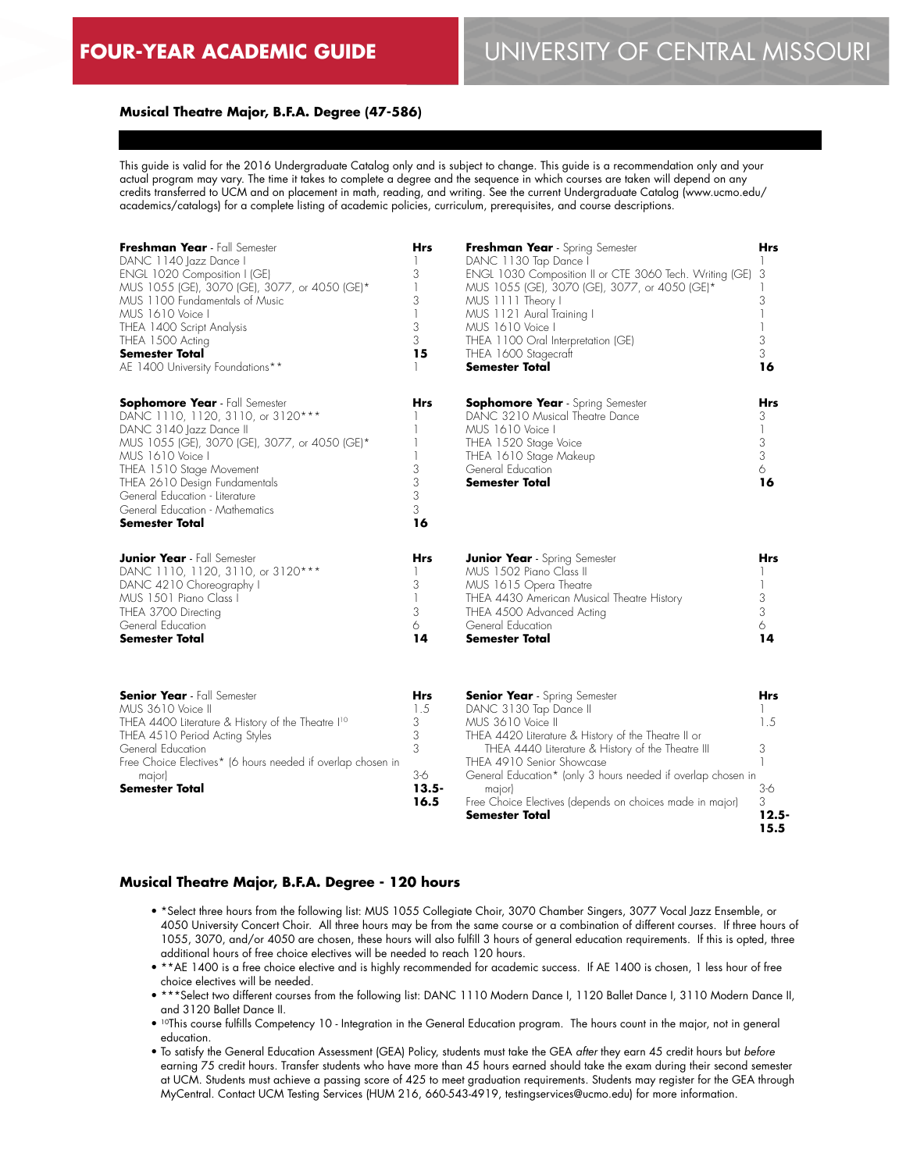#### **Musical Theatre Major, B.F.A. Degree (47-586)**

This guide is valid for the 2016 Undergraduate Catalog only and is subject to change. This guide is a recommendation only and your actual program may vary. The time it takes to complete a degree and the sequence in which courses are taken will depend on any credits transferred to UCM and on placement in math, reading, and writing. See the current Undergraduate Catalog (www.ucmo.edu/ academics/catalogs) for a complete listing of academic policies, curriculum, prerequisites, and course descriptions.

| Freshman Year - Fall Semester<br>DANC 1140 Jazz Dance I<br>ENGL 1020 Composition I (GE)<br>MUS 1055 (GE), 3070 (GE), 3077, or 4050 (GE)*<br>MUS 1100 Fundamentals of Music<br>MUS 1610 Voice I<br>THEA 1400 Script Analysis<br>THEA 1500 Acting<br><b>Semester Total</b><br>AE 1400 University Foundations**                          | <b>Hrs</b><br>3<br>1<br>3<br>1<br>3<br>3<br>15                | Freshman Year - Spring Semester<br>DANC 1130 Tap Dance I<br>ENGL 1030 Composition II or CTE 3060 Tech. Writing (GE)<br>MUS 1055 (GE), 3070 (GE), 3077, or 4050 (GE)*<br>MUS 1111 Theory I<br>MUS 1121 Aural Training I<br>MUS 1610 Voice I<br>THEA 1100 Oral Interpretation (GE)<br>THEA 1600 Stagecraft<br>Semester Total                                                           | Hrs<br>3<br>3<br>1<br>3<br>3<br>16                          |
|---------------------------------------------------------------------------------------------------------------------------------------------------------------------------------------------------------------------------------------------------------------------------------------------------------------------------------------|---------------------------------------------------------------|--------------------------------------------------------------------------------------------------------------------------------------------------------------------------------------------------------------------------------------------------------------------------------------------------------------------------------------------------------------------------------------|-------------------------------------------------------------|
| <b>Sophomore Year</b> - Fall Semester<br>DANC 1110, 1120, 3110, or 3120***<br>DANC 3140 Jazz Dance II<br>MUS 1055 (GE), 3070 (GE), 3077, or 4050 (GE)*<br>MUS 1610 Voice I<br>THEA 1510 Stage Movement<br>THEA 2610 Design Fundamentals<br>General Education - Literature<br>General Education - Mathematics<br><b>Semester Total</b> | <b>Hrs</b><br>3<br>3<br>3<br>3<br>16                          | <b>Sophomore Year</b> - Spring Semester<br>DANC 3210 Musical Theatre Dance<br>MUS 1610 Voice I<br>THEA 1520 Stage Voice<br>THEA 1610 Stage Makeup<br>General Education<br><b>Semester Total</b>                                                                                                                                                                                      | <b>Hrs</b><br>3<br>$\mathbb{I}$<br>$\frac{3}{3}$<br>6<br>16 |
| <b>Junior Year</b> - Fall Semester<br>DANC 1110, 1120, 3110, or 3120***<br>DANC 4210 Choreography I<br>MUS 1501 Piano Class I<br>THEA 3700 Directing<br>General Education<br><b>Semester Total</b>                                                                                                                                    | Hrs<br>3<br>3<br>6<br>14                                      | <b>Junior Year</b> - Spring Semester<br>MUS 1502 Piano Class II<br>MUS 1615 Opera Theatre<br>THEA 4430 American Musical Theatre History<br>THEA 4500 Advanced Acting<br>General Education<br><b>Semester Total</b>                                                                                                                                                                   | Hrs<br>1<br>3<br>3<br>6<br>14                               |
| <b>Senior Year</b> - Fall Semester<br>MUS 3610 Voice II<br>THEA 4400 Literature & History of the Theatre I <sup>10</sup><br>THEA 4510 Period Acting Styles<br>General Education<br>Free Choice Electives* (6 hours needed if overlap chosen in<br>major)<br>Semester Total                                                            | <b>Hrs</b><br>1.5<br>3<br>3<br>3<br>$3-6$<br>$13.5 -$<br>16.5 | <b>Senior Year</b> - Spring Semester<br>DANC 3130 Tap Dance II<br>MUS 3610 Voice II<br>THEA 4420 Literature & History of the Theatre II or<br>THEA 4440 Literature & History of the Theatre III<br>THEA 4910 Senior Showcase<br>General Education* (only 3 hours needed if overlap chosen in<br>major)<br>Free Choice Electives (depends on choices made in major)<br>Semester Total | Hrs<br>1.5<br>3<br>1<br>$3-6$<br>3<br>$12.5 -$<br>15.5      |

#### **Musical Theatre Major, B.F.A. Degree - 120 hours**

- \*Select three hours from the following list: MUS 1055 Collegiate Choir, 3070 Chamber Singers, 3077 Vocal Jazz Ensemble, or 4050 University Concert Choir. All three hours may be from the same course or a combination of different courses. If three hours of 1055, 3070, and/or 4050 are chosen, these hours will also fulfill 3 hours of general education requirements. If this is opted, three additional hours of free choice electives will be needed to reach 120 hours.
- \*\*AE 1400 is a free choice elective and is highly recommended for academic success. If AE 1400 is chosen, 1 less hour of free choice electives will be needed.
- \*\*\*Select two different courses from the following list: DANC 1110 Modern Dance I, 1120 Ballet Dance I, 3110 Modern Dance II, and 3120 Ballet Dance II.
- 10This course fulfills Competency 10 Integration in the General Education program. The hours count in the major, not in general education.
- To satisfy the General Education Assessment (GEA) Policy, students must take the GEA *after* they earn 45 credit hours but *before* earning 75 credit hours. Transfer students who have more than 45 hours earned should take the exam during their second semester at UCM. Students must achieve a passing score of 425 to meet graduation requirements. Students may register for the GEA through MyCentral. Contact UCM Testing Services (HUM 216, 660-543-4919, testingservices@ucmo.edu) for more information.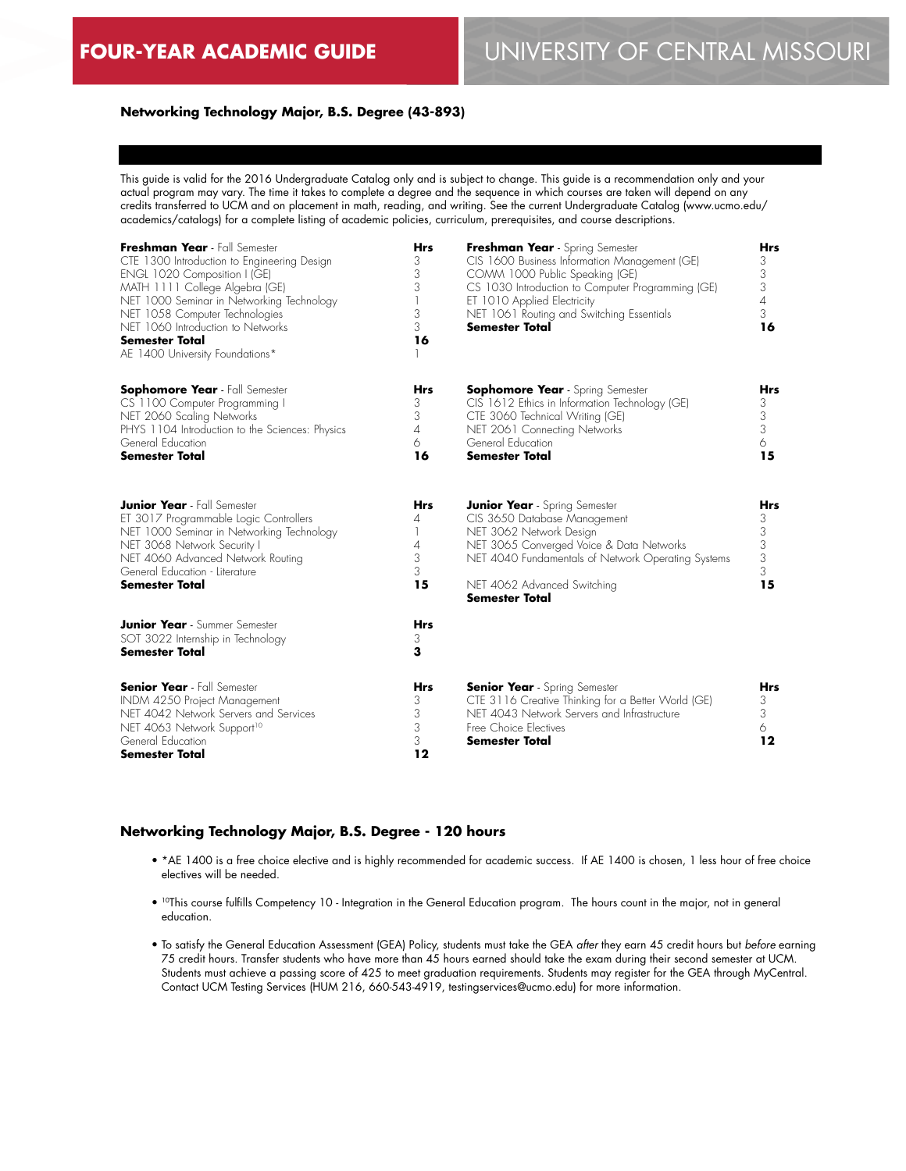# **Networking Technology Major, B.S. Degree (43-893)**

This guide is valid for the 2016 Undergraduate Catalog only and is subject to change. This guide is a recommendation only and your actual program may vary. The time it takes to complete a degree and the sequence in which courses are taken will depend on any credits transferred to UCM and on placement in math, reading, and writing. See the current Undergraduate Catalog (www.ucmo.edu/ academics/catalogs) for a complete listing of academic policies, curriculum, prerequisites, and course descriptions.

| Freshman Year - Fall Semester<br>CTE 1300 Introduction to Engineering Design<br>ENGL 1020 Composition I (GE)<br>MATH 1111 College Algebra (GE)<br>NET 1000 Seminar in Networking Technology<br>NET 1058 Computer Technologies<br>NET 1060 Introduction to Networks<br><b>Semester Total</b><br>AE 1400 University Foundations* | <b>Hrs</b><br>3<br>3<br>3<br>3<br>3<br>16 | Freshman Year - Spring Semester<br>CIS 1600 Business Information Management (GE)<br>COMM 1000 Public Speaking (GE)<br>CS 1030 Introduction to Computer Programming (GE)<br>ET 1010 Applied Electricity<br>NET 1061 Routing and Switching Essentials<br><b>Semester Total</b> | <b>Hrs</b><br>3<br>3<br>3<br>4<br>3<br>16                           |
|--------------------------------------------------------------------------------------------------------------------------------------------------------------------------------------------------------------------------------------------------------------------------------------------------------------------------------|-------------------------------------------|------------------------------------------------------------------------------------------------------------------------------------------------------------------------------------------------------------------------------------------------------------------------------|---------------------------------------------------------------------|
| <b>Sophomore Year</b> - Fall Semester<br>CS 1100 Computer Programming I<br>NET 2060 Scaling Networks<br>PHYS 1104 Introduction to the Sciences: Physics<br>General Education<br><b>Semester Total</b>                                                                                                                          | <b>Hrs</b><br>3<br>3<br>4<br>6<br>16      | <b>Sophomore Year</b> - Spring Semester<br>CIS 1612 Ethics in Information Technology (GE)<br>CTE 3060 Technical Writing (GE)<br>NET 2061 Connecting Networks<br>General Education<br><b>Semester Total</b>                                                                   | <b>Hrs</b><br>3<br>$\frac{3}{3}$<br>6<br>15                         |
| <b>Junior Year</b> - Fall Semester<br>ET 3017 Programmable Logic Controllers<br>NET 1000 Seminar in Networking Technology<br>NET 3068 Network Security I<br>NET 4060 Advanced Network Routing<br>General Education - Literature<br><b>Semester Total</b>                                                                       | <b>Hrs</b><br>4<br>1<br>4<br>3<br>3<br>15 | <b>Junior Year</b> - Spring Semester<br>CIS 3650 Database Management<br>NET 3062 Network Design<br>NET 3065 Converged Voice & Data Networks<br>NET 4040 Fundamentals of Network Operating Systems<br>NET 4062 Advanced Switching<br><b>Semester Total</b>                    | <b>Hrs</b><br>$\begin{array}{c} 3 \\ 3 \\ 3 \\ 3 \end{array}$<br>15 |
| <b>Junior Year</b> - Summer Semester<br>SOT 3022 Internship in Technology<br><b>Semester Total</b>                                                                                                                                                                                                                             | <b>Hrs</b><br>3<br>3                      |                                                                                                                                                                                                                                                                              |                                                                     |
| <b>Senior Year</b> - Fall Semester<br>INDM 4250 Project Management<br>NET 4042 Network Servers and Services<br>NET 4063 Network Support <sup>10</sup><br>General Education<br><b>Semester Total</b>                                                                                                                            | <b>Hrs</b><br>3<br>3<br>3<br>3<br>12      | <b>Senior Year</b> - Spring Semester<br>CTE 3116 Creative Thinking for a Better World (GE)<br>NET 4043 Network Servers and Infrastructure<br>Free Choice Electives<br><b>Semester Total</b>                                                                                  | <b>Hrs</b><br>3<br>3<br>6<br>12                                     |

### **Networking Technology Major, B.S. Degree - 120 hours**

- \*AE 1400 is a free choice elective and is highly recommended for academic success. If AE 1400 is chosen, 1 less hour of free choice electives will be needed.
- 10This course fulfills Competency 10 Integration in the General Education program. The hours count in the major, not in general education.
- To satisfy the General Education Assessment (GEA) Policy, students must take the GEA *after* they earn 45 credit hours but *before* earning 75 credit hours. Transfer students who have more than 45 hours earned should take the exam during their second semester at UCM. Students must achieve a passing score of 425 to meet graduation requirements. Students may register for the GEA through MyCentral. Contact UCM Testing Services (HUM 216, 660-543-4919, testingservices@ucmo.edu) for more information.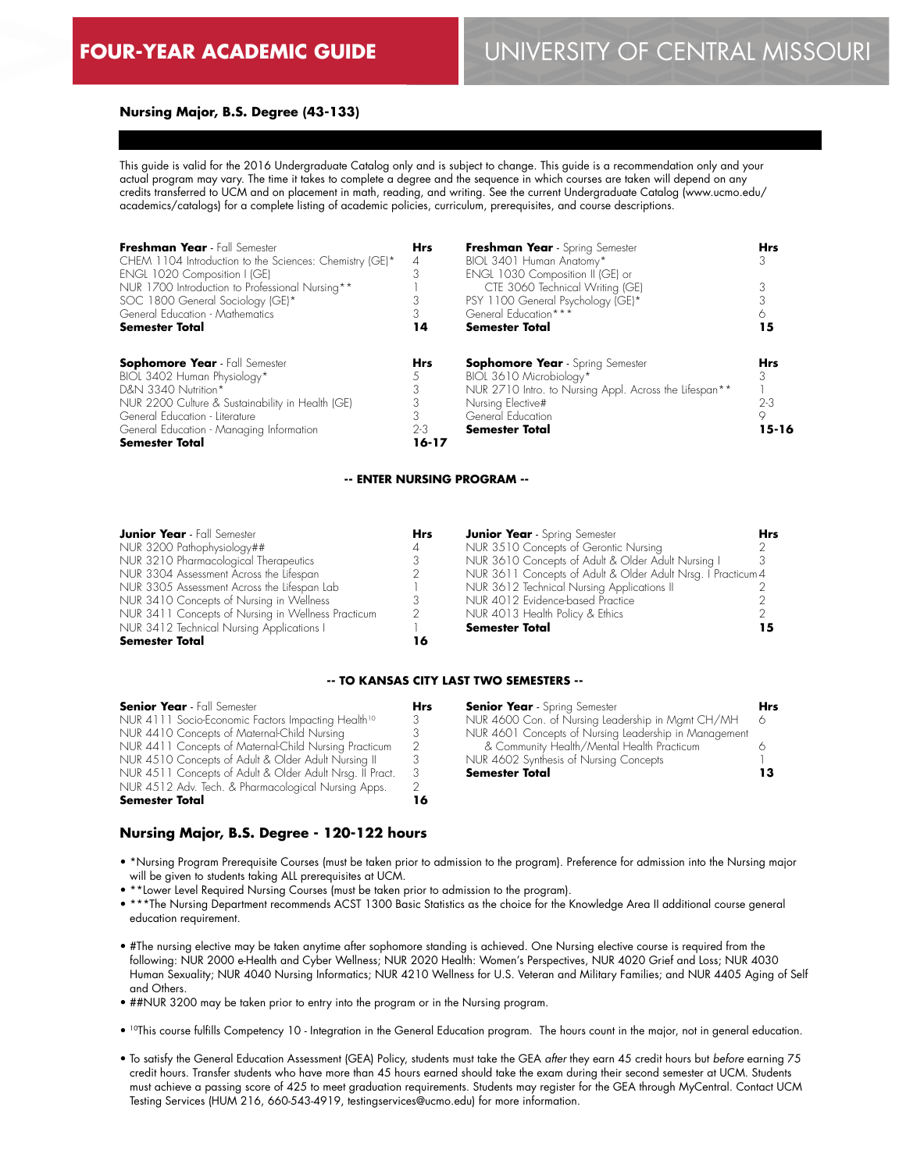#### **Nursing Major, B.S. Degree (43-133)**

This guide is valid for the 2016 Undergraduate Catalog only and is subject to change. This guide is a recommendation only and your actual program may vary. The time it takes to complete a degree and the sequence in which courses are taken will depend on any credits transferred to UCM and on placement in math, reading, and writing. See the current Undergraduate Catalog (www.ucmo.edu/ academics/catalogs) for a complete listing of academic policies, curriculum, prerequisites, and course descriptions.

| Freshman Year - Fall Semester<br>CHEM 1104 Introduction to the Sciences: Chemistry (GE)*<br>ENGL 1020 Composition I (GE)<br>NUR 1700 Introduction to Professional Nursing**<br>SOC 1800 General Sociology (GE)*<br>General Education - Mathematics<br>Semester Total | <b>Hrs</b><br>4<br>3<br>14     | Freshman Year - Spring Semester<br>BIOL 3401 Human Anatomy*<br>ENGL 1030 Composition II (GE) or<br>CTE 3060 Technical Writing (GE)<br>PSY 1100 General Psychology (GE)*<br>General Education ***<br><b>Semester Total</b> | <b>Hrs</b><br>15                 |
|----------------------------------------------------------------------------------------------------------------------------------------------------------------------------------------------------------------------------------------------------------------------|--------------------------------|---------------------------------------------------------------------------------------------------------------------------------------------------------------------------------------------------------------------------|----------------------------------|
| <b>Sophomore Year</b> - Fall Semester<br>BIOL 3402 Human Physiology*<br>D&N 3340 Nutrition*<br>NUR 2200 Culture & Sustainability in Health (GE)<br>General Education - Literature<br>General Education - Managing Information<br><b>Semester Total</b>               | <b>Hrs</b><br>$2 - 3$<br>16-17 | <b>Sophomore Year</b> - Spring Semester<br>BIOL 3610 Microbiology*<br>NUR 2710 Intro. to Nursing Appl. Across the Lifespan**<br>Nursing Elective#<br>General Education<br><b>Semester Total</b>                           | Hrs<br>$2 - 3$<br>9<br>$15 - 16$ |

#### **-- ENTER NURSING PROGRAM --**

| <b>Junior Year</b> - Fall Semester                 | <b>Hrs</b> | <b>Junior Year</b> - Spring Semester                         | <b>Hrs</b> |
|----------------------------------------------------|------------|--------------------------------------------------------------|------------|
| NUR 3200 Pathophysiology##                         | 4          | NUR 3510 Concepts of Gerontic Nursing                        |            |
| NUR 3210 Pharmacological Therapeutics              |            | NUR 3610 Concepts of Adult & Older Adult Nursing I           |            |
| NUR 3304 Assessment Across the Lifespan            |            | NUR 3611 Concepts of Adult & Older Adult Nrsg. I Practicum 4 |            |
| NUR 3305 Assessment Across the Lifespan Lab        |            | NUR 3612 Technical Nursing Applications II                   |            |
| NUR 3410 Concepts of Nursing in Wellness           |            | NUR 4012 Evidence-based Practice                             |            |
| NUR 3411 Concepts of Nursing in Wellness Practicum | 2          | NUR 4013 Health Policy & Ethics                              |            |
| NUR 3412 Technical Nursing Applications I          |            | <b>Semester Total</b>                                        |            |
| <b>Semester Total</b>                              | ıб         |                                                              |            |

#### **-- TO KANSAS CITY LAST TWO SEMESTERS --**

| <b>Senior Year</b> - Fall Semester                                                                                                                                                                                                                                                               | Hrs      | <b>Senior Year</b> - Spring Semester                                                                                                                            | Hrs. |
|--------------------------------------------------------------------------------------------------------------------------------------------------------------------------------------------------------------------------------------------------------------------------------------------------|----------|-----------------------------------------------------------------------------------------------------------------------------------------------------------------|------|
| NUR 4111 Socio-Economic Factors Impacting Health <sup>10</sup>                                                                                                                                                                                                                                   | 3        | NUR 4600 Con. of Nursing Leadership in Mamt CH/MH                                                                                                               | - 6  |
| NUR 4410 Concepts of Maternal-Child Nursing<br>NUR 4411 Concepts of Maternal-Child Nursing Practicum<br>NUR 4510 Concepts of Adult & Older Adult Nursing II<br>NUR 4511 Concepts of Adult & Older Adult Nrsg. II Pract.<br>NUR 4512 Adv. Tech. & Pharmacological Nursing Apps.<br>Semester Total | -3<br>16 | NUR 4601 Concepts of Nursing Leadership in Management<br>& Community Health/Mental Health Practicum<br>NUR 4602 Synthesis of Nursing Concepts<br>Semester Total |      |

# **Nursing Major, B.S. Degree - 120-122 hours**

- \*Nursing Program Prerequisite Courses (must be taken prior to admission to the program). Preference for admission into the Nursing major will be given to students taking ALL prerequisites at UCM.
- \*\*Lower Level Required Nursing Courses (must be taken prior to admission to the program).
- \*\*\*The Nursing Department recommends ACST 1300 Basic Statistics as the choice for the Knowledge Area II additional course general education requirement.
- #The nursing elective may be taken anytime after sophomore standing is achieved. One Nursing elective course is required from the following: NUR 2000 e-Health and Cyber Wellness; NUR 2020 Health: Women's Perspectives, NUR 4020 Grief and Loss; NUR 4030 Human Sexuality; NUR 4040 Nursing Informatics; NUR 4210 Wellness for U.S. Veteran and Military Families; and NUR 4405 Aging of Self and Others.
- ##NUR 3200 may be taken prior to entry into the program or in the Nursing program.
- 10This course fulfills Competency 10 Integration in the General Education program. The hours count in the major, not in general education.
- To satisfy the General Education Assessment (GEA) Policy, students must take the GEA *after* they earn 45 credit hours but *before* earning 75 credit hours. Transfer students who have more than 45 hours earned should take the exam during their second semester at UCM. Students must achieve a passing score of 425 to meet graduation requirements. Students may register for the GEA through MyCentral. Contact UCM Testing Services (HUM 216, 660-543-4919, testingservices@ucmo.edu) for more information.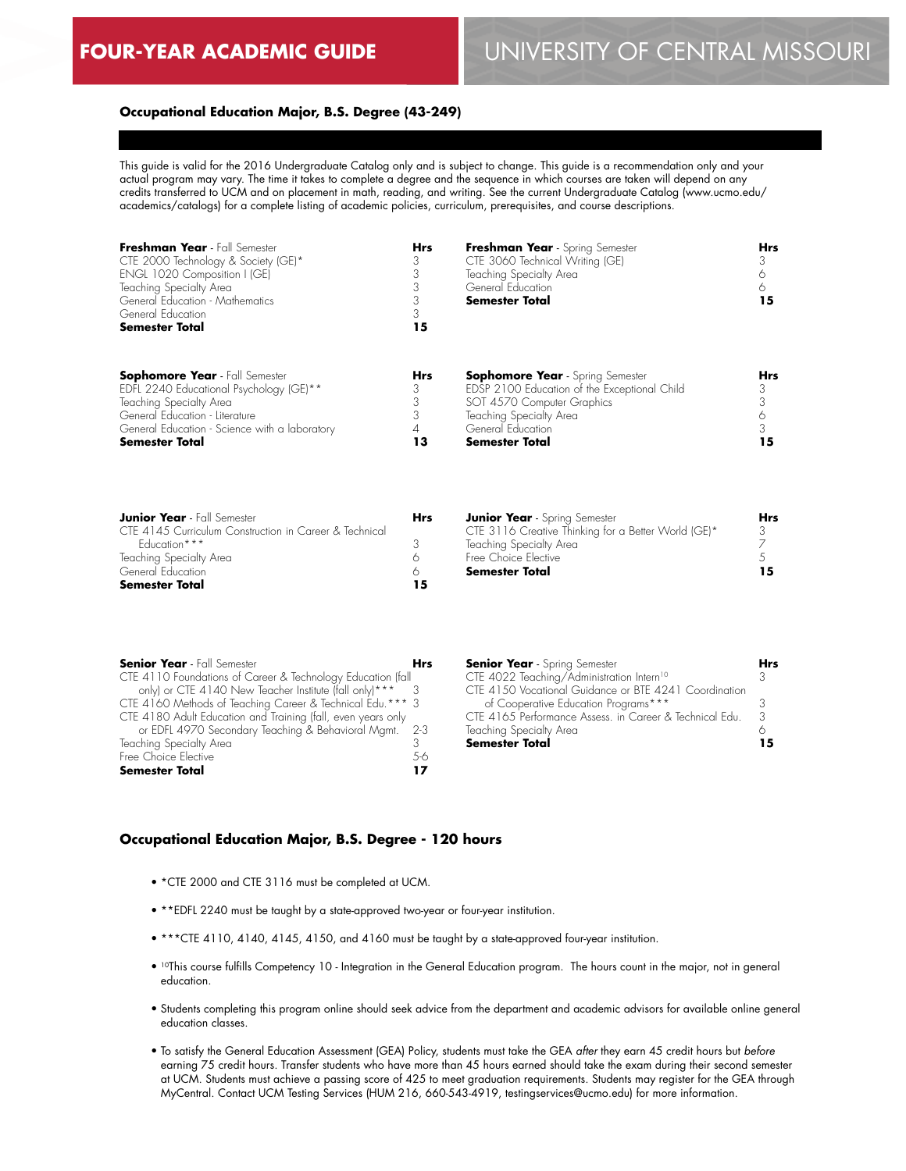# **FOUR-YEAR ACADEMIC GUIDE** UNIVERSITY OF CENTRAL MISSOURI

#### **Occupational Education Major, B.S. Degree (43-249)**

This guide is valid for the 2016 Undergraduate Catalog only and is subject to change. This guide is a recommendation only and your actual program may vary. The time it takes to complete a degree and the sequence in which courses are taken will depend on any credits transferred to UCM and on placement in math, reading, and writing. See the current Undergraduate Catalog (www.ucmo.edu/ academics/catalogs) for a complete listing of academic policies, curriculum, prerequisites, and course descriptions.

| Freshman Year - Fall Semester<br>CTE 2000 Technology & Society (GE)*<br>ENGL 1020 Composition I (GE)<br>Teaching Specialty Area<br>General Education - Mathematics<br>General Education<br><b>Semester Total</b> | <b>Hrs</b><br>15 | Freshman Year - Spring Semester<br>CTE 3060 Technical Writing (GE)<br>Teaching Specialty Area<br>General Education<br><b>Semester Total</b> | Hrs<br>15 |
|------------------------------------------------------------------------------------------------------------------------------------------------------------------------------------------------------------------|------------------|---------------------------------------------------------------------------------------------------------------------------------------------|-----------|
| <b>Sophomore Year</b> - Fall Semester<br>EDFL 2240 Educational Psychology (GE)**                                                                                                                                 | <b>Hrs</b>       | <b>Sophomore Year</b> - Spring Semester<br>EDSP 2100 Education of the Exceptional Child                                                     | Hrs       |
| Teaching Specialty Area                                                                                                                                                                                          |                  | SOT 4570 Computer Graphics                                                                                                                  |           |
| General Education - Literature                                                                                                                                                                                   |                  | Teaching Specialty Area                                                                                                                     |           |
| General Education - Science with a laboratory                                                                                                                                                                    |                  | General Education                                                                                                                           |           |
| <b>Semester Total</b>                                                                                                                                                                                            | 13               | Semester Total                                                                                                                              | 15        |

| <b>Junior Year</b> - Fall Semester                     | Hrs |
|--------------------------------------------------------|-----|
| CTF 4145 Curriculum Construction in Career & Technical |     |
| Faucation***                                           |     |
| Teaching Specialty Area                                |     |
| General Education                                      |     |
| <b>Semester Total</b>                                  | 15  |

| <b>Senior Year</b> - Fall Semester                           | <b>Hrs</b> | <b>Senior Year</b> - S |
|--------------------------------------------------------------|------------|------------------------|
| CTE 4110 Foundations of Career & Technology Education (fall  |            | CTE 4022 Teachi        |
| only) or CTE 4140 New Teacher Institute (fall only)***       |            | CTE 4150 Vocatio       |
| CTE 4160 Methods of Teaching Career & Technical Edu. *** 3   |            | of Cooperative         |
| CTE 4180 Adult Education and Training (fall, even years only |            | CTE 4165 Perform       |
| or EDFL 4970 Secondary Teaching & Behavioral Mamt.           | -2-3       | Teaching Specialty     |
| Teaching Specialty Area                                      | 3          | <b>Semester Total</b>  |
| Free Choice Elective                                         | 5-6        |                        |
| <b>Semester Total</b>                                        | 17         |                        |

| <b>Senior Year</b> - Spring Semester                     |  |
|----------------------------------------------------------|--|
| CTE 4022 Teaching/Administration Intern <sup>10</sup>    |  |
| CTF 41.50 Vocational Guidance or BTF 4241 Coordination   |  |
| of Cooperative Education Programs***                     |  |
| CTF 416.5 Performance Assess, in Career & Technical Edu. |  |
| Teaching Specialty Area                                  |  |
| Semester Total                                           |  |

**Junior Year** - Spring Semester

Teaching Specialty Area Free Choice Elective **Semester Total**

CTE 3116 Creative Thinking for a Better World (GE)\*

#### **Occupational Education Major, B.S. Degree - 120 hours**

- \*CTE 2000 and CTE 3116 must be completed at UCM.
- \*\*EDFL 2240 must be taught by a state-approved two-year or four-year institution.
- \*\*\*CTE 4110, 4140, 4145, 4150, and 4160 must be taught by a state-approved four-year institution.
- 10This course fulfills Competency 10 Integration in the General Education program. The hours count in the major, not in general education.
- Students completing this program online should seek advice from the department and academic advisors for available online general education classes.
- To satisfy the General Education Assessment (GEA) Policy, students must take the GEA *after* they earn 45 credit hours but *before* earning 75 credit hours. Transfer students who have more than 45 hours earned should take the exam during their second semester at UCM. Students must achieve a passing score of 425 to meet graduation requirements. Students may register for the GEA through MyCentral. Contact UCM Testing Services (HUM 216, 660-543-4919, testingservices@ucmo.edu) for more information.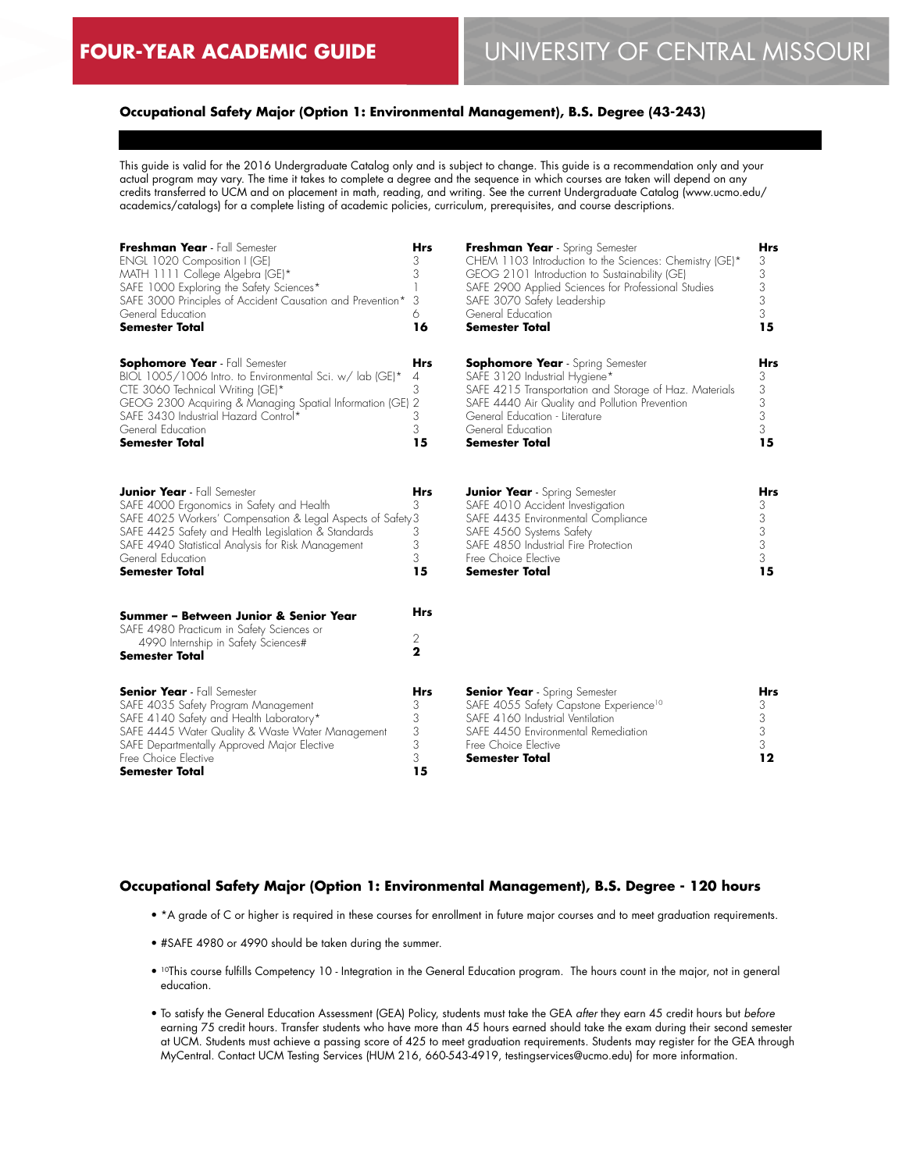# **Occupational Safety Major (Option 1: Environmental Management), B.S. Degree (43-243)**

This guide is valid for the 2016 Undergraduate Catalog only and is subject to change. This guide is a recommendation only and your actual program may vary. The time it takes to complete a degree and the sequence in which courses are taken will depend on any credits transferred to UCM and on placement in math, reading, and writing. See the current Undergraduate Catalog (www.ucmo.edu/ academics/catalogs) for a complete listing of academic policies, curriculum, prerequisites, and course descriptions.

| Freshman Year - Fall Semester<br>ENGL 1020 Composition I (GE)<br>MATH 1111 College Algebra (GE)*<br>SAFE 1000 Exploring the Safety Sciences*<br>SAFE 3000 Principles of Accident Causation and Prevention*<br>General Education<br><b>Semester Total</b>                                                  | <b>Hrs</b><br>3<br>3<br>3<br>6<br>16 | Freshman Year - Spring Semester<br>CHEM 1103 Introduction to the Sciences: Chemistry (GE)*<br>GEOG 2101 Introduction to Sustainability (GE)<br>SAFE 2900 Applied Sciences for Professional Studies<br>SAFE 3070 Safety Leadership<br>General Education<br>Semester Total | Hrs<br>3<br>3<br>3<br>3<br>3<br>15 |
|-----------------------------------------------------------------------------------------------------------------------------------------------------------------------------------------------------------------------------------------------------------------------------------------------------------|--------------------------------------|--------------------------------------------------------------------------------------------------------------------------------------------------------------------------------------------------------------------------------------------------------------------------|------------------------------------|
| <b>Sophomore Year</b> - Fall Semester<br>BIOL 1005/1006 Intro. to Environmental Sci. w/ lab (GE)*<br>CTE 3060 Technical Writing (GE)*<br>GEOG 2300 Acquiring & Managing Spatial Information (GE) 2<br>SAFE 3430 Industrial Hazard Control*<br>General Education<br><b>Semester Total</b>                  | Hrs<br>4<br>3<br>3<br>3<br>15        | <b>Sophomore Year</b> - Spring Semester<br>SAFE 3120 Industrial Hygiene*<br>SAFE 4215 Transportation and Storage of Haz. Materials<br>SAFE 4440 Air Quality and Pollution Prevention<br>General Education - Literature<br>General Education<br><b>Semester Total</b>     | Hrs<br>3<br>3<br>3<br>3<br>3<br>15 |
| <b>Junior Year</b> - Fall Semester<br>SAFE 4000 Ergonomics in Safety and Health<br>SAFE 4025 Workers' Compensation & Legal Aspects of Safety 3<br>SAFE 4425 Safety and Health Legislation & Standards<br>SAFE 4940 Statistical Analysis for Risk Management<br>General Education<br><b>Semester Total</b> | <b>Hrs</b><br>3<br>3<br>3<br>3<br>15 | <b>Junior Year</b> - Spring Semester<br>SAFE 4010 Accident Investigation<br>SAFE 4435 Environmental Compliance<br>SAFE 4560 Systems Safety<br>SAFE 4850 Industrial Fire Protection<br>Free Choice Elective<br>Semester Total                                             | Hrs<br>3<br>3<br>3<br>3<br>3<br>15 |
| Summer – Between Junior & Senior Year<br>SAFE 4980 Practicum in Safety Sciences or<br>4990 Internship in Safety Sciences#<br><b>Semester Total</b>                                                                                                                                                        | <b>Hrs</b><br>2<br>$\mathbf{2}$      |                                                                                                                                                                                                                                                                          |                                    |
| <b>Senior Year</b> - Fall Semester<br>SAFE 4035 Safety Program Management<br>SAFE 4140 Safety and Health Laboratory*<br>SAFE 4445 Water Quality & Waste Water Management<br>SAFE Departmentally Approved Major Elective<br>Free Choice Elective<br><b>Semester Total</b>                                  | Hrs<br>3<br>3<br>3<br>3<br>3<br>15   | <b>Senior Year</b> - Spring Semester<br>SAFE 4055 Safety Capstone Experience <sup>10</sup><br>SAFE 4160 Industrial Ventilation<br>SAFE 4450 Environmental Remediation<br>Free Choice Elective<br>Semester Total                                                          | Hrs<br>3<br>3<br>3<br>3.<br>12     |

#### **Occupational Safety Major (Option 1: Environmental Management), B.S. Degree - 120 hours**

- \*A grade of C or higher is required in these courses for enrollment in future major courses and to meet graduation requirements.
- #SAFE 4980 or 4990 should be taken during the summer.
- <sup>10</sup>This course fulfills Competency 10 Integration in the General Education program. The hours count in the major, not in general education.
- To satisfy the General Education Assessment (GEA) Policy, students must take the GEA *after* they earn 45 credit hours but *before* earning 75 credit hours. Transfer students who have more than 45 hours earned should take the exam during their second semester at UCM. Students must achieve a passing score of 425 to meet graduation requirements. Students may register for the GEA through MyCentral. Contact UCM Testing Services (HUM 216, 660-543-4919, testingservices@ucmo.edu) for more information.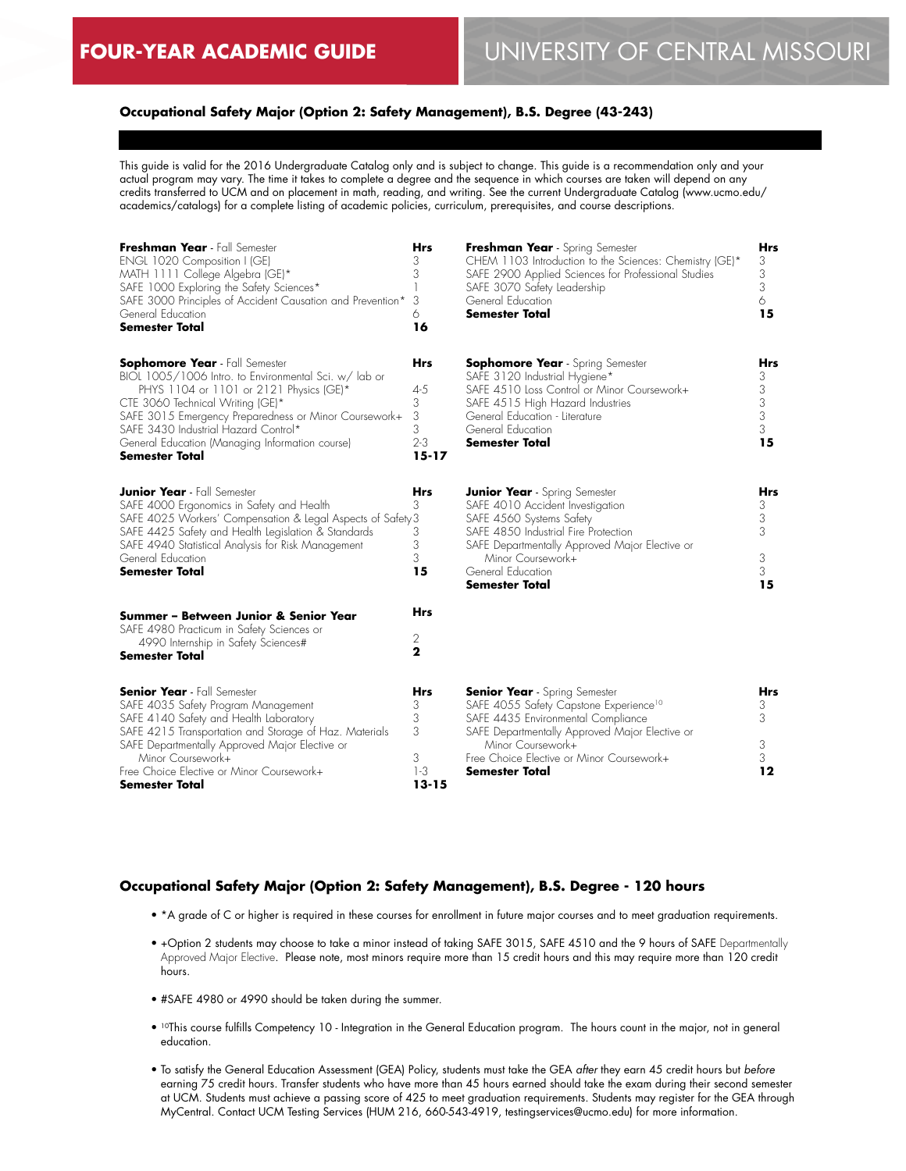# **Occupational Safety Major (Option 2: Safety Management), B.S. Degree (43-243)**

This guide is valid for the 2016 Undergraduate Catalog only and is subject to change. This guide is a recommendation only and your actual program may vary. The time it takes to complete a degree and the sequence in which courses are taken will depend on any credits transferred to UCM and on placement in math, reading, and writing. See the current Undergraduate Catalog (www.ucmo.edu/ academics/catalogs) for a complete listing of academic policies, curriculum, prerequisites, and course descriptions.

| Freshman Year - Fall Semester<br>ENGL 1020 Composition I (GE)<br>MATH 1111 College Algebra (GE)*<br>SAFE 1000 Exploring the Safety Sciences*<br>SAFE 3000 Principles of Accident Causation and Prevention*<br>General Education<br><b>Semester Total</b>                                                                                                   | <b>Hrs</b><br>3<br>3<br>3<br>6<br>16                         | Freshman Year - Spring Semester<br>CHEM 1103 Introduction to the Sciences: Chemistry (GE)*<br>SAFE 2900 Applied Sciences for Professional Studies<br>SAFE 3070 Safety Leadership<br>General Education<br>Semester Total                                                | Hrs<br>3<br>3<br>3<br>6<br>15      |
|------------------------------------------------------------------------------------------------------------------------------------------------------------------------------------------------------------------------------------------------------------------------------------------------------------------------------------------------------------|--------------------------------------------------------------|------------------------------------------------------------------------------------------------------------------------------------------------------------------------------------------------------------------------------------------------------------------------|------------------------------------|
| <b>Sophomore Year</b> - Fall Semester<br>BIOL 1005/1006 Intro. to Environmental Sci. w/ lab or<br>PHYS 1104 or 1101 or 2121 Physics (GE)*<br>CTE 3060 Technical Writing (GE)*<br>SAFE 3015 Emergency Preparedness or Minor Coursework+<br>SAFE 3430 Industrial Hazard Control*<br>General Education (Managing Information course)<br><b>Semester Total</b> | <b>Hrs</b><br>$4 - 5$<br>3<br>3<br>3<br>$2 - 3$<br>$15 - 17$ | <b>Sophomore Year</b> - Spring Semester<br>SAFE 3120 Industrial Hygiene*<br>SAFE 4510 Loss Control or Minor Coursework+<br>SAFE 4515 High Hazard Industries<br>General Education - Literature<br>General Education<br><b>Semester Total</b>                            | Hrs<br>3<br>3<br>3<br>3<br>3<br>15 |
| <b>Junior Year</b> - Fall Semester<br>SAFE 4000 Ergonomics in Safety and Health<br>SAFE 4025 Workers' Compensation & Legal Aspects of Safety 3<br>SAFE 4425 Safety and Health Legislation & Standards<br>SAFE 4940 Statistical Analysis for Risk Management<br>General Education<br><b>Semester Total</b>                                                  | Hrs<br>3<br>3<br>3<br>3<br>15                                | <b>Junior Year</b> - Spring Semester<br>SAFE 4010 Accident Investigation<br>SAFE 4560 Systems Safety<br>SAFE 4850 Industrial Fire Protection<br>SAFE Departmentally Approved Major Elective or<br>Minor Coursework+<br>General Education<br>Semester Total             | Hrs<br>3<br>3<br>3<br>3<br>3<br>15 |
| Summer – Between Junior & Senior Year<br>SAFE 4980 Practicum in Safety Sciences or<br>4990 Internship in Safety Sciences#<br><b>Semester Total</b>                                                                                                                                                                                                         | Hrs<br>2<br>$\mathbf{2}$                                     |                                                                                                                                                                                                                                                                        |                                    |
| <b>Senior Year</b> - Fall Semester<br>SAFE 4035 Safety Program Management<br>SAFE 4140 Safety and Health Laboratory<br>SAFE 4215 Transportation and Storage of Haz. Materials<br>SAFE Departmentally Approved Major Elective or<br>Minor Coursework+<br>Free Choice Elective or Minor Coursework+<br>Semester Total                                        | Hrs<br>3<br>3<br>3<br>3<br>$1-3$<br>$13 - 15$                | <b>Senior Year</b> - Spring Semester<br>SAFE 4055 Safety Capstone Experience <sup>10</sup><br>SAFE 4435 Environmental Compliance<br>SAFE Departmentally Approved Major Elective or<br>Minor Coursework+<br>Free Choice Elective or Minor Coursework+<br>Semester Total | Hrs<br>3<br>3<br>3<br>3<br>12      |

#### **Occupational Safety Major (Option 2: Safety Management), B.S. Degree - 120 hours**

- \*A grade of C or higher is required in these courses for enrollment in future major courses and to meet graduation requirements.
- +Option 2 students may choose to take a minor instead of taking SAFE 3015, SAFE 4510 and the 9 hours of SAFE Departmentally Approved Major Elective. Please note, most minors require more than 15 credit hours and this may require more than 120 credit hours.
- #SAFE 4980 or 4990 should be taken during the summer.
- 10This course fulfills Competency 10 Integration in the General Education program. The hours count in the major, not in general education.
- To satisfy the General Education Assessment (GEA) Policy, students must take the GEA *after* they earn 45 credit hours but *before* earning 75 credit hours. Transfer students who have more than 45 hours earned should take the exam during their second semester at UCM. Students must achieve a passing score of 425 to meet graduation requirements. Students may register for the GEA through MyCentral. Contact UCM Testing Services (HUM 216, 660-543-4919, testingservices@ucmo.edu) for more information.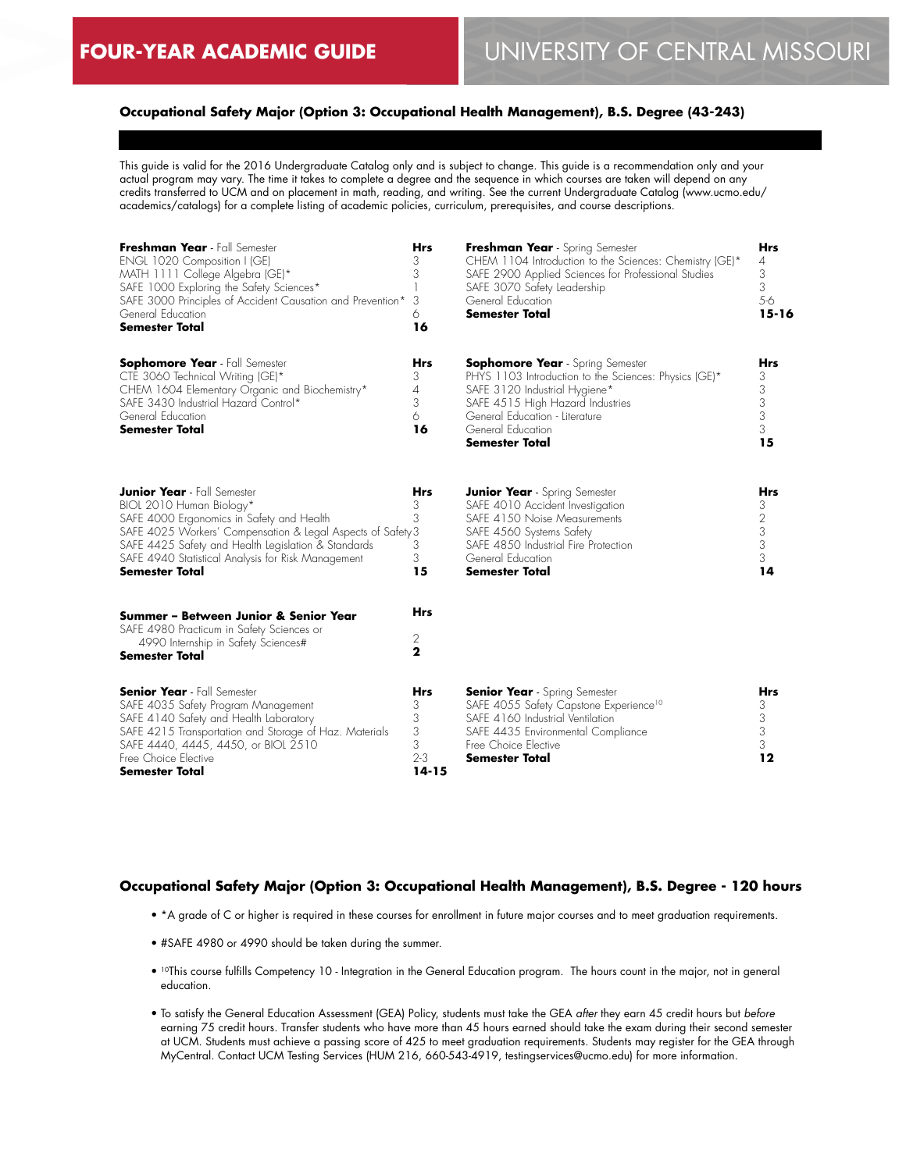# **Occupational Safety Major (Option 3: Occupational Health Management), B.S. Degree (43-243)**

This guide is valid for the 2016 Undergraduate Catalog only and is subject to change. This guide is a recommendation only and your actual program may vary. The time it takes to complete a degree and the sequence in which courses are taken will depend on any credits transferred to UCM and on placement in math, reading, and writing. See the current Undergraduate Catalog (www.ucmo.edu/ academics/catalogs) for a complete listing of academic policies, curriculum, prerequisites, and course descriptions.

| Freshman Year - Fall Semester<br>ENGL 1020 Composition I (GE)<br>MATH 1111 College Algebra (GE)*<br>SAFE 1000 Exploring the Safety Sciences*<br>SAFE 3000 Principles of Accident Causation and Prevention*<br>General Education<br><b>Semester Total</b>                                                         | <b>Hrs</b><br>3<br>3<br>1<br>3<br>6<br>16              | Freshman Year - Spring Semester<br>CHEM 1104 Introduction to the Sciences: Chemistry (GE)*<br>SAFE 2900 Applied Sciences for Professional Studies<br>SAFE 3070 Safety Leadership<br>General Education<br><b>Semester Total</b>                        | <b>Hrs</b><br>4<br>3<br>3<br>5-6<br>$15 - 16$                   |
|------------------------------------------------------------------------------------------------------------------------------------------------------------------------------------------------------------------------------------------------------------------------------------------------------------------|--------------------------------------------------------|-------------------------------------------------------------------------------------------------------------------------------------------------------------------------------------------------------------------------------------------------------|-----------------------------------------------------------------|
| <b>Sophomore Year</b> - Fall Semester<br>CTE 3060 Technical Writing (GE)*<br>CHEM 1604 Elementary Organic and Biochemistry*<br>SAFE 3430 Industrial Hazard Control*<br>General Education<br><b>Semester Total</b>                                                                                                | <b>Hrs</b><br>3<br>$\overline{4}$<br>3<br>6<br>16      | <b>Sophomore Year</b> - Spring Semester<br>PHYS 1103 Introduction to the Sciences: Physics (GE)*<br>SAFE 3120 Industrial Hygiene*<br>SAFE 4515 High Hazard Industries<br>General Education - Literature<br>General Education<br><b>Semester Total</b> | Hrs<br>3<br>3<br>3<br>3<br>3<br>15                              |
| <b>Junior Year</b> - Fall Semester<br>BIOL 2010 Human Biology*<br>SAFE 4000 Ergonomics in Safety and Health<br>SAFE 4025 Workers' Compensation & Legal Aspects of Safety 3<br>SAFE 4425 Safety and Health Legislation & Standards<br>SAFE 4940 Statistical Analysis for Risk Management<br><b>Semester Total</b> | <b>Hrs</b><br>3<br>3<br>3<br>3<br>15                   | <b>Junior Year</b> - Spring Semester<br>SAFE 4010 Accident Investigation<br>SAFE 4150 Noise Measurements<br>SAFE 4560 Systems Safety<br>SAFE 4850 Industrial Fire Protection<br>General Education<br><b>Semester Total</b>                            | Hrs<br>3<br>$\mathbf{2}$<br>$\sqrt{3}$<br>$\sqrt{3}$<br>3<br>14 |
| Summer - Between Junior & Senior Year<br>SAFE 4980 Practicum in Safety Sciences or<br>4990 Internship in Safety Sciences#<br><b>Semester Total</b>                                                                                                                                                               | <b>Hrs</b><br>2<br>$\mathbf{2}$                        |                                                                                                                                                                                                                                                       |                                                                 |
| <b>Senior Year</b> - Fall Semester<br>SAFE 4035 Safety Program Management<br>SAFE 4140 Safety and Health Laboratory<br>SAFE 4215 Transportation and Storage of Haz. Materials<br>SAFE 4440, 4445, 4450, or BIOL 2510<br>Free Choice Elective<br>Semester Total                                                   | <b>Hrs</b><br>3<br>3<br>3<br>3<br>$2 - 3$<br>$14 - 15$ | <b>Senior Year</b> - Spring Semester<br>SAFE 4055 Safety Capstone Experience <sup>10</sup><br>SAFE 4160 Industrial Ventilation<br>SAFE 4435 Environmental Compliance<br>Free Choice Elective<br><b>Semester Total</b>                                 | Hrs<br>3<br>3<br>3<br>3<br>12                                   |

# **Occupational Safety Major (Option 3: Occupational Health Management), B.S. Degree - 120 hours**

- \*A grade of C or higher is required in these courses for enrollment in future major courses and to meet graduation requirements.
- #SAFE 4980 or 4990 should be taken during the summer.
- 10This course fulfills Competency 10 Integration in the General Education program. The hours count in the major, not in general education.
- To satisfy the General Education Assessment (GEA) Policy, students must take the GEA *after* they earn 45 credit hours but *before* earning 75 credit hours. Transfer students who have more than 45 hours earned should take the exam during their second semester at UCM. Students must achieve a passing score of 425 to meet graduation requirements. Students may register for the GEA through MyCentral. Contact UCM Testing Services (HUM 216, 660-543-4919, testingservices@ucmo.edu) for more information.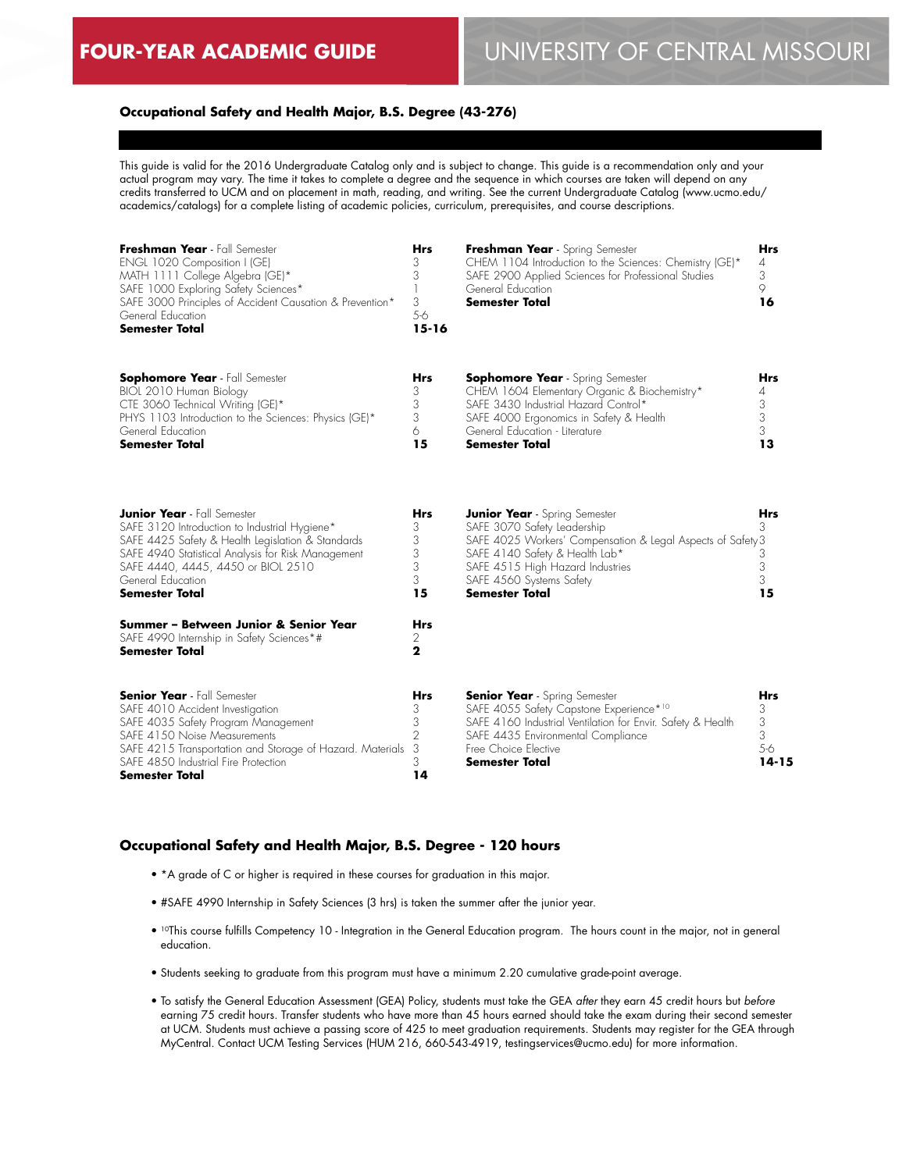#### **Occupational Safety and Health Major, B.S. Degree (43-276)**

This guide is valid for the 2016 Undergraduate Catalog only and is subject to change. This guide is a recommendation only and your actual program may vary. The time it takes to complete a degree and the sequence in which courses are taken will depend on any credits transferred to UCM and on placement in math, reading, and writing. See the current Undergraduate Catalog (www.ucmo.edu/ academics/catalogs) for a complete listing of academic policies, curriculum, prerequisites, and course descriptions.

| Freshman Year - Fall Semester<br>ENGL 1020 Composition I (GE)<br>MATH 1111 College Algebra (GE)*<br>SAFE 1000 Exploring Safety Sciences*<br>SAFE 3000 Principles of Accident Causation & Prevention*<br>General Education<br><b>Semester Total</b>                                 | Hrs<br>3<br>3<br>3<br>5-6<br>$15 - 16$          | Freshman Year - Spring Semester<br>CHEM 1104 Introduction to the Sciences: Chemistry (GE)*<br>SAFE 2900 Applied Sciences for Professional Studies<br>General Education<br><b>Semester Total</b>                                                               | <b>Hrs</b><br>4<br>3<br>9<br>16           |
|------------------------------------------------------------------------------------------------------------------------------------------------------------------------------------------------------------------------------------------------------------------------------------|-------------------------------------------------|---------------------------------------------------------------------------------------------------------------------------------------------------------------------------------------------------------------------------------------------------------------|-------------------------------------------|
| <b>Sophomore Year</b> - Fall Semester<br>BIOL 2010 Human Biology<br>CTE 3060 Technical Writing (GE)*<br>PHYS 1103 Introduction to the Sciences: Physics (GE)*<br>General Education<br><b>Semester Total</b>                                                                        | Hrs<br>3<br>3<br>3<br>6<br>15                   | <b>Sophomore Year</b> - Spring Semester<br>CHEM 1604 Elementary Organic & Biochemistry*<br>SAFE 3430 Industrial Hazard Control*<br>SAFE 4000 Ergonomics in Safety & Health<br>General Education - Literature<br><b>Semester Total</b>                         | Hrs<br>4<br>3<br>3<br>3<br>13             |
| <b>Junior Year</b> - Fall Semester<br>SAFE 3120 Introduction to Industrial Hygiene*<br>SAFE 4425 Safety & Health Legislation & Standards<br>SAFE 4940 Statistical Analysis for Risk Management<br>SAFE 4440, 4445, 4450 or BIOL 2510<br>General Education<br><b>Semester Total</b> | Hrs<br>3<br>3<br>3<br>3<br>3<br>15              | <b>Junior Year</b> - Spring Semester<br>SAFE 3070 Safety Leadership<br>SAFE 4025 Workers' Compensation & Legal Aspects of Safety 3<br>SAFE 4140 Safety & Health Lab*<br>SAFE 4515 High Hazard Industries<br>SAFE 4560 Systems Safety<br><b>Semester Total</b> | Hrs<br>3<br>3<br>3<br>3<br>15             |
| Summer - Between Junior & Senior Year<br>SAFE 4990 Internship in Safety Sciences*#<br>Semester Total                                                                                                                                                                               | Hrs<br>2<br>2                                   |                                                                                                                                                                                                                                                               |                                           |
| <b>Senior Year</b> - Fall Semester<br>SAFE 4010 Accident Investigation<br>SAFE 4035 Safety Program Management<br>SAFE 4150 Noise Measurements<br>SAFE 4215 Transportation and Storage of Hazard. Materials<br>SAFE 4850 Industrial Fire Protection<br>Semester Total               | Hrs<br>3<br>3<br>$\overline{2}$<br>3<br>3<br>14 | <b>Senior Year</b> - Spring Semester<br>SAFE 4055 Safety Capstone Experience*10<br>SAFE 4160 Industrial Ventilation for Envir. Safety & Health<br>SAFE 4435 Environmental Compliance<br>Free Choice Elective<br><b>Semester Total</b>                         | <b>Hrs</b><br>3<br>3<br>3<br>5-6<br>14-15 |

### **Occupational Safety and Health Major, B.S. Degree - 120 hours**

- \*A grade of C or higher is required in these courses for graduation in this major.
- #SAFE 4990 Internship in Safety Sciences (3 hrs) is taken the summer after the junior year.
- 10This course fulfills Competency 10 Integration in the General Education program. The hours count in the major, not in general education.
- Students seeking to graduate from this program must have a minimum 2.20 cumulative grade-point average.
- To satisfy the General Education Assessment (GEA) Policy, students must take the GEA *after* they earn 45 credit hours but *before* earning 75 credit hours. Transfer students who have more than 45 hours earned should take the exam during their second semester at UCM. Students must achieve a passing score of 425 to meet graduation requirements. Students may register for the GEA through MyCentral. Contact UCM Testing Services (HUM 216, 660-543-4919, testingservices@ucmo.edu) for more information.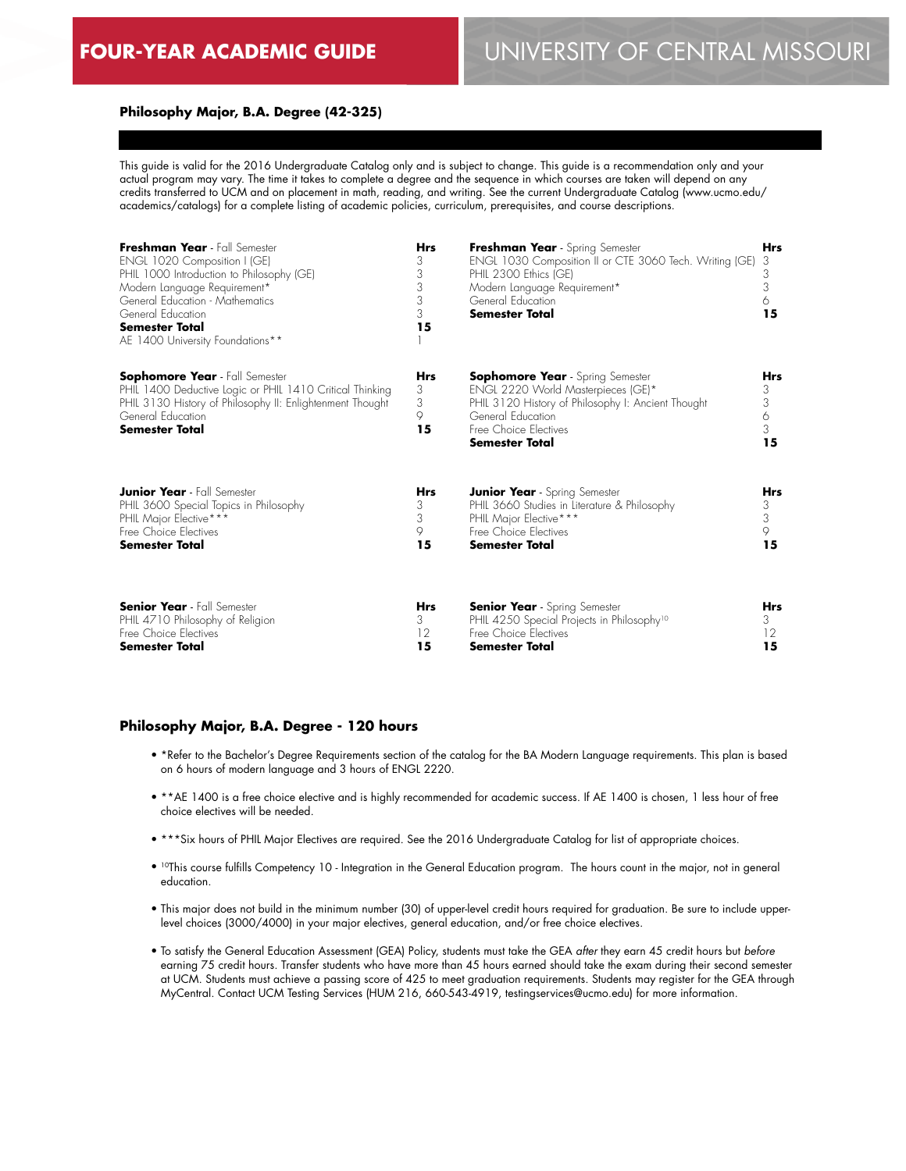# **FOUR-YEAR ACADEMIC GUIDE** UNIVERSITY OF CENTRAL MISSOURI

#### **Philosophy Major, B.A. Degree (42-325)**

This guide is valid for the 2016 Undergraduate Catalog only and is subject to change. This guide is a recommendation only and your actual program may vary. The time it takes to complete a degree and the sequence in which courses are taken will depend on any credits transferred to UCM and on placement in math, reading, and writing. See the current Undergraduate Catalog (www.ucmo.edu/ academics/catalogs) for a complete listing of academic policies, curriculum, prerequisites, and course descriptions.

| Freshman Year - Fall Semester<br>ENGL 1020 Composition I (GE)<br>PHIL 1000 Introduction to Philosophy (GE)<br>Modern Language Requirement*<br>General Education - Mathematics<br>General Education<br><b>Semester Total</b><br>AE 1400 University Foundations** | <b>Hrs</b><br>3<br>3<br>3<br>3<br>3<br>15 | Freshman Year - Spring Semester<br>ENGL 1030 Composition II or CTE 3060 Tech. Writing (GE)<br>PHIL 2300 Ethics (GE)<br>Modern Language Requirement*<br>General Education<br><b>Semester Total</b>   | <b>Hrs</b><br>3<br>3<br>3<br>6<br>15 |
|-----------------------------------------------------------------------------------------------------------------------------------------------------------------------------------------------------------------------------------------------------------------|-------------------------------------------|-----------------------------------------------------------------------------------------------------------------------------------------------------------------------------------------------------|--------------------------------------|
| <b>Sophomore Year</b> - Fall Semester<br>PHIL 1400 Deductive Logic or PHIL 1410 Critical Thinking<br>PHIL 3130 History of Philosophy II: Enlightenment Thought<br>General Education<br><b>Semester Total</b>                                                    | Hrs<br>3<br>3<br>9<br>15                  | <b>Sophomore Year</b> - Spring Semester<br>ENGL 2220 World Masterpieces (GE)*<br>PHIL 3120 History of Philosophy I: Ancient Thought<br>General Education<br>Free Choice Flectives<br>Semester Total | <b>Hrs</b><br>3<br>3<br>6<br>3<br>15 |
| <b>Junior Year</b> - Fall Semester                                                                                                                                                                                                                              | Hrs                                       | <b>Junior Year</b> - Spring Semester                                                                                                                                                                | Hrs                                  |
| PHIL 3600 Special Topics in Philosophy                                                                                                                                                                                                                          | 3                                         | PHIL 3660 Studies in Literature & Philosophy                                                                                                                                                        | 3                                    |
| PHIL Major Elective ***                                                                                                                                                                                                                                         | 3                                         | PHIL Major Elective ***                                                                                                                                                                             | 3                                    |
| Free Choice Electives                                                                                                                                                                                                                                           | 9                                         | Free Choice Electives                                                                                                                                                                               | 9                                    |
| <b>Semester Total</b>                                                                                                                                                                                                                                           | 15                                        | <b>Semester Total</b>                                                                                                                                                                               | 15                                   |
| <b>Senior Year</b> - Fall Semester                                                                                                                                                                                                                              | <b>Hrs</b>                                | <b>Senior Year</b> - Spring Semester                                                                                                                                                                | <b>Hrs</b>                           |
| PHIL 4710 Philosophy of Religion                                                                                                                                                                                                                                | 3                                         | PHIL 4250 Special Projects in Philosophy <sup>10</sup>                                                                                                                                              | 3                                    |
| Free Choice Electives                                                                                                                                                                                                                                           | 12                                        | Free Choice Electives                                                                                                                                                                               | 12                                   |
| <b>Semester Total</b>                                                                                                                                                                                                                                           | 15                                        | <b>Semester Total</b>                                                                                                                                                                               | 15                                   |

#### **Philosophy Major, B.A. Degree - 120 hours**

- \*Refer to the Bachelor's Degree Requirements section of the catalog for the BA Modern Language requirements. This plan is based on 6 hours of modern language and 3 hours of ENGL 2220.
- \*\*AE 1400 is a free choice elective and is highly recommended for academic success. If AE 1400 is chosen, 1 less hour of free choice electives will be needed.
- \*\*\*Six hours of PHIL Major Electives are required. See the 2016 Undergraduate Catalog for list of appropriate choices.
- 10This course fulfills Competency 10 Integration in the General Education program. The hours count in the major, not in general education.
- This major does not build in the minimum number (30) of upper-level credit hours required for graduation. Be sure to include upperlevel choices (3000/4000) in your major electives, general education, and/or free choice electives.
- To satisfy the General Education Assessment (GEA) Policy, students must take the GEA *after* they earn 45 credit hours but *before* earning 75 credit hours. Transfer students who have more than 45 hours earned should take the exam during their second semester at UCM. Students must achieve a passing score of 425 to meet graduation requirements. Students may register for the GEA through MyCentral. Contact UCM Testing Services (HUM 216, 660-543-4919, testingservices@ucmo.edu) for more information.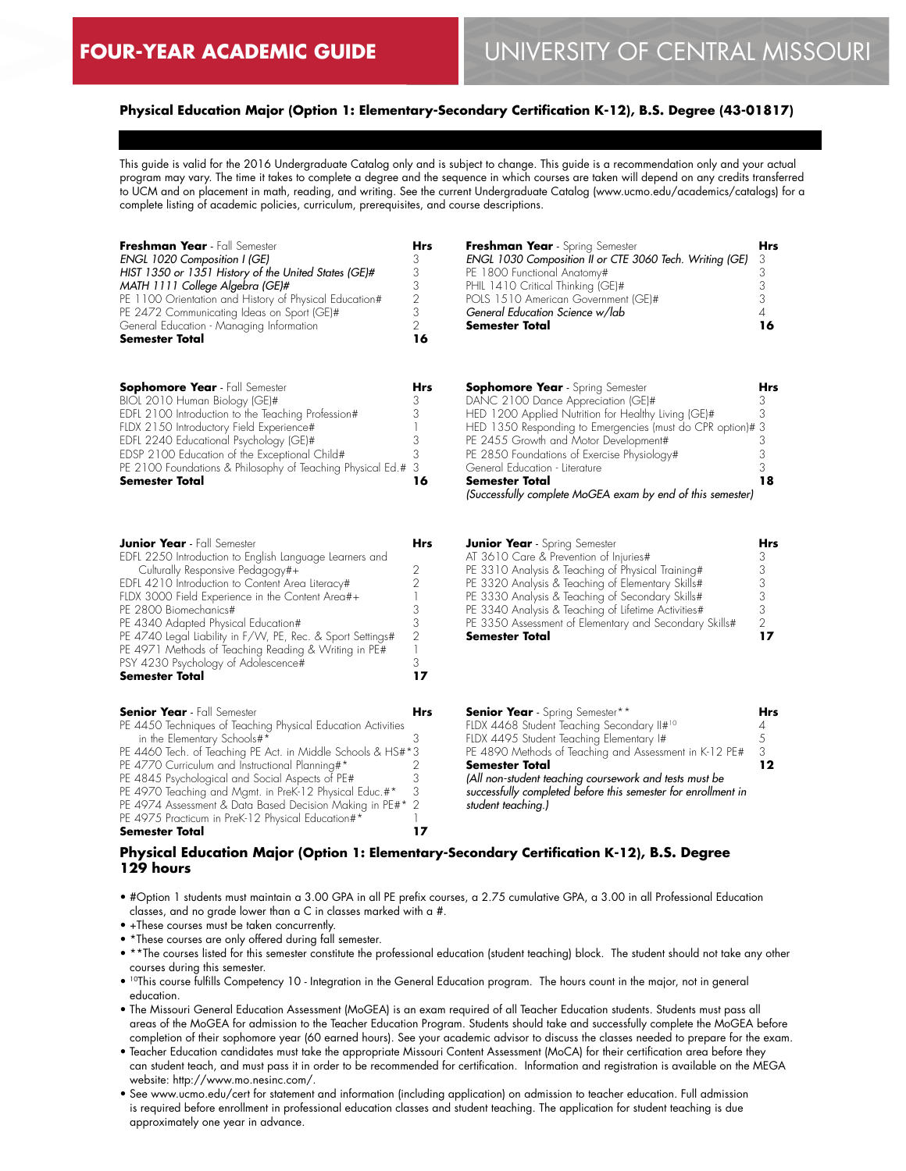### **Physical Education Major (Option 1: Elementary-Secondary Certification K-12), B.S. Degree (43-01817)**

This guide is valid for the 2016 Undergraduate Catalog only and is subject to change. This guide is a recommendation only and your actual program may vary. The time it takes to complete a degree and the sequence in which courses are taken will depend on any credits transferred to UCM and on placement in math, reading, and writing. See the current Undergraduate Catalog (www.ucmo.edu/academics/catalogs) for a complete listing of academic policies, curriculum, prerequisites, and course descriptions.

| Freshman Year - Fall Semester<br>ENGL 1020 Composition I (GE)<br>HIST 1350 or 1351 History of the United States (GE)#<br>MATH 1111 College Algebra (GE)#<br>PE 1100 Orientation and History of Physical Education#<br>PE 2472 Communicating Ideas on Sport (GE)#<br>General Education - Managing Information<br>Semester Total                                                                                                                                                                     | <b>Hrs</b><br>3<br>3<br>3<br>$\overline{2}$<br>3<br>$\overline{2}$<br>16          | Freshman Year - Spring Semester<br>ENGL 1030 Composition II or CTE 3060 Tech. Writing (GE)<br>PE 1800 Functional Anatomy#<br>PHIL 1410 Critical Thinking (GE)#<br>POLS 1510 American Government (GE)#<br>General Education Science w/lab<br>Semester Total                                                                                                                                                  | <b>Hrs</b><br>3<br>3<br>3<br>3<br>$\overline{4}$<br>16 |
|----------------------------------------------------------------------------------------------------------------------------------------------------------------------------------------------------------------------------------------------------------------------------------------------------------------------------------------------------------------------------------------------------------------------------------------------------------------------------------------------------|-----------------------------------------------------------------------------------|-------------------------------------------------------------------------------------------------------------------------------------------------------------------------------------------------------------------------------------------------------------------------------------------------------------------------------------------------------------------------------------------------------------|--------------------------------------------------------|
| <b>Sophomore Year</b> - Fall Semester<br>BIOL 2010 Human Biology (GE)#<br>EDFL 2100 Introduction to the Teaching Profession#<br>FLDX 2150 Introductory Field Experience#<br>EDFL 2240 Educational Psychology (GE)#<br>EDSP 2100 Education of the Exceptional Child#<br>PE 2100 Foundations & Philosophy of Teaching Physical Ed.#<br>Semester Total                                                                                                                                                | Hrs<br>3<br>3<br>3<br>3<br>3<br>16                                                | <b>Sophomore Year</b> - Spring Semester<br>DANC 2100 Dance Appreciation (GE)#<br>HED 1200 Applied Nutrition for Healthy Living (GE)#<br>HED 1350 Responding to Emergencies (must do CPR option)#3<br>PE 2455 Growth and Motor Development#<br>PE 2850 Foundations of Exercise Physiology#<br>General Education - Literature<br>Semester Total<br>(Successfully complete MoGEA exam by end of this semester) | Hrs<br>3<br>3<br>3<br>3<br>3<br>18                     |
| <b>Junior Year</b> - Fall Semester<br>EDFL 2250 Introduction to English Language Learners and<br>Culturally Responsive Pedagogy#+<br>EDFL 4210 Introduction to Content Area Literacy#<br>FLDX 3000 Field Experience in the Content Area#+<br>PE 2800 Biomechanics#<br>PE 4340 Adapted Physical Education#<br>PE 4740 Legal Liability in F/W, PE, Rec. & Sport Settings#<br>PE 4971 Methods of Teaching Reading & Writing in PE#<br>PSY 4230 Psychology of Adolescence#<br><b>Semester Total</b>    | Hrs<br>2<br>$\overline{2}$<br>3<br>3<br>$\overline{2}$<br>$\mathbf{1}$<br>3<br>17 | <b>Junior Year</b> - Spring Semester<br>AT 3610 Care & Prevention of Injuries#<br>PE 3310 Analysis & Teaching of Physical Training#<br>PE 3320 Analysis & Teaching of Elementary Skills#<br>PE 3330 Analysis & Teaching of Secondary Skills#<br>PE 3340 Analysis & Teaching of Lifetime Activities#<br>PE 3350 Assessment of Elementary and Secondary Skills#<br>Semester Total                             | Hrs<br>3<br>3<br>3<br>3<br>3<br>$\overline{2}$<br>17   |
| <b>Senior Year</b> - Fall Semester<br>PE 4450 Techniques of Teaching Physical Education Activities<br>in the Elementary Schools#*<br>PE 4460 Tech. of Teaching PE Act. in Middle Schools & HS#*3<br>PE 4770 Curriculum and Instructional Planning#*<br>PE 4845 Psychological and Social Aspects of PE#<br>PE 4970 Teaching and Mgmt. in PreK-12 Physical Educ.#*<br>PE 4974 Assessment & Data Based Decision Making in PE#*<br>PE 4975 Practicum in PreK-12 Physical Education#*<br>Semester Total | Hrs<br>3<br>2<br>3<br>3<br>$\overline{2}$<br>17                                   | <b>Senior Year</b> - Spring Semester**<br>FLDX 4468 Student Teaching Secondary II#10<br>FLDX 4495 Student Teaching Elementary I#<br>PE 4890 Methods of Teaching and Assessment in K-12 PE#<br>Semester Total<br>(All non-student teaching coursework and tests must be<br>successfully completed before this semester for enrollment in<br>student teaching.)                                               | Hrs<br>4<br>5<br>3<br>12                               |

# **Physical Education Major (Option 1: Elementary-Secondary Certification K-12), B.S. Degree 129 hours**

- #Option 1 students must maintain a 3.00 GPA in all PE prefix courses, a 2.75 cumulative GPA, a 3.00 in all Professional Education classes, and no grade lower than a C in classes marked with a #.
- +These courses must be taken concurrently.
- \*These courses are only offered during fall semester.
- \*\*The courses listed for this semester constitute the professional education (student teaching) block. The student should not take any other courses during this semester.
- 10This course fulfills Competency 10 Integration in the General Education program. The hours count in the major, not in general education.
- The Missouri General Education Assessment (MoGEA) is an exam required of all Teacher Education students. Students must pass all areas of the MoGEA for admission to the Teacher Education Program. Students should take and successfully complete the MoGEA before completion of their sophomore year (60 earned hours). See your academic advisor to discuss the classes needed to prepare for the exam.
- Teacher Education candidates must take the appropriate Missouri Content Assessment (MoCA) for their certification area before they can student teach, and must pass it in order to be recommended for certification. Information and registration is available on the MEGA website: http://www.mo.nesinc.com/.
- See www.ucmo.edu/cert for statement and information (including application) on admission to teacher education. Full admission is required before enrollment in professional education classes and student teaching. The application for student teaching is due approximately one year in advance.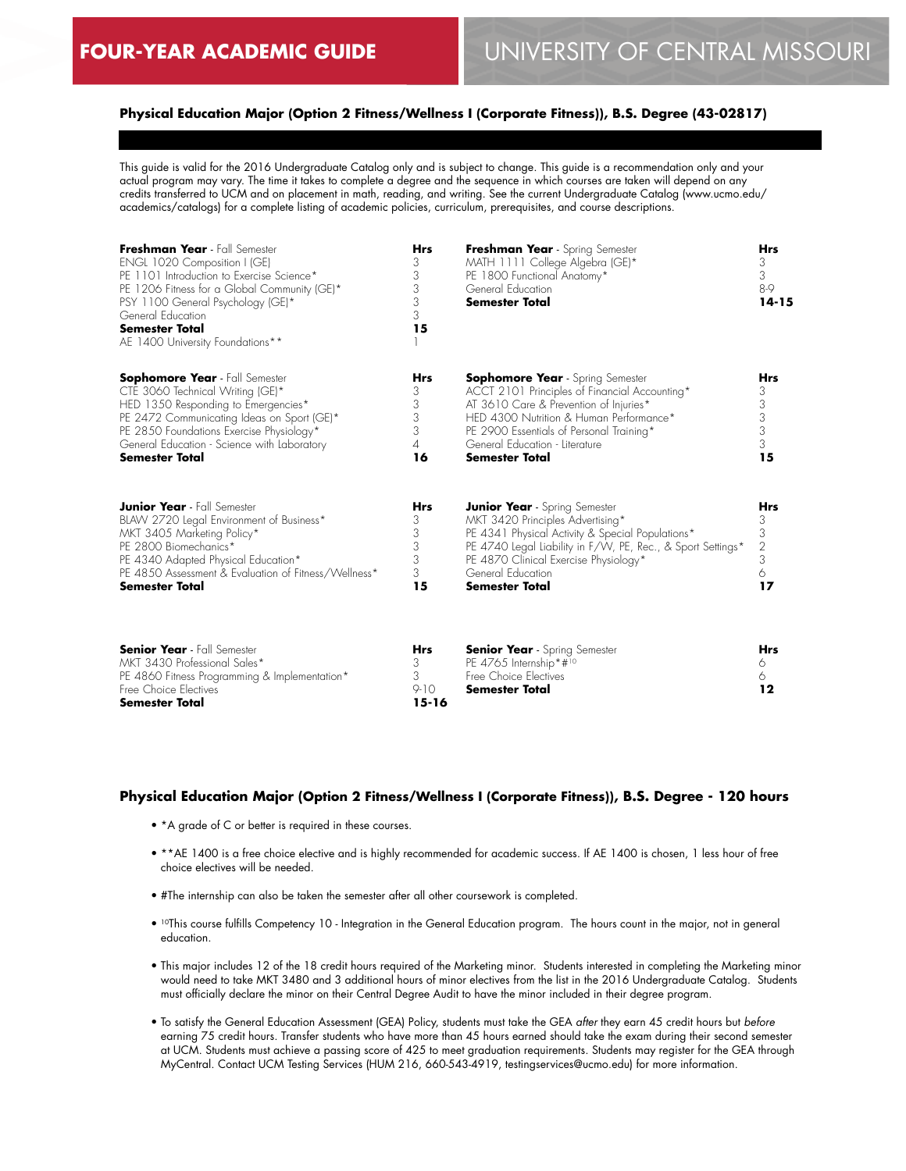# **Physical Education Major (Option 2 Fitness/Wellness I (Corporate Fitness)), B.S. Degree (43-02817)**

This guide is valid for the 2016 Undergraduate Catalog only and is subject to change. This guide is a recommendation only and your actual program may vary. The time it takes to complete a degree and the sequence in which courses are taken will depend on any credits transferred to UCM and on placement in math, reading, and writing. See the current Undergraduate Catalog (www.ucmo.edu/ academics/catalogs) for a complete listing of academic policies, curriculum, prerequisites, and course descriptions.

| Freshman Year - Fall Semester<br>ENGL 1020 Composition I (GE)<br>PE 1101 Introduction to Exercise Science*<br>PE 1206 Fitness for a Global Community (GE)*<br>PSY 1100 General Psychology (GE)*<br>General Education<br><b>Semester Total</b><br>AE 1400 University Foundations**  | <b>Hrs</b><br>3<br>3<br>3<br>3<br>3<br>15   | Freshman Year - Spring Semester<br>MATH 1111 College Algebra (GE)*<br>PE 1800 Functional Anatomy*<br>General Education<br><b>Semester Total</b>                                                                                                                                      | <b>Hrs</b><br>3<br>3<br>8-9<br>$14 - 15$                     |
|------------------------------------------------------------------------------------------------------------------------------------------------------------------------------------------------------------------------------------------------------------------------------------|---------------------------------------------|--------------------------------------------------------------------------------------------------------------------------------------------------------------------------------------------------------------------------------------------------------------------------------------|--------------------------------------------------------------|
| <b>Sophomore Year</b> - Fall Semester<br>CTE 3060 Technical Writing (GE)*<br>HED 1350 Responding to Emergencies*<br>PE 2472 Communicating Ideas on Sport (GE)*<br>PE 2850 Foundations Exercise Physiology*<br>General Education - Science with Laboratory<br><b>Semester Total</b> | <b>Hrs</b><br>3<br>3<br>3<br>3<br>4<br>16   | <b>Sophomore Year</b> - Spring Semester<br>ACCT 2101 Principles of Financial Accounting*<br>AT 3610 Care & Prevention of Injuries*<br>HED 4300 Nutrition & Human Performance*<br>PE 2900 Essentials of Personal Training*<br>General Education - Literature<br><b>Semester Total</b> | Hrs<br>3<br>3<br>$\begin{array}{c} 3 \\ 3 \end{array}$<br>15 |
| <b>Junior Year</b> - Fall Semester<br>BLAW 2720 Legal Environment of Business*<br>MKT 3405 Marketing Policy*<br>PE 2800 Biomechanics*<br>PE 4340 Adapted Physical Education*<br>PE 4850 Assessment & Evaluation of Fitness/Wellness*<br><b>Semester Total</b>                      | <b>Hrs</b><br>3<br>3<br>3<br>3<br>3<br>15   | <b>Junior Year</b> - Spring Semester<br>MKT 3420 Principles Advertising*<br>PE 4341 Physical Activity & Special Populations*<br>PE 4740 Legal Liability in F/W, PE, Rec., & Sport Settings*<br>PE 4870 Clinical Exercise Physiology*<br>General Education<br><b>Semester Total</b>   | <b>Hrs</b><br>3<br>3<br>$\overline{2}$<br>3<br>6<br>17       |
| <b>Senior Year</b> - Fall Semester<br>MKT 3430 Professional Sales*<br>PE 4860 Fitness Programming & Implementation*<br>Free Choice Electives<br><b>Semester Total</b>                                                                                                              | <b>Hrs</b><br>3<br>3<br>$9-10$<br>$15 - 16$ | <b>Senior Year</b> - Spring Semester<br>PE 4765 Internship*#10<br>Free Choice Electives<br><b>Semester Total</b>                                                                                                                                                                     | <b>Hrs</b><br>6<br>6<br>$12 \$                               |

# **Physical Education Major (Option 2 Fitness/Wellness I (Corporate Fitness)), B.S. Degree - 120 hours**

- \*A grade of C or better is required in these courses.
- \*\*AE 1400 is a free choice elective and is highly recommended for academic success. If AE 1400 is chosen, 1 less hour of free choice electives will be needed.
- #The internship can also be taken the semester after all other coursework is completed.
- 10This course fulfills Competency 10 Integration in the General Education program. The hours count in the major, not in general education.
- This major includes 12 of the 18 credit hours required of the Marketing minor. Students interested in completing the Marketing minor would need to take MKT 3480 and 3 additional hours of minor electives from the list in the 2016 Undergraduate Catalog. Students must officially declare the minor on their Central Degree Audit to have the minor included in their degree program.
- To satisfy the General Education Assessment (GEA) Policy, students must take the GEA *after* they earn 45 credit hours but *before* earning 75 credit hours. Transfer students who have more than 45 hours earned should take the exam during their second semester at UCM. Students must achieve a passing score of 425 to meet graduation requirements. Students may register for the GEA through MyCentral. Contact UCM Testing Services (HUM 216, 660-543-4919, testingservices@ucmo.edu) for more information.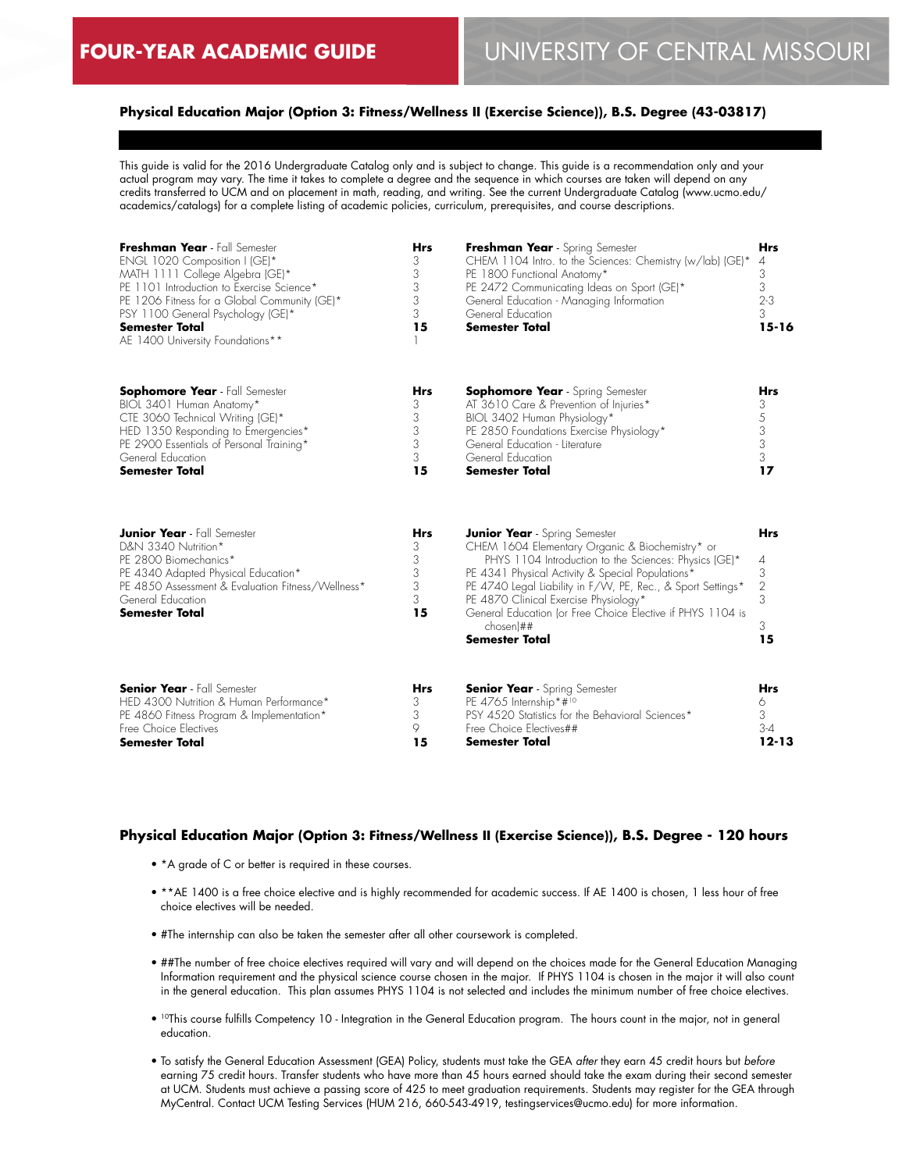# **Physical Education Major (Option 3: Fitness/Wellness II (Exercise Science)), B.S. Degree (43-03817)**

This guide is valid for the 2016 Undergraduate Catalog only and is subject to change. This guide is a recommendation only and your actual program may vary. The time it takes to complete a degree and the sequence in which courses are taken will depend on any credits transferred to UCM and on placement in math, reading, and writing. See the current Undergraduate Catalog (www.ucmo.edu/ academics/catalogs) for a complete listing of academic policies, curriculum, prerequisites, and course descriptions.

| Freshman Year - Fall Semester<br>ENGL 1020 Composition I (GE)*<br>MATH 1111 College Algebra (GE)*<br>PE 1101 Introduction to Exercise Science*<br>PE 1206 Fitness for a Global Community (GE)*<br>PSY 1100 General Psychology (GE)*<br><b>Semester Total</b><br>AE 1400 University Foundations** | Hrs<br>3<br>3<br>3<br>3<br>3<br>15        | Freshman Year - Spring Semester<br>CHEM 1104 Intro. to the Sciences: Chemistry (w/lab) (GE)*<br>PE 1800 Functional Anatomy*<br>PE 2472 Communicating Ideas on Sport (GE)*<br>General Education - Managing Information<br>General Education<br><b>Semester Total</b>                                                                                                                                                | <b>Hrs</b><br>4<br>3<br>3<br>$2 - 3$<br>3<br>$15 - 16$ |
|--------------------------------------------------------------------------------------------------------------------------------------------------------------------------------------------------------------------------------------------------------------------------------------------------|-------------------------------------------|--------------------------------------------------------------------------------------------------------------------------------------------------------------------------------------------------------------------------------------------------------------------------------------------------------------------------------------------------------------------------------------------------------------------|--------------------------------------------------------|
| <b>Sophomore Year</b> - Fall Semester                                                                                                                                                                                                                                                            | <b>Hrs</b>                                | <b>Sophomore Year</b> - Spring Semester                                                                                                                                                                                                                                                                                                                                                                            | <b>Hrs</b>                                             |
| BIOL 3401 Human Anatomy*                                                                                                                                                                                                                                                                         | 3                                         | AT 3610 Care & Prevention of Injuries*                                                                                                                                                                                                                                                                                                                                                                             | 3                                                      |
| CTE 3060 Technical Writing (GE)*                                                                                                                                                                                                                                                                 | 3                                         | BIOL 3402 Human Physiology*                                                                                                                                                                                                                                                                                                                                                                                        | 5                                                      |
| HED 1350 Responding to Emergencies*                                                                                                                                                                                                                                                              | 3                                         | PE 2850 Foundations Exercise Physiology*                                                                                                                                                                                                                                                                                                                                                                           | 3                                                      |
| PE 2900 Essentials of Personal Training*                                                                                                                                                                                                                                                         | 3                                         | General Education - Literature                                                                                                                                                                                                                                                                                                                                                                                     | 3                                                      |
| General Education                                                                                                                                                                                                                                                                                | 3                                         | General Education                                                                                                                                                                                                                                                                                                                                                                                                  | 3                                                      |
| <b>Semester Total</b>                                                                                                                                                                                                                                                                            | 15                                        | <b>Semester Total</b>                                                                                                                                                                                                                                                                                                                                                                                              | 17                                                     |
| <b>Junior Year</b> - Fall Semester<br>D&N 3340 Nutrition*<br>PE 2800 Biomechanics*<br>PE 4340 Adapted Physical Education*<br>PE 4850 Assessment & Evaluation Fitness/Wellness*<br>General Education<br><b>Semester Total</b>                                                                     | <b>Hrs</b><br>3<br>3<br>3<br>3<br>3<br>15 | <b>Junior Year</b> - Spring Semester<br>CHEM 1604 Elementary Organic & Biochemistry* or<br>PHYS 1104 Introduction to the Sciences: Physics (GE)*<br>PE 4341 Physical Activity & Special Populations*<br>PE 4740 Legal Liability in F/W, PE, Rec., & Sport Settings*<br>PE 4870 Clinical Exercise Physiology*<br>General Education (or Free Choice Elective if PHYS 1104 is<br>$chosen$ ##<br><b>Semester Total</b> | <b>Hrs</b><br>4<br>3<br>$\sqrt{2}$<br>3<br>3<br>15     |
| <b>Senior Year</b> - Fall Semester                                                                                                                                                                                                                                                               | <b>Hrs</b>                                | <b>Senior Year</b> - Spring Semester                                                                                                                                                                                                                                                                                                                                                                               | <b>Hrs</b>                                             |
| HED 4300 Nutrition & Human Performance*                                                                                                                                                                                                                                                          | 3                                         | PE 4765 Internship*#10                                                                                                                                                                                                                                                                                                                                                                                             | 6                                                      |
| PE 4860 Fitness Program & Implementation*                                                                                                                                                                                                                                                        | 3                                         | PSY 4520 Statistics for the Behavioral Sciences*                                                                                                                                                                                                                                                                                                                                                                   | 3                                                      |
| Free Choice Electives                                                                                                                                                                                                                                                                            | 9                                         | Free Choice Electives##                                                                                                                                                                                                                                                                                                                                                                                            | $3-4$                                                  |
| <b>Semester Total</b>                                                                                                                                                                                                                                                                            | 15                                        | <b>Semester Total</b>                                                                                                                                                                                                                                                                                                                                                                                              | $12 - 13$                                              |

#### **Physical Education Major (Option 3: Fitness/Wellness II (Exercise Science)), B.S. Degree - 120 hours**

- \*A grade of C or better is required in these courses.
- \*\*AE 1400 is a free choice elective and is highly recommended for academic success. If AE 1400 is chosen, 1 less hour of free choice electives will be needed.
- #The internship can also be taken the semester after all other coursework is completed.
- ##The number of free choice electives required will vary and will depend on the choices made for the General Education Managing Information requirement and the physical science course chosen in the major. If PHYS 1104 is chosen in the major it will also count in the general education. This plan assumes PHYS 1104 is not selected and includes the minimum number of free choice electives.
- 10This course fulfills Competency 10 Integration in the General Education program. The hours count in the major, not in general education.
- To satisfy the General Education Assessment (GEA) Policy, students must take the GEA *after* they earn 45 credit hours but *before* earning 75 credit hours. Transfer students who have more than 45 hours earned should take the exam during their second semester at UCM. Students must achieve a passing score of 425 to meet graduation requirements. Students may register for the GEA through MyCentral. Contact UCM Testing Services (HUM 216, 660-543-4919, testingservices@ucmo.edu) for more information.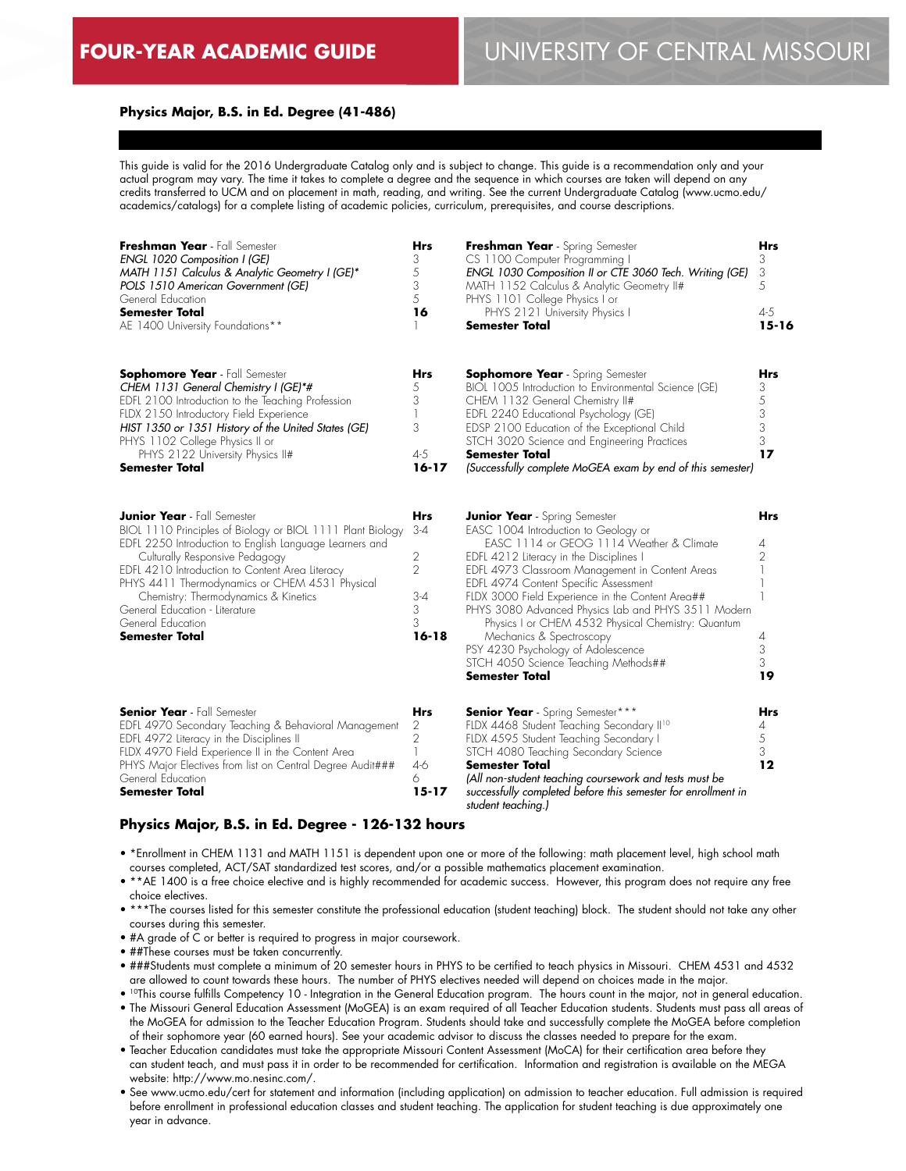#### **Physics Major, B.S. in Ed. Degree (41-486)**

This guide is valid for the 2016 Undergraduate Catalog only and is subject to change. This guide is a recommendation only and your actual program may vary. The time it takes to complete a degree and the sequence in which courses are taken will depend on any credits transferred to UCM and on placement in math, reading, and writing. See the current Undergraduate Catalog (www.ucmo.edu/ academics/catalogs) for a complete listing of academic policies, curriculum, prerequisites, and course descriptions.

| Freshman Year - Fall Semester<br>ENGL 1020 Composition I (GE)<br>MATH 1151 Calculus & Analytic Geometry I (GE)*<br>POLS 1510 American Government (GE)<br>General Education<br><b>Semester Total</b><br>AE 1400 University Foundations**                                                                                                                                                                                    | <b>Hrs</b><br>3<br>5<br>3<br>5<br>16                                | Freshman Year - Spring Semester<br>CS 1100 Computer Programming I<br>ENGL 1030 Composition II or CTE 3060 Tech. Writing (GE)<br>MATH 1152 Calculus & Analytic Geometry II#<br>PHYS 1101 College Physics I or<br>PHYS 2121 University Physics I<br>Semester Total                                                                                                                                                                                                                                                                                             | Hrs<br>3<br>3<br>5<br>$4 - 5$<br>$15 - 16$      |
|----------------------------------------------------------------------------------------------------------------------------------------------------------------------------------------------------------------------------------------------------------------------------------------------------------------------------------------------------------------------------------------------------------------------------|---------------------------------------------------------------------|--------------------------------------------------------------------------------------------------------------------------------------------------------------------------------------------------------------------------------------------------------------------------------------------------------------------------------------------------------------------------------------------------------------------------------------------------------------------------------------------------------------------------------------------------------------|-------------------------------------------------|
| <b>Sophomore Year</b> - Fall Semester<br>CHEM 1131 General Chemistry I (GE)*#<br>EDFL 2100 Introduction to the Teaching Profession<br>FLDX 2150 Introductory Field Experience<br>HIST 1350 or 1351 History of the United States (GE)<br>PHYS 1102 College Physics II or<br>PHYS 2122 University Physics II#<br>Semester Total                                                                                              | Hrs<br>5<br>3<br>3<br>$4 - 5$<br>$16 - 17$                          | <b>Sophomore Year</b> - Spring Semester<br>BIOL 1005 Introduction to Environmental Science (GE)<br>CHEM 1132 General Chemistry II#<br>EDFL 2240 Educational Psychology (GE)<br>EDSP 2100 Education of the Exceptional Child<br>STCH 3020 Science and Engineering Practices<br>Semester Total<br>(Successfully complete MoGEA exam by end of this semester)                                                                                                                                                                                                   | Hrs<br>3<br>5<br>3<br>$\frac{3}{3}$<br>17       |
| <b>Junior Year</b> - Fall Semester<br>BIOL 1110 Principles of Biology or BIOL 1111 Plant Biology<br>EDFL 2250 Introduction to English Language Learners and<br>Culturally Responsive Pedagogy<br>EDFL 4210 Introduction to Content Area Literacy<br>PHYS 4411 Thermodynamics or CHEM 4531 Physical<br>Chemistry: Thermodynamics & Kinetics<br>General Education - Literature<br>General Education<br><b>Semester Total</b> | Hrs<br>3-4<br>2<br>$\overline{2}$<br>$3 - 4$<br>3<br>3<br>$16 - 18$ | <b>Junior Year</b> - Spring Semester<br>EASC 1004 Introduction to Geology or<br>EASC 1114 or GEOG 1114 Weather & Climate<br>EDFL 4212 Literacy in the Disciplines I<br>EDFL 4973 Classroom Management in Content Areas<br>EDFL 4974 Content Specific Assessment<br>FLDX 3000 Field Experience in the Content Area##<br>PHYS 3080 Advanced Physics Lab and PHYS 3511 Modern<br>Physics I or CHEM 4532 Physical Chemistry: Quantum<br>Mechanics & Spectroscopy<br>PSY 4230 Psychology of Adolescence<br>STCH 4050 Science Teaching Methods##<br>Semester Total | Hrs<br>4<br>$\overline{2}$<br>4<br>3<br>3<br>19 |
| <b>Senior Year</b> - Fall Semester<br>EDFL 4970 Secondary Teaching & Behavioral Management<br>EDFL 4972 Literacy in the Disciplines II<br>FLDX 4970 Field Experience II in the Content Area<br>PHYS Major Electives from list on Central Degree Audit###<br>General Education<br><b>Semester Total</b>                                                                                                                     | Hrs<br>2<br>$\mathbf{2}$<br>$\mathbb{L}$<br>$4-6$<br>6<br>$15 - 17$ | <b>Senior Year</b> - Spring Semester***<br>FLDX 4468 Student Teaching Secondary II <sup>10</sup><br>FLDX 4595 Student Teaching Secondary I<br>STCH 4080 Teaching Secondary Science<br><b>Semester Total</b><br>(All non-student teaching coursework and tests must be<br>successfully completed before this semester for enrollment in<br>student teaching.)                                                                                                                                                                                                 | Hrs<br>4<br>$\frac{5}{3}$<br>12                 |

#### **Physics Major, B.S. in Ed. Degree - 126-132 hours**

- \*Enrollment in CHEM 1131 and MATH 1151 is dependent upon one or more of the following: math placement level, high school math courses completed, ACT/SAT standardized test scores, and/or a possible mathematics placement examination.
- \*\*AE 1400 is a free choice elective and is highly recommended for academic success. However, this program does not require any free choice electives.
- \*\*\*The courses listed for this semester constitute the professional education (student teaching) block. The student should not take any other courses during this semester.
- #A grade of C or better is required to progress in major coursework.
- ##These courses must be taken concurrently.
- ###Students must complete a minimum of 20 semester hours in PHYS to be certified to teach physics in Missouri. CHEM 4531 and 4532 are allowed to count towards these hours. The number of PHYS electives needed will depend on choices made in the major.
- 10This course fulfills Competency 10 Integration in the General Education program. The hours count in the major, not in general education. • The Missouri General Education Assessment (MoGEA) is an exam required of all Teacher Education students. Students must pass all areas of the MoGEA for admission to the Teacher Education Program. Students should take and successfully complete the MoGEA before completion
- of their sophomore year (60 earned hours). See your academic advisor to discuss the classes needed to prepare for the exam. • Teacher Education candidates must take the appropriate Missouri Content Assessment (MoCA) for their certification area before they
- can student teach, and must pass it in order to be recommended for certification. Information and registration is available on the MEGA website: http://www.mo.nesinc.com/.
- See www.ucmo.edu/cert for statement and information (including application) on admission to teacher education. Full admission is required before enrollment in professional education classes and student teaching. The application for student teaching is due approximately one year in advance.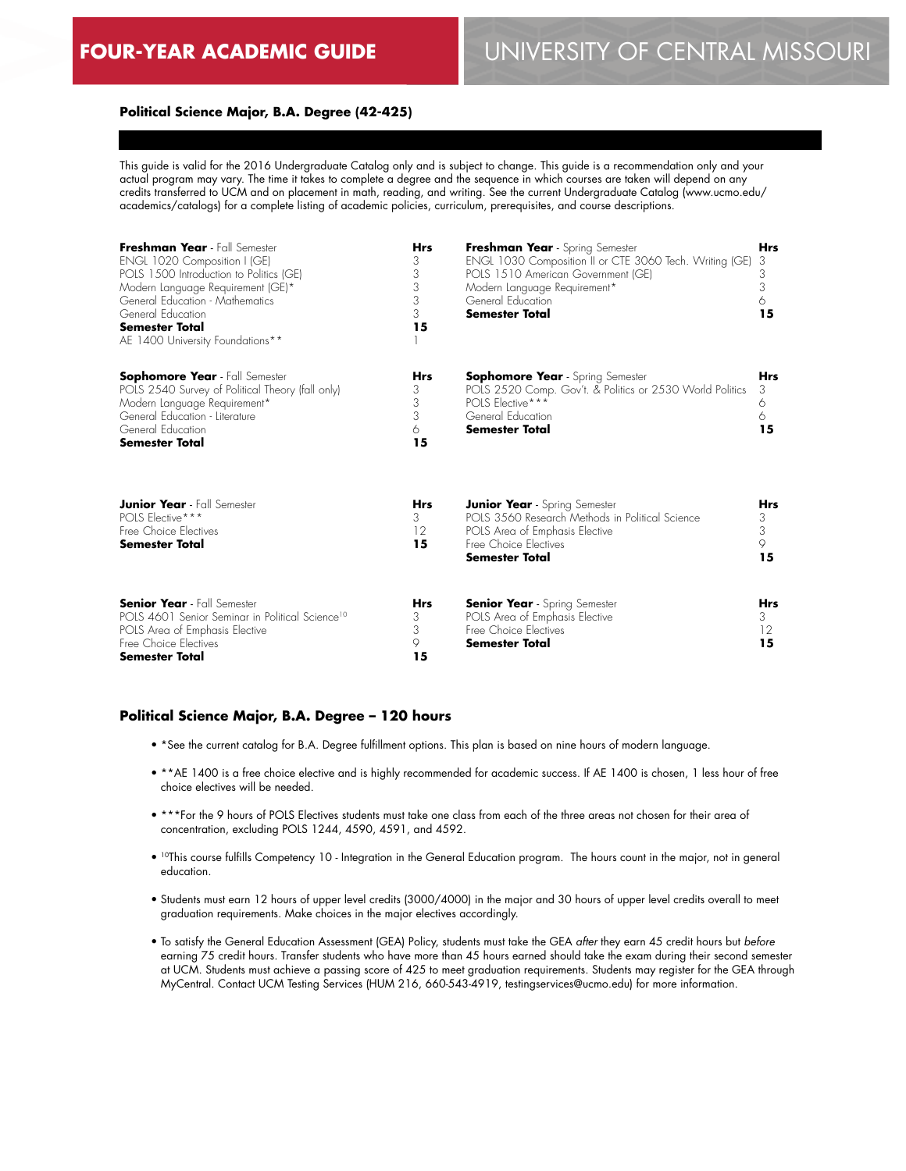# **FOUR-YEAR ACADEMIC GUIDE** UNIVERSITY OF CENTRAL MISSOURI

#### **Political Science Major, B.A. Degree (42-425)**

This guide is valid for the 2016 Undergraduate Catalog only and is subject to change. This guide is a recommendation only and your actual program may vary. The time it takes to complete a degree and the sequence in which courses are taken will depend on any credits transferred to UCM and on placement in math, reading, and writing. See the current Undergraduate Catalog (www.ucmo.edu/ academics/catalogs) for a complete listing of academic policies, curriculum, prerequisites, and course descriptions.

| Freshman Year - Fall Semester<br>ENGL 1020 Composition I (GE)<br>POLS 1500 Introduction to Politics (GE)<br>Modern Language Requirement (GE)*<br>General Education - Mathematics<br>General Education<br><b>Semester Total</b><br>AE 1400 University Foundations** | <b>Hrs</b><br>3<br>3<br>3<br>3<br>3<br>15 | Freshman Year - Spring Semester<br>ENGL 1030 Composition II or CTE 3060 Tech. Writing (GE)<br>POLS 1510 American Government (GE)<br>Modern Language Requirement*<br>General Education<br>Semester Total | <b>Hrs</b><br>3<br>3<br>3<br>6<br>15 |
|--------------------------------------------------------------------------------------------------------------------------------------------------------------------------------------------------------------------------------------------------------------------|-------------------------------------------|---------------------------------------------------------------------------------------------------------------------------------------------------------------------------------------------------------|--------------------------------------|
| <b>Sophomore Year</b> - Fall Semester<br>POLS 2540 Survey of Political Theory (fall only)<br>Modern Language Requirement*<br>General Education - Literature<br>General Education<br><b>Semester Total</b>                                                          | <b>Hrs</b><br>3<br>3<br>3<br>6<br>15      | <b>Sophomore Year</b> - Spring Semester<br>POLS 2520 Comp. Gov't. & Politics or 2530 World Politics<br>POLS Elective***<br>General Education<br><b>Semester Total</b>                                   | <b>Hrs</b><br>3<br>6<br>6<br>15      |
| <b>Junior Year</b> - Fall Semester<br>POLS Elective***<br>Free Choice Electives<br><b>Semester Total</b>                                                                                                                                                           | <b>Hrs</b><br>3<br>12<br>15               | <b>Junior Year</b> - Spring Semester<br>POLS 3560 Research Methods in Political Science<br>POLS Area of Emphasis Elective<br>Free Choice Electives<br>Semester Total                                    | Hrs<br>3<br>3<br>9<br>15             |
| <b>Senior Year</b> - Fall Semester<br>POLS 4601 Senior Seminar in Political Science <sup>10</sup><br>POLS Area of Emphasis Elective<br>Free Choice Electives<br><b>Semester Total</b>                                                                              | Hrs<br>3<br>3<br>9<br>15                  | <b>Senior Year</b> - Spring Semester<br>POLS Area of Emphasis Elective<br>Free Choice Electives<br>Semester Total                                                                                       | <b>Hrs</b><br>3.<br>12<br>15         |

#### **Political Science Major, B.A. Degree – 120 hours**

- \*See the current catalog for B.A. Degree fulfillment options. This plan is based on nine hours of modern language.
- \*\*AE 1400 is a free choice elective and is highly recommended for academic success. If AE 1400 is chosen, 1 less hour of free choice electives will be needed.
- \*\*\*For the 9 hours of POLS Electives students must take one class from each of the three areas not chosen for their area of concentration, excluding POLS 1244, 4590, 4591, and 4592.
- <sup>10</sup>This course fulfills Competency 10 Integration in the General Education program. The hours count in the major, not in general education.
- Students must earn 12 hours of upper level credits (3000/4000) in the major and 30 hours of upper level credits overall to meet graduation requirements. Make choices in the major electives accordingly.
- To satisfy the General Education Assessment (GEA) Policy, students must take the GEA *after* they earn 45 credit hours but *before* earning 75 credit hours. Transfer students who have more than 45 hours earned should take the exam during their second semester at UCM. Students must achieve a passing score of 425 to meet graduation requirements. Students may register for the GEA through MyCentral. Contact UCM Testing Services (HUM 216, 660-543-4919, testingservices@ucmo.edu) for more information.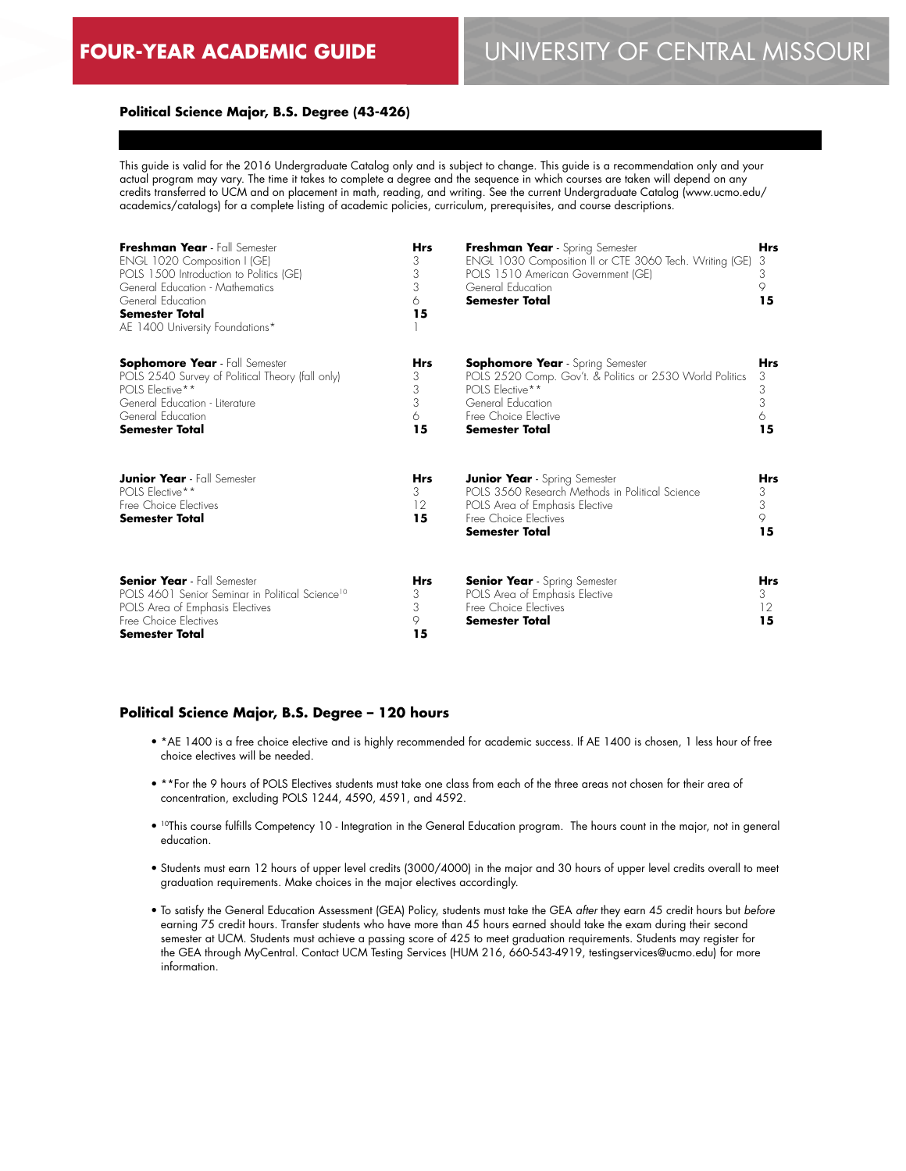# **FOUR-YEAR ACADEMIC GUIDE** UNIVERSITY OF CENTRAL MISSOURI

#### **Political Science Major, B.S. Degree (43-426)**

This guide is valid for the 2016 Undergraduate Catalog only and is subject to change. This guide is a recommendation only and your actual program may vary. The time it takes to complete a degree and the sequence in which courses are taken will depend on any credits transferred to UCM and on placement in math, reading, and writing. See the current Undergraduate Catalog (www.ucmo.edu/ academics/catalogs) for a complete listing of academic policies, curriculum, prerequisites, and course descriptions.

| Freshman Year - Fall Semester<br>ENGL 1020 Composition I (GE)<br>POLS 1500 Introduction to Politics (GE)<br>General Education - Mathematics<br>General Education<br><b>Semester Total</b><br>AE 1400 University Foundations* | <b>Hrs</b><br>3<br>3<br>3<br>6<br>15 | Freshman Year - Spring Semester<br>ENGL 1030 Composition II or CTE 3060 Tech. Writing (GE)<br>POLS 1510 American Government (GE)<br>General Education<br><b>Semester Total</b>               | <b>Hrs</b><br>3<br>3<br>9<br>15      |
|------------------------------------------------------------------------------------------------------------------------------------------------------------------------------------------------------------------------------|--------------------------------------|----------------------------------------------------------------------------------------------------------------------------------------------------------------------------------------------|--------------------------------------|
| <b>Sophomore Year</b> - Fall Semester<br>POLS 2540 Survey of Political Theory (fall only)<br>POLS Elective**<br>General Education - Literature<br>General Education<br><b>Semester Total</b>                                 | <b>Hrs</b><br>3<br>3<br>3<br>6<br>15 | <b>Sophomore Year</b> - Spring Semester<br>POLS 2520 Comp. Gov't. & Politics or 2530 World Politics<br>POLS Elective**<br>General Education<br>Free Choice Elective<br><b>Semester Total</b> | <b>Hrs</b><br>3<br>3<br>3<br>6<br>15 |
| <b>Junior Year</b> - Fall Semester<br><b>POLS Elective**</b><br>Free Choice Electives<br><b>Semester Total</b>                                                                                                               | <b>Hrs</b><br>3<br>12<br>15          | <b>Junior Year</b> - Spring Semester<br>POLS 3560 Research Methods in Political Science<br>POLS Area of Emphasis Elective<br>Free Choice Electives<br><b>Semester Total</b>                  | <b>Hrs</b><br>3<br>3<br>9<br>15      |
| <b>Senior Year</b> - Fall Semester<br>POLS 4601 Senior Seminar in Political Science <sup>10</sup><br>POLS Area of Emphasis Electives<br>Free Choice Flectives<br><b>Semester Total</b>                                       | <b>Hrs</b><br>3<br>3<br>9<br>15      | <b>Senior Year</b> - Spring Semester<br>POLS Area of Emphasis Elective<br>Free Choice Electives<br><b>Semester Total</b>                                                                     | <b>Hrs</b><br>3<br>12<br>15          |

#### **Political Science Major, B.S. Degree – 120 hours**

- \*AE 1400 is a free choice elective and is highly recommended for academic success. If AE 1400 is chosen, 1 less hour of free choice electives will be needed.
- \*\*For the 9 hours of POLS Electives students must take one class from each of the three areas not chosen for their area of concentration, excluding POLS 1244, 4590, 4591, and 4592.
- <sup>10</sup>This course fulfills Competency 10 Integration in the General Education program. The hours count in the major, not in general education.
- Students must earn 12 hours of upper level credits (3000/4000) in the major and 30 hours of upper level credits overall to meet graduation requirements. Make choices in the major electives accordingly.
- To satisfy the General Education Assessment (GEA) Policy, students must take the GEA *after* they earn 45 credit hours but *before* earning 75 credit hours. Transfer students who have more than 45 hours earned should take the exam during their second semester at UCM. Students must achieve a passing score of 425 to meet graduation requirements. Students may register for the GEA through MyCentral. Contact UCM Testing Services (HUM 216, 660-543-4919, testingservices@ucmo.edu) for more information.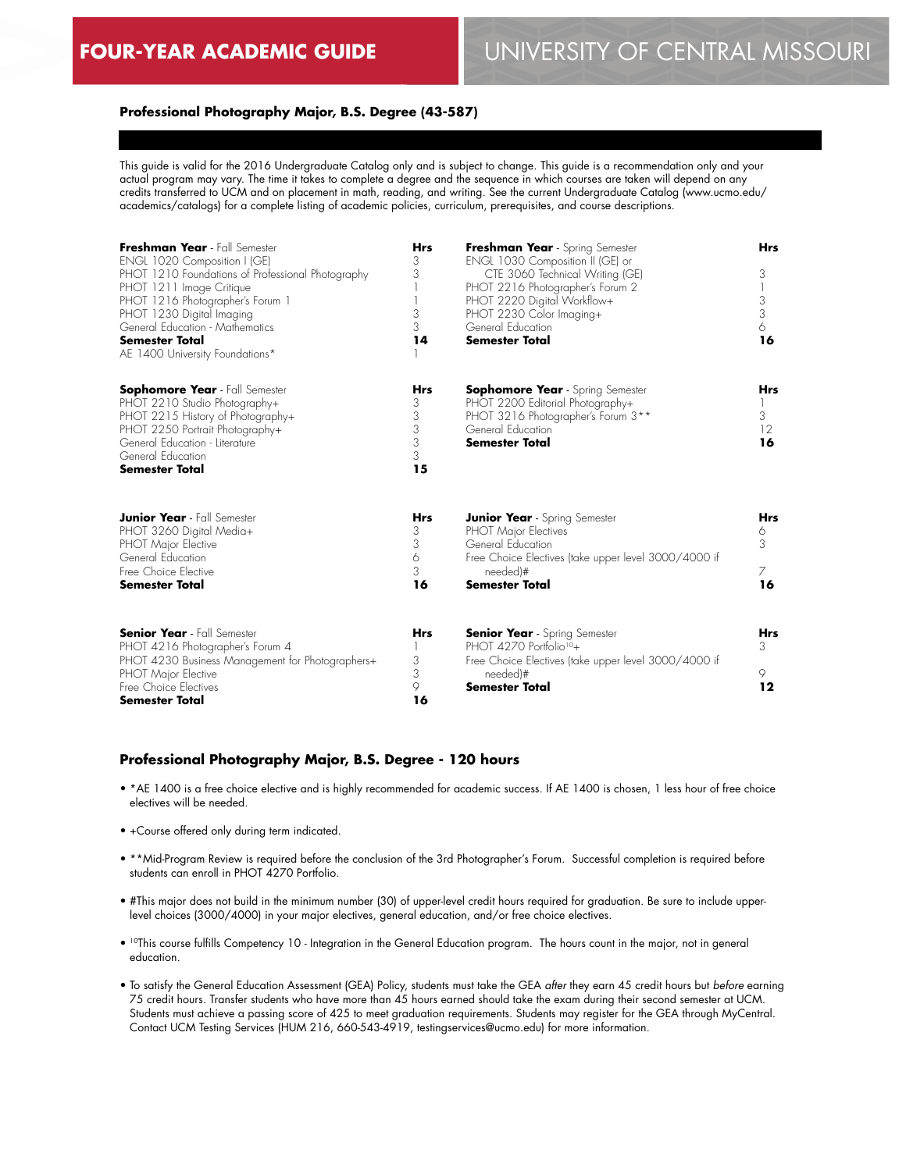#### **Professional Photography Major, B.S. Degree (43-587)**

This guide is valid for the 2016 Undergraduate Catalog only and is subject to change. This guide is a recommendation only and your actual program may vary. The time it takes to complete a degree and the sequence in which courses are taken will depend on any credits transferred to UCM and on placement in math, reading, and writing. See the current Undergraduate Catalog (www.ucmo.edu/ academics/catalogs) for a complete listing of academic policies, curriculum, prerequisites, and course descriptions.

| Freshman Year - Fall Semester<br>ENGL 1020 Composition I (GE)<br>PHOT 1210 Foundations of Professional Photography<br>PHOT 1211 Image Critique<br>PHOT 1216 Photographer's Forum 1<br>PHOT 1230 Digital Imaging<br>General Education - Mathematics<br><b>Semester Total</b><br>AE 1400 University Foundations* | <b>Hrs</b><br>3<br>3<br>3<br>3<br>14      | Freshman Year - Spring Semester<br>ENGL 1030 Composition II (GE) or<br>CTE 3060 Technical Writing (GE)<br>PHOT 2216 Photographer's Forum 2<br>PHOT 2220 Digital Workflow+<br>PHOT 2230 Color Imaging+<br>General Education<br><b>Semester Total</b> | <b>Hrs</b><br>3<br>3<br>3<br>6<br>16     |
|----------------------------------------------------------------------------------------------------------------------------------------------------------------------------------------------------------------------------------------------------------------------------------------------------------------|-------------------------------------------|-----------------------------------------------------------------------------------------------------------------------------------------------------------------------------------------------------------------------------------------------------|------------------------------------------|
| <b>Sophomore Year</b> - Fall Semester<br>PHOT 2210 Studio Photography+<br>PHOT 2215 History of Photography+<br>PHOT 2250 Portrait Photography+<br>General Education - Literature<br>General Education<br><b>Semester Total</b>                                                                                 | <b>Hrs</b><br>3<br>3<br>3<br>3<br>3<br>15 | <b>Sophomore Year</b> - Spring Semester<br>PHOT 2200 Editorial Photography+<br>PHOT 3216 Photographer's Forum 3**<br>General Education<br><b>Semester Total</b>                                                                                     | <b>Hrs</b><br>3<br>12 <sup>°</sup><br>16 |
| <b>Junior Year</b> - Fall Semester<br>PHOT 3260 Digital Media+<br>PHOT Major Elective<br>General Education<br>Free Choice Elective<br><b>Semester Total</b>                                                                                                                                                    | <b>Hrs</b><br>3<br>3<br>6<br>3<br>16      | <b>Junior Year</b> - Spring Semester<br><b>PHOT Major Electives</b><br>General Education<br>Free Choice Electives (take upper level 3000/4000 if<br>needed)#<br><b>Semester Total</b>                                                               | <b>Hrs</b><br>6<br>3<br>7<br>16          |
| <b>Senior Year</b> - Fall Semester<br>PHOT 4216 Photographer's Forum 4<br>PHOT 4230 Business Management for Photographers+<br>PHOT Major Elective<br>Free Choice Electives<br><b>Semester Total</b>                                                                                                            | <b>Hrs</b><br>3<br>3<br>9<br>16           | <b>Senior Year</b> - Spring Semester<br>PHOT 4270 Portfolio <sup>10</sup> +<br>Free Choice Electives (take upper level 3000/4000 if<br>needed)#<br><b>Semester Total</b>                                                                            | <b>Hrs</b><br>3<br>9<br>12               |

#### **Professional Photography Major, B.S. Degree - 120 hours**

- \*AE 1400 is a free choice elective and is highly recommended for academic success. If AE 1400 is chosen, 1 less hour of free choice electives will be needed.
- +Course offered only during term indicated.
- \*\*Mid-Program Review is required before the conclusion of the 3rd Photographer's Forum. Successful completion is required before students can enroll in PHOT 4270 Portfolio.
- #This major does not build in the minimum number (30) of upper-level credit hours required for graduation. Be sure to include upperlevel choices (3000/4000) in your major electives, general education, and/or free choice electives.
- 10This course fulfills Competency 10 Integration in the General Education program. The hours count in the major, not in general education.
- To satisfy the General Education Assessment (GEA) Policy, students must take the GEA *after* they earn 45 credit hours but *before* earning 75 credit hours. Transfer students who have more than 45 hours earned should take the exam during their second semester at UCM. Students must achieve a passing score of 425 to meet graduation requirements. Students may register for the GEA through MyCentral. Contact UCM Testing Services (HUM 216, 660-543-4919, testingservices@ucmo.edu) for more information.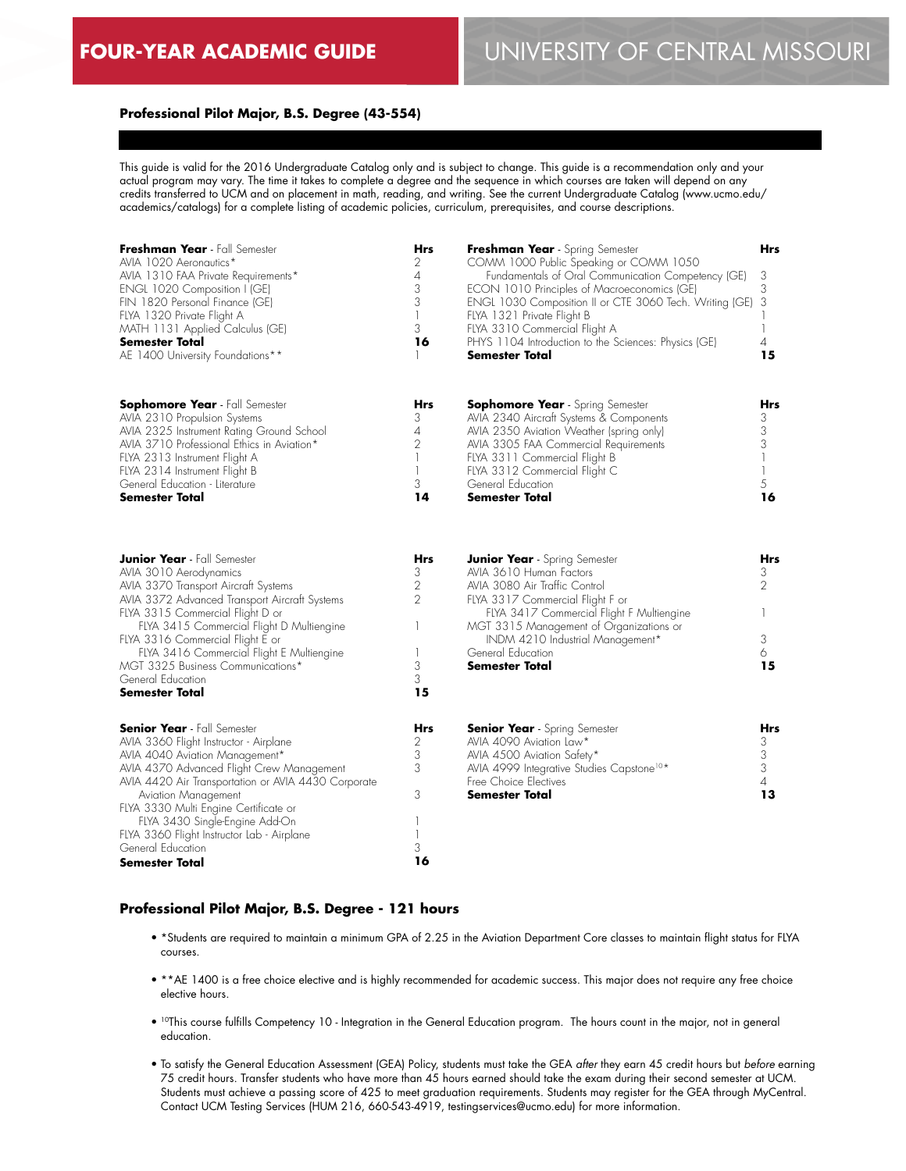#### **Professional Pilot Major, B.S. Degree (43-554)**

This guide is valid for the 2016 Undergraduate Catalog only and is subject to change. This guide is a recommendation only and your actual program may vary. The time it takes to complete a degree and the sequence in which courses are taken will depend on any credits transferred to UCM and on placement in math, reading, and writing. See the current Undergraduate Catalog (www.ucmo.edu/ academics/catalogs) for a complete listing of academic policies, curriculum, prerequisites, and course descriptions.

| Freshman Year - Fall Semester<br>AVIA 1020 Aeronautics*                               | Hrs<br>2                      | Freshman Year - Spring Semester<br>COMM 1000 Public Speaking or COMM 1050             | Hrs               |
|---------------------------------------------------------------------------------------|-------------------------------|---------------------------------------------------------------------------------------|-------------------|
| AVIA 1310 FAA Private Requirements*                                                   | 4                             | Fundamentals of Oral Communication Competency (GE)                                    | 3                 |
| ENGL 1020 Composition I (GE)                                                          | 3<br>3                        | ECON 1010 Principles of Macroeconomics (GE)                                           | 3                 |
| FIN 1820 Personal Finance (GE)<br>FLYA 1320 Private Flight A                          | $\mathbf{I}$                  | ENGL 1030 Composition II or CTE 3060 Tech. Writing (GE)<br>FLYA 1321 Private Flight B | 3                 |
| MATH 1131 Applied Calculus (GE)                                                       | 3                             | FLYA 3310 Commercial Flight A                                                         | $\mathbf{I}$      |
| Semester Total                                                                        | 16                            | PHYS 1104 Introduction to the Sciences: Physics (GE)                                  | 4                 |
| AE 1400 University Foundations**                                                      |                               | Semester Total                                                                        | 15                |
| <b>Sophomore Year</b> - Fall Semester                                                 | <b>Hrs</b>                    | <b>Sophomore Year</b> - Spring Semester                                               | Hrs               |
| AVIA 2310 Propulsion Systems                                                          | 3                             | AVIA 2340 Aircraft Systems & Components                                               | 3                 |
| AVIA 2325 Instrument Rating Ground School                                             | 4                             | AVIA 2350 Aviation Weather (spring only)                                              | 3                 |
| AVIA 3710 Professional Ethics in Aviation*                                            | $\overline{2}$                | AVIA 3305 FAA Commercial Requirements                                                 | 3                 |
| FLYA 2313 Instrument Flight A                                                         | $\mathbf{I}$                  | FLYA 3311 Commercial Flight B                                                         | $\mathbf{I}$      |
| FLYA 2314 Instrument Flight B<br>General Education - Literature                       | $\overline{\phantom{a}}$<br>3 | FLYA 3312 Commercial Flight C<br>General Education                                    | $\mathbf{1}$<br>5 |
| Semester Total                                                                        | 14                            | <b>Semester Total</b>                                                                 | 16                |
|                                                                                       |                               |                                                                                       |                   |
| <b>Junior Year</b> - Fall Semester                                                    | Hrs                           | <b>Junior Year</b> - Spring Semester                                                  | Hrs               |
| AVIA 3010 Aerodynamics                                                                | 3                             | AVIA 3610 Human Factors                                                               | 3                 |
| AVIA 3370 Transport Aircraft Systems<br>AVIA 3372 Advanced Transport Aircraft Systems | 2<br>$\overline{2}$           | AVIA 3080 Air Traffic Control<br>FLYA 3317 Commercial Flight F or                     | $\overline{2}$    |
| FLYA 3315 Commercial Flight D or                                                      |                               | FLYA 3417 Commercial Flight F Multiengine                                             |                   |
| FLYA 3415 Commercial Flight D Multiengine                                             | 1                             | MGT 3315 Management of Organizations or                                               |                   |
| FLYA 3316 Commercial Flight E or                                                      |                               | INDM 4210 Industrial Management*                                                      | 3                 |
| FLYA 3416 Commercial Flight E Multiengine                                             | 1                             | General Education                                                                     | 6                 |
| MGT 3325 Business Communications*                                                     | 3                             | <b>Semester Total</b>                                                                 | 15                |
| General Education                                                                     | 3                             |                                                                                       |                   |
| Semester Total                                                                        | 15                            |                                                                                       |                   |
| <b>Senior Year</b> - Fall Semester                                                    | Hrs                           | <b>Senior Year</b> - Spring Semester                                                  | Hrs               |
| AVIA 3360 Flight Instructor - Airplane                                                | 2<br>3                        | AVIA 4090 Aviation Law*                                                               | 3                 |
| AVIA 4040 Aviation Management*<br>AVIA 4370 Advanced Flight Crew Management           | 3                             | AVIA 4500 Aviation Safety*<br>AVIA 4999 Integrative Studies Capstone <sup>10*</sup>   | 3<br>3            |
| AVIA 4420 Air Transportation or AVIA 4430 Corporate                                   |                               | Free Choice Electives                                                                 | 4                 |
| Aviation Management                                                                   | 3                             | <b>Semester Total</b>                                                                 | 13                |
| FLYA 3330 Multi Engine Certificate or                                                 |                               |                                                                                       |                   |
| FLYA 3430 Single-Engine Add-On                                                        |                               |                                                                                       |                   |
| FLYA 3360 Flight Instructor Lab - Airplane                                            | 1                             |                                                                                       |                   |
| General Education                                                                     | 3                             |                                                                                       |                   |
| Semester Total                                                                        | 16                            |                                                                                       |                   |

#### **Professional Pilot Major, B.S. Degree - 121 hours**

- \*Students are required to maintain a minimum GPA of 2.25 in the Aviation Department Core classes to maintain flight status for FLYA courses.
- \*\*AE 1400 is a free choice elective and is highly recommended for academic success. This major does not require any free choice elective hours.
- 10This course fulfills Competency 10 Integration in the General Education program. The hours count in the major, not in general education.
- To satisfy the General Education Assessment (GEA) Policy, students must take the GEA *after* they earn 45 credit hours but *before* earning 75 credit hours. Transfer students who have more than 45 hours earned should take the exam during their second semester at UCM. Students must achieve a passing score of 425 to meet graduation requirements. Students may register for the GEA through MyCentral. Contact UCM Testing Services (HUM 216, 660-543-4919, testingservices@ucmo.edu) for more information.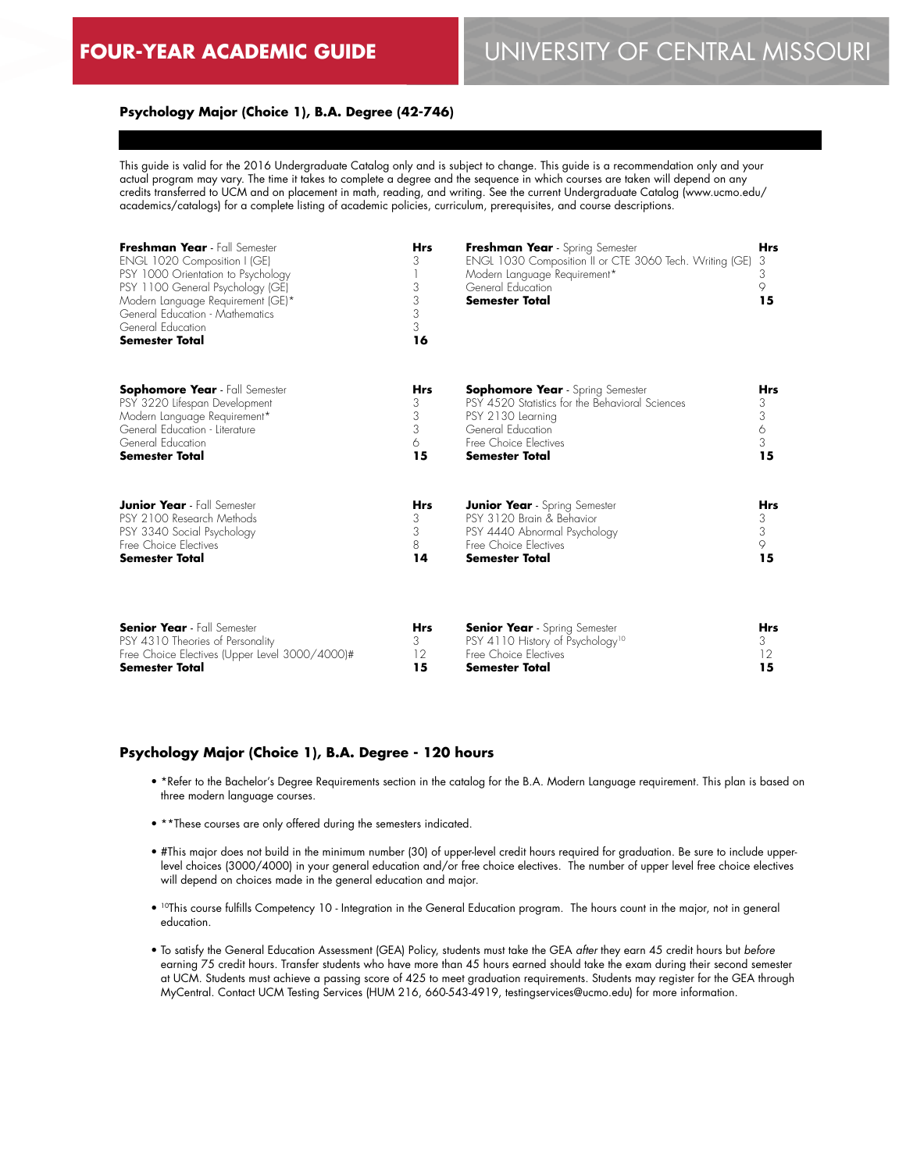### **Psychology Major (Choice 1), B.A. Degree (42-746)**

This guide is valid for the 2016 Undergraduate Catalog only and is subject to change. This guide is a recommendation only and your actual program may vary. The time it takes to complete a degree and the sequence in which courses are taken will depend on any credits transferred to UCM and on placement in math, reading, and writing. See the current Undergraduate Catalog (www.ucmo.edu/ academics/catalogs) for a complete listing of academic policies, curriculum, prerequisites, and course descriptions.

| Freshman Year - Fall Semester<br>ENGL 1020 Composition I (GE)<br>PSY 1000 Orientation to Psychology<br>PSY 1100 General Psychology (GE)<br>Modern Language Requirement (GE)*<br>General Education - Mathematics<br>General Education<br><b>Semester Total</b><br><b>Sophomore Year</b> - Fall Semester<br>PSY 3220 Lifespan Development<br>Modern Language Requirement*<br>General Education - Literature<br>General Education<br><b>Semester Total</b> | <b>Hrs</b><br>3<br>3<br>3<br>3<br>3<br>16<br>Hrs<br>3<br>3<br>3<br>6<br>15 | Freshman Year - Spring Semester<br>ENGL 1030 Composition II or CTE 3060 Tech. Writing (GE)<br>Modern Language Requirement*<br>General Education<br>Semester Total                      |            |
|---------------------------------------------------------------------------------------------------------------------------------------------------------------------------------------------------------------------------------------------------------------------------------------------------------------------------------------------------------------------------------------------------------------------------------------------------------|----------------------------------------------------------------------------|----------------------------------------------------------------------------------------------------------------------------------------------------------------------------------------|------------|
|                                                                                                                                                                                                                                                                                                                                                                                                                                                         |                                                                            | <b>Sophomore Year</b> - Spring Semester<br>PSY 4520 Statistics for the Behavioral Sciences<br>PSY 2130 Learning<br>General Education<br>Free Choice Electives<br><b>Semester Total</b> |            |
| <b>Junior Year</b> - Fall Semester                                                                                                                                                                                                                                                                                                                                                                                                                      | <b>Hrs</b>                                                                 | <b>Junior Year</b> - Spring Semester                                                                                                                                                   | <b>Hrs</b> |
| PSY 2100 Research Methods                                                                                                                                                                                                                                                                                                                                                                                                                               | 3                                                                          | PSY 3120 Brain & Behavior                                                                                                                                                              | 3          |
| PSY 3340 Social Psychology                                                                                                                                                                                                                                                                                                                                                                                                                              | 3                                                                          | PSY 4440 Abnormal Psychology                                                                                                                                                           | 3          |
| Free Choice Electives                                                                                                                                                                                                                                                                                                                                                                                                                                   | 8                                                                          | Free Choice Flectives                                                                                                                                                                  | 9          |
| <b>Semester Total</b>                                                                                                                                                                                                                                                                                                                                                                                                                                   | 14                                                                         | Semester Total                                                                                                                                                                         | 15         |
| <b>Senior Year</b> - Fall Semester                                                                                                                                                                                                                                                                                                                                                                                                                      | Hrs                                                                        | <b>Senior Year</b> - Spring Semester                                                                                                                                                   | <b>Hrs</b> |
| PSY 4310 Theories of Personality                                                                                                                                                                                                                                                                                                                                                                                                                        | 3                                                                          | PSY 4110 History of Psychology <sup>10</sup>                                                                                                                                           | 3          |

12 **15**

# **Psychology Major (Choice 1), B.A. Degree - 120 hours**

Free Choice Electives (Upper Level 3000/4000)#

**Semester Total**

• \*Refer to the Bachelor's Degree Requirements section in the catalog for the B.A. Modern Language requirement. This plan is based on three modern language courses.

Free Choice Electives **Semester Total**

- \*\*These courses are only offered during the semesters indicated.
- #This major does not build in the minimum number (30) of upper-level credit hours required for graduation. Be sure to include upperlevel choices (3000/4000) in your general education and/or free choice electives. The number of upper level free choice electives will depend on choices made in the general education and major.
- 10This course fulfills Competency 10 Integration in the General Education program. The hours count in the major, not in general education.
- To satisfy the General Education Assessment (GEA) Policy, students must take the GEA *after* they earn 45 credit hours but *before* earning 75 credit hours. Transfer students who have more than 45 hours earned should take the exam during their second semester at UCM. Students must achieve a passing score of 425 to meet graduation requirements. Students may register for the GEA through MyCentral. Contact UCM Testing Services (HUM 216, 660-543-4919, testingservices@ucmo.edu) for more information.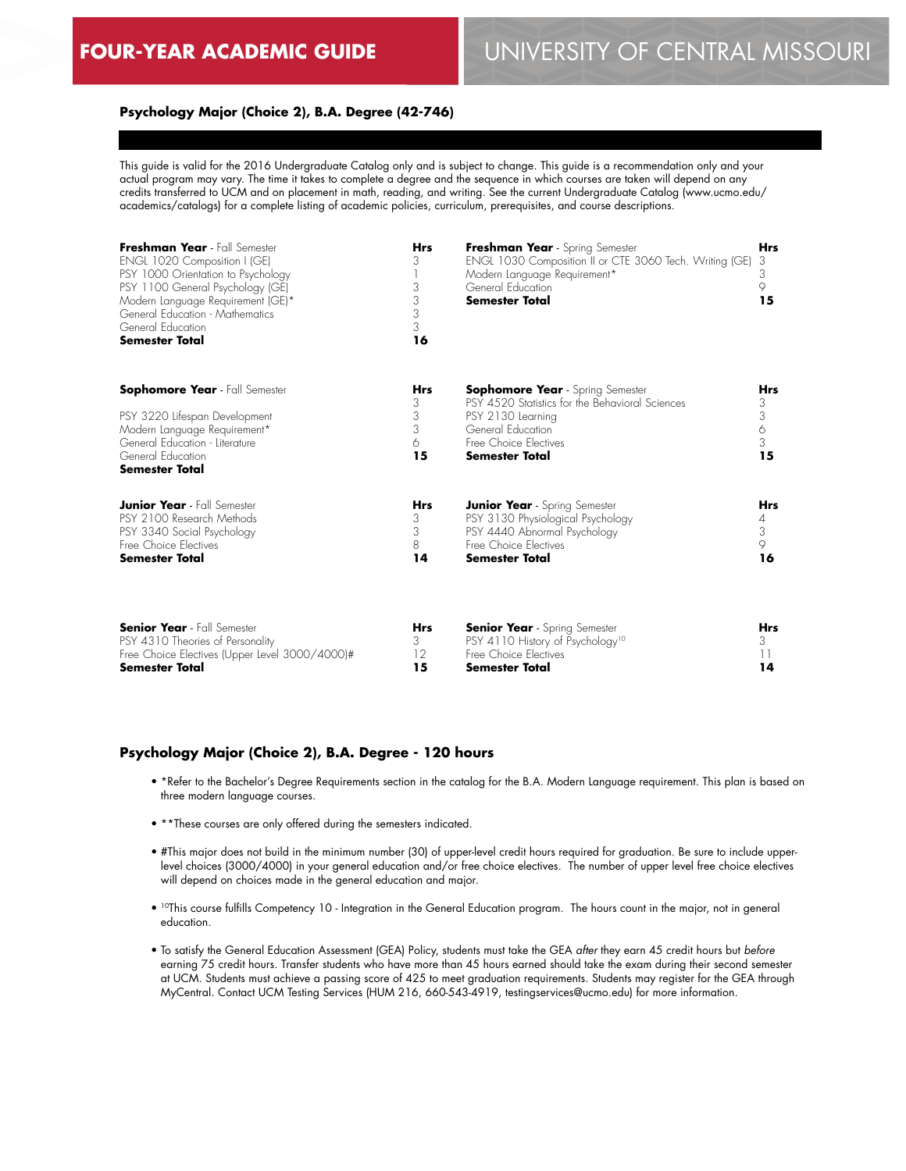### **Psychology Major (Choice 2), B.A. Degree (42-746)**

This guide is valid for the 2016 Undergraduate Catalog only and is subject to change. This guide is a recommendation only and your actual program may vary. The time it takes to complete a degree and the sequence in which courses are taken will depend on any credits transferred to UCM and on placement in math, reading, and writing. See the current Undergraduate Catalog (www.ucmo.edu/ academics/catalogs) for a complete listing of academic policies, curriculum, prerequisites, and course descriptions.

| Freshman Year - Fall Semester<br>ENGL 1020 Composition I (GE)<br>PSY 1000 Orientation to Psychology<br>PSY 1100 General Psychology (GE)<br>Modern Language Requirement (GE)*<br>General Education - Mathematics<br>General Education<br><b>Semester Total</b><br><b>Sophomore Year</b> - Fall Semester<br>PSY 3220 Lifespan Development<br>Modern Language Requirement*<br>General Education - Literature<br>General Education<br><b>Semester Total</b> | <b>Hrs</b><br>3<br>3<br>3<br>3<br>3<br>16<br>Hrs<br>3<br>3<br>3<br>6<br>15 | Freshman Year - Spring Semester<br>ENGL 1030 Composition II or CTE 3060 Tech. Writing (GE)<br>Modern Language Requirement*<br>General Education<br><b>Semester Total</b>        |            |
|---------------------------------------------------------------------------------------------------------------------------------------------------------------------------------------------------------------------------------------------------------------------------------------------------------------------------------------------------------------------------------------------------------------------------------------------------------|----------------------------------------------------------------------------|---------------------------------------------------------------------------------------------------------------------------------------------------------------------------------|------------|
|                                                                                                                                                                                                                                                                                                                                                                                                                                                         |                                                                            | <b>Sophomore Year</b> - Spring Semester<br>PSY 4520 Statistics for the Behavioral Sciences<br>PSY 2130 Learning<br>General Education<br>Free Choice Electives<br>Semester Total |            |
| <b>Junior Year</b> - Fall Semester                                                                                                                                                                                                                                                                                                                                                                                                                      | <b>Hrs</b>                                                                 | <b>Junior Year</b> - Spring Semester                                                                                                                                            | <b>Hrs</b> |
| PSY 2100 Research Methods                                                                                                                                                                                                                                                                                                                                                                                                                               | 3                                                                          | PSY 3130 Physiological Psychology                                                                                                                                               | 4          |
| PSY 3340 Social Psychology                                                                                                                                                                                                                                                                                                                                                                                                                              | 3                                                                          | PSY 4440 Abnormal Psychology                                                                                                                                                    | 3          |
| Free Choice Electives                                                                                                                                                                                                                                                                                                                                                                                                                                   | 8                                                                          | Free Choice Electives                                                                                                                                                           | 9          |
| <b>Semester Total</b>                                                                                                                                                                                                                                                                                                                                                                                                                                   | 14                                                                         | Semester Total                                                                                                                                                                  | 16         |
| <b>Senior Year</b> - Fall Semester                                                                                                                                                                                                                                                                                                                                                                                                                      | Hrs                                                                        | <b>Senior Year</b> - Spring Semester                                                                                                                                            | Hrs        |
| PSY 4310 Theories of Personality                                                                                                                                                                                                                                                                                                                                                                                                                        | 3                                                                          | PSY 4110 History of Psychology <sup>10</sup>                                                                                                                                    | 3          |

12 **15**

# **Psychology Major (Choice 2), B.A. Degree - 120 hours**

Free Choice Electives (Upper Level 3000/4000)#

**Semester Total**

• \*Refer to the Bachelor's Degree Requirements section in the catalog for the B.A. Modern Language requirement. This plan is based on three modern language courses.

Free Choice Electives **Semester Total**

- \*\*These courses are only offered during the semesters indicated.
- #This major does not build in the minimum number (30) of upper-level credit hours required for graduation. Be sure to include upperlevel choices (3000/4000) in your general education and/or free choice electives. The number of upper level free choice electives will depend on choices made in the general education and major.
- 10This course fulfills Competency 10 Integration in the General Education program. The hours count in the major, not in general education.
- To satisfy the General Education Assessment (GEA) Policy, students must take the GEA *after* they earn 45 credit hours but *before* earning 75 credit hours. Transfer students who have more than 45 hours earned should take the exam during their second semester at UCM. Students must achieve a passing score of 425 to meet graduation requirements. Students may register for the GEA through MyCentral. Contact UCM Testing Services (HUM 216, 660-543-4919, testingservices@ucmo.edu) for more information.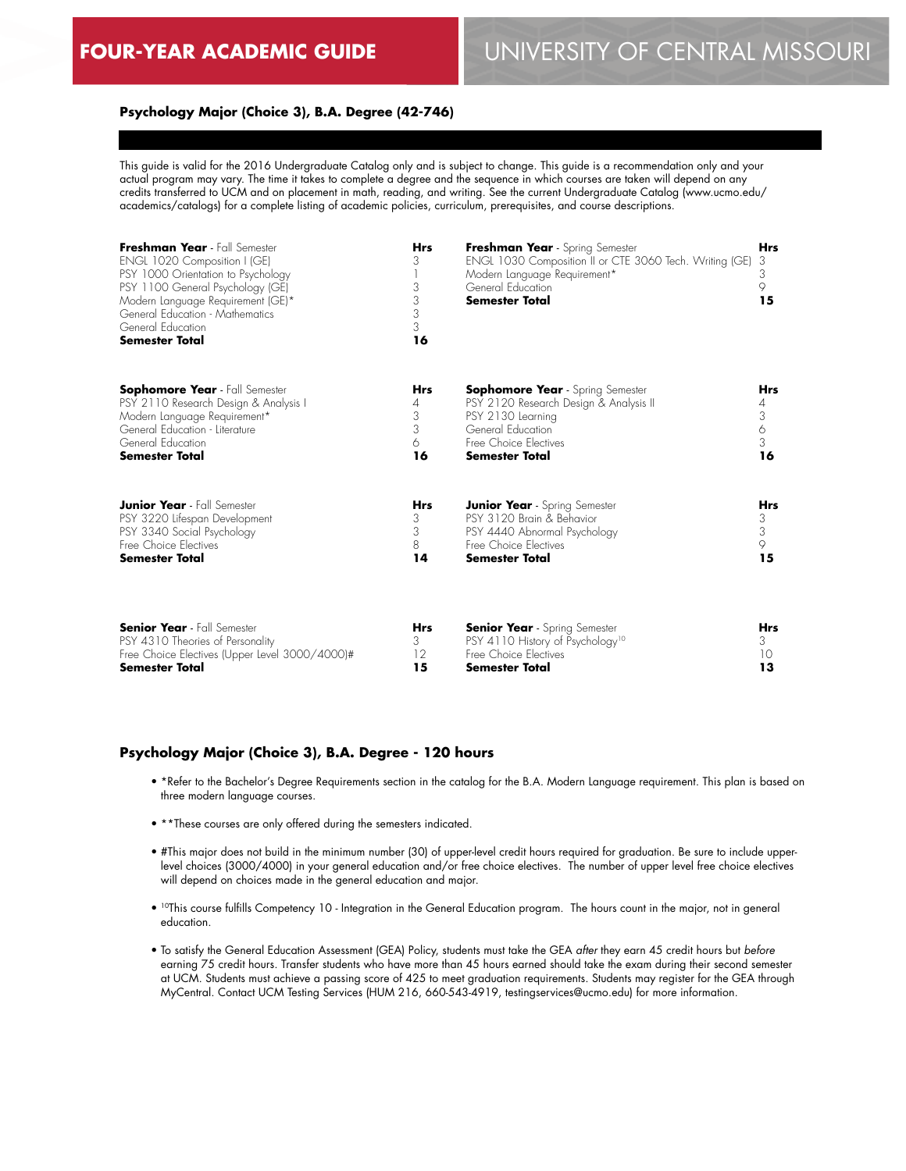### **Psychology Major (Choice 3), B.A. Degree (42-746)**

This guide is valid for the 2016 Undergraduate Catalog only and is subject to change. This guide is a recommendation only and your actual program may vary. The time it takes to complete a degree and the sequence in which courses are taken will depend on any credits transferred to UCM and on placement in math, reading, and writing. See the current Undergraduate Catalog (www.ucmo.edu/ academics/catalogs) for a complete listing of academic policies, curriculum, prerequisites, and course descriptions.

| Freshman Year - Fall Semester<br>ENGL 1020 Composition I (GE)<br>PSY 1000 Orientation to Psychology<br>PSY 1100 General Psychology (GE)<br>Modern Language Requirement (GE)*<br>General Education - Mathematics<br>General Education<br><b>Semester Total</b><br><b>Sophomore Year</b> - Fall Semester<br>PSY 2110 Research Design & Analysis I<br>Modern Language Requirement*<br>General Education - Literature<br>General Education<br><b>Semester Total</b> | <b>Hrs</b><br>3<br>3<br>3<br>3<br>3<br>16<br>Hrs<br>4<br>3<br>3<br>6<br>16 | Freshman Year - Spring Semester<br>ENGL 1030 Composition II or CTE 3060 Tech. Writing (GE)<br>Modern Language Requirement*<br>General Education<br>Semester Total<br><b>Sophomore Year</b> - Spring Semester<br>PSY 2120 Research Design & Analysis II<br>PSY 2130 Learning<br>General Education<br>Free Choice Electives<br><b>Semester Total</b> |            |
|-----------------------------------------------------------------------------------------------------------------------------------------------------------------------------------------------------------------------------------------------------------------------------------------------------------------------------------------------------------------------------------------------------------------------------------------------------------------|----------------------------------------------------------------------------|----------------------------------------------------------------------------------------------------------------------------------------------------------------------------------------------------------------------------------------------------------------------------------------------------------------------------------------------------|------------|
|                                                                                                                                                                                                                                                                                                                                                                                                                                                                 |                                                                            |                                                                                                                                                                                                                                                                                                                                                    |            |
| PSY 3220 Lifespan Development                                                                                                                                                                                                                                                                                                                                                                                                                                   | 3                                                                          | PSY 3120 Brain & Behavior                                                                                                                                                                                                                                                                                                                          | 3          |
| PSY 3340 Social Psychology                                                                                                                                                                                                                                                                                                                                                                                                                                      | 3                                                                          | PSY 4440 Abnormal Psychology                                                                                                                                                                                                                                                                                                                       | 3          |
| Free Choice Electives                                                                                                                                                                                                                                                                                                                                                                                                                                           | 8                                                                          | Free Choice Flectives                                                                                                                                                                                                                                                                                                                              | 9          |
| <b>Semester Total</b>                                                                                                                                                                                                                                                                                                                                                                                                                                           | 14                                                                         | Semester Total                                                                                                                                                                                                                                                                                                                                     | 15         |
| <b>Senior Year</b> - Fall Semester                                                                                                                                                                                                                                                                                                                                                                                                                              | Hrs                                                                        | <b>Senior Year</b> - Spring Semester                                                                                                                                                                                                                                                                                                               | <b>Hrs</b> |
| PSY 4310 Theories of Personality                                                                                                                                                                                                                                                                                                                                                                                                                                | 3                                                                          | PSY 4110 History of Psychology <sup>10</sup>                                                                                                                                                                                                                                                                                                       | 3          |

12 **15**

# **Psychology Major (Choice 3), B.A. Degree - 120 hours**

Free Choice Electives (Upper Level 3000/4000)#

**Semester Total**

• \*Refer to the Bachelor's Degree Requirements section in the catalog for the B.A. Modern Language requirement. This plan is based on three modern language courses.

Free Choice Electives **Semester Total**

- \*\*These courses are only offered during the semesters indicated.
- #This major does not build in the minimum number (30) of upper-level credit hours required for graduation. Be sure to include upperlevel choices (3000/4000) in your general education and/or free choice electives. The number of upper level free choice electives will depend on choices made in the general education and major.
- 10This course fulfills Competency 10 Integration in the General Education program. The hours count in the major, not in general education.
- To satisfy the General Education Assessment (GEA) Policy, students must take the GEA *after* they earn 45 credit hours but *before* earning 75 credit hours. Transfer students who have more than 45 hours earned should take the exam during their second semester at UCM. Students must achieve a passing score of 425 to meet graduation requirements. Students may register for the GEA through MyCentral. Contact UCM Testing Services (HUM 216, 660-543-4919, testingservices@ucmo.edu) for more information.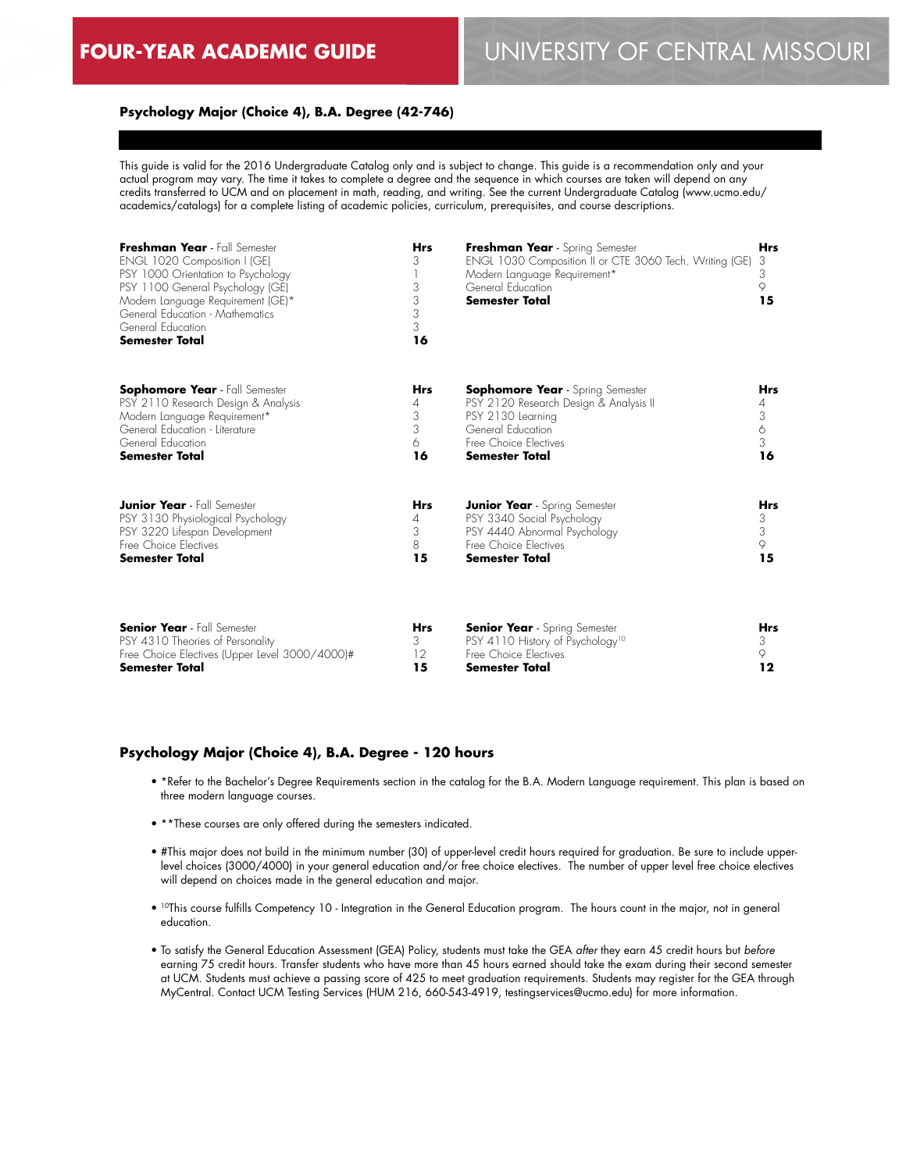### **Psychology Major (Choice 4), B.A. Degree (42-746)**

This guide is valid for the 2016 Undergraduate Catalog only and is subject to change. This guide is a recommendation only and your actual program may vary. The time it takes to complete a degree and the sequence in which courses are taken will depend on any credits transferred to UCM and on placement in math, reading, and writing. See the current Undergraduate Catalog (www.ucmo.edu/ academics/catalogs) for a complete listing of academic policies, curriculum, prerequisites, and course descriptions.

| Freshman Year - Fall Semester<br>ENGL 1020 Composition I (GE)<br>PSY 1000 Orientation to Psychology<br>PSY 1100 General Psychology (GE)<br>Modern Language Requirement (GE)*<br>General Education - Mathematics<br>General Education<br><b>Semester Total</b> | <b>Hrs</b><br>3<br>3<br>3<br>3<br>3<br>16 | Freshman Year - Spring Semester<br>ENGL 1030 Composition II or CTE 3060 Tech. Writing (GE)<br>Modern Language Requirement*<br>General Education<br><b>Semester Total</b> | <b>Hrs</b><br>3<br>3<br>9<br>15 |
|---------------------------------------------------------------------------------------------------------------------------------------------------------------------------------------------------------------------------------------------------------------|-------------------------------------------|--------------------------------------------------------------------------------------------------------------------------------------------------------------------------|---------------------------------|
| <b>Sophomore Year</b> - Fall Semester                                                                                                                                                                                                                         | <b>Hrs</b>                                | <b>Sophomore Year</b> - Spring Semester                                                                                                                                  | Hrs                             |
| PSY 2110 Research Design & Analysis                                                                                                                                                                                                                           | 4                                         | PSY 2120 Research Design & Analysis II                                                                                                                                   | 4                               |
| Modern Language Requirement*                                                                                                                                                                                                                                  | 3                                         | PSY 2130 Learning                                                                                                                                                        | 3                               |
| General Education - Literature                                                                                                                                                                                                                                | 3                                         | General Education                                                                                                                                                        | 6                               |
| General Education                                                                                                                                                                                                                                             | 6                                         | Free Choice Electives                                                                                                                                                    | 3                               |
| <b>Semester Total</b>                                                                                                                                                                                                                                         | 16                                        | <b>Semester Total</b>                                                                                                                                                    | 16                              |
| <b>Junior Year</b> - Fall Semester                                                                                                                                                                                                                            | <b>Hrs</b>                                | <b>Junior Year</b> - Spring Semester                                                                                                                                     | <b>Hrs</b>                      |
| PSY 3130 Physiological Psychology                                                                                                                                                                                                                             | 4                                         | PSY 3340 Social Psychology                                                                                                                                               | 3                               |
| PSY 3220 Lifespan Development                                                                                                                                                                                                                                 | 3                                         | PSY 4440 Abnormal Psychology                                                                                                                                             | 3                               |
| Free Choice Electives                                                                                                                                                                                                                                         | 8                                         | Free Choice Flectives                                                                                                                                                    | 9                               |
| <b>Semester Total</b>                                                                                                                                                                                                                                         | 15                                        | Semester Total                                                                                                                                                           | 15                              |
| <b>Senior Year</b> - Fall Semester                                                                                                                                                                                                                            | <b>Hrs</b>                                | <b>Senior Year</b> - Spring Semester                                                                                                                                     | <b>Hrs</b>                      |
| PSY 4310 Theories of Personality                                                                                                                                                                                                                              | 3                                         | PSY 4110 History of Psychology <sup>10</sup>                                                                                                                             | 3                               |
| Free Choice Electives (Upper Level 3000/4000)#                                                                                                                                                                                                                | 12                                        | Free Choice Electives                                                                                                                                                    | 9                               |

**15**

### **Psychology Major (Choice 4), B.A. Degree - 120 hours**

**Semester Total**

• \*Refer to the Bachelor's Degree Requirements section in the catalog for the B.A. Modern Language requirement. This plan is based on three modern language courses.

**Semester Total**

- \*\*These courses are only offered during the semesters indicated.
- #This major does not build in the minimum number (30) of upper-level credit hours required for graduation. Be sure to include upperlevel choices (3000/4000) in your general education and/or free choice electives. The number of upper level free choice electives will depend on choices made in the general education and major.
- <sup>10</sup>This course fulfills Competency 10 Integration in the General Education program. The hours count in the major, not in general education.
- To satisfy the General Education Assessment (GEA) Policy, students must take the GEA *after* they earn 45 credit hours but *before* earning 75 credit hours. Transfer students who have more than 45 hours earned should take the exam during their second semester at UCM. Students must achieve a passing score of 425 to meet graduation requirements. Students may register for the GEA through MyCentral. Contact UCM Testing Services (HUM 216, 660-543-4919, testingservices@ucmo.edu) for more information.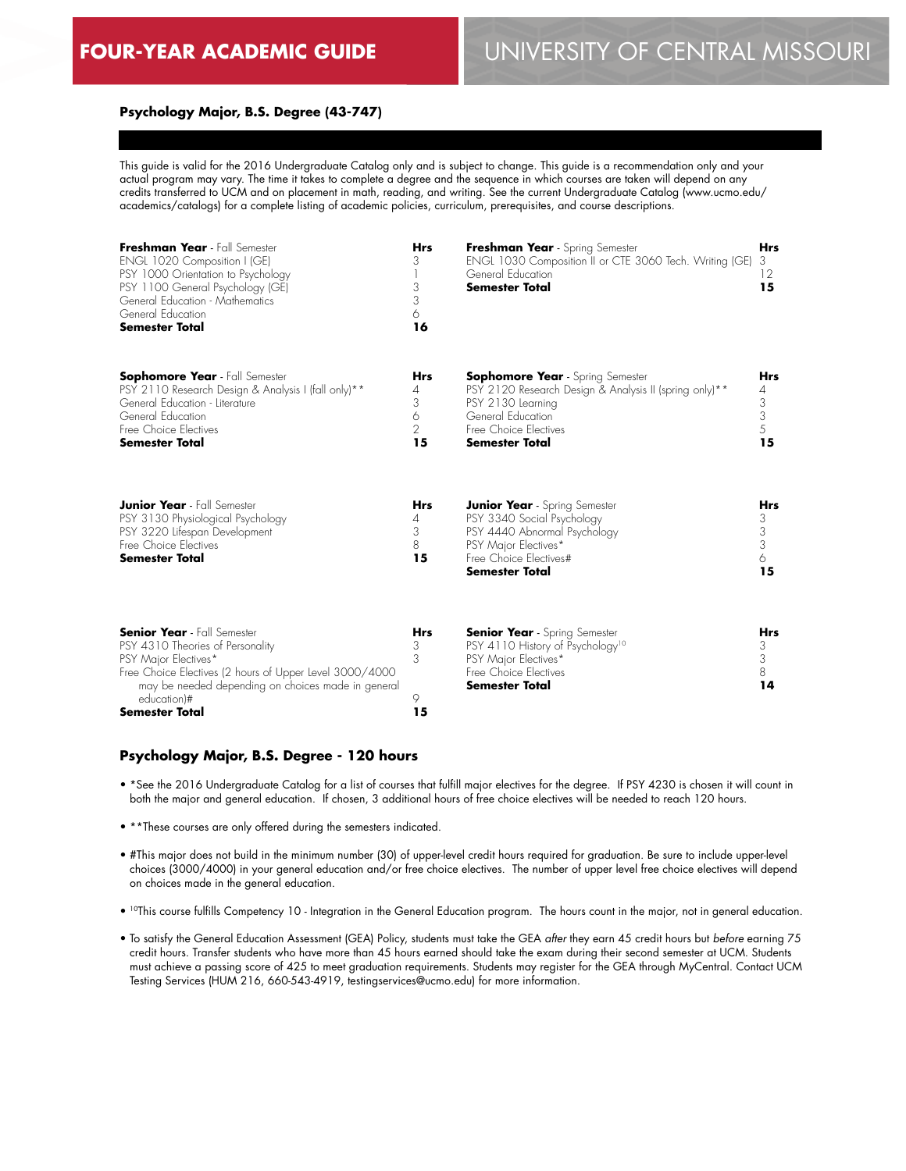# **FOUR-YEAR ACADEMIC GUIDE** UNIVERSITY OF CENTRAL MISSOURI

#### **Psychology Major, B.S. Degree (43-747)**

This guide is valid for the 2016 Undergraduate Catalog only and is subject to change. This guide is a recommendation only and your actual program may vary. The time it takes to complete a degree and the sequence in which courses are taken will depend on any credits transferred to UCM and on placement in math, reading, and writing. See the current Undergraduate Catalog (www.ucmo.edu/ academics/catalogs) for a complete listing of academic policies, curriculum, prerequisites, and course descriptions.

| Freshman Year - Fall Semester<br>ENGL 1020 Composition I (GE)<br>PSY 1000 Orientation to Psychology<br>PSY 1100 General Psychology (GE)<br>General Education - Mathematics<br>General Education<br><b>Semester Total</b> | <b>Hrs</b><br>3<br>3<br>3<br>6<br>16              | Freshman Year - Spring Semester<br>ENGL 1030 Composition II or CTE 3060 Tech. Writing (GE)<br>General Education<br><b>Semester Total</b>                                                                  | <b>Hrs</b><br>3<br>12<br>15                 |
|--------------------------------------------------------------------------------------------------------------------------------------------------------------------------------------------------------------------------|---------------------------------------------------|-----------------------------------------------------------------------------------------------------------------------------------------------------------------------------------------------------------|---------------------------------------------|
| <b>Sophomore Year</b> - Fall Semester<br>PSY 2110 Research Design & Analysis I (fall only)**<br>General Education - Literature<br>General Education<br>Free Choice Electives<br><b>Semester Total</b>                    | <b>Hrs</b><br>4<br>3<br>6<br>$\overline{2}$<br>15 | <b>Sophomore Year</b> - Spring Semester<br>PSY 2120 Research Design & Analysis II (spring only) <sup>**</sup><br>PSY 2130 Learning<br>General Education<br>Free Choice Electives<br><b>Semester Total</b> | <b>Hrs</b><br>4<br>$\frac{3}{3}$<br>5<br>15 |
| <b>Junior Year</b> - Fall Semester<br>PSY 3130 Physiological Psychology<br>PSY 3220 Lifespan Development<br>Free Choice Electives<br>Semester Total                                                                      | <b>Hrs</b><br>4<br>3<br>8<br>15                   | <b>Junior Year</b> - Spring Semester<br>PSY 3340 Social Psychology<br>PSY 4440 Abnormal Psychology<br>PSY Major Electives*<br>Free Choice Electives#<br>Semester Total                                    | <b>Hrs</b><br>3<br>3<br>3<br>6<br>15        |
| <b>Senior Year</b> - Fall Semester<br>PSY 4310 Theories of Personality<br>PSY Major Electives*<br>Free Choice Electives (2 hours of Upper Level 3000/4000<br>may be needed depending on choices made in general          | <b>Hrs</b><br>3<br>3                              | <b>Senior Year</b> - Spring Semester<br>PSY 4110 History of Psychology <sup>10</sup><br>PSY Major Electives*<br>Free Choice Electives<br><b>Semester Total</b>                                            | <b>Hrs</b><br>3<br>3<br>8<br>14             |

#### **Psychology Major, B.S. Degree - 120 hours**

 education)# **Semester Total**

• \*See the 2016 Undergraduate Catalog for a list of courses that fulfill major electives for the degree. If PSY 4230 is chosen it will count in both the major and general education. If chosen, 3 additional hours of free choice electives will be needed to reach 120 hours.

 $\circ$ **15**

- \*\*These courses are only offered during the semesters indicated.
- #This major does not build in the minimum number (30) of upper-level credit hours required for graduation. Be sure to include upper-level choices (3000/4000) in your general education and/or free choice electives. The number of upper level free choice electives will depend on choices made in the general education.
- 10This course fulfills Competency 10 Integration in the General Education program. The hours count in the major, not in general education.
- To satisfy the General Education Assessment (GEA) Policy, students must take the GEA *after* they earn 45 credit hours but *before* earning 75 credit hours. Transfer students who have more than 45 hours earned should take the exam during their second semester at UCM. Students must achieve a passing score of 425 to meet graduation requirements. Students may register for the GEA through MyCentral. Contact UCM Testing Services (HUM 216, 660-543-4919, testingservices@ucmo.edu) for more information.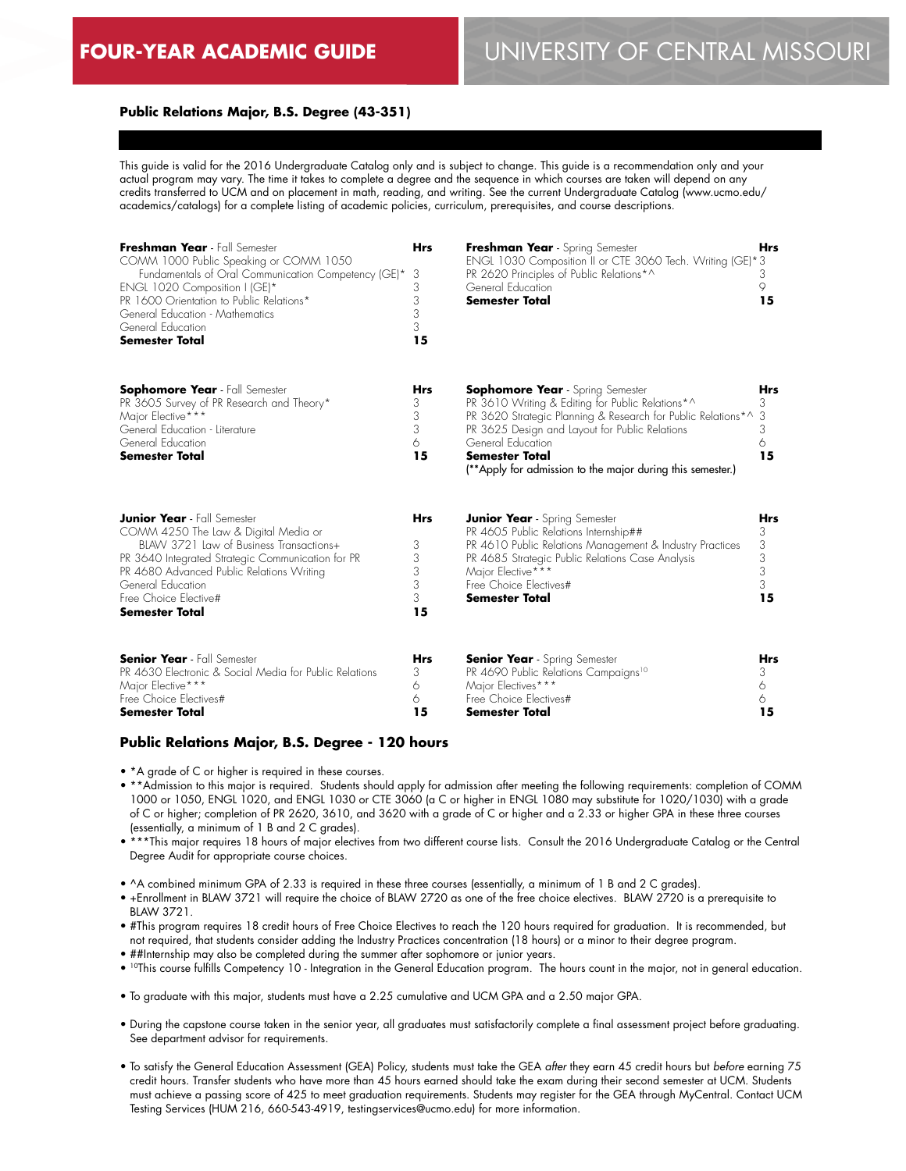# **Public Relations Major, B.S. Degree (43-351)**

This guide is valid for the 2016 Undergraduate Catalog only and is subject to change. This guide is a recommendation only and your actual program may vary. The time it takes to complete a degree and the sequence in which courses are taken will depend on any credits transferred to UCM and on placement in math, reading, and writing. See the current Undergraduate Catalog (www.ucmo.edu/ academics/catalogs) for a complete listing of academic policies, curriculum, prerequisites, and course descriptions.

| Freshman Year - Fall Semester<br>COMM 1000 Public Speaking or COMM 1050<br>Fundamentals of Oral Communication Competency (GE)*<br>ENGL 1020 Composition I (GE)*<br>PR 1600 Orientation to Public Relations*<br>General Education - Mathematics<br>General Education<br><b>Semester Total</b>   | <b>Hrs</b><br>3<br>3<br>3<br>3<br>3<br>15 | Freshman Year - Spring Semester<br>ENGL 1030 Composition II or CTE 3060 Tech. Writing (GE)*3<br>PR 2620 Principles of Public Relations*^<br>General Education<br><b>Semester Total</b>                                                                                                                             | <b>Hrs</b><br>3<br>9<br>15         |
|------------------------------------------------------------------------------------------------------------------------------------------------------------------------------------------------------------------------------------------------------------------------------------------------|-------------------------------------------|--------------------------------------------------------------------------------------------------------------------------------------------------------------------------------------------------------------------------------------------------------------------------------------------------------------------|------------------------------------|
| <b>Sophomore Year</b> - Fall Semester<br>PR 3605 Survey of PR Research and Theory*<br>Major Elective***<br>General Education - Literature<br>General Education<br><b>Semester Total</b>                                                                                                        | <b>Hrs</b><br>3<br>3<br>3<br>6<br>15      | <b>Sophomore Year</b> - Spring Semester<br>PR 3610 Writing & Editing for Public Relations*^<br>PR 3620 Strategic Planning & Research for Public Relations*^<br>PR 3625 Design and Layout for Public Relations<br>General Education<br>Semester Total<br>(**Apply for admission to the major during this semester.) | Hrs<br>3<br>3<br>3<br>6<br>15      |
| <b>Junior Year</b> - Fall Semester<br>COMM 4250 The Law & Digital Media or<br>BIAW 3721 Law of Business Transactions+<br>PR 3640 Integrated Strategic Communication for PR<br>PR 4680 Advanced Public Relations Writing<br>General Education<br>Free Choice Elective#<br><b>Semester Total</b> | <b>Hrs</b><br>3<br>3<br>3<br>3<br>3<br>15 | <b>Junior Year</b> - Spring Semester<br>PR 4605 Public Relations Internship##<br>PR 4610 Public Relations Management & Industry Practices<br>PR 4685 Strategic Public Relations Case Analysis<br>Major Elective***<br>Free Choice Electives#<br><b>Semester Total</b>                                              | Hrs<br>3<br>3<br>3<br>3<br>3<br>15 |
| <b>Senior Year</b> - Fall Semester<br>PR 4630 Electronic & Social Media for Public Relations<br>Major Elective***<br>Free Choice Electives#<br><b>Semester Total</b>                                                                                                                           | <b>Hrs</b><br>3<br>6<br>6<br>15           | <b>Senior Year</b> - Spring Semester<br>PR 4690 Public Relations Campaigns <sup>10</sup><br>Major Electives***<br>Free Choice Electives#<br><b>Semester Total</b>                                                                                                                                                  | <b>Hrs</b><br>3<br>6<br>6<br>15    |

#### **Public Relations Major, B.S. Degree - 120 hours**

- \*A grade of C or higher is required in these courses.
- \*\*Admission to this major is required. Students should apply for admission after meeting the following requirements: completion of COMM 1000 or 1050, ENGL 1020, and ENGL 1030 or CTE 3060 (a C or higher in ENGL 1080 may substitute for 1020/1030) with a grade of C or higher; completion of PR 2620, 3610, and 3620 with a grade of C or higher and a 2.33 or higher GPA in these three courses (essentially, a minimum of 1 B and 2 C grades).
- \*\*\*This major requires 18 hours of major electives from two different course lists. Consult the 2016 Undergraduate Catalog or the Central Degree Audit for appropriate course choices.
- ^A combined minimum GPA of 2.33 is required in these three courses (essentially, a minimum of 1 B and 2 C grades).
- +Enrollment in BLAW 3721 will require the choice of BLAW 2720 as one of the free choice electives. BLAW 2720 is a prerequisite to BLAW 3721.
- #This program requires 18 credit hours of Free Choice Electives to reach the 120 hours required for graduation. It is recommended, but not required, that students consider adding the Industry Practices concentration (18 hours) or a minor to their degree program.
- ##Internship may also be completed during the summer after sophomore or junior years.
- 10This course fulfills Competency 10 Integration in the General Education program. The hours count in the major, not in general education.
- To graduate with this major, students must have a 2.25 cumulative and UCM GPA and a 2.50 major GPA.
- During the capstone course taken in the senior year, all graduates must satisfactorily complete a final assessment project before graduating. See department advisor for requirements.
- To satisfy the General Education Assessment (GEA) Policy, students must take the GEA *after* they earn 45 credit hours but *before* earning 75 credit hours. Transfer students who have more than 45 hours earned should take the exam during their second semester at UCM. Students must achieve a passing score of 425 to meet graduation requirements. Students may register for the GEA through MyCentral. Contact UCM Testing Services (HUM 216, 660-543-4919, testingservices@ucmo.edu) for more information.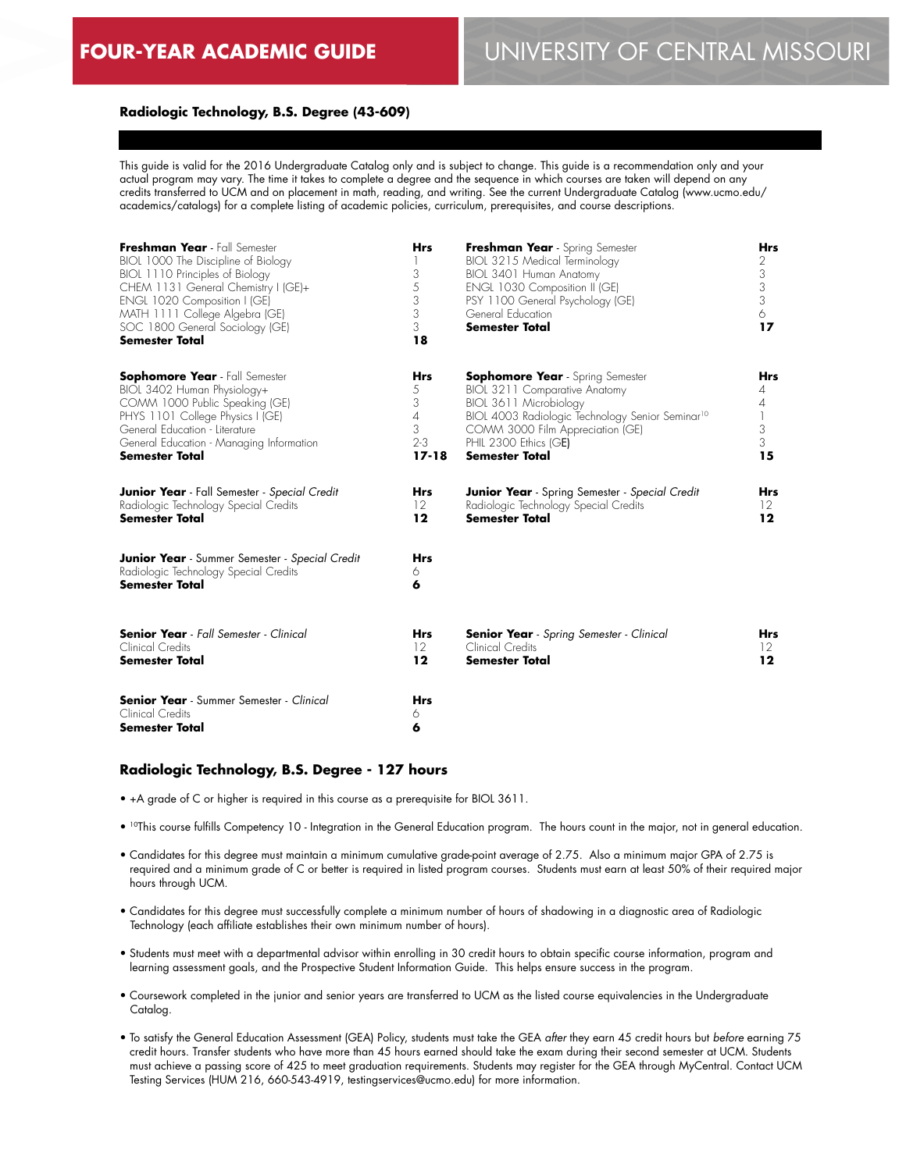#### **Radiologic Technology, B.S. Degree (43-609)**

This guide is valid for the 2016 Undergraduate Catalog only and is subject to change. This guide is a recommendation only and your actual program may vary. The time it takes to complete a degree and the sequence in which courses are taken will depend on any credits transferred to UCM and on placement in math, reading, and writing. See the current Undergraduate Catalog (www.ucmo.edu/ academics/catalogs) for a complete listing of academic policies, curriculum, prerequisites, and course descriptions.

| Freshman Year - Fall Semester<br>BIOL 1000 The Discipline of Biology<br>BIOL 1110 Principles of Biology<br>CHEM 1131 General Chemistry I (GE)+<br>ENGL 1020 Composition I (GE)<br>MATH 1111 College Algebra (GE)<br>SOC 1800 General Sociology (GE)<br><b>Semester Total</b> | <b>Hrs</b><br>3<br>5<br>3<br>3<br>3<br>18 | Freshman Year - Spring Semester<br>BIOL 3215 Medical Terminology<br>BIOL 3401 Human Anatomy<br>ENGL 1030 Composition II (GE)<br>PSY 1100 General Psychology (GE)<br>General Education<br><b>Semester Total</b> | Hrs<br>2<br>3<br>3<br>3<br>6<br>17 |
|------------------------------------------------------------------------------------------------------------------------------------------------------------------------------------------------------------------------------------------------------------------------------|-------------------------------------------|----------------------------------------------------------------------------------------------------------------------------------------------------------------------------------------------------------------|------------------------------------|
| <b>Sophomore Year</b> - Fall Semester                                                                                                                                                                                                                                        | <b>Hrs</b>                                | <b>Sophomore Year</b> - Spring Semester                                                                                                                                                                        | <b>Hrs</b>                         |
| BIOL 3402 Human Physiology+                                                                                                                                                                                                                                                  | 5                                         | BIOL 3211 Comparative Anatomy                                                                                                                                                                                  | 4                                  |
| COMM 1000 Public Speaking (GE)                                                                                                                                                                                                                                               | 3                                         | BIOL 3611 Microbiology                                                                                                                                                                                         | $\overline{4}$                     |
| PHYS 1101 College Physics I (GE)                                                                                                                                                                                                                                             | $\overline{4}$                            | BIOL 4003 Radiologic Technology Senior Seminar <sup>10</sup>                                                                                                                                                   | $\mathbf{1}$                       |
| General Education - Literature                                                                                                                                                                                                                                               | 3                                         | COMM 3000 Film Appreciation (GE)                                                                                                                                                                               | 3                                  |
| General Education - Managing Information                                                                                                                                                                                                                                     | $2 - 3$                                   | PHIL 2300 Ethics (GE)                                                                                                                                                                                          | 3                                  |
| <b>Semester Total</b>                                                                                                                                                                                                                                                        | $17 - 18$                                 | <b>Semester Total</b>                                                                                                                                                                                          | 15                                 |
| <b>Junior Year</b> - Fall Semester - Special Credit                                                                                                                                                                                                                          | <b>Hrs</b>                                | <b>Junior Year</b> - Spring Semester - Special Credit                                                                                                                                                          | Hrs                                |
| Radiologic Technology Special Credits                                                                                                                                                                                                                                        | 12                                        | Radiologic Technology Special Credits                                                                                                                                                                          | $12 \ \mathrm{ }$                  |
| <b>Semester Total</b>                                                                                                                                                                                                                                                        | $12 \,$                                   | <b>Semester Total</b>                                                                                                                                                                                          | 12                                 |
| <b>Junior Year</b> - Summer Semester - Special Credit<br>Radiologic Technology Special Credits<br><b>Semester Total</b>                                                                                                                                                      | <b>Hrs</b><br>6<br>6                      |                                                                                                                                                                                                                |                                    |
| <b>Senior Year</b> - Fall Semester - Clinical                                                                                                                                                                                                                                | <b>Hrs</b>                                | <b>Senior Year</b> - Spring Semester - Clinical                                                                                                                                                                | <b>Hrs</b>                         |
| Clinical Credits                                                                                                                                                                                                                                                             | 12                                        | Clinical Credits                                                                                                                                                                                               | $12 \ \mathrm{ }$                  |
| <b>Semester Total</b>                                                                                                                                                                                                                                                        | 12                                        | <b>Semester Total</b>                                                                                                                                                                                          | 12                                 |
| <b>Senior Year</b> - Summer Semester - Clinical<br>Clinical Credits<br>Semester Total                                                                                                                                                                                        | <b>Hrs</b><br>6<br>6                      |                                                                                                                                                                                                                |                                    |

#### **Radiologic Technology, B.S. Degree - 127 hours**

- +A grade of C or higher is required in this course as a prerequisite for BIOL 3611.
- 10This course fulfills Competency 10 Integration in the General Education program. The hours count in the major, not in general education.
- Candidates for this degree must maintain a minimum cumulative grade-point average of 2.75. Also a minimum major GPA of 2.75 is required and a minimum grade of C or better is required in listed program courses. Students must earn at least 50% of their required major hours through UCM.
- Candidates for this degree must successfully complete a minimum number of hours of shadowing in a diagnostic area of Radiologic Technology (each affiliate establishes their own minimum number of hours).
- Students must meet with a departmental advisor within enrolling in 30 credit hours to obtain specific course information, program and learning assessment goals, and the Prospective Student Information Guide. This helps ensure success in the program.
- Coursework completed in the junior and senior years are transferred to UCM as the listed course equivalencies in the Undergraduate Catalog.
- To satisfy the General Education Assessment (GEA) Policy, students must take the GEA *after* they earn 45 credit hours but *before* earning 75 credit hours. Transfer students who have more than 45 hours earned should take the exam during their second semester at UCM. Students must achieve a passing score of 425 to meet graduation requirements. Students may register for the GEA through MyCentral. Contact UCM Testing Services (HUM 216, 660-543-4919, testingservices@ucmo.edu) for more information.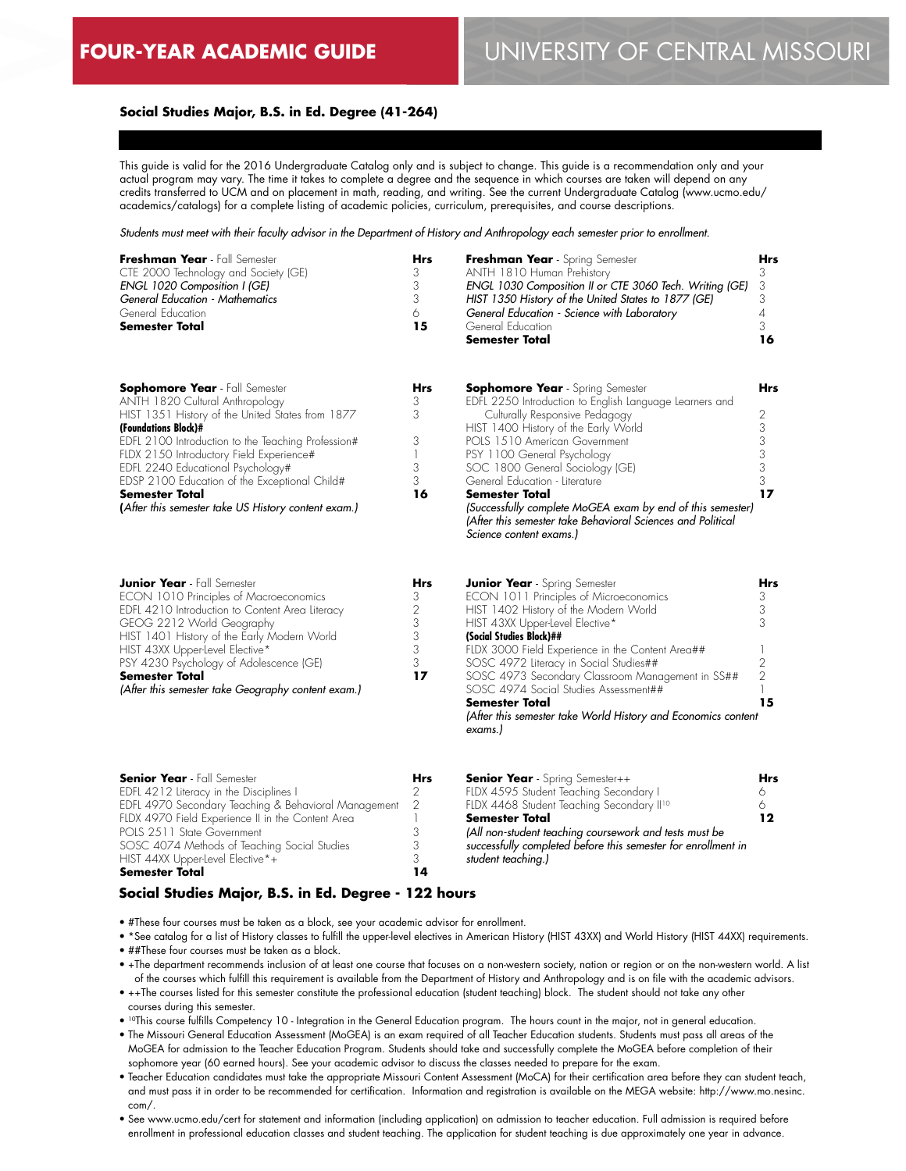**12**

## **Social Studies Major, B.S. in Ed. Degree (41-264)**

This guide is valid for the 2016 Undergraduate Catalog only and is subject to change. This guide is a recommendation only and your actual program may vary. The time it takes to complete a degree and the sequence in which courses are taken will depend on any credits transferred to UCM and on placement in math, reading, and writing. See the current Undergraduate Catalog (www.ucmo.edu/ academics/catalogs) for a complete listing of academic policies, curriculum, prerequisites, and course descriptions.

*Students must meet with their faculty advisor in the Department of History and Anthropology each semester prior to enrollment.*

| Freshman Year - Fall Semester<br>CTE 2000 Technology and Society (GE)<br>ENGL 1020 Composition I (GE)<br><b>General Education - Mathematics</b><br>General Education<br><b>Semester Total</b>                                                                                                                                                                                                                                | <b>Hrs</b><br>3<br>3<br>3<br>6<br>15                    | Freshman Year - Spring Semester<br>ANTH 1810 Human Prehistory<br>ENGL 1030 Composition II or CTE 3060 Tech. Writing (GE)<br>HIST 1350 History of the United States to 1877 (GE)<br>General Education - Science with Laboratory<br>General Education<br><b>Semester Total</b>                                                                                                                                                                                                                       | Hrs<br>3<br>3<br>3<br>4<br>3<br>16              |
|------------------------------------------------------------------------------------------------------------------------------------------------------------------------------------------------------------------------------------------------------------------------------------------------------------------------------------------------------------------------------------------------------------------------------|---------------------------------------------------------|----------------------------------------------------------------------------------------------------------------------------------------------------------------------------------------------------------------------------------------------------------------------------------------------------------------------------------------------------------------------------------------------------------------------------------------------------------------------------------------------------|-------------------------------------------------|
| <b>Sophomore Year</b> - Fall Semester<br>ANTH 1820 Cultural Anthropology<br>HIST 1351 History of the United States from 1877<br>(Foundations Block)#<br>EDFL 2100 Introduction to the Teaching Profession#<br>FLDX 2150 Introductory Field Experience#<br>EDFL 2240 Educational Psychology#<br>EDSP 2100 Education of the Exceptional Child#<br><b>Semester Total</b><br>(After this semester take US History content exam.) | Hrs<br>3<br>3<br>3<br>1<br>3<br>3<br>16                 | <b>Sophomore Year</b> - Spring Semester<br>EDFL 2250 Introduction to English Language Learners and<br>Culturally Responsive Pedagogy<br>HIST 1400 History of the Early World<br>POLS 1510 American Government<br>PSY 1100 General Psychology<br>SOC 1800 General Sociology (GE)<br>General Education - Literature<br><b>Semester Total</b><br>(Successfully complete MoGEA exam by end of this semester)<br>(After this semester take Behavioral Sciences and Political<br>Science content exams.) | Hrs<br>2<br>3<br>3<br>3<br>3<br>3<br>17         |
| <b>Junior Year</b> - Fall Semester<br>ECON 1010 Principles of Macroeconomics<br>EDFL 4210 Introduction to Content Area Literacy<br>GEOG 2212 World Geography<br>HIST 1401 History of the Early Modern World<br>HIST 43XX Upper-level Elective*<br>PSY 4230 Psychology of Adolescence (GE)<br><b>Semester Total</b><br>(After this semester take Geography content exam.)                                                     | <b>Hrs</b><br>3<br>$\sqrt{2}$<br>3<br>3<br>3<br>3<br>17 | <b>Junior Year</b> - Spring Semester<br>ECON 1011 Principles of Microeconomics<br>HIST 1402 History of the Modern World<br>HIST 43XX Upper-level Elective*<br>(Social Studies Block)##<br>FLDX 3000 Field Experience in the Content Area##<br>SOSC 4972 Literacy in Social Studies##<br>SOSC 4973 Secondary Classroom Management in SS##<br>SOSC 4974 Social Studies Assessment##<br><b>Semester Total</b><br>(After this semester take World History and Economics content<br>exams.)             | Hrs<br>3<br>3<br>3<br>2<br>$\overline{2}$<br>15 |
| <b>Senior Year</b> - Fall Semester<br>EDFL 4212 Literacy in the Disciplines I<br>EDFL 4970 Secondary Teaching & Behavioral Management                                                                                                                                                                                                                                                                                        | Hrs<br>2<br>$\mathfrak{D}$                              | <b>Senior Year</b> - Spring Semester++<br>FLDX 4595 Student Teaching Secondary I<br>FLDX 4468 Student Teaching Secondary II <sup>10</sup>                                                                                                                                                                                                                                                                                                                                                          | Hrs<br>6<br>6                                   |

EDFL 4970 Secondary Teaching & Behavioral Management FLDX 4970 Field Experience II in the Content Area POLS 2511 State Government SOSC 4074 Methods of Teaching Social Studies HIST 44XX Upper-level Elective\*+ **Semester Total** 2 1 3 3 3 **14 Semester Total** *(All non-student teaching coursework and tests must be successfully completed before this semester for enrollment in student teaching.)*

### **Social Studies Major, B.S. in Ed. Degree - 122 hours**

- #These four courses must be taken as a block, see your academic advisor for enrollment.
- \*See catalog for a list of History classes to fulfill the upper-level electives in American History (HIST 43XX) and World History (HIST 44XX) requirements. • ##These four courses must be taken as a block.
- +The department recommends inclusion of at least one course that focuses on a non-western society, nation or region or on the non-western world. A list of the courses which fulfill this requirement is available from the Department of History and Anthropology and is on file with the academic advisors.
- ++The courses listed for this semester constitute the professional education (student teaching) block. The student should not take any other courses during this semester.
- 10This course fulfills Competency 10 Integration in the General Education program. The hours count in the major, not in general education.
- The Missouri General Education Assessment (MoGEA) is an exam required of all Teacher Education students. Students must pass all areas of the MoGEA for admission to the Teacher Education Program. Students should take and successfully complete the MoGEA before completion of their sophomore year (60 earned hours). See your academic advisor to discuss the classes needed to prepare for the exam.
- Teacher Education candidates must take the appropriate Missouri Content Assessment (MoCA) for their certification area before they can student teach, and must pass it in order to be recommended for certification. Information and registration is available on the MEGA website: http://www.mo.nesinc. com/.
- See www.ucmo.edu/cert for statement and information (including application) on admission to teacher education. Full admission is required before enrollment in professional education classes and student teaching. The application for student teaching is due approximately one year in advance.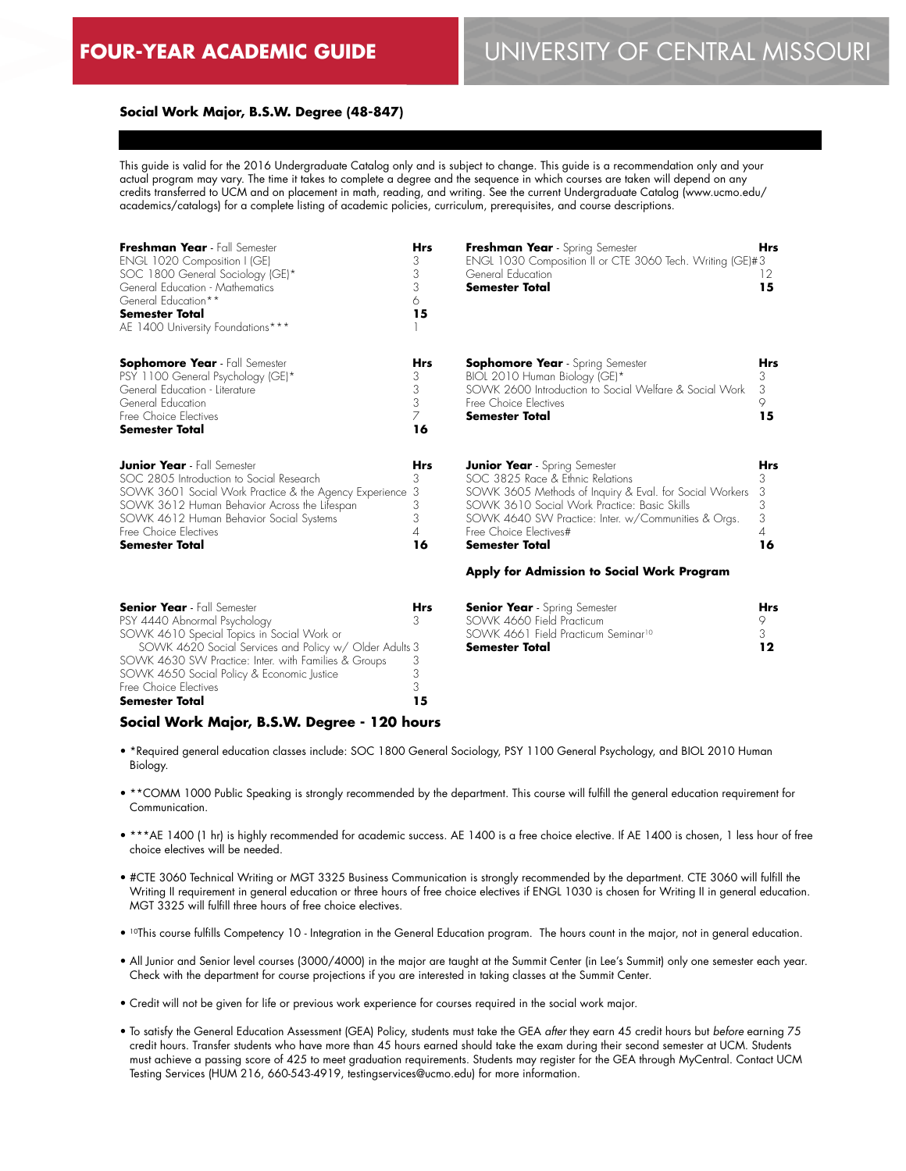# **FOUR-YEAR ACADEMIC GUIDE** UNIVERSITY OF CENTRAL MISSOURI

#### **Social Work Major, B.S.W. Degree (48-847)**

This guide is valid for the 2016 Undergraduate Catalog only and is subject to change. This guide is a recommendation only and your actual program may vary. The time it takes to complete a degree and the sequence in which courses are taken will depend on any credits transferred to UCM and on placement in math, reading, and writing. See the current Undergraduate Catalog (www.ucmo.edu/ academics/catalogs) for a complete listing of academic policies, curriculum, prerequisites, and course descriptions.

| Freshman Year - Fall Semester                          | <b>Hrs</b> | Freshman Year - Spring Semester                           | <b>Hrs</b> |
|--------------------------------------------------------|------------|-----------------------------------------------------------|------------|
| ENGL 1020 Composition I (GE)                           | 3          | ENGL 1030 Composition II or CTE 3060 Tech. Writing (GE)#3 |            |
| SOC 1800 General Sociology (GE)*                       | 3          | General Education                                         | 12         |
| General Education - Mathematics                        | 3          | Semester Total                                            | 15         |
| General Education**                                    | 6          |                                                           |            |
| <b>Semester Total</b>                                  | 15         |                                                           |            |
| AE 1400 University Foundations***                      |            |                                                           |            |
| <b>Sophomore Year</b> - Fall Semester                  | Hrs        | <b>Sophomore Year</b> - Spring Semester                   | Hrs        |
| PSY 1100 General Psychology (GE)*                      | 3          | BIOL 2010 Human Biology (GE)*                             | 3          |
| General Education - Literature                         | 3          | SOWK 2600 Introduction to Social Welfare & Social Work    | 3          |
| General Education                                      | 3          | Free Choice Electives                                     | 9          |
| Free Choice Electives                                  |            | <b>Semester Total</b>                                     | 15         |
| <b>Semester Total</b>                                  | 16         |                                                           |            |
| <b>Junior Year</b> - Fall Semester                     | Hrs        | <b>Junior Year</b> - Spring Semester                      | Hrs        |
| SOC 2805 Introduction to Social Research               | 3          | SOC 3825 Race & Ethnic Relations                          | 3          |
| SOWK 3601 Social Work Practice & the Agency Experience | -3         | SOWK 3605 Methods of Inquiry & Eval. for Social Workers   | 3          |
| SOWK 3612 Human Behavior Across the Lifespan           | 3          | SOWK 3610 Social Work Practice: Basic Skills              | 3          |
| SOWK 4612 Human Behavior Social Systems                | 3          | SOWK 4640 SW Practice: Inter. w/Communities & Orgs.       | 3          |
| Free Choice Electives                                  | 4          | Free Choice Electives#                                    | 4          |
| <b>Semester Total</b>                                  | 16         | Semester Total                                            | 16         |
|                                                        |            | Apply for Admission to Social Work Program                |            |

| <b>Senior Year</b> - Fall Semester                     | Hrs |
|--------------------------------------------------------|-----|
| PSY 4440 Abnormal Psychology                           |     |
| SOWK 4610 Special Topics in Social Work or             |     |
| SOWK 4620 Social Services and Policy w/ Older Adults 3 |     |
| SOWK 4630 SW Practice: Inter. with Families & Groups   |     |
| SOWK 4650 Social Policy & Economic Justice             | 3   |
| Free Choice Electives                                  | 3   |
| <b>Semester Total</b>                                  | 15  |

| <b>Senior Year</b> - Spring Semester            | Hrs |
|-------------------------------------------------|-----|
| SOWK 4660 Field Practicum                       |     |
| SOWK 4661 Field Practicum Seminar <sup>10</sup> |     |
| Semester Total                                  | 12  |

#### **Social Work Major, B.S.W. Degree - 120 hours**

- \*Required general education classes include: SOC 1800 General Sociology, PSY 1100 General Psychology, and BIOL 2010 Human Biology.
- \*\*COMM 1000 Public Speaking is strongly recommended by the department. This course will fulfill the general education requirement for Communication.
- \*\*\*AE 1400 (1 hr) is highly recommended for academic success. AE 1400 is a free choice elective. If AE 1400 is chosen, 1 less hour of free choice electives will be needed.
- #CTE 3060 Technical Writing or MGT 3325 Business Communication is strongly recommended by the department. CTE 3060 will fulfill the Writing II requirement in general education or three hours of free choice electives if ENGL 1030 is chosen for Writing II in general education. MGT 3325 will fulfill three hours of free choice electives.
- 10This course fulfills Competency 10 Integration in the General Education program. The hours count in the major, not in general education.
- All Junior and Senior level courses (3000/4000) in the major are taught at the Summit Center (in Lee's Summit) only one semester each year. Check with the department for course projections if you are interested in taking classes at the Summit Center.
- Credit will not be given for life or previous work experience for courses required in the social work major.
- To satisfy the General Education Assessment (GEA) Policy, students must take the GEA *after* they earn 45 credit hours but *before* earning 75 credit hours. Transfer students who have more than 45 hours earned should take the exam during their second semester at UCM. Students must achieve a passing score of 425 to meet graduation requirements. Students may register for the GEA through MyCentral. Contact UCM Testing Services (HUM 216, 660-543-4919, testingservices@ucmo.edu) for more information.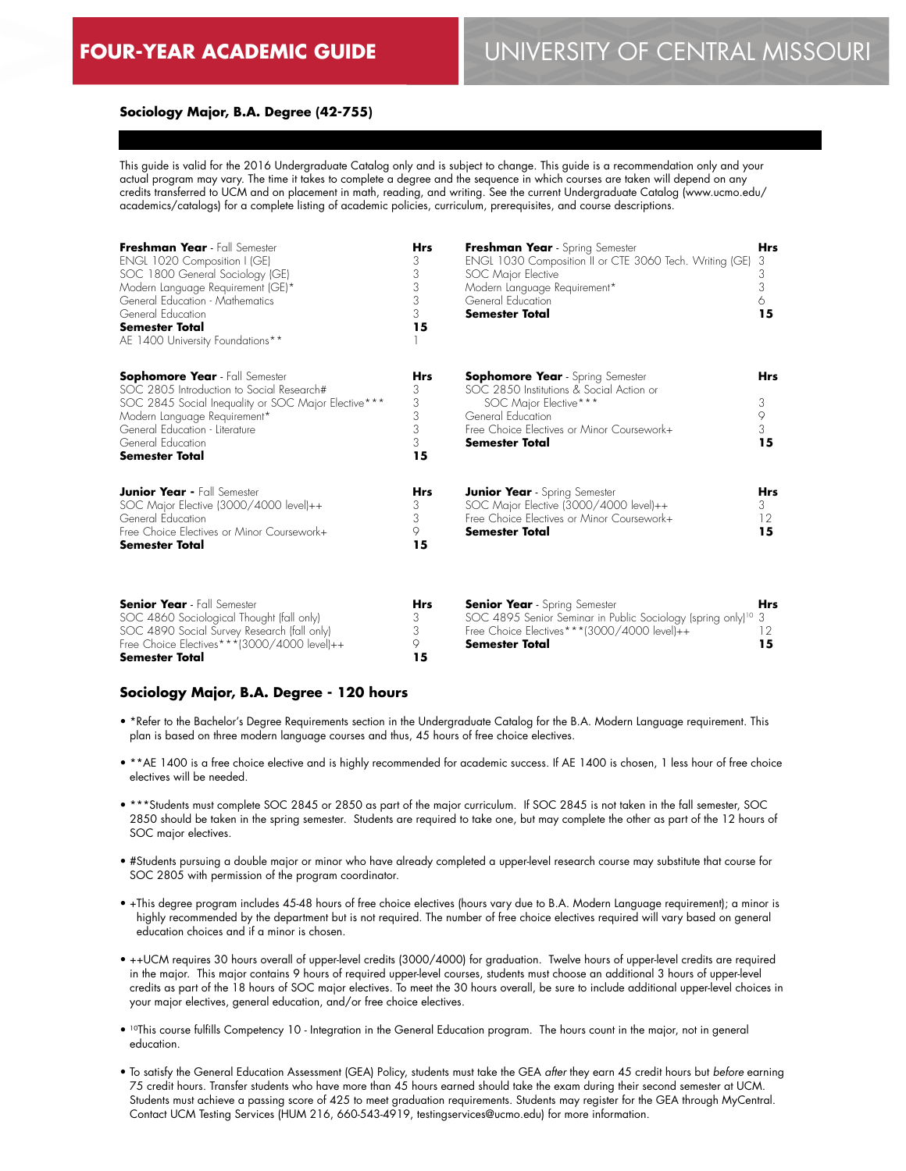**15**

#### **Sociology Major, B.A. Degree (42-755)**

This guide is valid for the 2016 Undergraduate Catalog only and is subject to change. This guide is a recommendation only and your actual program may vary. The time it takes to complete a degree and the sequence in which courses are taken will depend on any credits transferred to UCM and on placement in math, reading, and writing. See the current Undergraduate Catalog (www.ucmo.edu/ academics/catalogs) for a complete listing of academic policies, curriculum, prerequisites, and course descriptions.

| Freshman Year - Fall Semester<br>ENGL 1020 Composition I (GE)<br>SOC 1800 General Sociology (GE)<br>Modern Language Requirement (GE)*<br>General Education - Mathematics<br>General Education<br><b>Semester Total</b><br>AE 1400 University Foundations** | <b>Hrs</b><br>3<br>3<br>3<br>3<br>3<br>15 | Freshman Year - Spring Semester<br>ENGL 1030 Composition II or CTE 3060 Tech. Writing (GE)<br>SOC Major Elective<br>Modern Language Requirement*<br>General Education<br><b>Semester Total</b>    | Hrs<br>3<br>3<br>3<br>6.<br>15  |
|------------------------------------------------------------------------------------------------------------------------------------------------------------------------------------------------------------------------------------------------------------|-------------------------------------------|---------------------------------------------------------------------------------------------------------------------------------------------------------------------------------------------------|---------------------------------|
| <b>Sophomore Year</b> - Fall Semester<br>SOC 2805 Introduction to Social Research#<br>SOC 2845 Social Inequality or SOC Major Elective***<br>Modern Language Requirement*<br>General Education - Literature<br>General Education<br><b>Semester Total</b>  | Hrs<br>3<br>3<br>3<br>3<br>3<br>15        | <b>Sophomore Year</b> - Spring Semester<br>SOC 2850 Institutions & Social Action or<br>SOC Major Elective***<br>General Education<br>Free Choice Electives or Minor Coursework+<br>Semester Total | <b>Hrs</b><br>3<br>9<br>3<br>15 |
| <b>Junior Year - Fall Semester</b><br>SOC Major Elective (3000/4000 level)++<br>General Education<br>Free Choice Electives or Minor Coursework+<br><b>Semester Total</b>                                                                                   | <b>Hrs</b><br>3<br>3<br>9<br>15           | <b>Junior Year</b> - Spring Semester<br>SOC Major Elective (3000/4000 level)++<br>Free Choice Electives or Minor Coursework+<br>Semester Total                                                    | Hrs<br>3<br>12<br>15            |
| <b>Senior Year</b> - Fall Semester<br>SOC 4860 Sociological Thought (fall only)<br>SOC 4890 Social Survey Research (fall only)                                                                                                                             | <b>Hrs</b><br>3<br>3                      | <b>Senior Year</b> - Spring Semester<br>SOC 4895 Senior Seminar in Public Sociology (spring only) <sup>10</sup> 3<br>Free Choice Electives***(3000/4000 level)++                                  | Hrs<br>12                       |

#### **Sociology Major, B.A. Degree - 120 hours**

Free Choice Electives\*\*\*(3000/4000 level)++

**Semester Total**

• \*Refer to the Bachelor's Degree Requirements section in the Undergraduate Catalog for the B.A. Modern Language requirement. This plan is based on three modern language courses and thus, 45 hours of free choice electives.

**Semester Total**

 $\circ$ **15**

- \*\*AE 1400 is a free choice elective and is highly recommended for academic success. If AE 1400 is chosen, 1 less hour of free choice electives will be needed.
- \*\*\*Students must complete SOC 2845 or 2850 as part of the major curriculum. If SOC 2845 is not taken in the fall semester, SOC 2850 should be taken in the spring semester. Students are required to take one, but may complete the other as part of the 12 hours of SOC major electives.
- #Students pursuing a double major or minor who have already completed a upper-level research course may substitute that course for SOC 2805 with permission of the program coordinator.
- +This degree program includes 45-48 hours of free choice electives (hours vary due to B.A. Modern Language requirement); a minor is highly recommended by the department but is not required. The number of free choice electives required will vary based on general education choices and if a minor is chosen.
- ++UCM requires 30 hours overall of upper-level credits (3000/4000) for graduation. Twelve hours of upper-level credits are required in the major. This major contains 9 hours of required upper-level courses, students must choose an additional 3 hours of upper-level credits as part of the 18 hours of SOC major electives. To meet the 30 hours overall, be sure to include additional upper-level choices in your major electives, general education, and/or free choice electives.
- 10This course fulfills Competency 10 Integration in the General Education program. The hours count in the major, not in general education.
- To satisfy the General Education Assessment (GEA) Policy, students must take the GEA *after* they earn 45 credit hours but *before* earning 75 credit hours. Transfer students who have more than 45 hours earned should take the exam during their second semester at UCM. Students must achieve a passing score of 425 to meet graduation requirements. Students may register for the GEA through MyCentral. Contact UCM Testing Services (HUM 216, 660-543-4919, testingservices@ucmo.edu) for more information.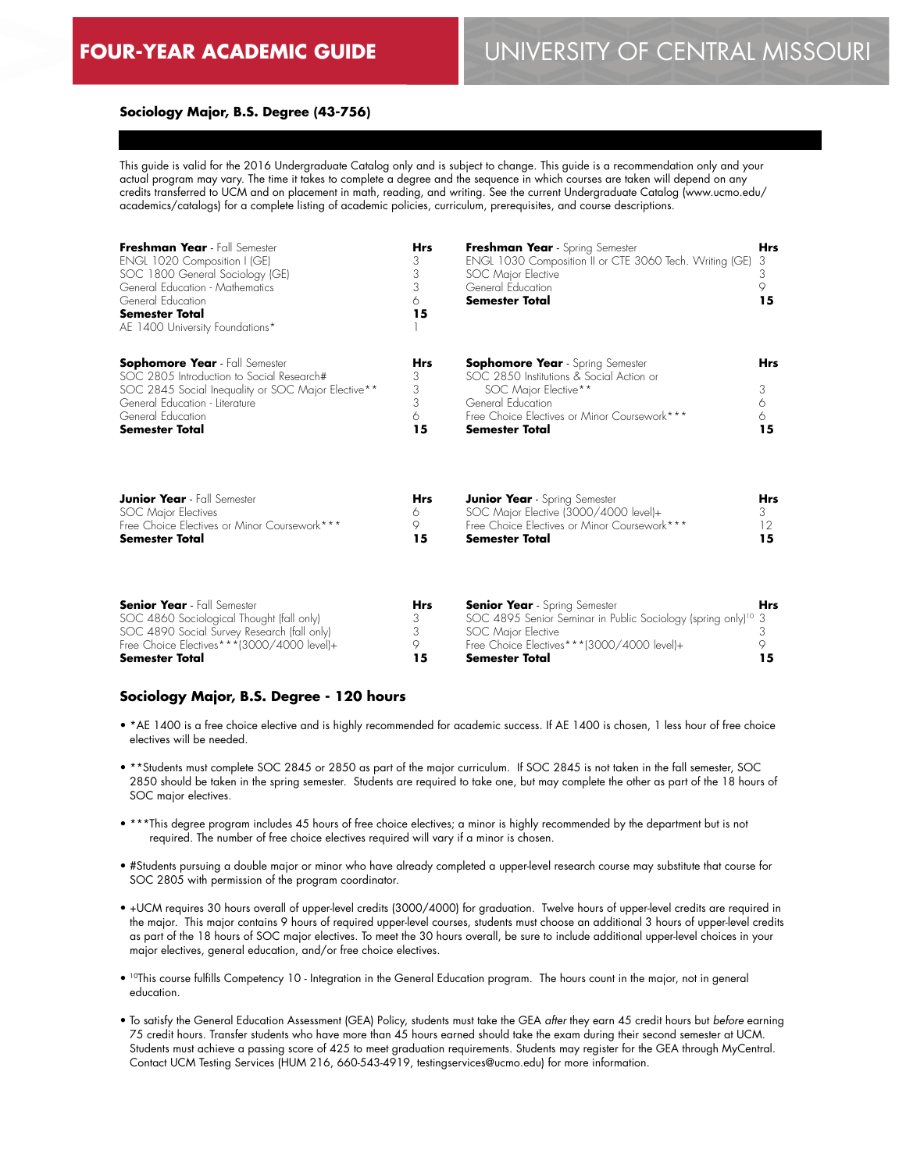**15**

# **Sociology Major, B.S. Degree (43-756)**

This guide is valid for the 2016 Undergraduate Catalog only and is subject to change. This guide is a recommendation only and your actual program may vary. The time it takes to complete a degree and the sequence in which courses are taken will depend on any credits transferred to UCM and on placement in math, reading, and writing. See the current Undergraduate Catalog (www.ucmo.edu/ academics/catalogs) for a complete listing of academic policies, curriculum, prerequisites, and course descriptions.

| Freshman Year - Fall Semester<br>ENGL 1020 Composition I (GE)<br>SOC 1800 General Sociology (GE)<br>General Education - Mathematics<br>General Education<br><b>Semester Total</b><br>AE 1400 University Foundations*     | <b>Hrs</b><br>3<br>3<br>3<br>6<br>15 | Freshman Year - Spring Semester<br>ENGL 1030 Composition II or CTE 3060 Tech. Writing (GE)<br>SOC Major Elective<br>General Education<br><b>Semester Total</b>                                            | <b>Hrs</b><br>3<br>3<br>9<br>15 |
|--------------------------------------------------------------------------------------------------------------------------------------------------------------------------------------------------------------------------|--------------------------------------|-----------------------------------------------------------------------------------------------------------------------------------------------------------------------------------------------------------|---------------------------------|
| <b>Sophomore Year</b> - Fall Semester<br>SOC 2805 Introduction to Social Research#<br>SOC 2845 Social Inequality or SOC Major Elective**<br>General Education - Literature<br>General Education<br><b>Semester Total</b> | <b>Hrs</b><br>3<br>3<br>3<br>6<br>15 | <b>Sophomore Year</b> - Spring Semester<br>SOC 2850 Institutions & Social Action or<br>SOC Major Elective**<br>General Education<br>Free Choice Electives or Minor Coursework***<br><b>Semester Total</b> | <b>Hrs</b><br>3<br>6<br>6<br>15 |
| <b>Junior Year</b> - Fall Semester                                                                                                                                                                                       | <b>Hrs</b>                           | <b>Junior Year</b> - Spring Semester                                                                                                                                                                      | <b>Hrs</b>                      |
| SOC Major Electives                                                                                                                                                                                                      | 6                                    | SOC Major Elective (3000/4000 level)+                                                                                                                                                                     | 3                               |
| Free Choice Electives or Minor Coursework***                                                                                                                                                                             | 9                                    | Free Choice Electives or Minor Coursework***                                                                                                                                                              | 12                              |
| <b>Semester Total</b>                                                                                                                                                                                                    | 15                                   | <b>Semester Total</b>                                                                                                                                                                                     | 15                              |
| <b>Senior Year</b> - Fall Semester                                                                                                                                                                                       | Hrs                                  | <b>Senior Year</b> - Spring Semester                                                                                                                                                                      | <b>Hrs</b>                      |
| SOC 4860 Sociological Thought (fall only)                                                                                                                                                                                | 3                                    | SOC 4895 Senior Seminar in Public Sociology (spring only) <sup>10</sup>                                                                                                                                   | 3                               |
| SOC 4890 Social Survey Research (fall only)                                                                                                                                                                              | 3                                    | SOC Major Elective                                                                                                                                                                                        | 3                               |
| Free Choice Electives***(3000/4000 level)+                                                                                                                                                                               | 9                                    | Free Choice Electives***(3000/4000 level)+                                                                                                                                                                | 9                               |

#### **Sociology Major, B.S. Degree - 120 hours**

**Semester Total**

• \*AE 1400 is a free choice elective and is highly recommended for academic success. If AE 1400 is chosen, 1 less hour of free choice electives will be needed.

**Semester Total**

**15**

- \*\*Students must complete SOC 2845 or 2850 as part of the major curriculum. If SOC 2845 is not taken in the fall semester, SOC 2850 should be taken in the spring semester. Students are required to take one, but may complete the other as part of the 18 hours of SOC major electives.
- \*\*\*This degree program includes 45 hours of free choice electives; a minor is highly recommended by the department but is not required. The number of free choice electives required will vary if a minor is chosen.
- #Students pursuing a double major or minor who have already completed a upper-level research course may substitute that course for SOC 2805 with permission of the program coordinator.
- +UCM requires 30 hours overall of upper-level credits (3000/4000) for graduation. Twelve hours of upper-level credits are required in the major. This major contains 9 hours of required upper-level courses, students must choose an additional 3 hours of upper-level credits as part of the 18 hours of SOC major electives. To meet the 30 hours overall, be sure to include additional upper-level choices in your major electives, general education, and/or free choice electives.
- 10This course fulfills Competency 10 Integration in the General Education program. The hours count in the major, not in general education.
- To satisfy the General Education Assessment (GEA) Policy, students must take the GEA *after* they earn 45 credit hours but *before* earning 75 credit hours. Transfer students who have more than 45 hours earned should take the exam during their second semester at UCM. Students must achieve a passing score of 425 to meet graduation requirements. Students may register for the GEA through MyCentral. Contact UCM Testing Services (HUM 216, 660-543-4919, testingservices@ucmo.edu) for more information.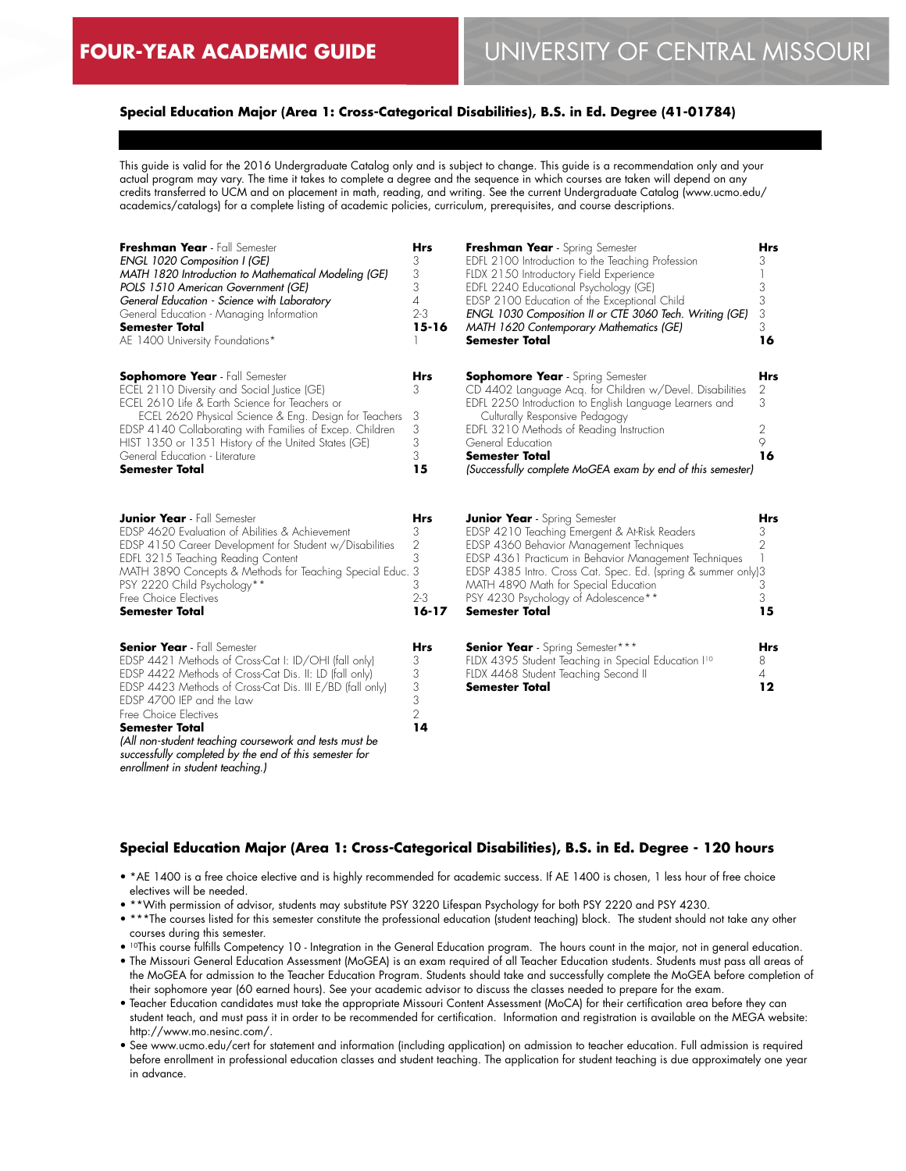# **Special Education Major (Area 1: Cross-Categorical Disabilities), B.S. in Ed. Degree (41-01784)**

This guide is valid for the 2016 Undergraduate Catalog only and is subject to change. This guide is a recommendation only and your actual program may vary. The time it takes to complete a degree and the sequence in which courses are taken will depend on any credits transferred to UCM and on placement in math, reading, and writing. See the current Undergraduate Catalog (www.ucmo.edu/ academics/catalogs) for a complete listing of academic policies, curriculum, prerequisites, and course descriptions.

| Freshman Year - Fall Semester<br><b>ENGL 1020 Composition I (GE)</b><br>MATH 1820 Introduction to Mathematical Modeling (GE)<br>POLS 1510 American Government (GE)<br>General Education - Science with Laboratory<br>General Education - Managing Information<br><b>Semester Total</b><br>AE 1400 University Foundations*                                                                                                                               | <b>Hrs</b><br>3<br>3<br>3<br>4<br>$2 - 3$<br>$15 - 16$ | Freshman Year - Spring Semester<br>EDFL 2100 Introduction to the Teaching Profession<br>FLDX 2150 Introductory Field Experience<br>EDFL 2240 Educational Psychology (GE)<br>EDSP 2100 Education of the Exceptional Child<br>ENGL 1030 Composition II or CTE 3060 Tech. Writing (GE)<br>MATH 1620 Contemporary Mathematics (GE)<br><b>Semester Total</b>       | <b>Hrs</b><br>3<br>3<br>3<br>3<br>3<br>16 |
|---------------------------------------------------------------------------------------------------------------------------------------------------------------------------------------------------------------------------------------------------------------------------------------------------------------------------------------------------------------------------------------------------------------------------------------------------------|--------------------------------------------------------|---------------------------------------------------------------------------------------------------------------------------------------------------------------------------------------------------------------------------------------------------------------------------------------------------------------------------------------------------------------|-------------------------------------------|
| <b>Sophomore Year</b> - Fall Semester<br>ECEL 2110 Diversity and Social Justice (GE)<br>ECEL 2610 Life & Earth Science for Teachers or<br>ECEL 2620 Physical Science & Eng. Design for Teachers<br>EDSP 4140 Collaborating with Families of Excep. Children<br>HIST 1350 or 1351 History of the United States (GE)<br>General Education - Literature<br><b>Semester Total</b>                                                                           | Hrs<br>3<br>3<br>3<br>3<br>3<br>15                     | <b>Sophomore Year</b> - Spring Semester<br>CD 4402 Language Acq. for Children w/Devel. Disabilities<br>EDFL 2250 Introduction to English Language Learners and<br>Culturally Responsive Pedagogy<br>EDFL 3210 Methods of Reading Instruction<br>General Education<br><b>Semester Total</b><br>(Successfully complete MoGEA exam by end of this semester)      | Hrs<br>2<br>3<br>2<br>9<br>16             |
| <b>Junior Year</b> - Fall Semester<br>EDSP 4620 Evaluation of Abilities & Achievement<br>EDSP 4150 Career Development for Student w/Disabilities<br>EDFL 3215 Teaching Reading Content<br>MATH 3890 Concepts & Methods for Teaching Special Educ. 3<br>PSY 2220 Child Psychology**<br>Free Choice Electives<br><b>Semester Total</b>                                                                                                                    | Hrs<br>3<br>2<br>3<br>3<br>$2 - 3$<br>$16 - 17$        | <b>Junior Year</b> - Spring Semester<br>EDSP 4210 Teaching Emergent & At-Risk Readers<br>EDSP 4360 Behavior Management Techniques<br>EDSP 4361 Practicum in Behavior Management Techniques<br>EDSP 4385 Intro. Cross Cat. Spec. Ed. (spring & summer only)3<br>MATH 4890 Math for Special Education<br>PSY 4230 Psychology of Adolescence**<br>Semester Total | Hrs<br>3<br>2<br>3<br>3<br>15             |
| <b>Senior Year</b> - Fall Semester<br>EDSP 4421 Methods of Cross-Cat I: ID/OHI (fall only)<br>EDSP 4422 Methods of Cross-Cat Dis. II: LD (fall only)<br>EDSP 4423 Methods of Cross-Cat Dis. III E/BD (fall only)<br>EDSP 4700 IEP and the Law<br>Free Choice Electives<br><b>Semester Total</b><br>(All non-student teaching coursework and tests must be<br>successfully completed by the end of this semester for<br>enrollment in student teaching.) | <b>Hrs</b><br>3<br>3<br>3<br>3<br>$\overline{2}$<br>14 | <b>Senior Year</b> - Spring Semester***<br>FLDX 4395 Student Teaching in Special Education I <sup>10</sup><br>FLDX 4468 Student Teaching Second II<br>Semester Total                                                                                                                                                                                          | <b>Hrs</b><br>8<br>4<br>12                |

# **Special Education Major (Area 1: Cross-Categorical Disabilities), B.S. in Ed. Degree - 120 hours**

- \*AE 1400 is a free choice elective and is highly recommended for academic success. If AE 1400 is chosen, 1 less hour of free choice electives will be needed.
- \*\*With permission of advisor, students may substitute PSY 3220 Lifespan Psychology for both PSY 2220 and PSY 4230.
- \*\*\*The courses listed for this semester constitute the professional education (student teaching) block. The student should not take any other courses during this semester.
- 10This course fulfills Competency 10 Integration in the General Education program. The hours count in the major, not in general education. • The Missouri General Education Assessment (MoGEA) is an exam required of all Teacher Education students. Students must pass all areas of
- the MoGEA for admission to the Teacher Education Program. Students should take and successfully complete the MoGEA before completion of their sophomore year (60 earned hours). See your academic advisor to discuss the classes needed to prepare for the exam.
- Teacher Education candidates must take the appropriate Missouri Content Assessment (MoCA) for their certification area before they can student teach, and must pass it in order to be recommended for certification. Information and registration is available on the MEGA website: http://www.mo.nesinc.com/.
- See www.ucmo.edu/cert for statement and information (including application) on admission to teacher education. Full admission is required before enrollment in professional education classes and student teaching. The application for student teaching is due approximately one year in advance.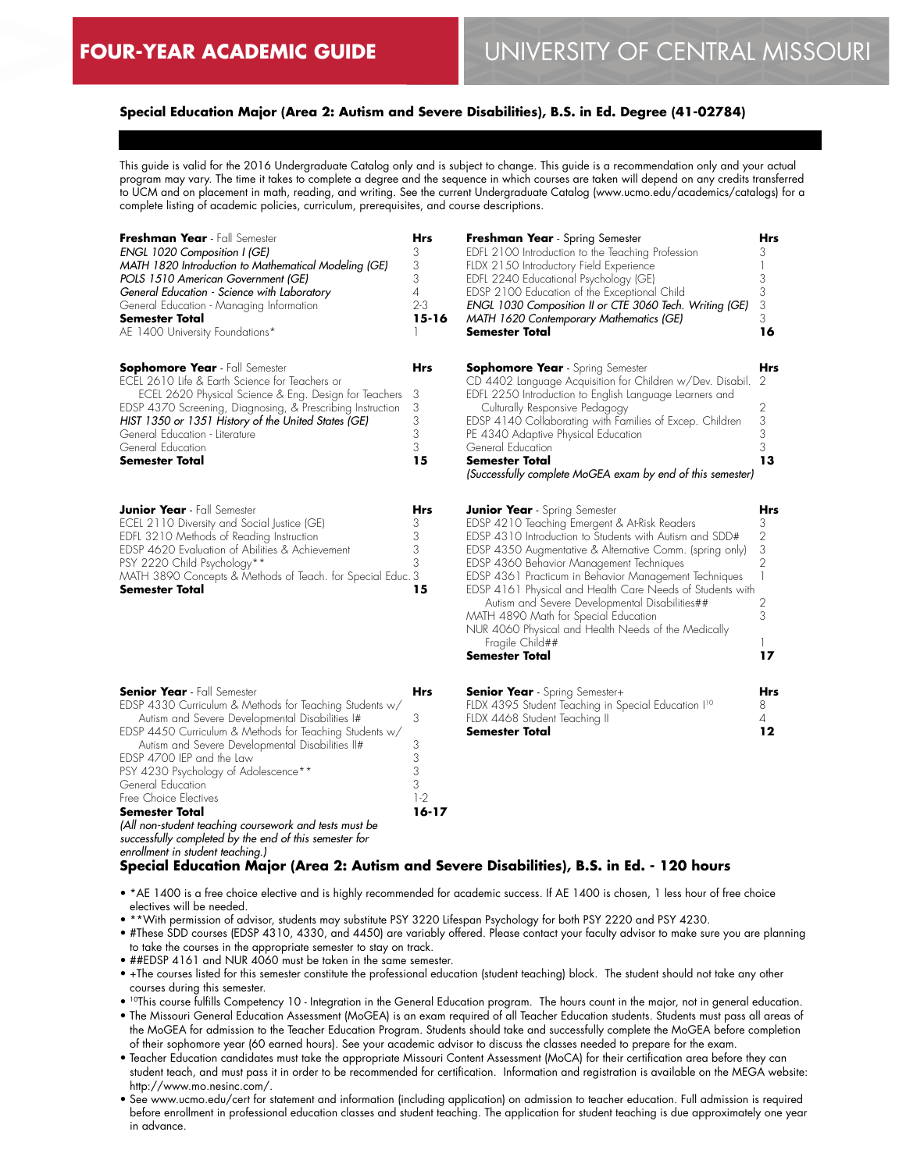# **Special Education Major (Area 2: Autism and Severe Disabilities), B.S. in Ed. Degree (41-02784)**

This guide is valid for the 2016 Undergraduate Catalog only and is subject to change. This guide is a recommendation only and your actual program may vary. The time it takes to complete a degree and the sequence in which courses are taken will depend on any credits transferred to UCM and on placement in math, reading, and writing. See the current Undergraduate Catalog (www.ucmo.edu/academics/catalogs) for a complete listing of academic policies, curriculum, prerequisites, and course descriptions.

| Freshman Year - Fall Semester<br>ENGL 1020 Composition I (GE)<br>MATH 1820 Introduction to Mathematical Modeling (GE)<br>POLS 1510 American Government (GE)<br>General Education - Science with Laboratory<br>General Education - Managing Information<br><b>Semester Total</b><br>AE 1400 University Foundations*                                                                 | Hrs<br>3<br>3<br>3<br>4<br>$2 - 3$<br>$15 - 16$ | <b>Freshman Year</b> - Spring Semester<br>EDFL 2100 Introduction to the Teaching Profession<br>FLDX 2150 Introductory Field Experience<br>EDFL 2240 Educational Psychology (GE)<br>EDSP 2100 Education of the Exceptional Child<br>ENGL 1030 Composition II or CTE 3060 Tech. Writing (GE)<br>MATH 1620 Contemporary Mathematics (GE)<br><b>Semester Total</b>                                                                                                                                                                                                              | <b>Hrs</b><br>3<br>1<br>3<br>3<br>3<br>3<br>16                         |
|------------------------------------------------------------------------------------------------------------------------------------------------------------------------------------------------------------------------------------------------------------------------------------------------------------------------------------------------------------------------------------|-------------------------------------------------|-----------------------------------------------------------------------------------------------------------------------------------------------------------------------------------------------------------------------------------------------------------------------------------------------------------------------------------------------------------------------------------------------------------------------------------------------------------------------------------------------------------------------------------------------------------------------------|------------------------------------------------------------------------|
| <b>Sophomore Year</b> - Fall Semester<br>ECEL 2610 Life & Earth Science for Teachers or<br>ECEL 2620 Physical Science & Eng. Design for Teachers<br>EDSP 4370 Screening, Diagnosing, & Prescribing Instruction<br>HIST 1350 or 1351 History of the United States (GE)<br>General Education - Literature<br>General Education<br>Semester Total                                     | <b>Hrs</b><br>3<br>3<br>3<br>3<br>3<br>15       | <b>Sophomore Year</b> - Spring Semester<br>CD 4402 Language Acquisition for Children w/Dev. Disabil.<br>EDFL 2250 Introduction to English Language Learners and<br>Culturally Responsive Pedagogy<br>EDSP 4140 Collaborating with Families of Excep. Children<br>PE 4340 Adaptive Physical Education<br>General Education<br><b>Semester Total</b><br>(Successfully complete MoGEA exam by end of this semester)                                                                                                                                                            | Hrs<br>-2<br>2<br>3<br>3<br>3<br>13                                    |
| <b>Junior Year</b> - Fall Semester<br>ECEL 2110 Diversity and Social Justice (GE)<br>EDFL 3210 Methods of Reading Instruction<br>EDSP 4620 Evaluation of Abilities & Achievement<br>PSY 2220 Child Psychology**<br>MATH 3890 Concepts & Methods of Teach. for Special Educ. 3<br><b>Semester Total</b>                                                                             | <b>Hrs</b><br>3<br>3<br>3<br>3<br>15            | <b>Junior Year</b> - Spring Semester<br>EDSP 4210 Teaching Emergent & At-Risk Readers<br>EDSP 4310 Introduction to Students with Autism and SDD#<br>EDSP 4350 Augmentative & Alternative Comm. (spring only)<br>EDSP 4360 Behavior Management Techniques<br>EDSP 4361 Practicum in Behavior Management Techniques<br>EDSP 4161 Physical and Health Care Needs of Students with<br>Autism and Severe Developmental Disabilities##<br>MATH 4890 Math for Special Education<br>NUR 4060 Physical and Health Needs of the Medically<br>Fragile Child##<br><b>Semester Total</b> | Hrs<br>3<br>$\overline{2}$<br>3<br>$\overline{2}$<br>1<br>2<br>3<br>17 |
| <b>Senior Year</b> - Fall Semester<br>EDSP 4330 Curriculum & Methods for Teaching Students w/<br>Autism and Severe Developmental Disabilities I#<br>EDSP 4450 Curriculum & Methods for Teaching Students w/<br>Autism and Severe Developmental Disabilities II#<br>EDSP 4700 IEP and the Law<br>PSY 4230 Psychology of Adolescence**<br>General Education<br>Free Choice Electives | <b>Hrs</b><br>3<br>3<br>3<br>3<br>3<br>$1-2$    | <b>Senior Year</b> - Spring Semester+<br>FLDX 4395 Student Teaching in Special Education I <sup>10</sup><br>FLDX 4468 Student Teaching II<br><b>Semester Total</b>                                                                                                                                                                                                                                                                                                                                                                                                          | <b>Hrs</b><br>8<br>4<br>$12 \,$                                        |

**Special Education Major (Area 2: Autism and Severe Disabilities), B.S. in Ed. - 120 hours** *enrollment in student teaching.)*

**16-17**

- \*AE 1400 is a free choice elective and is highly recommended for academic success. If AE 1400 is chosen, 1 less hour of free choice electives will be needed.
- \*\*With permission of advisor, students may substitute PSY 3220 Lifespan Psychology for both PSY 2220 and PSY 4230.
- #These SDD courses (EDSP 4310, 4330, and 4450) are variably offered. Please contact your faculty advisor to make sure you are planning to take the courses in the appropriate semester to stay on track.
- ##EDSP 4161 and NUR 4060 must be taken in the same semester.

*(All non-student teaching coursework and tests must be successfully completed by the end of this semester for* 

**Semester Total**

- +The courses listed for this semester constitute the professional education (student teaching) block. The student should not take any other courses during this semester.
- 10This course fulfills Competency 10 Integration in the General Education program. The hours count in the major, not in general education.
- The Missouri General Education Assessment (MoGEA) is an exam required of all Teacher Education students. Students must pass all areas of the MoGEA for admission to the Teacher Education Program. Students should take and successfully complete the MoGEA before completion of their sophomore year (60 earned hours). See your academic advisor to discuss the classes needed to prepare for the exam.
- Teacher Education candidates must take the appropriate Missouri Content Assessment (MoCA) for their certification area before they can student teach, and must pass it in order to be recommended for certification. Information and registration is available on the MEGA website: http://www.mo.nesinc.com/.
- See www.ucmo.edu/cert for statement and information (including application) on admission to teacher education. Full admission is required before enrollment in professional education classes and student teaching. The application for student teaching is due approximately one year in advance.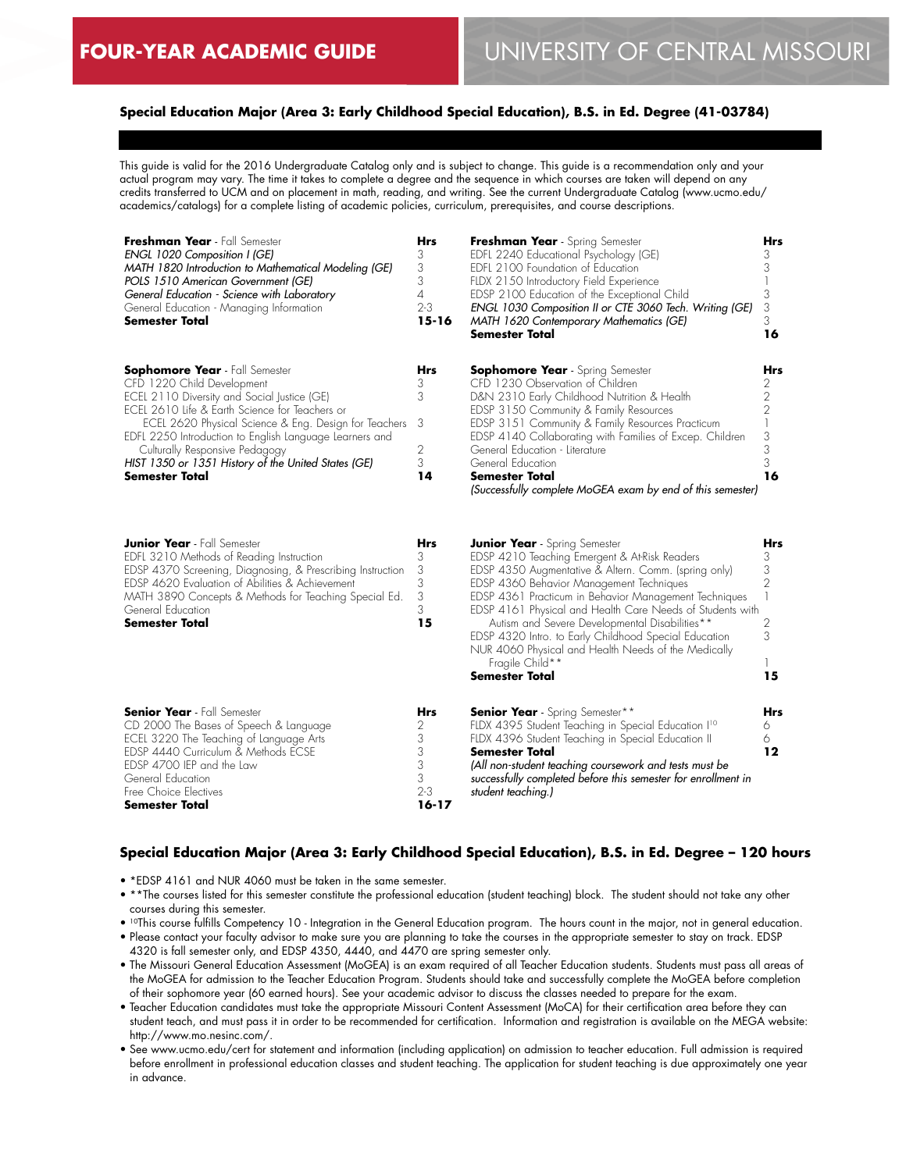# **Special Education Major (Area 3: Early Childhood Special Education), B.S. in Ed. Degree (41-03784)**

This guide is valid for the 2016 Undergraduate Catalog only and is subject to change. This guide is a recommendation only and your actual program may vary. The time it takes to complete a degree and the sequence in which courses are taken will depend on any credits transferred to UCM and on placement in math, reading, and writing. See the current Undergraduate Catalog (www.ucmo.edu/ academics/catalogs) for a complete listing of academic policies, curriculum, prerequisites, and course descriptions.

| Freshman Year - Fall Semester<br>ENGL 1020 Composition I (GE)<br>MATH 1820 Introduction to Mathematical Modeling (GE)<br>POLS 1510 American Government (GE)<br>General Education - Science with Laboratory<br>General Education - Managing Information<br><b>Semester Total</b>                                                                                                                            | <b>Hrs</b><br>3<br>3<br>3<br>4<br>$2 - 3$<br>$15 - 16$ | Freshman Year - Spring Semester<br>EDFL 2240 Educational Psychology (GE)<br>EDFL 2100 Foundation of Education<br>FLDX 2150 Introductory Field Experience<br>EDSP 2100 Education of the Exceptional Child<br>ENGL 1030 Composition II or CTE 3060 Tech. Writing (GE)<br><b>MATH 1620 Contemporary Mathematics (GE)</b><br>Semester Total                                                                                                                                                                                | Hrs<br>3<br>3<br>3<br>3<br>3<br>16      |
|------------------------------------------------------------------------------------------------------------------------------------------------------------------------------------------------------------------------------------------------------------------------------------------------------------------------------------------------------------------------------------------------------------|--------------------------------------------------------|------------------------------------------------------------------------------------------------------------------------------------------------------------------------------------------------------------------------------------------------------------------------------------------------------------------------------------------------------------------------------------------------------------------------------------------------------------------------------------------------------------------------|-----------------------------------------|
| <b>Sophomore Year</b> - Fall Semester<br>CFD 1220 Child Development<br>ECEL 2110 Diversity and Social Justice (GE)<br>ECEL 2610 Life & Earth Science for Teachers or<br>ECEL 2620 Physical Science & Eng. Design for Teachers<br>EDFL 2250 Introduction to English Language Learners and<br>Culturally Responsive Pedagogy<br>HIST 1350 or 1351 History of the United States (GE)<br><b>Semester Total</b> | Hrs<br>3<br>3<br>-3<br>2<br>3<br>14                    | <b>Sophomore Year</b> - Spring Semester<br>CFD 1230 Observation of Children<br>D&N 2310 Early Childhood Nutrition & Health<br>EDSP 3150 Community & Family Resources<br>EDSP 3151 Community & Family Resources Practicum<br>EDSP 4140 Collaborating with Families of Excep. Children<br>General Education - Literature<br>General Education<br><b>Semester Total</b><br>(Successfully complete MoGEA exam by end of this semester)                                                                                     | Hrs<br>2<br>2<br>2<br>3<br>3<br>3<br>16 |
| <b>Junior Year</b> - Fall Semester<br>EDFL 3210 Methods of Reading Instruction<br>EDSP 4370 Screening, Diagnosing, & Prescribing Instruction<br>EDSP 4620 Evaluation of Abilities & Achievement<br>MATH 3890 Concepts & Methods for Teaching Special Ed.<br>General Education<br><b>Semester Total</b>                                                                                                     | Hrs<br>3<br>3<br>3<br>3<br>3<br>15                     | <b>Junior Year</b> - Spring Semester<br>EDSP 4210 Teaching Emergent & At-Risk Readers<br>EDSP 4350 Augmentative & Altern. Comm. (spring only)<br>EDSP 4360 Behavior Management Techniques<br>EDSP 4361 Practicum in Behavior Management Techniques<br>EDSP 4161 Physical and Health Care Needs of Students with<br>Autism and Severe Developmental Disabilities**<br>EDSP 4320 Intro. to Early Childhood Special Education<br>NUR 4060 Physical and Health Needs of the Medically<br>Fragile Child**<br>Semester Total | Hrs<br>3<br>3<br>2<br>2<br>3<br>15      |
| <b>Senior Year</b> - Fall Semester<br>CD 2000 The Bases of Speech & Language<br>ECEL 3220 The Teaching of Language Arts<br>EDSP 4440 Curriculum & Methods ECSE<br>EDSP 4700 IEP and the Law<br>General Education<br>Free Choice Electives                                                                                                                                                                  | Hrs<br>2<br>3<br>3<br>3<br>3<br>$2 - 3$                | <b>Senior Year</b> - Spring Semester**<br>FLDX 4395 Student Teaching in Special Education I <sup>10</sup><br>FLDX 4396 Student Teaching in Special Education II<br><b>Semester Total</b><br>(All non-student teaching coursework and tests must be<br>successfully completed before this semester for enrollment in<br>student teaching.)                                                                                                                                                                              | Hrs<br>6<br>6<br>$12 \,$                |

#### **Special Education Major (Area 3: Early Childhood Special Education), B.S. in Ed. Degree – 120 hours**

• \*EDSP 4161 and NUR 4060 must be taken in the same semester.

**Semester Total**

• \*\*The courses listed for this semester constitute the professional education (student teaching) block. The student should not take any other courses during this semester.

**16-17**

- 10This course fulfills Competency 10 Integration in the General Education program. The hours count in the major, not in general education. • Please contact your faculty advisor to make sure you are planning to take the courses in the appropriate semester to stay on track. EDSP 4320 is fall semester only, and EDSP 4350, 4440, and 4470 are spring semester only.
- The Missouri General Education Assessment (MoGEA) is an exam required of all Teacher Education students. Students must pass all areas of the MoGEA for admission to the Teacher Education Program. Students should take and successfully complete the MoGEA before completion of their sophomore year (60 earned hours). See your academic advisor to discuss the classes needed to prepare for the exam.
- Teacher Education candidates must take the appropriate Missouri Content Assessment (MoCA) for their certification area before they can student teach, and must pass it in order to be recommended for certification. Information and registration is available on the MEGA website: http://www.mo.nesinc.com/.
- See www.ucmo.edu/cert for statement and information (including application) on admission to teacher education. Full admission is required before enrollment in professional education classes and student teaching. The application for student teaching is due approximately one year in advance.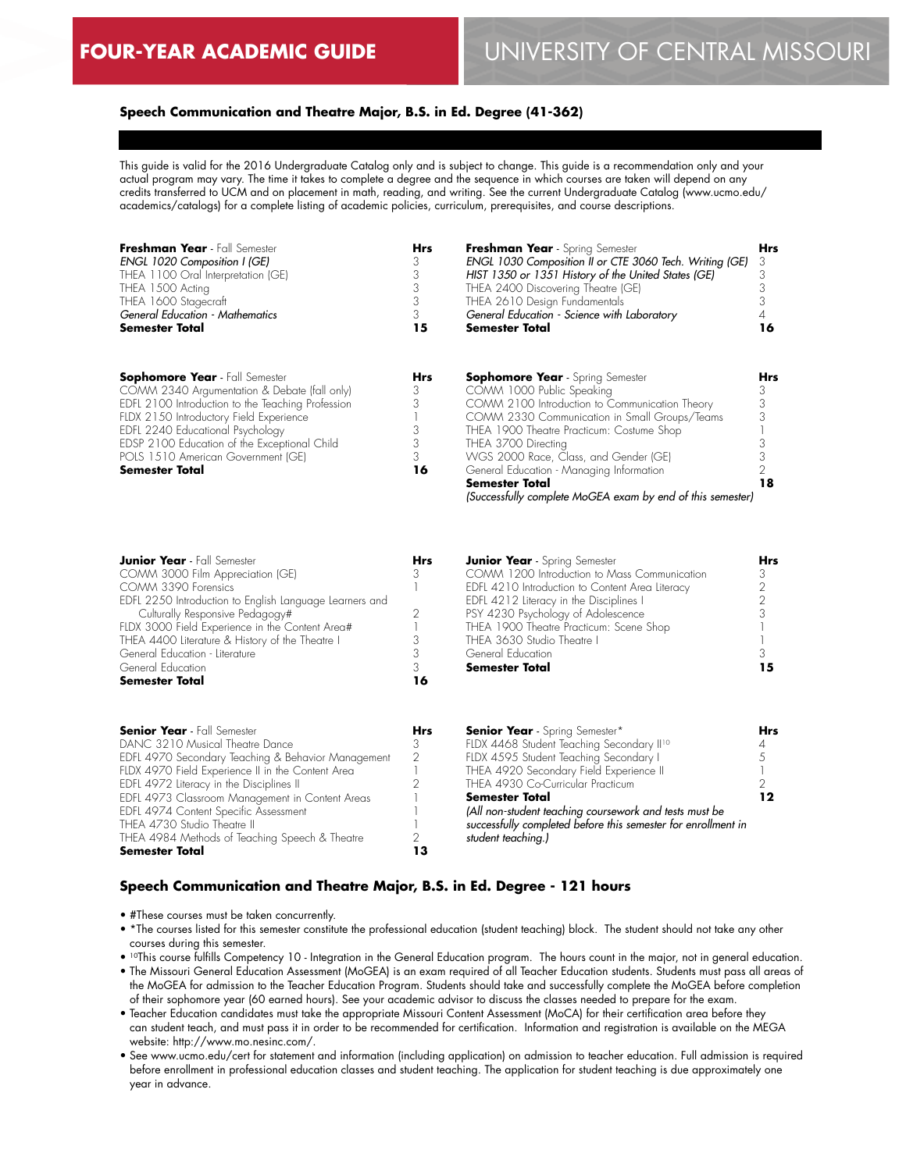# **Speech Communication and Theatre Major, B.S. in Ed. Degree (41-362)**

This guide is valid for the 2016 Undergraduate Catalog only and is subject to change. This guide is a recommendation only and your actual program may vary. The time it takes to complete a degree and the sequence in which courses are taken will depend on any credits transferred to UCM and on placement in math, reading, and writing. See the current Undergraduate Catalog (www.ucmo.edu/ academics/catalogs) for a complete listing of academic policies, curriculum, prerequisites, and course descriptions.

| Freshman Year - Fall Semester<br>ENGL 1020 Composition I (GE)<br>THEA 1100 Oral Interpretation (GE)<br>THEA 1500 Acting<br>THEA 1600 Stagecraft<br><b>General Education - Mathematics</b> | <b>Hrs</b><br>3 | Freshman Year - Spring Semester<br>ENGL 1030 Composition II or CTE 3060 Tech. Writing (GE)<br>HIST 1350 or 1351 History of the United States (GE)<br>THEA 2400 Discovering Theatre (GE)<br>THEA 2610 Design Fundamentals<br>General Education - Science with Laboratory | <b>Hrs</b> |
|-------------------------------------------------------------------------------------------------------------------------------------------------------------------------------------------|-----------------|-------------------------------------------------------------------------------------------------------------------------------------------------------------------------------------------------------------------------------------------------------------------------|------------|
| <b>Semester Total</b>                                                                                                                                                                     | 15              | <b>Semester Total</b>                                                                                                                                                                                                                                                   | 16         |
| <b>Sophomore Year</b> - Fall Semester<br>COMM 2340 Argumentation & Debate (fall only)                                                                                                     | Hrs<br>3        | <b>Sophomore Year</b> - Spring Semester<br>COMM 1000 Public Speaking                                                                                                                                                                                                    | <b>Hrs</b> |
| EDFL 2100 Introduction to the Teaching Profession<br>FLDX 2150 Introductory Field Experience                                                                                              |                 | COMM 2100 Introduction to Communication Theory<br>COMM 2330 Communication in Small Groups/Teams                                                                                                                                                                         |            |
| EDFL 2240 Educational Psychology<br>EDSP 2100 Education of the Exceptional Child<br>POLS 1510 American Government (GE)                                                                    | 3               | THEA 1900 Theatre Practicum: Costume Shop<br>THEA 3700 Directing<br>WGS 2000 Race, Class, and Gender (GE)                                                                                                                                                               |            |
| <b>Semester Total</b>                                                                                                                                                                     | 16              | General Education - Managing Information<br><b>Semester Total</b>                                                                                                                                                                                                       | 18         |

*(Successfully complete MoGEA exam by end of this semester)*

*(All non-student teaching coursework and tests must be successfully completed before this semester for enrollment in* 

| <b>Junior Year</b> - Fall Semester                      | <b>Hrs</b>    | <b>Junior Year</b> - Spring Semester                  | Hrs |
|---------------------------------------------------------|---------------|-------------------------------------------------------|-----|
| COMM 3000 Film Appreciation (GE)                        | 3             | COMM 1200 Introduction to Mass Communication          |     |
| COMM 3390 Forensics                                     |               | EDFL 4210 Introduction to Content Area Literacy       |     |
| EDFL 2250 Introduction to English Language Learners and |               | EDFL 4212 Literacy in the Disciplines I               |     |
| Culturally Responsive Pedagogy#                         |               | PSY 4230 Psychology of Adolescence                    |     |
| FLDX 3000 Field Experience in the Content Area#         |               | THEA 1900 Theatre Practicum: Scene Shop               |     |
| THEA 4400 Literature & History of the Theatre I         |               | THEA 3630 Studio Theatre I                            |     |
| General Education - Literature                          |               | General Education                                     |     |
| General Education                                       |               | <b>Semester Total</b>                                 | 15  |
| <b>Semester Total</b>                                   | 16            |                                                       |     |
| <b>Senior Year</b> - Fall Semester                      | <b>Hrs</b>    | <b>Senior Year</b> - Spring Semester*                 | Hrs |
| DANC 3210 Musical Theatre Dance                         | 3             | FLDX 4468 Student Teaching Secondary II <sup>10</sup> |     |
| EDFL 4970 Secondary Teaching & Behavior Management      | $\mathcal{P}$ | FLDX 4595 Student Teaching Secondary I                |     |
| FLDX 4970 Field Experience II in the Content Area       |               | THEA 4920 Secondary Field Experience II               |     |
| EDFL 4972 Literacy in the Disciplines II                |               | THEA 4930 Co-Curricular Practicum                     |     |
| EDFL 4973 Classroom Management in Content Areas         |               | Semester Total                                        | 12  |

# **Speech Communication and Theatre Major, B.S. in Ed. Degree - 121 hours**

• #These courses must be taken concurrently.

THEA 4984 Methods of Teaching Speech & Theatre

EDFL 4974 Content Specific Assessment THEA 4730 Studio Theatre II

**Semester Total**

- \*The courses listed for this semester constitute the professional education (student teaching) block. The student should not take any other courses during this semester.
- 10This course fulfills Competency 10 Integration in the General Education program. The hours count in the major, not in general education. • The Missouri General Education Assessment (MoGEA) is an exam required of all Teacher Education students. Students must pass all areas of the MoGEA for admission to the Teacher Education Program. Students should take and successfully complete the MoGEA before completion of their sophomore year (60 earned hours). See your academic advisor to discuss the classes needed to prepare for the exam.

*student teaching.)*

- Teacher Education candidates must take the appropriate Missouri Content Assessment (MoCA) for their certification area before they can student teach, and must pass it in order to be recommended for certification. Information and registration is available on the MEGA website: http://www.mo.nesinc.com/.
- See www.ucmo.edu/cert for statement and information (including application) on admission to teacher education. Full admission is required before enrollment in professional education classes and student teaching. The application for student teaching is due approximately one year in advance.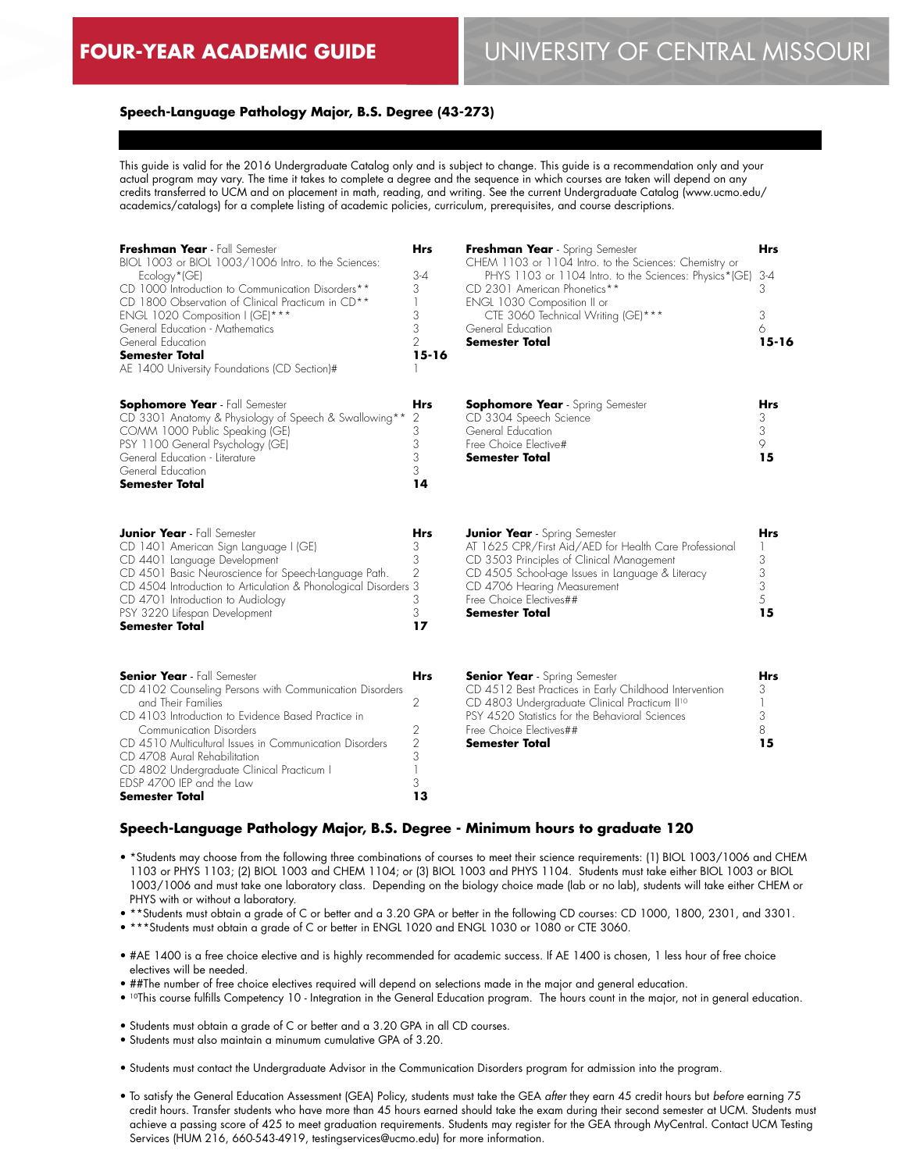# **FOUR-YEAR ACADEMIC GUIDE** UNIVERSITY OF CENTRAL MISSOURI

# **Speech-Language Pathology Major, B.S. Degree (43-273)**

This guide is valid for the 2016 Undergraduate Catalog only and is subject to change. This guide is a recommendation only and your actual program may vary. The time it takes to complete a degree and the sequence in which courses are taken will depend on any credits transferred to UCM and on placement in math, reading, and writing. See the current Undergraduate Catalog (www.ucmo.edu/ academics/catalogs) for a complete listing of academic policies, curriculum, prerequisites, and course descriptions.

| Freshman Year - Fall Semester<br>BIOL 1003 or BIOL 1003/1006 Intro. to the Sciences:<br>Ecology*(GE)<br>CD 1000 Introduction to Communication Disorders**<br>CD 1800 Observation of Clinical Practicum in CD <sup>**</sup><br>ENGL 1020 Composition I (GE)***<br>General Education - Mathematics<br>General Education<br><b>Semester Total</b><br>AE 1400 University Foundations (CD Section)# | <b>Hrs</b><br>$3-4$<br>3<br>3<br>3<br>$\overline{2}$<br>$15 - 16$              | Freshman Year - Spring Semester<br>CHEM 1103 or 1104 Intro. to the Sciences: Chemistry or<br>PHYS 1103 or 1104 Intro. to the Sciences: Physics*(GE)<br>CD 2301 American Phonetics**<br>ENGL 1030 Composition II or<br>CTE 3060 Technical Writing (GE)***<br>General Education<br><b>Semester Total</b> | Hrs<br>$3 - 4$<br>3<br>3<br>6<br>$15 - 16$ |
|------------------------------------------------------------------------------------------------------------------------------------------------------------------------------------------------------------------------------------------------------------------------------------------------------------------------------------------------------------------------------------------------|--------------------------------------------------------------------------------|--------------------------------------------------------------------------------------------------------------------------------------------------------------------------------------------------------------------------------------------------------------------------------------------------------|--------------------------------------------|
| <b>Sophomore Year</b> - Fall Semester<br>CD 3301 Anatomy & Physiology of Speech & Swallowing**<br>COMM 1000 Public Speaking (GE)<br>PSY 1100 General Psychology (GE)<br>General Education - Literature<br>General Education<br><b>Semester Total</b>                                                                                                                                           | Hrs<br>2<br>3<br>3<br>3<br>3<br>14                                             | <b>Sophomore Year</b> - Spring Semester<br>CD 3304 Speech Science<br>General Education<br>Free Choice Elective#<br>Semester Total                                                                                                                                                                      | Hrs<br>3<br>3<br>9<br>15                   |
| <b>Junior Year</b> - Fall Semester<br>CD 1401 American Sign Language I (GE)<br>CD 4401 Language Development<br>CD 4501 Basic Neuroscience for Speech-Language Path.<br>CD 4504 Introduction to Articulation & Phonological Disorders<br>CD 4701 Introduction to Audiology<br>PSY 3220 Lifespan Development<br>Semester Total                                                                   | Hrs<br>3<br>3<br>2<br>3<br>3<br>3<br>17                                        | <b>Junior Year</b> - Spring Semester<br>AT 1625 CPR/First Aid/AED for Health Care Professional<br>CD 3503 Principles of Clinical Management<br>CD 4505 School-age Issues in Language & Literacy<br>CD 4706 Hearing Measurement<br>Free Choice Electives##<br><b>Semester Total</b>                     | <b>Hrs</b><br>3<br>3<br>3<br>5<br>15       |
| <b>Senior Year</b> - Fall Semester<br>CD 4102 Counseling Persons with Communication Disorders<br>and Their Families<br>CD 4103 Introduction to Evidence Based Practice in<br>Communication Disorders<br>CD 4510 Multicultural Issues in Communication Disorders<br>CD 4708 Aural Rehabilitation<br>CD 4802 Undergraduate Clinical Practicum I<br>EDSP 4700 IEP and the Law<br>Semester Total   | <b>Hrs</b><br>$\overline{2}$<br>$\mathbf{2}$<br>$\overline{2}$<br>3<br>3<br>13 | <b>Senior Year</b> - Spring Semester<br>CD 4512 Best Practices in Early Childhood Intervention<br>CD 4803 Undergraduate Clinical Practicum II <sup>10</sup><br>PSY 4520 Statistics for the Behavioral Sciences<br>Free Choice Electives##<br><b>Semester Total</b>                                     | Hrs<br>3<br>3<br>8<br>15                   |

#### **Speech-Language Pathology Major, B.S. Degree - Minimum hours to graduate 120**

- \*Students may choose from the following three combinations of courses to meet their science requirements: (1) BIOL 1003/1006 and CHEM 1103 or PHYS 1103; (2) BIOL 1003 and CHEM 1104; or (3) BIOL 1003 and PHYS 1104. Students must take either BIOL 1003 or BIOL 1003/1006 and must take one laboratory class. Depending on the biology choice made (lab or no lab), students will take either CHEM or PHYS with or without a laboratory.
- \*\*Students must obtain a grade of C or better and a 3.20 GPA or better in the following CD courses: CD 1000, 1800, 2301, and 3301.
- \*\*\*Students must obtain a grade of C or better in ENGL 1020 and ENGL 1030 or 1080 or CTE 3060.
- #AE 1400 is a free choice elective and is highly recommended for academic success. If AE 1400 is chosen, 1 less hour of free choice electives will be needed.
- ##The number of free choice electives required will depend on selections made in the major and general education.
- 10This course fulfills Competency 10 Integration in the General Education program. The hours count in the major, not in general education.
- Students must obtain a grade of C or better and a 3.20 GPA in all CD courses.
- Students must also maintain a minumum cumulative GPA of 3.20.
- Students must contact the Undergraduate Advisor in the Communication Disorders program for admission into the program.
- To satisfy the General Education Assessment (GEA) Policy, students must take the GEA *after* they earn 45 credit hours but *before* earning 75 credit hours. Transfer students who have more than 45 hours earned should take the exam during their second semester at UCM. Students must achieve a passing score of 425 to meet graduation requirements. Students may register for the GEA through MyCentral. Contact UCM Testing Services (HUM 216, 660-543-4919, testingservices@ucmo.edu) for more information.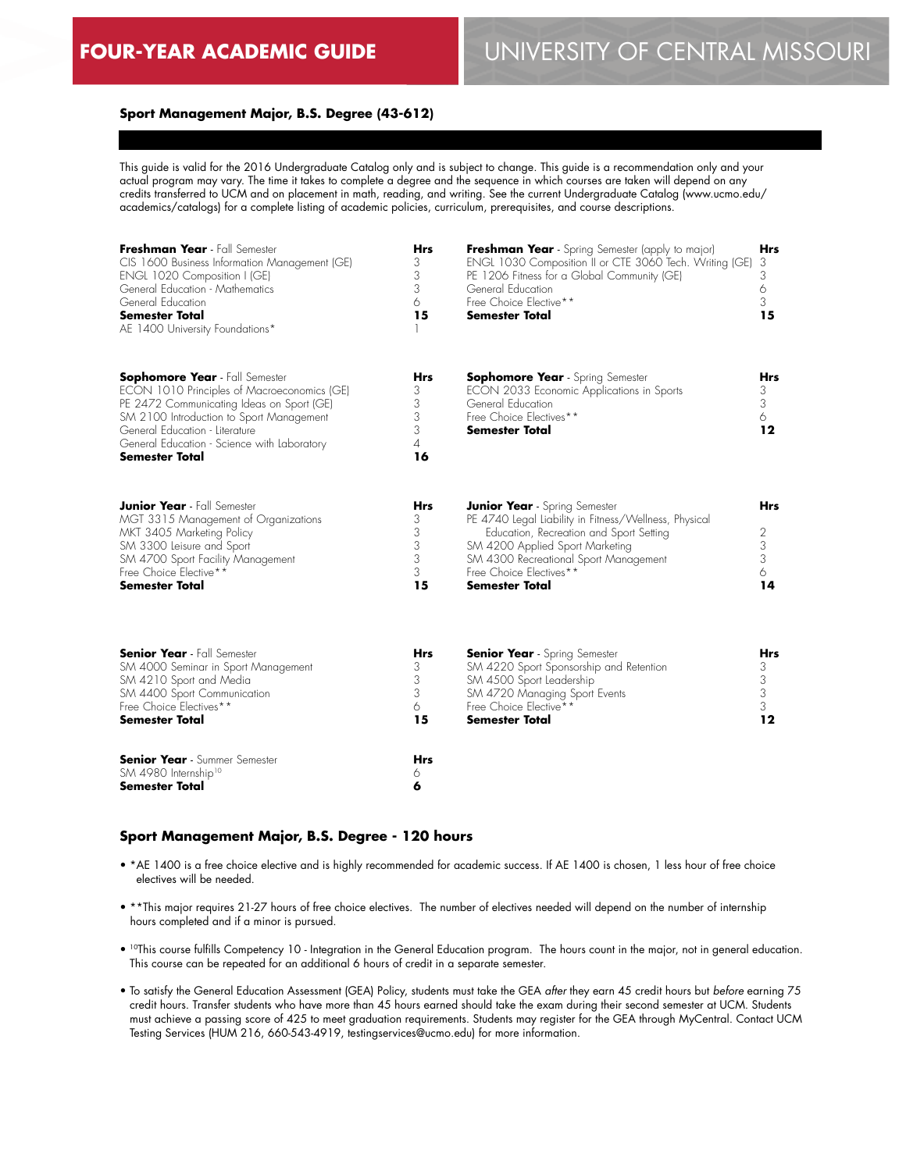# **Sport Management Major, B.S. Degree (43-612)**

This guide is valid for the 2016 Undergraduate Catalog only and is subject to change. This guide is a recommendation only and your actual program may vary. The time it takes to complete a degree and the sequence in which courses are taken will depend on any credits transferred to UCM and on placement in math, reading, and writing. See the current Undergraduate Catalog (www.ucmo.edu/ academics/catalogs) for a complete listing of academic policies, curriculum, prerequisites, and course descriptions.

| Freshman Year - Fall Semester<br>CIS 1600 Business Information Management (GE)<br>ENGL 1020 Composition I (GE)<br>General Education - Mathematics<br>General Education<br><b>Semester Total</b><br>AE 1400 University Foundations*                                                      | <b>Hrs</b><br>3<br>3<br>3<br>6<br>15      | <b>Freshman Year</b> - Spring Semester (apply to major)<br>ENGL 1030 Composition II or CTE 3060 Tech. Writing (GE)<br>PE 1206 Fitness for a Global Community (GE)<br>General Education<br>Free Choice Elective**<br><b>Semester Total</b>                                | Hrs<br>3<br>3<br>6<br>3<br>15                                       |
|-----------------------------------------------------------------------------------------------------------------------------------------------------------------------------------------------------------------------------------------------------------------------------------------|-------------------------------------------|--------------------------------------------------------------------------------------------------------------------------------------------------------------------------------------------------------------------------------------------------------------------------|---------------------------------------------------------------------|
| <b>Sophomore Year</b> - Fall Semester<br>ECON 1010 Principles of Macroeconomics (GE)<br>PE 2472 Communicating Ideas on Sport (GE)<br>SM 2100 Introduction to Sport Management<br>General Education - Literature<br>General Education - Science with Laboratory<br><b>Semester Total</b> | <b>Hrs</b><br>3<br>3<br>3<br>3<br>4<br>16 | <b>Sophomore Year</b> - Spring Semester<br>ECON 2033 Economic Applications in Sports<br>General Education<br>Free Choice Electives**<br><b>Semester Total</b>                                                                                                            | Hrs<br>3<br>3<br>6<br>12                                            |
| <b>Junior Year</b> - Fall Semester<br>MGT 3315 Management of Organizations<br>MKT 3405 Marketing Policy<br>SM 3300 Leisure and Sport<br>SM 4700 Sport Facility Management<br>Free Choice Elective**<br><b>Semester Total</b>                                                            | <b>Hrs</b><br>3<br>3<br>3<br>3<br>3<br>15 | <b>Junior Year</b> - Spring Semester<br>PE 4740 Legal Liability in Fitness/Wellness, Physical<br>Education, Recreation and Sport Setting<br>SM 4200 Applied Sport Marketing<br>SM 4300 Recreational Sport Management<br>Free Choice Electives**<br><b>Semester Total</b> | <b>Hrs</b><br>$\begin{array}{c} 2 \\ 3 \\ 3 \end{array}$<br>6<br>14 |
| <b>Senior Year</b> - Fall Semester<br>SM 4000 Seminar in Sport Management<br>SM 4210 Sport and Media<br>SM 4400 Sport Communication<br>Free Choice Electives**<br><b>Semester Total</b>                                                                                                 | <b>Hrs</b><br>3<br>3<br>3<br>6<br>15      | <b>Senior Year</b> - Spring Semester<br>SM 4220 Sport Sponsorship and Retention<br>SM 4500 Sport Leadership<br>SM 4720 Managing Sport Events<br>Free Choice Elective**<br><b>Semester Total</b>                                                                          | Hrs<br>3<br>3<br>3<br>3<br>12                                       |
| <b>Senior Year</b> - Summer Semester<br>SM 4980 Internship <sup>10</sup><br><b>Semester Total</b>                                                                                                                                                                                       | <b>Hrs</b><br>6<br>6                      |                                                                                                                                                                                                                                                                          |                                                                     |

#### **Sport Management Major, B.S. Degree - 120 hours**

- \*AE 1400 is a free choice elective and is highly recommended for academic success. If AE 1400 is chosen, 1 less hour of free choice electives will be needed.
- \*\*This major requires 21-27 hours of free choice electives. The number of electives needed will depend on the number of internship hours completed and if a minor is pursued.
- 10This course fulfills Competency 10 Integration in the General Education program. The hours count in the major, not in general education. This course can be repeated for an additional 6 hours of credit in a separate semester.
- To satisfy the General Education Assessment (GEA) Policy, students must take the GEA *after* they earn 45 credit hours but *before* earning 75 credit hours. Transfer students who have more than 45 hours earned should take the exam during their second semester at UCM. Students must achieve a passing score of 425 to meet graduation requirements. Students may register for the GEA through MyCentral. Contact UCM Testing Services (HUM 216, 660-543-4919, testingservices@ucmo.edu) for more information.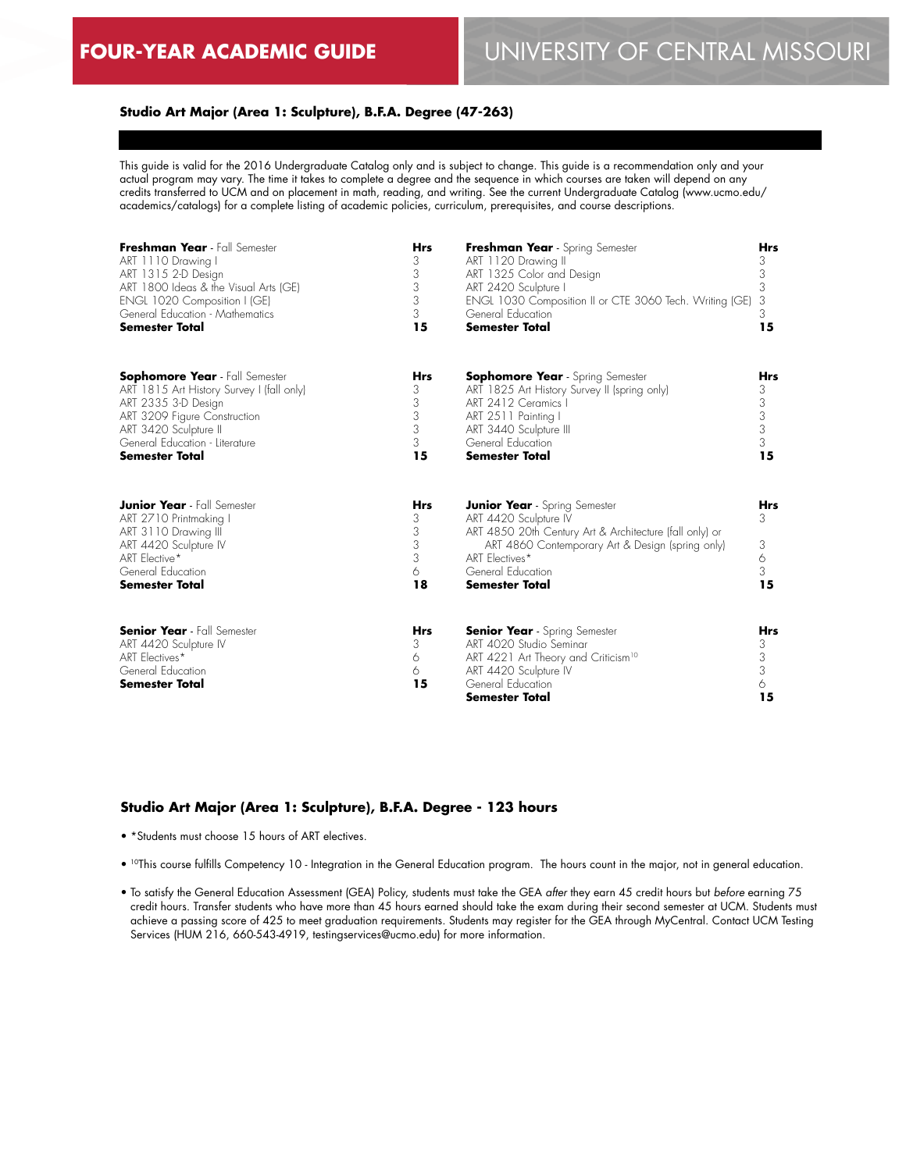# **Studio Art Major (Area 1: Sculpture), B.F.A. Degree (47-263)**

This guide is valid for the 2016 Undergraduate Catalog only and is subject to change. This guide is a recommendation only and your actual program may vary. The time it takes to complete a degree and the sequence in which courses are taken will depend on any credits transferred to UCM and on placement in math, reading, and writing. See the current Undergraduate Catalog (www.ucmo.edu/ academics/catalogs) for a complete listing of academic policies, curriculum, prerequisites, and course descriptions.

| Freshman Year - Fall Semester                                                                                                                                                | <b>Hrs</b>                                | Freshman Year - Spring Semester                                                                                                                                                                                                              | Hrs                           |
|------------------------------------------------------------------------------------------------------------------------------------------------------------------------------|-------------------------------------------|----------------------------------------------------------------------------------------------------------------------------------------------------------------------------------------------------------------------------------------------|-------------------------------|
| ART 1110 Drawing I                                                                                                                                                           | 3                                         | ART 1120 Drawing II                                                                                                                                                                                                                          | 3                             |
| ART 1315 2-D Design                                                                                                                                                          | 3                                         | ART 1325 Color and Design                                                                                                                                                                                                                    | 3                             |
| ART 1800 Ideas & the Visual Arts (GE)                                                                                                                                        | 3                                         | ART 2420 Sculpture I                                                                                                                                                                                                                         | 3                             |
| ENGL 1020 Composition I (GE)                                                                                                                                                 | 3                                         | ENGL 1030 Composition II or CTE 3060 Tech. Writing (GE)                                                                                                                                                                                      | 3                             |
| General Education - Mathematics                                                                                                                                              | 3                                         | General Education                                                                                                                                                                                                                            | 3                             |
| <b>Semester Total</b>                                                                                                                                                        | 15                                        | <b>Semester Total</b>                                                                                                                                                                                                                        | 15                            |
| <b>Sophomore Year</b> - Fall Semester                                                                                                                                        | <b>Hrs</b>                                | <b>Sophomore Year</b> - Spring Semester                                                                                                                                                                                                      | <b>Hrs</b>                    |
| ART 1815 Art History Survey I (fall only)                                                                                                                                    | 3                                         | ART 1825 Art History Survey II (spring only)                                                                                                                                                                                                 | 3                             |
| ART 2335 3-D Design                                                                                                                                                          | 3                                         | ART 2412 Ceramics I                                                                                                                                                                                                                          | 3                             |
| ART 3209 Figure Construction                                                                                                                                                 | 3                                         | ART 2511 Painting I                                                                                                                                                                                                                          | $\ensuremath{\mathsf{3}}$     |
| ART 3420 Sculpture II                                                                                                                                                        | 3                                         | ART 3440 Sculpture III                                                                                                                                                                                                                       | 3                             |
| General Education - Literature                                                                                                                                               | 3                                         | General Education                                                                                                                                                                                                                            | 3                             |
| <b>Semester Total</b>                                                                                                                                                        | 15                                        | <b>Semester Total</b>                                                                                                                                                                                                                        | 15                            |
| <b>Junior Year</b> - Fall Semester<br>ART 2710 Printmaking I<br>ART 3110 Drawing III<br>ART 4420 Sculpture IV<br>ART Elective*<br>General Education<br><b>Semester Total</b> | <b>Hrs</b><br>3<br>3<br>3<br>3<br>6<br>18 | <b>Junior Year</b> - Spring Semester<br>ART 4420 Sculpture IV<br>ART 4850 20th Century Art & Architecture (fall only) or<br>ART 4860 Contemporary Art & Design (spring only)<br>ART Electives*<br>General Education<br><b>Semester Total</b> | Hrs<br>3<br>3<br>6<br>3<br>15 |
| <b>Senior Year</b> - Fall Semester<br>ART 4420 Sculpture IV<br>ART Electives*<br>General Education<br><b>Semester Total</b>                                                  | <b>Hrs</b><br>3<br>6<br>6<br>15           | <b>Senior Year</b> - Spring Semester<br>ART 4020 Studio Seminar<br>ART 4221 Art Theory and Criticism <sup>10</sup><br>ART 4420 Sculpture IV<br>General Education<br><b>Semester Total</b>                                                    | Hrs<br>3<br>3<br>3<br>6<br>15 |

#### **Studio Art Major (Area 1: Sculpture), B.F.A. Degree - 123 hours**

• \*Students must choose 15 hours of ART electives.

- 10This course fulfills Competency 10 Integration in the General Education program. The hours count in the major, not in general education.
- To satisfy the General Education Assessment (GEA) Policy, students must take the GEA *after* they earn 45 credit hours but *before* earning 75 credit hours. Transfer students who have more than 45 hours earned should take the exam during their second semester at UCM. Students must achieve a passing score of 425 to meet graduation requirements. Students may register for the GEA through MyCentral. Contact UCM Testing Services (HUM 216, 660-543-4919, testingservices@ucmo.edu) for more information.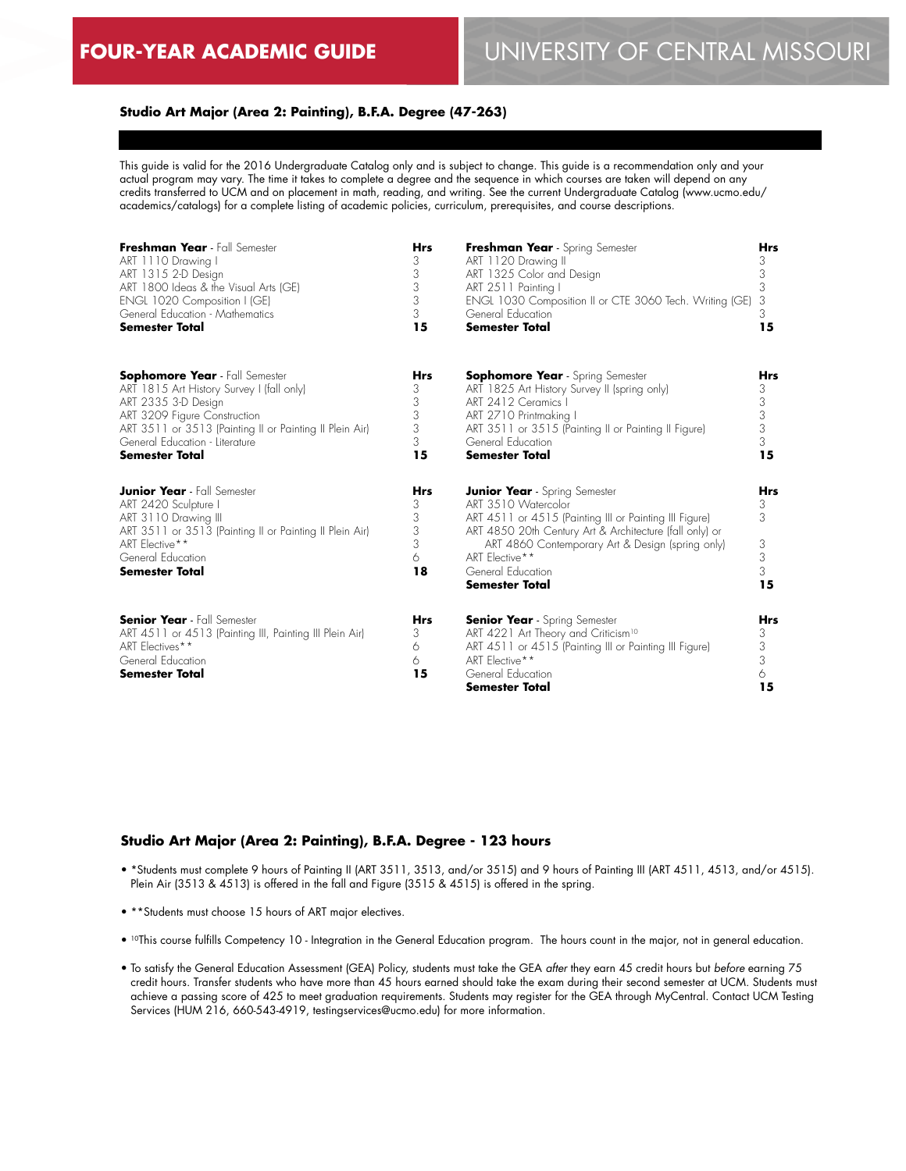#### **Studio Art Major (Area 2: Painting), B.F.A. Degree (47-263)**

This guide is valid for the 2016 Undergraduate Catalog only and is subject to change. This guide is a recommendation only and your actual program may vary. The time it takes to complete a degree and the sequence in which courses are taken will depend on any credits transferred to UCM and on placement in math, reading, and writing. See the current Undergraduate Catalog (www.ucmo.edu/ academics/catalogs) for a complete listing of academic policies, curriculum, prerequisites, and course descriptions.

| Freshman Year - Fall Semester                                                                                                                                                                                 | <b>Hrs</b>                                | Freshman Year - Spring Semester                                                                                                                                                                                                                                                                      | Hrs                                       |
|---------------------------------------------------------------------------------------------------------------------------------------------------------------------------------------------------------------|-------------------------------------------|------------------------------------------------------------------------------------------------------------------------------------------------------------------------------------------------------------------------------------------------------------------------------------------------------|-------------------------------------------|
| ART 1110 Drawing I                                                                                                                                                                                            | 3                                         | ART 1120 Drawing II                                                                                                                                                                                                                                                                                  | 3                                         |
| ART 1315 2-D Design                                                                                                                                                                                           | 3                                         | ART 1325 Color and Design                                                                                                                                                                                                                                                                            | 3                                         |
| ART 1800 Ideas & the Visual Arts (GE)                                                                                                                                                                         | 3                                         | ART 2511 Painting I                                                                                                                                                                                                                                                                                  | 3                                         |
| ENGL 1020 Composition I (GE)                                                                                                                                                                                  | 3                                         | ENGL 1030 Composition II or CTE 3060 Tech. Writing (GE)                                                                                                                                                                                                                                              | 3                                         |
| General Education - Mathematics                                                                                                                                                                               | 3                                         | General Education                                                                                                                                                                                                                                                                                    | 3                                         |
| <b>Semester Total</b>                                                                                                                                                                                         | 15                                        | <b>Semester Total</b>                                                                                                                                                                                                                                                                                | 15                                        |
| <b>Sophomore Year</b> - Fall Semester                                                                                                                                                                         | <b>Hrs</b>                                | <b>Sophomore Year</b> - Spring Semester                                                                                                                                                                                                                                                              | <b>Hrs</b>                                |
| ART 1815 Art History Survey I (fall only)                                                                                                                                                                     | 3                                         | ART 1825 Art History Survey II (spring only)                                                                                                                                                                                                                                                         | 3                                         |
| ART 2335 3-D Design                                                                                                                                                                                           | 3                                         | ART 2412 Ceramics I                                                                                                                                                                                                                                                                                  | 3                                         |
| ART 3209 Figure Construction                                                                                                                                                                                  | 3                                         | ART 2710 Printmaking I                                                                                                                                                                                                                                                                               | 3                                         |
| ART 3511 or 3513 (Painting II or Painting II Plein Air)                                                                                                                                                       | 3                                         | ART 3511 or 3515 (Painting II or Painting II Figure)                                                                                                                                                                                                                                                 | 3                                         |
| General Education - Literature                                                                                                                                                                                | 3                                         | General Education                                                                                                                                                                                                                                                                                    | 3                                         |
| <b>Semester Total</b>                                                                                                                                                                                         | 15                                        | <b>Semester Total</b>                                                                                                                                                                                                                                                                                | 15                                        |
| <b>Junior Year</b> - Fall Semester<br>ART 2420 Sculpture I<br>ART 3110 Drawing III<br>ART 3511 or 3513 (Painting II or Painting II Plein Air)<br>ART Elective**<br>General Education<br><b>Semester Total</b> | <b>Hrs</b><br>3<br>3<br>3<br>3<br>6<br>18 | <b>Junior Year</b> - Spring Semester<br>ART 3510 Watercolor<br>ART 4511 or 4515 (Painting III or Painting III Figure)<br>ART 4850 20th Century Art & Architecture (fall only) or<br>ART 4860 Contemporary Art & Design (spring only)<br>ART Elective**<br>General Education<br><b>Semester Total</b> | <b>Hrs</b><br>3<br>3<br>3<br>3<br>3<br>15 |
| <b>Senior Year</b> - Fall Semester<br>ART 4511 or 4513 (Painting III, Painting III Plein Air)<br>ART Electives**<br>General Education<br><b>Semester Total</b>                                                | <b>Hrs</b><br>3<br>6<br>6<br>15           | <b>Senior Year</b> - Spring Semester<br>ART 4221 Art Theory and Criticism <sup>10</sup><br>ART 4511 or 4515 (Painting III or Painting III Figure)<br>ART Elective**<br>General Education<br><b>Semester Total</b>                                                                                    | Hrs<br>3<br>3<br>3<br>6<br>15             |

#### **Studio Art Major (Area 2: Painting), B.F.A. Degree - 123 hours**

- \*Students must complete 9 hours of Painting II (ART 3511, 3513, and/or 3515) and 9 hours of Painting III (ART 4511, 4513, and/or 4515). Plein Air (3513 & 4513) is offered in the fall and Figure (3515 & 4515) is offered in the spring.
- \*\*Students must choose 15 hours of ART major electives.
- <sup>10</sup>This course fulfills Competency 10 Integration in the General Education program. The hours count in the major, not in general education.
- To satisfy the General Education Assessment (GEA) Policy, students must take the GEA *after* they earn 45 credit hours but *before* earning 75 credit hours. Transfer students who have more than 45 hours earned should take the exam during their second semester at UCM. Students must achieve a passing score of 425 to meet graduation requirements. Students may register for the GEA through MyCentral. Contact UCM Testing Services (HUM 216, 660-543-4919, testingservices@ucmo.edu) for more information.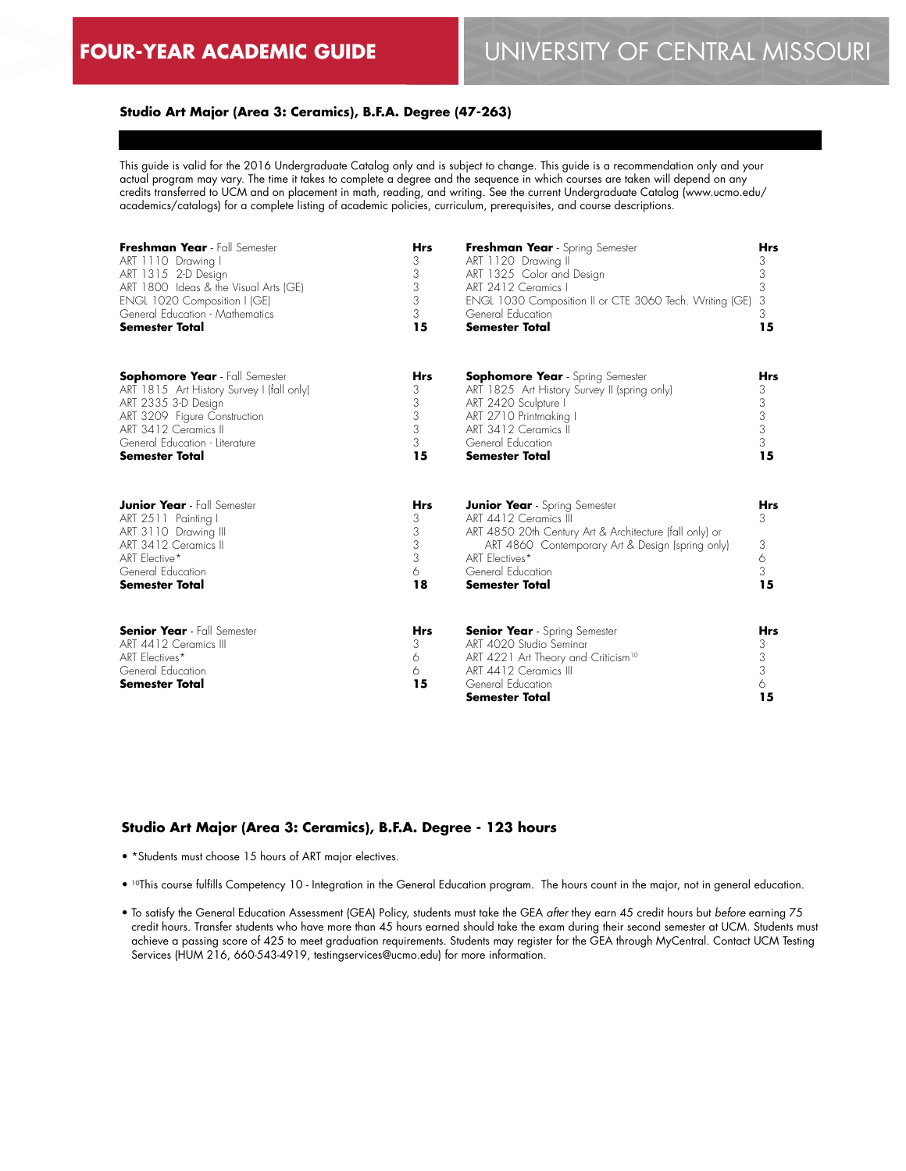#### **Studio Art Major (Area 3: Ceramics), B.F.A. Degree (47-263)**

This guide is valid for the 2016 Undergraduate Catalog only and is subject to change. This guide is a recommendation only and your actual program may vary. The time it takes to complete a degree and the sequence in which courses are taken will depend on any credits transferred to UCM and on placement in math, reading, and writing. See the current Undergraduate Catalog (www.ucmo.edu/ academics/catalogs) for a complete listing of academic policies, curriculum, prerequisites, and course descriptions.

| Freshman Year - Fall Semester                                                                                                                                             | <b>Hrs</b>                                | Freshman Year - Spring Semester                                                                                                                                                                                                              | <b>Hrs</b>                           |
|---------------------------------------------------------------------------------------------------------------------------------------------------------------------------|-------------------------------------------|----------------------------------------------------------------------------------------------------------------------------------------------------------------------------------------------------------------------------------------------|--------------------------------------|
| ART 1110 Drawing I                                                                                                                                                        | 3                                         | ART 1120 Drawing II                                                                                                                                                                                                                          | 3                                    |
| ART 1315 2-D Design                                                                                                                                                       | 3                                         | ART 1325 Color and Design                                                                                                                                                                                                                    | 3                                    |
| ART 1800 Ideas & the Visual Arts (GE)                                                                                                                                     | 3                                         | ART 2412 Ceramics I                                                                                                                                                                                                                          | 3                                    |
| ENGL 1020 Composition I (GE)                                                                                                                                              | 3                                         | ENGL 1030 Composition II or CTE 3060 Tech. Writing (GE)                                                                                                                                                                                      | 3                                    |
| General Education - Mathematics                                                                                                                                           | 3                                         | General Education                                                                                                                                                                                                                            | 3                                    |
| Semester Total                                                                                                                                                            | 15                                        | <b>Semester Total</b>                                                                                                                                                                                                                        | 15                                   |
| <b>Sophomore Year</b> - Fall Semester                                                                                                                                     | <b>Hrs</b>                                | <b>Sophomore Year</b> - Spring Semester                                                                                                                                                                                                      | <b>Hrs</b>                           |
| ART 1815 Art History Survey I (fall only)                                                                                                                                 | 3                                         | ART 1825 Art History Survey II (spring only)                                                                                                                                                                                                 | 3                                    |
| ART 2335 3-D Design                                                                                                                                                       | 3                                         | ART 2420 Sculpture I                                                                                                                                                                                                                         | 3                                    |
| ART 3209 Figure Construction                                                                                                                                              | 3                                         | ART 2710 Printmaking I                                                                                                                                                                                                                       | 3                                    |
| ART 3412 Ceramics II                                                                                                                                                      | 3                                         | ART 3412 Ceramics II                                                                                                                                                                                                                         | 3                                    |
| General Education - Literature                                                                                                                                            | 3                                         | General Education                                                                                                                                                                                                                            | 3                                    |
| <b>Semester Total</b>                                                                                                                                                     | 15                                        | <b>Semester Total</b>                                                                                                                                                                                                                        | 15                                   |
| <b>Junior Year</b> - Fall Semester<br>ART 2511 Painting I<br>ART 3110 Drawing III<br>ART 3412 Ceramics III<br>ART Elective*<br>General Education<br><b>Semester Total</b> | <b>Hrs</b><br>3<br>3<br>3<br>3<br>6<br>18 | <b>Junior Year</b> - Spring Semester<br>ART 4412 Ceramics III<br>ART 4850 20th Century Art & Architecture (fall only) or<br>ART 4860 Contemporary Art & Design (spring only)<br>ART Flectives*<br>General Education<br><b>Semester Total</b> | <b>Hrs</b><br>3<br>3<br>6<br>3<br>15 |
| <b>Senior Year</b> - Fall Semester<br>ART 4412 Ceramics III<br>ART Flectives*<br>General Education<br><b>Semester Total</b>                                               | <b>Hrs</b><br>3<br>6<br>6<br>15           | <b>Senior Year</b> - Spring Semester<br>ART 4020 Studio Seminar<br>ART 4221 Art Theory and Criticism <sup>10</sup><br>ART 4412 Ceramics III<br>General Education<br><b>Semester Total</b>                                                    | Hrs<br>3<br>3<br>3<br>6<br>15        |

# **Studio Art Major (Area 3: Ceramics), B.F.A. Degree - 123 hours**

- \*Students must choose 15 hours of ART major electives.
- <sup>10</sup>This course fulfills Competency 10 Integration in the General Education program. The hours count in the major, not in general education.
- To satisfy the General Education Assessment (GEA) Policy, students must take the GEA *after* they earn 45 credit hours but *before* earning 75 credit hours. Transfer students who have more than 45 hours earned should take the exam during their second semester at UCM. Students must achieve a passing score of 425 to meet graduation requirements. Students may register for the GEA through MyCentral. Contact UCM Testing Services (HUM 216, 660-543-4919, testingservices@ucmo.edu) for more information.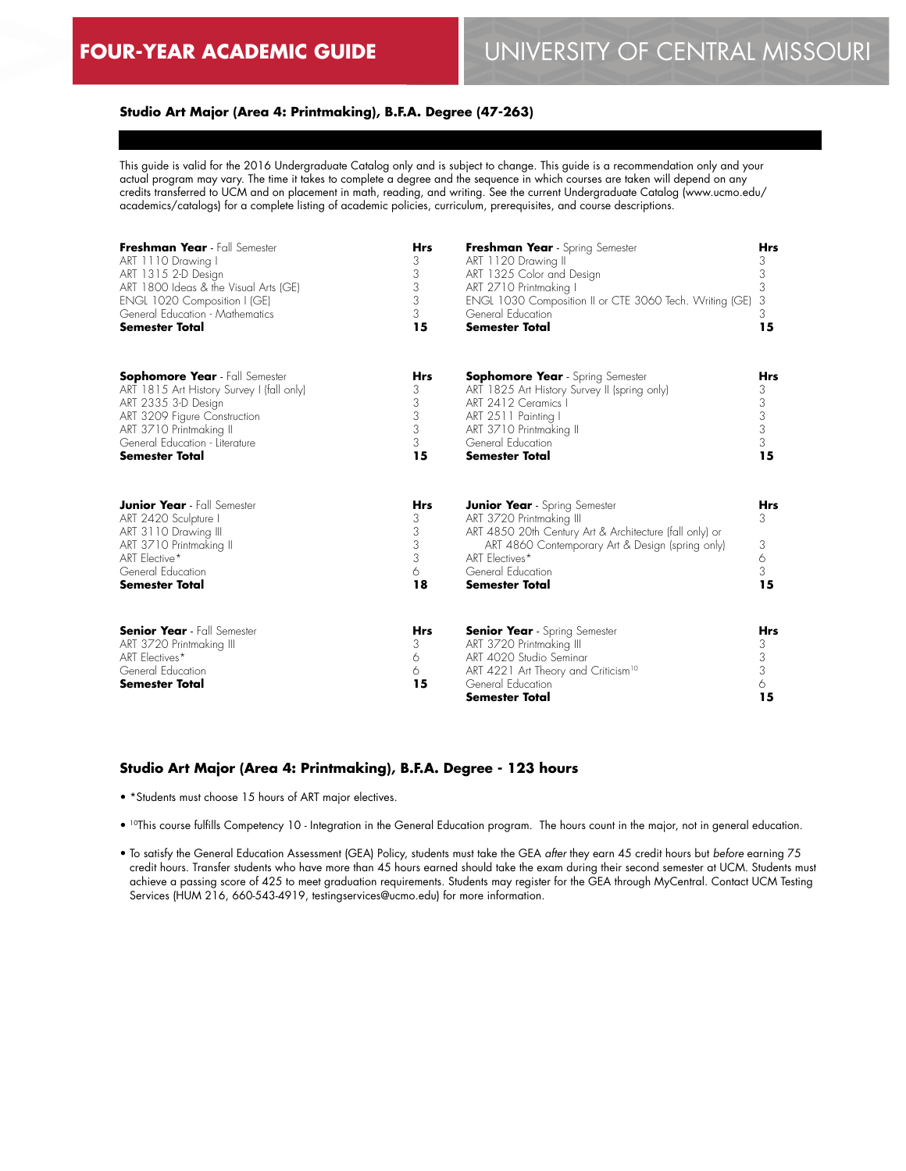# **Studio Art Major (Area 4: Printmaking), B.F.A. Degree (47-263)**

This guide is valid for the 2016 Undergraduate Catalog only and is subject to change. This guide is a recommendation only and your actual program may vary. The time it takes to complete a degree and the sequence in which courses are taken will depend on any credits transferred to UCM and on placement in math, reading, and writing. See the current Undergraduate Catalog (www.ucmo.edu/ academics/catalogs) for a complete listing of academic policies, curriculum, prerequisites, and course descriptions.

| Freshman Year - Fall Semester                                                                                                                                                | <b>Hrs</b>                                | Freshman Year - Spring Semester                                                                                                                                                                                                                 | <b>Hrs</b>                           |
|------------------------------------------------------------------------------------------------------------------------------------------------------------------------------|-------------------------------------------|-------------------------------------------------------------------------------------------------------------------------------------------------------------------------------------------------------------------------------------------------|--------------------------------------|
| ART 1110 Drawing I                                                                                                                                                           | 3                                         | ART 1120 Drawing II                                                                                                                                                                                                                             | 3                                    |
| ART 1315 2-D Design                                                                                                                                                          | 3                                         | ART 1325 Color and Design                                                                                                                                                                                                                       | 3                                    |
| ART 1800 Ideas & the Visual Arts (GE)                                                                                                                                        | 3                                         | ART 2710 Printmaking I                                                                                                                                                                                                                          | 3                                    |
| ENGL 1020 Composition I (GE)                                                                                                                                                 | 3                                         | ENGL 1030 Composition II or CTE 3060 Tech. Writing (GE)                                                                                                                                                                                         | 3                                    |
| General Education - Mathematics                                                                                                                                              | 3                                         | General Education                                                                                                                                                                                                                               | 3                                    |
| <b>Semester Total</b>                                                                                                                                                        | 15                                        | <b>Semester Total</b>                                                                                                                                                                                                                           | 15                                   |
| <b>Sophomore Year</b> - Fall Semester                                                                                                                                        | <b>Hrs</b>                                | <b>Sophomore Year</b> - Spring Semester                                                                                                                                                                                                         | <b>Hrs</b>                           |
| ART 1815 Art History Survey I (fall only)                                                                                                                                    | 3                                         | ART 1825 Art History Survey II (spring only)                                                                                                                                                                                                    | 3                                    |
| ART 2335 3-D Design                                                                                                                                                          | 3                                         | ART 2412 Ceramics I                                                                                                                                                                                                                             | 3                                    |
| ART 3209 Figure Construction                                                                                                                                                 | 3                                         | ART 2511 Painting I                                                                                                                                                                                                                             | 3                                    |
| ART 3710 Printmaking II                                                                                                                                                      | 3                                         | ART 3710 Printmaking II                                                                                                                                                                                                                         | 3                                    |
| General Education - Literature                                                                                                                                               | 3                                         | General Education                                                                                                                                                                                                                               | 3                                    |
| <b>Semester Total</b>                                                                                                                                                        | 15                                        | <b>Semester Total</b>                                                                                                                                                                                                                           | 15                                   |
| <b>Junior Year</b> - Fall Semester<br>ART 2420 Sculpture I<br>ART 3110 Drawing III<br>ART 3710 Printmaking II<br>ART Elective*<br>General Education<br><b>Semester Total</b> | <b>Hrs</b><br>3<br>3<br>3<br>3<br>6<br>18 | <b>Junior Year</b> - Spring Semester<br>ART 3720 Printmaking III<br>ART 4850 20th Century Art & Architecture (fall only) or<br>ART 4860 Contemporary Art & Design (spring only)<br>ART Flectives*<br>General Education<br><b>Semester Total</b> | Hrs<br>3<br>3<br>6<br>3<br>15        |
| <b>Senior Year</b> - Fall Semester<br>ART 3720 Printmaking III<br>ART Electives*<br>General Education<br><b>Semester Total</b>                                               | <b>Hrs</b><br>3<br>6<br>6<br>15           | <b>Senior Year</b> - Spring Semester<br>ART 3720 Printmaking III<br>ART 4020 Studio Seminar<br>ART 4221 Art Theory and Criticism <sup>10</sup><br>General Education<br><b>Semester Total</b>                                                    | <b>Hrs</b><br>3<br>3<br>3<br>6<br>15 |

# **Studio Art Major (Area 4: Printmaking), B.F.A. Degree - 123 hours**

• \*Students must choose 15 hours of ART major electives.

• <sup>10</sup>This course fulfills Competency 10 - Integration in the General Education program. The hours count in the major, not in general education.

• To satisfy the General Education Assessment (GEA) Policy, students must take the GEA *after* they earn 45 credit hours but *before* earning 75 credit hours. Transfer students who have more than 45 hours earned should take the exam during their second semester at UCM. Students must achieve a passing score of 425 to meet graduation requirements. Students may register for the GEA through MyCentral. Contact UCM Testing Services (HUM 216, 660-543-4919, testingservices@ucmo.edu) for more information.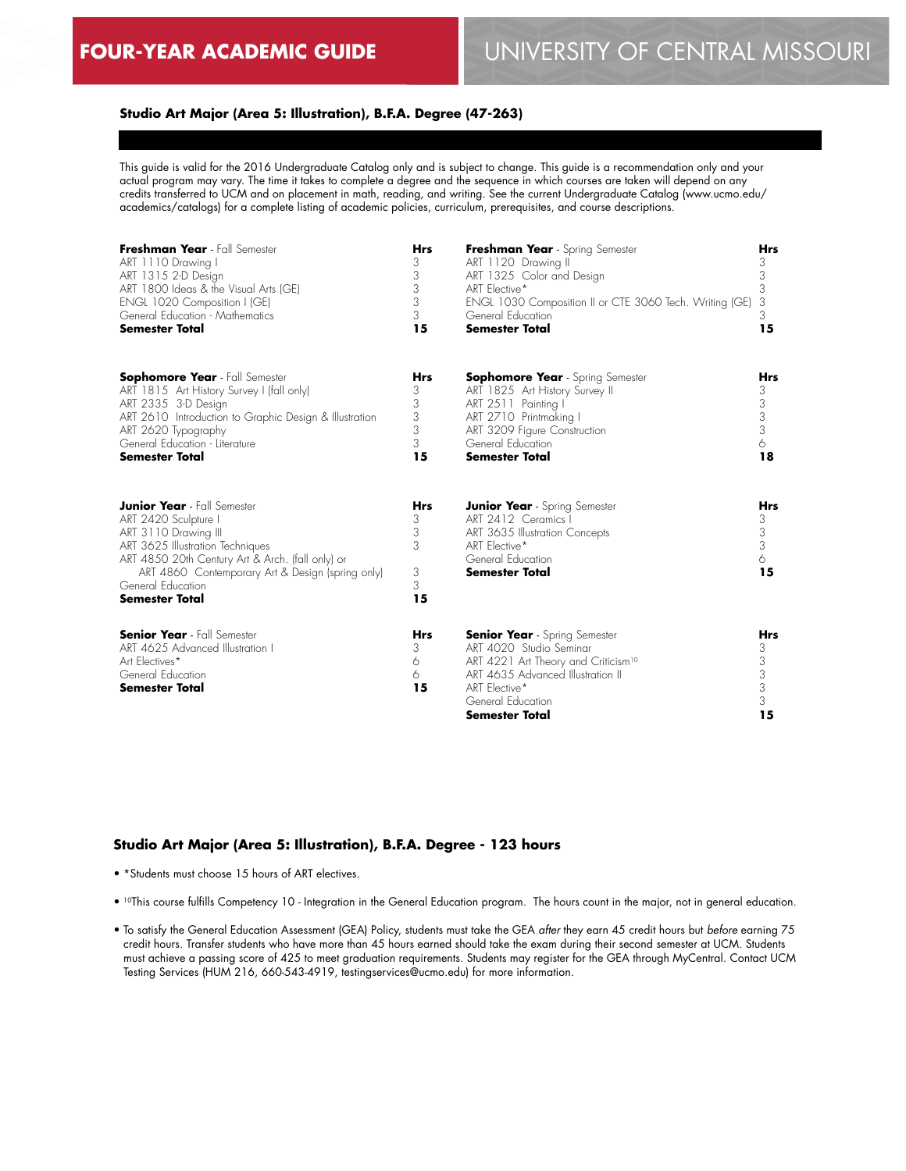# **Studio Art Major (Area 5: Illustration), B.F.A. Degree (47-263)**

This guide is valid for the 2016 Undergraduate Catalog only and is subject to change. This guide is a recommendation only and your actual program may vary. The time it takes to complete a degree and the sequence in which courses are taken will depend on any credits transferred to UCM and on placement in math, reading, and writing. See the current Undergraduate Catalog (www.ucmo.edu/ academics/catalogs) for a complete listing of academic policies, curriculum, prerequisites, and course descriptions.

| Freshman Year - Fall Semester                                                                                                                                                                                                                                                | <b>Hrs</b>                                | Freshman Year - Spring Semester                                                                                                                                                                                        | Hrs                                       |
|------------------------------------------------------------------------------------------------------------------------------------------------------------------------------------------------------------------------------------------------------------------------------|-------------------------------------------|------------------------------------------------------------------------------------------------------------------------------------------------------------------------------------------------------------------------|-------------------------------------------|
| ART 1110 Drawing I                                                                                                                                                                                                                                                           | 3                                         | ART 1120 Drawing II                                                                                                                                                                                                    | 3                                         |
| ART 1315 2-D Design                                                                                                                                                                                                                                                          | 3                                         | ART 1325 Color and Design                                                                                                                                                                                              | 3                                         |
| ART 1800 Ideas & the Visual Arts (GE)                                                                                                                                                                                                                                        | 3                                         | ART Elective*                                                                                                                                                                                                          | 3                                         |
| ENGL 1020 Composition I (GE)                                                                                                                                                                                                                                                 | 3                                         | ENGL 1030 Composition II or CTE 3060 Tech. Writing (GE)                                                                                                                                                                | 3                                         |
| General Education - Mathematics                                                                                                                                                                                                                                              | 3                                         | General Education                                                                                                                                                                                                      | 3                                         |
| <b>Semester Total</b>                                                                                                                                                                                                                                                        | 15                                        | <b>Semester Total</b>                                                                                                                                                                                                  | 15                                        |
| <b>Sophomore Year</b> - Fall Semester                                                                                                                                                                                                                                        | <b>Hrs</b>                                | <b>Sophomore Year</b> - Spring Semester                                                                                                                                                                                | <b>Hrs</b>                                |
| ART 1815 Art History Survey I (fall only)                                                                                                                                                                                                                                    | 3                                         | ART 1825 Art History Survey II                                                                                                                                                                                         | 3                                         |
| ART 2335 3-D Design                                                                                                                                                                                                                                                          | 3                                         | ART 2511 Painting I                                                                                                                                                                                                    | 3                                         |
| ART 2610 Introduction to Graphic Design & Illustration                                                                                                                                                                                                                       | 3                                         | ART 2710 Printmaking I                                                                                                                                                                                                 | 3                                         |
| ART 2620 Typography                                                                                                                                                                                                                                                          | 3                                         | ART 3209 Figure Construction                                                                                                                                                                                           | 3                                         |
| General Education - Literature                                                                                                                                                                                                                                               | 3                                         | General Education                                                                                                                                                                                                      | 6                                         |
| <b>Semester Total</b>                                                                                                                                                                                                                                                        | 15                                        | <b>Semester Total</b>                                                                                                                                                                                                  | 18                                        |
| <b>Junior Year</b> - Fall Semester<br>ART 2420 Sculpture I<br>ART 3110 Drawing III<br>ART 3625 Illustration Techniques<br>ART 4850 20th Century Art & Arch. (fall only) or<br>ART 4860 Contemporary Art & Design (spring only)<br>General Education<br><b>Semester Total</b> | <b>Hrs</b><br>3<br>3<br>3<br>3<br>3<br>15 | <b>Junior Year</b> - Spring Semester<br>ART 2412 Ceramics I<br>ART 3635 Illustration Concepts<br>ART Elective*<br>General Education<br><b>Semester Total</b>                                                           | <b>Hrs</b><br>3<br>3<br>3<br>6<br>15      |
| <b>Senior Year</b> - Fall Semester<br>ART 4625 Advanced Illustration I<br>Art Electives*<br>General Education<br><b>Semester Total</b>                                                                                                                                       | Hrs<br>3<br>6<br>6<br>15                  | <b>Senior Year</b> - Spring Semester<br>ART 4020 Studio Seminar<br>ART 4221 Art Theory and Criticism <sup>10</sup><br>ART 4635 Advanced Illustration II<br>ART Elective*<br>General Education<br><b>Semester Total</b> | <b>Hrs</b><br>3<br>3<br>3<br>3<br>3<br>15 |

#### **Studio Art Major (Area 5: Illustration), B.F.A. Degree - 123 hours**

- \*Students must choose 15 hours of ART electives.
- 10This course fulfills Competency 10 Integration in the General Education program. The hours count in the major, not in general education.
- To satisfy the General Education Assessment (GEA) Policy, students must take the GEA *after* they earn 45 credit hours but *before* earning 75 credit hours. Transfer students who have more than 45 hours earned should take the exam during their second semester at UCM. Students must achieve a passing score of 425 to meet graduation requirements. Students may register for the GEA through MyCentral. Contact UCM Testing Services (HUM 216, 660-543-4919, testingservices@ucmo.edu) for more information.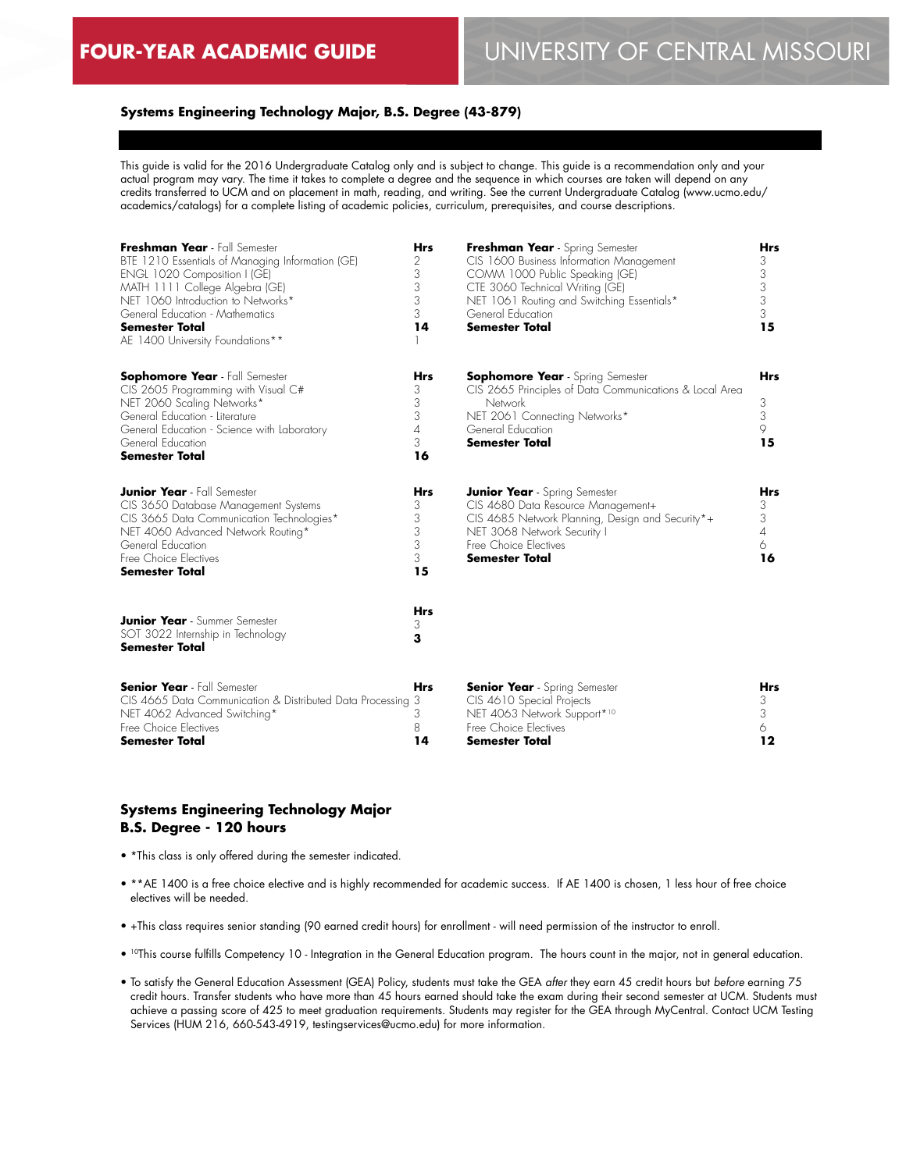# **FOUR-YEAR ACADEMIC GUIDE** UNIVERSITY OF CENTRAL MISSOURI

# **Systems Engineering Technology Major, B.S. Degree (43-879)**

This guide is valid for the 2016 Undergraduate Catalog only and is subject to change. This guide is a recommendation only and your actual program may vary. The time it takes to complete a degree and the sequence in which courses are taken will depend on any credits transferred to UCM and on placement in math, reading, and writing. See the current Undergraduate Catalog (www.ucmo.edu/ academics/catalogs) for a complete listing of academic policies, curriculum, prerequisites, and course descriptions.

| Freshman Year - Fall Semester<br>BTE 1210 Essentials of Managing Information (GE)<br>ENGL 1020 Composition I (GE)<br>MATH 1111 College Algebra (GE)<br>NET 1060 Introduction to Networks*<br>General Education - Mathematics<br><b>Semester Total</b><br>AE 1400 University Foundations** | <b>Hrs</b><br>2<br>3<br>3<br>3<br>3<br>14 | Freshman Year - Spring Semester<br>CIS 1600 Business Information Management<br>COMM 1000 Public Speaking (GE)<br>CTE 3060 Technical Writing (GE)<br>NET 1061 Routing and Switching Essentials*<br>General Education<br><b>Semester Total</b> | <b>Hrs</b><br>3<br>3<br>3<br>3<br>3<br>15                   |
|-------------------------------------------------------------------------------------------------------------------------------------------------------------------------------------------------------------------------------------------------------------------------------------------|-------------------------------------------|----------------------------------------------------------------------------------------------------------------------------------------------------------------------------------------------------------------------------------------------|-------------------------------------------------------------|
| <b>Sophomore Year</b> - Fall Semester<br>CIS 2605 Programming with Visual C#<br>NET 2060 Scaling Networks*<br>General Education - Literature<br>General Education - Science with Laboratory<br>General Education<br><b>Semester Total</b>                                                 | <b>Hrs</b><br>3<br>3<br>3<br>4<br>3<br>16 | <b>Sophomore Year</b> - Spring Semester<br>CIS 2665 Principles of Data Communications & Local Area<br>Network<br>NET 2061 Connecting Networks*<br>General Education<br><b>Semester Total</b>                                                 | <b>Hrs</b><br>3<br>3<br>9<br>15                             |
| <b>Junior Year</b> - Fall Semester<br>CIS 3650 Database Management Systems<br>CIS 3665 Data Communication Technologies*<br>NET 4060 Advanced Network Routing*<br>General Education<br>Free Choice Electives<br><b>Semester Total</b>                                                      | <b>Hrs</b><br>3<br>3<br>3<br>3<br>3<br>15 | <b>Junior Year</b> - Spring Semester<br>CIS 4680 Data Resource Management+<br>CIS 4685 Network Planning, Design and Security*+<br>NET 3068 Network Security I<br>Free Choice Electives<br><b>Semester Total</b>                              | <b>Hrs</b><br>3<br>3<br>$\overline{\mathcal{A}}$<br>6<br>16 |
| <b>Junior Year</b> - Summer Semester<br>SOT 3022 Internship in Technology<br><b>Semester Total</b>                                                                                                                                                                                        | <b>Hrs</b><br>3<br>3                      |                                                                                                                                                                                                                                              |                                                             |
| <b>Senior Year</b> - Fall Semester<br>CIS 4665 Data Communication & Distributed Data Processing 3<br>NET 4062 Advanced Switching*<br>Free Choice Electives<br><b>Semester Total</b>                                                                                                       | <b>Hrs</b><br>3<br>8<br>14                | <b>Senior Year</b> - Spring Semester<br>CIS 4610 Special Projects<br>NET 4063 Network Support*10<br>Free Choice Electives<br><b>Semester Total</b>                                                                                           | Hrs<br>3<br>3<br>6<br>12                                    |

# **Systems Engineering Technology Major B.S. Degree - 120 hours**

- \*This class is only offered during the semester indicated.
- \*\*AE 1400 is a free choice elective and is highly recommended for academic success. If AE 1400 is chosen, 1 less hour of free choice electives will be needed.
- +This class requires senior standing (90 earned credit hours) for enrollment will need permission of the instructor to enroll.
- 10This course fulfills Competency 10 Integration in the General Education program. The hours count in the major, not in general education.
- To satisfy the General Education Assessment (GEA) Policy, students must take the GEA *after* they earn 45 credit hours but *before* earning 75 credit hours. Transfer students who have more than 45 hours earned should take the exam during their second semester at UCM. Students must achieve a passing score of 425 to meet graduation requirements. Students may register for the GEA through MyCentral. Contact UCM Testing Services (HUM 216, 660-543-4919, testingservices@ucmo.edu) for more information.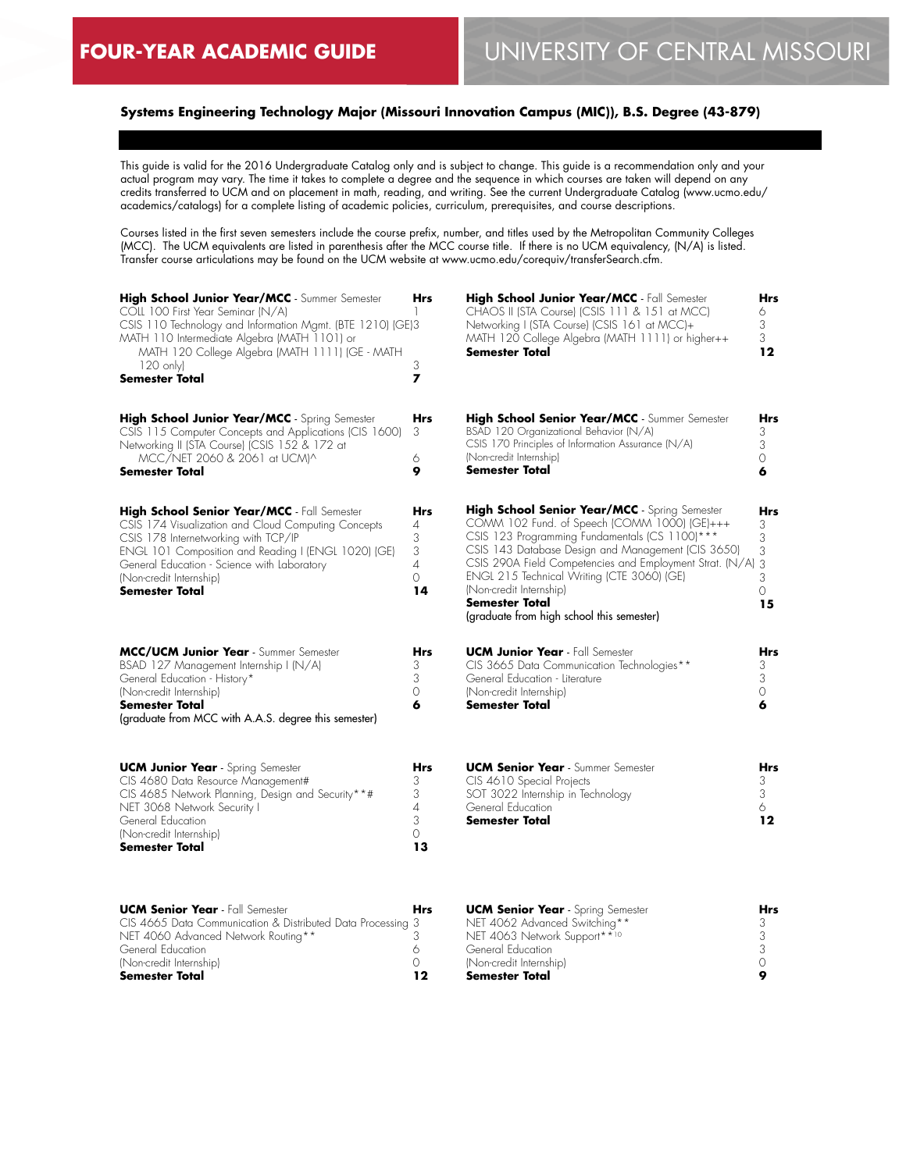# **Systems Engineering Technology Major (Missouri Innovation Campus (MIC)), B.S. Degree (43-879)**

This guide is valid for the 2016 Undergraduate Catalog only and is subject to change. This guide is a recommendation only and your actual program may vary. The time it takes to complete a degree and the sequence in which courses are taken will depend on any credits transferred to UCM and on placement in math, reading, and writing. See the current Undergraduate Catalog (www.ucmo.edu/ academics/catalogs) for a complete listing of academic policies, curriculum, prerequisites, and course descriptions.

Courses listed in the first seven semesters include the course prefix, number, and titles used by the Metropolitan Community Colleges (MCC). The UCM equivalents are listed in parenthesis after the MCC course title. If there is no UCM equivalency, (N/A) is listed. Transfer course articulations may be found on the UCM website at www.ucmo.edu/corequiv/transferSearch.cfm.

| High School Junior Year/MCC - Summer Semester<br>COLL 100 First Year Seminar (N/A)<br>CSIS 110 Technology and Information Mgmt. (BTE 1210) (GE)3<br>MATH 110 Intermediate Algebra (MATH 1101) or<br>MATH 120 College Algebra (MATH 1111) (GE - MATH<br>$120 \text{ only}$<br><b>Semester Total</b> | Hrs<br>3<br>7                                    | High School Junior Year/MCC - Fall Semester<br>CHAOS II (STA Course) (CSIS 111 & 151 at MCC)<br>Networking I (STA Course) (CSIS 161 at MCC)+<br>MATH 120 College Algebra (MATH 1111) or higher++<br>Semester Total                                                                                                                                                                                        | Hrs<br>6<br>3<br>3<br>12                |
|----------------------------------------------------------------------------------------------------------------------------------------------------------------------------------------------------------------------------------------------------------------------------------------------------|--------------------------------------------------|-----------------------------------------------------------------------------------------------------------------------------------------------------------------------------------------------------------------------------------------------------------------------------------------------------------------------------------------------------------------------------------------------------------|-----------------------------------------|
| High School Junior Year/MCC - Spring Semester<br>CSIS 115 Computer Concepts and Applications (CIS 1600)<br>Networking II (STA Course) (CSIS 152 & 172 at<br>MCC/NET 2060 & 2061 at UCM)^<br>Semester Total                                                                                         | <b>Hrs</b><br>3<br>6<br>9                        | High School Senior Year/MCC - Summer Semester<br>BSAD 120 Organizational Behavior (N/A)<br>CSIS 170 Principles of Information Assurance (N/A)<br>(Non-credit Internship)<br>Semester Total                                                                                                                                                                                                                | Hrs<br>3<br>3<br>0<br>6                 |
| High School Senior Year/MCC - Fall Semester<br>CSIS 174 Visualization and Cloud Computing Concepts<br>CSIS 178 Internetworking with TCP/IP<br>ENGL 101 Composition and Reading I (ENGL 1020) (GE)<br>General Education - Science with Laboratory<br>(Non-credit Internship)<br>Semester Total      | Hrs<br>4<br>3<br>3<br>4<br>$\circ$<br>14         | High School Senior Year/MCC - Spring Semester<br>COMM 102 Fund. of Speech (COMM 1000) (GE)+++<br>CSIS 123 Programming Fundamentals (CS 1100)***<br>CSIS 143 Database Design and Management (CIS 3650)<br>CSIS 290A Field Competencies and Employment Strat. (N/A)<br>ENGL 215 Technical Writing (CTE 3060) (GE)<br>(Non-credit Internship)<br>Semester Total<br>(graduate from high school this semester) | Hrs<br>3<br>3<br>3<br>3<br>3<br>0<br>15 |
| MCC/UCM Junior Year - Summer Semester<br>BSAD 127 Management Internship I (N/A)<br>General Education - History*<br>(Non-credit Internship)<br>Semester Total<br>(graduate from MCC with A.A.S. degree this semester)                                                                               | Hrs<br>3<br>3<br>0<br>6                          | <b>UCM Junior Year</b> - Fall Semester<br>CIS 3665 Data Communication Technologies**<br>General Education - Literature<br>(Non-credit Internship)<br>Semester Total                                                                                                                                                                                                                                       | Hrs<br>3<br>3<br>0<br>6                 |
| <b>UCM Junior Year</b> - Spring Semester<br>CIS 4680 Data Resource Management#<br>CIS 4685 Network Planning, Design and Security**#<br>NET 3068 Network Security I<br>General Education<br>(Non-credit Internship)<br>Semester Total                                                               | <b>Hrs</b><br>3<br>3<br>4<br>3<br>$\Omega$<br>13 | <b>UCM Senior Year</b> - Summer Semester<br>CIS 4610 Special Projects<br>SOT 3022 Internship in Technology<br>General Education<br>Semester Total                                                                                                                                                                                                                                                         | Hrs<br>3<br>3<br>6.<br>12               |
| <b>UCM Senior Year</b> - Fall Semester<br>CIS 4665 Data Communication & Distributed Data Processing 3<br>NET 4060 Advanced Network Routing**<br>General Education<br>(Non-credit Internship)<br>Semester Total                                                                                     | Hrs<br>3<br>6<br>0<br>12                         | <b>UCM Senior Year</b> - Spring Semester<br>NET 4062 Advanced Switching**<br>NET 4063 Network Support**10<br>General Education<br>(Non-credit Internship)<br>Semester Total                                                                                                                                                                                                                               | Hrs<br>3<br>3<br>3<br>0<br>9            |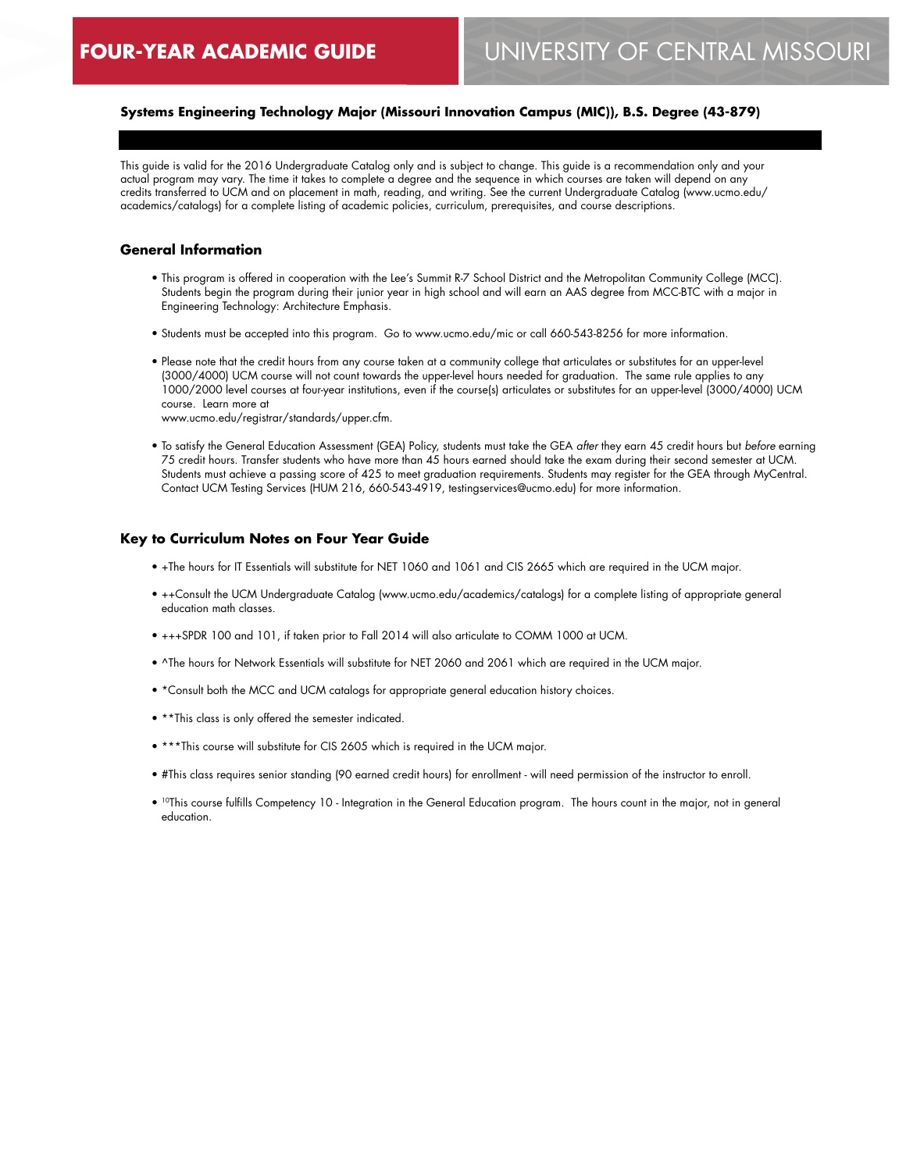# **Systems Engineering Technology Major (Missouri Innovation Campus (MIC)), B.S. Degree (43-879)**

This guide is valid for the 2016 Undergraduate Catalog only and is subject to change. This guide is a recommendation only and your actual program may vary. The time it takes to complete a degree and the sequence in which courses are taken will depend on any credits transferred to UCM and on placement in math, reading, and writing. See the current Undergraduate Catalog (www.ucmo.edu/ academics/catalogs) for a complete listing of academic policies, curriculum, prerequisites, and course descriptions.

#### **General Information**

- This program is offered in cooperation with the Lee's Summit R-7 School District and the Metropolitan Community College (MCC). Students begin the program during their junior year in high school and will earn an AAS degree from MCC-BTC with a major in Engineering Technology: Architecture Emphasis.
- Students must be accepted into this program. Go to www.ucmo.edu/mic or call 660-543-8256 for more information.
- Please note that the credit hours from any course taken at a community college that articulates or substitutes for an upper-level (3000/4000) UCM course will not count towards the upper-level hours needed for graduation. The same rule applies to any 1000/2000 level courses at four-year institutions, even if the course(s) articulates or substitutes for an upper-level (3000/4000) UCM course. Learn more at

www.ucmo.edu/registrar/standards/upper.cfm.

• To satisfy the General Education Assessment (GEA) Policy, students must take the GEA *after* they earn 45 credit hours but *before* earning 75 credit hours. Transfer students who have more than 45 hours earned should take the exam during their second semester at UCM. Students must achieve a passing score of 425 to meet graduation requirements. Students may register for the GEA through MyCentral. Contact UCM Testing Services (HUM 216, 660-543-4919, testingservices@ucmo.edu) for more information.

#### **Key to Curriculum Notes on Four Year Guide**

- +The hours for IT Essentials will substitute for NET 1060 and 1061 and CIS 2665 which are required in the UCM major.
- ++Consult the UCM Undergraduate Catalog (www.ucmo.edu/academics/catalogs) for a complete listing of appropriate general education math classes.
- +++SPDR 100 and 101, if taken prior to Fall 2014 will also articulate to COMM 1000 at UCM.
- ^The hours for Network Essentials will substitute for NET 2060 and 2061 which are required in the UCM major.
- \*Consult both the MCC and UCM catalogs for appropriate general education history choices.
- \*\*This class is only offered the semester indicated.
- \*\*\*This course will substitute for CIS 2605 which is required in the UCM major.
- #This class requires senior standing (90 earned credit hours) for enrollment will need permission of the instructor to enroll.
- 10This course fulfills Competency 10 Integration in the General Education program. The hours count in the major, not in general education.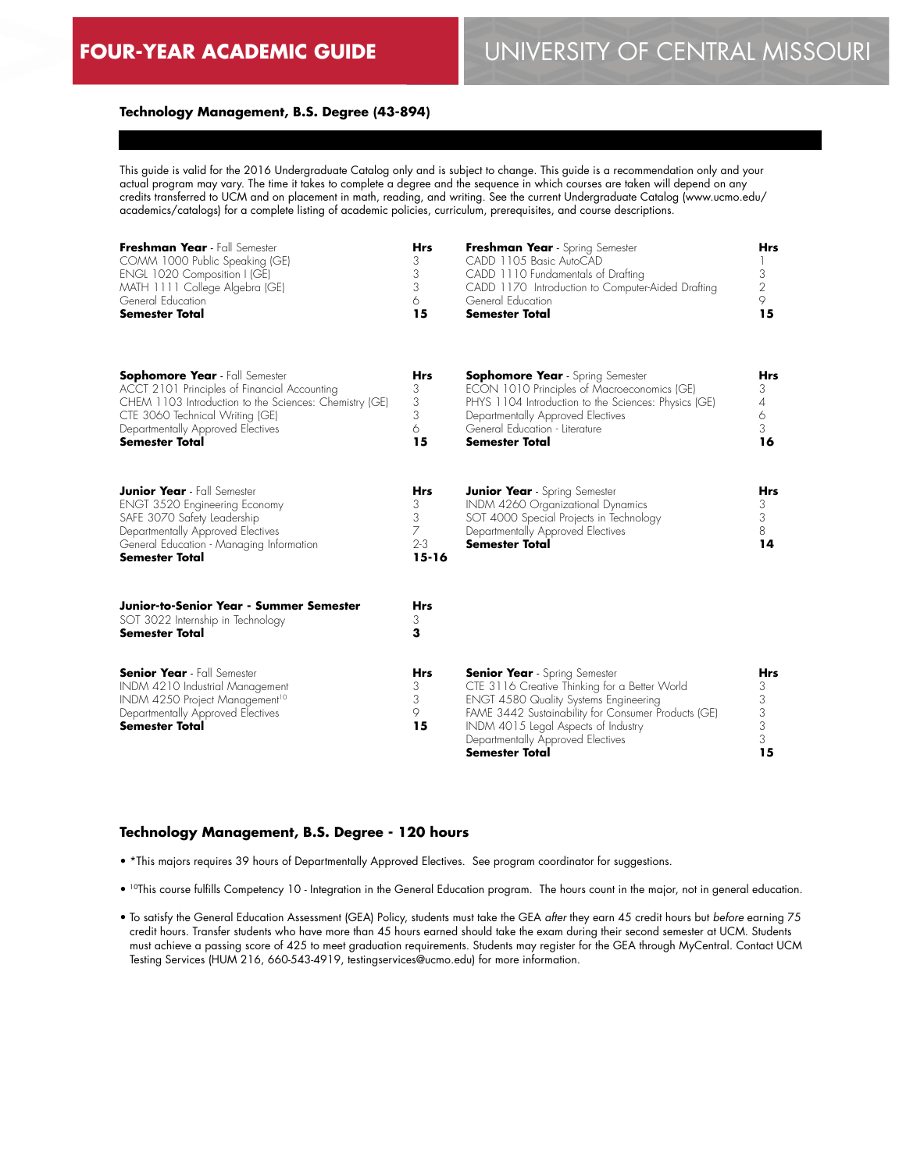### **Technology Management, B.S. Degree (43-894)**

This guide is valid for the 2016 Undergraduate Catalog only and is subject to change. This guide is a recommendation only and your actual program may vary. The time it takes to complete a degree and the sequence in which courses are taken will depend on any credits transferred to UCM and on placement in math, reading, and writing. See the current Undergraduate Catalog (www.ucmo.edu/ academics/catalogs) for a complete listing of academic policies, curriculum, prerequisites, and course descriptions.

| Freshman Year - Fall Semester<br>COMM 1000 Public Speaking (GE)<br>ENGL 1020 Composition I (GE)<br>MATH 1111 College Algebra (GE)<br>General Education<br><b>Semester Total</b>                                                                  | <b>Hrs</b><br>3<br>3<br>3<br>6<br>15              | Freshman Year - Spring Semester<br>CADD 1105 Basic AutoCAD<br>CADD 1110 Fundamentals of Drafting<br>CADD 1170 Introduction to Computer-Aided Drafting<br>General Education<br><b>Semester Total</b>                                                                                        | <b>Hrs</b><br>3<br>2<br>9<br>15           |
|--------------------------------------------------------------------------------------------------------------------------------------------------------------------------------------------------------------------------------------------------|---------------------------------------------------|--------------------------------------------------------------------------------------------------------------------------------------------------------------------------------------------------------------------------------------------------------------------------------------------|-------------------------------------------|
| <b>Sophomore Year</b> - Fall Semester<br>ACCT 2101 Principles of Financial Accounting<br>CHEM 1103 Introduction to the Sciences: Chemistry (GE)<br>CTE 3060 Technical Writing (GE)<br>Departmentally Approved Electives<br><b>Semester Total</b> | Hrs<br>3<br>3<br>3<br>6<br>15                     | <b>Sophomore Year</b> - Spring Semester<br>ECON 1010 Principles of Macroeconomics (GE)<br>PHYS 1104 Introduction to the Sciences: Physics (GE)<br>Departmentally Approved Electives<br>General Education - Literature<br><b>Semester Total</b>                                             | Hrs<br>3<br>4<br>6<br>3<br>16             |
| <b>Junior Year</b> - Fall Semester<br>ENGT 3520 Engineering Economy<br>SAFE 3070 Safety Leadership<br>Departmentally Approved Electives<br>General Education - Managing Information<br><b>Semester Total</b>                                     | <b>Hrs</b><br>3<br>3<br>7<br>$2 - 3$<br>$15 - 16$ | <b>Junior Year</b> - Spring Semester<br>INDM 4260 Organizational Dynamics<br>SOT 4000 Special Projects in Technology<br>Departmentally Approved Electives<br><b>Semester Total</b>                                                                                                         | <b>Hrs</b><br>3<br>3<br>8<br>14           |
| Junior-to-Senior Year - Summer Semester<br>SOT 3022 Internship in Technology<br><b>Semester Total</b>                                                                                                                                            | <b>Hrs</b><br>3<br>3                              |                                                                                                                                                                                                                                                                                            |                                           |
| <b>Senior Year</b> - Fall Semester<br>INDM 4210 Industrial Management<br>INDM 4250 Project Management <sup>10</sup><br>Departmentally Approved Electives<br><b>Semester Total</b>                                                                | <b>Hrs</b><br>3<br>3<br>9<br>15                   | <b>Senior Year</b> - Spring Semester<br>CTE 3116 Creative Thinking for a Better World<br><b>ENGT 4580 Quality Systems Engineering</b><br>FAME 3442 Sustainability for Consumer Products (GE)<br>INDM 4015 Legal Aspects of Industry<br>Departmentally Approved Electives<br>Semester Total | <b>Hrs</b><br>3<br>3<br>3<br>3<br>3<br>15 |

#### **Technology Management, B.S. Degree - 120 hours**

- \*This majors requires 39 hours of Departmentally Approved Electives. See program coordinator for suggestions.
- 10This course fulfills Competency 10 Integration in the General Education program. The hours count in the major, not in general education.
- To satisfy the General Education Assessment (GEA) Policy, students must take the GEA *after* they earn 45 credit hours but *before* earning 75 credit hours. Transfer students who have more than 45 hours earned should take the exam during their second semester at UCM. Students must achieve a passing score of 425 to meet graduation requirements. Students may register for the GEA through MyCentral. Contact UCM Testing Services (HUM 216, 660-543-4919, testingservices@ucmo.edu) for more information.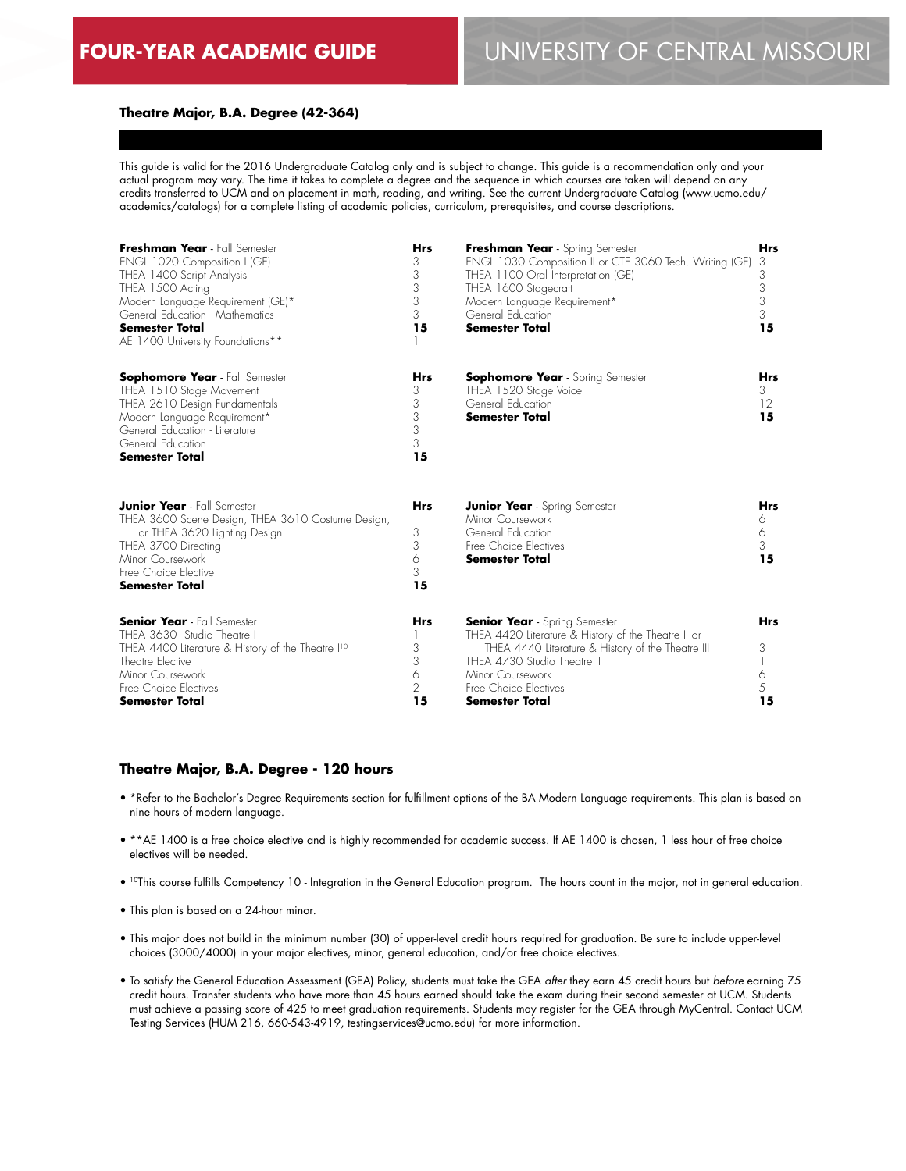#### **Theatre Major, B.A. Degree (42-364)**

This guide is valid for the 2016 Undergraduate Catalog only and is subject to change. This guide is a recommendation only and your actual program may vary. The time it takes to complete a degree and the sequence in which courses are taken will depend on any credits transferred to UCM and on placement in math, reading, and writing. See the current Undergraduate Catalog (www.ucmo.edu/ academics/catalogs) for a complete listing of academic policies, curriculum, prerequisites, and course descriptions.

| Freshman Year - Fall Semester<br>ENGL 1020 Composition I (GE)<br>THEA 1400 Script Analysis<br>THEA 1500 Acting<br>Modern Language Requirement (GE)*<br>General Education - Mathematics<br><b>Semester Total</b><br>AE 1400 University Foundations** | <b>Hrs</b><br>3<br>3<br>3<br>3<br>3<br>15 | Freshman Year - Spring Semester<br>ENGL 1030 Composition II or CTE 3060 Tech. Writing (GE)<br>THEA 1100 Oral Interpretation (GE)<br>THEA 1600 Stagecraft<br>Modern Language Requirement*<br>General Education<br><b>Semester Total</b>         | <b>Hrs</b><br>3<br>3<br>3<br>3<br>3<br>15 |
|-----------------------------------------------------------------------------------------------------------------------------------------------------------------------------------------------------------------------------------------------------|-------------------------------------------|------------------------------------------------------------------------------------------------------------------------------------------------------------------------------------------------------------------------------------------------|-------------------------------------------|
| <b>Sophomore Year</b> - Fall Semester<br>THEA 1510 Stage Movement<br>THEA 2610 Design Fundamentals<br>Modern Language Requirement*<br>General Education - Literature<br>General Education<br><b>Semester Total</b>                                  | Hrs<br>3<br>3<br>3<br>3<br>3<br>15        | <b>Sophomore Year</b> - Spring Semester<br>THEA 1520 Stage Voice<br>General Education<br><b>Semester Total</b>                                                                                                                                 | <b>Hrs</b><br>3<br>12<br>15               |
| <b>Junior Year</b> - Fall Semester<br>THEA 3600 Scene Design, THEA 3610 Costume Design,<br>or THEA 3620 Lighting Design<br>THEA 3700 Directing<br>Minor Coursework<br>Free Choice Elective<br><b>Semester Total</b>                                 | <b>Hrs</b><br>3<br>3<br>6<br>3<br>15      | <b>Junior Year</b> - Spring Semester<br>Minor Coursework<br>General Education<br>Free Choice Electives<br><b>Semester Total</b>                                                                                                                | <b>Hrs</b><br>6<br>6<br>3<br>15           |
| <b>Senior Year</b> - Fall Semester<br>THEA 3630 Studio Theatre I<br>THEA 4400 Literature & History of the Theatre I <sup>10</sup><br>Theatre Elective<br>Minor Coursework<br>Free Choice Electives<br>Semester Total                                | <b>Hrs</b><br>3<br>3<br>6<br>2<br>15      | <b>Senior Year</b> - Spring Semester<br>THEA 4420 Literature & History of the Theatre II or<br>THEA 4440 Literature & History of the Theatre III<br>THEA 4730 Studio Theatre II<br>Minor Coursework<br>Free Choice Electives<br>Semester Total | <b>Hrs</b><br>3<br>6<br>5<br>15           |

#### **Theatre Major, B.A. Degree - 120 hours**

- \*Refer to the Bachelor's Degree Requirements section for fulfillment options of the BA Modern Language requirements. This plan is based on nine hours of modern language.
- \*\*AE 1400 is a free choice elective and is highly recommended for academic success. If AE 1400 is chosen, 1 less hour of free choice electives will be needed.
- 10This course fulfills Competency 10 Integration in the General Education program. The hours count in the major, not in general education.
- This plan is based on a 24-hour minor.
- This major does not build in the minimum number (30) of upper-level credit hours required for graduation. Be sure to include upper-level choices (3000/4000) in your major electives, minor, general education, and/or free choice electives.
- To satisfy the General Education Assessment (GEA) Policy, students must take the GEA *after* they earn 45 credit hours but *before* earning 75 credit hours. Transfer students who have more than 45 hours earned should take the exam during their second semester at UCM. Students must achieve a passing score of 425 to meet graduation requirements. Students may register for the GEA through MyCentral. Contact UCM Testing Services (HUM 216, 660-543-4919, testingservices@ucmo.edu) for more information.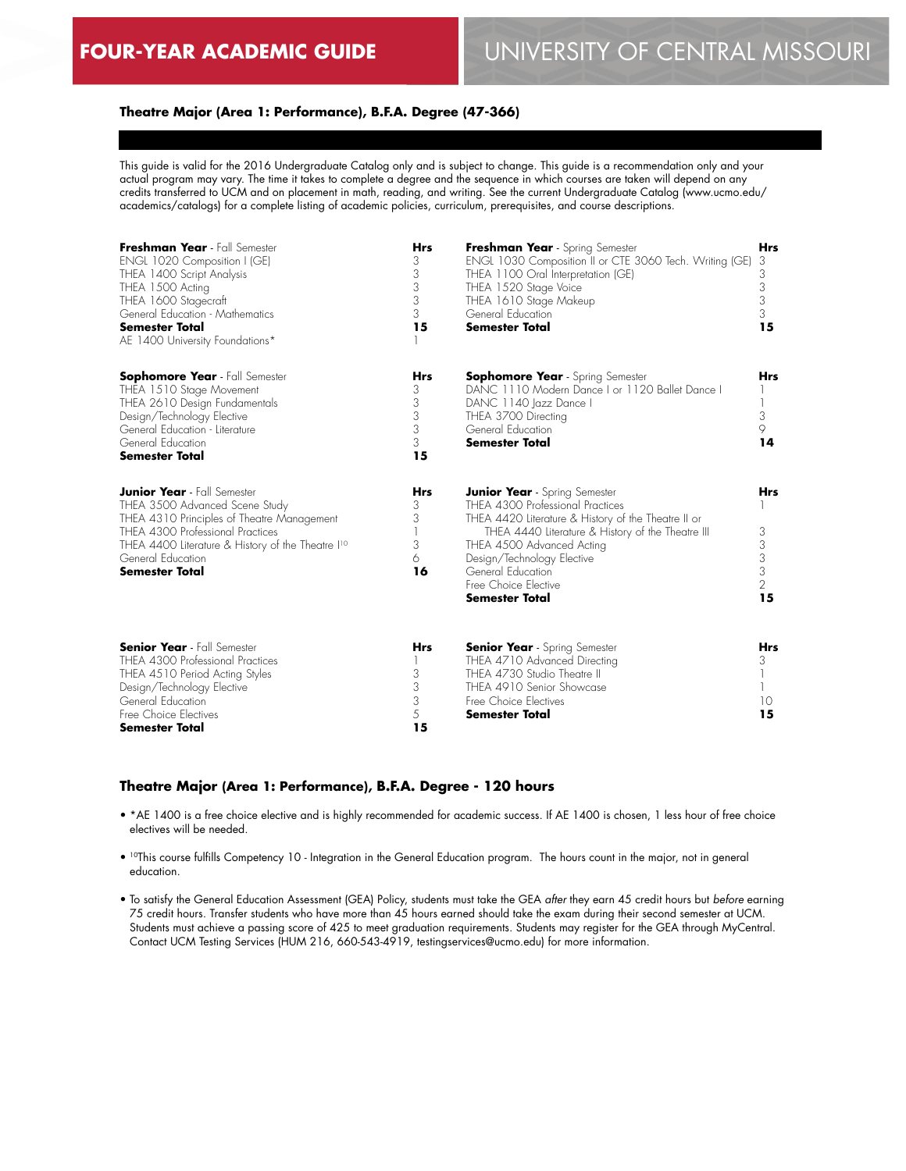#### **Theatre Major (Area 1: Performance), B.F.A. Degree (47-366)**

This guide is valid for the 2016 Undergraduate Catalog only and is subject to change. This guide is a recommendation only and your actual program may vary. The time it takes to complete a degree and the sequence in which courses are taken will depend on any credits transferred to UCM and on placement in math, reading, and writing. See the current Undergraduate Catalog (www.ucmo.edu/ academics/catalogs) for a complete listing of academic policies, curriculum, prerequisites, and course descriptions.

| Freshman Year - Fall Semester<br>ENGL 1020 Composition I (GE)<br>THEA 1400 Script Analysis<br>THEA 1500 Acting<br>THEA 1600 Stagecraft<br>General Education - Mathematics<br><b>Semester Total</b><br>AE 1400 University Foundations*                                 | <b>Hrs</b><br>3<br>3<br>3<br>3<br>3<br>15 | Freshman Year - Spring Semester<br>ENGL 1030 Composition II or CTE 3060 Tech. Writing (GE)<br>THEA 1100 Oral Interpretation (GE)<br>THEA 1520 Stage Voice<br>THEA 1610 Stage Makeup<br>General Education<br><b>Semester Total</b>                                                                              | <b>Hrs</b><br>3<br>3<br>3<br>3<br>3<br>15 |
|-----------------------------------------------------------------------------------------------------------------------------------------------------------------------------------------------------------------------------------------------------------------------|-------------------------------------------|----------------------------------------------------------------------------------------------------------------------------------------------------------------------------------------------------------------------------------------------------------------------------------------------------------------|-------------------------------------------|
| <b>Sophomore Year</b> - Fall Semester<br>THEA 1510 Stage Movement<br>THEA 2610 Design Fundamentals<br>Design/Technology Elective<br>General Education - Literature<br>General Education<br><b>Semester Total</b>                                                      | <b>Hrs</b><br>3<br>3<br>3<br>3<br>3<br>15 | <b>Sophomore Year</b> - Spring Semester<br>DANC 1110 Modern Dance I or 1120 Ballet Dance I<br>DANC 1140 Jazz Dance I<br>THEA 3700 Directing<br>General Education<br><b>Semester Total</b>                                                                                                                      | <b>Hrs</b><br>3<br>9<br>14                |
| <b>Junior Year</b> - Fall Semester<br>THEA 3500 Advanced Scene Study<br>THEA 4310 Principles of Theatre Management<br>THEA 4300 Professional Practices<br>THEA 4400 Literature & History of the Theatre I <sup>10</sup><br>General Education<br><b>Semester Total</b> | <b>Hrs</b><br>3<br>3<br>3<br>6<br>16      | <b>Junior Year</b> - Spring Semester<br>THEA 4300 Professional Practices<br>THEA 4420 Literature & History of the Theatre II or<br>THEA 4440 Literature & History of the Theatre III<br>THEA 4500 Advanced Acting<br>Design/Technology Elective<br>General Education<br>Free Choice Elective<br>Semester Total | <b>Hrs</b><br>3<br>3<br>3<br>3<br>2<br>15 |
| <b>Senior Year</b> - Fall Semester<br>THEA 4300 Professional Practices<br>THEA 4510 Period Acting Styles<br>Design/Technology Elective<br>General Education<br>Free Choice Electives<br><b>Semester Total</b>                                                         | <b>Hrs</b><br>3<br>3<br>3<br>5<br>15      | <b>Senior Year</b> - Spring Semester<br>THEA 4710 Advanced Directing<br>THEA 4730 Studio Theatre II<br>THEA 4910 Senior Showcase<br>Free Choice Electives<br><b>Semester Total</b>                                                                                                                             | <b>Hrs</b><br>3<br>10<br>15               |

#### **Theatre Major (Area 1: Performance), B.F.A. Degree - 120 hours**

- \*AE 1400 is a free choice elective and is highly recommended for academic success. If AE 1400 is chosen, 1 less hour of free choice electives will be needed.
- 10This course fulfills Competency 10 Integration in the General Education program. The hours count in the major, not in general education.
- To satisfy the General Education Assessment (GEA) Policy, students must take the GEA *after* they earn 45 credit hours but *before* earning 75 credit hours. Transfer students who have more than 45 hours earned should take the exam during their second semester at UCM. Students must achieve a passing score of 425 to meet graduation requirements. Students may register for the GEA through MyCentral. Contact UCM Testing Services (HUM 216, 660-543-4919, testingservices@ucmo.edu) for more information.